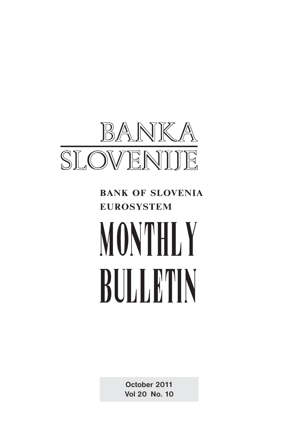

# **BANK OF SLOVENIA EUROSYSTEM**

# MONTHLY **BULLETIN**

**October 2011 Vol 20 No. 10**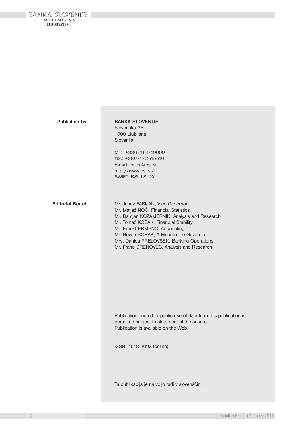

| Published by:           | <b>BANKA SLOVENIJE</b><br>Slovenska 35,<br>1000 Ljubljana<br>Slovenija<br>tel.: +386 (1) 4719000<br>fax.: +386 (1) 2515516<br>E-mail: bilten@bsi.si<br>http://www.bsi.si/<br>SWIFT: BSLJ SI 2X                                                                                                                                          |
|-------------------------|-----------------------------------------------------------------------------------------------------------------------------------------------------------------------------------------------------------------------------------------------------------------------------------------------------------------------------------------|
| <b>Editorial Board:</b> | Mr. Janez FABIJAN, Vice Governor<br>Mr. Matjaž NOČ, Financial Statistics<br>Mr. Damjan KOZAMERNIK, Analysis and Research<br>Mr. Tomaž KOŠAK, Financial Stability<br>Mr. Ernest ERMENC, Accounting<br>Mr. Neven BORAK, Advisor to the Governor<br>Mrs. Danica PRELOVŠEK, Banking Operations<br>Mr. Franc DRENOVEC, Analysis and Research |
|                         | Publication and other public use of data from this publication is<br>permitted subject to statement of the source.<br>Publication is available on the Web.                                                                                                                                                                              |
|                         | ISSN 1518-209X (online)                                                                                                                                                                                                                                                                                                                 |
|                         | Ta publikacija je na voljo tudi v slovenščini.                                                                                                                                                                                                                                                                                          |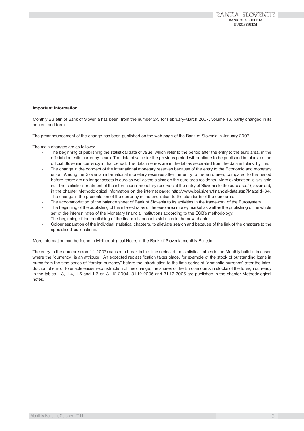#### **Important information**

Monthly Bulletin of Bank of Slovenia has been, from the number 2-3 for February-March 2007, volume 16, partly changed in its content and form.

The preannouncement of the change has been published on the web page of the Bank of Slovenia in January 2007.

The main changes are as follows:

- The beginning of publishing the statistical data of value, which refer to the period after the entry to the euro area, in the official domestic currency - euro. The data of value for the previous period will continue to be published in tolars, as the official Slovenian currency in that period. The data in euros are in the tables separated from the data in tolars by line.
- The change in the concept of the international monetary reserves because of the entry to the Economic and monetary union. Among the Slovenian international monetary reserves after the entry to the euro area, compared to the period before, there are no longer assets in euro as well as the claims on the euro area residents. More explanation is available in: "The statistical treatment of the international monetary reserves at the entry of Slovenia to the euro area" (slovenian), in the chapter Methodological information on the internet page: http://www.bsi.si/en/financial-data.asp?MapaId=64.
- The change in the presentation of the currency in the circulation to the standards of the euro area.
- The accommodation of the balance sheet of Bank of Slovenia to its activities in the framework of the Eurosystem.
- The beginning of the publishing of the interest rates of the euro area money market as well as the publishing of the whole set of the interest rates of the Monetary financial institutions according to the ECB's methodology.
- The beginning of the publishing of the financial accounts statistics in the new chapter.
- · Colour separation of the individual statistical chapters, to alleviate search and because of the link of the chapters to the specialised publications.

More information can be found in Methodological Notes in the Bank of Slovenia monthly Bulletin.

The entry to the euro area (on 1.1.2007) caused a break in the time series of the statistical tables in the Monthly bulletin in cases where the "currency" is an attribute. An expected reclassification takes place, for example of the stock of outstanding loans in euros from the time series of "foreign currency" before the introduction to the time series of "domestic currency" after the introduction of euro. To enable easier reconstruction of this change, the shares of the Euro amounts in stocks of the foreign currency in the tables 1.3, 1.4, 1.5 and 1.6 on 31.12.2004, 31.12.2005 and 31.12.2006 are published in the chapter Methodological notes.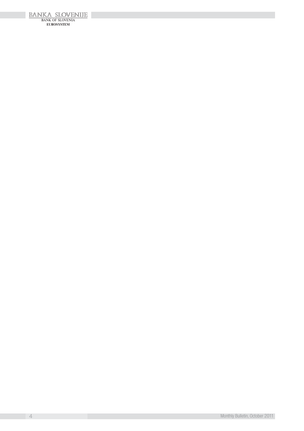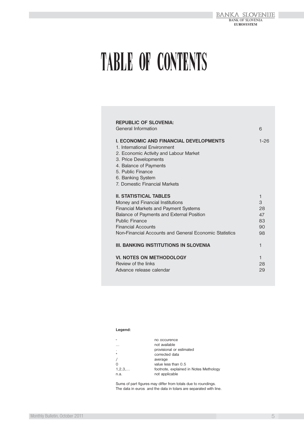# TABLE OF CONTENTS

#### **REPUBLIC OF SLOVENIA:** General Information **I. ECONOMIC AND FINANCIAL DEVELOPMENTS** 1. International Environment 2. Economic Activity and Labour Market 3. Price Developments 4. Balance of Payments 5. Public Finance 6. Banking System 7. Domestic Financial Markets **II. STATISTICAL TABLES** Money and Financial Institutions Financial Markets and Payment Systems Balance of Payments and External Position Public Finance Financial Accounts Non-Financial Accounts and General Economic Statistics **III. BANKING INSTITUTIONS IN SLOVENIA VI. NOTES ON METHODOLOGY** Review of the links Advance release calendar 6 1-26 1 3 28 47 83 90 98 1 1 28 29

#### **Legend:**

|                   | no occurence                           |
|-------------------|----------------------------------------|
|                   | not available                          |
|                   | provisional or estimated               |
| $\star$           | corrected data                         |
|                   | average                                |
| $\Omega$          | value less than 0.5                    |
| $1, 2, 3, \ldots$ | footnote, explained in Notes Methology |
| n.a.              | not applicable                         |

Sums of part figures may differ from totals due to roundings. The data in euros and the data in tolars are separated with line.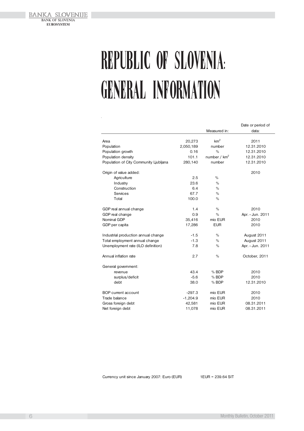# REPUBLIC OF SLOVENIA: GENERAL INFORMATION

|                                        |            |                 | Date or period of |
|----------------------------------------|------------|-----------------|-------------------|
|                                        |            | Measured in:    | data:             |
|                                        |            |                 |                   |
| Area                                   | 20,273     | km <sup>2</sup> | 2011              |
| Population                             | 2,050,189  | number          | 12.31.2010        |
| Population growth                      | 0.16       | $\frac{0}{0}$   | 12.31.2010        |
| Population density                     | 101.1      | number / $km^2$ | 12.31.2010        |
| Population of City Community Ljubljana | 280,140    | number          | 12.31.2010        |
| Origin of value added:                 |            |                 | 2010              |
| Agriculture                            | 2.5        | $\frac{0}{0}$   |                   |
| Industry                               | 23.6       | $\%$            |                   |
| Construction                           | 6.4        | $\frac{0}{0}$   |                   |
| Services                               | 67.7       | $\frac{0}{0}$   |                   |
| Total                                  | 100.0      | $\frac{0}{0}$   |                   |
| GDP real annual change                 | 1.4        | $\frac{0}{0}$   | 2010              |
| GDP real change                        | 0.9        | $\frac{0}{0}$   | Apr. - Jun. 2011  |
| Nominal GDP                            | 35,416     | mio EUR         | 2010              |
| GDP per capita                         | 17,286     | <b>EUR</b>      | 2010              |
|                                        |            |                 |                   |
| Industrial production annual change    | $-1.5$     | $\frac{0}{0}$   | August 2011       |
| Total employment annual change         | $-1.3$     | $\frac{1}{2}$   | August 2011       |
| Unemployment rate (ILO definition)     | 7.8        | $\frac{0}{0}$   | Apr. - Jun. 2011  |
| Annual inflation rate                  | 2.7        | $\frac{0}{0}$   | October, 2011     |
| General government:                    |            |                 |                   |
| revenue                                | 43.4       | $%$ BDP         | 2010              |
| surplus/deficit                        | $-5.6$     | $%$ BDP         | 2010              |
| debt                                   | 38.0       | $%$ BDP         | 12.31.2010        |
|                                        | $-297.3$   | mio EUR         | 2010              |
| BOP current account                    |            |                 |                   |
| Trade balance                          | $-1,204.9$ | mio EUR         | 2010              |
| Gross foreign debt                     | 42,581     | mio EUR         | 08.31.2011        |
| Net foreign debt                       | 11,078     | mio EUR         | 08.31.2011        |

Currency unit since January 2007: Euro (EUR) 1EUR = 239.64 SIT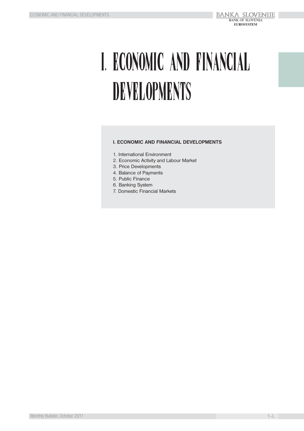# I. ECONOMIC AND FINANCIAL DEVELOPMENTS

#### **I. ECONOMIC AND FINANCIAL DEVELOPMENTS**

- 1. International Environment
- 2. Economic Activity and Labour Market
- 3. Price Developments
- 4. Balance of Payments
- 5. Public Finance
- 6. Banking System
- 7. Domestic Financial Markets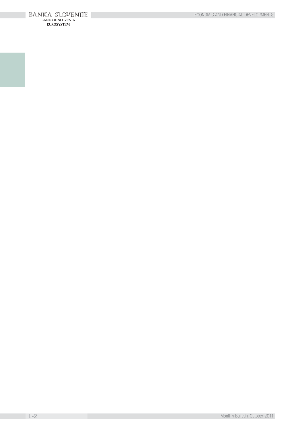**EUROSYSTEM**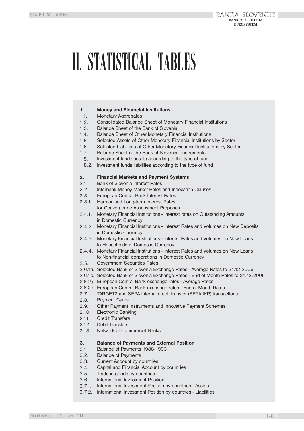# II. STATISTICAL TABLES

#### **1. Money and Financial Institutions**

- 1.1. Monetary Aggregates
- 1.2. Consolidated Balance Sheet of Monetary Financial Institutions
- 1.3. Balance Sheet of the Bank of Slovenia
- 1.4. Balance Sheet of Other Monetary Financial Institutions
- 1.5. Selected Assets of Other Monetary Financial Institutions by Sector
- 1.6. Selected Liabilities of Other Monetary Financial Institutions by Sector
- 1.7. Balance Sheet of the Bank of Slovenia - instruments
- 1.8.1. Investment funds assets according to the type of fund
- 1.8.2. Investment funds liabilities according to the type of fund

#### **2. Financial Markets and Payment Systems**

- 2.1. Bank of Slovenia Interest Rates
- 2.2. Interbank Money Market Rates and Indexation Clauses
- 2.3. European Central Bank Interest Rates
- 2.3.1. Harmonised Long-term Interest Rates for Convergence Assessment Purposes
- 2.4.1. Monetary Financial Institutions - Interest rates on Outstanding Amounts in Domestic Currency
- 2.4.2. Monetary Financial Institutions Interest Rates and Volumes on New Deposits in Domestic Currency
- 2.4.3. Monetary Financial Institutions Interest Rates and Volumes on New Loans to Households in Domestic Currency
- 2.4.4. Monetary Financial Institutions Interest Rates and Volumes on New Loans to Non-financial corporations in Domestic Currency
- 2.5. Government Securities Rates
- 2.6.1a. Selected Bank of Slovenia Exchange Rates Average Rates to 31.12.2006
- 2.6.1b. Selected Bank of Slovenia Exchange Rates End of Month Rates to 31.12.2006
- 2.6.2a. European Central Bank exchange rates Average Rates
- 2.6.2b. European Central Bank exchange rates End of Month Rates
- 2.7. TARGET2 and SEPA internal credit transfer (SEPA IKP) transactions
- 2.8. Payment Cards
- 2.9. Other Payment Instruments and Innovative Payment Schemes
- 2.10. Electronic Banking
- $2.11.$ Credit Transfers
- 2.12. Debit Transfers
- 2.13. Network of Commercial Banks

#### **3. Balance of Payments and External Position**

- 3.1. Balance of Payments 1988-1993
- 3.2. Balance of Payments
- 3.3. Current Account by countries
- 3.4. Capital and Financial Account by countries
- 3.5. Trade in goods by countries
- 3.6. International Investment Position
- 3.7.1. International Investment Position by countries - Assets
- 3.7.2. International Investment Position by countries Liabilities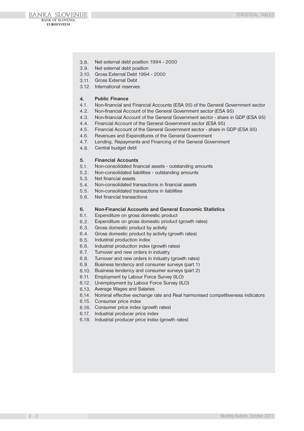- 3.8. Net external debt position 1994 2000
- 3.9. Net external debt position
- 3.10. Gross External Debt 1994 2000
- 3.11. Gross External Debt
- 3.12. International reserves

#### **4. Public Finance**

- 4.1. Non-financial and Financial Accounts (ESA 95) of the General Government sector
- 4.2. Non-financial Account of the General Government sector (ESA 95)
- 4.3. Non-financial Account of the General Government sector - share in GDP (ESA 95)
- 4.4. Financial Account of the General Government sector (ESA 95)
- 4.5. Financial Account of the General Government sector - share in GDP (ESA 95)
- 4.6. Revenues and Expenditures of the General Government
- 4.7. Lending, Repayments and Financing of the General Government
- 4.8. Central budget debt

#### **5. Financial Accounts**

- 5.1. Non-consolidated financial assets - outstanding amounts
- 5.2. Non-consolidated liabilities outstanding amounts
- 5.3. Net financial assets
- 5.4. Non-consolidated transactions in financial assets
- 5.5. Non-consolidated transactions in liabilities
- 5.6. Net financial transactions

#### **6. Non-Financial Accounts and General Economic Statistics**

- 6.1. Expenditure on gross domestic product
- 6.2. Expenditure on gross domestic product (growth rates)
- 6.3. Gross domestic product by activity
- 6.4. Gross domestic product by activity (growth rates)
- 6.5. Industrial production index
- 6.6. Industrial production index (growth rates)
- 6.7. Turnover and new orders in industry
- 6.8. Turnover and new orders in industry (growth rates)
- 6.9. Business tendency and consumer surveys (part 1)
- 6.10. Business tendency and consumer surveys (part 2)
- 6.11. Employment by Labour Force Survey (ILO)
- 6.12. Unemployment by Labour Force Survey (ILO)
- 6.13. Average Wages and Salaries
- 6.14. Nominal effective exchange rate and Real harmonised competitiveness indicators
- 6.15. Consumer price index
- 6.16. Consumer price index (growth rates)
- 6.17. Industrial producer price index
- 6.18. Industrial producer price index (growth rates)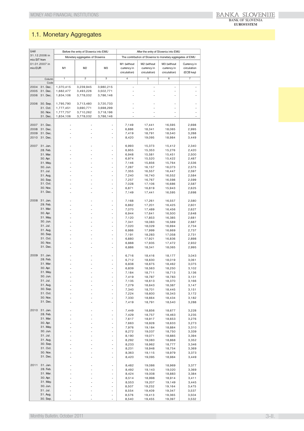# 1.1. Monetary Aggregates

| Until        |                      |           | Before the entry of Slovenia into EMU |                                |                | After the entry of Slovenia into EMU                       |                  |                |
|--------------|----------------------|-----------|---------------------------------------|--------------------------------|----------------|------------------------------------------------------------|------------------|----------------|
|              | 31.12.2006 in        |           | Monetary aggregates of Slovenia       |                                |                | The contribution of Slovenia to monetary aggregates of EMU |                  |                |
| mio SIT from |                      |           |                                       |                                |                |                                                            |                  |                |
|              | 01.01.2007 in        |           |                                       |                                | M1 (without    | M2 (without                                                | M3 (without      | Currency in    |
| mio EUR      |                      | M1        | M <sub>2</sub>                        | M3                             | currency in    | currency in                                                | currency in      | circulation    |
|              |                      |           |                                       |                                | circulation)   | circulation)                                               | circulation)     | (ECB key)      |
|              | Column               | 1         | 2                                     | 3                              | 4              | 5                                                          | 6                | 7              |
|              | Code                 |           |                                       |                                |                |                                                            |                  |                |
| 2004         | 31. Dec.             | 1,370,415 | 3,239,945                             | 3,980,215                      | ÷              | ÷                                                          | ÷,               | ÷,             |
| 2005         | 31. Dec.             | 1,682,477 | 3,493,226                             | 3,502,771                      | í.             |                                                            | ä,               |                |
| 2006         | 31. Dec.             | 1,834,106 | 3,778,032                             | 3,786,146                      |                |                                                            | ä,               |                |
|              |                      |           |                                       |                                |                |                                                            |                  |                |
| 2006         | 30. Sep.             | 1,795,790 | 3,713,480                             | 3,720,733                      |                |                                                            | ٠                |                |
|              | 31. Oct.             | 1,777,451 | 3,690,771                             | 3,698,299                      |                |                                                            | ä,               |                |
|              | 30. Nov.             | 1,777,757 | 3,710,262                             | 3,718,196                      |                |                                                            | ä,               | L              |
|              | 31. Dec.             | 1,834,106 | 3,778,032                             | 3,786,146                      |                |                                                            | ٠                |                |
| 2007         | 31. Dec.             |           | ä,                                    | ٠                              | 7,149          | 17,441                                                     | 16,595           | 2,698          |
| 2008         | 31. Dec.             |           | L,                                    | ä,                             | 6,886          | 18,341                                                     | 18,065           | 2,995          |
| 2009         | 31. Dec.             |           | ä,                                    | ٠                              | 7,419          | 18,791                                                     | 18,540           | 3,288          |
| 2010         | 31. Dec.             |           |                                       | ٠                              | 8,420          | 19,095                                                     | 18,984           | 3,449          |
|              |                      |           |                                       |                                |                |                                                            |                  |                |
| 2007         | 31. Jan.             |           |                                       | ä,                             | 6,993          | 15,373                                                     | 15,412           | 2,340          |
|              | 28. Feb.             |           |                                       | ٠                              | 6,955          | 15,353                                                     | 15,276           | 2,420          |
|              | 31. Mar.             |           |                                       | ÷                              | 6,948          | 15,581                                                     | 15,451           | 2,500          |
|              | 30. Apr.             |           |                                       | ä,                             | 6,974          | 15,520                                                     | 15,422           | 2,487          |
|              | 31. May.             |           |                                       | ä,                             | 7,146          | 15,856                                                     | 15,764           | 2,536          |
|              | 30. Jun.             |           |                                       | ä,                             | 7,287          | 16,157                                                     | 16,073           | 2,575          |
|              | 31. Jul.             |           |                                       | ٠                              | 7,355          | 16,557                                                     | 16,447           | 2,597          |
|              | 31. Aug.             |           | ä,                                    | ÷                              | 7,240          | 16,740                                                     | 16,552           | 2,584          |
|              | 30. Sep.             |           |                                       | ä,                             | 7,257          | 16,767                                                     | 16,598           | 2,599          |
|              | 31. Oct.             |           |                                       | ٠                              | 7,028          | 17,106                                                     | 16,686           | 2,587          |
|              | 30. Nov.             |           |                                       | ٠                              | 6,871          | 16,819                                                     | 15,943           | 2,625          |
|              | 31. Dec.             |           |                                       | ä,                             | 7,149          | 17,441                                                     | 16,595           | 2,698          |
|              |                      |           |                                       |                                |                |                                                            |                  |                |
|              | 2008 31. Jan.        |           |                                       | ٠                              | 7,168          | 17,261                                                     | 16,557           | 2,580          |
|              | 29. Feb.<br>31. Mar. |           |                                       | ٠                              | 6,862          | 17,201                                                     | 16,425           | 2,601          |
|              | 30. Apr.             |           |                                       | ÷<br>ä,                        | 7,070          | 17,489                                                     | 16,456           | 2,627          |
|              | 31. May.             |           |                                       | ٠                              | 6,944          | 17,641<br>17,853                                           | 16,500           | 2,648          |
|              | 30. Jun.             |           |                                       | ٠                              | 7,120<br>7,341 | 18,083                                                     | 16,385<br>16,589 | 2,681<br>2,687 |
|              | 31. Jul.             |           |                                       | ä,                             | 7,020          | 18,029                                                     | 16,694           | 2,734          |
|              | 31. Aug.             |           |                                       | ä,                             | 6,986          | 17,999                                                     | 16,669           | 2,737          |
|              | 30. Sep.             |           |                                       | ٠                              | 7,191          | 18,283                                                     | 17,058           | 2,731          |
|              | 31. Oct.             |           |                                       | ٠                              | 6,880          | 17,921                                                     | 16,836           | 2,898          |
|              | 30. Nov.             |           | ä,                                    | L,                             | 6,888          | 17,935                                                     | 17,472           | 2,932          |
|              | 31. Dec.             |           |                                       | ä,                             | 6,886          | 18,341                                                     | 18,065           | 2,995          |
|              |                      |           |                                       |                                |                |                                                            |                  |                |
|              | 2009 31. Jan.        |           |                                       |                                | 6,716          | 18,416                                                     | 18,177           | 3,043          |
|              | 28. Feb.             |           |                                       |                                | 6,712          | 18,630                                                     | 18,019           | 3,061          |
|              | 31. Mar.             |           |                                       | L,                             | 6,838          | 18,675                                                     | 18,462           | 3,075          |
|              | 30. Apr.             |           |                                       |                                | 6,839          | 18,563                                                     | 18,250           | 3,102          |
|              | 31. May.             |           |                                       | ٠                              | 7,184          | 18,711                                                     | 18,713           | 3,136          |
|              | 30. Jun.             |           |                                       |                                | 7,419          | 18,787                                                     | 18,783           | 3,131          |
|              | 31. Jul.             |           |                                       | i.                             | 7,135          | 18,613                                                     | 18,370           | 3,166          |
|              | 31. Aug.             |           | L,                                    | ÷,                             | 7,279          | 18,643                                                     | 18,387           | 3,147          |
|              | 30. Sep.             |           | ÷,                                    | ÷,                             | 7,340          | 18,701                                                     | 18,445           | 3,151          |
|              | 31. Oct.             |           | ÷,                                    | $\overline{\phantom{m}}$       | 7,224          | 18,600                                                     | 18,343           | 3,172          |
|              | 30. Nov.<br>31. Dec. |           | ä,<br>L,                              | ÷,                             | 7,330          | 18,664                                                     | 18,434           | 3,182          |
|              |                      |           |                                       | $\overline{\phantom{m}}$       | 7,419          | 18,791                                                     | 18,540           | 3,288          |
| 2010         | 31. Jan.             |           |                                       | $\overline{\phantom{m}}$       | 7,449          | 18,856                                                     | 18,677           | 3,228          |
|              | 28. Feb.             |           |                                       | ÷,                             | 7,429          | 18,757                                                     | 18,463           | 3,235          |
|              | 31. Mar.             |           | L,                                    | $\overline{\phantom{m}}$       | 7,617          | 18,917                                                     | 18,653           | 3,276          |
|              | 30. Apr.             |           |                                       | $\overline{\phantom{a}}$       | 7,663          | 18,928                                                     | 18,633           | 3,273          |
|              | 31. May.             |           | L                                     | $\overline{\phantom{0}}$       | 7,976          | 19,184                                                     | 18,884           | 3,310          |
|              | 30. Jun.             |           | L                                     | ÷,                             | 8,272          | 19,037                                                     | 18,750           | 3,339          |
|              | 31. Jul.             |           | L,                                    | $\overline{\phantom{m}}$       | 8,190          | 19,071                                                     | 18,885           | 3,394          |
|              | 31. Aug.             |           |                                       | $\overline{a}$                 | 8,292          | 19,083                                                     | 18,868           | 3,352          |
|              | 30. Sep.             | ä,        | ÷,                                    | $\frac{1}{2}$                  | 8,233          | 18,962                                                     | 18,777           | 3,346          |
|              | 31. Oct.             |           |                                       | ÷,                             | 8,231          | 18,948                                                     | 18,754           | 3,369          |
|              | 30. Nov.             |           | ä,                                    | $\overline{\phantom{m}}$       | 8,363          | 19,115                                                     | 18,979           | 3,373          |
|              | 31. Dec.             |           | ÷,                                    | $\overline{\phantom{a}}$       | 8,420          | 19,095                                                     | 18,984           | 3,449          |
| 2011         |                      |           |                                       |                                |                |                                                            |                  |                |
|              | 31. Jan.<br>28. Feb. |           | ÷,                                    | ÷,<br>$\overline{\phantom{m}}$ | 8,482<br>8,492 | 19,086                                                     | 18,969           | 3,377          |
|              | 31. Mar.             |           |                                       | ÷,                             | 8,424          | 19,143<br>19,008                                           | 19,020<br>18,883 | 3,369<br>3,384 |
|              | 30. Apr.             |           | ä,                                    | $\overline{\phantom{m}}$       | 8,514          | 18,998                                                     | 18,914           | 3,411          |
|              | 31. May.             |           |                                       | i,                             | 8,553          | 19,207                                                     | 19,149           | 3,445          |
|              | 30. Jun.             |           |                                       | ٠                              | 8,507          | 19,232                                                     | 19,164           | 3,475          |
|              | 31. Jul.             |           |                                       | $\overline{\phantom{0}}$       | 8,554          | 19,409                                                     | 19,347           | 3,537          |
|              | 31. Aug.             |           |                                       | ÷,                             | 8,576          | 19,413                                                     | 19,365           | 3,504          |
|              | 30. Sep.             |           |                                       |                                | 8,540          | 19,455                                                     | 19,397           | 3,532          |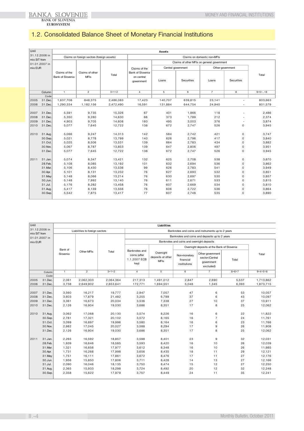**EUROSYSTEM**

## 1.2. Consolidated Balance Sheet of Monetary Financial Institutions

| Until        |               |                                   | Assets                                     |             |                                              |                |                                            |                             |                         |                 |  |  |  |
|--------------|---------------|-----------------------------------|--------------------------------------------|-------------|----------------------------------------------|----------------|--------------------------------------------|-----------------------------|-------------------------|-----------------|--|--|--|
|              | 31.12.2006 in |                                   | Claims on foreign sectors (foreign assets) |             |                                              |                |                                            | Claims on domestic non-MFIs |                         |                 |  |  |  |
| mio SIT from | 01.01.2007 in |                                   |                                            |             |                                              |                | Claims of other MFIs on general government |                             |                         |                 |  |  |  |
| mio EUR      |               |                                   |                                            |             | Claims of the                                |                | Central government                         |                             | Other government        |                 |  |  |  |
|              |               | Claims of the<br>Bank of Slovenia | Claims of other<br><b>MFIs</b>             | Total       | Bank of Slovenia<br>on central<br>government | Loans          | Securities                                 | Loans                       | Securities              | Total           |  |  |  |
|              | Column        | $\mathbf{1}$                      | $\overline{2}$                             | $3 = 1 + 2$ | $\overline{4}$                               | $\overline{5}$ | 6                                          | $\overline{7}$              | $\overline{\mathbf{8}}$ | $9 = 5 + . + 8$ |  |  |  |
|              | Code          |                                   |                                            |             |                                              |                |                                            |                             |                         |                 |  |  |  |
| 2005         | 31.Dec.       | 1,637,708                         | 848,375                                    | 2,486,083   | 17,423                                       | 140,707        | 639,815                                    | 23,141                      | ٠                       | 803,663         |  |  |  |
| 2006         | 31.Dec.       | 1,290,334                         | 1,182,156                                  | 2,472,490   | 16,591                                       | 131,884        | 644,754                                    | 24,940                      | ٠                       | 801,579         |  |  |  |
| 2007         | 31.Dec.       | 5.591                             | 9,735                                      | 15,326      | 67                                           | 401            | 1,966                                      | 118                         |                         | 2,486           |  |  |  |
| 2008         | 31.Dec.       | 5.350                             | 9,280                                      | 14.630      | 68                                           | 373            | 1.789                                      | 212                         |                         | 2.374           |  |  |  |
| 2009         | 31.Dec.       |                                   |                                            |             | 160                                          | 495            |                                            | 376                         | ٠                       |                 |  |  |  |
| 2010         | 31.Dec.       | 4,903                             | 9,705                                      | 14,608      |                                              |                | 3,003                                      |                             | ٠<br>$\Omega$           | 3,874           |  |  |  |
|              |               | 5,077                             | 7,645                                      | 12,722      | 138                                          | 672            | 2,747                                      | 526                         |                         | 3,945           |  |  |  |
| 2010         | 31.Aug.       | 5.066                             | 9,247                                      | 14,313      | 142                                          | 584            | 2.742                                      | 421                         | $\mathbf 0$             | 3.747           |  |  |  |
|              | 30.Sep.       | 5,021                             | 8,778                                      | 13,799      | 140                                          | 626            | 2,796                                      | 417                         | 0                       | 3,840           |  |  |  |
|              | 31.Oct.       | 5,025                             | 8,506                                      | 13,531      | 139                                          | 664            | 2,783                                      | 434                         | 0                       | 3,882           |  |  |  |
|              | 30.Nov.       | 5,067                             | 8,787                                      | 13,853      | 139                                          | 647            | 2,806                                      | 497                         | 0                       | 3,951           |  |  |  |
|              | 31.Dec.       | 5.077                             | 7.645                                      | 12.722      | 138                                          | 672            | 2.747                                      | 526                         | 0                       | 3.945           |  |  |  |
| 2011         | 31.Jan.       | 5,074                             | 8,347                                      | 13,421      | 132                                          | 625            | 2,708                                      | 538                         | 0                       | 3,870           |  |  |  |
|              | 28.Feb.       | 5,108                             | 8,085                                      | 13,192      | 101                                          | 632            | 2,694                                      | 536                         | 0                       | 3,862           |  |  |  |
|              | 31.Mar.       | 5.106                             | 8.430                                      | 13,536      | 99                                           | 626            | 2.783                                      | 541                         | 0                       | 3,949           |  |  |  |
|              | 30.Apr.       | 5,101                             | 8,131                                      | 13,232      | 76                                           | 627            | 2,693                                      | 532                         | $\Omega$                | 3,851           |  |  |  |
|              | 31.May        | 5,148                             | 8,066                                      | 13,214      | 76                                           | 630            | 2,697                                      | 530                         | 0                       | 3,857           |  |  |  |
|              | 30.Jun.       | 5.148                             | 7,992                                      | 13,140      | 76                                           | 611            | 2,671                                      | 533                         | 0                       | 3,815           |  |  |  |
|              | 31.Jul.       | 5.176                             | 8,282                                      | 13,458      | 76                                           | 607            | 2,669                                      | 534                         | 0                       | 3,810           |  |  |  |
|              | 31.Aug.       | 5,417                             | 8,139                                      | 13,556      | 76                                           | 606            | 2,722                                      | 536                         | 0                       | 3,864           |  |  |  |
|              | 30.Sep.       | 5,542                             | 7,875                                      | 13,417      | 77                                           | 607            | 2,748                                      | 535                         | 0                       | 3,890           |  |  |  |
|              |               |                                   |                                            |             |                                              |                |                                            |                             |                         |                 |  |  |  |

| Until        |                    |                     |                                |                        |                                                       | Liabilities                                  |                                           |                                                                |                |                 |
|--------------|--------------------|---------------------|--------------------------------|------------------------|-------------------------------------------------------|----------------------------------------------|-------------------------------------------|----------------------------------------------------------------|----------------|-----------------|
|              | 31.12.2006 in      |                     | Liabilities to foreign sectors |                        |                                                       |                                              |                                           | Banknotes and coins and instruments up to 2 years              |                |                 |
| mio SIT from | 01.01.2007 in      |                     |                                |                        |                                                       |                                              |                                           | Banknotes and coins and deposits up to 2 years                 |                |                 |
| mio EUR      |                    |                     |                                |                        |                                                       |                                              | Banknotes and coins and ovemight deposits |                                                                |                |                 |
|              |                    |                     |                                |                        |                                                       |                                              |                                           | Ovemight deposits at the Bank of Slovenia                      |                |                 |
|              |                    | Bank of<br>Slovenia | Other MFIs                     | Total                  | Banknotes and<br>coins (after<br>1.1.2007 ECB<br>key) | Ovemight<br>deposits at other<br><b>MFIs</b> | Non-monetary<br>financial<br>institutions | Other government<br>sector (Central<br>government<br>excluded) | Total          | Total           |
|              | Column             | $\mathbf{1}$        | $\overline{2}$                 | $3 = 1 + 2$            | $\overline{4}$                                        | $\overline{5}$                               | 6                                         | $\overline{7}$                                                 | $8 = 6 + 7$    | $9 = 4 + 5 + 8$ |
|              | Code               |                     |                                |                        |                                                       |                                              |                                           |                                                                |                |                 |
| 2005<br>2006 | 31.Dec.<br>31.Dec. | 2,061<br>3,738      | 2,062,303<br>2,649,902         | 2,064,364<br>2,653,641 | 217,313                                               | 1,491,012                                    | 2,847<br>5,048                            | 2.690<br>1,345                                                 | 5,537<br>6,393 | 1,713,862       |
|              |                    |                     |                                |                        | 172,771                                               | 1,694,551                                    |                                           |                                                                |                | 1,873,715       |
| 2007         | 31.Dec.            | 3,560               | 16,217                         | 19,777                 | 2,947                                                 | 7,057                                        | 47                                        | 6                                                              | 53             | 10,057          |
| 2008         | 31.Dec.            | 3,603               | 17,879                         | 21,482                 | 3,255                                                 | 6,799                                        | 37                                        | 6                                                              | 43             | 10,097          |
| 2009         | 31.Dec.            | 3,361               | 16,673                         | 20,034                 | 3,536                                                 | 7,338                                        | 27                                        | 10                                                             | 37             | 10,911          |
| 2010         | 31.Dec.            | 2,126               | 16,904                         | 19,030                 | 3,686                                                 | 8,351                                        | 17                                        | 8                                                              | 25             | 12,062          |
| 2010         | 31.Aug.            | 3,062               | 17,068                         | 20,130                 | 3,574                                                 | 8,226                                        | 16                                        | 6                                                              | 22             | 11,822          |
|              | 30.Sep.            | 2,781               | 17,321                         | 20,102                 | 3,572                                                 | 8,165                                        | 16                                        | $\overline{7}$                                                 | 24             | 11,761          |
|              | 31.Oct.            | 3,099               | 16,897                         | 19,996                 | 3,580                                                 | 8,164                                        | 16                                        | 6                                                              | 23             | 11,766          |
|              | 30.Nov.            | 2,982               | 17,045                         | 20,027                 | 3,588                                                 | 8,294                                        | 17                                        | 9                                                              | 26             | 11,908          |
|              | 31.Dec.            | 2,126               | 16.904                         | 19.030                 | 3,686                                                 | 8,351                                        | 17                                        | 8                                                              | 25             | 12,062          |
| 2011         | 31.Jan.            | 2,265               | 16,592                         | 18,857                 | 3,598                                                 | 8,401                                        | 23                                        | $\overline{9}$                                                 | 32             | 12,031          |
|              | 28.Feb.            | 1,939               | 16.646                         | 18.585                 | 3,593                                                 | 8,420                                        | 16                                        | 10                                                             | 26             | 12,039          |
|              | 31.Mar.            | 1,321               | 16,656                         | 17,977                 | 3,612                                                 | 8,348                                        | 16                                        | 10                                                             | 26             | 11,985          |
|              | 30.Apr.            | 1.731               | 16,266                         | 17,998                 | 3,656                                                 | 8,435                                        | 18                                        | 11                                                             | 29             | 12,121          |
|              | 31.May             | 1,751               | 16,111                         | 17,861                 | 3,672                                                 | 8,476                                        | 17                                        | 11                                                             | 27             | 12,176          |
|              | 30.Jun.            | 1,956               | 15,850                         | 17,806                 | 3,711                                                 | 8,428                                        | 14                                        | 13                                                             | 27             | 12,166          |
|              | 31.Jul.            | 2,090               | 16,046                         | 18,135                 | 3,750                                                 | 8,474                                        | 15                                        | 12                                                             | 27             | 12,250          |
|              | 31.Aug.            | 2,365               | 15,933                         | 18,298                 | 3,724                                                 | 8,492                                        | 20                                        | 12                                                             | 32             | 12,248          |
|              | 30.Sep.            | 2,358               | 15,622                         | 17,979                 | 3,757                                                 | 8,449                                        | 24                                        | 11                                                             | 35             | 12,241          |
|              |                    |                     |                                |                        |                                                       |                                              |                                           |                                                                |                |                 |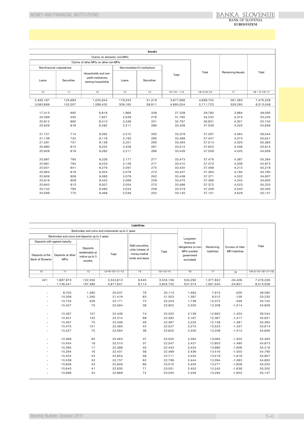2,495,187 125,683 1,025,944 179,533 51,319 3,877,666 4,698,752 291,393 7,476,228 3,083,689 152,357 1,289,432 309,165 58,911 4,893,554 5,711,723 329,295 8,513,508 17,413 692 6,818 1,966 339 27,228 29,780 3,984 49,090 20,599 550 7,827 2,539 276 31,790 34,232 4,374 53,235 20,812 892 8,413 2,349 331 32,797 36,831 4,301 55,740 20,829 818 9,282 2,211 286 33,426 37,509 4,425 54,656 21,101 714 9,062 2,210 292 33,379 37,267 4,464 56,044 21,139 722 9,119 2,193 295 33,468 37,447 4,374 55,621 21,091 757 9,149 2,201 295 33,493 37,514 4,320 55,365 20,980 810 9,225 2,206 291 33,512 37,602 4,458 55,914 20,829 818 9,282 2,211 286 33,426 37,509 4,425 54,656 20,997 795 9,226 2,177 277 33,473 37,476 4,387 55,284 20,981 794 9,233 2,126 277 33,410 37,373 4,308 54,873 20,931 841 9,276 2,097 275 33,420 37,469 4,213 55,218 20,964 818 9,304 2,078 272 33,437 37,364 4,194 54,790 20,906 808 9,383 2,079 262 33,438 37,371 4,322 54,907 20,916 809 9,425 2,066 259 33,475 37,366 4,344 54,850 20,843 813 9,507 2,054 270 33,486 37,372 4,423 55,253 20,742 795 9,490 2,033 259 33,319 37,259 4,540 55,355 **Assets** Claims on domestic non-MFIs Total Remaining Assets Total Claims of other MFIs on other non-MFIs Total Non-financial corporations Households and nonprofit institutions Loans | Securities | serving households | Loans | Securities Non-monetary fin.institutions 10 | 11 | 12 | 13 | 14 | 15=10+..+14 | 16=4+9+15 | 17 | 18=3+16+17

20,599 770 9,468 2,046 252 33,135 37,101 4,629 55,147

|                                     |                                                |                                                       |                                                   | Liabilities                                                            |                |                                                                 |                          |                                            |                    |
|-------------------------------------|------------------------------------------------|-------------------------------------------------------|---------------------------------------------------|------------------------------------------------------------------------|----------------|-----------------------------------------------------------------|--------------------------|--------------------------------------------|--------------------|
|                                     |                                                |                                                       | Banknotes and coins and instruments up to 2 years |                                                                        |                |                                                                 |                          |                                            |                    |
|                                     | Banknotes and coins and deposits up to 2 years |                                                       |                                                   |                                                                        |                |                                                                 |                          |                                            |                    |
|                                     | Deposits with agreed maturity                  |                                                       |                                                   |                                                                        |                | Long-term<br>financial                                          |                          |                                            |                    |
| Deposits at the<br>Bank of Slovenia | Deposits at other<br><b>MFIs</b>               | Deposits<br>reedemable at<br>notice up to 3<br>months | Total                                             | Debt securities.<br>units/shares of<br>money market<br>funds and repos | Total          | obligations to non-<br>MFIs (central<br>government<br>excluded) | Remaining<br>liabilities | Excess of inter-<br><b>MFI</b> liabilities | Total              |
| 10                                  | 11                                             | 12                                                    | $13=9+10+11+12$                                   | 14                                                                     | $15 = 13 + 14$ | 16                                                              | 17                       | 18                                         | $19=3+15+16+17+18$ |
|                                     |                                                |                                                       |                                                   |                                                                        |                |                                                                 |                          |                                            |                    |
| 421                                 | 1,687,973                                      | 122,355                                               | 3,524,612                                         | 9,545                                                                  | 3,534,156      | 534,292                                                         | 1,377,822                | $-34,406$                                  | 7,476,228          |
|                                     | 1,746,441                                      | 197,485                                               | 3,817,641                                         | 8,114                                                                  | 3,825,755      | 507,374                                                         | 1,581,540                | $-54,801$                                  | 8,513,508          |
|                                     | 8,700                                          | 1,280                                                 | 20,037                                            | 76                                                                     | 20,113         | 1,485                                                           | 7,915                    | $-200$                                     | 49,090             |
|                                     | 10,058                                         | 1,265                                                 | 21,419                                            | 83                                                                     | 21,503         | 1,397                                                           | 9,012                    | $-159$                                     | 53,235             |
|                                     | 10,734                                         | 526                                                   | 22.171                                            | 72                                                                     | 22,243         | 1.738                                                           | 12,072                   | $-346$                                     | 55,740             |
|                                     | 10,427                                         | 75                                                    | 22,564                                            | 38                                                                     | 22,602         | 2,330                                                           | 12,208                   | $-1,514$                                   | 54,656             |
|                                     | 10,467                                         | 157                                                   | 22,446                                            | 74                                                                     | 22,520         | 2,136                                                           | 12,662                   | $-1,404$                                   | 56,044             |
|                                     | 10,401                                         | 152                                                   | 22,314                                            | 68                                                                     | 22,382         | 2,167                                                           | 12,387                   | $-1, 417$                                  | 55,621             |
|                                     | 10.467                                         | 75                                                    | 22,308                                            | 59                                                                     | 22,367         | 2,225                                                           | 12,158                   | $-1,381$                                   | 55,365             |
|                                     | 10,475                                         | 101                                                   | 22,483                                            | 43                                                                     | 22,527         | 2,275                                                           | 12,523                   | $-1,437$                                   | 55,914             |
|                                     | 10.427                                         | 75                                                    | 22.564                                            | 38                                                                     | 22.602         | 2.330                                                           | 12.208                   | $-1.514$                                   | 54,656             |
|                                     | 10,368                                         | 65                                                    | 22,463                                            | 37                                                                     | 22,500         | 2,364                                                           | 13,065                   | $-1,502$                                   | 55,284             |
|                                     | 10,454                                         | 18                                                    | 22,510                                            | 37                                                                     | 22,547         | 2,427                                                           | 12,803                   | $-1,490$                                   | 54,873             |
|                                     | 10.395                                         | 17                                                    | 22.398                                            | 45                                                                     | 22,443         | 2,424                                                           | 13,980                   | $-1,606$                                   | 55,218             |
|                                     | 10.294                                         | 16                                                    | 22,431                                            | 58                                                                     | 22,489         | 2,436                                                           | 13,416                   | $-1.550$                                   | 54,790             |
|                                     | 10,454                                         | 24                                                    | 22,654                                            | 58                                                                     | 22,711         | 2,434                                                           | 13,519                   | $-1,618$                                   | 54,907             |
|                                     | 10,539                                         | 32                                                    | 22,737                                            | 62                                                                     | 22,799         | 2,444                                                           | 13,394                   | $-1,593$                                   | 54,850             |
|                                     | 10,656                                         | 43                                                    | 22,949                                            | 66                                                                     | 23,015         | 2,435                                                           | 13,277                   | $-1,609$                                   | 55,253             |
|                                     | 10,640                                         | 41                                                    | 22,930                                            | 71                                                                     | 23,001         | 2,452                                                           | 13,242                   | $-1,638$                                   | 55,355             |
|                                     | 10,686                                         | 42                                                    | 22,969                                            | 72                                                                     | 23,040         | 2,436                                                           | 13,294                   | $-1,602$                                   | 55,147             |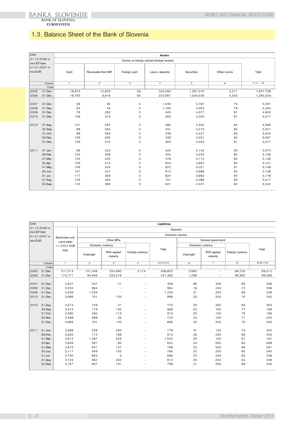**EUROSYSTEM**

#### 1.3. Balance Sheet of the Bank of Slovenia

| Until        |               |                |                                                      |                         |                 |                |              |                |  |  |  |  |  |
|--------------|---------------|----------------|------------------------------------------------------|-------------------------|-----------------|----------------|--------------|----------------|--|--|--|--|--|
|              | 31.12.2006 in |                | Assets<br>Claims on foreign sectors (foreign assets) |                         |                 |                |              |                |  |  |  |  |  |
| mio SIT from |               |                |                                                      |                         |                 |                |              |                |  |  |  |  |  |
|              | 01.01.2007 in |                |                                                      |                         |                 |                |              |                |  |  |  |  |  |
| mio EUR      |               |                |                                                      |                         |                 |                |              |                |  |  |  |  |  |
|              |               | Gold           | Receivable from IMF                                  | Foreign cash            | Loans, deposits | Securities     | Other claims | Total          |  |  |  |  |  |
|              |               |                |                                                      |                         |                 |                |              |                |  |  |  |  |  |
|              | Column        | $\overline{1}$ | $\overline{2}$                                       | $\overline{\mathbf{3}}$ | $\overline{4}$  | $\overline{5}$ | 6            | $7 = 1 +  + 6$ |  |  |  |  |  |
|              | Code          |                |                                                      |                         |                 |                |              |                |  |  |  |  |  |
| 2005         | 31.Dec.       | 16,873         | 12,803                                               | 58                      | 305,094         | 1,297,370      | 5,511        | 1,637,708      |  |  |  |  |  |
| 2006         | 31.Dec.       | 18,793         | 8,919                                                | 60                      | 222,681         | 1,034,539      | 5,343        | 1,290,334      |  |  |  |  |  |
|              |               |                |                                                      |                         |                 |                |              |                |  |  |  |  |  |
| 2007         | 31.Dec.       | 58             | 26                                                   | $\mathsf O$             | 1,635           | 3,797          | 75           | 5,591          |  |  |  |  |  |
| 2008         | 31.Dec.       | 64             | 42                                                   | $\mathsf{O}\xspace$     | 1,165           | 4,003          | 78           | 5,350          |  |  |  |  |  |
| 2009         | 31.Dec.       | 78             | 262                                                  | $\mathsf O$             | 405             | 4,077          | 81           | 4,903          |  |  |  |  |  |
| 2010         | 31.Dec.       | 108            | 315                                                  | 0                       | 363             | 4,200          | 91           | 5,077          |  |  |  |  |  |
|              |               |                |                                                      |                         |                 |                |              |                |  |  |  |  |  |
| 2010         | 31.Aug.       | 101            | 297                                                  | $\mathsf{O}\xspace$     | 380             | 4,204          | 84           | 5,066          |  |  |  |  |  |
|              | 30.Sep.       | 98             | 284                                                  | $\mathsf O$             | 341             | 4,215          | 84           | 5,021          |  |  |  |  |  |
|              | 31.Oct.       | 99             | 283                                                  | $\mathsf{O}\xspace$     | 339             | 4,221          | 83           | 5,025          |  |  |  |  |  |
|              | 30.Nov.       | 109            | 293                                                  | 0                       | 349             | 4,231          | 84           | 5,067          |  |  |  |  |  |
|              | 31.Dec.       | 108            | 315                                                  | $\circ$                 | 363             | 4,200          | 91           | 5,077          |  |  |  |  |  |
|              |               |                |                                                      |                         |                 |                |              |                |  |  |  |  |  |
| 2011         | 31.Jan.       | 99             | 323                                                  | 0                       | 420             | 4,142          | 90           | 5,074          |  |  |  |  |  |
|              | 28.Feb.       | 104            | 308                                                  | 0                       | 402             | 4,203          | 90           | 5,108          |  |  |  |  |  |
|              | 31.Mar.       | 103            | 322                                                  | $\mathsf{O}\xspace$     | 476             | 4,115          | 90           | 5,106          |  |  |  |  |  |
|              | 30.Apr.       | 106            | 314                                                  | 0                       | 604             | 3,987          | 90           | 5,101          |  |  |  |  |  |
|              | 31.May        | 109            | 324                                                  | 0                       | 622             | 4,001          | 91           | 5,148          |  |  |  |  |  |
|              | 30.Jun.       | 107            | 347                                                  | 0                       | 613             | 3,989          | 92           | 5,148          |  |  |  |  |  |
|              | 31.Jul.       | 117            | 358                                                  | $\circ$                 | 624             | 3,983          | 93           | 5,176          |  |  |  |  |  |
|              | 31.Aug.       | 128            | 355                                                  | $\circ$                 | 751             | 4,089          | 93           | 5,417          |  |  |  |  |  |
|              | 30.Sep.       | 123            | 369                                                  | 0                       | 621             | 4,337          | 92           | 5,542          |  |  |  |  |  |
|              |               |                |                                                      |                         |                 |                |              |                |  |  |  |  |  |

| Until        |               |                              | Liabilities    |                         |                  |                  |                                     |                |                  |           |  |  |  |
|--------------|---------------|------------------------------|----------------|-------------------------|------------------|------------------|-------------------------------------|----------------|------------------|-----------|--|--|--|
|              | 31.12.2006 in |                              |                | Deposits                |                  |                  |                                     |                |                  |           |  |  |  |
| mio SIT from | 01.01.2007 in |                              |                |                         |                  | Domestic sectors |                                     |                |                  |           |  |  |  |
| mio EUR      |               | Banknotes and                |                | Other MFIs              |                  |                  | General government                  |                |                  |           |  |  |  |
|              |               | coins (after<br>1.1.2007 ECB |                | Domestic currency       |                  |                  | Domestic currency                   |                |                  |           |  |  |  |
|              |               | key)                         |                |                         |                  | Total            |                                     |                |                  | Total     |  |  |  |
|              |               |                              | Ovemight       | With agreed<br>maturity | Foreign currency |                  | With agreed<br>Ovemight<br>maturity |                | Foreign currency |           |  |  |  |
|              | Column        | $\mathbf{1}$                 | $\overline{2}$ | $\overline{\mathbf{3}}$ | $\overline{4}$   | $5=2+3+4$        | 6                                   | $\overline{7}$ | $\overline{8}$   | $9=6+7+8$ |  |  |  |
|              | Code          |                              |                |                         |                  |                  |                                     |                |                  |           |  |  |  |
| 2005         | 31.Dec.       | 217,313                      | 101,438        | 204,990                 | 2,174            | 308,602          | 2,682                               | ÷.             | 66,730           | 69,412    |  |  |  |
| 2006         | 31.Dec.       | 172,771                      | 95,946         | 325,519                 | ÷                | 421,465          | 1,296                               | ٠              | 96,992           | 98,288    |  |  |  |
|              |               |                              |                |                         |                  |                  |                                     |                |                  |           |  |  |  |
| 2007         | 31.Dec.       | 2,947                        | 337            | 21                      |                  | 358              | 86                                  | 306            | 66               | 458       |  |  |  |
| 2008         | 31.Dec.       | 3,255                        | 994            |                         |                  | 994              | 18                                  | 250            | 72               | 339       |  |  |  |
| 2009         | 31.Dec.       | 3,536                        | 1,234          |                         |                  | 1,234            | 21                                  | 250            | 69               | 339       |  |  |  |
| 2010         | 31.Dec.       | 3,686                        | 761            | 135                     |                  | 896              | 20                                  | 250            | 76               | 345       |  |  |  |
| 2010         | 31.Aug.       | 3,574                        | 749            | 21                      | ٠                | 770              | 20                                  | 200            | 83               | 303       |  |  |  |
|              | 30.Sep.       | 3,572                        | 718            | 150                     | ÷.               | 868              | 22                                  | 100            | 77               | 198       |  |  |  |
|              | 31.Oct.       | 3,580                        | 495            | 115                     | $\overline{a}$   | 610              | 20                                  | 100            | 76               | 196       |  |  |  |
|              | 30.Nov.       | 3,588                        | 699            | 25                      |                  | 724              | 23                                  | 100            | 77               | 200       |  |  |  |
|              | 31.Dec.       | 3,686                        | 761            | 135                     | ÷                | 896              | 20                                  | 250            | 76               | 345       |  |  |  |
| 2011         | 31.Jan.       | 3,598                        | 528            | 250                     | ÷.               | 778              | 31                                  | 100            | 70               | 202       |  |  |  |
|              | 28.Feb.       | 3.593                        | 715            | 198                     | ÷                | 913              | 26                                  | 250            | 69               | 345       |  |  |  |
|              | 31.Mar.       | 3,612                        | 1,287          | 245                     | ٠                | 1,532            | 25                                  | 100            | 67               | 191       |  |  |  |
|              | 30.Apr.       | 3,656                        | 567            | 85                      | ×                | 652              | 24                                  | 500            | 64               | 588       |  |  |  |
|              | 31.May        | 3,672                        | 641            | 127                     | ÷                | 768              | 25                                  | 500            | 66               | 591       |  |  |  |
|              | 30.Jun.       | 3,711                        | 649            | 135                     | ÷                | 784              | 25                                  | 250            | 65               | 340       |  |  |  |
|              | $31$ Jul.     | 3.750                        | 663            | 5                       | ÷                | 668              | 23                                  | 250            | 65               | 338       |  |  |  |
|              | 31.Aug.       | 3,724                        | 562            | 250                     |                  | 812              | 25                                  | 250            | 64               | 339       |  |  |  |
|              | 30.Sep.       | 3,757                        | 607            | 191                     |                  | 798              | 21                                  | 250            | 68               | 340       |  |  |  |
|              |               |                              |                |                         |                  |                  |                                     |                |                  |           |  |  |  |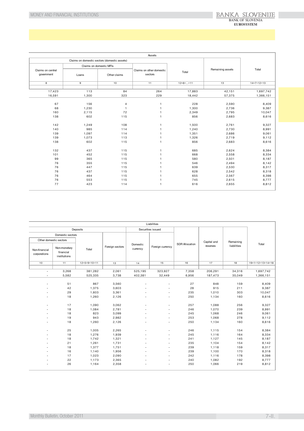| Assets                          |                         |                                              |                                     |            |                  |              |  |  |  |  |  |  |
|---------------------------------|-------------------------|----------------------------------------------|-------------------------------------|------------|------------------|--------------|--|--|--|--|--|--|
|                                 |                         | Claims on domestic sectors (domestic assets) |                                     |            |                  |              |  |  |  |  |  |  |
|                                 | Claims on domestic MFIs |                                              |                                     |            | Remaining assets | Total        |  |  |  |  |  |  |
| Claims on central<br>government | Loans                   | Other claims                                 | Claims on other domestic<br>sectors | Total      |                  |              |  |  |  |  |  |  |
| $\overline{\mathbf{8}}$         | $\overline{9}$          | 10                                           | $\overline{11}$                     | $12=8++11$ | $\overline{13}$  | $14=7+12+13$ |  |  |  |  |  |  |
|                                 |                         |                                              |                                     |            |                  |              |  |  |  |  |  |  |
| 17,423                          | 113                     | 84                                           | 264                                 | 17,883     | 42,151           | 1,697,742    |  |  |  |  |  |  |
| 16,591                          | 1,300                   | 323                                          | 229                                 | 18,442     | 57,375           | 1,366,151    |  |  |  |  |  |  |
| 67                              | 156                     | $\overline{4}$                               | $\mathbf{1}$                        | 228        | 2,590            | 8,409        |  |  |  |  |  |  |
| 68                              | 1,230                   | -1                                           | 1                                   | 1,300      | 2,736            | 9,387        |  |  |  |  |  |  |
| 160                             | 2,115                   | 72                                           | $\mathbf{1}$                        | 2,349      | 2,795            | 10,047       |  |  |  |  |  |  |
| 138                             | 602                     | 115                                          | $\mathbf{1}$                        | 856        | 2,683            | 8,616        |  |  |  |  |  |  |
|                                 |                         |                                              |                                     |            |                  |              |  |  |  |  |  |  |
| 142                             | 1,249                   | 108                                          | 1                                   | 1,500      | 2,761            | 9,327        |  |  |  |  |  |  |
| 140                             | 985                     | 114                                          | $\mathbf{1}$                        | 1,240      | 2,730            | 8,991        |  |  |  |  |  |  |
| 139                             | 1.097                   | 114                                          | 1                                   | 1,351      | 2,686            | 9,061        |  |  |  |  |  |  |
| 139                             | 1,073                   | 113                                          | $\mathbf{1}$                        | 1,326      | 2,719            | 9,112        |  |  |  |  |  |  |
| 138                             | 602                     | 115                                          | $\mathbf{1}$                        | 856        | 2,683            | 8,616        |  |  |  |  |  |  |
|                                 |                         |                                              |                                     |            |                  |              |  |  |  |  |  |  |
| 132                             | 437                     | 115                                          | 1                                   | 685        | 2,624            | 8,384        |  |  |  |  |  |  |
| 101                             | 452                     | 115                                          | 1                                   | 668        | 2,558            | 8,334        |  |  |  |  |  |  |
| 99                              | 365                     | 115                                          | 1                                   | 580        | 2,501            | 8,187        |  |  |  |  |  |  |
| 76                              | 355                     | 115                                          |                                     | 546        | 2,494            | 8,142        |  |  |  |  |  |  |
| 76                              | 447                     | 115                                          | 1                                   | 639        | 2,530            | 8,317        |  |  |  |  |  |  |
| 76                              | 437                     | 115                                          | 1                                   | 628        | 2,542            | 8,318        |  |  |  |  |  |  |
| 76                              | 464                     | 115                                          | 1                                   | 655        | 2,567            | 8,398        |  |  |  |  |  |  |
| 76                              | 553                     | 115                                          | 1                                   | 745        | 2,615            | 8,777        |  |  |  |  |  |  |
| 77                              | 423                     | 114                                          | 1                                   | 616        | 2,655            | 8,812        |  |  |  |  |  |  |

| Liabilities                   |                                           |                |                 |                      |                          |                       |                         |                          |                    |  |  |  |
|-------------------------------|-------------------------------------------|----------------|-----------------|----------------------|--------------------------|-----------------------|-------------------------|--------------------------|--------------------|--|--|--|
|                               |                                           | Deposits       |                 |                      | Securities issued        |                       |                         |                          |                    |  |  |  |
|                               | Domestic sectors                          |                |                 |                      |                          |                       |                         |                          |                    |  |  |  |
| Other domestic sectors        |                                           |                |                 |                      |                          |                       |                         |                          |                    |  |  |  |
| Non-financial<br>corporations | Non-monetary<br>financial<br>institutions | Total          | Foreign sectors | Domestic<br>currency | Foreign currency         | <b>SDR Allocation</b> | Capital and<br>reserves | Remaining<br>liabilities | Total              |  |  |  |
| 10                            | 11                                        | $12=5+9+10+11$ | 13              | 14                   | 15                       | 16                    | 17                      | 18                       | $19=1+12+13+14+18$ |  |  |  |
|                               |                                           |                |                 |                      |                          |                       |                         |                          |                    |  |  |  |
|                               | 3,268                                     | 381,282        | 2,061           | 525,195              | 323,927                  | 7,358                 | 206,291                 | 34,316                   | 1,697,742          |  |  |  |
|                               | 5,582                                     | 525,335        | 3,738           | 402,381              | 32,449                   | 6,956                 | 187,473                 | 35,049                   | 1,366,151          |  |  |  |
|                               | 51                                        | 867            | 3,560           |                      |                          | 27                    | 848                     | 159                      | 8,409              |  |  |  |
|                               | 42                                        | 1,375          | 3,603           |                      | ٠                        | 28                    | 915                     | 211                      | 9,387              |  |  |  |
|                               | 29                                        | 1,603          | 3,361           |                      | ×                        | 235                   | 1,010                   | 303                      | 10,047             |  |  |  |
|                               | 18                                        | 1,260          | 2,126           |                      | ×                        | 250                   | 1,134                   | 160                      | 8,616              |  |  |  |
|                               | 17                                        | 1,090          | 3,062           |                      | ٠                        | 257                   | 1,088                   | 256                      | 9,327              |  |  |  |
|                               | 18                                        | 1,084          | 2,781           |                      | $\overline{\phantom{a}}$ | 246                   | 1,070                   | 239                      | 8,991              |  |  |  |
|                               | 18                                        | 823            | 3,099           |                      | ٠                        | 245                   | 1,068                   | 246                      | 9,061              |  |  |  |
|                               | 19                                        | 943            | 2,982           |                      | ٠                        | 253                   | 1,068                   | 278                      | 9,112              |  |  |  |
|                               | 18                                        | 1,260          | 2,126           |                      | ×                        | 250                   | 1,134                   | 160                      | 8,616              |  |  |  |
|                               | 25                                        | 1,005          | 2,265           |                      | ٠                        | 246                   | 1,115                   | 154                      | 8,384              |  |  |  |
|                               | 18                                        | 1,276          | 1,939           |                      | ×                        | 245                   | 1,116                   | 164                      | 8,334              |  |  |  |
|                               | 18                                        | 1,742          | 1,321           |                      |                          | 241                   | 1,127                   | 145                      | 8,187              |  |  |  |
|                               | 21                                        | 1,261          | 1,731           |                      |                          | 235                   | 1,104                   | 154                      | 8,142              |  |  |  |
|                               | 18                                        | 1,377          | 1,751           |                      | ٠                        | 239                   | 1,118                   | 159                      | 8,317              |  |  |  |
|                               | 16                                        | 1,140          | 1,956           |                      | ×                        | 239                   | 1,100                   | 170                      | 8,318              |  |  |  |
|                               | 17                                        | 1,023          | 2,090           |                      | ×                        | 242                   | 1,116                   | 178                      | 8,398              |  |  |  |
|                               | 22                                        | 1,173          | 2,365           |                      | ٠                        | 240                   | 1,082                   | 192                      | 8,777              |  |  |  |
|                               | 26                                        | 1,164          | 2,358           |                      | ä,                       | 250                   | 1,066                   | 219                      | 8,812              |  |  |  |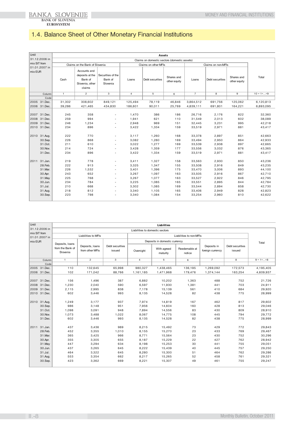## 1.4. Balance Sheet of Other Monetary Financial Institutions

| Until        |               | Assets       |                                                                         |                                          |                |                                              |                            |                    |                 |                            |                 |
|--------------|---------------|--------------|-------------------------------------------------------------------------|------------------------------------------|----------------|----------------------------------------------|----------------------------|--------------------|-----------------|----------------------------|-----------------|
|              | 31.12.2006 in |              |                                                                         |                                          |                | Claims on domestic sectors (domestic assets) |                            |                    |                 |                            |                 |
| mio SIT from |               |              | Claims on the Bank of Slovenia                                          |                                          |                | Claims on other MFIs                         |                            | Claims on non-MFIs |                 |                            |                 |
| mio EUR      | 01.01.2007 in | Cash         | Accounts and<br>deposits at the<br>Bank of<br>Slovenia, other<br>claims | Securities of the<br>Bank of<br>Slovenia | Loans          | Debt securities                              | Shares and<br>other equity | Loans              | Debt securities | Shares and<br>other equity | Total           |
|              | Column        | $\mathbf{1}$ | $\overline{2}$                                                          | $\overline{3}$                           | $\overline{4}$ | $\overline{5}$                               | 6                          | $\overline{7}$     | $\overline{8}$  | $\overline{9}$             | $10 = 1 +  + 9$ |
|              | Code          |              |                                                                         |                                          |                |                                              |                            |                    |                 |                            |                 |
|              | 2005 31.Dec.  | 31,302       | 308,602                                                                 | 849,121                                  | 125,494        | 78,119                                       | 46,846                     | 3,864,512          | 691,756         | 125,062                    | 6,120,813       |
|              | 2006 31.Dec.  | 39,286       | 421,465                                                                 | 434,830                                  | 186,601        | 90,011                                       | 25,769                     | 4,839,111          | 691,801         | 164,221                    | 6,893,095       |
|              |               |              |                                                                         |                                          |                |                                              |                            |                    |                 |                            |                 |
|              | 2007 31.Dec.  | 245          | 358                                                                     | ٠                                        | 1,470          | 386                                          | 186                        | 26,716             | 2,176           | 822                        | 32,360          |
|              | 2008 31.Dec.  | 259          | 994                                                                     | ٠                                        | 1,941          | 621                                          | 110                        | 31,549             | 2,013           | 602                        | 38,089          |
|              | 2009 31.Dec.  | 246          | 1,234                                                                   | ä,                                       | 2,948          | 969                                          | 151                        | 32,445             | 3,231           | 995                        | 42,218          |
|              | 2010 31.Dec.  | 234          | 896                                                                     | ä,                                       | 3,422          | 1,334                                        | 159                        | 33,519             | 2,971           | 881                        | 43,417          |
|              |               |              |                                                                         |                                          |                |                                              |                            |                    |                 |                            |                 |
|              | 2010 31.Aug.  | 222          | 770                                                                     | ٠                                        | 3,117          | 1,260                                        | 168                        | 33,378             | 2,897           | 851                        | 42,663          |
|              | 30.Sep.       | 226          | 868                                                                     | ٠                                        | 3.082          | 1,280                                        | 169                        | 33,494             | 2,950           | 864                        | 42,933          |
|              | 31.Oct.       | 211          | 610                                                                     | ٠                                        | 3.022          | 1,277                                        | 169                        | 33,539             | 2,938           | 897                        | 42,665          |
|              | 30.Nov.       | 214          | 724                                                                     | ä,                                       | 3,428          | 1,359                                        | 177                        | 33,556             | 3,032           | 876                        | 43,365          |
|              | 31.Dec.       | 234          | 896                                                                     |                                          | 3,422          | 1,334                                        | 159                        | 33,519             | 2,971           | 881                        | 43,417          |
|              |               |              |                                                                         |                                          |                |                                              |                            |                    |                 |                            |                 |
|              | 2011 31.Jan.  | 219          | 778                                                                     | ٠                                        | 3,411          | 1,327                                        | 158                        | 33,563             | 2,930           | 850                        | 43,236          |
|              | 28.Feb.       | 222          | 913                                                                     | ٠                                        | 3,325          | 1,347                                        | 155                        | 33,508             | 2,916           | 849                        | 43,235          |
|              | 31.Mar.       | 226          | 1,532                                                                   | ٠                                        | 3,401          | 1,396                                        | 175                        | 33,470             | 3,006           | 893                        | 44,100          |
|              | 30.Apr.       | 243          | 652                                                                     | ä,                                       | 3,267          | 1,097                                        | 163                        | 33,505             | 2,916           | 867                        | 42,710          |
|              | 31.May        | 225          | 768                                                                     | ٠                                        | 3,267          | 1.077                                        | 163                        | 33,527             | 2,922           | 846                        | 42,795          |
|              | 30.Jun.       | 234          | 784                                                                     | ٠                                        | 3,225          | 1,085                                        | 165                        | 33,551             | 2,895           | 844                        | 42,784          |
|              | 31.Jul.       | 210          | 668                                                                     | ٠                                        | 3,302          | 1,085                                        | 169                        | 33,544             | 2,894           | 858                        | 42,730          |
|              | 31.Aug.       | 218          | 812                                                                     | ä,                                       | 3,340          | 1,105                                        | 165                        | 33,406             | 2,949           | 828                        | 42,823          |
|              | 30.Sep.       | 223          | 798                                                                     |                                          | 3,340          | 1.084                                        | 154                        | 33,254             | 2,960           | 810                        | 42,622          |
|              |               |              |                                                                         |                                          |                |                                              |                            |                    |                 |                            |                 |

| Until        |                         |                                                 |                                    |                           |                                 | Liabilities                   |                         |                                 |                           |                  |
|--------------|-------------------------|-------------------------------------------------|------------------------------------|---------------------------|---------------------------------|-------------------------------|-------------------------|---------------------------------|---------------------------|------------------|
|              | 31.12.2006 in           |                                                 |                                    |                           | Liabilities to domestic sectors |                               |                         |                                 |                           |                  |
| mio SIT from | 01.01.2007 in           |                                                 | Liabilities to MFIs                |                           |                                 |                               | Liabilities to non-MFIs |                                 |                           |                  |
| mio EUR      |                         |                                                 |                                    |                           |                                 | Deposits in domestic currency |                         |                                 |                           | Total            |
|              |                         | Deposits, Ioans<br>from the Bank of<br>Slovenia | Deposits, Ioans<br>from other MFIs | Debt securities<br>issued | Ovemight                        | With agreed<br>maturity       | Reedemable at<br>notice | Deposits in<br>foreign currency | Debt securities<br>issued |                  |
|              | Column                  | $\mathbf{1}$                                    | $\overline{c}$                     | 3                         | $\overline{4}$                  | 5                             | 6                       | $\overline{7}$                  | 8                         | $9 = 1 +  + 8$   |
|              | Code                    |                                                 |                                    |                           |                                 |                               |                         |                                 |                           |                  |
|              | 2005 31.Dec.            | 110                                             | 132,645                            | 65,998                    | 980,327                         | 1,438,465                     | 136,195                 | 1,269,092                       | 172,573                   | 4,195,405        |
|              | 2006 31.Dec.            | 102                                             | 171,042                            | 88,766                    | 1,161,185                       | 1,471,968                     | 179,476                 | 1,374,144                       | 163,254                   | 4,609,937        |
|              | 2007 31.Dec.            | 156                                             | 1,496                              | 387                       | 6,882                           | 10,202                        | 1,363                   | 488                             | 752                       | 21,726           |
|              | 2008 31.Dec.            | 1,230                                           | 2.040                              | 590                       | 6,597                           | 11.930                        | 1.381                   | 441                             | 703                       | 24,911           |
|              | 2009 31.Dec.            | 2,115                                           | 2,995                              | 838                       | 7,178                           | 15,139                        | 561                     | 410                             | 684                       | 29,920           |
|              | 2010 31.Dec.            | 602                                             | 3,446                              | 993                       | 8,135                           | 14,528                        | 82                      | 438                             | 775                       | 28,999           |
|              | 2010 31.Aug.<br>30.Sep. | 1,249<br>986                                    | 3.177<br>3,148                     | 937<br>951<br>948         | 7.974<br>7,956                  | 14,819<br>14,604              | 167<br>160              | 462<br>428                      | 817<br>813                | 29,602<br>29,046 |
|              | 31.Oct.<br>30.Nov.      | 1,098<br>1.073                                  | 3,091<br>3.488                     |                           | 7,894                           | 14,556<br>14.775              | 83<br>108               | 430<br>445                      | 809<br>794                | 28,910           |
|              | 31.Dec.                 | 602                                             | 3.446                              | 1,022<br>993              | 8,067<br>8,135                  | 14,528                        | 82                      | 438                             | 775                       | 29,772<br>28,999 |
|              |                         |                                                 |                                    |                           |                                 |                               |                         |                                 |                           |                  |
| 2011         | 31.Jan.<br>28.Feb.      | 437<br>452                                      | 3,436                              | 989                       | 8,215                           | 15,492                        | 73                      | 429                             | 772<br>769                | 29,843           |
|              | 31.Mar.                 | 365                                             | 3,355                              | 1,010                     | 8,155                           | 15,270                        | 23                      | 433                             | 752                       | 29,467           |
|              |                         | 355                                             | 3,425<br>3.305                     | 966<br>655                | 8,771<br>8.187                  | 15,564<br>15.229              | 23<br>22                | 430<br>427                      | 762                       | 30,296<br>28,942 |
|              | 30.Apr.<br>31.Mav       | 447                                             | 3,294                              | 634                       |                                 | 15.253                        | 30                      | 441                             | 755                       | 29,051           |
|              | 30.Jun.                 | 437                                             | 3,265                              | 645                       | 8,198<br>8,222                  | 15,439                        | 40                      | 445                             | 757                       | 29,250           |
|              | 31.Jul.                 | 464                                             | 3,322                              | 645                       | 8,280                           | 15,300                        | 51                      | 464                             | 762                       | 29,286           |
|              |                         | 553                                             | 3,354                              | 662                       |                                 | 15,265                        | 52                      | 458                             | 761                       | 29,321           |
|              | 31.Aug.                 | 423                                             | 3.362                              | 669                       | 8,217<br>8,221                  | 15.307                        | 49                      | 461                             | 755                       | 29,247           |
|              | 30.Sep.                 |                                                 |                                    |                           |                                 |                               |                         |                                 |                           |                  |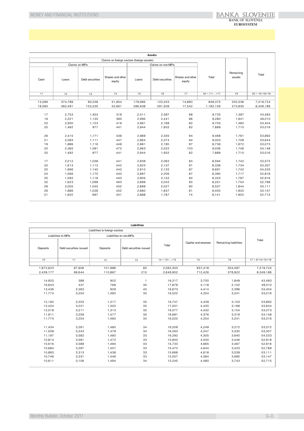|        | <b>Assets</b> |                 |                                            |         |                    |                            |                   |                     |                 |  |  |  |  |  |
|--------|---------------|-----------------|--------------------------------------------|---------|--------------------|----------------------------|-------------------|---------------------|-----------------|--|--|--|--|--|
|        |               |                 | Claims on foreign sectors (foreign assets) |         |                    |                            |                   |                     |                 |  |  |  |  |  |
|        |               | Claims on MFIs  |                                            |         | Claims on non-MFIs |                            |                   |                     |                 |  |  |  |  |  |
| Cash   | Loans         | Debt securities | Shares and other<br>equity                 | Loans   | Debt securities    | Shares and other<br>equity | Total             | Remaining<br>assets | Total           |  |  |  |  |  |
| 11     | 12            | 13              | 14                                         | 15      | 16                 | 17                         | $18 = 11 +  + 17$ | 19                  | $20 = 10+18+19$ |  |  |  |  |  |
|        |               |                 |                                            |         |                    |                            |                   |                     |                 |  |  |  |  |  |
| 13,096 | 374,789       | 90,238          | 51,954                                     | 179,985 | 123,453            | 14,860                     | 848,375           | 250,536             | 7,219,724       |  |  |  |  |  |
| 18,080 | 362,491       | 153,235         | 52,661                                     | 286,638 | 291,509            | 17,542                     | 1,182,156         | 273,935             | 8,349,186       |  |  |  |  |  |
| 17     | 2,753         | 1,452           | 318                                        | 2,511   | 2,587              | 98                         | 9,735             | 1,397               | 43,493          |  |  |  |  |  |
| 16     | 2,221         | 1.135           | 385                                        | 2.995   | 2,441              | 86                         | 9,280             | 1.641               | 49,010          |  |  |  |  |  |
| 22     | 2,930         | 1,123           | 419                                        | 2,961   | 2,168              | 82                         | 9,705             | 1,480               | 53,404          |  |  |  |  |  |
| 20     | 1,492         | 977             | 441                                        | 2,944   | 1,932              | 82                         | 7,889             | 1,710               | 53,016          |  |  |  |  |  |
| 26     | 2,415         | 1.171           | 438                                        | 2,989   | 2,335              | 94                         | 9,468             | 1.761               | 53,892          |  |  |  |  |  |
| 21     | 2,093         | 1,111           | 447                                        | 2,964   | 2,274              | 94                         | 9,003             | 1,708               | 53,644          |  |  |  |  |  |
| 19     | 1,886         | 1,116           | 448                                        | 2,981   | 2,190              | 97                         | 8,736             | 1,672               | 53,073          |  |  |  |  |  |
| 20     | 2,365         | 1.091           | 472                                        | 2.963   | 2,022              | 103                        | 9.036             | 1.746               | 54,148          |  |  |  |  |  |
| 20     | 1,492         | 977             | 441                                        | 2,944   | 1,932              | 82                         | 7,889             | 1.710               | 53,016          |  |  |  |  |  |
| 17     | 2,012         | 1,038           | 441                                        | 2,939   | 2,062              | 84                         | 8,594             | 1,742               | 53,572          |  |  |  |  |  |
| 20     | 1,613         | 1.112           | 442                                        | 2,923   | 2.137              | 91                         | 8,338             | 1,734               | 53,307          |  |  |  |  |  |
| 20     | 1,966         | 1,140           | 442                                        | 2,910   | 2,125              | 87                         | 8,691             | 1,742               | 54,533          |  |  |  |  |  |
| 24     | 1,566         | 1,170           | 440                                        | 2,897   | 2,206              | 87                         | 8,390             | 1,717               | 52,818          |  |  |  |  |  |
| 25     | 1,592         | 1,118           | 440                                        | 2,905   | 2,152              | 92                         | 8,323             | 1.797               | 52,916          |  |  |  |  |  |
| 32     | 1,623         | 1,098           | 463                                        | 2,899   | 2,042              | 93                         | 8,251             | 1.754               | 52,789          |  |  |  |  |  |
| 29     | 2,005         | 1,045           | 452                                        | 2,889   | 2,027              | 90                         | 8,537             | 1,844               | 53,111          |  |  |  |  |  |
| 26     | 1,986         | 1,028           | 452                                        | 2,880   | 1,937              | 91                         | 8,400             | 1,925               | 53,147          |  |  |  |  |  |
| 21     | 1,922         | 997             | 451                                        | 2,888   | 1.787              | 74                         | 8.141             | 1,952               | 52,715          |  |  |  |  |  |
|        |               |                 |                                            |         |                    |                            |                   |                     |                 |  |  |  |  |  |

| Liabilities                                                                            |                                                                               |                                                                               |                                                    |                                                                                        |                                                                               |                                                                               |                                                                                        |  |  |  |  |  |
|----------------------------------------------------------------------------------------|-------------------------------------------------------------------------------|-------------------------------------------------------------------------------|----------------------------------------------------|----------------------------------------------------------------------------------------|-------------------------------------------------------------------------------|-------------------------------------------------------------------------------|----------------------------------------------------------------------------------------|--|--|--|--|--|
|                                                                                        |                                                                               | Liabilities to foreign sectors                                                |                                                    |                                                                                        |                                                                               |                                                                               |                                                                                        |  |  |  |  |  |
|                                                                                        | Liabilities to MFIs                                                           |                                                                               | Liabilities to non-MFIs                            |                                                                                        |                                                                               |                                                                               |                                                                                        |  |  |  |  |  |
| Deposits                                                                               | Debt securities issued                                                        | Deposits                                                                      | Debt securities issued                             | Total                                                                                  | Capital and reserves                                                          | Remaining liabilities                                                         | Total                                                                                  |  |  |  |  |  |
| 10                                                                                     | 11                                                                            | 12                                                                            | 13                                                 | $14 = 10 +  + 13$                                                                      | 15                                                                            | 16                                                                            | $17 = 9 + 14 + 15 + 16$                                                                |  |  |  |  |  |
|                                                                                        |                                                                               |                                                                               |                                                    |                                                                                        |                                                                               |                                                                               |                                                                                        |  |  |  |  |  |
| 1,872,623                                                                              | 87,606                                                                        | 101,988                                                                       | 85                                                 | 2,062,303                                                                              | 657,418                                                                       | 304,597                                                                       | 7,219,724                                                                              |  |  |  |  |  |
| 2,439,177                                                                              | 99,644                                                                        | 110,867                                                                       | 215                                                | 2,649,902                                                                              | 712,426                                                                       | 376,922                                                                       | 8,349,186                                                                              |  |  |  |  |  |
| 14,925<br>16,643                                                                       | 388<br>437                                                                    | 902<br>768                                                                    | $\mathbf{1}$<br>30                                 | 16,217<br>17,879                                                                       | 3,700<br>4,118                                                                | 1,849<br>2,102                                                                | 43,493<br>49,010                                                                       |  |  |  |  |  |
| 13,436                                                                                 | 2,263                                                                         | 929                                                                           | 45                                                 | 16,673                                                                                 | 4,414                                                                         | 2,396                                                                         | 53,404                                                                                 |  |  |  |  |  |
| 11,774                                                                                 | 3,254                                                                         | 1,460                                                                         | 34                                                 | 16,522                                                                                 | 4,254                                                                         | 3,241                                                                         | 53,016                                                                                 |  |  |  |  |  |
| 12,192<br>12,424<br>12,018<br>11,911<br>11,774                                         | 3,203<br>3,221<br>3,211<br>3,259<br>3,254                                     | 1,317<br>1,320<br>1,313<br>1,477<br>1,460                                     | 35<br>35<br>35<br>35<br>34                         | 16,747<br>17,001<br>16,577<br>16,681<br>16,522                                         | 4,439<br>4,430<br>4,432<br>4,376<br>4,254                                     | 3,103<br>3,168<br>3,154<br>3,319<br>3,241                                     | 53,892<br>53,644<br>53,073<br>54,148<br>53,016                                         |  |  |  |  |  |
| 11,434<br>11,508<br>11,197<br>10,814<br>10,616<br>10,684<br>10,883<br>10,746<br>10,611 | 3,261<br>3,243<br>3,582<br>3,581<br>3,589<br>3,297<br>3,313<br>3,331<br>3,106 | 1,480<br>1,479<br>1,480<br>1,472<br>1,494<br>1,457<br>1,438<br>1,446<br>1,494 | 34<br>34<br>33<br>33<br>33<br>33<br>33<br>33<br>34 | 16,209<br>16,263<br>16,292<br>15,900<br>15,733<br>15,472<br>15,668<br>15,557<br>15,245 | 4,249<br>4,247<br>4,305<br>4,530<br>4,665<br>4,644<br>4,618<br>4,584<br>4,480 | 3,272<br>3,330<br>3,640<br>3,446<br>3,467<br>3,423<br>3,539<br>3,685<br>3,743 | 53,572<br>53,307<br>54,533<br>52,818<br>52,916<br>52,789<br>53,111<br>53,147<br>52,715 |  |  |  |  |  |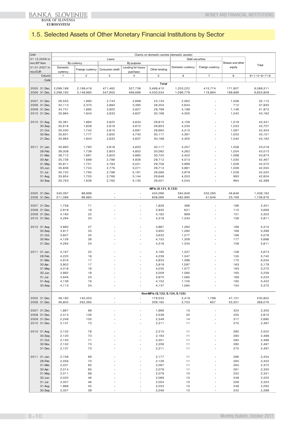**EUROSYSTEM**

# 1.5. Selected Assets of Other Monetary Financial Institutions by Sector

| Until                        |                  |                  |                 |                   |                                | Claims on domestic sectors (domestic assets) |                          |                  |                         |  |  |
|------------------------------|------------------|------------------|-----------------|-------------------|--------------------------------|----------------------------------------------|--------------------------|------------------|-------------------------|--|--|
| 31.12.2006 in                |                  |                  | Loans           |                   |                                | Debt securities                              |                          |                  |                         |  |  |
| mio SIT from                 |                  | By currency      |                 | By purpose        |                                |                                              |                          | Shares and other | Total                   |  |  |
| 01.01.2007 in                | Domestic         | Foreign currency | Consumer credit | Lending for house | Other lending                  | Domestic currency                            | Foreign currency         | equity           |                         |  |  |
| mio EUR                      | currency         |                  |                 | purchase          |                                |                                              |                          |                  |                         |  |  |
| Column<br>Code               | $\mathbf{1}$     | $\overline{c}$   | 3               | $\overline{4}$    | 5                              | 6                                            | $\overline{7}$           | 8                | $9 = 1 + 2 + 6 + 7 + 8$ |  |  |
|                              |                  |                  |                 |                   | Total                          |                                              |                          |                  |                         |  |  |
| 2005 31.Dec.                 | 2,099,189        | 2,199,419        | 471,462         | 327,736           | 3,499,410                      | 1,203,222                                    | 415,774                  | 171,907          | 6,089,511               |  |  |
| 2006 31.Dec.                 | 2,298,192        | 3,148,985        | 547,955         | 468,689           | 4,430,534                      | 1,096,779                                    | 119,864                  | 189,989          | 6,853,809               |  |  |
|                              |                  |                  |                 |                   |                                |                                              |                          |                  |                         |  |  |
| 2007 31.Dec.                 | 26,555           | 1,990            | 2,743           | 2,668             | 23,134                         | 2,562                                        | $\overline{\phantom{a}}$ | 1,008            | 32,115                  |  |  |
| 2008 31.Dec.                 | 32,113           | 2,370            | 2,884           | 3,395             | 28,204                         | 2,634                                        |                          | 712              | 37,830                  |  |  |
| 2009 31.Dec.                 | 34,731           | 1,895            | 2,900           | 3,927             | 29,799                         | 4,199                                        |                          | 1,146            | 41,972                  |  |  |
| 2010 31.Dec.                 | 35,994           | 1,843            | 2,833           | 4,837             | 30,168                         | 4,305                                        | $\overline{\phantom{a}}$ | 1,040            | 43,182                  |  |  |
|                              |                  |                  |                 |                   |                                |                                              |                          |                  |                         |  |  |
| 2010 31.Aug.                 | 35,381           | 1,884            | 2,822           | 4,634             | 29,810                         | 4,156                                        |                          | 1,019            | 42,441                  |  |  |
| 30.Sep.<br>31.Oct.           | 35,616<br>35,430 | 1,828<br>1,742   | 2,818<br>2,810  | 4,672<br>4,697    | 29,953<br>29,665               | 4,230<br>4,215                               |                          | 1,033<br>1,067   | 42,707<br>42,454        |  |  |
| 30.Nov.                      | 35,931           | 1,777            | 2,850           | 4,740             | 30,117                         | 4,391                                        |                          | 1,053            | 43,151                  |  |  |
| 31.Dec.                      | 35,994           | 1,843            | 2,833           | 4,837             | 30,168                         | 4,305                                        | $\overline{a}$           | 1,040            | 43,182                  |  |  |
|                              |                  |                  |                 |                   |                                |                                              |                          |                  |                         |  |  |
| 2011 31.Jan.                 | 35,993           | 1,760            | 2,816           | 4,820             | 30,117                         | 4,257                                        |                          | 1,008            | 43,018                  |  |  |
| 28.Feb.                      | 36,008           | 1,739            | 2,803           | 4,852             | 30,092                         | 4,262                                        |                          | 1,004            | 43,013                  |  |  |
| 31.Mar.                      | 36,712           | 1,691            | 2,803           | 4,880             | 30,720                         | 4,402                                        |                          | 1,068            | 43,873                  |  |  |
| 30.Apr.                      | 35,736           | 1,689            | 2,786           | 4,926             | 29,712                         | 4,013                                        |                          | 1,030            | 42,467                  |  |  |
| 31.May.                      | 35,811           | 1,751            | 2,783           | 5,021             | 29,758                         | 3,999                                        |                          | 1,009            | 42,570                  |  |  |
| 30.Jun.                      | 35,836           | 1,724            | 2,776           | 5,071             | 29,713                         | 3,981                                        |                          | 1,009            | 42,550                  |  |  |
| 31.Jul.                      | 35,720           | 1,794            | 2,786           | 5,161             | 29,566                         | 3,979                                        |                          | 1,028            | 42,520                  |  |  |
| 31.Aug.                      | 35,854           | 1,705            | 2,766           | 5,144             | 29,648                         | 4,053                                        |                          | 993              | 42,604                  |  |  |
| 30.Sep.                      | 35,763           | 1,628            | 2,760           | 5,130             | 29,501                         | 4,044                                        |                          | 964              | 42,399                  |  |  |
|                              |                  |                  |                 |                   | MFIs (S.121, S.122)            |                                              |                          |                  |                         |  |  |
| 2005 31.Dec.                 | 345,097          | 88,999           |                 | ÷.                | 434,096                        | 594,946                                      | 332,295                  | 46,846           | 1,408,182               |  |  |
| 2006 31.Dec.                 | 511,086          | 96,980           | ä,              | ÷,                | 608,066                        | 482,995                                      | 41,846                   | 25,769           | 1,158,676               |  |  |
|                              |                  |                  |                 |                   |                                |                                              |                          |                  |                         |  |  |
| 2007 31.Dec.                 | 1,758            | 71               |                 |                   | 1,829                          | 386                                          |                          | 186              | 2,401                   |  |  |
| 2008 31.Dec.                 | 2,918            | 16               |                 | ٠                 | 2,935                          | 621                                          |                          | 110              | 3,666                   |  |  |
| 2009 31.Dec.                 | 4,160            | 22               |                 |                   | 4,182                          | 969                                          |                          | 151              | 5,302                   |  |  |
| 2010 31.Dec.                 | 4,294            | 24               |                 |                   | 4,318                          | 1,334                                        |                          | 159              | 5,811                   |  |  |
| 2010 31.Aug.                 | 3,860            | 27               |                 |                   | 3,887                          | 1,260                                        |                          | 168              |                         |  |  |
| 30.Sep.                      | 3,917            | 33               |                 | ٠                 | 3,950                          | 1,280                                        |                          | 169              | 5,315<br>5,399          |  |  |
| 31.Oct.                      | 3,607            | 25               |                 |                   | 3,632                          | 1,277                                        |                          | 169              | 5,079                   |  |  |
| 30.Nov.                      | 4,126            | 26               |                 | ٠                 | 4,152                          | 1,359                                        |                          | 177              | 5,688                   |  |  |
| 31.Dec.                      | 4,294            | 24               |                 |                   | 4,318                          | 1,334                                        |                          | 159              | 5,811                   |  |  |
|                              |                  |                  |                 |                   |                                |                                              |                          |                  |                         |  |  |
| 2011 31.Jan.                 | 4,167            | 22               |                 |                   | 4,190                          | 1,327                                        |                          | 158              | 5,674                   |  |  |
| 28.Feb.                      | 4,220            | 18               |                 |                   | 4,239                          | 1,347                                        |                          | 155              | 5,740                   |  |  |
| 31.Mar.                      | 4,916            | 17               |                 |                   | 4,933                          | 1,396                                        |                          | 175              | 6,504                   |  |  |
| 30.Apr.                      | 3,902            | 17               |                 |                   | 3,919                          | 1,097                                        |                          | 163              | 5,179                   |  |  |
| 31.May.                      | 4,018            | 16               |                 |                   | 4,035                          | 1,077                                        |                          | 163              | 5,275                   |  |  |
| 30.Jun.                      | 3,992            | 18               |                 |                   | 4,009                          | 1,085                                        |                          | 165              | 5,259                   |  |  |
| 31.Jul.<br>31.Aug.           | 3,946<br>4,136   | 23<br>16         |                 |                   | 3,970<br>4,152                 | 1,085<br>1,105                               |                          | 169<br>165       | 5,224<br>5,422          |  |  |
| 30.Sep.                      | 4,113            | 24               |                 |                   | 4,137                          | 1,084                                        |                          | 154              | 5,375                   |  |  |
|                              |                  |                  |                 |                   |                                |                                              |                          |                  |                         |  |  |
|                              |                  |                  |                 |                   | Non-MFIs (S.123, S.124, S.125) |                                              |                          |                  |                         |  |  |
| 2005 31.Dec.                 | 39,180           | 140,353          |                 |                   | 179,533                        | 2,419                                        | 1,799                    | 47,101           | 230,852                 |  |  |
| 2006 31.Dec.                 | 46,800           | 262,365          |                 |                   | 309,165                        | 2,753                                        | 857                      | 55,301           | 368,076                 |  |  |
|                              |                  |                  |                 |                   |                                |                                              |                          |                  |                         |  |  |
| 2007 31.Dec.                 | 1,867            | 99               |                 |                   | 1,966                          | 15                                           |                          | 324              | 2,305                   |  |  |
| 2008 31.Dec.                 | 2,413            | 126              |                 |                   | 2,539                          | 20                                           |                          | 255              | 2,815                   |  |  |
| 2009 31.Dec.<br>2010 31.Dec. | 2,248            | 100              |                 |                   | 2,349                          | 14<br>11                                     |                          | 317<br>275       | 2,680                   |  |  |
|                              | 2,137            | 73               |                 |                   | 2,211                          |                                              |                          |                  | 2,497                   |  |  |
| 2010 31.Aug.                 | 2,132            | 78               |                 |                   | 2,210                          | 11                                           |                          | 280              | 2,502                   |  |  |
| 30.Sep.                      | 2,120            | 73               |                 |                   | 2,193                          | 11                                           |                          | 284              | 2,488                   |  |  |
| 31.Oct.                      | 2,130            | 71               |                 |                   | 2,201                          | 11                                           |                          | 284              | 2,496                   |  |  |
| 30.Nov.                      | 2,132            | 73               |                 |                   | 2,206                          | 11                                           |                          | 280              | 2,497                   |  |  |
| 31.Dec.                      | 2,137            | 73               |                 |                   | 2,211                          | 11                                           |                          | 275              | 2,497                   |  |  |
|                              |                  |                  |                 |                   |                                |                                              |                          |                  |                         |  |  |
| 2011 31.Jan.                 | 2,108            | 69               |                 |                   | 2,177                          | 11                                           |                          | 266              | 2,454                   |  |  |
| 28.Feb.                      | 2,056            | 70               |                 |                   | 2,126                          | 11                                           |                          | 265              | 2,402                   |  |  |
| 31.Mar.                      | 2,031            | 65               |                 |                   | 2,097                          | 11                                           |                          | 264              | 2,372                   |  |  |
| 30.Apr.<br>31.May.           | 2,014<br>2,011   | 65<br>68         |                 |                   | 2,078<br>2,079                 | 11<br>10                                     |                          | 261<br>252       | 2,350<br>2,341          |  |  |
| 30.Jun.                      | 2,020            | 46               |                 |                   | 2,066                          | 10                                           |                          | 249              | 2,325                   |  |  |
| 31.Jul.                      | 2,007            | 46               |                 |                   | 2,054                          | 10                                           |                          | 259              | 2,323                   |  |  |
| 31.Aug.                      | 1,988            | 45               |                 |                   | 2,033                          | 10                                           |                          | 249              | 2,292                   |  |  |
| 30.Sep.                      | 2,007            | 39               |                 |                   | 2,046                          | 10                                           |                          | 242              | 2,298                   |  |  |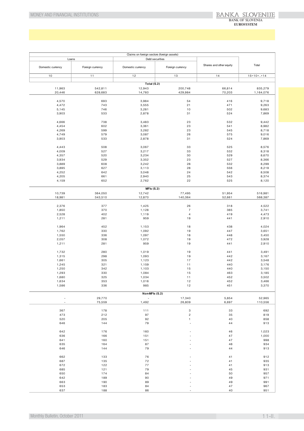|                   |                  | Claims on foreign sectors (foreign assets) |                           |                         |                |
|-------------------|------------------|--------------------------------------------|---------------------------|-------------------------|----------------|
| Loans             |                  | Debt securities                            |                           |                         |                |
| Domestic currency | Foreign currency | Domestic currency                          | Foreign currency          | Shares and other equity | Total          |
| 10                | 11               | 12                                         | 13                        | 14                      | $15=10+.+14$   |
|                   |                  |                                            |                           |                         |                |
|                   |                  | Total (S.2)                                |                           |                         |                |
| 11,963            | 542,811          | 12,943                                     | 200,748                   | 66,814                  | 835,279        |
| 20,446            | 628,683          | 14,760                                     | 429,984                   | 70,203                  | 1,164,076      |
| 4,570             | 693              | 3,984                                      | 54                        | 416                     | 9,718          |
| 4,472             | 743              | 3,555                                      | 21                        | 471                     | 9,263          |
| 5,145             | 746              | 3,281                                      | 10                        | 502                     | 9,683          |
| 3,903             | 533              | 2,878                                      | 31                        | 524                     | 7,869          |
|                   |                  |                                            |                           |                         |                |
| 4,666             | 738              | 3,483                                      | 23                        | 532                     | 9,442          |
| 4,454             | 602              | 3,361                                      | 23                        | 541                     | 8,982          |
| 4,269             | 599              | 3,282                                      | 23                        | 545                     | 8,718          |
| 4,749             | 579<br>533       | 3,087                                      | 26                        | 575<br>524              | 9,016          |
| 3,903             |                  | 2,878                                      | 31                        |                         | 7,869          |
| 4,443             | 508              | 3,067                                      | 33                        | 525                     | 8,576          |
| 4,009             | 527              | 3,217                                      | 33                        | 532                     | 8,318          |
| 4,357             | 520              | 3,234                                      | 30                        | 529                     | 8,670          |
| 3,934             | 529              | 3,352                                      | 23                        | 527                     | 8,366          |
| 3,889             | 608              | 3,242                                      | 28                        | 532                     | 8,299          |
| 3,895             | 627              | 3,113                                      | 28                        | 556                     | 8,219          |
| 4,252             | 642              | 3,048                                      | 24                        | 542                     | 8,508          |
| 4,205             | 661              | 2,940                                      | 25                        | 543                     | 8,374          |
| 4,159             | 652              | 2,762                                      | 22                        | 525                     | 8,120          |
|                   |                  | MFIs(S.2)                                  |                           |                         |                |
| 10,739            | 364,050          | 12,742                                     | 77,495                    | 51,954                  | 516,981        |
| 18,981            | 343,510          | 12,870                                     | 140,364                   | 52,661                  | 568,387        |
|                   |                  |                                            |                           |                         |                |
| 2,376             | 377              | 1,425                                      | 26                        | 318                     | 4,522          |
| 1,850             | 370              | 1,128                                      | $\overline{7}$            | 385                     | 3,741          |
| 2,528             | 402              | 1,119                                      | $\overline{a}$            | 419                     | 4,473          |
| 1,211             | 281              | 959                                        | 19                        | 441                     | 2,910          |
|                   |                  |                                            |                           |                         |                |
| 1,964             | 452              | 1,153                                      | 18                        | 438                     | 4,024          |
| 1,762             | 330              | 1,092                                      | 19                        | 447                     | 3,651          |
| 1,550             | 336<br>308       | 1,097                                      | 18                        | 448<br>472              | 3,450          |
| 2,057<br>1,211    | 281              | 1,072<br>959                               | 19<br>19                  | 441                     | 3,928<br>2,910 |
|                   |                  |                                            |                           |                         |                |
| 1,732             | 280              | 1,019                                      | 19                        | 441                     | 3,491          |
| 1,315             | 298              | 1,093                                      | 19                        | 442                     | 3,167          |
| 1,661             | 305              | 1,123                                      | 17                        | 442                     | 3,548          |
| 1,245             | 321              | 1,159                                      | 11                        | 440                     | 3,176          |
| 1,250             | 342              | 1,103                                      | 15                        | 440                     | 3,150          |
| 1,293             | 330              | 1,084                                      | 15                        | 463                     | 3,185          |
| 1,680             | 325              | 1,034                                      | 11                        | 452                     | 3,502          |
| 1,634             | 353              | 1,016                                      | 12                        | 452                     | 3,466          |
| 1,586             | 336              | 985                                        | 12                        | 451                     | 3,370          |
|                   |                  | Non-MFIs (S.2)                             |                           |                         |                |
| $\overline{a}$    | 29,770           | $\overline{\phantom{a}}$                   | 17,340                    | 5,854                   | 52,965         |
|                   | 75,559           | 1,492                                      | 26,809                    | 6,697                   | 110,556        |
|                   |                  |                                            |                           |                         |                |
| 367               | 178              | 111                                        | $\ensuremath{\mathsf{3}}$ | 33                      | 692            |
| 473               | 212              | 97                                         | $\boldsymbol{2}$          | 35                      | 819            |
| 520               | 205              | 92                                         | $\mathbf{1}$              | 40                      | 858            |
| 646               | 144              | 79                                         |                           | 44                      | 913            |
| 642               | 176              | 160                                        |                           | 46                      | 1,023          |
| 636               | 166              | 151                                        |                           | 47                      | 1,000          |
| 641               | 160              | 151                                        |                           | 47                      | 998            |
| 635               | 164              | 87                                         |                           | 48                      | 934            |
| 646               | 144              | 79                                         |                           | 44                      | 913            |
|                   |                  |                                            |                           |                         |                |
| 662               | 133              | 76                                         |                           | 41                      | 912            |
| 687               | 135              | 72                                         |                           | 41                      | 935            |
| 672               | 122              | 77                                         |                           | 41                      | 913            |
| 685               | 121              | 79                                         |                           | 45                      | 931            |
| 650<br>642        | 174<br>189       | 84<br>90                                   |                           | 50<br>49                | 957<br>971     |
| 663               | 190              | 89                                         |                           | 49                      | 991            |
| 653               | 183              | 84                                         |                           | 47                      | 967            |
| 637               | 188              | 86                                         |                           | 40                      | 951            |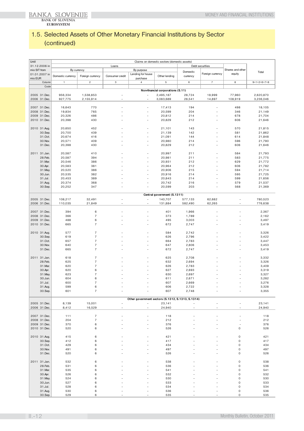# 1.5. Selected Assets of Other Monetary Financial Institutions by Sector (continued)

| Until              |                   |                          |                           | Claims on domestic sectors (domestic assets)      |                                   |                |                           |                          |                         |  |  |
|--------------------|-------------------|--------------------------|---------------------------|---------------------------------------------------|-----------------------------------|----------------|---------------------------|--------------------------|-------------------------|--|--|
| 31.12.2006 in      |                   |                          | Loans                     |                                                   |                                   |                | Debt securities           |                          |                         |  |  |
| mio SIT from       |                   | By currency              |                           | By purpose                                        |                                   | Domestic       |                           | Shares and other         | Total                   |  |  |
| 01.01.2007 in      | Domestic currency | Foreign currency         | Consumer credit           | Lending for house                                 | Other lending                     | currency       | Foreign currency          | equity                   |                         |  |  |
| mio EUR            |                   |                          | $\ensuremath{\mathsf{3}}$ | purchase<br>$\sqrt{4}$                            | $\mathbf 5$                       |                | $\overline{\mathfrak{c}}$ | 8                        | $9 = 1 + 2 + 6 + 7 + 8$ |  |  |
| Column<br>Code     | $\mathbf{1}$      | $\boldsymbol{2}$         |                           |                                                   |                                   | 6              |                           |                          |                         |  |  |
|                    |                   |                          |                           |                                                   | Non-financial corporations (S.11) |                |                           |                          |                         |  |  |
| 2005 31.Dec.       | 956,334           | 1,538,853                | ٠                         | ÷,                                                | 2,495,187                         | 28,724         | 18,999                    | 77,960                   | 2,620,870               |  |  |
| 2006 31.Dec.       | 927,775           | 2,155,914                | $\overline{\phantom{a}}$  | ÷.                                                | 3,083,689                         | 28,541         | 14,897                    | 108,919                  | 3,236,046               |  |  |
|                    |                   |                          |                           |                                                   |                                   |                |                           |                          |                         |  |  |
| 2007 31.Dec.       | 16,643            | 770                      | ÷.                        | ×,                                                | 17,413                            | 194            |                           | 498                      | 18,105                  |  |  |
| 2008 31.Dec.       | 19,834            | 765                      |                           |                                                   | 20,599                            | 204            |                           | 346                      | 21,149                  |  |  |
| 2009 31.Dec.       | 20,326            | 486                      |                           | ä,                                                | 20,812                            | 214            | ÷,                        | 678                      | 21,704                  |  |  |
| 2010 31.Dec.       | 20,398            | 430                      |                           |                                                   | 20,829                            | 212            |                           | 606                      | 21,646                  |  |  |
|                    |                   |                          |                           |                                                   |                                   |                |                           |                          |                         |  |  |
| 2010 31.Aug.       | 20,650            | 452                      |                           | ÷                                                 | 21,101                            | 143            | ٠                         | 570                      | 21,815                  |  |  |
| 30.Sep.            | 20,700            | 439                      |                           |                                                   | 21,139                            | 142            |                           | 581                      | 21,862                  |  |  |
| 31.Oct.            | 20,674            | 416                      |                           | ٠                                                 | 21,091                            | 144            |                           | 614                      | 21,848                  |  |  |
| 30.Nov.            | 20,571            | 409                      |                           | ٠                                                 | 20,980                            | 214            |                           | 596                      | 21,790                  |  |  |
| 31.Dec.            | 20,398            | 430                      |                           | ä,                                                | 20,829                            | 212            |                           | 606                      | 21,646                  |  |  |
|                    |                   |                          |                           |                                                   |                                   |                |                           |                          |                         |  |  |
| 2011 31.Jan.       | 20,587            | 410                      |                           | ٠                                                 | 20,997                            | 211            |                           | 584                      | 21,793                  |  |  |
| 28.Feb.            | 20,587            | 394                      |                           |                                                   | 20,981                            | 211            |                           | 583                      | 21,775                  |  |  |
| 31.Mar.            | 20,546            | 386                      |                           |                                                   | 20,931                            | 212            |                           | 629                      | 21,772                  |  |  |
| 30 Apr.            | 20,583            | 381                      |                           | ٠                                                 | 20,964                            | 212            | ×                         | 606                      | 21,782                  |  |  |
| 31.May.            | 20,520            | 386                      |                           | ä,                                                | 20,906                            | 215            |                           | 594                      | 21,714                  |  |  |
| 30.Jun.            | 20,535            | 382                      |                           | ä,                                                | 20,916                            | 214            |                           | 595                      | 21,725                  |  |  |
| 31.Jul.            | 20,453            | 389                      |                           |                                                   | 20,843                            | 214            |                           | 599                      | 21,656                  |  |  |
| 31.Aug.            | 20,374            | 368                      |                           | ٠                                                 | 20,742                            | 216            |                           | 579                      | 21,537                  |  |  |
| 30.Sep.            | 20,252            | 347                      |                           | ÷,                                                | 20,599                            | 203            | ä,                        | 568                      | 21,369                  |  |  |
|                    |                   |                          |                           |                                                   |                                   |                |                           |                          |                         |  |  |
|                    |                   |                          |                           |                                                   | Central government (S.1311)       |                |                           |                          |                         |  |  |
| 2005 31.Dec.       | 108,217           | 32,491                   | ×,                        | ä,                                                | 140,707                           | 577,133        | 62,682                    |                          | 780,523                 |  |  |
| 2006 31.Dec.       | 110,035           | 21,849                   |                           | $\overline{\phantom{a}}$                          | 131,884                           | 582,490        | 62,265                    |                          | 776,638                 |  |  |
|                    |                   | $\,6\,$                  |                           |                                                   |                                   |                |                           |                          |                         |  |  |
| 2007 31.Dec.       | 394               | $\overline{\mathcal{I}}$ |                           | ٠                                                 | 401<br>373                        | 1,966          |                           |                          | 2,367                   |  |  |
| 2008 31.Dec.       | 366               | $\,6\,$                  |                           |                                                   |                                   | 1,789          |                           |                          | 2,162                   |  |  |
| 2009 31.Dec.       | 488               |                          |                           |                                                   | 495                               | 3,003          |                           |                          | 3,497                   |  |  |
| 2010 31.Dec.       | 665               | $\boldsymbol{7}$         |                           | ٠                                                 | 672                               | 2,747          |                           |                          | 3,419                   |  |  |
| 2010 31.Aug.       | 577               | $\boldsymbol{7}$         |                           |                                                   | 584                               |                |                           |                          | 3,326                   |  |  |
| 30.Sep.            | 619               | $\overline{7}$           |                           |                                                   | 626                               | 2,742<br>2,796 |                           |                          | 3,422                   |  |  |
|                    |                   | $\boldsymbol{7}$         |                           |                                                   |                                   |                |                           |                          |                         |  |  |
| 31.Oct.            | 657               |                          |                           |                                                   | 664                               | 2,783          |                           |                          | 3,447                   |  |  |
| 30.Nov.            | 640               | $\overline{\mathcal{I}}$ |                           |                                                   | 647                               | 2,806          |                           |                          | 3,453                   |  |  |
| 31.Dec.            | 665               | $\boldsymbol{7}$         |                           | ä,                                                | 672                               | 2,747          |                           |                          | 3,419                   |  |  |
| 2011 31.Jan.       | 618               | $\overline{7}$           |                           |                                                   | 625                               | 2,708          |                           |                          | 3,332                   |  |  |
| 28.Feb.            | 625               | $\boldsymbol{7}$         |                           |                                                   | 632                               | 2,694          |                           |                          | 3,326                   |  |  |
|                    | 620               | $\overline{7}$           |                           |                                                   |                                   |                |                           |                          |                         |  |  |
| 31.Mar.<br>30.Apr. | 620               | $\,6\,$                  |                           |                                                   | 626<br>627                        | 2,783<br>2,693 |                           |                          | 3,409                   |  |  |
|                    |                   |                          |                           |                                                   |                                   |                |                           |                          | 3,319                   |  |  |
| 31.May.            | 623               | $\boldsymbol{7}$         |                           |                                                   | 630                               | 2,697          |                           |                          | 3,327                   |  |  |
| 30.Jun.            | 604               | $\,6\,$                  |                           |                                                   | 611                               | 2,671          |                           |                          | 3,282                   |  |  |
| 31.Jul.            | 600               | $\boldsymbol{7}$         |                           |                                                   | 607                               | 2,669          |                           |                          | 3,276                   |  |  |
| 31.Aug.            | 599               | 6                        |                           |                                                   | 606                               | 2,722          |                           |                          | 3,328                   |  |  |
| 30.Sep.            | 601               | $\boldsymbol{7}$         | ٠                         | $\overline{a}$                                    | 607                               | 2,748          |                           |                          | 3,355                   |  |  |
|                    |                   |                          |                           | Other government sectors (S.1312, S.1313, S.1314) |                                   |                |                           |                          |                         |  |  |
| 2005 31.Dec.       | 8,139             | 15,001                   | ÷                         |                                                   | 23,141                            | Ĭ,             | ÷,                        |                          | 23,141                  |  |  |
| 2006 31.Dec.       | 8,412             | 16,529                   | ä,                        | ÷,                                                | 24,940                            | ÷,             |                           |                          | 24,940                  |  |  |
|                    |                   |                          |                           |                                                   |                                   |                |                           |                          |                         |  |  |
| 2007 31.Dec.       | 111               | $\boldsymbol{7}$         | ä,                        | ÷,                                                | 118                               | ä,             |                           | $\overline{\phantom{a}}$ | 118                     |  |  |
| 2008 31.Dec.       | 204               | $\boldsymbol{7}$         |                           | ÷.                                                | 212                               |                |                           | ×                        | 212                     |  |  |
| 2009 31.Dec.       | 370               | 6                        |                           | ä,                                                | 376                               |                |                           | $\overline{\phantom{a}}$ | 376                     |  |  |
| 2010 31.Dec.       | 520               | 6                        |                           | ٠                                                 | 526                               |                |                           | 0                        | 526                     |  |  |
|                    |                   |                          |                           |                                                   |                                   |                |                           |                          |                         |  |  |
| 2010 31.Aug.       | 415               | $\,6\,$                  |                           |                                                   | 421                               |                |                           | $\mathsf{O}\xspace$      | 421                     |  |  |
| 30.Sep.            | 412               | $\,6\,$                  |                           | ٠                                                 | 417                               |                |                           | 0                        | 417                     |  |  |
| 31.Oct.            | 429               | 6                        |                           |                                                   | 434                               |                |                           | 0                        | 434                     |  |  |
| 30.Nov.            | 491               | $\,6\,$                  | ٠                         | ÷.                                                | 497                               |                |                           | 0                        | 497                     |  |  |
| 31.Dec.            | 520               | 6                        |                           | ä,                                                | 526                               |                |                           | 0                        | 526                     |  |  |
|                    |                   |                          |                           |                                                   |                                   |                |                           |                          |                         |  |  |
| 2011 31.Jan.       | 532               | 6                        |                           |                                                   | 538                               |                |                           | 0                        | 538                     |  |  |
| 28.Feb.            | 531               | 6                        |                           |                                                   | 536                               |                |                           | 0                        | 536                     |  |  |
| 31.Mar.            | 535               | $\,6\,$                  |                           |                                                   | 541                               |                |                           | 0                        | 541                     |  |  |
| 30.Apr.            | 526               | 6                        |                           |                                                   | 532                               |                |                           | 0                        | 532                     |  |  |
| 31.May.            | 524               | 6                        |                           |                                                   | 530                               |                |                           | $\mathsf{O}\xspace$      | 530                     |  |  |
| 30.Jun.            | 527               | 6                        |                           |                                                   | 533                               |                |                           | 0                        | 533                     |  |  |
| 31.Jul.            | 528               | 6                        |                           |                                                   | 534                               |                |                           | 0                        | 534                     |  |  |
| 31.Aug.            | 530               | $\,6\,$                  |                           |                                                   | 536                               |                |                           | $\mathsf{O}\xspace$      | 536                     |  |  |
| 30.Sep.            | 529               | 6                        |                           |                                                   | 535                               |                |                           | 0                        | 535                     |  |  |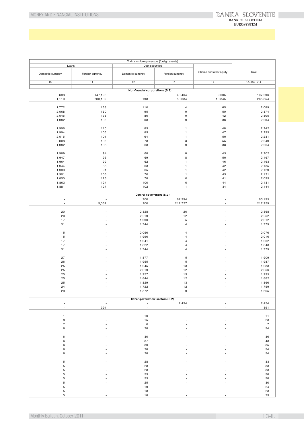|                            |                  | Claims on foreign sectors (foreign assets) |                                           |                         |                |
|----------------------------|------------------|--------------------------------------------|-------------------------------------------|-------------------------|----------------|
| Loans<br>Domestic currency | Foreign currency | Debt securities<br>Domestic currency       | Foreign currency                          | Shares and other equity | Total          |
| 10                         | 11               | 12                                         | 13                                        | 14                      | $15=10++14$    |
|                            |                  |                                            |                                           |                         |                |
|                            |                  | Non-financial corporations (S.2)           |                                           |                         |                |
| 633                        | 147,193          |                                            | 40,464                                    | 9,005                   | 197,296        |
| 1,119                      | 203,109          | 198                                        | 50,084                                    | 10,845                  | 265,354        |
| 1,772                      | 138              | 110                                        | $\overline{4}$                            | 65                      | 2,089          |
| 2,068                      | 160              | 95                                         | $\mathsf{O}$                              | 50                      | 2,374          |
| 2,045                      | 138              | 80                                         | $\mathsf{O}$                              | 42                      | 2,305          |
| 1,982                      | 106              | 68                                         | $\mathsf g$                               | 38                      | 2,204          |
|                            |                  |                                            |                                           |                         |                |
| 1,998<br>1,994             | 110<br>105       | 85<br>85                                   | $\mathbf{1}$<br>$\mathbf{1}$              | 48<br>47                | 2,242<br>2,233 |
| 2,015                      | 101              | 64                                         | $\mathbf{1}$                              | 50                      | 2,231          |
| 2,008                      | 106              | 78                                         | $\ensuremath{\mathsf{3}}$                 | 55                      | 2,249          |
| 1,982                      | 106              | 68                                         | $\mathsf g$                               | 38                      | 2,204          |
|                            |                  |                                            |                                           |                         |                |
| 1,989                      | 94               | 68                                         | 8                                         | 43                      | 2,202          |
| 1,947                      | 93               | 69                                         | 8                                         | 50                      | 2,167          |
| 1,964<br>1,944             | 92<br>86         | 62<br>63                                   | $\mathbf{1}$<br>$\mathbf{1}$              | 46<br>42                | 2,163<br>2,135 |
| 1,930                      | 91               | 65                                         | $\mathbf{1}$                              | 42                      | 2,129          |
| 1,901                      | 106              | 70                                         | $\mathbf{1}$                              | 43                      | 2,121          |
| 1,850                      | 126              | 78                                         | $\mathsf{O}$                              | 41                      | 2,095          |
| 1,863                      | 124              | 100                                        | $\mathsf{O}\xspace$                       | 44                      | 2,131          |
| 1,881                      | 127              | 102                                        | $\mathbf{1}$                              | 34                      | 2,144          |
|                            |                  | Central government (S.2)                   |                                           |                         |                |
|                            | ä,               | 200                                        | 62,994                                    | ٠                       | 63,195         |
| ÷.                         | 5,032            | 200                                        | 212,727                                   |                         | 217,959        |
|                            |                  |                                            |                                           |                         |                |
| 20                         | ä,               | 2,328                                      | 20                                        |                         | 2,368          |
| 20<br>17                   |                  | 2,219<br>1,990                             | 12<br>$\mathbf 5$                         |                         | 2,252<br>2,012 |
| 31                         |                  | 1,744                                      | $\overline{4}$                            |                         | 1,779          |
|                            |                  |                                            |                                           |                         |                |
| 15                         |                  | 2,056                                      | $\overline{4}$                            |                         | 2,076          |
| 15                         |                  | 1,996                                      | $\overline{4}$                            |                         | 2,016          |
| 17                         |                  | 1,941                                      | $\overline{4}$                            |                         | 1,962          |
| 17<br>31                   |                  | 1,822                                      | $\overline{4}$<br>$\overline{\mathbf{4}}$ |                         | 1,843          |
|                            |                  | 1,744                                      |                                           |                         | 1,779          |
| 27                         |                  | 1,877                                      | $\mathbf 5$                               |                         | 1,909          |
| 26                         |                  | 1,955                                      | $\,$ 5 $\,$                               |                         | 1,987          |
| 25                         |                  | 1,945                                      | 13                                        |                         | 1,983          |
| 25                         |                  | 2,019                                      | 12                                        |                         | 2,056          |
| 25                         |                  | 1,957                                      | 13                                        |                         | 1,995          |
| 25<br>25                   |                  | 1,844<br>1,829                             | 12<br>13                                  |                         | 1,882<br>1,866 |
| 24                         |                  | 1,722                                      | 12                                        |                         | 1,759          |
| 23                         | ÷,               | 1,572                                      | $\boldsymbol{9}$                          |                         | 1,605          |
|                            |                  |                                            |                                           |                         |                |
| $\overline{a}$             | ÷,               | Other government sectors (S.2)<br>÷,       | 2,454                                     |                         | 2,454          |
| ÷.                         | 391              | J.                                         |                                           |                         | 391            |
|                            |                  |                                            |                                           |                         |                |
| $\mathbf{1}$               |                  | $10$                                       |                                           |                         | 11             |
| $\,$ 8 $\,$                |                  | 15                                         |                                           |                         | 23             |
| $\boldsymbol{7}$           |                  | $\mathsf{O}\xspace$                        |                                           |                         | $\overline{7}$ |
| 6                          |                  | 28                                         |                                           |                         | 34             |
| 6                          |                  | 30                                         |                                           |                         | 36             |
| 6                          |                  | 37                                         |                                           |                         | 43             |
| 6                          |                  | 30                                         |                                           |                         | 35             |
| 6                          |                  | 28                                         |                                           |                         | 34             |
| 6                          |                  | 28                                         |                                           |                         | 34             |
|                            |                  | 28                                         |                                           |                         |                |
| 5<br>$\,$ 5 $\,$           |                  | 28                                         |                                           |                         | 33<br>33       |
| $\mathbf 5$                |                  | 28                                         |                                           |                         | 33             |
| 5                          |                  | 33                                         |                                           |                         | 38             |
| 5                          |                  | 33                                         |                                           |                         | 38             |
| $\,$ 5 $\,$                |                  | 25                                         |                                           |                         | 30             |
| 5                          |                  | 19                                         |                                           |                         | 24             |
| $\,$ 5 $\,$<br>5           |                  | 18<br>18                                   |                                           |                         | 23<br>23       |
|                            |                  |                                            |                                           |                         |                |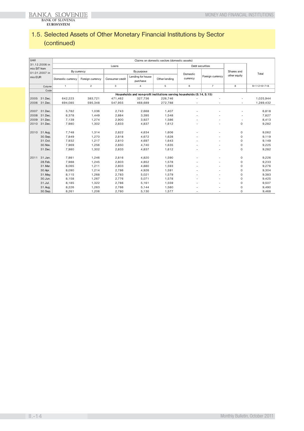# 1.5. Selected Assets of Other Monetary Financial Institutions by Sector (continued)

| Until        |               |                   |                  |                                                                        |                               | Claims on domestic sectors (domestic assets) |                      |                  |              |               |  |
|--------------|---------------|-------------------|------------------|------------------------------------------------------------------------|-------------------------------|----------------------------------------------|----------------------|------------------|--------------|---------------|--|
|              | 31.12.2006 in |                   |                  | Loans                                                                  |                               |                                              | Debt securities      |                  |              |               |  |
| mio SIT from | 01.01.2007 in |                   | By currency      |                                                                        | By purpose                    |                                              |                      |                  | Shares and   | Total         |  |
| mio EUR      |               | Domestic currency | Foreign currency | Consumer credit                                                        | Lending for house<br>purchase | Other lending                                | Domestic<br>currency | Foreign currency | other equity |               |  |
|              | Column        | $\overline{1}$    | $\overline{c}$   | 3                                                                      | $\overline{4}$                | 5                                            | 6                    | $\overline{7}$   | 8            | $9=1+2+6+7+8$ |  |
|              | Code          |                   |                  |                                                                        |                               |                                              |                      |                  |              |               |  |
|              |               |                   |                  | Households and non-profit institutions serving households (S.14, S.15) |                               |                                              |                      |                  |              |               |  |
|              | 2005 31.Dec.  | 642,223           | 383,721          | 471,462                                                                | 327,736                       | 226,746                                      |                      |                  |              | 1,025,944     |  |
|              | 2006 31.Dec.  | 694,085           | 595,348          | 547,955                                                                | 468,689                       | 272,788                                      |                      |                  |              | 1,289,432     |  |
|              |               |                   |                  |                                                                        |                               |                                              |                      |                  |              |               |  |
|              | 2007 31.Dec.  | 5,782             | 1,036            | 2,743                                                                  | 2,668                         | 1,407                                        |                      |                  |              | 6,818         |  |
|              | 2008 31.Dec.  | 6,378             | 1.449            | 2.884                                                                  | 3,395                         | 1,548                                        |                      |                  |              | 7,827         |  |
| 2009         | 31.Dec.       | 7,139             | 1,274            | 2,900                                                                  | 3,927                         | 1,586                                        |                      |                  |              | 8,413         |  |
|              | 2010 31.Dec.  | 7,980             | 1,302            | 2,833                                                                  | 4,837                         | 1,612                                        |                      |                  | $\mathbf 0$  | 9,282         |  |
|              |               |                   |                  |                                                                        |                               |                                              |                      |                  |              |               |  |
|              | 2010 31.Aug.  | 7,748             | 1,314            | 2,822                                                                  | 4,634                         | 1,606                                        |                      |                  | 0            | 9,062         |  |
|              | 30.Sep.       | 7,849             | 1,270            | 2,818                                                                  | 4,672                         | 1,628                                        |                      |                  | 0            | 9,119         |  |
|              | 31.Oct.       | 7,932             | 1,217            | 2,810                                                                  | 4,697                         | 1,643                                        |                      |                  | $\mathbf 0$  | 9,149         |  |
|              | 30.Nov.       | 7,969             | 1,256            | 2,850                                                                  | 4.740                         | 1.635                                        |                      |                  | $\mathbf 0$  | 9,225         |  |
|              | 31.Dec.       | 7,980             | 1,302            | 2,833                                                                  | 4,837                         | 1,612                                        |                      |                  | $\mathbf 0$  | 9,282         |  |
|              |               |                   |                  |                                                                        |                               |                                              |                      |                  |              |               |  |
| 2011         | 31.Jan.       | 7,981             | 1,246            | 2,816                                                                  | 4,820                         | 1,590                                        |                      |                  | $\mathbf 0$  | 9,226         |  |
|              | 28.Feb.       | 7,988             | 1,245            | 2,803                                                                  | 4,852                         | 1,578                                        |                      |                  | 0            | 9,233         |  |
|              | 31.Mar.       | 8,065             | 1,211            | 2,803                                                                  | 4,880                         | 1,593                                        |                      |                  | $\mathbf 0$  | 9,276         |  |
|              | 30.Apr.       | 8,090             | 1,214            | 2,786                                                                  | 4,926                         | 1,591                                        |                      |                  | $\mathbf 0$  | 9,304         |  |
|              | 31.May.       | 8,115             | 1,268            | 2,783                                                                  | 5,021                         | 1,579                                        |                      |                  | $\mathbf 0$  | 9,383         |  |
|              | 30.Jun.       | 8,158             | 1,267            | 2,776                                                                  | 5,071                         | 1,578                                        |                      |                  | $\mathbf 0$  | 9,425         |  |
|              | 31.Jul.       | 8,185             | 1,322            | 2,786                                                                  | 5,161                         | 1,559                                        |                      |                  | $\mathbf 0$  | 9,507         |  |
|              | 31.Aug.       | 8,226             | 1,263            | 2,766                                                                  | 5,144                         | 1,580                                        |                      |                  | $\mathbf 0$  | 9,490         |  |
|              | 30.Sep.       | 8,261             | 1,206            | 2,760                                                                  | 5,130                         | 1,577                                        |                      |                  | $\mathbf 0$  | 9,468         |  |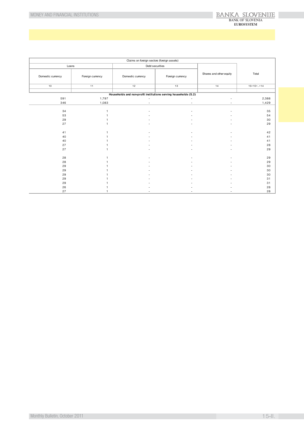|                   |                  | Claims on foreign sectors (foreign assets)                      |                  |                         |              |
|-------------------|------------------|-----------------------------------------------------------------|------------------|-------------------------|--------------|
| Loans             |                  |                                                                 | Debt securities  |                         |              |
| Domestic currency | Foreign currency | Domestic currency                                               | Foreign currency | Shares and other equity | Total        |
| 10                | 11               | 12                                                              | 13               | 14                      | $15=10+.+14$ |
|                   |                  |                                                                 |                  |                         |              |
|                   |                  | Households and non-profit institutions serving households (S.2) |                  |                         |              |
| 591<br>346        | 1,797            |                                                                 |                  |                         | 2,388        |
|                   | 1,083            |                                                                 | ٠                |                         | 1,429        |
| 34                |                  |                                                                 |                  |                         | 35           |
| 53                |                  |                                                                 |                  |                         | 54           |
| 29                |                  |                                                                 |                  |                         | 30           |
| 27                |                  |                                                                 |                  |                         | 29           |
|                   |                  |                                                                 |                  |                         |              |
| 41                |                  |                                                                 |                  |                         | 42           |
| 40                |                  |                                                                 |                  |                         | 41           |
| 40                |                  |                                                                 |                  |                         | 41           |
| 27                |                  |                                                                 |                  |                         | 28           |
| 27                |                  |                                                                 |                  |                         | 29           |
|                   |                  |                                                                 |                  |                         |              |
| 28                |                  |                                                                 |                  |                         | 29           |
| 28                |                  |                                                                 |                  |                         | 29           |
| 29                |                  |                                                                 |                  |                         | 30           |
| 29                |                  |                                                                 |                  |                         | 30           |
| 29                |                  |                                                                 |                  |                         | 30           |
| 29                |                  |                                                                 |                  |                         | 31           |
| 29                |                  |                                                                 |                  |                         | 31           |
| 26                |                  |                                                                 |                  |                         | 28           |
| 27                |                  |                                                                 |                  |                         | 28           |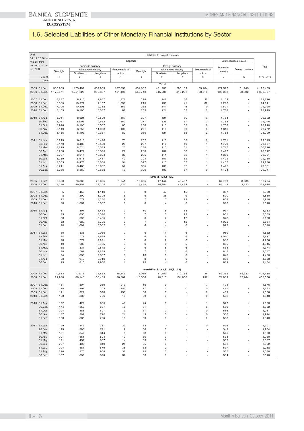**EUROSYSTEM**

## 1.6. Selected Liabilities of Other Monetary Financial Institutions by Sector

| Until                         | Liabilities to domestic sectors |                  |                      |                                     |                                    |                                |                           |                          |                      |                          |                    |  |
|-------------------------------|---------------------------------|------------------|----------------------|-------------------------------------|------------------------------------|--------------------------------|---------------------------|--------------------------|----------------------|--------------------------|--------------------|--|
| 31.12.2006 in                 |                                 |                  |                      |                                     | Deposits<br>Debt securities issued |                                |                           |                          |                      |                          |                    |  |
| mio SIT from<br>01.01.2007 in |                                 |                  | Domestic currency    |                                     |                                    | Foreign currency               |                           |                          |                      |                          | Total              |  |
| mio EUR                       | Overnight                       |                  | With agreed maturity | Reedemable at                       |                                    | With agreed maturity           |                           | Reedemable at            | Domestic<br>currency | Foreign currency         |                    |  |
|                               |                                 | Short-term       | Long-term            | notice                              | Ovemight                           | Short-term                     | Long-term                 | notice                   |                      |                          |                    |  |
| Column<br>Code                | $\mathbf 1$                     | 2                | 3                    | $\overline{4}$                      | $\mathbf 5$                        | 6                              | 7                         | 8                        | 9                    | 10                       | $11=3++10$         |  |
|                               |                                 |                  |                      |                                     |                                    | Total                          |                           |                          |                      |                          |                    |  |
| 2005 31.Dec.                  | 986,985                         | 1,175,499        | 309,939              | 137,836                             | 534,802                            | 481,200                        | 295,169                   | 35,404                   | 177,327              | 61,245                   | 4,195,405          |  |
| 2006 31.Dec.                  | 1,178,571                       | 1,251,225        | 292,397              | 181,198                             | 552,743                            | 545,504                        | 318,261                   | 38,019                   | 193,038              | 58,982                   | 4,609,937          |  |
| 2007 31.Dec.                  | 6,887                           | 8,913            | 2,857                | 1,372                               | 218                                | 248                            | 56                        | 37                       | 1,139                | $\overline{\phantom{a}}$ | 21,726             |  |
| 2008 31.Dec.                  | 6,605                           | 10,971           | 4,157                | 1,396                               | 215                                | 198                            | 41                        | 36                       | 1,293                |                          | 24,911             |  |
| 2009 31.Dec.                  | 7,200                           | 10,408           | 9,788                | 569                                 | 238                                | 141                            | 45                        | 10                       | 1,521                |                          | 29,920             |  |
| 2010 31.Dec.                  | 8,155                           | 8,193            | 10,337               | 82                                  | 285                                | 121                            | 55                        | $\mathbf 2$              | 1,768                |                          | 28,999             |  |
| 2010 31.Aug.                  | 8,041                           | 8,621            | 10,529               | 167                                 | 307                                | 121                            | 60                        | 3                        | 1,754                |                          | 29,602             |  |
| 30.Sep.                       | 8,031                           | 8,096            | 10,532               | 160                                 | 277                                | 125                            | 57                        | 3                        | 1,763                |                          | 29,046             |  |
| 31.Oct.<br>30.Nov.            | 7,926<br>8,119                  | 8,100<br>8,256   | 10,587<br>11,003     | 83<br>108                           | 286<br>291                         | 113<br>118                     | 55<br>59                  | $\mathbf 2$<br>3         | 1,758<br>1,816       |                          | 28,910<br>29,772   |  |
| 31.Dec.                       | 8,155                           | 8,193            | 10,337               | 82                                  | 285                                | 121                            | 55                        | $\boldsymbol{2}$         | 1,768                |                          | 28,999             |  |
|                               |                                 |                  |                      |                                     |                                    |                                |                           |                          |                      |                          |                    |  |
| 2011 31.Jan.                  | 8,245                           | 8,816            | 10,496               | 73                                  | 282                                | 115                            | 53                        | $\mathbf 2$              | 1,761                |                          | 29,843             |  |
| 28.Feb.<br>31.Mar.            | 8,179<br>8,799                  | 8,483<br>8,724   | 10,550<br>10,583     | 23<br>23                            | 287<br>284                         | 116<br>113                     | 49<br>51                  | 1<br>1                   | 1,779<br>1,717       |                          | 29,467<br>30,296   |  |
| 30.Apr.                       | 8,206                           | 8,477            | 10,375               | 22                                  | 286                                | 107                            | 50                        | $\overline{1}$           | 1,417                |                          | 28,942             |  |
| 31.May                        | 8,237                           | 8,614            | 10,324               | 30                                  | 295                                | 111                            | 52                        | $\mathbf{1}$             | 1,389                |                          | 29,051             |  |
| 30.Jun.                       | 8,259                           | 8,618<br>8,473   | 10,467<br>10,564     | 40<br>51                            | 304<br>317                         | 107<br>113                     | 52<br>57                  | $\overline{1}$<br>1      | 1,402<br>1,407       |                          | 29,250             |  |
| 31.Jul.<br>31.Aug.            | 8,303<br>8,241                  | 8,468            | 10,662               | 52                                  | 305                                | 108                            | 62                        | $\overline{1}$           | 1,422                |                          | 29,286<br>29,321   |  |
| 30.Sep.                       | 8,236                           | 8,369            | 10,683               | 49                                  | 320                                | 109                            | 57                        | 0                        | 1,424                |                          | 29,247             |  |
|                               |                                 |                  |                      |                                     |                                    | MFIs (S.121, S.122)            |                           |                          |                      |                          |                    |  |
| 2005 31.Dec.                  | 6,658                           | 26,368           | 20,605               | 1,641                               | 10,605                             | 17,442                         | 49,437                    | ÷,                       | 62,759               | 3,239                    | 198,754            |  |
| 2006 31.Dec.                  | 17,386                          | 49,451           | 22,204               | 1,721                               | 13,434                             | 18,484                         | 48,464                    |                          | 85,143               | 3,623                    | 259,910            |  |
|                               |                                 |                  |                      |                                     |                                    |                                |                           |                          |                      |                          |                    |  |
| 2007 31.Dec.<br>2008 31.Dec.  | 5<br>8                          | 458<br>1,492     | 1,110<br>1,705       | $\mathbf 9$<br>16                   | 9<br>5                             | 47<br>35                       | 15<br>9                   |                          | 387<br>590           |                          | 2,039<br>3,860     |  |
| 2009 31.Dec.                  | 22                              | 777              | 4,280                | 9                                   | $\overline{\mathfrak{c}}$          | 3                              | 12                        | $\overline{\phantom{a}}$ | 838                  |                          | 5,948              |  |
| 2010 31.Dec.                  | 20                              | 1,001            | 3,002                | 0                                   | 6                                  | 14                             | 6                         | ä,                       | 993                  |                          | 5,040              |  |
| 2010 31.Aug.                  | 67                              | 897              | 3,434                | 0                                   | 10                                 | 6                              | 13                        |                          | 937                  |                          | 5,363              |  |
| 30.Sep.                       | 75                              | 655              | 3,370                | $\mathsf O$                         | $\scriptstyle{7}$                  | 15                             | 13                        |                          | 951                  |                          | 5,085              |  |
| 31.Oct.                       | 33                              | 696              | 3,435                | $\mathsf O$                         | 6                                  | $\overline{7}$                 | 12                        | ä,                       | 948                  |                          | 5,138              |  |
| 30.Nov.                       | 52                              | 689              | 3,795                | 0                                   | $\scriptstyle{7}$                  | $\boldsymbol{7}$               | 12                        | $\overline{a}$           | 1,022                |                          | 5,584              |  |
| 31.Dec.                       | 20                              | 1,001            | 3,002                | 0                                   | 6                                  | 14                             | 6                         | ä,                       | 993                  |                          | 5,040              |  |
| 2011 31.Jan.                  | 30                              | 835              | 2,985                | 0                                   | 6                                  | 11                             | 6                         |                          | 989                  |                          | 4,862              |  |
| 28.Feb.                       | 24                              | 777              | 2,985                | $\mathsf O$                         | 6                                  | $\overline{7}$                 | 6                         |                          | 1,010                |                          | 4,817              |  |
| 31.Mar.<br>30.Apr.            | 28<br>19                        | 772<br>689       | 2,971<br>2,935       | $\circ$<br>$\mathsf{O}\xspace$      | 6<br>6                             | $\boldsymbol{7}$<br>6          | 6<br>5                    | ٠                        | 966<br>655           |                          | 4,756<br>4,315     |  |
| 31.May                        | 38                              | 837              | 2,848                | $\circ$                             | 6                                  | 5                              | 6                         |                          | 634                  |                          | 4,374              |  |
| 30.Jun.                       | 38                              | 761              | 2,885                | 0                                   | $\overline{7}$                     | 5                              | 6                         |                          | 645                  |                          | 4,347              |  |
| 31.Jul.                       | 24                              | 850              | 2,887                | $\circ$                             | 13                                 | 5                              | 6                         | ÷,                       | 645                  |                          | 4,430              |  |
| 31.Aug.<br>30.Sep.            | 23<br>15                        | 949<br>815       | 2,916<br>2,930       | $\mathsf{O}\xspace$<br>$\mathbf{1}$ | 8<br>15                            | 3<br>$\sqrt{4}$                | 6<br>6                    | ä,                       | 662<br>669           |                          | 4,568<br>4,454     |  |
|                               |                                 |                  |                      |                                     |                                    |                                |                           |                          |                      |                          |                    |  |
|                               |                                 |                  |                      |                                     |                                    | Non-MFIs (S.123, S.124, S.125) |                           |                          |                      |                          |                    |  |
| 2005 31.Dec.<br>2006 31.Dec.  | 10,513<br>21,978                | 73,011<br>86,140 | 75,832<br>55,483     | 18,349<br>36,869                    | 5,086<br>18,536                    | 11,650<br>10,513               | 110,765<br>134,836        | 35<br>138                | 63,255<br>71,909     | 34,923<br>32,264         | 403,418<br>468,666 |  |
|                               |                                 |                  |                      |                                     |                                    |                                |                           |                          |                      |                          |                    |  |
| 2007 31.Dec.                  | 181                             | 504              | 259                  | 213                                 | 16                                 | 3                              |                           | 7<br>0                   | 493                  |                          | 1,676              |  |
| 2008 31.Dec.<br>2009 31.Dec.  | 118<br>111                      | 491<br>322       | 303<br>578           | 151<br>150                          | 17<br>36                           | 1<br>$\mathsf O$               | $\mathsf{O}\xspace$<br>÷, | 0                        | 481<br>489           |                          | 1,562<br>1,686     |  |
| 2010 31.Dec.                  | 163                             | 335              | 756                  | 18                                  | 39                                 | $\mathsf O$                    |                           | 0                        | 538                  |                          | 1,848              |  |
|                               |                                 |                  |                      |                                     |                                    |                                |                           |                          |                      |                          |                    |  |
| 2010 31.Aug.<br>30.Sep.       | 192<br>174                      | 422<br>356       | 685<br>687           | 46<br>46                            | 44<br>31                           | $\mathsf{O}\xspace$<br>÷.      |                           | 1<br>$\mathsf{O}\xspace$ | 577<br>569           | $\blacksquare$           | 1,968<br>1,862     |  |
| 31.Oct.                       | 204                             | 388              | 697                  | 19                                  | 37                                 | $\mathsf O$                    |                           | 0                        | 566                  |                          | 1,911              |  |
| 30.Nov.                       | 187                             | 397              | 720                  | 21                                  | 43                                 | $\mathsf O$                    |                           | 0                        | 556                  |                          | 1,924              |  |
| 31.Dec.                       | 163                             | 335              | 756                  | 18                                  | 39                                 | $\mathsf O$                    |                           | 0                        | 538                  |                          | 1,848              |  |
| 2011 31.Jan.                  | 199                             | 343              | 767                  | 23                                  | 33                                 | $\overline{\phantom{a}}$       |                           | 0                        | 536                  |                          | 1,901              |  |
| 28.Feb.                       | 199                             | 396              | 771                  | $\mathbf 9$                         | 36                                 | $\mathsf{O}\xspace$            |                           | $\overline{\phantom{a}}$ | 542                  | $\sim$                   | 1,954              |  |
| 31.Mar.                       | 181                             | 342              | 814                  | $\mathsf g$                         | 28                                 | $\mathsf{O}\xspace$            |                           | ÷,                       | 525                  |                          | 1,900              |  |
| 30.Apr.                       | 201                             | 351              | 824                  | 10                                  | 30                                 | $\mathsf O$                    |                           | ÷,                       | 534                  |                          | 1,950              |  |
| 31.May.<br>30.Jun.            | 191<br>207                      | 459<br>405       | 837<br>849           | 14<br>24                            | 33<br>35                           | $\mathsf O$<br>0               |                           | ÷,<br>÷,                 | 532<br>532           |                          | 2,067<br>2,052     |  |
| 31.Jul.                       | 204                             | 381              | 879                  | 35                                  | 33                                 | $\mathsf{O}\xspace$            |                           | $\sim$                   | 537                  |                          | 2,068              |  |
| 31.Aug.                       | 216                             | 370              | 908                  | 32                                  | 25                                 | $\mathsf{O}\xspace$            |                           | $\frac{1}{2}$            | 537                  |                          | 2,088              |  |
| 30.Sep.                       | 187                             | 359              | 896                  | 32                                  | 33                                 | $\mathsf O$                    |                           |                          | 534                  |                          | 2,040              |  |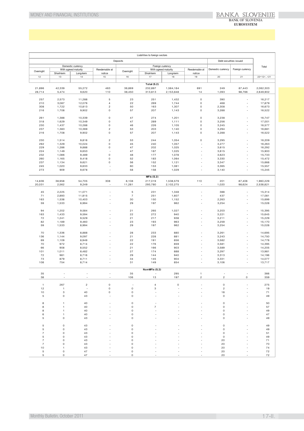| Liabilities to foreign sectors  |                         |                      |                                                    |                            |                      |                 |                                |                   |                                |                   |
|---------------------------------|-------------------------|----------------------|----------------------------------------------------|----------------------------|----------------------|-----------------|--------------------------------|-------------------|--------------------------------|-------------------|
|                                 |                         |                      |                                                    | Deposits                   |                      |                 |                                |                   | Debt securities issued         |                   |
|                                 |                         | Domestic currency    |                                                    |                            | Foreign currency     |                 |                                |                   |                                | Total             |
| Ovemight                        |                         | With agreed maturity | Reedemable at                                      | Ovemight                   | With agreed maturity |                 | Reedemable at                  | Domestic currency | Foreign currency               |                   |
| 12                              | Short-term              | Long-term            | notice<br>15                                       | 16                         | Short-term<br>17     | Long-term<br>18 | notice                         | 20                | 21                             | $22 - 12 +  + 21$ |
|                                 | 13                      | 14                   |                                                    |                            |                      |                 | 19                             |                   |                                |                   |
|                                 |                         |                      |                                                    |                            | Total $(S.2)$        |                 |                                |                   |                                |                   |
| 21,896                          | 42,339                  | 55,272               | 463                                                | 36,869                     | 232,897              | 1,584,184       | 691                            | 249               | 87,443                         | 2,062,303         |
| 28,714                          | 5,474                   | 9,620                | 110                                                | 38,450                     | 313,813              | 2,153,848       | 14                             | 1,093             | 98,766                         | 2,649,902         |
|                                 |                         |                      |                                                    |                            |                      |                 |                                |                   |                                |                   |
| 257                             | 2,573                   | 11,288               | $\mathbf 5$                                        | 23                         | 251                  | 1,432           | $\mathsf{O}$                   | 390               | $\overline{\phantom{a}}$<br>l, | 16,217            |
| 210<br>308                      | 3,087<br>1,722          | 12,076<br>10,813     | $\overline{\mathbf{4}}$<br>$\overline{\mathbf{c}}$ | 22<br>50                   | 269<br>163           | 1,744<br>1,307  | $\mathsf{O}$<br>$\mathsf O$    | 468<br>2,308      | ÷                              | 17,879<br>16,673  |
| 216                             | 1,708                   | 9,902                | 0                                                  | 57                         | 207                  | 1,143           | $\mathsf O$                    | 3,288             | ÷                              | 16,522            |
|                                 |                         |                      |                                                    |                            |                      |                 |                                |                   |                                |                   |
| 261                             | 1,388                   | 10,339               | 0                                                  | 47                         | 274                  | 1,201           | $\mathsf{O}\xspace$            | 3,238             | ä,                             | 16,747            |
| 318                             | 1,629                   | 10,349               | 0                                                  | 47                         | 289                  | 1,111           | $\mathsf{O}$                   | 3,256             | ä,                             | 17,001            |
| 230                             | 1,437                   | 10,288               | 0                                                  | 46                         | 226                  | 1,105           | $\mathsf{O}$                   | 3,245             | ł,                             | 16,577            |
| 237<br>216                      | 1,383                   | 10,369               | $\overline{\mathbf{c}}$<br>0                       | 53<br>57                   | 203<br>207           | 1,140           | $\mathsf O$<br>$\mathsf O$     | 3,294             | ÷<br>÷,                        | 16,681            |
|                                 | 1,708                   | 9,902                |                                                    |                            |                      | 1,143           |                                | 3,288             |                                | 16,522            |
| 230                             | 1,514                   | 9,816                | $\overline{\mathbf{c}}$                            | 53                         | 244                  | 1,054           | $\mathsf{O}$                   | 3,295             | ä,                             | 16,209            |
| 292                             | 1,329                   | 10,024               | 0                                                  | 45                         | 240                  | 1,057           | ÷,                             | 3,277             | ä,                             | 16,263            |
| 229                             | 1,286                   | 9,888                | 0                                                  | 47                         | 202                  | 1,025           | $\overline{\phantom{a}}$       | 3,615             | ÷                              | 16,292            |
| 224                             | 1,149                   | 9,653                |                                                    | 47                         | 187                  | 1,025           | ÷,                             | 3,615             | ÷                              | 15,900            |
| 232                             | 1,086                   | 9,489                | 0                                                  | 48                         | 177                  | 1,078           | ÷,                             | 3,623             |                                | 15,733            |
| 260<br>237                      | 1,165<br>1,134          | 9,418<br>9,621       | 0<br>0                                             | 52<br>56                   | 183<br>152           | 1,064<br>1,121  | ÷,<br>$\overline{\phantom{a}}$ | 3,330<br>3,347    | ä,<br>ä,                       | 15,472<br>15,668  |
| 245                             | 1,020                   | 9,633                | ł,                                                 | 60                         | 153                  | 1,081           | $\overline{\phantom{a}}$       | 3,365             | ÷,                             | 15,557            |
| 273                             | 909                     | 9,678                | ÷,                                                 | 58                         | 158                  | 1,029           | ÷,                             | 3,140             | ÷,                             | 15,245            |
|                                 |                         |                      |                                                    |                            |                      |                 |                                |                   |                                |                   |
|                                 |                         |                      |                                                    |                            | MFIs (S.2)           |                 |                                |                   |                                |                   |
| 14,836<br>20,031                | 38,958                  | 54,705               | 308                                                | 8,108                      | 217,019              | 1,538,579       | 110                            | 201               | 87,406                         | 1,960,229         |
|                                 | 2,562                   | 9,249                | ä,                                                 | 11,281                     | 293,780              | 2,102,275       |                                | 1,020             | 98,624                         | 2,538,821         |
| 45                              | 2,225                   | 11,071               |                                                    | $\mathbf 5$                | 231                  | 1,348           |                                | 388               | ÷,                             | 15,314            |
| 71                              | 2,893                   | 11,815               |                                                    | $\overline{7}$             | 251                  | 1,607           |                                | 437               | ÷                              | 17,081            |
| 163                             | 1,538                   | 10,403               |                                                    | 30                         | 150                  | 1,152           |                                | 2,263             |                                | 15,699            |
| 59                              | 1,533                   | 8,994                | ä,                                                 | 29                         | 197                  | 962             | $\overline{\phantom{a}}$       | 3,254             | ÷,                             | 15,028            |
|                                 |                         |                      |                                                    |                            |                      |                 |                                |                   |                                |                   |
| 94                              | 1,202                   | 9,584                |                                                    | 21                         | 265                  | 1,027           | ÷,                             | 3,203             | ä,                             | 15,395            |
| 163<br>72                       | 1,433<br>1,241          | 9,594<br>9,529       |                                                    | 22<br>21                   | 272<br>217           | 940<br>938      | $\overline{\phantom{a}}$<br>÷, | 3,221<br>3,211    | ÷<br>ł,                        | 15,645<br>15,229  |
| 82                              | 1,189                   | 9,460                |                                                    | 23                         | 193                  | 963             | ÷,                             | 3,259             | ÷,                             | 15,170            |
| 59                              | 1,533                   | 8,994                | ä,                                                 | 29                         | 197                  | 962             | ÷,                             | 3,254             | ÷,                             | 15,028            |
|                                 |                         |                      |                                                    |                            |                      |                 |                                |                   |                                |                   |
| 70                              | 1,336                   | 8,888                |                                                    | 28                         | 233                  | 880             | ÷,                             | 3,261             | ÷                              | 14,695            |
| 136                             | 1,144                   | 9,097                |                                                    | 21                         | 228                  | 881             | ÷,                             | 3,243             | ä,                             | 14,750            |
| 69<br>70                        | 1,109<br>972            | 8,949<br>8,714       |                                                    | 22<br>22                   | 191<br>176           | 856<br>859      | ä,                             | 3,582<br>3,581    | ł,<br>ä,                       | 14,778<br>14,395  |
| 66                              | 908                     | 8,552                | J.                                                 | 21                         | 166                  | 903             | ÷,                             | 3,589             | ł,                             | 14,205            |
| 101                             | 1,011                   | 8,482                |                                                    | 27                         | 174                  | 888             | $\overline{\phantom{a}}$       | 3,297             | $\overline{a}$                 | 13,981            |
| 72                              | 981                     | 8,716                |                                                    | 29                         | 144                  | 940             | ÷,                             | 3,313             | Ĭ.                             | 14,196            |
| 73                              | 879                     | 8,711                |                                                    | 34                         | 145                  | 904             |                                | 3,331             | Ĭ.                             | 14,077            |
| 108                             | 754                     | 8,714                | Ĭ.                                                 | 31                         | 149                  | 854             | ÷                              | 3,106             | Ĭ.                             | 13,717            |
|                                 |                         |                      |                                                    |                            | Non-MFIs (S.2)       |                 |                                |                   |                                |                   |
| 35                              |                         | ÷,                   | ä,                                                 | 35                         |                      | 295             | 1                              | $\sim$            | $\sim$                         | 366               |
| 38                              |                         |                      |                                                    | 106                        | 13                   | 197             | $\overline{c}$                 | $\overline{c}$    | $\mathsf 0$                    | 359               |
|                                 |                         |                      |                                                    |                            |                      |                 |                                |                   |                                |                   |
| $\mathbf{1}$                    | 267                     | $\sqrt{2}$<br>÷,     | 0<br>0                                             | 0                          | 4<br>3               | 0               |                                | 0<br>$\sqrt{2}$   |                                | 275<br>19         |
| 12<br>10                        | $\mathbf{1}$<br>3       | 40                   | 0                                                  | $\mathsf{O}\xspace$        |                      |                 |                                | 18                |                                | 71                |
| $\,$ 5 $\,$                     | $\mathsf{O}\xspace$     | 43                   |                                                    | $\mathsf{O}\xspace$        |                      |                 |                                | 0                 | ä,                             | 49                |
|                                 |                         |                      |                                                    |                            |                      |                 |                                |                   |                                |                   |
| 8                               | $\mathbf{1}$            | 40                   |                                                    | $\mathsf O$                |                      |                 |                                | 0                 |                                | 50                |
| 8                               | $\mathbf{1}$            | 40                   |                                                    | $\mathsf O$                | $\overline{7}$       |                 |                                | 0                 |                                | 57                |
| 8                               | $\mathbf{1}$            | 40                   |                                                    | 0                          |                      |                 |                                | 0                 |                                | 49                |
| 6                               | $\mathbf{1}$<br>$\circ$ | 40                   |                                                    | $\mathsf O$                |                      |                 |                                | 0<br>0            |                                | 47                |
| 5                               |                         | 43                   |                                                    | $\mathsf O$                |                      |                 |                                |                   |                                | 49                |
| 5                               | $\circ$                 | 43                   |                                                    | $\mathsf{O}\xspace$        |                      |                 |                                | 0                 |                                | 49                |
| 5                               | 0                       | 43                   |                                                    | $\mathsf{O}\xspace$        |                      |                 |                                | 0                 |                                | 49                |
| $\overline{\mathfrak{c}}$       | 0                       | 43                   |                                                    | 0                          |                      |                 |                                | 0                 |                                | 51                |
| 5                               | $\circ$                 | 43                   |                                                    | $\mathsf O$                |                      |                 |                                | 0                 |                                | 49                |
| $\scriptstyle{7}$               | 0                       | 43                   |                                                    | $\mathsf O$                |                      |                 |                                | 20                |                                | 71                |
| $\overline{\mathfrak{c}}$<br>10 | 0<br>$\mathbf{1}$       | 43<br>43             |                                                    | $\mathsf O$<br>$\mathsf O$ |                      |                 |                                | 20<br>20          |                                | 70<br>74          |
| $\mathbf 5$                     | $\circ$                 | 47                   |                                                    | 0                          |                      |                 |                                | 20                |                                | 72                |
|                                 |                         |                      |                                                    |                            |                      |                 |                                |                   |                                |                   |

5 0 47 - 0 - - - - 20 - 72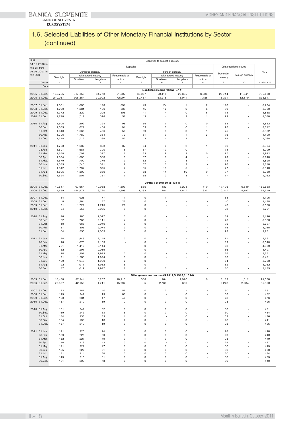# 1.6. Selected Liabilities of Other Monetary Financial Institutions by Sector (continued)

| Until                         | Liabilities to domestic sectors |                                           |                  |                                            |                                            |                                                        |                            |                                |                  |                        |                    |
|-------------------------------|---------------------------------|-------------------------------------------|------------------|--------------------------------------------|--------------------------------------------|--------------------------------------------------------|----------------------------|--------------------------------|------------------|------------------------|--------------------|
| 31.12.2006 in                 |                                 |                                           |                  | Deposits                                   |                                            |                                                        |                            |                                |                  | Debt securities issued |                    |
| mio SIT from<br>01.01.2007 in |                                 |                                           |                  |                                            |                                            | Foreign currency                                       |                            |                                |                  |                        |                    |
| mio EUR                       |                                 | Domestic currency<br>With agreed maturity |                  | Reedemable at                              |                                            | With agreed maturity                                   |                            | Reedemable at                  | Domestic         | Foreign currency       | Total              |
|                               | Overnight                       | Short-term                                | Long-term        | notice                                     | Ovemight                                   | Short-term                                             | Long-term                  | notice                         | currency         |                        |                    |
| Column                        | $\mathbf 1$                     | $\,$                                      | 3                | $\overline{4}$                             | $\mathbf 5$                                | 6                                                      | $\scriptstyle{7}$          | 8                              | 9                | 10                     | $11 = 3 +  + 10$   |
| Code                          |                                 |                                           |                  |                                            |                                            |                                                        |                            |                                |                  |                        |                    |
|                               |                                 |                                           |                  |                                            |                                            | Non-financial corporations (S.11)                      |                            |                                |                  |                        |                    |
| 2005 31.Dec.<br>2006 31.Dec.  | 185,785<br>219,967              | 317,159<br>305,864                        | 34,773<br>30,992 | 51,807<br>72,094                           | 85,077<br>89,487                           | 53,414<br>63,215                                       | 22,685<br>18,941           | 6,835<br>7,486                 | 26,714<br>18,331 | 11,241<br>12,170       | 795,490<br>838,547 |
|                               |                                 |                                           |                  |                                            |                                            |                                                        |                            |                                |                  |                        |                    |
| 2007 31.Dec.                  | 1,301                           | 1,800                                     | 126              | 351                                        | 49                                         | 24                                                     | $\overline{1}$             | $\overline{\mathfrak{c}}$      | 116              | $\overline{a}$         | 3,774              |
| 2008 31.Dec.                  | 1,250                           | 1,881                                     | 166              | 339                                        | 45                                         | 12                                                     | $\mathsf{O}$               | 8                              | 99               |                        | 3,800              |
| 2009 31.Dec.                  | 1,372                           | 1,829                                     | 225              | 306                                        | 41                                         | 14                                                     | $\mathsf{O}$               | 6                              | 74               |                        | 3,868              |
| 2010 31.Dec.                  | 1,748                           | 1,712                                     | 396              | 52                                         | 43                                         | $\overline{4}$                                         | $\sqrt{2}$                 | $\mathbf{1}$                   | 79               | ä,                     | 4,038              |
| 2010 31.Aug.                  | 1,600                           | 1,592                                     | 394              | 98                                         | 56                                         | $\overline{7}$                                         | $\circ$                    | $\mathsf{O}\xspace$            | 84               |                        | 3,832              |
| 30.Sep.                       | 1,585                           | 1,621                                     | 404              | 91                                         | 53                                         | 10                                                     | $\mathsf{O}$               | $\mathbf{1}$                   | 75               |                        | 3,842              |
| 31.Oct.                       | 1,618                           | 1,665                                     | 406              | 50                                         | 59                                         | 8                                                      | $\mathsf{O}$               | $\mathbf{1}$                   | 75               | ä,                     | 3,882              |
| 30.Nov.                       | 1,726                           | 1,780                                     | 384              | 72                                         | 51                                         | 9                                                      | $\overline{1}$             | $\sqrt{2}$                     | 75               | ä,                     | 4,100              |
| 31.Dec.                       | 1,748                           | 1,712                                     | 396              | 52                                         | 43                                         | $\sqrt{4}$                                             | $\overline{c}$             | $\mathbf{1}$                   | 79               | Ĭ.                     | 4,038              |
| 2011 31.Jan.                  | 1,703                           | 1,637                                     | 383              | 37                                         | 54                                         | 6                                                      | $\sqrt{2}$                 | $\mathbf{1}$                   | 80               |                        | 3,904              |
| 28.Feb                        | 1,691                           | 1,681                                     | 390              | 5                                          | 57                                         | 10                                                     | $\mathsf{O}$               |                                | 74               |                        | 3,909              |
| 31.Mar.                       | 1,658                           | 1,707                                     | 397              | 6                                          | 63                                         | $\mathsf g$                                            | $\ensuremath{\mathsf{3}}$  | $\mathsf{O}\xspace$            | 77               |                        | 3,922              |
| 30.Apr.                       | 1,674                           | 1,690                                     | 380              | 5                                          | 67                                         | 10                                                     | $\overline{4}$             |                                | 79               | ä,                     | 3,910              |
| 31.May.                       | 1,579                           | 1,702                                     | 379              | $\mathbf 9$                                | 62                                         | 12                                                     | $\ensuremath{\mathsf{3}}$  |                                | 74               |                        | 3,820              |
| 30.Jun.                       | 1,575                           | 1,740                                     | 371<br>375       | $\overline{7}$<br>$\overline{7}$           | 67<br>65                                   | 10<br>13                                               | 3<br>5                     |                                | 76<br>77         |                        | 3,848<br>3,948     |
| 31.Jul.<br>31.Aug.            | 1,612<br>1,605                  | 1,794<br>1,800                            | 380              | $\overline{7}$                             | 68                                         | 11                                                     | 10                         | $\mathsf O$                    | 77               |                        | 3,960              |
| 30.Sep.                       | 1,624                           | 1,901                                     | 351              | $\overline{7}$                             | 58                                         | 10                                                     | $\ensuremath{\mathsf{3}}$  |                                | 77               | ä,                     | 4,032              |
|                               |                                 |                                           |                  |                                            |                                            |                                                        |                            |                                |                  |                        |                    |
|                               |                                 |                                           |                  |                                            |                                            | Central government (S.1311)                            |                            |                                |                  |                        |                    |
| 2005 31.Dec.<br>2006 31.Dec.  | 12,647<br>4,659                 | 97,654<br>154,577                         | 12,958<br>16,720 | 1,609<br>2,998                             | 865<br>1,283                               | 432<br>704                                             | 3,223<br>1,647             | 410<br>627                     | 17,106<br>10,347 | 5,649<br>4,187         | 152,553<br>197,749 |
|                               |                                 |                                           |                  |                                            |                                            |                                                        |                            |                                |                  |                        |                    |
| 2007 31.Dec.                  | 34                              | 928                                       | 77               | 11                                         | $\mathsf{O}\xspace$                        | $\mathbf{1}$                                           |                            |                                | 53               | Ĭ.                     | 1,105              |
| 2008 31.Dec.                  | 8                               | 1,364                                     | 37               | 22                                         | $\mathsf{O}\xspace$                        |                                                        |                            |                                | 40               |                        | 1,470              |
| 2009 31.Dec.                  | 71                              | 1,722                                     | 1,715            | 29                                         | $\mathsf{O}\xspace$                        | ł,                                                     |                            |                                | 43               |                        | 3,580              |
| 2010 31.Dec.                  | 64                              | 555                                       | 2,055            | 3                                          | $\circ$                                    |                                                        |                            |                                | 73               | Ĭ.                     | 2,751              |
| 2010 31.Aug.                  | 46                              | 985                                       | 2,097            | 5                                          | $\mathsf{O}\xspace$                        |                                                        |                            |                                | 64               | Ĭ.                     | 3,196              |
| 30.Sep.                       | 62                              | 769                                       | 2,111            | $\sqrt{4}$                                 | $\circ$                                    |                                                        |                            |                                | 76               |                        | 3,023              |
| 31.Oct.                       | 10                              | 668                                       | 2,040            | 3                                          | $\mathsf{O}\xspace$                        |                                                        |                            |                                | 75               |                        | 2,797              |
| 30.Nov.                       | 57                              | 805                                       | 2,074            | 3                                          | $\mathsf{O}\xspace$                        |                                                        |                            |                                | 75               |                        | 3,015              |
| 31.Dec.                       | 64                              | 555                                       | 2,055            | 3                                          | $\mathsf{O}\xspace$                        |                                                        |                            |                                | 73               | $\overline{a}$         | 2,751              |
| 2011 31.Jan.                  | 90                              | 1,448                                     | 2,148            | 3                                          | $\mathsf{O}\xspace$                        |                                                        |                            |                                | 71               |                        | 3,761              |
| 28.Feb                        | 16                              | 1,073                                     | 2,153            | ä,                                         | 0                                          |                                                        |                            |                                | 69               | ä,                     | 3,310              |
| 31.Mar.                       | 701                             | 1,416                                     | 2,144            | ÷,                                         | $\circ$                                    |                                                        |                            |                                | 68               |                        | 4,329              |
| 30.Apr.                       | 32                              | 1,291                                     | 2,019            |                                            | $\mathsf{O}\xspace$                        |                                                        |                            |                                | 66               |                        | 3,407              |
| 31.May.                       | 10                              | 1,201                                     | 1,973            | $\mathsf O$                                | $\circ$                                    |                                                        |                            |                                | 66               |                        | 3,251              |
| 30.Jun.<br>31.Jul.            | 91<br>109                       | 1,288<br>1,047                            | 1,974<br>1,980   | 3<br>$\overline{c}$                        | 0<br>$\circ$                               |                                                        |                            |                                | 66<br>64         |                        | 3,421<br>3,203     |
| 31.Aug.                       | 22                              | 1,011                                     | 1,982            | 6                                          | $\mathsf{O}\xspace$                        | ä,                                                     |                            |                                | 62               | ä,                     | 3,082              |
| 30.Sep.                       | 77                              | 1,019                                     | 1,977            | $\overline{\mathbf{c}}$                    | $\circ$                                    | $\mathsf 0$                                            |                            |                                | 60               | Ĭ.                     | 3,135              |
|                               |                                 |                                           |                  |                                            |                                            |                                                        |                            |                                |                  |                        |                    |
| 2005 31.Dec.                  | 18,488                          | 37,244                                    | 8,257            | 18,215                                     | 386                                        | Other government sectors (S.1312,S.1313,S.1314)<br>264 | 1,020                      | 0                              | 6,182            | 1,612                  | 91,668             |
| 2006 31.Dec.                  | 20,507                          | 42,158                                    | 4,711            | 15,994                                     | 5                                          | 2,763                                                  | 696                        | $\overline{\phantom{a}}$       | 6,243            | 2,284                  | 95,363             |
|                               |                                 |                                           |                  |                                            |                                            |                                                        |                            |                                |                  |                        |                    |
| 2007 31.Dec.                  | 122                             | 281                                       | 40               | 57                                         | $\mathsf{O}\xspace$                        | 2                                                      |                            |                                | 50               | Ĭ.                     | 551                |
| 2008 31.Dec.                  | 119                             | 247                                       | 19               | 60                                         | $\mathsf{O}\xspace$                        | ÷,                                                     | $\mathsf{O}$               |                                | 36               | l,                     | 482                |
| 2009 31.Dec.<br>2010 31.Dec.  | 123<br>157                      | 231<br>219                                | 47<br>19         | 46<br>0                                    | $\mathsf{O}\xspace$<br>$\mathsf{O}\xspace$ | ÷<br>$\mathsf{O}\xspace$                               | $\mathsf O$<br>$\mathsf O$ | $\overline{\phantom{a}}$<br>÷, | 28<br>28         | $\overline{a}$<br>÷,   | 476<br>425         |
|                               |                                 |                                           |                  |                                            |                                            |                                                        |                            |                                |                  |                        |                    |
| 2010 31.Aug.                  | 151                             | 242                                       | 32               | 6                                          | $\mathsf{O}\xspace$                        | $\mathsf{O}\xspace$                                    | $\mathsf{O}$               | $\sim$                         | 30               | $\sim$                 | 461                |
| 30.Sep.                       | 169                             | 243                                       | 33               | 8                                          | 0                                          | $\mathsf{O}\xspace$                                    | $\mathsf O$                | ÷,                             | 30               | $\overline{a}$         | 484                |
| 31.Oct.                       | 174                             | 236                                       | 33               | 1                                          | $\mathsf{O}\xspace$                        | ÷                                                      | $\mathsf O$                | ÷,                             | 32               | $\overline{a}$         | 476                |
| 30.Nov.<br>31.Dec.            | 164<br>157                      | 199                                       | 18<br>19         | $\boldsymbol{2}$<br>$\mathsf{O}\xspace$    | $\mathsf{O}\xspace$<br>0                   | ÷,<br>$\mathsf{O}\xspace$                              | $\circ$<br>$\mathsf O$     | ÷,<br>$\ddot{\phantom{0}}$     | 28<br>28         | ÷,<br>÷,               | 411<br>425         |
|                               |                                 | 219                                       |                  |                                            |                                            |                                                        |                            |                                |                  |                        |                    |
| 2011 31.Jan.                  | 141                             | 225                                       | 24               | $\mathsf{O}\xspace$                        | 0                                          | $\mathsf 0$                                            | $\mathsf O$                | $\sim$                         | 28               | ÷,                     | 418                |
| 28.Feb.                       | 139                             | 225                                       | 50               | $\circ$                                    | 0                                          | $\mathsf{O}\xspace$                                    | $\mathsf O$                | ÷,                             | 29               | $\overline{a}$         | 443                |
| 31.Mar.                       | 152                             | 227                                       | 40               | $\mathsf{O}\xspace$                        | 1                                          | $\mathsf{O}\xspace$                                    | $\mathsf O$                |                                | 28               | $\overline{a}$         | 449                |
| 30.Apr.                       | 146                             | 219                                       | 42               | $\circ$                                    | $\mathsf{O}\xspace$                        | Ĭ.                                                     | $\mathsf O$                |                                | 29               | ÷,                     | 437                |
| 31.May.<br>30.Jun.            | 121<br>135                      | 221<br>222                                | 47<br>51         | $\mathsf{O}\xspace$<br>$\mathsf{O}\xspace$ | 0<br>0                                     | 0<br>0                                                 | 0<br>$\mathsf O$           | $\overline{a}$<br>$\sim$       | 30<br>30         | ÷,<br>÷,               | 419<br>438         |
| 31.Jul.                       | 131                             | 214                                       | 60               | $\mathsf{O}\xspace$                        | 0                                          | $\mathsf{O}\xspace$                                    | $\mathsf{O}$               | $\sim$                         | 30               | ä,                     | 434                |
| 31.Aug.                       | 149                             | 215                                       | 61               | $\mathsf{O}\xspace$                        | 0                                          | $\mathsf{O}\xspace$                                    | $\mathsf{O}\xspace$        | $\overline{\phantom{a}}$       | 30               | ÷,                     | 455                |
| 30.Sep.                       | 131                             | 200                                       | 78               | $\circ$                                    | 0                                          | 0                                                      | $\mathsf O$                | ÷,                             | 30               | ÷,                     | 440                |
|                               |                                 |                                           |                  |                                            |                                            |                                                        |                            |                                |                  |                        |                    |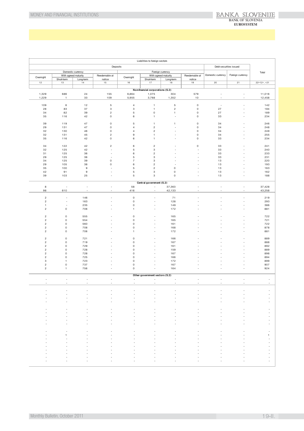|                              |                                            |                                                  |                                       |                                                                   | Liabilities to foreign sectors                    |                                            |                                          | Debt securities issued                                                                                                       |                             |                   |
|------------------------------|--------------------------------------------|--------------------------------------------------|---------------------------------------|-------------------------------------------------------------------|---------------------------------------------------|--------------------------------------------|------------------------------------------|------------------------------------------------------------------------------------------------------------------------------|-----------------------------|-------------------|
|                              |                                            |                                                  | Deposits                              |                                                                   |                                                   |                                            |                                          |                                                                                                                              |                             |                   |
| Ovemight                     | With agreed maturity                       | Domestic currency                                | Reedemable at                         | Ovemight                                                          |                                                   | Foreign currency<br>With agreed maturity   | Reedemable at                            | Domestic currency                                                                                                            | Foreign currency            | Total             |
| 12                           | Short-term<br>13                           | Long-term<br>14                                  | notice<br>15                          | $16\,$                                                            | Short-term<br>17                                  | Long-term<br>$18\,$                        | notice<br>19                             | 20                                                                                                                           | 21                          | $22 - 12 +  + 21$ |
|                              |                                            |                                                  |                                       |                                                                   |                                                   |                                            |                                          |                                                                                                                              |                             |                   |
|                              |                                            |                                                  |                                       |                                                                   | Non-financial corporations (S.2)                  |                                            |                                          |                                                                                                                              |                             |                   |
| 1,329                        | 686                                        | 24                                               | 155                                   | 6,864                                                             | 1,075                                             | 304                                        | 579                                      | $\overline{a}$                                                                                                               | Ĭ.                          | 11,016            |
| 1,229                        | $\mathbf{1}$                               | 33                                               | 109                                   | 5,955                                                             | 3,768                                             | 1,352                                      | 10                                       | ÷,                                                                                                                           | Ĭ.                          | 12,458            |
| 109                          | 6                                          | 12                                               | $\sqrt{5}$                            | $\overline{4}$                                                    | 1                                                 | $\mathbf 5$                                | $\mathsf{O}$                             | ÷,                                                                                                                           | ÷,                          | 142               |
| 28                           | 83                                         | 37                                               | $_{\rm 3}$                            | 3                                                                 | 1                                                 | $\sqrt{2}$                                 | $\mathsf{O}\xspace$                      | 27                                                                                                                           | $\ddot{\phantom{a}}$        | 184               |
| 34                           | 82                                         | 39                                               | $\overline{\mathbf{c}}$               | $\mathbf 5$                                                       | $\mathsf{O}\xspace$                               | 1                                          | $\mathsf{O}\xspace$                      | 27                                                                                                                           | ä,                          | 189               |
| 35                           | 116                                        | 42                                               | $\mathsf{O}$                          | 6                                                                 | 1                                                 | ł,                                         | $\mathsf{o}$                             | 33                                                                                                                           | ÷,                          | 234               |
| 39                           | 119                                        | 47                                               | $\circ$                               | 5                                                                 | $\mathbf{1}$                                      | 1                                          | $\mathsf{o}$                             | 34                                                                                                                           |                             | 246               |
| 29                           | 131                                        | 47                                               | $\mathsf{O}\xspace$                   | $\sqrt{4}$                                                        | $\overline{\mathbf{c}}$                           |                                            | $\mathsf O$                              | 34                                                                                                                           | L,                          | 248               |
| 32                           | 130                                        | 46                                               | $\mathsf{O}$                          | $\sqrt{4}$                                                        | $\mathbf 2$                                       |                                            | $\mathsf{O}\xspace$                      | 34                                                                                                                           |                             | 249               |
| 32                           | 131                                        | 45                                               | $\overline{c}$                        | $\mathbf 9$                                                       | 1                                                 |                                            | $\mathsf{O}\xspace$                      | 34                                                                                                                           | ä,                          | 255               |
| 35                           | 116                                        | 42                                               | $\mathsf{O}$                          | 6                                                                 | 1                                                 |                                            | $\mathsf{o}$                             | 33                                                                                                                           | ÷,                          | 234               |
| 34                           | 122                                        | 42                                               | $\overline{c}$                        | 6                                                                 | $\overline{c}$                                    |                                            | $\mathsf O$                              | 33                                                                                                                           | Ĭ.                          | 241               |
| 32                           | 125                                        | 42                                               | ÷                                     | $\mathbf 5$                                                       | 3                                                 |                                            | $\sim$                                   | 33                                                                                                                           | L,                          | 240               |
| 31                           | 125                                        | 36                                               |                                       | 6                                                                 | $\mathbf 2$                                       |                                            | $\sim$                                   | 33                                                                                                                           |                             | 233               |
| 29                           | 125                                        | 36                                               | $\overline{\phantom{a}}$              | $\mathbf 5$                                                       | 3                                                 |                                            | $\sim$                                   | 33                                                                                                                           | ä,                          | 231               |
| 34<br>29                     | 125<br>105                                 | 39<br>38                                         | $\mathsf{O}\xspace$<br>$\circ$        | $\overline{\mathfrak{c}}$<br>6                                    | 3<br>$\overline{c}$                               |                                            |                                          | 13<br>13                                                                                                                     |                             | 220<br>193        |
| 35                           | 100                                        | 9                                                |                                       | $\sqrt{5}$                                                        | $\overline{c}$                                    | 0                                          |                                          | 13                                                                                                                           |                             | 163               |
| 42                           | 91                                         | $\mathsf g$                                      |                                       | $\sqrt{5}$                                                        | 3                                                 | 0                                          |                                          | 13                                                                                                                           | J,                          | 162               |
| 39                           | 103                                        | 25                                               | $\sim$                                | $\sqrt{5}$                                                        | 3                                                 | $\mathsf{O}\xspace$                        | $\sim$                                   | 13                                                                                                                           | ÷,                          | 188               |
|                              |                                            |                                                  |                                       |                                                                   | Central government (S.2)                          |                                            |                                          |                                                                                                                              |                             |                   |
| 8                            | ÷,                                         | ÷                                                | ÷,                                    | 58                                                                | 37,363<br>÷                                       |                                            | ÷,                                       | ÷,                                                                                                                           | ÷,                          | 37,428            |
| 98                           | 610                                        | ÷,                                               | ÷                                     | 416                                                               | $\sim$                                            | 42,133                                     | ÷,                                       | $\overline{a}$                                                                                                               | ÷,                          | 43,258            |
|                              |                                            |                                                  |                                       |                                                                   |                                                   |                                            |                                          |                                                                                                                              |                             |                   |
| $\sqrt{2}$<br>$\sqrt{2}$     | $\overline{\phantom{a}}$<br>÷,             | 146<br>163                                       |                                       | $\mathsf{O}\xspace$<br>$\mathsf{O}\xspace$                        | $\sim$                                            | 71<br>128                                  | $\sim$                                   |                                                                                                                              | ä,                          | 219<br>293        |
| $\mathbf{1}$                 | $\overline{\phantom{a}}$                   | 235                                              |                                       | $\mathsf 0$                                                       | ٠                                                 | 149                                        | $\sim$                                   |                                                                                                                              |                             | 386               |
| $\overline{c}$               | $\mathsf 0$                                | 706                                              |                                       | $\mathbf{1}$                                                      | $\overline{\phantom{a}}$                          | 172                                        |                                          |                                                                                                                              | Ĭ.                          | 881               |
|                              |                                            |                                                  |                                       |                                                                   |                                                   |                                            |                                          |                                                                                                                              |                             |                   |
| $\sqrt{2}$                   | $\mathsf{O}\xspace$                        | 555                                              |                                       | $\mathsf 0$                                                       | ÷                                                 | 165                                        |                                          |                                                                                                                              |                             | 722               |
| $\sqrt{2}$<br>$\overline{c}$ | $\mathsf{O}\xspace$<br>$\mathsf{O}\xspace$ | 554<br>560                                       |                                       | $\mathsf{O}\xspace$<br>$\mathsf 0$                                | ä,                                                | 165<br>161                                 |                                          |                                                                                                                              |                             | 721<br>722        |
| $\overline{c}$               | $\mathsf{O}\xspace$                        | 708                                              |                                       | $\mathsf{O}\xspace$                                               | ä,                                                | 168                                        |                                          |                                                                                                                              |                             | 878               |
| $\overline{c}$               | $\mathsf{O}\xspace$                        | 706                                              |                                       | 1                                                                 | ÷                                                 | 172                                        |                                          |                                                                                                                              | Ĭ.                          | 881               |
|                              |                                            |                                                  |                                       |                                                                   |                                                   |                                            |                                          |                                                                                                                              |                             |                   |
| $\sqrt{2}$<br>$\sqrt{2}$     | $\mathsf{O}\xspace$<br>$\mathsf{O}\xspace$ | 721<br>719                                       |                                       | $\mathsf 0$<br>$\mathsf{O}\xspace$                                | ٠                                                 | 166<br>167                                 |                                          |                                                                                                                              |                             | 889<br>888        |
| $\sqrt{2}$                   | $\mathsf{O}\xspace$                        | 729                                              |                                       | $\mathsf{O}\xspace$                                               |                                                   | 161                                        |                                          |                                                                                                                              |                             | 892               |
| $\sqrt{2}$                   | $\mathsf{O}\xspace$                        | 728                                              |                                       | $\mathsf 0$                                                       |                                                   | 159                                        |                                          |                                                                                                                              |                             | 889               |
| $\overline{c}$               | $\mathsf{O}\xspace$                        | 728                                              |                                       | $\mathsf{O}\xspace$                                               |                                                   | 167                                        |                                          |                                                                                                                              |                             | 898               |
| $\sqrt{2}$                   | $\mathsf{O}\xspace$                        | 725                                              |                                       | $\mathsf{O}\xspace$                                               | ÷                                                 | 166                                        |                                          |                                                                                                                              |                             | 894               |
| 3<br>$\sqrt{2}$              | 1<br>$\mathsf{O}\xspace$                   | 723<br>737                                       |                                       | $\mathsf{O}\xspace$<br>$\mathsf{O}\xspace$                        | $\sim$                                            | 172<br>167                                 | $\sim$                                   | ÷,                                                                                                                           | ä,                          | 899<br>907        |
| $\overline{\mathbf{c}}$      | $\mathbf{1}$                               | 756                                              |                                       | $\mathsf{O}\xspace$                                               |                                                   | 164                                        | $\sim$                                   | J.                                                                                                                           | ä,                          | 924               |
|                              |                                            |                                                  |                                       |                                                                   |                                                   |                                            |                                          |                                                                                                                              |                             |                   |
| $\sim$                       | ÷,                                         | ł,                                               | $\sim$                                | ÷,                                                                | Other government sectors (S.2)<br>ä,              | ä,                                         | $\sim$                                   | $\overline{\phantom{a}}$                                                                                                     | ÷,                          | $\sim$            |
| $\overline{\phantom{a}}$     |                                            | L.                                               |                                       | $\sim$                                                            | ÷,                                                | ÷,                                         | $\overline{a}$                           | $\overline{a}$                                                                                                               | $\overline{a}$              | ÷,                |
|                              |                                            |                                                  |                                       |                                                                   |                                                   |                                            |                                          |                                                                                                                              |                             |                   |
|                              | $\sim$                                     |                                                  |                                       |                                                                   |                                                   |                                            |                                          |                                                                                                                              |                             |                   |
|                              | $\omega$                                   | $\sim$                                           | $\sim$                                |                                                                   |                                                   |                                            |                                          |                                                                                                                              |                             |                   |
|                              | $\omega$                                   | $\omega$                                         | $\omega$ .                            | $\omega_{\rm c}$                                                  | ä,                                                | $\omega$                                   | $\omega$                                 |                                                                                                                              |                             |                   |
|                              |                                            |                                                  |                                       |                                                                   |                                                   |                                            |                                          |                                                                                                                              |                             |                   |
|                              |                                            | $\sigma_{\rm{max}}$ and<br>$\sigma_{\rm{max}}$ . |                                       | $\sigma_{\rm{max}}$<br>$\frac{1}{2} \left( \frac{1}{2} \right)$ . | $\frac{1}{2} \left( \frac{1}{2} \right)$          |                                            | $\frac{1}{2} \left( \frac{1}{2} \right)$ | $\frac{1}{2} \left( \frac{1}{2} \right)$ , $\frac{1}{2} \left( \frac{1}{2} \right)$<br>$\frac{1}{2} \frac{1}{2} \frac{1}{2}$ | $\sigma_{\rm{max}}$         |                   |
|                              | $\sim$                                     | $\omega_{\rm{eff}}$                              | $\omega_{\rm{eff}}$                   |                                                                   |                                                   |                                            |                                          |                                                                                                                              | $\sim$                      |                   |
|                              | $\omega$<br>$\omega$                       | ÷,<br>÷.                                         | $\mathbb{Z}^{\mathbb{Z}}$<br>$\omega$ | $\sim$                                                            | $\omega_{\rm c}$<br>÷.                            | $\mathcal{L}_{\mathcal{A}}$                | ä,                                       | $\omega$                                                                                                                     |                             |                   |
|                              | $\sim$                                     | $\sim$                                           | $\omega_{\rm c}$                      | $\omega_{\rm{eff}}$                                               | $\omega_{\rm{max}}$                               | $\omega$                                   | $\Box$                                   | ä,                                                                                                                           | ÷.                          |                   |
|                              |                                            |                                                  |                                       |                                                                   |                                                   |                                            |                                          |                                                                                                                              |                             |                   |
|                              | $\sim$                                     | $\sim$                                           | <b>All Contracts</b>                  | $\sim$                                                            | $\frac{1}{2}$ and $\frac{1}{2}$ and $\frac{1}{2}$ | $\sigma_{\rm{max}}$                        | $\Delta \sim 10^{11}$ m $^{-1}$          | $\sigma_{\rm{max}}$ and                                                                                                      | $\sim$                      |                   |
|                              | $1 -$                                      | $\mathbb{R}^d$<br>÷,                             | $\frac{1}{2}$ .                       | $\frac{1}{2}$                                                     | $\frac{1}{2}$ .                                   | $\omega_{\rm{max}}$<br>$\omega_{\rm{max}}$ | $\Delta \sim 100$<br>÷.                  | $\omega_{\rm{max}}$                                                                                                          | $\mathcal{L}_{\mathcal{A}}$ | $\mathbf{1}$      |
|                              | $\sim$                                     | $\blacksquare$                                   | $\omega_{\rm{max}}$                   |                                                                   |                                                   |                                            |                                          | $\mathbb{R}^d$                                                                                                               |                             |                   |
|                              | $\sim$                                     | $\sim$                                           | $\sim 10^{-11}$                       | $\sim$                                                            | $\omega_{\rm c}$                                  | $\omega_{\rm{eff}}$                        | $\omega_{\rm{max}}$                      | ÷.                                                                                                                           |                             |                   |
|                              | $\sim$                                     | $\sim$                                           | $\sim$                                | $\sim$                                                            | $\sim$                                            | $\sim$                                     | $\omega_{\rm{eff}}$                      | $\sim$                                                                                                                       | ÷.                          |                   |
|                              |                                            | $\blacksquare$                                   | $\sim$                                |                                                                   |                                                   |                                            |                                          |                                                                                                                              |                             |                   |
|                              |                                            |                                                  |                                       |                                                                   |                                                   |                                            |                                          |                                                                                                                              |                             |                   |
|                              |                                            |                                                  |                                       |                                                                   |                                                   |                                            |                                          |                                                                                                                              |                             |                   |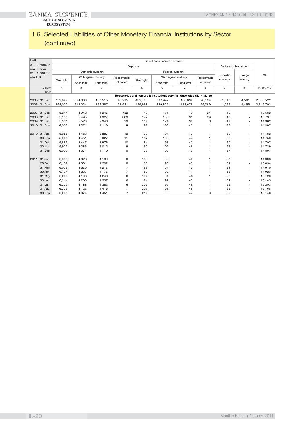# 1.6. Selected Liabilities of Other Monetary Financial Institutions by Sector (continued)

| Until        |               |          |                |                      |                |           | Liabilities to domestic sectors |                                                                        |              |                      |                        |            |
|--------------|---------------|----------|----------------|----------------------|----------------|-----------|---------------------------------|------------------------------------------------------------------------|--------------|----------------------|------------------------|------------|
|              | 31.12.2006 in |          |                |                      |                |           |                                 |                                                                        |              |                      |                        |            |
| mio SIT from |               |          |                |                      |                | Deposits  |                                 |                                                                        |              |                      | Debt securities issued |            |
|              | 01.01.2007 in |          |                | Domestic currency    |                |           |                                 | Foreign currency                                                       |              |                      |                        |            |
| mio EUR      |               |          |                | With agreed maturity | Reedemable     |           |                                 | With agreed maturity                                                   | Reedemable   | Domestic<br>currency | Foreign<br>currency    | Total      |
|              |               | Ovemight | Short-term     | Long-term            | at notice      | Overnight | Short-term                      | Long-term                                                              | at notice    |                      |                        |            |
|              | Column        | 1        | $\overline{2}$ | 3                    | $\overline{4}$ | 5         | 6                               | $\overline{7}$                                                         | 8            | 9                    | 10                     | $11=3++10$ |
|              | Code          |          |                |                      |                |           |                                 |                                                                        |              |                      |                        |            |
|              |               |          |                |                      |                |           |                                 | Households and non-profit institutions serving households (S.14, S.15) |              |                      |                        |            |
|              | 2005 31.Dec.  | 752,894  | 624,063        | 157,515              | 46,215         | 432,783   | 397,997                         | 108,039                                                                | 28,124       | 1,310                | 4,581                  | 2,553,522  |
|              | 2006 31.Dec.  | 894.073  | 613,034        | 162,287              | 51,521         | 429,998   | 449,825                         | 113,676                                                                | 29,769       | 1,065                | 4,455                  | 2,749,703  |
|              |               |          |                |                      |                |           |                                 |                                                                        |              |                      |                        |            |
|              | 2007 31.Dec.  | 5,244    | 4,942          | 1,246                | 732            | 143       | 171                             | 40                                                                     | 24           | 40                   |                        | 12,582     |
|              | 2008 31.Dec.  | 5,103    | 5,495          | 1,927                | 809            | 147       | 150                             | 31                                                                     | 29           | 48                   |                        | 13,737     |
|              | 2009 31.Dec.  | 5,501    | 5,526          | 2,943                | 29             | 154       | 124                             | 32                                                                     | 3            | 49                   |                        | 14,362     |
|              | 2010 31.Dec.  | 6,003    | 4,371          | 4,110                | 9              | 197       | 102                             | 47                                                                     | $\mathbf{1}$ | 57                   |                        | 14,897     |
|              |               |          |                |                      |                |           |                                 |                                                                        |              |                      |                        |            |
|              | 2010 31.Aug.  | 5,985    | 4,483          | 3,887                | 12             | 197       | 107                             | 47                                                                     | 1            | 62                   |                        | 14,782     |
|              | 30.Sep.       | 5,966    | 4,451          | 3,927                | 11             | 187       | 100                             | 44                                                                     | 1            | 62                   | ۰                      | 14,750     |
|              | 31.Oct.       | 5,889    | 4,447          | 3,976                | 10             | 184       | 98                              | 42                                                                     |              | 60                   |                        | 14.707     |
|              | 30.Nov.       | 5,933    | 4,386          | 4,012                | 9              | 190       | 102                             | 46                                                                     |              | 59                   |                        | 14.739     |
|              | 31.Dec.       | 6,003    | 4,371          | 4,110                | 9              | 197       | 102                             | 47                                                                     | 1            | 57                   |                        | 14,897     |
|              |               |          |                |                      |                |           |                                 |                                                                        |              |                      |                        |            |
| 2011         | 31.Jan.       | 6,083    | 4,328          | 4,189                | 9              | 188       | 98                              | 46                                                                     |              | 57                   |                        | 14,998     |
|              | 28.Feb.       | 6,109    | 4,331          | 4,202                | 8              | 188       | 98                              | 43                                                                     |              | 54                   |                        | 15,034     |
|              | 31.Mar.       | 6,078    | 4,260          | 4,215                | $\overline{7}$ | 185       | 97                              | 42                                                                     |              | 54                   | ٠                      | 14,940     |
|              | 30.Apr.       | 6,134    | 4,237          | 4,176                | $\overline{7}$ | 183       | 92                              | 41                                                                     |              | 53                   | ٠                      | 14,923     |
|              | 31.Mav.       | 6,296    | 4.193          | 4,240                | 6              | 194       | 94                              | 43                                                                     |              | 53                   | ٠                      | 15.120     |
|              | 30.Jun.       | 6,214    | 4,203          | 4,337                | 6              | 194       | 92                              | 43                                                                     |              | 54                   |                        | 15,145     |
|              | 31.Jul.       | 6,223    | 4,188          | 4,383                | 6              | 205       | 95                              | 46                                                                     |              | 55                   |                        | 15,203     |
|              | 31.Aug.       | 6,225    | 4,123          | 4,415                | $\overline{7}$ | 203       | 93                              | 46                                                                     |              | 55                   |                        | 15,168     |
|              | 30.Sep.       | 6,203    | 4,074          | 4,451                | $\overline{7}$ | 214       | 95                              | 47                                                                     | 0            | 55                   |                        | 15,146     |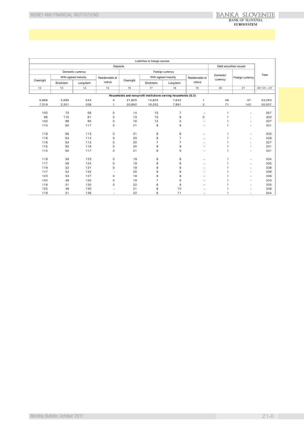|          |            |                      |                          |          | Liabilities to foreign sectors |                                                                 |                |              |                          |             |
|----------|------------|----------------------|--------------------------|----------|--------------------------------|-----------------------------------------------------------------|----------------|--------------|--------------------------|-------------|
|          |            |                      | Deposits                 |          |                                |                                                                 |                |              | Debt securities issued   |             |
|          |            | Domestic currency    |                          |          |                                | Foreign currency                                                |                |              |                          |             |
|          |            | With agreed maturity | Reedemable at            |          |                                | With agreed maturity                                            | Reedemable at  | Domestic     | Foreign currency         | Total       |
| Ovemight | Short-term | Long-term            | notice                   | Ovemight | Short-term                     | Long-term                                                       | notice         | currency     |                          |             |
| 12       | 13         | 14                   | 15                       | 16       | 17                             | 18                                                              | 19             | 20           | 21                       | $22=12++21$ |
|          |            |                      |                          |          |                                |                                                                 |                |              |                          |             |
|          |            |                      |                          |          |                                | Households and non-profit institutions serving households (S.2) |                |              |                          |             |
| 5,688    | 2,695      | 543                  | 0                        | 21.805   | 14,803                         | 7,642                                                           | $\mathbf{1}$   | 48           | 37                       | 53,263      |
| 7,319    | 2,301      | 338                  | 1                        | 20,692   | 16,252                         | 7,891                                                           | $\overline{c}$ | 71           | 142                      | 55,007      |
|          |            |                      |                          |          |                                |                                                                 |                |              |                          |             |
| 100      | 75         | 56                   | 0                        | 14       | 15                             | $\overline{7}$                                                  | ٠              | 1            | ۰                        | 267         |
| 96       | 110        | 61                   | 0                        | 13       | 15                             | 6                                                               | $\circ$        | 1            | ٠                        | 302         |
| 100      | 99         | 95                   | 0                        | 16       | 12                             | 5                                                               |                | 1            | ٠                        | 327         |
| 115      | 60         | 117                  | 0                        | 21       | 8                              | $\overline{9}$                                                  | ٠              | $\mathbf{1}$ | ٠                        | 331         |
| 119      | 66         | 113                  | 0                        | 21       | 8                              | 8                                                               | ٠              | 1            | ٠                        | 335         |
| 116      | 64         | 114                  | 0                        | 20       | 8                              | $\overline{7}$                                                  | ä,             | $\mathbf{1}$ | ٠                        | 329         |
| 116      | 64         | 112                  | 0                        | 20       | $\overline{7}$                 | $\overline{7}$                                                  |                |              | ٠                        | 327         |
| 115      | 62         | 116                  | 0                        | 20       | 9                              | 9                                                               |                | $\mathbf{1}$ | ٠                        | 331         |
| 115      | 60         | 117                  | 0                        | 21       | 8                              | 9                                                               | ٠              | $\mathbf{1}$ | ٠                        | 331         |
|          |            |                      |                          |          |                                |                                                                 |                |              |                          |             |
| 119      | 56         | 123                  | 0                        | 19       | 9                              | 8                                                               | ٠              | 1            | ٠                        | 334         |
| 117      | 58         | 124                  | 0                        | 19       | 8                              | 9                                                               | ٠              | $\mathbf{1}$ | ۰                        | 335         |
| 119      | 52         | 131                  | 0                        | 19       | 8                              | 8                                                               | ä,             |              | ÷                        | 338         |
| 117      | 52         | 132                  | ٠                        | 20       | 8                              | 8                                                               | ٠              | 1            | ٠                        | 336         |
| 123      | 53         | 127                  | 0                        | 19       | 8                              | 8                                                               |                |              | ٠                        | 339         |
| 120      | 48         | 130                  | 0                        | 19       | $\overline{7}$                 | 9                                                               | ۰              |              | $\sim$                   | 333         |
| 118      | 51         | 130                  | 0                        | 22       | 6                              | 9                                                               |                |              | $\overline{\phantom{a}}$ | 335         |
| 122      | 49         | 130                  |                          | 21       | 6                              | 10                                                              |                |              | ٠                        | 338         |
| 119      | 51         | 136                  | $\overline{\phantom{a}}$ | 22       | 6                              | 11                                                              | ٠              |              | ٠                        | 344         |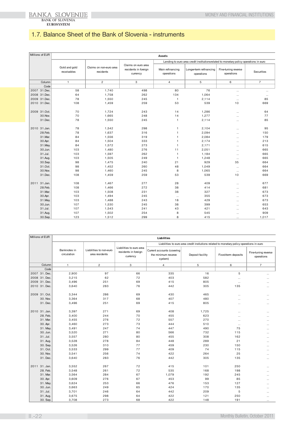**EUROSYSTEM**

#### 1.7. Balance Sheet of the Bank of Slovenia - instruments

| Millions of EUR |                              |                                      |                                                         | Assets                         |                                                                                       |                                   |                |  |  |  |
|-----------------|------------------------------|--------------------------------------|---------------------------------------------------------|--------------------------------|---------------------------------------------------------------------------------------|-----------------------------------|----------------|--|--|--|
|                 |                              |                                      |                                                         |                                | Lending to euro area credit institutionsrelated to monetary policy operations in euro |                                   |                |  |  |  |
|                 | Gold and gold<br>receivables | Claims on non-euro area<br>residents | Claims on euro area<br>residents in foreign<br>currency | Main refinancing<br>operations | Longer-term refinancing<br>operations                                                 | Fine-tuning reverse<br>operations | Securities     |  |  |  |
| Column          | $\mathbf{1}$                 | $\overline{c}$                       | 3                                                       | $\overline{4}$                 | 5                                                                                     | 6                                 | $\overline{7}$ |  |  |  |
| Code            |                              |                                      |                                                         |                                |                                                                                       |                                   |                |  |  |  |
| 2007 31.Dec.    | 58                           | 1,740                                | 498                                                     | 80                             | 76                                                                                    | $\cdots$                          | $\cdots$       |  |  |  |
| 2008 31.Dec.    | 64                           | 1,758                                | 262                                                     | 134                            | 1,064                                                                                 | $\cdots$                          | $\cdots$       |  |  |  |
| 2009 31.Dec.    | 78                           | 1,550                                | 245                                                     | $\mathbf{1}$                   | 2,114                                                                                 | $\cdots$                          | 85             |  |  |  |
| 2010 31.Dec.    | 108                          | 1,459                                | 259                                                     | 53                             | 539                                                                                   | 10                                | 669            |  |  |  |
| 2009 31.Oct.    | 70                           | 1,724                                | 243                                                     | 14                             | 1,286                                                                                 | $\cdots$                          | 64             |  |  |  |
| 30.Nov.         | 70                           | 1,665                                | 248                                                     | 14                             | 1,277                                                                                 |                                   | 77             |  |  |  |
| 31.Dec.         | 78                           | 1,550                                | 245                                                     | $\mathbf{1}$                   | 2,114                                                                                 | $\cdots$                          | 85             |  |  |  |
| 2010 31.Jan.    | 78                           | 1,542                                | 298                                                     | $\mathbf{1}$                   | 2,104                                                                                 | $\cdots$                          | 95             |  |  |  |
| 28.Feb.         | 78                           | 1,637                                | 316                                                     | $\mathbf{1}$                   | 2,094                                                                                 | $\cdots$                          | 150            |  |  |  |
| 31.Mar.         | 84                           | 1,556                                | 319                                                     | $\mathbf{1}$                   | 2,084                                                                                 |                                   | 179            |  |  |  |
| 30.Apr.         | 84                           | 1,504                                | 333                                                     | $\mathbf{1}$                   | 2,174                                                                                 |                                   | 213            |  |  |  |
| 31.May.         | 84                           | 1,572                                | 273                                                     | $\mathbf{1}$                   | 2,171                                                                                 | $\cdots$                          | 615            |  |  |  |
| 30.Jun.         | 103                          | 1,480                                | 276                                                     | 11                             | 2,051                                                                                 |                                   | 665            |  |  |  |
| 31.Jul.         | 103                          | 1,597                                | 262                                                     | $\mathbf{1}$                   | 1,184                                                                                 | $\cdots$                          | 665            |  |  |  |
| 31.Aug.         | 103                          | 1,505                                | 249                                                     | $\mathbf{1}$                   | 1,248                                                                                 | $\cdots$                          | 665            |  |  |  |
| 30.Sep.         | 98                           | 1,475                                | 240                                                     | 21                             | 929                                                                                   | 35                                | 664            |  |  |  |
| 31.Oct.         | 98                           | 1,452                                | 260                                                     | 48                             | 1,049                                                                                 | $\cdots$                          | 664            |  |  |  |
| 30.Nov.         | 98                           | 1,460                                | 245                                                     | 8                              | 1,065                                                                                 | $\cdots$                          | 664            |  |  |  |
| 31.Dec.         | 108                          | 1,459                                | 259                                                     | 53                             | 539                                                                                   | 10                                | 669            |  |  |  |
| 2011 31.Jan.    | 108                          | 1,467                                | 277                                                     | 28                             | 409                                                                                   | $\cdots$                          | 677            |  |  |  |
| 28.Feb.         | 108                          | 1,466                                | 272                                                     | 38                             | 414                                                                                   | $\cdots$                          | 681            |  |  |  |
| 31.Mar.         | 103                          | 1,508                                | 231                                                     | 38                             | 327                                                                                   |                                   | 673            |  |  |  |
| 30.Apr.         | 103                          | 1,494                                | 245                                                     | $\cdots$                       | 355                                                                                   | $\cdots$                          | 673            |  |  |  |
| 31.May.         | 103                          | 1,488                                | 243                                                     | 18                             | 429                                                                                   | $\cdots$                          | 673            |  |  |  |
| 30.Jun.         | 107                          | 1,530                                | 245                                                     | 38                             | 399                                                                                   | $\cdots$                          | 653            |  |  |  |
| 31.Jul.         | 107                          | 1,543                                | 241                                                     | 43                             | 421                                                                                   | $\cdots$                          | 643            |  |  |  |
| 31.Aug.         | 107                          | 1,502                                | 254                                                     | 8                              | 545                                                                                   | $\cdots$                          | 909            |  |  |  |
| 30.Sep.         | 123                          | 1,512                                | 299                                                     | 8                              | 415                                                                                   | $\cdots$                          | 1,017          |  |  |  |

| Millions of EUR |          |                             |                                           |                                                              | Liabilities                                                  |                                                                                           |                     |                                   |
|-----------------|----------|-----------------------------|-------------------------------------------|--------------------------------------------------------------|--------------------------------------------------------------|-------------------------------------------------------------------------------------------|---------------------|-----------------------------------|
|                 |          |                             |                                           |                                                              |                                                              | Liabilities to euro area credit instiutions related to monetary policy operations in euro |                     |                                   |
|                 |          | Banknotes in<br>circulation | Liabilities to non-euro<br>area residents | Liabilities to euro area<br>residents in foreign<br>currency | Current accounts (covering<br>the minimum reserve<br>system) | Deposit facility                                                                          | Fixed-term deposits | Fine-tuning reverse<br>operations |
|                 | Column   | $\mathbf{1}$                | $\overline{c}$                            | 3                                                            | $\overline{4}$                                               | 5                                                                                         | 6                   | $\overline{7}$                    |
|                 | Code     |                             |                                           |                                                              |                                                              |                                                                                           |                     |                                   |
| 2007 31. Dec.   |          | 2,900                       | 97                                        | 66                                                           | 335                                                          | 16                                                                                        | 5                   | $\cdots$                          |
| 2008 31. Dec.   |          | 3,215                       | 62                                        | 72                                                           | 403                                                          | 582                                                                                       | $\cdots$            | $\cdots$                          |
| 2009 31. Dec.   |          | 3,496                       | 251                                       | 69                                                           | 415                                                          | 805                                                                                       | $\cdots$            |                                   |
| 2010 31. Dec.   |          | 3,640                       | 283                                       | 76                                                           | 442                                                          | 305                                                                                       | 135                 |                                   |
|                 |          |                             |                                           |                                                              |                                                              |                                                                                           |                     |                                   |
| 2009 31. Oct.   |          | 3,344                       | 286                                       | 69                                                           | 430                                                          | 465                                                                                       | $\cdots$            |                                   |
|                 | 30, Nov. | 3,364                       | 317                                       | 68                                                           | 407                                                          | 480                                                                                       | $\cdots$            |                                   |
|                 | 31. Dec. | 3,496                       | 251                                       | 69                                                           | 415                                                          | 805                                                                                       | $\cdots$            |                                   |
|                 |          |                             |                                           |                                                              |                                                              |                                                                                           |                     |                                   |
| 2010 31. Jan.   |          | 3,397                       | 271                                       | 69                                                           | 408                                                          | 1,725                                                                                     | $\cdots$            |                                   |
|                 | 28. Feb. | 3,400                       | 244                                       | 70                                                           | 455                                                          | 623                                                                                       |                     |                                   |
|                 | 31. Mar. | 3,455                       | 276                                       | 72                                                           | 557                                                          | 270                                                                                       | $\cdots$            |                                   |
|                 | 30. Apr. | 3,460                       | 273                                       | 73                                                           | 444                                                          | 510                                                                                       | $\cdots$            | $\cdots$                          |
|                 | 31. May. | 3,491                       | 247                                       | 74                                                           | 447                                                          | 490                                                                                       | 75                  |                                   |
|                 | 30. Jun. | 3,520                       | 271                                       | 80                                                           | 566                                                          | 732                                                                                       | 115                 | $\cdots$                          |
|                 | 31. Jul. | 3,557                       | 280                                       | 80                                                           | 455                                                          | 308                                                                                       | 162                 |                                   |
|                 | 31. Aug. | 3,528                       | 278                                       | 84                                                           | 448                                                          | 289                                                                                       | 21                  | $\cdots$                          |
|                 | 30. Sep. | 3,526                       | 310                                       | 77                                                           | 459                                                          | 230                                                                                       | 150                 |                                   |
|                 | 31. Oct. | 3,533                       | 299                                       | 77                                                           | 409                                                          | 74                                                                                        | 115                 |                                   |
|                 | 30. Nov. | 3,541                       | 256                                       | 74                                                           | 422                                                          | 264                                                                                       | 25                  |                                   |
|                 | 31. Dec. | 3,640                       | 283                                       | 76                                                           | 442                                                          | 305                                                                                       | 135                 |                                   |
|                 |          |                             |                                           |                                                              |                                                              |                                                                                           |                     |                                   |
| 2011 31. Jan.   |          | 3,552                       | 267                                       | 72                                                           | 415                                                          | 101                                                                                       | 250                 |                                   |
|                 | 28. Feb. | 3,548                       | 261                                       | 72                                                           | 535                                                          | 168                                                                                       | 198                 | $\cdots$                          |
|                 | 31. Mar. | 3,564                       | 284                                       | 67                                                           | 1,079                                                        | 192                                                                                       | 245                 | $\cdots$                          |
|                 | 30. Apr. | 3,609                       | 276                                       | 67                                                           | 453                                                          | 99                                                                                        | 85                  | $\cdots$                          |
|                 | 31. May. | 3,624                       | 253                                       | 66                                                           | 476                                                          | 153                                                                                       | 127                 |                                   |
|                 | 30. Jun. | 3,663                       | 249                                       | 65                                                           | 424                                                          | 170                                                                                       | 135                 | $\cdots$                          |
|                 | 31. Jul. | 3,701                       | 246                                       | 64                                                           | 442                                                          | 209                                                                                       | $\,$ 5              |                                   |
|                 | 31. Aug. | 3,675                       | 298                                       | 64                                                           | 422                                                          | 121                                                                                       | 250                 |                                   |
|                 | 30. Sep. | 3,708                       | 273                                       | 68                                                           | 422                                                          | 148                                                                                       | 191                 | $\cdots$                          |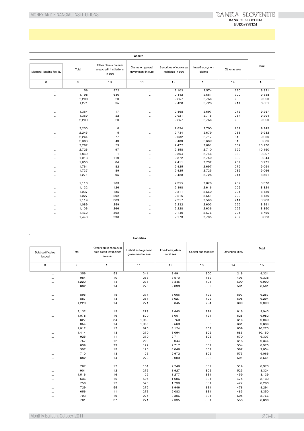| Assets                    |       |                                                                                                        |          |                                              |                            |     |        |  |  |  |  |
|---------------------------|-------|--------------------------------------------------------------------------------------------------------|----------|----------------------------------------------|----------------------------|-----|--------|--|--|--|--|
| Marginal lending facility | Total | Other claims on euro<br>Claims on general<br>area credit institutions<br>government in euro<br>in euro |          | Securities of euro area<br>residents in euro | Intra-Eurosystem<br>claims |     | Total  |  |  |  |  |
| 8                         | 9     | 10                                                                                                     | 11       | 12                                           | 13                         | 14  | 15     |  |  |  |  |
|                           |       |                                                                                                        |          |                                              |                            |     |        |  |  |  |  |
| $\cdots$                  | 156   | 972                                                                                                    |          | 2,103                                        | 2,574                      | 220 | 8,321  |  |  |  |  |
| $\cdots$                  | 1,198 | 636                                                                                                    | $\cdots$ | 2,442                                        | 2,651                      | 329 | 9,338  |  |  |  |  |
| $\cdots$                  | 2,200 | 20                                                                                                     | $\cdots$ | 2,857                                        | 2,756                      | 283 | 9,990  |  |  |  |  |
| $\cdots$                  | 1,271 | 95                                                                                                     | $\cdots$ | 2,428                                        | 2,728                      | 214 | 8,561  |  |  |  |  |
|                           |       |                                                                                                        |          |                                              |                            |     |        |  |  |  |  |
| $\cdots$                  | 1,364 | 17                                                                                                     |          | 2,868                                        | 2,697                      | 275 | 9,257  |  |  |  |  |
| $\cdots$                  | 1,369 | 22                                                                                                     |          | 2,921                                        | 2,715                      | 284 | 9,294  |  |  |  |  |
| $\cdots$                  | 2,200 | 20                                                                                                     | $\cdots$ | 2,857                                        | 2,756                      | 283 | 9,990  |  |  |  |  |
|                           |       |                                                                                                        |          |                                              |                            |     |        |  |  |  |  |
| $\cdots$                  | 2,200 | 8                                                                                                      |          | 2,834                                        | 2,700                      | 282 | 9,943  |  |  |  |  |
| $\cdots$                  | 2,245 | 5                                                                                                      |          | 2,734                                        | 2,679                      | 288 | 9,982  |  |  |  |  |
| $\cdots$                  | 2,264 | 77                                                                                                     |          | 2,632                                        | 2,717                      | 310 | 9,960  |  |  |  |  |
| $\cdots$                  | 2,388 | 49                                                                                                     |          | 2,489                                        | 2,680                      | 310 | 9,836  |  |  |  |  |
| $\cdots$                  | 2,787 | 59                                                                                                     |          | 2,472                                        | 2,691                      | 332 | 10,270 |  |  |  |  |
| $\cdots$                  | 2,726 | 97                                                                                                     | $\cdots$ | 2,358                                        | 2,710                      | 399 | 10,150 |  |  |  |  |
| $\cdots$                  | 1,849 | $\mathbf{1}$                                                                                           | $\cdots$ | 2,364                                        | 2,746                      | 383 | 9,307  |  |  |  |  |
| $\cdots$                  | 1,913 | 119                                                                                                    |          | 2,372                                        | 2,750                      | 332 | 9,344  |  |  |  |  |
| $\cdots$                  | 1,650 | 84                                                                                                     |          | 2,411                                        | 2,732                      | 284 | 8,975  |  |  |  |  |
| $\cdots$                  | 1,761 | 82                                                                                                     |          | 2,425                                        | 2,697                      | 279 | 9,054  |  |  |  |  |
| $\cdots$                  | 1,737 | 89                                                                                                     | $\cdots$ | 2,425                                        | 2,725                      | 286 | 9,066  |  |  |  |  |
| $\cdots$                  | 1,271 | 95                                                                                                     | $\cdots$ | 2,428                                        | 2,728                      | 214 | 8,561  |  |  |  |  |
|                           |       |                                                                                                        |          |                                              |                            |     |        |  |  |  |  |
| $\cdots$                  | 1,113 | 163                                                                                                    | $\cdots$ | 2,355                                        | 2,678                      | 209 | 8,370  |  |  |  |  |
| $\cdots$                  | 1,132 | 126                                                                                                    | $\cdots$ | 2,398                                        | 2,616                      | 206 | 8,324  |  |  |  |  |
|                           | 1,037 | 185                                                                                                    |          | 2,311                                        | 2,560                      | 204 | 8,139  |  |  |  |  |
| $\cdots$                  | 1,027 | 292                                                                                                    | $\cdots$ | 2,216                                        | 2,551                      | 202 | 8,130  |  |  |  |  |
| $\cdots$                  | 1,119 | 309                                                                                                    |          | 2,217                                        | 2,590                      | 214 | 8,283  |  |  |  |  |
| $\cdots$                  | 1,089 | 259                                                                                                    | $\cdots$ | 2,232                                        | 2,603                      | 225 | 8,291  |  |  |  |  |
| $\cdots$                  | 1,106 | 266                                                                                                    | $\cdots$ | 2,228                                        | 2,636                      | 222 | 8,350  |  |  |  |  |
| $\cdots$                  | 1,462 | 392                                                                                                    |          | 2,140                                        | 2,676                      | 234 | 8,766  |  |  |  |  |
| $\cdots$                  | 1,440 | 296                                                                                                    | $\cdots$ | 2,173                                        | 2,705                      | 287 | 8,836  |  |  |  |  |

| Liabilities                 |                |                                                                  |                                              |                                 |                      |                   |        |  |  |  |  |  |
|-----------------------------|----------------|------------------------------------------------------------------|----------------------------------------------|---------------------------------|----------------------|-------------------|--------|--|--|--|--|--|
| Debt certificates<br>issued | Total          | Other liabilities to euro<br>area credit institutions<br>in euro | Liabilities to general<br>government in euro | Intra-Eurosystem<br>liabilities | Capital and reserves | Other liabilities | Total  |  |  |  |  |  |
| 8                           | $\overline{9}$ | 10                                                               | 11                                           | 12                              | 13                   | 14                | 15     |  |  |  |  |  |
|                             |                |                                                                  |                                              |                                 |                      |                   |        |  |  |  |  |  |
| $\ldots$                    | 356            | 53                                                               | 341                                          | 3,491                           | 800                  | 218               | 8,321  |  |  |  |  |  |
| $\cdots$                    | 984            | 10                                                               | 268                                          | 3,570                           | 752                  | 406               | 9,338  |  |  |  |  |  |
| $\cdots$                    | 1,220          | 14                                                               | 271                                          | 3,345                           | 724                  | 600               | 9,990  |  |  |  |  |  |
|                             | 882            |                                                                  | 270                                          | 2,093                           | 802                  | 501               | 8,561  |  |  |  |  |  |
|                             |                |                                                                  |                                              |                                 |                      |                   |        |  |  |  |  |  |
| $\cdots$                    | 895            | 15                                                               | 277                                          | 3,056                           | 722                  | 593               | 9,257  |  |  |  |  |  |
| $\cdots$                    | 887            | 13                                                               | 287                                          | 3,027                           | 722                  | 608               | 9,294  |  |  |  |  |  |
| $\cdots$                    | 1,220          | 14                                                               | 271                                          | 3,345                           | 724                  | 600               | 9,990  |  |  |  |  |  |
|                             |                |                                                                  |                                              |                                 |                      |                   |        |  |  |  |  |  |
| $\cdots$                    | 2,132          | 13                                                               | 279                                          | 2,440                           | 724                  | 618               | 9,943  |  |  |  |  |  |
| $\cdots$                    | 1,078          | 16                                                               | 820                                          | 3,001                           | 724                  | 628               | 9,982  |  |  |  |  |  |
| $\cdots$                    | 827            | 84                                                               | 1,069                                        | 2,759                           | 802                  | 616               | 9,960  |  |  |  |  |  |
| $\cdots$                    | 954            | 14                                                               | 1,066<br>2,563                               |                                 | 802                  | 631               | 9,836  |  |  |  |  |  |
|                             | 1,012          | 12                                                               | 870                                          | 3,124                           | 802                  | 639               | 10,270 |  |  |  |  |  |
|                             | 1,414          | 13                                                               | 270                                          | 3,094                           | 802                  | 686               | 10,150 |  |  |  |  |  |
| $\cdots$                    | 925            | 11                                                               | 270                                          | 2,711                           | 802                  | 670               | 9,307  |  |  |  |  |  |
| $\cdots$                    | 757            | 12                                                               | 220                                          | 3,044                           | 802                  | 618               | 9,344  |  |  |  |  |  |
| $\cdots$                    | 839            | 29                                                               | 122                                          | 2,717                           | 802                  | 554               | 8,975  |  |  |  |  |  |
| $\cdots$                    | 597            | 13                                                               | 120                                          | 3,046                           | 802                  | 567               | 9,054  |  |  |  |  |  |
| $\cdots$                    | 710            | 13                                                               | 123                                          | 2,972                           | 802                  | 575               | 9,066  |  |  |  |  |  |
| $\cdots$                    | 882            | 14                                                               | 270                                          | 2,093                           | 802                  | 501               | 8,561  |  |  |  |  |  |
|                             |                |                                                                  |                                              |                                 |                      |                   |        |  |  |  |  |  |
|                             | 767            | 12                                                               | 131                                          | 2,248                           | 802                  | 519               | 8,370  |  |  |  |  |  |
|                             | 901            | 12                                                               | 276                                          | 1,927                           | 802                  | 525               | 8,324  |  |  |  |  |  |
| $\cdots$                    | 1,516          | 16                                                               | 125                                          | 1,277                           | 831                  | 459               | 8,139  |  |  |  |  |  |
| $\cdots$                    | 636            | 16                                                               | 524                                          | 1,696                           | 831                  | 475               | 8,130  |  |  |  |  |  |
| $\cdots$                    | 756            | 12                                                               | 525                                          | 1,739                           | 831                  | 477               | 8,283  |  |  |  |  |  |
| $\cdots$                    | 729            | 55                                                               | 275                                          | 1,946                           | 831                  | 478               | 8,291  |  |  |  |  |  |
| $\cdots$                    | 656            | 11                                                               | 273                                          | 2,083                           | 831                  | 485               | 8,350  |  |  |  |  |  |
| $\cdots$                    | 793            | 19                                                               | 275                                          | 2,306                           | 831                  | 505               | 8,766  |  |  |  |  |  |
|                             | 761            | 37                                                               | 271                                          | 2,335                           | 831                  | 553               | 8,836  |  |  |  |  |  |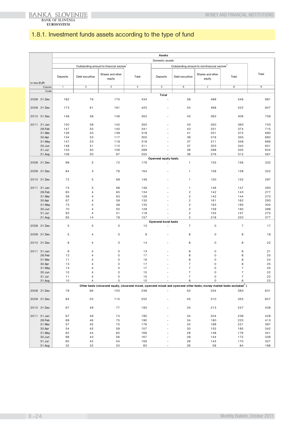**EUROSYSTEM**

## 1.8.1. Investment funds assets according to the type of fund

|            |             |                |                         |                                         |                | Assets                   |                 |                                                          |                                                                                                                                     |                |  |  |
|------------|-------------|----------------|-------------------------|-----------------------------------------|----------------|--------------------------|-----------------|----------------------------------------------------------|-------------------------------------------------------------------------------------------------------------------------------------|----------------|--|--|
|            |             |                |                         |                                         |                | Domestic assets          |                 |                                                          |                                                                                                                                     |                |  |  |
|            |             |                |                         | Outstanding amount to financial sectors |                |                          |                 | Outstanding amount to non-financial sectors <sup>2</sup> |                                                                                                                                     |                |  |  |
|            |             |                |                         |                                         |                |                          |                 |                                                          |                                                                                                                                     |                |  |  |
|            |             | Deposits       | Debt securities         | Shares and other<br>equity              | Total          | Deposits                 | Debt securities | Shares and other<br>equity                               | Total                                                                                                                               | Total          |  |  |
| in mio EUR | Column      | $\overline{1}$ | $\overline{2}$          | $\overline{\mathbf{3}}$                 | $\overline{4}$ | $\overline{5}$           | $\overline{6}$  | $\overline{7}$                                           | $\overline{8}$                                                                                                                      | $\overline{9}$ |  |  |
|            | Code        |                |                         |                                         |                |                          |                 |                                                          |                                                                                                                                     |                |  |  |
|            |             |                |                         |                                         |                | Total                    |                 |                                                          |                                                                                                                                     |                |  |  |
|            | 2008 31.Dec | 182            | 76                      | 175                                     | 434            |                          | 58              | 489                                                      | 546                                                                                                                                 | 981            |  |  |
|            | 2009 31.Dec | 173            | 61                      | 191                                     | 425            |                          | 54              | 468                                                      | 522                                                                                                                                 | 947            |  |  |
|            | 2010 31.Dec | 148            | 58                      | 146                                     | 352            |                          | 43              | 363                                                      | 406                                                                                                                                 | 759            |  |  |
|            | 2011 31.Jan | 150            | 58                      | 142                                     | 350            |                          | 43              | 350                                                      | 393                                                                                                                                 | 743            |  |  |
|            | 28.Feb      | 147            | 55                      | 140                                     | 341            |                          | 43              | 331                                                      | 374                                                                                                                                 | 715            |  |  |
|            | 31.Mar      | 126            | 53                      | 139                                     | 318            |                          | 41              | 331                                                      | 372                                                                                                                                 | 690            |  |  |
|            | 30.Apr      | 134            | 53                      | 117                                     | 305            |                          | 39              | 316                                                      | 355                                                                                                                                 | 660            |  |  |
|            | 31.May      | 147            | 53                      | 118                                     | 318            |                          | 37              | 311                                                      | 348                                                                                                                                 | 666            |  |  |
|            | 30.Jun      | 148            | 51                      | 112                                     | 311            |                          | 37              | 303                                                      | 340                                                                                                                                 | 651            |  |  |
|            |             |                | 50                      |                                         | 289            |                          | 36              |                                                          | 335                                                                                                                                 | 624            |  |  |
|            | $31$ .Jul   | 133            |                         | 106                                     |                |                          |                 | 298                                                      |                                                                                                                                     |                |  |  |
|            | 31.Aug      | 108            | 50                      | 97                                      | 255            |                          | 36              | 276                                                      | 312                                                                                                                                 | 567            |  |  |
|            | 2008 31.Dec | 99             | $\,$ 5 $\,$             | 72                                      | 176            | Open-end equity funds    | $\mathbf{1}$    | 155                                                      | 156                                                                                                                                 | 332            |  |  |
|            | 2009 31.Dec | 84             | 3                       | 76                                      | 164            |                          | $\mathbf{1}$    | 158                                                      | 158                                                                                                                                 | 322            |  |  |
|            | 2010 31.Dec | 72             | 5                       | 69                                      | 146            |                          | $\mathbf{1}$    | 150                                                      | 152                                                                                                                                 | 297            |  |  |
|            | 2011 31.Jan | 74             | 5                       | 68                                      | 146            |                          | $\mathbf{1}$    | 146                                                      | 147                                                                                                                                 | 293            |  |  |
|            | 28.Feb      | 65             | 4                       | 65                                      | 134            |                          | $\sqrt{2}$      | 142                                                      | 143                                                                                                                                 | 277            |  |  |
|            |             |                |                         |                                         |                |                          |                 |                                                          |                                                                                                                                     |                |  |  |
|            | 31.Mar      | 59             | 4                       | 63                                      | 126            |                          | $\sqrt{2}$      | 142                                                      | 144                                                                                                                                 | 270            |  |  |
|            | 30.Apr      | 67             | 4                       | 59                                      | 130            |                          | $\sqrt{2}$      | 161                                                      | 162                                                                                                                                 | 293            |  |  |
|            | 31.May      | 73             | 4                       | 58                                      | 135            |                          | $\sqrt{2}$      | 163                                                      | 165                                                                                                                                 | 300            |  |  |
|            | 30.Jun      | 70             | 4                       | 55                                      | 129            |                          | $\sqrt{2}$      | 159                                                      | 160                                                                                                                                 | 289            |  |  |
|            | 31.Jul      | 63             | 4                       | 51                                      | 118            |                          | $\sqrt{2}$      | 155                                                      | 157                                                                                                                                 | 275            |  |  |
|            | 31.Aug      | 65             | 14                      | 78                                      | 157            |                          | $\overline{c}$  | 218                                                      | 220                                                                                                                                 | 377            |  |  |
|            |             |                |                         |                                         |                | Open-end bond funds      |                 |                                                          |                                                                                                                                     |                |  |  |
|            | 2008 31.Dec | 5              | 5                       | $\mathsf O$                             | 10             |                          | $\overline{7}$  | $\mathsf O$                                              | $\overline{7}$                                                                                                                      | 17             |  |  |
|            | 2009 31.Dec | 5              | $\overline{4}$          | $\mathsf{O}\xspace$                     | $\mathsf g$    |                          | 8               | $\mathsf O$                                              | 8                                                                                                                                   | 18             |  |  |
|            | 2010 31.Dec | 9              | 4                       | $\mathsf O$                             | 14             |                          | 8               | $\mathsf O$                                              | 8                                                                                                                                   | 22             |  |  |
|            | 2011 31.Jan | 9              | 4                       | 0                                       | 13             |                          | 8               | $\mathsf O$                                              | 8                                                                                                                                   | 21             |  |  |
|            | 28.Feb      | 12             | 4                       | 0                                       | 17             |                          | 8               | $\mathsf O$                                              | 8                                                                                                                                   | 25             |  |  |
|            | 31.Mar      | 11             | 4                       | 0                                       | 16             |                          | 8               | $\circ$                                                  | 8                                                                                                                                   | 24             |  |  |
|            | 30.Apr      | 13             | 4                       | $\circ$                                 | 17             |                          | $\overline{7}$  | $\mathsf O$                                              | 8                                                                                                                                   | 25             |  |  |
|            | 31.May      | 13             | $\overline{4}$          | $\mathsf{O}\xspace$                     | 17             |                          | $\overline{7}$  | $\mathbf 0$                                              | $\overline{7}$                                                                                                                      | 25             |  |  |
|            | 30.Jun      | 10             | 4                       | 0                                       | 15             |                          | $\overline{7}$  | $\circ$                                                  | $\overline{\mathfrak{c}}$                                                                                                           | 22             |  |  |
|            | 31.Jul      | 11             | 4                       | 0                                       | 15             |                          | $\overline{7}$  | $\mathbf 0$                                              | $\overline{7}$                                                                                                                      | 22             |  |  |
|            | 31.Aug      | 10             | $\overline{\mathbf{A}}$ | $\Omega$                                | 15             |                          | 8               | $\Omega$                                                 | 8                                                                                                                                   | 23             |  |  |
|            |             |                |                         |                                         |                |                          |                 |                                                          |                                                                                                                                     |                |  |  |
|            |             |                |                         |                                         |                |                          |                 |                                                          | Other funds (close-end equity, close-end mixed, open-end mixed and open-end other funds; money market funds excluded <sup>3</sup> ) |                |  |  |
|            | 2008 31.Dec | 79             | 66                      | 103                                     | 248            |                          | 50              | 334                                                      | 383                                                                                                                                 | 631            |  |  |
|            | 2009 31.Dec | 84             | 53                      | 115                                     | 252            |                          | $4\,5$          | 310                                                      | 355                                                                                                                                 | 607            |  |  |
|            | 2010 31.Dec | 67             | 49                      | $77\,$                                  | 193            |                          | 34              | 213                                                      | 247                                                                                                                                 | 439            |  |  |
|            | 2011 31.Jan | 67             | 49                      | 74                                      | 190            |                          | 34              | 204                                                      | 238                                                                                                                                 | 428            |  |  |
|            | 28.Feb      | 69             | 46                      | 75                                      | 190            |                          | 34              | 190                                                      | 223                                                                                                                                 | 413            |  |  |
|            | 31.Mar      | 57             | 45                      | 75                                      | 176            |                          | 32              | 189                                                      | 221                                                                                                                                 | 397            |  |  |
|            | 30.Apr      | 54             | 45                      | 59                                      | 157            |                          | 30              | 155                                                      | 185                                                                                                                                 | 342            |  |  |
|            | 31.May      | 62             | 44                      | 60                                      | 166            |                          | 28              | 148                                                      | 176                                                                                                                                 | 341            |  |  |
|            | 30.Jun      | 68             | 43                      | 56                                      | 167            |                          | 28              | 144                                                      | 172                                                                                                                                 | 339            |  |  |
|            |             |                |                         |                                         |                |                          |                 |                                                          |                                                                                                                                     |                |  |  |
|            | $31$ .Jul   | 60             | 42                      | 54                                      | 156            |                          | 28              | 143                                                      | 170                                                                                                                                 | 327            |  |  |
|            | 31.Aug      | 32             | 32                      | 20                                      | 83             | $\overline{\phantom{a}}$ | 26              | 58                                                       | 84                                                                                                                                  | 168            |  |  |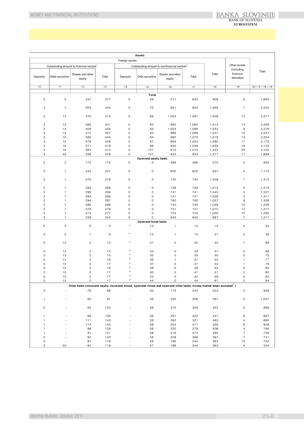|                         | Assets          |                                                                                                                                     |                |                          |                       |                                                          |       |       |                                       |                    |
|-------------------------|-----------------|-------------------------------------------------------------------------------------------------------------------------------------|----------------|--------------------------|-----------------------|----------------------------------------------------------|-------|-------|---------------------------------------|--------------------|
|                         |                 |                                                                                                                                     |                | Foreign assets           |                       |                                                          |       |       |                                       |                    |
|                         |                 | Outstanding amount to financial sectors <sup>1</sup>                                                                                |                |                          |                       | Outstanding amount to non-financial sectors <sup>2</sup> |       |       | Other assets                          |                    |
| Deposits                | Debt securities | Shares and other<br>equity                                                                                                          | Total          | Deposits                 | Debt securities       | Shares and other<br>equity                               | Total | Total | (including<br>financial<br>derivates) | Total              |
| 10                      | 11              | 12                                                                                                                                  | 13             | 14                       | 15                    | 16                                                       | 17    | 18    | 19                                    | $20 = 9 + 18 + 19$ |
|                         |                 |                                                                                                                                     |                |                          |                       |                                                          |       |       |                                       |                    |
|                         |                 |                                                                                                                                     |                |                          | Total                 |                                                          |       |       |                                       |                    |
| $\overline{c}$          | $\,$ 5          | 247                                                                                                                                 | 277            | $\mathsf{O}\xspace$      | 59                    | 571                                                      | 630   | 908   | 6                                     | 1,894              |
| 3                       | $\overline{7}$  | 303                                                                                                                                 | 344            | $\mathsf O$              | 70                    | 851                                                      | 922   | 1,266 | $\boldsymbol{7}$                      | 2,220              |
| $\overline{\mathbf{c}}$ | 13              | 370                                                                                                                                 | 415            | $\mathsf O$              | 89                    | 1,002                                                    | 1,091 | 1,506 | 12                                    | 2,277              |
| $\sqrt{2}$              | 13              | 385                                                                                                                                 | 431            | $\mathsf{O}\xspace$      | 92                    | 990                                                      | 1,082 | 1,513 | 13                                    | 2,269              |
| 3                       | 14              | 409                                                                                                                                 | 456            | $\mathsf{O}\xspace$      | 94                    | 1,003                                                    | 1,096 | 1,552 | 9                                     | 2,276              |
| 3                       | 15              | 410                                                                                                                                 | 457            | $\mathsf{O}\xspace$      | 93                    | 996                                                      | 1,089 | 1,547 | 10                                    | 2,247              |
| 3                       | 15              | 395                                                                                                                                 | 443            | $\mathsf{O}\xspace$      | 94                    | 980                                                      | 1,075 | 1,518 | 13                                    | 2,204              |
| 3                       | 15              | 379                                                                                                                                 | 426            | $\mathsf{O}\xspace$      | 97                    | 956                                                      | 1,053 | 1,480 | 17                                    | 2,175              |
| $\sqrt{2}$              | 16              | 371                                                                                                                                 | 419            | $\mathsf{O}\xspace$      | 99                    | 940                                                      | 1,039 | 1,459 | 19                                    | 2,132              |
|                         |                 |                                                                                                                                     |                | $\mathsf{O}\xspace$      | 101                   |                                                          |       |       |                                       |                    |
| 3                       | 16              | 363                                                                                                                                 | 413            |                          |                       | 910                                                      | 1,010 | 1,422 | 25                                    | 2,100              |
| $\overline{4}$          | 45              | 328                                                                                                                                 | 378            | $\mathsf O$              | 101                   | 832                                                      | 933   | 1,311 | 11                                    | 1,889              |
|                         |                 |                                                                                                                                     |                |                          | Open-end equity funds |                                                          |       |       |                                       |                    |
| $\overline{\mathbf{c}}$ | $\sqrt{2}$      | 172                                                                                                                                 | 175            | $\mathsf{O}\xspace$      | 0                     | 396                                                      | 396   | 570   | $\overline{c}$                        | 905                |
| $\boldsymbol{2}$        | $\mathbf{1}$    | 243                                                                                                                                 | 247            | $\mathsf{O}\xspace$      | $\mathsf{O}\xspace$   | 600                                                      | 600   | 847   | $\overline{\mathbf{4}}$               | 1,173              |
| $\overline{\mathbf{c}}$ | $\mathbf{1}$    | 276                                                                                                                                 | 279            | $\mathsf{O}\xspace$      | $\mathsf O$           | 730                                                      | 730   | 1,009 | $\overline{7}$                        | 1,313              |
| $\boldsymbol{2}$        | $\mathbf{1}$    | 284                                                                                                                                 | 286            | $\mathsf{O}\xspace$      | $\mathsf{O}\xspace$   | 729                                                      | 729   | 1,015 | 5                                     | 1,313              |
| $\sqrt{2}$              | 1               | 296                                                                                                                                 | 299            | $\mathsf{O}\xspace$      | $\mathsf{O}\xspace$   | 741                                                      | 741   | 1,040 | 5                                     | 1,321              |
| $\sqrt{2}$              | 1               | 294                                                                                                                                 | 296            | $\mathsf{O}\xspace$      | 0                     | 741                                                      | 741   | 1,038 | 3                                     | 1,311              |
| $\sqrt{2}$              | $\mathbf{1}$    |                                                                                                                                     | 297            | $\mathsf{O}\xspace$      | 0                     | 760                                                      |       |       | 8                                     | 1,358              |
|                         |                 | 294                                                                                                                                 |                |                          |                       |                                                          | 760   | 1,057 |                                       |                    |
| $\sqrt{2}$              | 1               | 286                                                                                                                                 | 289            | $\mathsf{O}\xspace$      | 0                     | 740                                                      | 740   | 1,029 | 10                                    | 1,339              |
| $\sqrt{2}$              | $\mathbf{1}$    | 276                                                                                                                                 | 279            | $\mathsf{O}\xspace$      | $\mathsf{O}\xspace$   | 731                                                      | 731   | 1,010 | 12                                    | 1,311              |
| $\sqrt{2}$              | $\mathbf{1}$    | 274                                                                                                                                 | 277            | $\mathsf{O}\xspace$      | 0                     | 724                                                      | 724   | 1,000 | 10                                    | 1,285              |
| 3                       | $\mathbf{1}$    | 238                                                                                                                                 | 242            | $\mathsf O$              | 0                     | 645                                                      | 645   | 887   | $\overline{7}$                        | 1,271              |
|                         |                 |                                                                                                                                     |                |                          | Open-end bond funds   |                                                          |       |       |                                       |                    |
| $\mathsf{O}\xspace$     | $\overline{4}$  | $\mathsf{O}\xspace$                                                                                                                 | $\overline{4}$ | $\overline{\phantom{0}}$ | 10                    | $\mathbf{1}$                                             | 10    | 14    | 0                                     | 32                 |
| 0                       | $\,$ 5          | $\mathbf{1}$                                                                                                                        | 6              | $\overline{\phantom{0}}$ | 15                    | $\mathbf{1}$                                             | 15    | 21    | 0                                     | 39                 |
| 0                       | 12              | $\overline{c}$                                                                                                                      | 13             |                          | 31                    | $\mathsf O$                                              | 32    | 45    | $\mathbf{1}$                          | 68                 |
| 0                       | 12              | $\sqrt{2}$                                                                                                                          | 14             |                          | 33                    | $\mathsf O$                                              | 33    | 47    | $\mathsf{O}\xspace$                   | 69                 |
| 0                       | 13              | $\overline{\mathbf{c}}$                                                                                                             | 15             |                          | 35                    | $\mathsf{O}\xspace$                                      | 35    | 50    | $\mathsf{O}\xspace$                   | 75                 |
| 0                       | 14              | $\boldsymbol{2}$                                                                                                                    | 16             |                          | 36                    | $\mathbf{1}$                                             | 37    | 53    | 1                                     | 77                 |
| 0                       | 15              | $\overline{\mathbf{c}}$                                                                                                             | 17             |                          | 37                    | $\mathsf{O}\xspace$                                      | 37    | 53    | 1                                     | 79                 |
| 0                       | 15              | $\boldsymbol{2}$                                                                                                                    | 16             |                          | 39                    | 0                                                        | 39    | 55    | $\mathsf{O}\xspace$                   | 80                 |
| 0                       |                 | $\overline{\mathbf{c}}$                                                                                                             |                |                          |                       |                                                          |       |       | $\mathsf{O}\xspace$                   | 80                 |
|                         | 15              |                                                                                                                                     | 17             |                          | 40                    | $\mathsf O$                                              | 41    | 57    |                                       |                    |
| 0                       | 15              | $\boldsymbol{2}$                                                                                                                    | 17             | $\overline{\phantom{a}}$ | 42                    | $\mathsf{O}\xspace$                                      | 42    | 59    | $\mathsf{O}\xspace$                   | 82                 |
| 0                       | 15              | $\overline{c}$                                                                                                                      | 17             |                          | 44                    | $\mathsf{O}\xspace$                                      | 44    | 61    | $\mathsf{O}\xspace$                   | 84                 |
|                         |                 | Other funds (close-end equity, close-end mixed, open-end mixed and open-end other funds; money market funds excluded <sup>3</sup> ) |                |                          |                       |                                                          |       |       |                                       |                    |
| $\mathsf{O}\xspace$     |                 | 76                                                                                                                                  | 99             |                          | 50                    | 175                                                      | 224   | 323   | 3                                     | 958                |
| 1                       |                 | 60                                                                                                                                  | 91             |                          | 56                    | 250                                                      | 306   | 397   | $\overline{\mathbf{c}}$               | 1,007              |
| 0                       |                 | 92                                                                                                                                  | 123            |                          | 58                    | 272                                                      | 329   | 452   | $\overline{4}$                        | 896                |
| 1                       |                 | 99                                                                                                                                  | 130            |                          | 59                    | 261                                                      | 320   | 451   | 8                                     | 887                |
| 1                       |                 | 111                                                                                                                                 | 143            |                          | 59                    | 262                                                      | 321   | 463   | 4                                     | 880                |
| 1                       |                 | 114                                                                                                                                 | 145            |                          | 58                    | 254                                                      | 311   | 456   | 6                                     | 859                |
|                         |                 |                                                                                                                                     |                |                          |                       |                                                          |       |       |                                       |                    |
| 1                       |                 | 98                                                                                                                                  | 129            |                          | 58                    | 220                                                      | 278   | 408   | $\overline{\mathbf{4}}$               | 766                |
| 1                       |                 | 91                                                                                                                                  | 121            |                          | 58                    | 216                                                      | 274   | 395   | $\overline{7}$                        | 756                |
| 0                       |                 | 92                                                                                                                                  | 123            |                          | 59                    | 209                                                      | 268   | 391   | $\boldsymbol{7}$                      | 741                |
| $\mathsf{O}\xspace$     |                 | 87                                                                                                                                  | 119            |                          | 59                    | 186                                                      | 244   | 363   | 15                                    | 733                |
| $\boldsymbol{2}$        | 30              | 87                                                                                                                                  | 119            |                          | 57                    | 186                                                      | 244   | 363   | $\overline{\mathbf{4}}$               | 534                |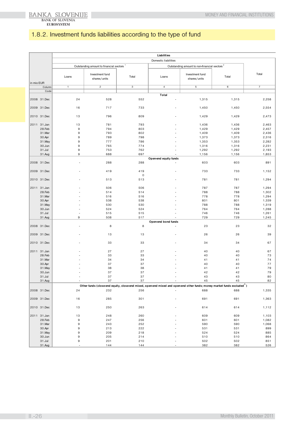#### **EUROSYSTEM**

## 1.8.2. Investment funds liabilities according to the type of fund

|            |                |            |                                                                                                                                     |                | Liabilities           |                                                          |       |                |  |  |
|------------|----------------|------------|-------------------------------------------------------------------------------------------------------------------------------------|----------------|-----------------------|----------------------------------------------------------|-------|----------------|--|--|
|            |                |            |                                                                                                                                     |                |                       |                                                          |       |                |  |  |
|            |                |            |                                                                                                                                     |                | Domestic liabilities  |                                                          |       |                |  |  |
|            |                |            | Outstanding amount to financial sectors                                                                                             |                |                       | Outstanding amount to non-financial sectors <sup>2</sup> |       |                |  |  |
|            |                | Loans      | Investment fund<br>shares/units                                                                                                     | Total          | Loans                 | Investment fund<br>shares/units                          | Total | Total          |  |  |
| in mio EUR |                |            |                                                                                                                                     |                |                       |                                                          |       |                |  |  |
|            | Column<br>Code | 1          | $\overline{2}$                                                                                                                      | $\overline{3}$ | $\overline{4}$        | $\overline{5}$                                           | 6     | $\overline{7}$ |  |  |
|            |                |            |                                                                                                                                     |                | Total                 |                                                          |       |                |  |  |
|            | 2008 31.Dec    | 24         | 528                                                                                                                                 | 552            |                       | 1,315                                                    | 1,315 | 2,258          |  |  |
|            | 2009 31.Dec    | 16         | 717                                                                                                                                 | 733            |                       | 1,450                                                    | 1,450 | 2,554          |  |  |
|            | 2010 31.Dec    | 13         | 796                                                                                                                                 | 809            |                       | 1,429                                                    | 1,429 | 2,473          |  |  |
|            | 2011 31.Jan    | 13         | 781                                                                                                                                 | 793            |                       | 1,436                                                    | 1,436 | 2,463          |  |  |
|            | 28.Feb         | 9          | 794                                                                                                                                 | 803            |                       | 1,429                                                    | 1,429 | 2,457          |  |  |
|            | 31.Mar         | 9          | 793                                                                                                                                 | 802            |                       | 1,409                                                    | 1,409 | 2,436          |  |  |
|            | 30.Apr         | 9          | 789                                                                                                                                 | 798            |                       | 1,373                                                    | 1,373 | 2,316          |  |  |
|            | 31.May         | 9          | 777                                                                                                                                 | 786            |                       | 1,353                                                    | 1,353 | 2,282          |  |  |
|            |                | 9          | 765                                                                                                                                 | 774            |                       |                                                          |       |                |  |  |
|            | 30.Jun         |            |                                                                                                                                     |                |                       | 1,316                                                    | 1,316 | 2,231          |  |  |
|            | $31$ .Jul      | 9          | 753                                                                                                                                 | 762            |                       | 1,292                                                    | 1,292 | 2,193          |  |  |
|            | 31.Aug         | 9          | 688                                                                                                                                 | 697            |                       | 1,156                                                    | 1,156 | 1,853          |  |  |
|            |                |            |                                                                                                                                     |                | Open-end equity funds |                                                          |       |                |  |  |
|            | 2008 31.Dec    |            | 288                                                                                                                                 | 288            |                       | 603                                                      | 603   | 891            |  |  |
|            | 2009 31.Dec    |            | 419                                                                                                                                 | 419<br>0       |                       | 733                                                      | 733   | 1,152          |  |  |
|            | 2010 31.Dec    |            | 513                                                                                                                                 | 513            |                       | 781                                                      | 781   | 1,294          |  |  |
|            | 2011 31.Jan    |            | 506                                                                                                                                 | 506            |                       | 787                                                      | 787   | 1,294          |  |  |
|            | 28.Feb         |            | 514                                                                                                                                 | 514            |                       | 788                                                      | 788   | 1,302          |  |  |
|            | 31.Mar         |            | 516                                                                                                                                 | 516            |                       | 778                                                      | 778   | 1,294          |  |  |
|            | 30.Apr         |            | 538                                                                                                                                 | 538            |                       | 801                                                      | 801   | 1,339          |  |  |
|            | 31.May         |            | 530                                                                                                                                 | 530            |                       | 788                                                      | 788   | 1,319          |  |  |
|            | 30.Jun         |            | 524                                                                                                                                 | 524            |                       | 764                                                      | 764   | 1,288          |  |  |
|            |                |            |                                                                                                                                     |                |                       |                                                          |       |                |  |  |
|            | $31$ .Jul      |            | 515                                                                                                                                 | 515            |                       | 746                                                      | 746   | 1,261          |  |  |
|            | 31.Aug         | 9          | 508                                                                                                                                 | 517            |                       | 729                                                      | 729   | 1,245          |  |  |
|            |                |            |                                                                                                                                     |                | Open-end bond funds   |                                                          |       |                |  |  |
|            | 2008 31.Dec    |            | 8                                                                                                                                   | 8              |                       | 23                                                       | 23    | 32             |  |  |
|            | 2009 31.Dec    |            | 13                                                                                                                                  | 13             |                       | 26                                                       | 26    | 39             |  |  |
|            | 2010 31.Dec    |            | 33                                                                                                                                  | 33             |                       | 34                                                       | 34    | 67             |  |  |
|            | 2011 31.Jan    |            | 27                                                                                                                                  | 27             |                       | 40                                                       | 40    | 67             |  |  |
|            | 28.Feb         |            | 33                                                                                                                                  | 33             |                       | 40                                                       | 40    | 73             |  |  |
|            | 31.Mar         |            | 34                                                                                                                                  | 34             |                       | 41                                                       | 41    | 74             |  |  |
|            | 30.Apr         |            | 37                                                                                                                                  | 37             |                       | 40                                                       | 40    | 77             |  |  |
|            | 31.May         |            | 38                                                                                                                                  | 38             |                       | 41                                                       | 41    | 79             |  |  |
|            | 30.Jun         |            | 37                                                                                                                                  | 37             |                       | 42                                                       | 42    | 79             |  |  |
|            | $31$ .Jul      |            | 37                                                                                                                                  | 37             |                       | 43                                                       | 43    | 80             |  |  |
|            | $31$ . Aug     |            | 37                                                                                                                                  | 37             |                       | 45                                                       | 45    | 82             |  |  |
|            |                |            | Other funds (close-end equity, close-end mixed, open-end mixed and open-end other funds; money market funds excluded <sup>3</sup> ) |                |                       |                                                          |       |                |  |  |
|            |                |            |                                                                                                                                     | 256            |                       | 688                                                      | 688   |                |  |  |
|            | 2008 31.Dec    | 24         | 232                                                                                                                                 |                |                       |                                                          |       | 1,335          |  |  |
|            | 2009 31.Dec    | 16         | 285                                                                                                                                 | 301            |                       | 691                                                      | 691   | 1,363          |  |  |
|            | 2010 31.Dec    | 13         | 250                                                                                                                                 | 263            |                       | 614                                                      | 614   | 1,112          |  |  |
|            | 2011 31.Jan    | 13         | 248                                                                                                                                 | 260            |                       | 609                                                      | 609   | 1,103          |  |  |
|            | 28.Feb         | $\hbox{9}$ | 247                                                                                                                                 | 256            |                       | 601                                                      | 601   | 1,082          |  |  |
|            | 31.Mar         | 9          | 243                                                                                                                                 | 252            |                       | 590                                                      | 590   | 1,068          |  |  |
|            | 30.Apr         | 9          | 213                                                                                                                                 | 222            |                       | 531                                                      | 531   | 899            |  |  |
|            |                |            |                                                                                                                                     |                |                       |                                                          |       |                |  |  |
|            | 31.May         | 9          | 209                                                                                                                                 | 218            |                       | 524                                                      | 524   | 885            |  |  |
|            | 30.Jun         | 9          | 205                                                                                                                                 | 214            |                       | 510                                                      | 510   | 864            |  |  |
|            | $31$ .Jul      | 9          | 201                                                                                                                                 | 210            |                       | 502                                                      | 502   | 851            |  |  |
|            | 31.Aug         |            | 144                                                                                                                                 | 144            |                       | 382                                                      | 382   | 526            |  |  |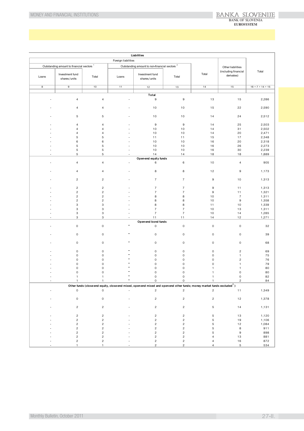|                          |                                                      |                           |                          | Liabilities                                                                                                                         |                         |                           |                                    |                    |
|--------------------------|------------------------------------------------------|---------------------------|--------------------------|-------------------------------------------------------------------------------------------------------------------------------------|-------------------------|---------------------------|------------------------------------|--------------------|
|                          |                                                      |                           | Foreign liabilities      |                                                                                                                                     |                         |                           |                                    |                    |
|                          | Outstanding amount to financial sectors <sup>1</sup> |                           |                          | Outstanding amount to non-financial sectors <sup>2</sup>                                                                            |                         |                           | Other liabilities                  |                    |
| Loans                    | Investment fund<br>shares/units                      | Total                     | Loans                    | Investment fund<br>shares/units                                                                                                     | Total                   | Total                     | (including financial<br>derivates) | Total              |
| $\overline{8}$           | $\overline{9}$                                       | 10                        | 11                       | 12                                                                                                                                  | 13                      | 14                        | 15                                 | $16 = 7 + 14 + 15$ |
|                          |                                                      |                           |                          |                                                                                                                                     |                         |                           |                                    |                    |
|                          |                                                      |                           |                          | Total                                                                                                                               |                         |                           |                                    |                    |
|                          | $\overline{4}$                                       | $\overline{4}$            |                          | $\mathsf g$                                                                                                                         | $\mathsf g$             | 13                        | 15                                 | 2,286              |
|                          | $\overline{4}$                                       | $\overline{\mathbf{4}}$   |                          | 10                                                                                                                                  | 10                      | 15                        | 22                                 | 2,590              |
|                          | 5                                                    | 5                         |                          | 10                                                                                                                                  | 10                      | 14                        | 24                                 | 2,512              |
|                          | $\overline{4}$                                       | $\overline{4}$            |                          | 9                                                                                                                                   | $\mathsf g$             | 14                        | 25                                 | 2,503              |
|                          | 4                                                    | 4                         |                          | 10                                                                                                                                  | 10                      | 14                        | 31                                 | 2,502              |
|                          | $\overline{4}$                                       | $\overline{4}$            |                          | 10                                                                                                                                  | 10                      | 14                        | 20                                 | 2,471              |
|                          | 5                                                    | $\,$ 5 $\,$               |                          | 11                                                                                                                                  | 11                      | 15                        | 17                                 | 2,348              |
|                          |                                                      |                           |                          |                                                                                                                                     |                         |                           |                                    |                    |
|                          | 6                                                    | 6                         |                          | 10                                                                                                                                  | 10                      | 16                        | 20                                 | 2,318              |
|                          | 5                                                    | $\,$ 5 $\,$               |                          | 10                                                                                                                                  | 10                      | 16                        | 26                                 | 2,273              |
|                          | $\,$ 5 $\,$                                          | $\,$ 5 $\,$               |                          | 10                                                                                                                                  | 10                      | 16                        | 30                                 | 2,239              |
|                          | $\,$ 5 $\,$                                          | 5                         | ÷.                       | 14                                                                                                                                  | 14                      | 18                        | 18                                 | 1,889              |
|                          |                                                      |                           |                          | Open-end equity funds                                                                                                               |                         |                           |                                    |                    |
|                          | $\sqrt{4}$                                           | $\ensuremath{\mathsf{4}}$ | $\overline{a}$           | $\,6$                                                                                                                               | $\,6$                   | 10                        | $\overline{4}$                     | 905                |
|                          | $\overline{4}$                                       | $\ensuremath{4}$          | ٠                        | 8                                                                                                                                   | 8                       | 12                        | $\mathsf g$                        | 1,173              |
|                          | $\sqrt{2}$                                           | $\overline{c}$            |                          | $\overline{7}$                                                                                                                      | $\boldsymbol{7}$        | $\mathsf g$               | 10                                 | 1,313              |
|                          | $\sqrt{2}$                                           | $\sqrt{2}$                |                          | $\overline{\mathcal{I}}$                                                                                                            | $\overline{7}$          | $\mathsf g$               | 11                                 | 1,313              |
|                          | $\sqrt{2}$                                           | $\sqrt{2}$                |                          | $\overline{7}$                                                                                                                      | $\overline{7}$          | $\mathsf 9$               | 11                                 | 1,321              |
|                          | $\sqrt{2}$                                           | $\overline{c}$            |                          | 8                                                                                                                                   | 8                       | 10                        | $\overline{7}$                     | 1,311              |
|                          | $\sqrt{2}$                                           | $\sqrt{2}$                |                          | 8                                                                                                                                   | 8                       | 10                        | $\mathsf g$                        | 1,358              |
|                          |                                                      |                           |                          |                                                                                                                                     |                         |                           |                                    |                    |
|                          | 3                                                    | 3                         |                          | 8                                                                                                                                   | 8                       | 11                        | 10                                 | 1,339              |
|                          | 3                                                    | 3                         |                          | $\overline{7}$                                                                                                                      | $\overline{7}$          | 10                        | 13                                 | 1,311              |
|                          | 3                                                    | 3                         |                          | $\overline{7}$                                                                                                                      | $\overline{7}$          | 10                        | 14                                 | 1,285              |
|                          | 3                                                    | 3                         | $\overline{\phantom{a}}$ | 11                                                                                                                                  | 11                      | 14                        | 12                                 | 1,271              |
|                          |                                                      |                           |                          | Open-end bond funds                                                                                                                 |                         |                           |                                    |                    |
|                          | $\mathsf{O}\xspace$                                  | $\mathsf O$               | $\overline{a}$           | $\circ$                                                                                                                             | $\mathsf{O}\xspace$     | $\mathsf{O}\xspace$       | $\mathsf{O}\xspace$                | 32                 |
|                          | $\mathsf{O}\xspace$                                  | $\mathsf O$               |                          | $\circ$                                                                                                                             | $\mathsf{O}\xspace$     | $\mathsf O$               | $\mathsf{O}$                       | 39                 |
|                          | $\mathsf{O}\xspace$                                  | $\mathsf{O}\xspace$       |                          | $\mathsf{O}\xspace$                                                                                                                 | $\mathsf{O}\xspace$     | $\mathsf O$               | $\mathsf{O}$                       | 68                 |
|                          | $\mathsf O$                                          | $\mathsf O$               |                          | $\mathsf O$                                                                                                                         | 0                       | $\mathsf O$               | $\overline{\mathbf{c}}$            | 69                 |
|                          | $\mathsf{O}\xspace$                                  | $\mathsf{O}\xspace$       |                          | $\circ$                                                                                                                             | $\mathsf{O}\xspace$     | $\mathsf{O}\xspace$       | $\mathbf{1}$                       | 75                 |
|                          | $\mathsf O$                                          | 0                         |                          | $\mathsf O$                                                                                                                         | $\mathsf{O}\xspace$     | $\mathsf O$               | $\overline{\mathbf{c}}$            | 76                 |
|                          | $\mathsf{O}\xspace$                                  | $\mathsf O$               |                          | $\mathsf{O}\xspace$                                                                                                                 | $\mathsf{O}\xspace$     | $\mathsf O$               | 1                                  | 79                 |
|                          | $\circ$                                              | 0                         |                          | 0                                                                                                                                   | 0                       | 1                         | 1                                  | 80                 |
|                          | $\mathsf{O}\xspace$                                  | $\mathsf{O}\xspace$       |                          | 0                                                                                                                                   | $\mathsf{O}\xspace$     | 1                         | $\mathsf{O}\xspace$                | 80                 |
|                          | $\mathbf{1}$                                         | $\mathbf{1}$              |                          | $\mathsf{O}\xspace$                                                                                                                 | $\mathsf{O}\xspace$     | 1                         | 0                                  | 82                 |
|                          |                                                      |                           |                          | 0                                                                                                                                   | 0                       | 1                         | $\mathfrak{p}$                     | 84                 |
|                          |                                                      |                           |                          | Other funds (close-end equity, close-end mixed, open-end mixed and open-end other funds; money market funds excluded <sup>3</sup> ) |                         |                           |                                    |                    |
|                          |                                                      |                           |                          |                                                                                                                                     |                         |                           |                                    |                    |
| $\overline{\phantom{a}}$ | $\mathsf{O}\xspace$                                  | $\mathsf{O}\xspace$       |                          | $\overline{c}$                                                                                                                      | $\overline{\mathbf{c}}$ | $\overline{c}$            | $11$                               | 1,349              |
|                          | $\mathsf{O}\xspace$                                  | $\mathsf{O}\xspace$       | ×,                       | $\sqrt{2}$                                                                                                                          | $\sqrt{2}$              | $\sqrt{2}$                | 12                                 | 1,378              |
|                          | $\sqrt{2}$                                           | $\sqrt{2}$                |                          | $\sqrt{2}$                                                                                                                          | $\mathbf 2$             | $\sqrt{5}$                | 14                                 | 1,131              |
|                          | $\sqrt{2}$                                           | $\sqrt{2}$                |                          | $\sqrt{2}$                                                                                                                          | $\sqrt{2}$              | $\sqrt{5}$                | 13                                 | 1,120              |
|                          | $\sqrt{2}$                                           | $\sqrt{2}$                |                          | $\sqrt{2}$                                                                                                                          | $\sqrt{2}$              | 5                         | 19                                 | 1,106              |
|                          | $\sqrt{2}$                                           | $\sqrt{2}$                |                          | $\mathbf 2$                                                                                                                         | $\mathbf 2$             | 5                         | 12                                 | 1,084              |
|                          | $\sqrt{2}$                                           | $\sqrt{2}$                |                          | $\sqrt{2}$                                                                                                                          | $\boldsymbol{2}$        | 5                         | 8                                  | 911                |
|                          | $\sqrt{2}$                                           | $\sqrt{2}$                |                          | $\boldsymbol{2}$                                                                                                                    | $\sqrt{2}$              | $\mathbf 5$               | $\mathsf 9$                        | 898                |
|                          | $\sqrt{2}$                                           | $\sqrt{2}$                |                          | $\sqrt{2}$                                                                                                                          | $\boldsymbol{2}$        | $\ensuremath{\mathsf{4}}$ | 13                                 | 881                |
|                          | $\sqrt{2}$                                           | $\sqrt{2}$                |                          | $\sqrt{2}$                                                                                                                          | $\boldsymbol{2}$        | 4                         | 16                                 | 872                |
|                          | $\mathbf{1}$                                         | $\mathbf{1}$              |                          | 2                                                                                                                                   | $\mathbf 2$             | 4                         | $\,$ 5 $\,$                        | 534                |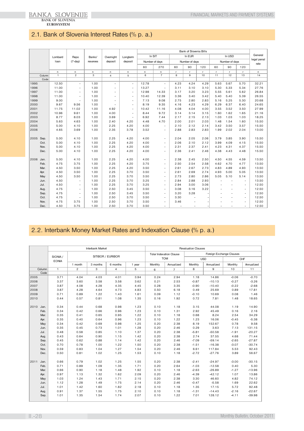**EUROSYSTEM**

## 2.1. Bank of Slovenia Interest Rates (% p. a.)

|              |                |                          |                         |                          | Bank of Slovenia Bills   |                |                          |                |                |              |              |                |             |                     |
|--------------|----------------|--------------------------|-------------------------|--------------------------|--------------------------|----------------|--------------------------|----------------|----------------|--------------|--------------|----------------|-------------|---------------------|
|              | Lombard        | Repo                     | Banks'                  | Ovemight                 | Longterm                 |                | In SIT                   |                | In EUR         |              |              | In USD         |             | General             |
|              | loan           | $(7-day)$                | reserves                | deposit                  | deposit                  |                | Number of days           |                | Number of davs |              |              | Number of days |             | legal penal<br>rate |
|              |                |                          |                         |                          |                          | 60             | 270                      | 60             | 90             | 120          | 60           | 90             | 120         |                     |
|              | n              | n                        | n                       | $\mathsf{n}$             | n                        | n              | n                        | r.             | $\mathbf{r}$   | $\mathbf{r}$ | $\mathbf{r}$ | $\mathsf{r}$   | $\mathbf r$ | n                   |
| Column       | $\overline{1}$ | $\overline{2}$           | $\overline{\mathbf{3}}$ | $\overline{4}$           | 5                        | $\overline{6}$ | $\overline{7}$           | $\overline{8}$ | $\overline{9}$ | 10           | 11           | 12             | 13          | 14                  |
| Code         |                |                          |                         |                          |                          |                |                          |                |                |              |              |                |             |                     |
| 1995         | 12.50          | $\sim$                   | 1.00                    | $\overline{\phantom{a}}$ | $\overline{\phantom{a}}$ | 12.78          | $\overline{\phantom{a}}$ | 4.23           | 4.24           | 4.29         | 5.63         | 5.67           | 5.70        | 32.21               |
| 1996         | 11.00          | $\overline{\phantom{a}}$ | 1.00                    | ٠                        | $\overline{\phantom{a}}$ | 13.27          | $\sim$                   | 3.11           | 3.10           | 3.10         | 5.30         | 5.33           | 5.34        | 27.76               |
| 1997         | 11.00          | $\blacksquare$           | 1.00                    | $\blacksquare$           | $\overline{\phantom{a}}$ | 12.98          | 14.33                    | 3.17           | 3.20           | 3.23         | 5.55         | 5.61           | 5.62        | 26.84               |
| 1998         | 11.00          | ٠                        | 1.00                    | ٠                        | $\overline{\phantom{a}}$ | 10.40          | 12.39                    | 3.36           | 3.40           | 3.42         | 5.40         | 5.40           | 5.39        | 26.55               |
| 1999         | 9.00           | ÷,                       | 1.00                    | ä,                       | $\overline{\phantom{a}}$ | 7.13           | 9.08                     | 2.75           | 2.80           | 2.83         | 5.16         | 5.25           | 5.30        | 20.68               |
| 2000         | 9.67           | 9.56                     | 1.00                    | $\overline{a}$           | $\overline{\phantom{a}}$ | 8.19           | 9.35                     | 4.16           | 4.23           | 4.29         | 6.29         | 6.37           | 6.40        | 24.65               |
| 2001         | 11.75          | 11.02                    | 1.00                    | 4.92                     | $\overline{\phantom{a}}$ | 10.42          | 11.16                    | 4.08           | 4.04           | 4.00         | 3.55         | 3.52           | 3.50        | 27.99               |
| 2002         | 10.96          | 9.61                     | 1.00                    | 4.00                     | $\sim$                   | 8.44           | 9.72                     | 3.14           | 3.14           | 3.15         | 1.60         | 1.62           | 1.65        | 21.16               |
| 2003         | 8.77           | 8.03                     | 1.00                    | 3.69                     | ٠                        | 6.92           | 7.44                     | 2.17           | 2.15           | 2.13         | 1.03         | 1.03           | 1.03        | 18.25               |
| 2004         | 5.63           | 4.63                     | 1.00                    | 2.40                     | 4.20                     | 4.48           | 4.70                     | 2.00           | 2.01           | 2.03         | 1.48         | 1.54           | 1.60        | 15.50               |
| 2005         | 5.00           | 4.10                     | 1.00                    | 2.25                     | 4.20                     | 4.00           | $\overline{\phantom{a}}$ | 2.10           | 2.12           | 2.14         | 3.42         | 3.50           | 3.57        | 15.50               |
| 2006         | 4.65           | 3.69                     | 1.00                    | 2.35                     | 3.78                     | 3.52           | $\overline{\phantom{a}}$ | 2.88           | 2.83           | 2.83         | 1.99         | 2.02           | 2.04        | 13.00               |
|              |                |                          |                         |                          |                          |                |                          |                |                |              |              |                |             |                     |
| Sep.<br>2005 | 5.00           | 4.10                     | 1.00                    | 2.25                     | 4.20                     | 4.00           | $\overline{\phantom{a}}$ | 2.04           | 2.05           | 2.06         | 3.79         | 3.85           | 3.90        | 15.50               |
| Oct.         | 5.00           | 4.10                     | 1.00                    | 2.25                     | 4.20                     | 4.00           | $\overline{\phantom{a}}$ | 2.06           | 2.10           | 2.12         | 3.99         | 4.09           | 4.15        | 15.50               |
| Nov.         | 5.00           | 4.10                     | 1.00                    | 2.25                     | 4.20                     | 4.00           | ä,                       | 2.31           | 2.37           | 2.41         | 4.23         | 4.31           | 4.37        | 15.50               |
| Dec.         | 5.00           | 4.10                     | 1.00                    | 2.25                     | 4.20                     | 4.00           | ÷.                       | 2.36           | 2.41           | 2.46         | 4.38         | 4.43           | 4.48        | 15.50               |
|              |                |                          |                         |                          |                          |                |                          |                |                |              |              |                |             |                     |
| 2006<br>Jan. | 5.00           | 4.10                     | 1.00                    | 2.25                     | 4.20                     | 4.00           | $\overline{\phantom{a}}$ | 2.38           | 2.45           | 2.50         | 4.50         | 4.55           | 4.59        | 13.50               |
| Feb.         | 4.75           | 3.75                     | 1.00                    | 2.25                     | 4.20                     | 3.75           | $\overline{\phantom{a}}$ | 2.50           | 2.54           | 2.58         | 4.62         | 4.70           | 4.77        | 13.50               |
| Mar.         | 4.50           | 3.50                     | 1.00                    | 2.25                     | 4.20                     | 3.50           | $\overline{\phantom{a}}$ | 2.61           | 2.67           | 2.73         | 4.83         | 4.89           | 4.93        | 13.50               |
| Apr.         | 4.50           | 3.50                     | 1.00                    | 2.25                     | 3.70                     | 3.50           | $\overline{\phantom{a}}$ | 2.61           | 2.69           | 2.74         | 4.93         | 5.00           | 5.05        | 13.50               |
| May          | 4.50           | 3.50                     | 1.00                    | 2.25                     | 3.70                     | 3.50           | $\overline{\phantom{a}}$ | 2.73           | 2.80           | 2.86         | 5.05         | 5.10           | 5.14        | 13.50               |
| Jun.         | 4.50           | ٠                        | 1.00                    | 2.25                     | 3.70                     | 3.25           | $\overline{\phantom{a}}$ | 2.84           | 2.88           | 2.93         | ÷,           |                | ×           | 13.50               |
| Jul.         | 4.50           | ٠                        | 1.00                    | 2.25                     | 3.70                     | 3.25           | $\overline{\phantom{a}}$ | 2.94           | 3.00           | 3.06         | ÷.           |                | ٠           | 12.50               |
| Aug.         | 4.75           | ٠                        | 1.00                    | 2.50                     | 3.45                     | 3.50           | $\overline{\phantom{a}}$ | 3.08           | 3.16           | 3.22         | ÷            | ×.             | $\sim$      | 12.50               |
| Sep.         | 4.75           | $\overline{\phantom{a}}$ | 1.00                    | 2.50                     | 3.45                     | 3.50           | $\overline{\phantom{a}}$ | 3.20           | 3.28           |              |              | ÷              | $\sim$      | 12.50               |
|              | 4.75           | $\overline{a}$           | 1.00                    |                          | 3.70                     | 3.50           |                          | 3.30           |                |              |              |                |             | 12.50               |
| Oct.         |                |                          |                         | 2.50                     |                          |                | $\overline{\phantom{a}}$ |                |                |              |              | ٠              | ٠           |                     |
| Nov.         | 4.75           | 3.75                     | 1.00                    | 2.50                     | 3.70                     | 3.50           | $\overline{\phantom{a}}$ | 3.46           | ä,             |              |              |                | $\sim$      | 12.50               |
| Dec.         | 4.50           | 3.75                     | 1.00                    | 2.50                     | 3.70                     | 3.50           |                          |                |                |              | ÷.           |                | ٠           | 12.50               |

## 2.2. Interbank Money Market Rates and Indexation Clause (% p. a.)

|      |        | <b>Interbank Market</b> |                   |          |                |             | <b>Revaluation Clauses</b>                   |                |                          |            |         |            |
|------|--------|-------------------------|-------------------|----------|----------------|-------------|----------------------------------------------|----------------|--------------------------|------------|---------|------------|
|      |        |                         |                   |          |                |             |                                              |                |                          |            |         |            |
|      |        | SIONIA/                 | SITIBOR / EURIBOR |          |                |             | <b>Tolar Indexation Clause</b><br><b>TOM</b> |                | Foreign Exchange Clauses |            |         |            |
|      |        | <b>EONIA</b>            |                   |          |                |             |                                              |                | <b>USD</b>               |            | CHF     |            |
|      |        |                         | 1 month           | 3 months | 6 months       | 1 year      | Monthly                                      | Annualized     | Monthly                  | Annualized | Monthly | Annualized |
|      | Column | $\mathbf{1}$            | $\overline{c}$    | 3        | $\overline{4}$ | $\,$ 5 $\,$ | 6                                            | $\overline{7}$ | 8                        | 9          | 10      | 11         |
|      | Code   |                         |                   |          |                |             |                                              |                |                          |            |         |            |
| 2005 |        | 3.71                    | 4.04              | 4.03     | 4.01           | 3.94        | 0.24                                         | 2.94           | 1.18                     | 14.86      | $-0.06$ | $-0.70$    |
| 2006 |        | 3.37                    | 3.60              | 3.58     | 3.58           | 3.62        | 0.21                                         | 2.53           | $-0.87$                  | $-10.13$   | $-0.27$ | $-3.26$    |
| 2007 |        | 3.87                    | 4.08              | 4.28     | 4.35           | 4.45        | 0.28                                         | 3.35           | $-0.90$                  | $-10.40$   | $-0.22$ | $-2.68$    |
| 2008 |        | 3.87                    | 4.28              | 4.64     | 4.73           | 4.83        | 0.50                                         | 6.18           | 0.49                     | 25.69      | 0.89    | 17.81      |
| 2009 |        | 0.71                    | 0.89              | 1.22     | 1.43           | 1.61        | 0.09                                         | 1.12           | $-0.10$                  | 10.69      | 0.08    | 1.46       |
| 2010 |        | 0.44                    | 0.57              | 0.81     | 1.08           | 1.35        | 0.16                                         | 1.92           | 0.72                     | 7.81       | 1.48    | 18.65      |
|      |        |                         |                   |          |                |             |                                              |                |                          |            |         |            |
| 2010 | Jan.   | 0.34                    | 0.44              | 0.68     | 0.98           | 1.23        | 0.10                                         | 1.18           | 3.15                     | 44.08      | 1.19    | 14.90      |
|      | Feb.   | 0.34                    | 0.42              | 0.66     | 0.96           | 1.23        | 0.10                                         | 1.31           | 2.92                     | 45.49      | 0.16    | 2.16       |
|      | Mar.   | 0.35                    | 0.41              | 0.65     | 0.95           | 1.22        | 0.10                                         | 1.18           | 0.68                     | 8.24       | 2.54    | 34.29      |
|      | Apr.   | 0.35                    | 0.40              | 0.64     | 0.96           | 1.23        | 0.10                                         | 1.22           | 1.23                     | 16.06      | $-0.45$ | $-5.38$    |
|      | May    | 0.34                    | 0.42              | 0.69     | 0.98           | 1.25        | 0.20                                         | 2.38           | 8.19                     | 152.67     | 0.78    | 9.58       |
|      | Jun.   | 0.35                    | 0.45              | 0.73     | 1.01           | 1.28        | 0.20                                         | 2.46           | 0.29                     | 3.63       | 7.13    | 131.15     |
|      | Jul.   | 0.48                    | 0.58              | 0.85     | 1.10           | 1.37        | 0.20                                         | 2.38           | $-5.81$                  | $-50.58$   | $-1.91$ | $-20.27$   |
|      | Aug.   | 0.43                    | 0.64              | 0.90     | 1.15           | 1.42        | 0.20                                         | 2.38           | 2.74                     | 37.55      | 4.68    | 71.44      |
|      | Sep.   | 0.45                    | 0.62              | 0.88     | 1.14           | 1.42        | 0.20                                         | 2.46           | $-7.09$                  | $-59.14$   | $-2.65$ | $-27.87$   |
|      | Oct.   | 0.70                    | 0.78              | 1.00     | 1.22           | 1.50        | 0.20                                         | 2.38           | $-1.51$                  | $-16.38$   | $-3.07$ | $-30.74$   |
|      | Nov.   | 0.59                    | 0.83              | 1.04     | 1.27           | 1.54        | 0.20                                         | 2.46           | 6.61                     | 117.84     | 5.53    | 92.43      |
|      | Dec.   | 0.50                    | 0.81              | 1.02     | 1.25           | 1.53        | 0.10                                         | 1.18           | $-2.72$                  | $-27.76$   | 3.89    | 56.67      |
|      |        |                         |                   |          |                |             |                                              |                |                          |            |         |            |
| 2011 | Jan.   | 0.66                    | 0.79              | 1.02     | 1.25           | 1.55        | 0.20                                         | 2.38           | $-2.41$                  | $-24.97$   | $-3.00$ | $-30.15$   |
|      | Feb.   | 0.71                    | 0.89              | 1.09     | 1.35           | 1.71        | 0.20                                         | 2.64           | $-1.03$                  | $-12.58$   | 0.40    | 5.30       |
|      | Mar.   | 0.66                    | 0.90              | 1.18     | 1.48           | 1.92        | 0.10                                         | 1.18           | $-2.63$                  | $-26.89$   | $-1.27$ | $-13.96$   |
|      | Apr.   | 0.97                    | 1.13              | 1.32     | 1.62           | 2.09        | 0.20                                         | 2.46           | $-4.39$                  | $-42.12$   | 1.07    | 13.86      |
|      | May    | 1.03                    | 1.24              | 1.43     | 1.71           | 2.15        | 0.20                                         | 2.38           | 3.30                     | 46.60      | 4.82    | 74.12      |
|      | Jun.   | 1.12                    | 1.28              | 1.49     | 1.75           | 2.14        | 0.20                                         | 2.46           | $-0.47$                  | $-5.58$    | 1.69    | 22.62      |
|      | Jul.   | 1.01                    | 1.42              | 1.60     | 1.82           | 2.18        | 0.10                                         | 1.18           | 1.35                     | 17.15      | 5.72    | 92.48      |
|      | Aug.   | 0.91                    | 1.37              | 1.55     | 1.75           | 2.10        | 0.10                                         | 1.18           | $-1.31$                  | $-14.43$   | $-2.16$ | $-22.67$   |
|      | Sep.   | 1.01                    | 1.35              | 1.54     | 1.74           | 2.07        | 0.10                                         | 1.22           | 7.01                     | 128.12     | $-4.11$ | $-39.98$   |
|      |        |                         |                   |          |                |             |                                              |                |                          |            |         |            |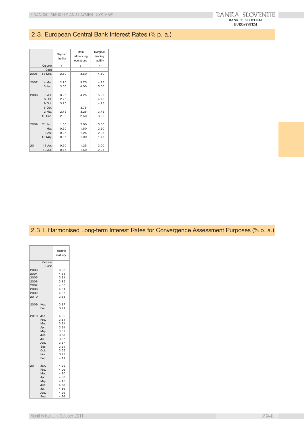### 2.3. European Central Bank Interest Rates (% p. a.)

|      |         | Deposit<br>facility | Main<br>refinancing<br>operations | Marginal<br>lending<br>facility |
|------|---------|---------------------|-----------------------------------|---------------------------------|
|      | Column  | 1                   | $\overline{c}$                    | 3                               |
|      | Code    |                     |                                   |                                 |
| 2006 | 13 Dec. | 2.50                | 3.50                              | 4.50                            |
| 2007 | 14 Mar. | 2.75                | 3.75                              | 4.75                            |
|      | 13 Jun. | 3.00                | 4.00                              | 5.00                            |
| 2008 | 9 Jul.  | 3.25                | 4.25                              | 5.25                            |
|      | 8 Oct.  | 2.75                |                                   | 4.75                            |
|      | 9 Oct.  | 3.25                |                                   | 4.25                            |
|      | 15 Oct. |                     | 3.75                              |                                 |
|      | 12 Nov. | 2.75                | 3.25                              | 3.75                            |
|      | 10 Dec. | 2.00                | 2.50                              | 3.00                            |
| 2009 | 21 Jan. | 1.00                | 2.00                              | 3.00                            |
|      | 11 Mar. | 0.50                | 1.50                              | 2.50                            |
|      | 8 Apr.  | 0.25                | 1.25                              | 2.25                            |
|      | 13 May. | 0.25                | 1.00                              | 1.75                            |
| 2011 | 13 Apr. | 0.50                | 1.25                              | 2.00                            |
|      | 13 Jul. | 0.75                | 1.50                              | 2.25                            |

### 2.3.1. Harmonised Long-term Interest Rates for Convergence Assessment Purposes (% p. a.)

|      |        | Yield to<br>maturitv |
|------|--------|----------------------|
|      | Column | 1                    |
|      | Code   |                      |
| 2003 |        | 6.38                 |
| 2004 |        | 4.68                 |
| 2005 |        | 3.81                 |
| 2006 |        | 3.85                 |
| 2007 |        | 4.53                 |
| 2008 |        | 4.61                 |
| 2009 |        | 4.37                 |
| 2010 |        | 3.83                 |
|      |        |                      |
| 2009 | Nov.   | 3.87                 |
|      | Dec.   | 3.91                 |
| 2010 | Jan.   | 4.00                 |
|      | Feb.   | 3.84                 |
|      | Mar.   | 3.94                 |
|      | Apr.   | 3.94                 |
|      | May    | 3.82                 |
|      | Jun.   | 3.83                 |
|      | Jul.   | 3.87                 |
|      | Aug.   | 3.67                 |
|      | Sep.   | 3.64                 |
|      | Oct.   | 3.56                 |
|      | Nov.   | 3.77                 |
|      | Dec.   | 4.11                 |
| 2011 | Jan.   | 4.29                 |
|      | Feb.   | 4.26                 |
|      | Mar.   | 4.30                 |
|      | Apr.   | 4.53                 |
|      | May    | 4.43                 |
|      | Jun.   | 4.58                 |
|      | Jul.   | 4.89                 |
|      | Aug.   | 4.99                 |
|      | Sep.   | 4.86                 |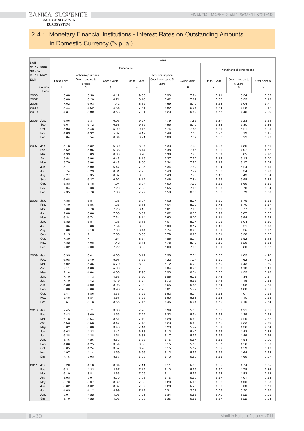# 2.4.1. Monetary Financial Institutions - Interest Rates on Outstanding Amounts in Domestic Currency (% p. a.)

| Until        |      |              |                    |              |                | Loans              |              |                |                            |              |
|--------------|------|--------------|--------------------|--------------|----------------|--------------------|--------------|----------------|----------------------------|--------------|
| 31.12.2006   |      |              |                    |              |                |                    |              |                |                            |              |
| SIT after    |      |              |                    |              | Households     |                    |              |                | Non-financial corporations |              |
| 01.01.2007   |      |              | For house purchase |              |                | For consumption    |              |                |                            |              |
| <b>EUR</b>   |      | Up to 1 year | Over 1 and up to   | Over 5 years | Up to 1 year   | Over 1 and up to 5 | Over 5 years | Up to 1 year   | Over 1 and up to           | Over 5 years |
|              |      |              | 5 years            |              |                | years              |              |                | 5 years                    |              |
| Column       |      | $\mathbf{1}$ | 2                  | 3            | $\overline{4}$ | 5                  | 6            | $\overline{7}$ | 8                          | 9            |
|              | Code |              |                    |              |                |                    |              |                |                            |              |
| 2006         |      | 5.68         | 5.50               | 6.12         | 9.65           | 7.90               | 7.94         | 5.41           | 5.34                       | 5.35         |
| 2007<br>2008 |      | 6.00<br>7.02 | 6.20<br>6.93       | 6.71<br>7.42 | 8.10<br>8.32   | 7.42<br>7.69       | 7.67<br>8.10 | 5.33<br>6.23   | 5.33<br>6.04               | 5.19<br>5.77 |
| 2009         |      | 5.44         | 4.62               | 4.64         | 7.61           | 6.82               | 6.24         | 5.64           | 4.28                       | 3.12         |
| 2010         |      | 4.87         | 3.99               | 3.53         | 7.01           | 6.20               | 5.52         | 5.58           | 4.45                       | 2.90         |
|              |      |              |                    |              |                |                    |              |                |                            |              |
| 2006<br>Aug. |      | 6.56         | 5.37               | 6.03         | 9.27           | 7.79               | 7.87         | 5.37           | 5.23                       | 5.29         |
| Sep.         |      | 6.61         | 6.12               | 6.68         | 9.32           | 7.95               | 8.10         | 5.38           | 5.30                       | 5.36         |
| Oct.         |      | 5.93         | 5.48               | 5.99         | 9.16           | 7.74               | 7.86         | 5.31           | 5.21                       | 5.25         |
| Nov.         |      | 4.83         | 4.92               | 5.37         | 9.12           | 7.49               | 7.55         | 5.27           | 5.19                       | 5.15         |
| Dec.         |      | 5.84         | 5.54               | 6.04         | 8.91           | 7.66               | 7.82         | 5.30           | 5.22                       | 5.22         |
|              |      |              |                    |              |                |                    |              |                |                            |              |
| 2007<br>Jan  |      | 5.18         | 5.82               | 6.30         | 8.37           | 7.33               | 7.33         | 4.95           | 4.86                       | 4.66         |
| Feb          |      | 5.62         | 5.95               | 6.38         | 8.44           | 7.38               | 7.45         | 5.01           | 4.97                       | 4.77         |
| Mar          |      | 4.93         | 5.89               | 6.36         | 8.28           | 7.36               | 7.48         | 5.09           | 5.05                       | 4.90         |
| Apr.         |      | 5.54         | 5.96               | 6.43         | 8.15           | 7.37<br>7.34       | 7.52<br>7.52 | 5.12<br>5.16   | 5.12<br>5.17               | 5.00         |
| May.<br>Jun. |      | 5.70<br>5.77 | 5.96<br>5.99       | 6.43<br>6.47 | 8.00<br>7.95   | 7.34               | 7.52         | 5.24           | 5.24                       | 5.06<br>5.15 |
| Jul.         |      | 5.74         | 6.23               | 6.81         | 7.95           | 7.43               | 7.72         | 5.33           | 5.34                       | 5.26         |
| Aug.         |      | 6.27         | 6.35               | 6.87         | 8.05           | 7.43               | 7.75         | 5.40           | 5.43                       | 5.34         |
| Sep          |      | 6.68         | 6.37               | 6.92         | 8.12           | 7.46               | 7.84         | 5.59           | 5.58                       | 5.45         |
| Oct.         |      | 6.33         | 6.48               | 7.04         | 8.04           | 7.50               | 7.90         | 5.63           | 5.69                       | 5.52         |
| Nov.         |      | 6.94         | 6.63               | 7.20         | 7.93           | 7.55               | 7.96         | 5.59           | 5.70                       | 5.54         |
| Dec.         |      | 7.35         | 6.76               | 7.30         | 7.97           | 7.58               | 8.03         | 5.83           | 5.79                       | 5.63         |
|              |      |              |                    |              |                |                    |              |                |                            |              |
| 2008<br>Jan. |      | 7.38         | 6.81               | 7.35         | 8.07           | 7.62               | 8.04         | 5.80           | 5.75                       | 5.63         |
| Feb.         |      | 7.40         | 6.85               | 7.36         | 8.11           | 7.64               | 8.02         | 5.74           | 5.70                       | 5.57         |
| Mar.         |      | 7.36         | 6.78               | 7.28         | 8.10           | 7.61               | 7.99         | 5.79           | 5.77                       | 5.59         |
| Apr.         |      | 7.08         | 6.86               | 7.38         | 8.07           | 7.62               | 8.03         | 5.99           | 5.87                       | 5.67         |
| May.         |      | 6.24         | 6.74               | 7.34         | 8.14           | 7.60               | 8.02         | 6.11           | 5.94                       | 5.73         |
| Jun.         |      | 6.32         | 6.81               | 7.35         | 8.15           | 7.61               | 8.04         | 6.23           | 6.04                       | 5.80         |
| Jul          |      | 6.65         | 6.88               | 7.54         | 8.29           | 7.69               | 8.17         | 6.40           | 6.21                       | 5.93         |
| Aug.         |      | 6.89         | 7.13               | 7.60         | 8.44           | 7.74               | 8.23         | 6.51           | 6.25                       | 5.97         |
| Sep.<br>Oct. |      | 7.15<br>7.39 | 7.11<br>7.17       | 7.56<br>7.64 | 8.56<br>8.64   | 7.79<br>7.86       | 8.25<br>8.31 | 6.61<br>6.82   | 6.38<br>6.52               | 6.07<br>6.13 |
| Nov.         |      | 7.32         | 7.08               | 7.42         | 8.71           | 7.78               | 8.10         | 6.59           | 6.29                       | 5.88         |
| Dec.         |      | 7.02         | 7.00               | 7.22         | 8.60           | 7.69               | 7.93         | 6.21           | 5.80                       | 5.22         |
|              |      |              |                    |              |                |                    |              |                |                            |              |
| 2009<br>Jan. |      | 6.93         | 6.41               | 6.36         | 8.12           | 7.38               | 7.31         | 5.56           | 4.83                       | 4.40         |
| Feb.         |      | 6.98         | 5.49               | 5.97         | 7.99           | 7.22               | 7.04         | 5.50           | 4.62                       | 4.04         |
| Mar.         |      | 7.02         | 5.35               | 5.70         | 8.02           | 7.12               | 6.79         | 5.59           | 4.43                       | 3.80         |
| Apr.         |      | 7.11         | 4.88               | 5.06         | 7.96           | 6.94               | 6.46         | 5.59           | 4.18                       | 3.40         |
| May.         |      | 7.14         | 4.84               | 4.83         | 7.96           | 6.90               | 6.34         | 5.65           | 4.33                       | 3.13         |
| Jun.         |      | 7.10         | 4.73               | 4.63         | 7.90           | 6.86               | 6.26         | 5.74           | 4.34                       | 2.97         |
| Jul.         |      | 7.10         | 4.42               | 4.19         | 7.24           | 6.73               | 5.97         | 5.72           | 4.15                       | 2.68         |
| Aug.         |      | 5.30         | 4.00               | 3.98         | 7.29           | 6.65               | 5.85         | 5.64           | 3.98                       | 2.65         |
| Sep.         |      | 3.08         | 3.86               | 3.90         | 7.23           | 6.61               | 5.79         | 5.73           | 4.08                       | 2.61         |
| Oct.<br>Nov. |      | 2.47<br>2.45 | 3.86<br>3.84       | 3.73<br>3.67 | 7.22<br>7.25   | 6.53<br>6.50       | 5.71<br>5.68 | 5.68<br>5.64   | 4.07<br>4.10               | 2.55<br>2.55 |
| Dec.         |      | 2.57         | 3.78               | 3.66         | 7.16           | 6.45               | 5.64         | 5.59           | 4.19                       | 2.64         |
|              |      |              |                    |              |                |                    |              |                |                            |              |
| 2010 Jan.    |      | 2.45         | 3.71               | 3.60         | 7.28           | 6.39               | 5.58         | 5.63           | 4.21                       | 2.61         |
| Feb.         |      | 2.43         | 3.60               | 3.55         | 7.22           | 6.33               | 5.54         | 5.62           | 4.25                       | 2.64         |
| Mar.         |      | 6.18         | 3.64               | 3.51         | 7.19           | 6.28               | 5.51         | 5.59           | 4.29                       | 2.67         |
| Apr.         |      | 5.63         | 3.58               | 3.47         | 7.18           | 6.23               | 5.49         | 5.50           | 4.33                       | 2.69         |
| May.         |      | 5.62         | 3.88               | 3.48         | 7.14           | 6.20               | 5.47         | 5.51           | 4.36                       | 2.74         |
| Jun.         |      | 6.63         | 4.23               | 3.42         | 6.78           | 6.12               | 5.42         | 5.56           | 4.43                       | 2.84         |
| Jul.         |      | 6.38         | 4.38               | 3.51         | 6.81           | 6.17               | 5.53         | 5.55           | 4.49                       | 2.96         |
| Aug.         |      | 5.46         | 4.26               | 3.53         | 6.88           | 6.15               | 5.54         | 5.55           | 4.54                       | 3.00         |
| Sep.         |      | 4.86         | 4.25               | 3.54         | 6.80           | 6.15               | 5.55         | 5.57           | 4.56                       | 3.06         |
| Oct.         |      | 3.05         | 4.24               | 3.57         | 6.90           | 6.15               | 5.57         | 5.62           | 4.59                       | 3.12         |
| Nov.         |      | 4.97         | 4.14               | 3.59         | 6.96           | 6.13               | 5.53         | 5.55           | 4.64                       | 3.22         |
| Dec.         |      | 4.75         | 3.93               | 3.57         | 6.93           | 6.10               | 5.53         | 5.65           | 4.69                       | 3.27         |
| 2011<br>Jan. |      | 6.20         | 4.18               | 3.64         | 7.11           | 6.11               | 5.55         | 5.55           | 4.74                       | 3.35         |
| Feb.         |      | 6.21         | 4.22               | 3.67         | 7.12           | 6.10               | 5.55         | 5.60           | 4.78                       | 3.36         |
| Mar.         |      | 6.10         | 3.81               | 3.66         | 7.05           | 6.11               | 5.57         | 5.54           | 4.83                       | 3.43         |
| Apr.         |      | 5.93         | 3.94               | 3.79         | 7.05           | 6.15               | 5.63         | 5.57           | 4.91                       | 3.54         |
| May.         |      | 3.76         | 3.97               | 3.82         | 7.03           | 6.20               | 5.66         | 5.58           | 4.96                       | 3.63         |
| Jun.         |      | 3.82         | 4.02               | 3.87         | 7.07           | 6.23               | 5.70         | 5.60           | 5.09                       | 3.76         |
| Jul.         |      | 4.03         | 4.12               | 3.99         | 7.17           | 6.31               | 5.82         | 5.69           | 5.20                       | 3.93         |
| Aug.         |      | 3.97         | 4.22               | 4.06         | 7.21           | 6.34               | 5.85         | 5.72           | 5.22                       | 3.96         |
| Sep          |      | 5.79         | 4.22               | 4.08         | 7.23           | 6.35               | 5.86         | 5.67           | 5.22                       | 3.94         |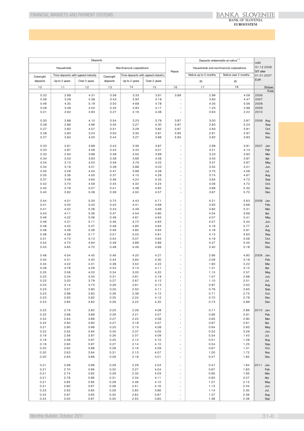#### BANKA SLOVENIJE BANK OF SLOVENIA **EUROSYSTEM**

|                      |               | Deposits                           |                      |                            |                                    |                                                      | Deposits redeemable at notice |                                           | Until                   |
|----------------------|---------------|------------------------------------|----------------------|----------------------------|------------------------------------|------------------------------------------------------|-------------------------------|-------------------------------------------|-------------------------|
|                      | Households    |                                    |                      | Non-financial corporations |                                    |                                                      |                               | Households and non-financial corporations | 31.12.2006              |
|                      |               | Time deposits with agreed maturity |                      |                            | Time deposits with agreed maturity | Repos                                                | Notice up to 3 months         | Notice over 3 months                      | SIT after<br>01.01.2007 |
| Ovemight<br>deposits | Up to 2 years | Over 2 years                       | Ovemight<br>deposits | Up to 2 years              | Over 2 years                       |                                                      | IR                            | IR                                        | <b>EUR</b>              |
|                      |               |                                    |                      |                            |                                    |                                                      |                               |                                           |                         |
| 10                   | 11            | 12                                 | 13                   | 14                         | 15                                 | 16                                                   | 17                            | 18                                        | Stolpec<br>Koda         |
| 0.32                 | 2.99          | 4.31                               | 0.56                 | 3.33                       | 3.91                               | 3.89                                                 | 2.99                          | 4.09                                      | 2006                    |
| 0.36                 | 3.29          | 4.38                               | 0.43                 | 3.93                       | 4.19                               | ÷,                                                   | 3.60                          | 4.47                                      | 2007                    |
| 0.46                 | 4.35          | 5.19                               | 0.50                 | 4.69                       | 4.78                               | ÷,                                                   | 4.05                          | 5.56                                      | 2008                    |
| 0.28                 | 3.48          | 4.04                               | 0.32                 | 2.93                       | 4.17                               | ÷,                                                   | 1.23                          | 2.98                                      | 2009                    |
| 0.21                 | 2.62          | 3.93                               | 0.27                 | 2.16                       | 4.08                               | $\overline{a}$                                       | 0.63                          | 2.22                                      | 2010                    |
| 0.30                 | 2.88          | 4.10                               | 0.54                 | 3.23                       | 3.79                               | 3.87                                                 | 3.00                          | 3.97                                      | 2006<br>Aug.            |
| 0.28                 | 2.86          | 4.96                               | 0.55                 | 3.27                       | 4.30                               | 3.87                                                 | 2.93                          | 5.04                                      | Sep.                    |
| 0.27                 | 2.82          | 4.07                               | 0.51                 | 3.29                       | 3.82                               | 3.87                                                 | 2.93                          | 3.91                                      | Oct.                    |
| 0.28                 | 2.83          | 3.24                               | 0.50                 | 3.30                       | 3.81                               | 3.95                                                 | 2.91                          | 2.97                                      | Nov.                    |
| 0.27                 | 2.84          | 4.05                               | 0.44                 | 3.27                       | 3.96                               | 3.95                                                 | 2.92                          | 3.83                                      | Dec.                    |
|                      |               |                                    |                      |                            |                                    |                                                      |                               |                                           |                         |
| 0.33                 | 2.81          | 3.89                               | 0.43                 | 3.36                       | 3.87                               | $\blacksquare$                                       | 2.99                          | 3.91                                      | 2007<br>Jan             |
| 0.33                 | 2.87          | 4.06                               | 0.42                 | 3.43                       | 4.01                               | ÷,                                                   | 3.21                          | 4.14                                      | Feb                     |
| 0.33<br>0.34         | 2.94<br>3.02  | 3.88<br>3.93                       | 0.39<br>0.39         | 3.55<br>3.66               | 3.99<br>4.06                       | ÷<br>٠                                               | 3.33<br>3.45                  | 3.93<br>3.97                              | Mar<br>Apr.             |
| 0.34                 | 3.10          | 4.02                               | 0.46                 | 3.76                       | 4.02                               | ÷,                                                   | 3.47                          | 3.97                                      | May.                    |
| 0.34                 | 3.19          | 4.01                               | 0.39                 | 3.88                       | 4.03                               | ÷,                                                   | 3.52                          | 4.01                                      | Jun.                    |
| 0.35                 | 3.29          | 4.54                               | 0.47                 | 3.99                       | 4.28                               | ä,                                                   | 3.70                          | 4.58                                      | Jul.                    |
| 0.35                 | 3.36          | 4.55                               | 0.37                 | 4.10                       | 4.29                               | $\overline{\phantom{a}}$                             | 3.74                          | 4.67                                      | Aug.                    |
| 0.37                 | 3.48          | 4.60                               | 0.46                 | 4.24                       | 4.33                               | ÷,                                                   | 3.94                          | 4.72                                      | Sep                     |
| 0.42                 | 3.70          | 4.59                               | 0.45                 | 4.32                       | 4.24                               | $\overline{\phantom{a}}$                             | 4.06                          | 4.72                                      | Oct.                    |
| 0.40                 | 3.78          | 5.07                               | 0.41                 | 4.38                       | 4.60                               | ×,                                                   | 3.89                          | 5.32                                      | Nov.                    |
| 0.40                 | 3.92          | 5.38                               | 0.39                 | 4.50                       | 4.57                               | $\overline{\phantom{a}}$                             | 3.87                          | 5.70                                      | Dec.                    |
| 0.44                 | 4.01          | 5.35                               | 0.75                 | 4.43                       | 4.71                               | $\overline{\phantom{a}}$                             | 4.21                          | 5.63                                      | 2008<br>Jan.            |
| 0.41                 | 4.00          | 5.45                               | 0.42                 | 4.41                       | 4.68                               | ÷,                                                   | 3.93                          | 5.68                                      | Feb.                    |
| 0.41                 | 4.02          | 5.28                               | 0.43                 | 4.49                       | 4.68                               | $\overline{a}$                                       | 3.92                          | 5.31                                      | Mar.                    |
| 0.43                 | 4.11          | 5.36                               | 0.47                 | 4.54                       | 4.80                               | ÷,                                                   | 4.04                          | 5.69                                      | Apr.                    |
| 0.46                 | 4.22          | 5.06                               | 0.49                 | 4.61                       | 4.64                               | ÷,                                                   | 4.07                          | 5.41                                      | May.                    |
| 0.46                 | 4.31          | 5.11                               | 0.46                 | 4.72                       | 4.63                               | ä,                                                   | 4.07                          | 5.44                                      | Jun.                    |
| 0.48                 | 4.42          | 5.37                               | 0.48                 | 4.80                       | 4.94                               | $\overline{\phantom{m}}$                             | 4.19                          | 5.77                                      | Jul                     |
| 0.48                 | 4.49          | 5.38                               | 0.46                 | 4.85                       | 4.94                               | ÷,                                                   | 4.18                          | 5.91                                      | Aug.                    |
| 0.48                 | 4.58          | 5.17                               | 0.51                 | 5.02                       | 4.91                               | ä,<br>÷,                                             | 4.15                          | 5.63                                      | Sep.                    |
| 0.51<br>0.52         | 4.70<br>4.70  | 5.13<br>4.94                       | 0.54<br>0.49         | 5.07<br>4.89               | 4.94<br>4.86                       | $\overline{\phantom{a}}$                             | 4.19<br>4.27                  | 5.59<br>5.45                              | Oct.<br>Nov.            |
| 0.43                 | 4.65          | 4.70                               | 0.48                 | 4.46                       | 4.66                               | ÷,                                                   | 3.40                          | 5.18                                      | Dec.                    |
|                      |               |                                    |                      |                            |                                    |                                                      |                               |                                           |                         |
| 0.48                 | 4.54          | 4.45                               | 0.46                 | 4.20                       | 4.27                               | ÷                                                    | 2.66                          | 4.90                                      | 2009<br>Jan.            |
| 0.40                 | 4.31          | 4.40                               | 0.44                 | 3.84                       | 4.30                               | ٠                                                    | 2.09                          | 3.19                                      | Feb.                    |
| 0.34                 | 4.02          | 4.31                               | 0.38                 | 3.52                       | 4.22                               | ÷                                                    | 1.60                          | 3.22                                      | Mar.                    |
| 0.28                 | 3.78          | 4.29                               | 0.33                 | 3.13                       | 4.11                               | ×,<br>÷                                              | 1.31                          | 3.12                                      | Apr.                    |
| 0.25<br>0.23         | 3.56<br>3.34  | 4.03<br>4.05                       | 0.34<br>0.31         | 3.00<br>2.81               | 4.20<br>4.19                       | ٠                                                    | 1.15<br>1.07                  | 2.57<br>2.68                              | May.<br>Jun.            |
| 0.23                 | 3.20          | 3.79                               | 0.27                 | 2.67                       | 4.12                               | ÷                                                    | 1.10                          | 2.51                                      | Jul.                    |
| 0.23                 | 3.14          | 3.75                               | 0.26                 | 2.61                       | 4.13                               | ä,                                                   | 0.87                          | 2.50                                      | Aug.                    |
| 0.23                 | 3.07          | 3.80                               | 0.25                 | 2.50                       | 4.11                               |                                                      | 0.79                          | 2.65                                      | Sep.                    |
| 0.23                 | 2.98          | 3.83                               | 0.26                 | 2.38                       | 4.12                               | ÷,                                                   | 0.71                          | 2.75                                      | Oct.                    |
| 0.23                 | 2.93          | 3.82                               | 0.25                 | 2.24                       | 4.12                               | $\overline{\phantom{a}}$                             | 0.70                          | 2.79                                      | Nov.                    |
| 0.23                 | 2.85          | 3.92                               | 0.26                 | 2.22                       | 4.20                               | $\overline{\phantom{a}}$                             | 0.73                          | 2.89                                      | Dec.                    |
| 0.22                 | 2.76          | 3.92                               | 0.25                 | 2.26                       | 4.08                               | $\overline{\phantom{a}}$                             | 0.71                          | 2.89                                      | 2010<br>Jan.            |
| 0.22                 | 2.68          | 3.89                               | 0.26                 | 2.21                       | 4.07                               | $\blacksquare$                                       | 0.66                          | 2.91                                      | Feb.                    |
| 0.22                 | 2.64          | 3.89                               | 0.27                 | 2.22                       | 4.08                               | $\blacksquare$                                       | 0.65                          | 2.90                                      | Mar.                    |
| 0.22                 | 2.60          | 3.90                               | 0.27                 | 2.19                       | 4.07                               | $\overline{\phantom{a}}$                             | 0.67                          | 2.91                                      | Apr.                    |
| 0.21                 | 2.60          | 3.96                               | 0.25                 | 2.15                       | 4.08                               | $\blacksquare$                                       | 0.64                          | 2.93                                      | May.                    |
| 0.22                 | 2.55          | 3.94                               | 0.30                 | 2.07                       | 4.05                               | $\overline{\phantom{a}}$                             | 0.53                          | 3.29                                      | Jun.                    |
| 0.19                 | 2.56          | 3.97                               | 0.26                 | 2.07                       | 4.09                               | $\overline{\phantom{a}}$                             | 0.54                          | 1.43                                      | Jul.                    |
| 0.19                 | 2.58          | 3.97                               | 0.25                 | 2.12                       | 4.15                               | $\frac{1}{2}$                                        | 0.51                          | 1.29                                      | Aug.                    |
| 0.19<br>0.20         | 2.60<br>2.62  | 3.97<br>3.98                       | 0.27<br>0.28         | 2.14<br>2.16               | 4.10<br>4.09                       | $\overline{\phantom{a}}$<br>$\overline{\phantom{a}}$ | 0.54<br>0.67                  | 1.25<br>1.31                              | Sep.<br>Oct.            |
| 0.20                 | 2.63          | 3.94                               | 0.31                 | 2.13                       | 4.07                               | $\overline{\phantom{a}}$                             | 1.00                          | 1.72                                      | Nov.                    |
| 0.20                 | 2.65          | 3.89                               | 0.28                 | 2.19                       | 4.01                               | $\overline{\phantom{a}}$                             | 0.47                          | 1.82                                      | Dec.                    |
|                      |               |                                    |                      |                            |                                    |                                                      |                               |                                           |                         |
| 0.21                 | 2.69          | 3.98                               | 0.29                 | 2.29                       | 4.04                               | $\overline{\phantom{a}}$                             | 0.47                          | 1.84                                      | 2011<br>Jan.            |
| 0.21                 | 2.70          | 3.96                               | 0.32                 | 2.27                       | 4.04                               | $\blacksquare$                                       | 0.67                          | 1.83                                      | Feb.                    |
| 0.21                 | 2.74          | 3.92                               | 0.29                 | 2.30                       | 4.03                               | $\overline{\phantom{a}}$                             | 0.85                          | 1.95                                      | Mar.                    |
| 0.21                 | 2.78          | 3.96                               | 0.31                 | 2.34                       | 4.11                               | $\blacksquare$                                       | 0.83                          | 2.07                                      | Apr.                    |
| 0.21<br>0.21         | 2.85<br>2.90  | 3.95<br>3.97                       | 0.29<br>0.28         | 2.46<br>2.51               | 4.12<br>4.16                       | $\overline{\phantom{a}}$<br>÷,                       | 1.27<br>1.13                  | 2.15<br>2.34                              | May.<br>Jun.            |
| 0.23                 | 2.93          | 3.95                               | 0.29                 | 2.60                       | 3.86                               | $\overline{\phantom{a}}$                             | 1.14                          | 2.30                                      | Jul.                    |
| 0.23                 | 2.97          | 3.95                               | 0.30                 | 2.62                       | 3.87                               | $\overline{\phantom{a}}$                             | 1.37                          | 2.39                                      | Aug.                    |
| 0.24                 | 3.00          | 3.97                               | 0.30                 | 2.55                       | 3.85                               | ä,                                                   | 1.38                          | 2.39                                      | Sep                     |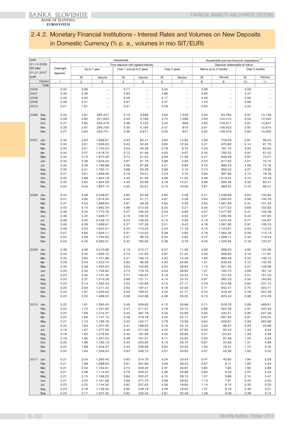BANKA SLOVENIJE BANK OF SLOVENIA **EUROSYSTEM**

# 2.4.2. Monetary Financial Institutions - Interest Rates and Volumes on New Deposits in Domestic Currency (% p. a., volumes in mio SIT/EUR)

| 31.12.2006<br>Time deposits with agreed maturity<br>Deposits redeemable at notice<br>SIT after<br>Ovemight<br>Up to 1 year<br>Over 1 and up to 2 years<br>Over 2 years<br>Notice up to 3 months<br>Over 3 months<br>01.01.2007<br>deposits<br><b>EUR</b><br>Volume<br>Volume<br>IR<br>IR<br>Volume<br>IR.<br>Volume<br>IR.<br>Volume<br><b>IR</b><br>9<br>Column<br>$\mathbf{1}$<br>$\overline{2}$<br>3<br>$\overline{4}$<br>5<br>6<br>$\overline{7}$<br>8<br>10<br>11<br>Code<br>0.32<br>2.96<br>3.17<br>3.44<br>2.99<br>4.09<br>2006<br><br>$\ldots$<br><br><br>$\cdots$<br>2007<br>0.36<br>3.36<br>3.93<br>3.86<br>3.60<br>4.47<br><br>$\ldots$<br><br><br>$\cdots$<br>2008<br>0.46<br>4.30<br>5.09<br>5.17<br>4.05<br>5.56<br>$\ldots$<br>$\cdots$<br><br>$\cdots$<br><br>2009<br>2.51<br>0.28<br>3.91<br>4.37<br>1.23<br>2.98<br>$\ldots$<br>$\cdots$<br><br><br>$\cdots$<br>4.09<br>0.63<br>2.22<br>2010<br>0.21<br>1.81<br>3.41<br><br>$\ldots$<br><br><br>$\cdots$<br>2.81<br>3.00<br>2006<br>Aug.<br>0.30<br>265,447<br>3.13<br>3,588<br>3.82<br>1,526<br>93,784<br>3.97<br>12,159<br>2.82<br>3.70<br>1,099<br>2.93<br>12,400<br>Sep.<br>0.28<br>251,653<br>3.30<br>4,189<br>104,410<br>5.04<br>12,847<br>Oct.<br>0.27<br>2.80<br>264,476<br>3.36<br>4,725<br>3.32<br>868<br>2.93<br>103,917<br>3.91<br>0.28<br>2.81<br>5,164<br>3.47<br>2.91<br>12,674<br>Nov.<br>268,756<br>3.30<br>815<br>108,423<br>2.97<br>2.84<br>3.55<br>2.92<br>14,300<br>Dec.<br>0.27<br>253,751<br>3.39<br>6,971<br>657<br>109,316<br>3.83<br>2.83<br>3.60<br>2.99<br>56.42<br>2007<br>Jan<br>0.33<br>1,968.61<br>3.33<br>82.41<br>14.93<br>709.56<br>3.91<br>0.33<br>2.91<br>3.80<br>3.21<br>670.60<br>61.75<br>Feb<br>1,559.60<br>3.42<br>52.43<br>12.44<br>4.14<br>2.78<br>9.72<br>3.33<br>781.10<br>63.60<br>Mar<br>0.33<br>3.01<br>1,720.53<br>3.54<br>50.26<br>3.93<br>3.07<br>9.97<br>67.52<br>Apr.<br>0.34<br>1,618.75<br>3.72<br>61.46<br>4.93<br>3.45<br>780.32<br>3.97<br>72.01<br>0.34<br>3.15<br>3.72<br>51.54<br>3.36<br>11.08<br>3.47<br>846.26<br>3.97<br>May.<br>1,670.29<br>3.26<br>3.89<br>4.59<br>3.52<br>75.70<br>0.34<br>1,659.44<br>3.87<br>61.18<br>877.82<br>4.01<br>Jun.<br>3.36<br>3.70<br>75.76<br>Jul.<br>0.35<br>4.06<br>87.88<br>4.21<br>9.99<br>896.33<br>4.58<br>1,789.88<br>3.41<br>3.99<br>3.74<br>956.42<br>79.90<br>Aug.<br>0.35<br>1,763.17<br>3.98<br>63.36<br>4.16<br>4.67<br>0.37<br>3.61<br>53.51<br>4.23<br>2.70<br>3.94<br>997.80<br>4.72<br>78.78<br>Sep.<br>1,669.59<br>4.19<br>3.89<br>4.40<br>4.69<br>11.05<br>4.06<br>76.28<br>Oct.<br>0.42<br>1,920.19<br>61.56<br>1,019.52<br>4.72<br>3.83<br>3.79<br>12.27<br>3.89<br>83.41<br>Nov.<br>0.40<br>1,664.59<br>4.42<br>45.96<br>995.56<br>5.32<br>4.04<br>3.10<br>96.47<br>Dec.<br>0.40<br>1,897.12<br>4.55<br>55.61<br>18.56<br>3.87<br>986.54<br>5.70<br>0.44<br>4.08<br>4.06<br>102.84<br>2008<br>Jan.<br>2,028.87<br>4.60<br>52.36<br>4.65<br>4.21<br>1,036.89<br>5.63<br>0.41<br>3.95<br>4.28<br>3.93<br>105.76<br>Feb.<br>1,816.55<br>4.40<br>51.71<br>4.81<br>1,060.00<br>5.68<br>4.03<br>48.38<br>4.65<br>4.26<br>3.92<br>101.54<br>Mar.<br>0.41<br>1,888.64<br>4.61<br>1,081.93<br>5.31<br>102.83<br>Apr.<br>0.43<br>4.14<br>4.98<br>212.05<br>5.23<br>5.21<br>4.04<br>5.69<br>1,992.24<br>1,077.52<br>4.20<br>5.33<br>6.90<br>4.07<br>104.28<br>May.<br>0.46<br>1,775.76<br>5.07<br>195.03<br>1,077.60<br>5.41<br>107.90<br>0.46<br>4.30<br>5.18<br>106.53<br>5.17<br>4.50<br>4.07<br>1,095.36<br>5.44<br>Jun.<br>1,846.77<br>4.40<br>104.87<br>Jul.<br>0.48<br>2,048.73<br>5.24<br>106.05<br>5.12<br>2.93<br>4.19<br>1,074.45<br>5.77<br>108.23<br>0.48<br>4.39<br>5.27<br>137.29<br>5.51<br>9.42<br>4.18<br>1,067.80<br>5.91<br>Aug<br>1,699.61<br>4.53<br>5.45<br>113.22<br>0.48<br>1,943.51<br>5.30<br>173.04<br>11.19<br>4.15<br>1,103.61<br>5.63<br>Sep.<br>4.19<br>115.13<br>Oct.<br>0.51<br>4.65<br>5.51<br>110.63<br>5.38<br>4.85<br>5.59<br>1,906.11<br>1,084.34<br>4.56<br>96.76<br>5.34<br>2.65<br>4.27<br>116.24<br>Nov.<br>0.52<br>1,794.95<br>5.47<br>1,069.11<br>5.45<br>3.79<br>3.40<br>120.27<br>Dec.<br>0.43<br>4.45<br>2,083.31<br>5.42<br>180.65<br>5.38<br>1,026.94<br>5.18<br>4.08<br>2009<br>0.48<br>2,010.66<br>5.19<br>210.17<br>5.07<br>11.09<br>2.66<br>999.00<br>4.90<br>124.08<br>Jan.<br>3.40<br>4.97<br>2.09<br>117.91<br>Feb.<br>0.40<br>1,656.15<br>4.73<br>141.63<br>21.40<br>906.60<br>3.19<br>106.12<br>Mar.<br>0.34<br>2.82<br>1,701.89<br>4.21<br>146.14<br>4.43<br>14.28<br>1.60<br>866.48<br>3.22<br>2.44<br>96.09<br>4.43<br>24.66<br>839.50<br>134.30<br>Apr.<br>0.28<br>1,523.74<br>3.82<br>1.31<br>3.12<br>2.28<br>148.56<br>0.25<br>3.64<br>143.95<br>4.34<br>36.94<br>1.15<br>821.25<br>2.57<br>May.<br>1,463.03<br>36.90<br>167.16<br>0.23<br>2.40<br>1,726.90<br>3.73<br>179.16<br>4.44<br>1.07<br>782.70<br>2.68<br>Jun.<br>161.02<br>0.23<br>2.35<br>3.77<br>192.97<br>4.19<br>33.24<br>1.10<br>727.43<br>2.51<br>Jul.<br>1,737.45<br>2.27<br>0.87<br>183.95<br>0.23<br>1,510.29<br>3.69<br>131.71<br>4.14<br>23.72<br>682.23<br>2.50<br>Aug.<br>0.23<br>2.14<br>3.52<br>4.12<br>27.17<br>0.79<br>674.56<br>237.10<br>Sep.<br>1,392.44<br>142.68<br>2.65<br>Oct.<br>0.23<br>2.04<br>1,371.42<br>3.53<br>197.41<br>4.18<br>42.08<br>0.71<br>650.41<br>2.75<br>304.71<br>619.40<br>357.36<br>Nov.<br>0.23<br>1.97<br>1,330.02<br>3.52<br>169.37<br>4.03<br>21.77<br>0.70<br>2.79<br>0.23<br>2.00<br>1,499.23<br>3.59<br>242.98<br>4.08<br>26.35<br>0.73<br>625.24<br>2.89<br>415.25<br>Dec.<br>0.22<br>469.81<br>2010 Jan.<br>1.91<br>1,393.43<br>3.49<br>308.95<br>4.12<br>28.68<br>0.71<br>629.33<br>2.89<br>Feb.<br>562.39<br>503.33<br>0.22<br>1.75<br>1,161.82<br>3.47<br>311.57<br>4.18<br>30.70<br>0.66<br>2.91<br>0.22<br>4.06<br>24.69<br>535.51<br>527.58<br>Mar.<br>1.69<br>1,214.37<br>3.40<br>287.78<br>0.65<br>2.90<br>0.22<br>4.20<br>22.17<br>2.91<br>545.04<br>Apr.<br>1.66<br>1,147.13<br>3.28<br>218.78<br>0.67<br>567.94<br>563.68<br>May.<br>0.21<br>1.72<br>1,189.18<br>3.32<br>155.71<br>3.78<br>15.59<br>0.64<br>508.81<br>2.93<br>0.22<br>25.12<br>96.57<br>25.68<br>1.83<br>1,307.55<br>3.31<br>188.55<br>4.16<br>0.53<br>3.29<br>Jun.<br>4.20<br>27.63<br>92.42<br>6.54<br>Jul.<br>0.19<br>1.87<br>1,377.09<br>3.40<br>211.95<br>0.54<br>1.43<br>4.22<br>104.87<br>5.38<br>0.19<br>1.82<br>1,276.92<br>3.40<br>181.69<br>28.66<br>0.51<br>1.29<br>Aug.<br>24.84<br>97.48<br>4.44<br>Sep.<br>0.19<br>1.85<br>1,201.54<br>3.39<br>161.01<br>4.11<br>0.54<br>1.25<br>54.95<br>Oct.<br>0.20<br>1.86<br>220.65<br>4.13<br>29.70<br>0.67<br>1.31<br>4.98<br>1,195.15<br>3.45<br>239.99<br>3.92<br>33.20<br>Nov.<br>0.20<br>1.88<br>1,204.47<br>3.44<br>1.00<br>78.31<br>1.72<br>5.20<br>34.93<br>55.26<br>1.82<br>5.52<br>Dec.<br>0.20<br>1.94<br>1,349.43<br>3.63<br>306.72<br>4.01<br>0.47<br>314.79<br>4.24<br>40.80<br>2011 Jan.<br>0.21<br>2.04<br>1,283.40<br>3.63<br>33.43<br>0.47<br>1.84<br>5.59<br>0.21<br>39.43<br>0.67<br>8.11<br>1.83<br>Feb.<br>1.98<br>1,088.63<br>3.61<br>291.80<br>4.08<br>5.44<br>7.85<br>5.88<br>Mar.<br>0.21<br>2.04<br>1,164.61<br>3.73<br>329.30<br>4.37<br>29.97<br>0.85<br>1.95<br>5.53<br>Apr.<br>0.21<br>2.08<br>1,114.50<br>3.76<br>258.47<br>4.36<br>25.99<br>0.83<br>6.42<br>2.07<br>0.21<br>2.15<br>1,168.53<br>3.84<br>302.07<br>4.10<br>39.10<br>1.27<br>9.89<br>2.15<br>5.47<br>May.<br>0.21<br>3.99<br>Jun.<br>2.20<br>1,161.58<br>3.86<br>271.70<br>28.92<br>1.13<br>7.91<br>2.34<br>5.25<br>0.23<br>4.36<br>19.80<br>8.10<br>2.30<br>5.20<br>2.20<br>1,144.55<br>3.92<br>257.62<br>1.14<br>Jul.<br>5.01<br>Aug.<br>0.23<br>2.18<br>1,136.35<br>3.95<br>249.18<br>4.29<br>18.50<br>1.37<br>8.79<br>2.39<br>4.81<br>32.49<br>5.12<br>0.24<br>2.17<br>3.93<br>9.08 | Until |  |          | Households |        |  |      | Households and non-financial corporations <sup>1,2</sup> |      |  |
|----------------------------------------------------------------------------------------------------------------------------------------------------------------------------------------------------------------------------------------------------------------------------------------------------------------------------------------------------------------------------------------------------------------------------------------------------------------------------------------------------------------------------------------------------------------------------------------------------------------------------------------------------------------------------------------------------------------------------------------------------------------------------------------------------------------------------------------------------------------------------------------------------------------------------------------------------------------------------------------------------------------------------------------------------------------------------------------------------------------------------------------------------------------------------------------------------------------------------------------------------------------------------------------------------------------------------------------------------------------------------------------------------------------------------------------------------------------------------------------------------------------------------------------------------------------------------------------------------------------------------------------------------------------------------------------------------------------------------------------------------------------------------------------------------------------------------------------------------------------------------------------------------------------------------------------------------------------------------------------------------------------------------------------------------------------------------------------------------------------------------------------------------------------------------------------------------------------------------------------------------------------------------------------------------------------------------------------------------------------------------------------------------------------------------------------------------------------------------------------------------------------------------------------------------------------------------------------------------------------------------------------------------------------------------------------------------------------------------------------------------------------------------------------------------------------------------------------------------------------------------------------------------------------------------------------------------------------------------------------------------------------------------------------------------------------------------------------------------------------------------------------------------------------------------------------------------------------------------------------------------------------------------------------------------------------------------------------------------------------------------------------------------------------------------------------------------------------------------------------------------------------------------------------------------------------------------------------------------------------------------------------------------------------------------------------------------------------------------------------------------------------------------------------------------------------------------------------------------------------------------------------------------------------------------------------------------------------------------------------------------------------------------------------------------------------------------------------------------------------------------------------------------------------------------------------------------------------------------------------------------------------------------------------------------------------------------------------------------------------------------------------------------------------------------------------------------------------------------------------------------------------------------------------------------------------------------------------------------------------------------------------------------------------------------------------------------------------------------------------------------------------------------------------------------------------------------------------------------------------------------------------------------------------------------------------------------------------------------------------------------------------------------------------------------------------------------------------------------------------------------------------------------------------------------------------------------------------------------------------------------------------------------------------------------------------------------------------------------------------------------------------------------------------------------------------------------------------------------------------------------------------------------------------------------------------------------------------------------------------------------------------------------------------------------------------------------------------------------------------------------------------------------------------------------------------------------------------------------------------------------------------------------------------------------------------------------------------------------------------------------------------------------------------------------------------------------------------------------------------------------------------------------------------------------------------------------------------------------------------------------------------------------------------------------------------------------------------------------------------------------------------------------------------------------------------------------------------------------------------------------------------------------------------------------------------------------------------------------------------------------------------------------------------------------------------------------------------------------------------------------------------------------------------------------------------------------------------------------------------------------------------------------------------------------------------------------------------------------------------------------------------------------------------------------------------------------------------------------------------------------------------------------------------------------------------------------------------------------------------------------------------------------------------------------------------------------------------------------------------------------------------------------------------------------------------------------------------------------------------------------------------------------------------------------------------------------------------------------------------------------------------------------------------------------------------------------------------------------------------------------------------------------------------|-------|--|----------|------------|--------|--|------|----------------------------------------------------------|------|--|
|                                                                                                                                                                                                                                                                                                                                                                                                                                                                                                                                                                                                                                                                                                                                                                                                                                                                                                                                                                                                                                                                                                                                                                                                                                                                                                                                                                                                                                                                                                                                                                                                                                                                                                                                                                                                                                                                                                                                                                                                                                                                                                                                                                                                                                                                                                                                                                                                                                                                                                                                                                                                                                                                                                                                                                                                                                                                                                                                                                                                                                                                                                                                                                                                                                                                                                                                                                                                                                                                                                                                                                                                                                                                                                                                                                                                                                                                                                                                                                                                                                                                                                                                                                                                                                                                                                                                                                                                                                                                                                                                                                                                                                                                                                                                                                                                                                                                                                                                                                                                                                                                                                                                                                                                                                                                                                                                                                                                                                                                                                                                                                                                                                                                                                                                                                                                                                                                                                                                                                                                                                                                                                                                                                                                                                                                                                                                                                                                                                                                                                                                                                                                                                                                                                                                                                                                                                                                                                                                                                                                                                                                                                                                                                                                                                                                                                                                                                                                                                                                                                                                                                                                                                                                                                                                                                                        |       |  |          |            |        |  |      |                                                          |      |  |
|                                                                                                                                                                                                                                                                                                                                                                                                                                                                                                                                                                                                                                                                                                                                                                                                                                                                                                                                                                                                                                                                                                                                                                                                                                                                                                                                                                                                                                                                                                                                                                                                                                                                                                                                                                                                                                                                                                                                                                                                                                                                                                                                                                                                                                                                                                                                                                                                                                                                                                                                                                                                                                                                                                                                                                                                                                                                                                                                                                                                                                                                                                                                                                                                                                                                                                                                                                                                                                                                                                                                                                                                                                                                                                                                                                                                                                                                                                                                                                                                                                                                                                                                                                                                                                                                                                                                                                                                                                                                                                                                                                                                                                                                                                                                                                                                                                                                                                                                                                                                                                                                                                                                                                                                                                                                                                                                                                                                                                                                                                                                                                                                                                                                                                                                                                                                                                                                                                                                                                                                                                                                                                                                                                                                                                                                                                                                                                                                                                                                                                                                                                                                                                                                                                                                                                                                                                                                                                                                                                                                                                                                                                                                                                                                                                                                                                                                                                                                                                                                                                                                                                                                                                                                                                                                                                                        |       |  |          |            |        |  |      |                                                          |      |  |
|                                                                                                                                                                                                                                                                                                                                                                                                                                                                                                                                                                                                                                                                                                                                                                                                                                                                                                                                                                                                                                                                                                                                                                                                                                                                                                                                                                                                                                                                                                                                                                                                                                                                                                                                                                                                                                                                                                                                                                                                                                                                                                                                                                                                                                                                                                                                                                                                                                                                                                                                                                                                                                                                                                                                                                                                                                                                                                                                                                                                                                                                                                                                                                                                                                                                                                                                                                                                                                                                                                                                                                                                                                                                                                                                                                                                                                                                                                                                                                                                                                                                                                                                                                                                                                                                                                                                                                                                                                                                                                                                                                                                                                                                                                                                                                                                                                                                                                                                                                                                                                                                                                                                                                                                                                                                                                                                                                                                                                                                                                                                                                                                                                                                                                                                                                                                                                                                                                                                                                                                                                                                                                                                                                                                                                                                                                                                                                                                                                                                                                                                                                                                                                                                                                                                                                                                                                                                                                                                                                                                                                                                                                                                                                                                                                                                                                                                                                                                                                                                                                                                                                                                                                                                                                                                                                                        |       |  |          |            |        |  |      |                                                          |      |  |
|                                                                                                                                                                                                                                                                                                                                                                                                                                                                                                                                                                                                                                                                                                                                                                                                                                                                                                                                                                                                                                                                                                                                                                                                                                                                                                                                                                                                                                                                                                                                                                                                                                                                                                                                                                                                                                                                                                                                                                                                                                                                                                                                                                                                                                                                                                                                                                                                                                                                                                                                                                                                                                                                                                                                                                                                                                                                                                                                                                                                                                                                                                                                                                                                                                                                                                                                                                                                                                                                                                                                                                                                                                                                                                                                                                                                                                                                                                                                                                                                                                                                                                                                                                                                                                                                                                                                                                                                                                                                                                                                                                                                                                                                                                                                                                                                                                                                                                                                                                                                                                                                                                                                                                                                                                                                                                                                                                                                                                                                                                                                                                                                                                                                                                                                                                                                                                                                                                                                                                                                                                                                                                                                                                                                                                                                                                                                                                                                                                                                                                                                                                                                                                                                                                                                                                                                                                                                                                                                                                                                                                                                                                                                                                                                                                                                                                                                                                                                                                                                                                                                                                                                                                                                                                                                                                                        |       |  |          |            |        |  |      |                                                          |      |  |
|                                                                                                                                                                                                                                                                                                                                                                                                                                                                                                                                                                                                                                                                                                                                                                                                                                                                                                                                                                                                                                                                                                                                                                                                                                                                                                                                                                                                                                                                                                                                                                                                                                                                                                                                                                                                                                                                                                                                                                                                                                                                                                                                                                                                                                                                                                                                                                                                                                                                                                                                                                                                                                                                                                                                                                                                                                                                                                                                                                                                                                                                                                                                                                                                                                                                                                                                                                                                                                                                                                                                                                                                                                                                                                                                                                                                                                                                                                                                                                                                                                                                                                                                                                                                                                                                                                                                                                                                                                                                                                                                                                                                                                                                                                                                                                                                                                                                                                                                                                                                                                                                                                                                                                                                                                                                                                                                                                                                                                                                                                                                                                                                                                                                                                                                                                                                                                                                                                                                                                                                                                                                                                                                                                                                                                                                                                                                                                                                                                                                                                                                                                                                                                                                                                                                                                                                                                                                                                                                                                                                                                                                                                                                                                                                                                                                                                                                                                                                                                                                                                                                                                                                                                                                                                                                                                                        |       |  |          |            |        |  |      |                                                          |      |  |
|                                                                                                                                                                                                                                                                                                                                                                                                                                                                                                                                                                                                                                                                                                                                                                                                                                                                                                                                                                                                                                                                                                                                                                                                                                                                                                                                                                                                                                                                                                                                                                                                                                                                                                                                                                                                                                                                                                                                                                                                                                                                                                                                                                                                                                                                                                                                                                                                                                                                                                                                                                                                                                                                                                                                                                                                                                                                                                                                                                                                                                                                                                                                                                                                                                                                                                                                                                                                                                                                                                                                                                                                                                                                                                                                                                                                                                                                                                                                                                                                                                                                                                                                                                                                                                                                                                                                                                                                                                                                                                                                                                                                                                                                                                                                                                                                                                                                                                                                                                                                                                                                                                                                                                                                                                                                                                                                                                                                                                                                                                                                                                                                                                                                                                                                                                                                                                                                                                                                                                                                                                                                                                                                                                                                                                                                                                                                                                                                                                                                                                                                                                                                                                                                                                                                                                                                                                                                                                                                                                                                                                                                                                                                                                                                                                                                                                                                                                                                                                                                                                                                                                                                                                                                                                                                                                                        |       |  |          |            |        |  |      |                                                          |      |  |
|                                                                                                                                                                                                                                                                                                                                                                                                                                                                                                                                                                                                                                                                                                                                                                                                                                                                                                                                                                                                                                                                                                                                                                                                                                                                                                                                                                                                                                                                                                                                                                                                                                                                                                                                                                                                                                                                                                                                                                                                                                                                                                                                                                                                                                                                                                                                                                                                                                                                                                                                                                                                                                                                                                                                                                                                                                                                                                                                                                                                                                                                                                                                                                                                                                                                                                                                                                                                                                                                                                                                                                                                                                                                                                                                                                                                                                                                                                                                                                                                                                                                                                                                                                                                                                                                                                                                                                                                                                                                                                                                                                                                                                                                                                                                                                                                                                                                                                                                                                                                                                                                                                                                                                                                                                                                                                                                                                                                                                                                                                                                                                                                                                                                                                                                                                                                                                                                                                                                                                                                                                                                                                                                                                                                                                                                                                                                                                                                                                                                                                                                                                                                                                                                                                                                                                                                                                                                                                                                                                                                                                                                                                                                                                                                                                                                                                                                                                                                                                                                                                                                                                                                                                                                                                                                                                                        |       |  |          |            |        |  |      |                                                          |      |  |
|                                                                                                                                                                                                                                                                                                                                                                                                                                                                                                                                                                                                                                                                                                                                                                                                                                                                                                                                                                                                                                                                                                                                                                                                                                                                                                                                                                                                                                                                                                                                                                                                                                                                                                                                                                                                                                                                                                                                                                                                                                                                                                                                                                                                                                                                                                                                                                                                                                                                                                                                                                                                                                                                                                                                                                                                                                                                                                                                                                                                                                                                                                                                                                                                                                                                                                                                                                                                                                                                                                                                                                                                                                                                                                                                                                                                                                                                                                                                                                                                                                                                                                                                                                                                                                                                                                                                                                                                                                                                                                                                                                                                                                                                                                                                                                                                                                                                                                                                                                                                                                                                                                                                                                                                                                                                                                                                                                                                                                                                                                                                                                                                                                                                                                                                                                                                                                                                                                                                                                                                                                                                                                                                                                                                                                                                                                                                                                                                                                                                                                                                                                                                                                                                                                                                                                                                                                                                                                                                                                                                                                                                                                                                                                                                                                                                                                                                                                                                                                                                                                                                                                                                                                                                                                                                                                                        |       |  |          |            |        |  |      |                                                          |      |  |
|                                                                                                                                                                                                                                                                                                                                                                                                                                                                                                                                                                                                                                                                                                                                                                                                                                                                                                                                                                                                                                                                                                                                                                                                                                                                                                                                                                                                                                                                                                                                                                                                                                                                                                                                                                                                                                                                                                                                                                                                                                                                                                                                                                                                                                                                                                                                                                                                                                                                                                                                                                                                                                                                                                                                                                                                                                                                                                                                                                                                                                                                                                                                                                                                                                                                                                                                                                                                                                                                                                                                                                                                                                                                                                                                                                                                                                                                                                                                                                                                                                                                                                                                                                                                                                                                                                                                                                                                                                                                                                                                                                                                                                                                                                                                                                                                                                                                                                                                                                                                                                                                                                                                                                                                                                                                                                                                                                                                                                                                                                                                                                                                                                                                                                                                                                                                                                                                                                                                                                                                                                                                                                                                                                                                                                                                                                                                                                                                                                                                                                                                                                                                                                                                                                                                                                                                                                                                                                                                                                                                                                                                                                                                                                                                                                                                                                                                                                                                                                                                                                                                                                                                                                                                                                                                                                                        |       |  |          |            |        |  |      |                                                          |      |  |
|                                                                                                                                                                                                                                                                                                                                                                                                                                                                                                                                                                                                                                                                                                                                                                                                                                                                                                                                                                                                                                                                                                                                                                                                                                                                                                                                                                                                                                                                                                                                                                                                                                                                                                                                                                                                                                                                                                                                                                                                                                                                                                                                                                                                                                                                                                                                                                                                                                                                                                                                                                                                                                                                                                                                                                                                                                                                                                                                                                                                                                                                                                                                                                                                                                                                                                                                                                                                                                                                                                                                                                                                                                                                                                                                                                                                                                                                                                                                                                                                                                                                                                                                                                                                                                                                                                                                                                                                                                                                                                                                                                                                                                                                                                                                                                                                                                                                                                                                                                                                                                                                                                                                                                                                                                                                                                                                                                                                                                                                                                                                                                                                                                                                                                                                                                                                                                                                                                                                                                                                                                                                                                                                                                                                                                                                                                                                                                                                                                                                                                                                                                                                                                                                                                                                                                                                                                                                                                                                                                                                                                                                                                                                                                                                                                                                                                                                                                                                                                                                                                                                                                                                                                                                                                                                                                                        |       |  |          |            |        |  |      |                                                          |      |  |
|                                                                                                                                                                                                                                                                                                                                                                                                                                                                                                                                                                                                                                                                                                                                                                                                                                                                                                                                                                                                                                                                                                                                                                                                                                                                                                                                                                                                                                                                                                                                                                                                                                                                                                                                                                                                                                                                                                                                                                                                                                                                                                                                                                                                                                                                                                                                                                                                                                                                                                                                                                                                                                                                                                                                                                                                                                                                                                                                                                                                                                                                                                                                                                                                                                                                                                                                                                                                                                                                                                                                                                                                                                                                                                                                                                                                                                                                                                                                                                                                                                                                                                                                                                                                                                                                                                                                                                                                                                                                                                                                                                                                                                                                                                                                                                                                                                                                                                                                                                                                                                                                                                                                                                                                                                                                                                                                                                                                                                                                                                                                                                                                                                                                                                                                                                                                                                                                                                                                                                                                                                                                                                                                                                                                                                                                                                                                                                                                                                                                                                                                                                                                                                                                                                                                                                                                                                                                                                                                                                                                                                                                                                                                                                                                                                                                                                                                                                                                                                                                                                                                                                                                                                                                                                                                                                                        |       |  |          |            |        |  |      |                                                          |      |  |
|                                                                                                                                                                                                                                                                                                                                                                                                                                                                                                                                                                                                                                                                                                                                                                                                                                                                                                                                                                                                                                                                                                                                                                                                                                                                                                                                                                                                                                                                                                                                                                                                                                                                                                                                                                                                                                                                                                                                                                                                                                                                                                                                                                                                                                                                                                                                                                                                                                                                                                                                                                                                                                                                                                                                                                                                                                                                                                                                                                                                                                                                                                                                                                                                                                                                                                                                                                                                                                                                                                                                                                                                                                                                                                                                                                                                                                                                                                                                                                                                                                                                                                                                                                                                                                                                                                                                                                                                                                                                                                                                                                                                                                                                                                                                                                                                                                                                                                                                                                                                                                                                                                                                                                                                                                                                                                                                                                                                                                                                                                                                                                                                                                                                                                                                                                                                                                                                                                                                                                                                                                                                                                                                                                                                                                                                                                                                                                                                                                                                                                                                                                                                                                                                                                                                                                                                                                                                                                                                                                                                                                                                                                                                                                                                                                                                                                                                                                                                                                                                                                                                                                                                                                                                                                                                                                                        |       |  |          |            |        |  |      |                                                          |      |  |
|                                                                                                                                                                                                                                                                                                                                                                                                                                                                                                                                                                                                                                                                                                                                                                                                                                                                                                                                                                                                                                                                                                                                                                                                                                                                                                                                                                                                                                                                                                                                                                                                                                                                                                                                                                                                                                                                                                                                                                                                                                                                                                                                                                                                                                                                                                                                                                                                                                                                                                                                                                                                                                                                                                                                                                                                                                                                                                                                                                                                                                                                                                                                                                                                                                                                                                                                                                                                                                                                                                                                                                                                                                                                                                                                                                                                                                                                                                                                                                                                                                                                                                                                                                                                                                                                                                                                                                                                                                                                                                                                                                                                                                                                                                                                                                                                                                                                                                                                                                                                                                                                                                                                                                                                                                                                                                                                                                                                                                                                                                                                                                                                                                                                                                                                                                                                                                                                                                                                                                                                                                                                                                                                                                                                                                                                                                                                                                                                                                                                                                                                                                                                                                                                                                                                                                                                                                                                                                                                                                                                                                                                                                                                                                                                                                                                                                                                                                                                                                                                                                                                                                                                                                                                                                                                                                                        |       |  |          |            |        |  |      |                                                          |      |  |
|                                                                                                                                                                                                                                                                                                                                                                                                                                                                                                                                                                                                                                                                                                                                                                                                                                                                                                                                                                                                                                                                                                                                                                                                                                                                                                                                                                                                                                                                                                                                                                                                                                                                                                                                                                                                                                                                                                                                                                                                                                                                                                                                                                                                                                                                                                                                                                                                                                                                                                                                                                                                                                                                                                                                                                                                                                                                                                                                                                                                                                                                                                                                                                                                                                                                                                                                                                                                                                                                                                                                                                                                                                                                                                                                                                                                                                                                                                                                                                                                                                                                                                                                                                                                                                                                                                                                                                                                                                                                                                                                                                                                                                                                                                                                                                                                                                                                                                                                                                                                                                                                                                                                                                                                                                                                                                                                                                                                                                                                                                                                                                                                                                                                                                                                                                                                                                                                                                                                                                                                                                                                                                                                                                                                                                                                                                                                                                                                                                                                                                                                                                                                                                                                                                                                                                                                                                                                                                                                                                                                                                                                                                                                                                                                                                                                                                                                                                                                                                                                                                                                                                                                                                                                                                                                                                                        |       |  |          |            |        |  |      |                                                          |      |  |
|                                                                                                                                                                                                                                                                                                                                                                                                                                                                                                                                                                                                                                                                                                                                                                                                                                                                                                                                                                                                                                                                                                                                                                                                                                                                                                                                                                                                                                                                                                                                                                                                                                                                                                                                                                                                                                                                                                                                                                                                                                                                                                                                                                                                                                                                                                                                                                                                                                                                                                                                                                                                                                                                                                                                                                                                                                                                                                                                                                                                                                                                                                                                                                                                                                                                                                                                                                                                                                                                                                                                                                                                                                                                                                                                                                                                                                                                                                                                                                                                                                                                                                                                                                                                                                                                                                                                                                                                                                                                                                                                                                                                                                                                                                                                                                                                                                                                                                                                                                                                                                                                                                                                                                                                                                                                                                                                                                                                                                                                                                                                                                                                                                                                                                                                                                                                                                                                                                                                                                                                                                                                                                                                                                                                                                                                                                                                                                                                                                                                                                                                                                                                                                                                                                                                                                                                                                                                                                                                                                                                                                                                                                                                                                                                                                                                                                                                                                                                                                                                                                                                                                                                                                                                                                                                                                                        |       |  |          |            |        |  |      |                                                          |      |  |
|                                                                                                                                                                                                                                                                                                                                                                                                                                                                                                                                                                                                                                                                                                                                                                                                                                                                                                                                                                                                                                                                                                                                                                                                                                                                                                                                                                                                                                                                                                                                                                                                                                                                                                                                                                                                                                                                                                                                                                                                                                                                                                                                                                                                                                                                                                                                                                                                                                                                                                                                                                                                                                                                                                                                                                                                                                                                                                                                                                                                                                                                                                                                                                                                                                                                                                                                                                                                                                                                                                                                                                                                                                                                                                                                                                                                                                                                                                                                                                                                                                                                                                                                                                                                                                                                                                                                                                                                                                                                                                                                                                                                                                                                                                                                                                                                                                                                                                                                                                                                                                                                                                                                                                                                                                                                                                                                                                                                                                                                                                                                                                                                                                                                                                                                                                                                                                                                                                                                                                                                                                                                                                                                                                                                                                                                                                                                                                                                                                                                                                                                                                                                                                                                                                                                                                                                                                                                                                                                                                                                                                                                                                                                                                                                                                                                                                                                                                                                                                                                                                                                                                                                                                                                                                                                                                                        |       |  |          |            |        |  |      |                                                          |      |  |
|                                                                                                                                                                                                                                                                                                                                                                                                                                                                                                                                                                                                                                                                                                                                                                                                                                                                                                                                                                                                                                                                                                                                                                                                                                                                                                                                                                                                                                                                                                                                                                                                                                                                                                                                                                                                                                                                                                                                                                                                                                                                                                                                                                                                                                                                                                                                                                                                                                                                                                                                                                                                                                                                                                                                                                                                                                                                                                                                                                                                                                                                                                                                                                                                                                                                                                                                                                                                                                                                                                                                                                                                                                                                                                                                                                                                                                                                                                                                                                                                                                                                                                                                                                                                                                                                                                                                                                                                                                                                                                                                                                                                                                                                                                                                                                                                                                                                                                                                                                                                                                                                                                                                                                                                                                                                                                                                                                                                                                                                                                                                                                                                                                                                                                                                                                                                                                                                                                                                                                                                                                                                                                                                                                                                                                                                                                                                                                                                                                                                                                                                                                                                                                                                                                                                                                                                                                                                                                                                                                                                                                                                                                                                                                                                                                                                                                                                                                                                                                                                                                                                                                                                                                                                                                                                                                                        |       |  |          |            |        |  |      |                                                          |      |  |
|                                                                                                                                                                                                                                                                                                                                                                                                                                                                                                                                                                                                                                                                                                                                                                                                                                                                                                                                                                                                                                                                                                                                                                                                                                                                                                                                                                                                                                                                                                                                                                                                                                                                                                                                                                                                                                                                                                                                                                                                                                                                                                                                                                                                                                                                                                                                                                                                                                                                                                                                                                                                                                                                                                                                                                                                                                                                                                                                                                                                                                                                                                                                                                                                                                                                                                                                                                                                                                                                                                                                                                                                                                                                                                                                                                                                                                                                                                                                                                                                                                                                                                                                                                                                                                                                                                                                                                                                                                                                                                                                                                                                                                                                                                                                                                                                                                                                                                                                                                                                                                                                                                                                                                                                                                                                                                                                                                                                                                                                                                                                                                                                                                                                                                                                                                                                                                                                                                                                                                                                                                                                                                                                                                                                                                                                                                                                                                                                                                                                                                                                                                                                                                                                                                                                                                                                                                                                                                                                                                                                                                                                                                                                                                                                                                                                                                                                                                                                                                                                                                                                                                                                                                                                                                                                                                                        |       |  |          |            |        |  |      |                                                          |      |  |
|                                                                                                                                                                                                                                                                                                                                                                                                                                                                                                                                                                                                                                                                                                                                                                                                                                                                                                                                                                                                                                                                                                                                                                                                                                                                                                                                                                                                                                                                                                                                                                                                                                                                                                                                                                                                                                                                                                                                                                                                                                                                                                                                                                                                                                                                                                                                                                                                                                                                                                                                                                                                                                                                                                                                                                                                                                                                                                                                                                                                                                                                                                                                                                                                                                                                                                                                                                                                                                                                                                                                                                                                                                                                                                                                                                                                                                                                                                                                                                                                                                                                                                                                                                                                                                                                                                                                                                                                                                                                                                                                                                                                                                                                                                                                                                                                                                                                                                                                                                                                                                                                                                                                                                                                                                                                                                                                                                                                                                                                                                                                                                                                                                                                                                                                                                                                                                                                                                                                                                                                                                                                                                                                                                                                                                                                                                                                                                                                                                                                                                                                                                                                                                                                                                                                                                                                                                                                                                                                                                                                                                                                                                                                                                                                                                                                                                                                                                                                                                                                                                                                                                                                                                                                                                                                                                                        |       |  |          |            |        |  |      |                                                          |      |  |
|                                                                                                                                                                                                                                                                                                                                                                                                                                                                                                                                                                                                                                                                                                                                                                                                                                                                                                                                                                                                                                                                                                                                                                                                                                                                                                                                                                                                                                                                                                                                                                                                                                                                                                                                                                                                                                                                                                                                                                                                                                                                                                                                                                                                                                                                                                                                                                                                                                                                                                                                                                                                                                                                                                                                                                                                                                                                                                                                                                                                                                                                                                                                                                                                                                                                                                                                                                                                                                                                                                                                                                                                                                                                                                                                                                                                                                                                                                                                                                                                                                                                                                                                                                                                                                                                                                                                                                                                                                                                                                                                                                                                                                                                                                                                                                                                                                                                                                                                                                                                                                                                                                                                                                                                                                                                                                                                                                                                                                                                                                                                                                                                                                                                                                                                                                                                                                                                                                                                                                                                                                                                                                                                                                                                                                                                                                                                                                                                                                                                                                                                                                                                                                                                                                                                                                                                                                                                                                                                                                                                                                                                                                                                                                                                                                                                                                                                                                                                                                                                                                                                                                                                                                                                                                                                                                                        |       |  |          |            |        |  |      |                                                          |      |  |
|                                                                                                                                                                                                                                                                                                                                                                                                                                                                                                                                                                                                                                                                                                                                                                                                                                                                                                                                                                                                                                                                                                                                                                                                                                                                                                                                                                                                                                                                                                                                                                                                                                                                                                                                                                                                                                                                                                                                                                                                                                                                                                                                                                                                                                                                                                                                                                                                                                                                                                                                                                                                                                                                                                                                                                                                                                                                                                                                                                                                                                                                                                                                                                                                                                                                                                                                                                                                                                                                                                                                                                                                                                                                                                                                                                                                                                                                                                                                                                                                                                                                                                                                                                                                                                                                                                                                                                                                                                                                                                                                                                                                                                                                                                                                                                                                                                                                                                                                                                                                                                                                                                                                                                                                                                                                                                                                                                                                                                                                                                                                                                                                                                                                                                                                                                                                                                                                                                                                                                                                                                                                                                                                                                                                                                                                                                                                                                                                                                                                                                                                                                                                                                                                                                                                                                                                                                                                                                                                                                                                                                                                                                                                                                                                                                                                                                                                                                                                                                                                                                                                                                                                                                                                                                                                                                                        |       |  |          |            |        |  |      |                                                          |      |  |
|                                                                                                                                                                                                                                                                                                                                                                                                                                                                                                                                                                                                                                                                                                                                                                                                                                                                                                                                                                                                                                                                                                                                                                                                                                                                                                                                                                                                                                                                                                                                                                                                                                                                                                                                                                                                                                                                                                                                                                                                                                                                                                                                                                                                                                                                                                                                                                                                                                                                                                                                                                                                                                                                                                                                                                                                                                                                                                                                                                                                                                                                                                                                                                                                                                                                                                                                                                                                                                                                                                                                                                                                                                                                                                                                                                                                                                                                                                                                                                                                                                                                                                                                                                                                                                                                                                                                                                                                                                                                                                                                                                                                                                                                                                                                                                                                                                                                                                                                                                                                                                                                                                                                                                                                                                                                                                                                                                                                                                                                                                                                                                                                                                                                                                                                                                                                                                                                                                                                                                                                                                                                                                                                                                                                                                                                                                                                                                                                                                                                                                                                                                                                                                                                                                                                                                                                                                                                                                                                                                                                                                                                                                                                                                                                                                                                                                                                                                                                                                                                                                                                                                                                                                                                                                                                                                                        |       |  |          |            |        |  |      |                                                          |      |  |
|                                                                                                                                                                                                                                                                                                                                                                                                                                                                                                                                                                                                                                                                                                                                                                                                                                                                                                                                                                                                                                                                                                                                                                                                                                                                                                                                                                                                                                                                                                                                                                                                                                                                                                                                                                                                                                                                                                                                                                                                                                                                                                                                                                                                                                                                                                                                                                                                                                                                                                                                                                                                                                                                                                                                                                                                                                                                                                                                                                                                                                                                                                                                                                                                                                                                                                                                                                                                                                                                                                                                                                                                                                                                                                                                                                                                                                                                                                                                                                                                                                                                                                                                                                                                                                                                                                                                                                                                                                                                                                                                                                                                                                                                                                                                                                                                                                                                                                                                                                                                                                                                                                                                                                                                                                                                                                                                                                                                                                                                                                                                                                                                                                                                                                                                                                                                                                                                                                                                                                                                                                                                                                                                                                                                                                                                                                                                                                                                                                                                                                                                                                                                                                                                                                                                                                                                                                                                                                                                                                                                                                                                                                                                                                                                                                                                                                                                                                                                                                                                                                                                                                                                                                                                                                                                                                                        |       |  |          |            |        |  |      |                                                          |      |  |
|                                                                                                                                                                                                                                                                                                                                                                                                                                                                                                                                                                                                                                                                                                                                                                                                                                                                                                                                                                                                                                                                                                                                                                                                                                                                                                                                                                                                                                                                                                                                                                                                                                                                                                                                                                                                                                                                                                                                                                                                                                                                                                                                                                                                                                                                                                                                                                                                                                                                                                                                                                                                                                                                                                                                                                                                                                                                                                                                                                                                                                                                                                                                                                                                                                                                                                                                                                                                                                                                                                                                                                                                                                                                                                                                                                                                                                                                                                                                                                                                                                                                                                                                                                                                                                                                                                                                                                                                                                                                                                                                                                                                                                                                                                                                                                                                                                                                                                                                                                                                                                                                                                                                                                                                                                                                                                                                                                                                                                                                                                                                                                                                                                                                                                                                                                                                                                                                                                                                                                                                                                                                                                                                                                                                                                                                                                                                                                                                                                                                                                                                                                                                                                                                                                                                                                                                                                                                                                                                                                                                                                                                                                                                                                                                                                                                                                                                                                                                                                                                                                                                                                                                                                                                                                                                                                                        |       |  |          |            |        |  |      |                                                          |      |  |
|                                                                                                                                                                                                                                                                                                                                                                                                                                                                                                                                                                                                                                                                                                                                                                                                                                                                                                                                                                                                                                                                                                                                                                                                                                                                                                                                                                                                                                                                                                                                                                                                                                                                                                                                                                                                                                                                                                                                                                                                                                                                                                                                                                                                                                                                                                                                                                                                                                                                                                                                                                                                                                                                                                                                                                                                                                                                                                                                                                                                                                                                                                                                                                                                                                                                                                                                                                                                                                                                                                                                                                                                                                                                                                                                                                                                                                                                                                                                                                                                                                                                                                                                                                                                                                                                                                                                                                                                                                                                                                                                                                                                                                                                                                                                                                                                                                                                                                                                                                                                                                                                                                                                                                                                                                                                                                                                                                                                                                                                                                                                                                                                                                                                                                                                                                                                                                                                                                                                                                                                                                                                                                                                                                                                                                                                                                                                                                                                                                                                                                                                                                                                                                                                                                                                                                                                                                                                                                                                                                                                                                                                                                                                                                                                                                                                                                                                                                                                                                                                                                                                                                                                                                                                                                                                                                                        |       |  |          |            |        |  |      |                                                          |      |  |
|                                                                                                                                                                                                                                                                                                                                                                                                                                                                                                                                                                                                                                                                                                                                                                                                                                                                                                                                                                                                                                                                                                                                                                                                                                                                                                                                                                                                                                                                                                                                                                                                                                                                                                                                                                                                                                                                                                                                                                                                                                                                                                                                                                                                                                                                                                                                                                                                                                                                                                                                                                                                                                                                                                                                                                                                                                                                                                                                                                                                                                                                                                                                                                                                                                                                                                                                                                                                                                                                                                                                                                                                                                                                                                                                                                                                                                                                                                                                                                                                                                                                                                                                                                                                                                                                                                                                                                                                                                                                                                                                                                                                                                                                                                                                                                                                                                                                                                                                                                                                                                                                                                                                                                                                                                                                                                                                                                                                                                                                                                                                                                                                                                                                                                                                                                                                                                                                                                                                                                                                                                                                                                                                                                                                                                                                                                                                                                                                                                                                                                                                                                                                                                                                                                                                                                                                                                                                                                                                                                                                                                                                                                                                                                                                                                                                                                                                                                                                                                                                                                                                                                                                                                                                                                                                                                                        |       |  |          |            |        |  |      |                                                          |      |  |
|                                                                                                                                                                                                                                                                                                                                                                                                                                                                                                                                                                                                                                                                                                                                                                                                                                                                                                                                                                                                                                                                                                                                                                                                                                                                                                                                                                                                                                                                                                                                                                                                                                                                                                                                                                                                                                                                                                                                                                                                                                                                                                                                                                                                                                                                                                                                                                                                                                                                                                                                                                                                                                                                                                                                                                                                                                                                                                                                                                                                                                                                                                                                                                                                                                                                                                                                                                                                                                                                                                                                                                                                                                                                                                                                                                                                                                                                                                                                                                                                                                                                                                                                                                                                                                                                                                                                                                                                                                                                                                                                                                                                                                                                                                                                                                                                                                                                                                                                                                                                                                                                                                                                                                                                                                                                                                                                                                                                                                                                                                                                                                                                                                                                                                                                                                                                                                                                                                                                                                                                                                                                                                                                                                                                                                                                                                                                                                                                                                                                                                                                                                                                                                                                                                                                                                                                                                                                                                                                                                                                                                                                                                                                                                                                                                                                                                                                                                                                                                                                                                                                                                                                                                                                                                                                                                                        |       |  |          |            |        |  |      |                                                          |      |  |
|                                                                                                                                                                                                                                                                                                                                                                                                                                                                                                                                                                                                                                                                                                                                                                                                                                                                                                                                                                                                                                                                                                                                                                                                                                                                                                                                                                                                                                                                                                                                                                                                                                                                                                                                                                                                                                                                                                                                                                                                                                                                                                                                                                                                                                                                                                                                                                                                                                                                                                                                                                                                                                                                                                                                                                                                                                                                                                                                                                                                                                                                                                                                                                                                                                                                                                                                                                                                                                                                                                                                                                                                                                                                                                                                                                                                                                                                                                                                                                                                                                                                                                                                                                                                                                                                                                                                                                                                                                                                                                                                                                                                                                                                                                                                                                                                                                                                                                                                                                                                                                                                                                                                                                                                                                                                                                                                                                                                                                                                                                                                                                                                                                                                                                                                                                                                                                                                                                                                                                                                                                                                                                                                                                                                                                                                                                                                                                                                                                                                                                                                                                                                                                                                                                                                                                                                                                                                                                                                                                                                                                                                                                                                                                                                                                                                                                                                                                                                                                                                                                                                                                                                                                                                                                                                                                                        |       |  |          |            |        |  |      |                                                          |      |  |
|                                                                                                                                                                                                                                                                                                                                                                                                                                                                                                                                                                                                                                                                                                                                                                                                                                                                                                                                                                                                                                                                                                                                                                                                                                                                                                                                                                                                                                                                                                                                                                                                                                                                                                                                                                                                                                                                                                                                                                                                                                                                                                                                                                                                                                                                                                                                                                                                                                                                                                                                                                                                                                                                                                                                                                                                                                                                                                                                                                                                                                                                                                                                                                                                                                                                                                                                                                                                                                                                                                                                                                                                                                                                                                                                                                                                                                                                                                                                                                                                                                                                                                                                                                                                                                                                                                                                                                                                                                                                                                                                                                                                                                                                                                                                                                                                                                                                                                                                                                                                                                                                                                                                                                                                                                                                                                                                                                                                                                                                                                                                                                                                                                                                                                                                                                                                                                                                                                                                                                                                                                                                                                                                                                                                                                                                                                                                                                                                                                                                                                                                                                                                                                                                                                                                                                                                                                                                                                                                                                                                                                                                                                                                                                                                                                                                                                                                                                                                                                                                                                                                                                                                                                                                                                                                                                                        |       |  |          |            |        |  |      |                                                          |      |  |
|                                                                                                                                                                                                                                                                                                                                                                                                                                                                                                                                                                                                                                                                                                                                                                                                                                                                                                                                                                                                                                                                                                                                                                                                                                                                                                                                                                                                                                                                                                                                                                                                                                                                                                                                                                                                                                                                                                                                                                                                                                                                                                                                                                                                                                                                                                                                                                                                                                                                                                                                                                                                                                                                                                                                                                                                                                                                                                                                                                                                                                                                                                                                                                                                                                                                                                                                                                                                                                                                                                                                                                                                                                                                                                                                                                                                                                                                                                                                                                                                                                                                                                                                                                                                                                                                                                                                                                                                                                                                                                                                                                                                                                                                                                                                                                                                                                                                                                                                                                                                                                                                                                                                                                                                                                                                                                                                                                                                                                                                                                                                                                                                                                                                                                                                                                                                                                                                                                                                                                                                                                                                                                                                                                                                                                                                                                                                                                                                                                                                                                                                                                                                                                                                                                                                                                                                                                                                                                                                                                                                                                                                                                                                                                                                                                                                                                                                                                                                                                                                                                                                                                                                                                                                                                                                                                                        |       |  |          |            |        |  |      |                                                          |      |  |
|                                                                                                                                                                                                                                                                                                                                                                                                                                                                                                                                                                                                                                                                                                                                                                                                                                                                                                                                                                                                                                                                                                                                                                                                                                                                                                                                                                                                                                                                                                                                                                                                                                                                                                                                                                                                                                                                                                                                                                                                                                                                                                                                                                                                                                                                                                                                                                                                                                                                                                                                                                                                                                                                                                                                                                                                                                                                                                                                                                                                                                                                                                                                                                                                                                                                                                                                                                                                                                                                                                                                                                                                                                                                                                                                                                                                                                                                                                                                                                                                                                                                                                                                                                                                                                                                                                                                                                                                                                                                                                                                                                                                                                                                                                                                                                                                                                                                                                                                                                                                                                                                                                                                                                                                                                                                                                                                                                                                                                                                                                                                                                                                                                                                                                                                                                                                                                                                                                                                                                                                                                                                                                                                                                                                                                                                                                                                                                                                                                                                                                                                                                                                                                                                                                                                                                                                                                                                                                                                                                                                                                                                                                                                                                                                                                                                                                                                                                                                                                                                                                                                                                                                                                                                                                                                                                                        |       |  |          |            |        |  |      |                                                          |      |  |
|                                                                                                                                                                                                                                                                                                                                                                                                                                                                                                                                                                                                                                                                                                                                                                                                                                                                                                                                                                                                                                                                                                                                                                                                                                                                                                                                                                                                                                                                                                                                                                                                                                                                                                                                                                                                                                                                                                                                                                                                                                                                                                                                                                                                                                                                                                                                                                                                                                                                                                                                                                                                                                                                                                                                                                                                                                                                                                                                                                                                                                                                                                                                                                                                                                                                                                                                                                                                                                                                                                                                                                                                                                                                                                                                                                                                                                                                                                                                                                                                                                                                                                                                                                                                                                                                                                                                                                                                                                                                                                                                                                                                                                                                                                                                                                                                                                                                                                                                                                                                                                                                                                                                                                                                                                                                                                                                                                                                                                                                                                                                                                                                                                                                                                                                                                                                                                                                                                                                                                                                                                                                                                                                                                                                                                                                                                                                                                                                                                                                                                                                                                                                                                                                                                                                                                                                                                                                                                                                                                                                                                                                                                                                                                                                                                                                                                                                                                                                                                                                                                                                                                                                                                                                                                                                                                                        |       |  |          |            |        |  |      |                                                          |      |  |
|                                                                                                                                                                                                                                                                                                                                                                                                                                                                                                                                                                                                                                                                                                                                                                                                                                                                                                                                                                                                                                                                                                                                                                                                                                                                                                                                                                                                                                                                                                                                                                                                                                                                                                                                                                                                                                                                                                                                                                                                                                                                                                                                                                                                                                                                                                                                                                                                                                                                                                                                                                                                                                                                                                                                                                                                                                                                                                                                                                                                                                                                                                                                                                                                                                                                                                                                                                                                                                                                                                                                                                                                                                                                                                                                                                                                                                                                                                                                                                                                                                                                                                                                                                                                                                                                                                                                                                                                                                                                                                                                                                                                                                                                                                                                                                                                                                                                                                                                                                                                                                                                                                                                                                                                                                                                                                                                                                                                                                                                                                                                                                                                                                                                                                                                                                                                                                                                                                                                                                                                                                                                                                                                                                                                                                                                                                                                                                                                                                                                                                                                                                                                                                                                                                                                                                                                                                                                                                                                                                                                                                                                                                                                                                                                                                                                                                                                                                                                                                                                                                                                                                                                                                                                                                                                                                                        |       |  |          |            |        |  |      |                                                          |      |  |
|                                                                                                                                                                                                                                                                                                                                                                                                                                                                                                                                                                                                                                                                                                                                                                                                                                                                                                                                                                                                                                                                                                                                                                                                                                                                                                                                                                                                                                                                                                                                                                                                                                                                                                                                                                                                                                                                                                                                                                                                                                                                                                                                                                                                                                                                                                                                                                                                                                                                                                                                                                                                                                                                                                                                                                                                                                                                                                                                                                                                                                                                                                                                                                                                                                                                                                                                                                                                                                                                                                                                                                                                                                                                                                                                                                                                                                                                                                                                                                                                                                                                                                                                                                                                                                                                                                                                                                                                                                                                                                                                                                                                                                                                                                                                                                                                                                                                                                                                                                                                                                                                                                                                                                                                                                                                                                                                                                                                                                                                                                                                                                                                                                                                                                                                                                                                                                                                                                                                                                                                                                                                                                                                                                                                                                                                                                                                                                                                                                                                                                                                                                                                                                                                                                                                                                                                                                                                                                                                                                                                                                                                                                                                                                                                                                                                                                                                                                                                                                                                                                                                                                                                                                                                                                                                                                                        |       |  |          |            |        |  |      |                                                          |      |  |
|                                                                                                                                                                                                                                                                                                                                                                                                                                                                                                                                                                                                                                                                                                                                                                                                                                                                                                                                                                                                                                                                                                                                                                                                                                                                                                                                                                                                                                                                                                                                                                                                                                                                                                                                                                                                                                                                                                                                                                                                                                                                                                                                                                                                                                                                                                                                                                                                                                                                                                                                                                                                                                                                                                                                                                                                                                                                                                                                                                                                                                                                                                                                                                                                                                                                                                                                                                                                                                                                                                                                                                                                                                                                                                                                                                                                                                                                                                                                                                                                                                                                                                                                                                                                                                                                                                                                                                                                                                                                                                                                                                                                                                                                                                                                                                                                                                                                                                                                                                                                                                                                                                                                                                                                                                                                                                                                                                                                                                                                                                                                                                                                                                                                                                                                                                                                                                                                                                                                                                                                                                                                                                                                                                                                                                                                                                                                                                                                                                                                                                                                                                                                                                                                                                                                                                                                                                                                                                                                                                                                                                                                                                                                                                                                                                                                                                                                                                                                                                                                                                                                                                                                                                                                                                                                                                                        |       |  |          |            |        |  |      |                                                          |      |  |
|                                                                                                                                                                                                                                                                                                                                                                                                                                                                                                                                                                                                                                                                                                                                                                                                                                                                                                                                                                                                                                                                                                                                                                                                                                                                                                                                                                                                                                                                                                                                                                                                                                                                                                                                                                                                                                                                                                                                                                                                                                                                                                                                                                                                                                                                                                                                                                                                                                                                                                                                                                                                                                                                                                                                                                                                                                                                                                                                                                                                                                                                                                                                                                                                                                                                                                                                                                                                                                                                                                                                                                                                                                                                                                                                                                                                                                                                                                                                                                                                                                                                                                                                                                                                                                                                                                                                                                                                                                                                                                                                                                                                                                                                                                                                                                                                                                                                                                                                                                                                                                                                                                                                                                                                                                                                                                                                                                                                                                                                                                                                                                                                                                                                                                                                                                                                                                                                                                                                                                                                                                                                                                                                                                                                                                                                                                                                                                                                                                                                                                                                                                                                                                                                                                                                                                                                                                                                                                                                                                                                                                                                                                                                                                                                                                                                                                                                                                                                                                                                                                                                                                                                                                                                                                                                                                                        |       |  |          |            |        |  |      |                                                          |      |  |
|                                                                                                                                                                                                                                                                                                                                                                                                                                                                                                                                                                                                                                                                                                                                                                                                                                                                                                                                                                                                                                                                                                                                                                                                                                                                                                                                                                                                                                                                                                                                                                                                                                                                                                                                                                                                                                                                                                                                                                                                                                                                                                                                                                                                                                                                                                                                                                                                                                                                                                                                                                                                                                                                                                                                                                                                                                                                                                                                                                                                                                                                                                                                                                                                                                                                                                                                                                                                                                                                                                                                                                                                                                                                                                                                                                                                                                                                                                                                                                                                                                                                                                                                                                                                                                                                                                                                                                                                                                                                                                                                                                                                                                                                                                                                                                                                                                                                                                                                                                                                                                                                                                                                                                                                                                                                                                                                                                                                                                                                                                                                                                                                                                                                                                                                                                                                                                                                                                                                                                                                                                                                                                                                                                                                                                                                                                                                                                                                                                                                                                                                                                                                                                                                                                                                                                                                                                                                                                                                                                                                                                                                                                                                                                                                                                                                                                                                                                                                                                                                                                                                                                                                                                                                                                                                                                                        |       |  |          |            |        |  |      |                                                          |      |  |
|                                                                                                                                                                                                                                                                                                                                                                                                                                                                                                                                                                                                                                                                                                                                                                                                                                                                                                                                                                                                                                                                                                                                                                                                                                                                                                                                                                                                                                                                                                                                                                                                                                                                                                                                                                                                                                                                                                                                                                                                                                                                                                                                                                                                                                                                                                                                                                                                                                                                                                                                                                                                                                                                                                                                                                                                                                                                                                                                                                                                                                                                                                                                                                                                                                                                                                                                                                                                                                                                                                                                                                                                                                                                                                                                                                                                                                                                                                                                                                                                                                                                                                                                                                                                                                                                                                                                                                                                                                                                                                                                                                                                                                                                                                                                                                                                                                                                                                                                                                                                                                                                                                                                                                                                                                                                                                                                                                                                                                                                                                                                                                                                                                                                                                                                                                                                                                                                                                                                                                                                                                                                                                                                                                                                                                                                                                                                                                                                                                                                                                                                                                                                                                                                                                                                                                                                                                                                                                                                                                                                                                                                                                                                                                                                                                                                                                                                                                                                                                                                                                                                                                                                                                                                                                                                                                                        |       |  |          |            |        |  |      |                                                          |      |  |
|                                                                                                                                                                                                                                                                                                                                                                                                                                                                                                                                                                                                                                                                                                                                                                                                                                                                                                                                                                                                                                                                                                                                                                                                                                                                                                                                                                                                                                                                                                                                                                                                                                                                                                                                                                                                                                                                                                                                                                                                                                                                                                                                                                                                                                                                                                                                                                                                                                                                                                                                                                                                                                                                                                                                                                                                                                                                                                                                                                                                                                                                                                                                                                                                                                                                                                                                                                                                                                                                                                                                                                                                                                                                                                                                                                                                                                                                                                                                                                                                                                                                                                                                                                                                                                                                                                                                                                                                                                                                                                                                                                                                                                                                                                                                                                                                                                                                                                                                                                                                                                                                                                                                                                                                                                                                                                                                                                                                                                                                                                                                                                                                                                                                                                                                                                                                                                                                                                                                                                                                                                                                                                                                                                                                                                                                                                                                                                                                                                                                                                                                                                                                                                                                                                                                                                                                                                                                                                                                                                                                                                                                                                                                                                                                                                                                                                                                                                                                                                                                                                                                                                                                                                                                                                                                                                                        |       |  |          |            |        |  |      |                                                          |      |  |
|                                                                                                                                                                                                                                                                                                                                                                                                                                                                                                                                                                                                                                                                                                                                                                                                                                                                                                                                                                                                                                                                                                                                                                                                                                                                                                                                                                                                                                                                                                                                                                                                                                                                                                                                                                                                                                                                                                                                                                                                                                                                                                                                                                                                                                                                                                                                                                                                                                                                                                                                                                                                                                                                                                                                                                                                                                                                                                                                                                                                                                                                                                                                                                                                                                                                                                                                                                                                                                                                                                                                                                                                                                                                                                                                                                                                                                                                                                                                                                                                                                                                                                                                                                                                                                                                                                                                                                                                                                                                                                                                                                                                                                                                                                                                                                                                                                                                                                                                                                                                                                                                                                                                                                                                                                                                                                                                                                                                                                                                                                                                                                                                                                                                                                                                                                                                                                                                                                                                                                                                                                                                                                                                                                                                                                                                                                                                                                                                                                                                                                                                                                                                                                                                                                                                                                                                                                                                                                                                                                                                                                                                                                                                                                                                                                                                                                                                                                                                                                                                                                                                                                                                                                                                                                                                                                                        |       |  |          |            |        |  |      |                                                          |      |  |
|                                                                                                                                                                                                                                                                                                                                                                                                                                                                                                                                                                                                                                                                                                                                                                                                                                                                                                                                                                                                                                                                                                                                                                                                                                                                                                                                                                                                                                                                                                                                                                                                                                                                                                                                                                                                                                                                                                                                                                                                                                                                                                                                                                                                                                                                                                                                                                                                                                                                                                                                                                                                                                                                                                                                                                                                                                                                                                                                                                                                                                                                                                                                                                                                                                                                                                                                                                                                                                                                                                                                                                                                                                                                                                                                                                                                                                                                                                                                                                                                                                                                                                                                                                                                                                                                                                                                                                                                                                                                                                                                                                                                                                                                                                                                                                                                                                                                                                                                                                                                                                                                                                                                                                                                                                                                                                                                                                                                                                                                                                                                                                                                                                                                                                                                                                                                                                                                                                                                                                                                                                                                                                                                                                                                                                                                                                                                                                                                                                                                                                                                                                                                                                                                                                                                                                                                                                                                                                                                                                                                                                                                                                                                                                                                                                                                                                                                                                                                                                                                                                                                                                                                                                                                                                                                                                                        |       |  |          |            |        |  |      |                                                          |      |  |
|                                                                                                                                                                                                                                                                                                                                                                                                                                                                                                                                                                                                                                                                                                                                                                                                                                                                                                                                                                                                                                                                                                                                                                                                                                                                                                                                                                                                                                                                                                                                                                                                                                                                                                                                                                                                                                                                                                                                                                                                                                                                                                                                                                                                                                                                                                                                                                                                                                                                                                                                                                                                                                                                                                                                                                                                                                                                                                                                                                                                                                                                                                                                                                                                                                                                                                                                                                                                                                                                                                                                                                                                                                                                                                                                                                                                                                                                                                                                                                                                                                                                                                                                                                                                                                                                                                                                                                                                                                                                                                                                                                                                                                                                                                                                                                                                                                                                                                                                                                                                                                                                                                                                                                                                                                                                                                                                                                                                                                                                                                                                                                                                                                                                                                                                                                                                                                                                                                                                                                                                                                                                                                                                                                                                                                                                                                                                                                                                                                                                                                                                                                                                                                                                                                                                                                                                                                                                                                                                                                                                                                                                                                                                                                                                                                                                                                                                                                                                                                                                                                                                                                                                                                                                                                                                                                                        |       |  |          |            |        |  |      |                                                          |      |  |
|                                                                                                                                                                                                                                                                                                                                                                                                                                                                                                                                                                                                                                                                                                                                                                                                                                                                                                                                                                                                                                                                                                                                                                                                                                                                                                                                                                                                                                                                                                                                                                                                                                                                                                                                                                                                                                                                                                                                                                                                                                                                                                                                                                                                                                                                                                                                                                                                                                                                                                                                                                                                                                                                                                                                                                                                                                                                                                                                                                                                                                                                                                                                                                                                                                                                                                                                                                                                                                                                                                                                                                                                                                                                                                                                                                                                                                                                                                                                                                                                                                                                                                                                                                                                                                                                                                                                                                                                                                                                                                                                                                                                                                                                                                                                                                                                                                                                                                                                                                                                                                                                                                                                                                                                                                                                                                                                                                                                                                                                                                                                                                                                                                                                                                                                                                                                                                                                                                                                                                                                                                                                                                                                                                                                                                                                                                                                                                                                                                                                                                                                                                                                                                                                                                                                                                                                                                                                                                                                                                                                                                                                                                                                                                                                                                                                                                                                                                                                                                                                                                                                                                                                                                                                                                                                                                                        |       |  |          |            |        |  |      |                                                          |      |  |
|                                                                                                                                                                                                                                                                                                                                                                                                                                                                                                                                                                                                                                                                                                                                                                                                                                                                                                                                                                                                                                                                                                                                                                                                                                                                                                                                                                                                                                                                                                                                                                                                                                                                                                                                                                                                                                                                                                                                                                                                                                                                                                                                                                                                                                                                                                                                                                                                                                                                                                                                                                                                                                                                                                                                                                                                                                                                                                                                                                                                                                                                                                                                                                                                                                                                                                                                                                                                                                                                                                                                                                                                                                                                                                                                                                                                                                                                                                                                                                                                                                                                                                                                                                                                                                                                                                                                                                                                                                                                                                                                                                                                                                                                                                                                                                                                                                                                                                                                                                                                                                                                                                                                                                                                                                                                                                                                                                                                                                                                                                                                                                                                                                                                                                                                                                                                                                                                                                                                                                                                                                                                                                                                                                                                                                                                                                                                                                                                                                                                                                                                                                                                                                                                                                                                                                                                                                                                                                                                                                                                                                                                                                                                                                                                                                                                                                                                                                                                                                                                                                                                                                                                                                                                                                                                                                                        |       |  |          |            |        |  |      |                                                          |      |  |
|                                                                                                                                                                                                                                                                                                                                                                                                                                                                                                                                                                                                                                                                                                                                                                                                                                                                                                                                                                                                                                                                                                                                                                                                                                                                                                                                                                                                                                                                                                                                                                                                                                                                                                                                                                                                                                                                                                                                                                                                                                                                                                                                                                                                                                                                                                                                                                                                                                                                                                                                                                                                                                                                                                                                                                                                                                                                                                                                                                                                                                                                                                                                                                                                                                                                                                                                                                                                                                                                                                                                                                                                                                                                                                                                                                                                                                                                                                                                                                                                                                                                                                                                                                                                                                                                                                                                                                                                                                                                                                                                                                                                                                                                                                                                                                                                                                                                                                                                                                                                                                                                                                                                                                                                                                                                                                                                                                                                                                                                                                                                                                                                                                                                                                                                                                                                                                                                                                                                                                                                                                                                                                                                                                                                                                                                                                                                                                                                                                                                                                                                                                                                                                                                                                                                                                                                                                                                                                                                                                                                                                                                                                                                                                                                                                                                                                                                                                                                                                                                                                                                                                                                                                                                                                                                                                                        |       |  |          |            |        |  |      |                                                          |      |  |
|                                                                                                                                                                                                                                                                                                                                                                                                                                                                                                                                                                                                                                                                                                                                                                                                                                                                                                                                                                                                                                                                                                                                                                                                                                                                                                                                                                                                                                                                                                                                                                                                                                                                                                                                                                                                                                                                                                                                                                                                                                                                                                                                                                                                                                                                                                                                                                                                                                                                                                                                                                                                                                                                                                                                                                                                                                                                                                                                                                                                                                                                                                                                                                                                                                                                                                                                                                                                                                                                                                                                                                                                                                                                                                                                                                                                                                                                                                                                                                                                                                                                                                                                                                                                                                                                                                                                                                                                                                                                                                                                                                                                                                                                                                                                                                                                                                                                                                                                                                                                                                                                                                                                                                                                                                                                                                                                                                                                                                                                                                                                                                                                                                                                                                                                                                                                                                                                                                                                                                                                                                                                                                                                                                                                                                                                                                                                                                                                                                                                                                                                                                                                                                                                                                                                                                                                                                                                                                                                                                                                                                                                                                                                                                                                                                                                                                                                                                                                                                                                                                                                                                                                                                                                                                                                                                                        |       |  |          |            |        |  |      |                                                          |      |  |
|                                                                                                                                                                                                                                                                                                                                                                                                                                                                                                                                                                                                                                                                                                                                                                                                                                                                                                                                                                                                                                                                                                                                                                                                                                                                                                                                                                                                                                                                                                                                                                                                                                                                                                                                                                                                                                                                                                                                                                                                                                                                                                                                                                                                                                                                                                                                                                                                                                                                                                                                                                                                                                                                                                                                                                                                                                                                                                                                                                                                                                                                                                                                                                                                                                                                                                                                                                                                                                                                                                                                                                                                                                                                                                                                                                                                                                                                                                                                                                                                                                                                                                                                                                                                                                                                                                                                                                                                                                                                                                                                                                                                                                                                                                                                                                                                                                                                                                                                                                                                                                                                                                                                                                                                                                                                                                                                                                                                                                                                                                                                                                                                                                                                                                                                                                                                                                                                                                                                                                                                                                                                                                                                                                                                                                                                                                                                                                                                                                                                                                                                                                                                                                                                                                                                                                                                                                                                                                                                                                                                                                                                                                                                                                                                                                                                                                                                                                                                                                                                                                                                                                                                                                                                                                                                                                                        |       |  |          |            |        |  |      |                                                          |      |  |
|                                                                                                                                                                                                                                                                                                                                                                                                                                                                                                                                                                                                                                                                                                                                                                                                                                                                                                                                                                                                                                                                                                                                                                                                                                                                                                                                                                                                                                                                                                                                                                                                                                                                                                                                                                                                                                                                                                                                                                                                                                                                                                                                                                                                                                                                                                                                                                                                                                                                                                                                                                                                                                                                                                                                                                                                                                                                                                                                                                                                                                                                                                                                                                                                                                                                                                                                                                                                                                                                                                                                                                                                                                                                                                                                                                                                                                                                                                                                                                                                                                                                                                                                                                                                                                                                                                                                                                                                                                                                                                                                                                                                                                                                                                                                                                                                                                                                                                                                                                                                                                                                                                                                                                                                                                                                                                                                                                                                                                                                                                                                                                                                                                                                                                                                                                                                                                                                                                                                                                                                                                                                                                                                                                                                                                                                                                                                                                                                                                                                                                                                                                                                                                                                                                                                                                                                                                                                                                                                                                                                                                                                                                                                                                                                                                                                                                                                                                                                                                                                                                                                                                                                                                                                                                                                                                                        |       |  |          |            |        |  |      |                                                          |      |  |
|                                                                                                                                                                                                                                                                                                                                                                                                                                                                                                                                                                                                                                                                                                                                                                                                                                                                                                                                                                                                                                                                                                                                                                                                                                                                                                                                                                                                                                                                                                                                                                                                                                                                                                                                                                                                                                                                                                                                                                                                                                                                                                                                                                                                                                                                                                                                                                                                                                                                                                                                                                                                                                                                                                                                                                                                                                                                                                                                                                                                                                                                                                                                                                                                                                                                                                                                                                                                                                                                                                                                                                                                                                                                                                                                                                                                                                                                                                                                                                                                                                                                                                                                                                                                                                                                                                                                                                                                                                                                                                                                                                                                                                                                                                                                                                                                                                                                                                                                                                                                                                                                                                                                                                                                                                                                                                                                                                                                                                                                                                                                                                                                                                                                                                                                                                                                                                                                                                                                                                                                                                                                                                                                                                                                                                                                                                                                                                                                                                                                                                                                                                                                                                                                                                                                                                                                                                                                                                                                                                                                                                                                                                                                                                                                                                                                                                                                                                                                                                                                                                                                                                                                                                                                                                                                                                                        |       |  |          |            |        |  |      |                                                          |      |  |
|                                                                                                                                                                                                                                                                                                                                                                                                                                                                                                                                                                                                                                                                                                                                                                                                                                                                                                                                                                                                                                                                                                                                                                                                                                                                                                                                                                                                                                                                                                                                                                                                                                                                                                                                                                                                                                                                                                                                                                                                                                                                                                                                                                                                                                                                                                                                                                                                                                                                                                                                                                                                                                                                                                                                                                                                                                                                                                                                                                                                                                                                                                                                                                                                                                                                                                                                                                                                                                                                                                                                                                                                                                                                                                                                                                                                                                                                                                                                                                                                                                                                                                                                                                                                                                                                                                                                                                                                                                                                                                                                                                                                                                                                                                                                                                                                                                                                                                                                                                                                                                                                                                                                                                                                                                                                                                                                                                                                                                                                                                                                                                                                                                                                                                                                                                                                                                                                                                                                                                                                                                                                                                                                                                                                                                                                                                                                                                                                                                                                                                                                                                                                                                                                                                                                                                                                                                                                                                                                                                                                                                                                                                                                                                                                                                                                                                                                                                                                                                                                                                                                                                                                                                                                                                                                                                                        |       |  |          |            |        |  |      |                                                          |      |  |
|                                                                                                                                                                                                                                                                                                                                                                                                                                                                                                                                                                                                                                                                                                                                                                                                                                                                                                                                                                                                                                                                                                                                                                                                                                                                                                                                                                                                                                                                                                                                                                                                                                                                                                                                                                                                                                                                                                                                                                                                                                                                                                                                                                                                                                                                                                                                                                                                                                                                                                                                                                                                                                                                                                                                                                                                                                                                                                                                                                                                                                                                                                                                                                                                                                                                                                                                                                                                                                                                                                                                                                                                                                                                                                                                                                                                                                                                                                                                                                                                                                                                                                                                                                                                                                                                                                                                                                                                                                                                                                                                                                                                                                                                                                                                                                                                                                                                                                                                                                                                                                                                                                                                                                                                                                                                                                                                                                                                                                                                                                                                                                                                                                                                                                                                                                                                                                                                                                                                                                                                                                                                                                                                                                                                                                                                                                                                                                                                                                                                                                                                                                                                                                                                                                                                                                                                                                                                                                                                                                                                                                                                                                                                                                                                                                                                                                                                                                                                                                                                                                                                                                                                                                                                                                                                                                                        |       |  |          |            |        |  |      |                                                          |      |  |
|                                                                                                                                                                                                                                                                                                                                                                                                                                                                                                                                                                                                                                                                                                                                                                                                                                                                                                                                                                                                                                                                                                                                                                                                                                                                                                                                                                                                                                                                                                                                                                                                                                                                                                                                                                                                                                                                                                                                                                                                                                                                                                                                                                                                                                                                                                                                                                                                                                                                                                                                                                                                                                                                                                                                                                                                                                                                                                                                                                                                                                                                                                                                                                                                                                                                                                                                                                                                                                                                                                                                                                                                                                                                                                                                                                                                                                                                                                                                                                                                                                                                                                                                                                                                                                                                                                                                                                                                                                                                                                                                                                                                                                                                                                                                                                                                                                                                                                                                                                                                                                                                                                                                                                                                                                                                                                                                                                                                                                                                                                                                                                                                                                                                                                                                                                                                                                                                                                                                                                                                                                                                                                                                                                                                                                                                                                                                                                                                                                                                                                                                                                                                                                                                                                                                                                                                                                                                                                                                                                                                                                                                                                                                                                                                                                                                                                                                                                                                                                                                                                                                                                                                                                                                                                                                                                                        |       |  |          |            |        |  |      |                                                          |      |  |
|                                                                                                                                                                                                                                                                                                                                                                                                                                                                                                                                                                                                                                                                                                                                                                                                                                                                                                                                                                                                                                                                                                                                                                                                                                                                                                                                                                                                                                                                                                                                                                                                                                                                                                                                                                                                                                                                                                                                                                                                                                                                                                                                                                                                                                                                                                                                                                                                                                                                                                                                                                                                                                                                                                                                                                                                                                                                                                                                                                                                                                                                                                                                                                                                                                                                                                                                                                                                                                                                                                                                                                                                                                                                                                                                                                                                                                                                                                                                                                                                                                                                                                                                                                                                                                                                                                                                                                                                                                                                                                                                                                                                                                                                                                                                                                                                                                                                                                                                                                                                                                                                                                                                                                                                                                                                                                                                                                                                                                                                                                                                                                                                                                                                                                                                                                                                                                                                                                                                                                                                                                                                                                                                                                                                                                                                                                                                                                                                                                                                                                                                                                                                                                                                                                                                                                                                                                                                                                                                                                                                                                                                                                                                                                                                                                                                                                                                                                                                                                                                                                                                                                                                                                                                                                                                                                                        |       |  |          |            |        |  |      |                                                          |      |  |
|                                                                                                                                                                                                                                                                                                                                                                                                                                                                                                                                                                                                                                                                                                                                                                                                                                                                                                                                                                                                                                                                                                                                                                                                                                                                                                                                                                                                                                                                                                                                                                                                                                                                                                                                                                                                                                                                                                                                                                                                                                                                                                                                                                                                                                                                                                                                                                                                                                                                                                                                                                                                                                                                                                                                                                                                                                                                                                                                                                                                                                                                                                                                                                                                                                                                                                                                                                                                                                                                                                                                                                                                                                                                                                                                                                                                                                                                                                                                                                                                                                                                                                                                                                                                                                                                                                                                                                                                                                                                                                                                                                                                                                                                                                                                                                                                                                                                                                                                                                                                                                                                                                                                                                                                                                                                                                                                                                                                                                                                                                                                                                                                                                                                                                                                                                                                                                                                                                                                                                                                                                                                                                                                                                                                                                                                                                                                                                                                                                                                                                                                                                                                                                                                                                                                                                                                                                                                                                                                                                                                                                                                                                                                                                                                                                                                                                                                                                                                                                                                                                                                                                                                                                                                                                                                                                                        |       |  |          |            |        |  |      |                                                          |      |  |
|                                                                                                                                                                                                                                                                                                                                                                                                                                                                                                                                                                                                                                                                                                                                                                                                                                                                                                                                                                                                                                                                                                                                                                                                                                                                                                                                                                                                                                                                                                                                                                                                                                                                                                                                                                                                                                                                                                                                                                                                                                                                                                                                                                                                                                                                                                                                                                                                                                                                                                                                                                                                                                                                                                                                                                                                                                                                                                                                                                                                                                                                                                                                                                                                                                                                                                                                                                                                                                                                                                                                                                                                                                                                                                                                                                                                                                                                                                                                                                                                                                                                                                                                                                                                                                                                                                                                                                                                                                                                                                                                                                                                                                                                                                                                                                                                                                                                                                                                                                                                                                                                                                                                                                                                                                                                                                                                                                                                                                                                                                                                                                                                                                                                                                                                                                                                                                                                                                                                                                                                                                                                                                                                                                                                                                                                                                                                                                                                                                                                                                                                                                                                                                                                                                                                                                                                                                                                                                                                                                                                                                                                                                                                                                                                                                                                                                                                                                                                                                                                                                                                                                                                                                                                                                                                                                                        |       |  |          |            |        |  |      |                                                          |      |  |
|                                                                                                                                                                                                                                                                                                                                                                                                                                                                                                                                                                                                                                                                                                                                                                                                                                                                                                                                                                                                                                                                                                                                                                                                                                                                                                                                                                                                                                                                                                                                                                                                                                                                                                                                                                                                                                                                                                                                                                                                                                                                                                                                                                                                                                                                                                                                                                                                                                                                                                                                                                                                                                                                                                                                                                                                                                                                                                                                                                                                                                                                                                                                                                                                                                                                                                                                                                                                                                                                                                                                                                                                                                                                                                                                                                                                                                                                                                                                                                                                                                                                                                                                                                                                                                                                                                                                                                                                                                                                                                                                                                                                                                                                                                                                                                                                                                                                                                                                                                                                                                                                                                                                                                                                                                                                                                                                                                                                                                                                                                                                                                                                                                                                                                                                                                                                                                                                                                                                                                                                                                                                                                                                                                                                                                                                                                                                                                                                                                                                                                                                                                                                                                                                                                                                                                                                                                                                                                                                                                                                                                                                                                                                                                                                                                                                                                                                                                                                                                                                                                                                                                                                                                                                                                                                                                                        |       |  |          |            |        |  |      |                                                          |      |  |
|                                                                                                                                                                                                                                                                                                                                                                                                                                                                                                                                                                                                                                                                                                                                                                                                                                                                                                                                                                                                                                                                                                                                                                                                                                                                                                                                                                                                                                                                                                                                                                                                                                                                                                                                                                                                                                                                                                                                                                                                                                                                                                                                                                                                                                                                                                                                                                                                                                                                                                                                                                                                                                                                                                                                                                                                                                                                                                                                                                                                                                                                                                                                                                                                                                                                                                                                                                                                                                                                                                                                                                                                                                                                                                                                                                                                                                                                                                                                                                                                                                                                                                                                                                                                                                                                                                                                                                                                                                                                                                                                                                                                                                                                                                                                                                                                                                                                                                                                                                                                                                                                                                                                                                                                                                                                                                                                                                                                                                                                                                                                                                                                                                                                                                                                                                                                                                                                                                                                                                                                                                                                                                                                                                                                                                                                                                                                                                                                                                                                                                                                                                                                                                                                                                                                                                                                                                                                                                                                                                                                                                                                                                                                                                                                                                                                                                                                                                                                                                                                                                                                                                                                                                                                                                                                                                                        |       |  |          |            |        |  |      |                                                          |      |  |
|                                                                                                                                                                                                                                                                                                                                                                                                                                                                                                                                                                                                                                                                                                                                                                                                                                                                                                                                                                                                                                                                                                                                                                                                                                                                                                                                                                                                                                                                                                                                                                                                                                                                                                                                                                                                                                                                                                                                                                                                                                                                                                                                                                                                                                                                                                                                                                                                                                                                                                                                                                                                                                                                                                                                                                                                                                                                                                                                                                                                                                                                                                                                                                                                                                                                                                                                                                                                                                                                                                                                                                                                                                                                                                                                                                                                                                                                                                                                                                                                                                                                                                                                                                                                                                                                                                                                                                                                                                                                                                                                                                                                                                                                                                                                                                                                                                                                                                                                                                                                                                                                                                                                                                                                                                                                                                                                                                                                                                                                                                                                                                                                                                                                                                                                                                                                                                                                                                                                                                                                                                                                                                                                                                                                                                                                                                                                                                                                                                                                                                                                                                                                                                                                                                                                                                                                                                                                                                                                                                                                                                                                                                                                                                                                                                                                                                                                                                                                                                                                                                                                                                                                                                                                                                                                                                                        |       |  |          |            |        |  |      |                                                          |      |  |
|                                                                                                                                                                                                                                                                                                                                                                                                                                                                                                                                                                                                                                                                                                                                                                                                                                                                                                                                                                                                                                                                                                                                                                                                                                                                                                                                                                                                                                                                                                                                                                                                                                                                                                                                                                                                                                                                                                                                                                                                                                                                                                                                                                                                                                                                                                                                                                                                                                                                                                                                                                                                                                                                                                                                                                                                                                                                                                                                                                                                                                                                                                                                                                                                                                                                                                                                                                                                                                                                                                                                                                                                                                                                                                                                                                                                                                                                                                                                                                                                                                                                                                                                                                                                                                                                                                                                                                                                                                                                                                                                                                                                                                                                                                                                                                                                                                                                                                                                                                                                                                                                                                                                                                                                                                                                                                                                                                                                                                                                                                                                                                                                                                                                                                                                                                                                                                                                                                                                                                                                                                                                                                                                                                                                                                                                                                                                                                                                                                                                                                                                                                                                                                                                                                                                                                                                                                                                                                                                                                                                                                                                                                                                                                                                                                                                                                                                                                                                                                                                                                                                                                                                                                                                                                                                                                                        |       |  |          |            |        |  |      |                                                          |      |  |
|                                                                                                                                                                                                                                                                                                                                                                                                                                                                                                                                                                                                                                                                                                                                                                                                                                                                                                                                                                                                                                                                                                                                                                                                                                                                                                                                                                                                                                                                                                                                                                                                                                                                                                                                                                                                                                                                                                                                                                                                                                                                                                                                                                                                                                                                                                                                                                                                                                                                                                                                                                                                                                                                                                                                                                                                                                                                                                                                                                                                                                                                                                                                                                                                                                                                                                                                                                                                                                                                                                                                                                                                                                                                                                                                                                                                                                                                                                                                                                                                                                                                                                                                                                                                                                                                                                                                                                                                                                                                                                                                                                                                                                                                                                                                                                                                                                                                                                                                                                                                                                                                                                                                                                                                                                                                                                                                                                                                                                                                                                                                                                                                                                                                                                                                                                                                                                                                                                                                                                                                                                                                                                                                                                                                                                                                                                                                                                                                                                                                                                                                                                                                                                                                                                                                                                                                                                                                                                                                                                                                                                                                                                                                                                                                                                                                                                                                                                                                                                                                                                                                                                                                                                                                                                                                                                                        |       |  |          |            |        |  |      |                                                          |      |  |
|                                                                                                                                                                                                                                                                                                                                                                                                                                                                                                                                                                                                                                                                                                                                                                                                                                                                                                                                                                                                                                                                                                                                                                                                                                                                                                                                                                                                                                                                                                                                                                                                                                                                                                                                                                                                                                                                                                                                                                                                                                                                                                                                                                                                                                                                                                                                                                                                                                                                                                                                                                                                                                                                                                                                                                                                                                                                                                                                                                                                                                                                                                                                                                                                                                                                                                                                                                                                                                                                                                                                                                                                                                                                                                                                                                                                                                                                                                                                                                                                                                                                                                                                                                                                                                                                                                                                                                                                                                                                                                                                                                                                                                                                                                                                                                                                                                                                                                                                                                                                                                                                                                                                                                                                                                                                                                                                                                                                                                                                                                                                                                                                                                                                                                                                                                                                                                                                                                                                                                                                                                                                                                                                                                                                                                                                                                                                                                                                                                                                                                                                                                                                                                                                                                                                                                                                                                                                                                                                                                                                                                                                                                                                                                                                                                                                                                                                                                                                                                                                                                                                                                                                                                                                                                                                                                                        |       |  |          |            |        |  |      |                                                          |      |  |
|                                                                                                                                                                                                                                                                                                                                                                                                                                                                                                                                                                                                                                                                                                                                                                                                                                                                                                                                                                                                                                                                                                                                                                                                                                                                                                                                                                                                                                                                                                                                                                                                                                                                                                                                                                                                                                                                                                                                                                                                                                                                                                                                                                                                                                                                                                                                                                                                                                                                                                                                                                                                                                                                                                                                                                                                                                                                                                                                                                                                                                                                                                                                                                                                                                                                                                                                                                                                                                                                                                                                                                                                                                                                                                                                                                                                                                                                                                                                                                                                                                                                                                                                                                                                                                                                                                                                                                                                                                                                                                                                                                                                                                                                                                                                                                                                                                                                                                                                                                                                                                                                                                                                                                                                                                                                                                                                                                                                                                                                                                                                                                                                                                                                                                                                                                                                                                                                                                                                                                                                                                                                                                                                                                                                                                                                                                                                                                                                                                                                                                                                                                                                                                                                                                                                                                                                                                                                                                                                                                                                                                                                                                                                                                                                                                                                                                                                                                                                                                                                                                                                                                                                                                                                                                                                                                                        |       |  |          |            |        |  |      |                                                          |      |  |
|                                                                                                                                                                                                                                                                                                                                                                                                                                                                                                                                                                                                                                                                                                                                                                                                                                                                                                                                                                                                                                                                                                                                                                                                                                                                                                                                                                                                                                                                                                                                                                                                                                                                                                                                                                                                                                                                                                                                                                                                                                                                                                                                                                                                                                                                                                                                                                                                                                                                                                                                                                                                                                                                                                                                                                                                                                                                                                                                                                                                                                                                                                                                                                                                                                                                                                                                                                                                                                                                                                                                                                                                                                                                                                                                                                                                                                                                                                                                                                                                                                                                                                                                                                                                                                                                                                                                                                                                                                                                                                                                                                                                                                                                                                                                                                                                                                                                                                                                                                                                                                                                                                                                                                                                                                                                                                                                                                                                                                                                                                                                                                                                                                                                                                                                                                                                                                                                                                                                                                                                                                                                                                                                                                                                                                                                                                                                                                                                                                                                                                                                                                                                                                                                                                                                                                                                                                                                                                                                                                                                                                                                                                                                                                                                                                                                                                                                                                                                                                                                                                                                                                                                                                                                                                                                                                                        |       |  |          |            |        |  |      |                                                          |      |  |
|                                                                                                                                                                                                                                                                                                                                                                                                                                                                                                                                                                                                                                                                                                                                                                                                                                                                                                                                                                                                                                                                                                                                                                                                                                                                                                                                                                                                                                                                                                                                                                                                                                                                                                                                                                                                                                                                                                                                                                                                                                                                                                                                                                                                                                                                                                                                                                                                                                                                                                                                                                                                                                                                                                                                                                                                                                                                                                                                                                                                                                                                                                                                                                                                                                                                                                                                                                                                                                                                                                                                                                                                                                                                                                                                                                                                                                                                                                                                                                                                                                                                                                                                                                                                                                                                                                                                                                                                                                                                                                                                                                                                                                                                                                                                                                                                                                                                                                                                                                                                                                                                                                                                                                                                                                                                                                                                                                                                                                                                                                                                                                                                                                                                                                                                                                                                                                                                                                                                                                                                                                                                                                                                                                                                                                                                                                                                                                                                                                                                                                                                                                                                                                                                                                                                                                                                                                                                                                                                                                                                                                                                                                                                                                                                                                                                                                                                                                                                                                                                                                                                                                                                                                                                                                                                                                                        |       |  |          |            |        |  |      |                                                          |      |  |
|                                                                                                                                                                                                                                                                                                                                                                                                                                                                                                                                                                                                                                                                                                                                                                                                                                                                                                                                                                                                                                                                                                                                                                                                                                                                                                                                                                                                                                                                                                                                                                                                                                                                                                                                                                                                                                                                                                                                                                                                                                                                                                                                                                                                                                                                                                                                                                                                                                                                                                                                                                                                                                                                                                                                                                                                                                                                                                                                                                                                                                                                                                                                                                                                                                                                                                                                                                                                                                                                                                                                                                                                                                                                                                                                                                                                                                                                                                                                                                                                                                                                                                                                                                                                                                                                                                                                                                                                                                                                                                                                                                                                                                                                                                                                                                                                                                                                                                                                                                                                                                                                                                                                                                                                                                                                                                                                                                                                                                                                                                                                                                                                                                                                                                                                                                                                                                                                                                                                                                                                                                                                                                                                                                                                                                                                                                                                                                                                                                                                                                                                                                                                                                                                                                                                                                                                                                                                                                                                                                                                                                                                                                                                                                                                                                                                                                                                                                                                                                                                                                                                                                                                                                                                                                                                                                                        |       |  |          |            |        |  |      |                                                          |      |  |
|                                                                                                                                                                                                                                                                                                                                                                                                                                                                                                                                                                                                                                                                                                                                                                                                                                                                                                                                                                                                                                                                                                                                                                                                                                                                                                                                                                                                                                                                                                                                                                                                                                                                                                                                                                                                                                                                                                                                                                                                                                                                                                                                                                                                                                                                                                                                                                                                                                                                                                                                                                                                                                                                                                                                                                                                                                                                                                                                                                                                                                                                                                                                                                                                                                                                                                                                                                                                                                                                                                                                                                                                                                                                                                                                                                                                                                                                                                                                                                                                                                                                                                                                                                                                                                                                                                                                                                                                                                                                                                                                                                                                                                                                                                                                                                                                                                                                                                                                                                                                                                                                                                                                                                                                                                                                                                                                                                                                                                                                                                                                                                                                                                                                                                                                                                                                                                                                                                                                                                                                                                                                                                                                                                                                                                                                                                                                                                                                                                                                                                                                                                                                                                                                                                                                                                                                                                                                                                                                                                                                                                                                                                                                                                                                                                                                                                                                                                                                                                                                                                                                                                                                                                                                                                                                                                                        |       |  |          |            |        |  |      |                                                          |      |  |
|                                                                                                                                                                                                                                                                                                                                                                                                                                                                                                                                                                                                                                                                                                                                                                                                                                                                                                                                                                                                                                                                                                                                                                                                                                                                                                                                                                                                                                                                                                                                                                                                                                                                                                                                                                                                                                                                                                                                                                                                                                                                                                                                                                                                                                                                                                                                                                                                                                                                                                                                                                                                                                                                                                                                                                                                                                                                                                                                                                                                                                                                                                                                                                                                                                                                                                                                                                                                                                                                                                                                                                                                                                                                                                                                                                                                                                                                                                                                                                                                                                                                                                                                                                                                                                                                                                                                                                                                                                                                                                                                                                                                                                                                                                                                                                                                                                                                                                                                                                                                                                                                                                                                                                                                                                                                                                                                                                                                                                                                                                                                                                                                                                                                                                                                                                                                                                                                                                                                                                                                                                                                                                                                                                                                                                                                                                                                                                                                                                                                                                                                                                                                                                                                                                                                                                                                                                                                                                                                                                                                                                                                                                                                                                                                                                                                                                                                                                                                                                                                                                                                                                                                                                                                                                                                                                                        |       |  |          |            |        |  |      |                                                          |      |  |
|                                                                                                                                                                                                                                                                                                                                                                                                                                                                                                                                                                                                                                                                                                                                                                                                                                                                                                                                                                                                                                                                                                                                                                                                                                                                                                                                                                                                                                                                                                                                                                                                                                                                                                                                                                                                                                                                                                                                                                                                                                                                                                                                                                                                                                                                                                                                                                                                                                                                                                                                                                                                                                                                                                                                                                                                                                                                                                                                                                                                                                                                                                                                                                                                                                                                                                                                                                                                                                                                                                                                                                                                                                                                                                                                                                                                                                                                                                                                                                                                                                                                                                                                                                                                                                                                                                                                                                                                                                                                                                                                                                                                                                                                                                                                                                                                                                                                                                                                                                                                                                                                                                                                                                                                                                                                                                                                                                                                                                                                                                                                                                                                                                                                                                                                                                                                                                                                                                                                                                                                                                                                                                                                                                                                                                                                                                                                                                                                                                                                                                                                                                                                                                                                                                                                                                                                                                                                                                                                                                                                                                                                                                                                                                                                                                                                                                                                                                                                                                                                                                                                                                                                                                                                                                                                                                                        |       |  |          |            |        |  |      |                                                          |      |  |
|                                                                                                                                                                                                                                                                                                                                                                                                                                                                                                                                                                                                                                                                                                                                                                                                                                                                                                                                                                                                                                                                                                                                                                                                                                                                                                                                                                                                                                                                                                                                                                                                                                                                                                                                                                                                                                                                                                                                                                                                                                                                                                                                                                                                                                                                                                                                                                                                                                                                                                                                                                                                                                                                                                                                                                                                                                                                                                                                                                                                                                                                                                                                                                                                                                                                                                                                                                                                                                                                                                                                                                                                                                                                                                                                                                                                                                                                                                                                                                                                                                                                                                                                                                                                                                                                                                                                                                                                                                                                                                                                                                                                                                                                                                                                                                                                                                                                                                                                                                                                                                                                                                                                                                                                                                                                                                                                                                                                                                                                                                                                                                                                                                                                                                                                                                                                                                                                                                                                                                                                                                                                                                                                                                                                                                                                                                                                                                                                                                                                                                                                                                                                                                                                                                                                                                                                                                                                                                                                                                                                                                                                                                                                                                                                                                                                                                                                                                                                                                                                                                                                                                                                                                                                                                                                                                                        |       |  |          |            |        |  |      |                                                          |      |  |
|                                                                                                                                                                                                                                                                                                                                                                                                                                                                                                                                                                                                                                                                                                                                                                                                                                                                                                                                                                                                                                                                                                                                                                                                                                                                                                                                                                                                                                                                                                                                                                                                                                                                                                                                                                                                                                                                                                                                                                                                                                                                                                                                                                                                                                                                                                                                                                                                                                                                                                                                                                                                                                                                                                                                                                                                                                                                                                                                                                                                                                                                                                                                                                                                                                                                                                                                                                                                                                                                                                                                                                                                                                                                                                                                                                                                                                                                                                                                                                                                                                                                                                                                                                                                                                                                                                                                                                                                                                                                                                                                                                                                                                                                                                                                                                                                                                                                                                                                                                                                                                                                                                                                                                                                                                                                                                                                                                                                                                                                                                                                                                                                                                                                                                                                                                                                                                                                                                                                                                                                                                                                                                                                                                                                                                                                                                                                                                                                                                                                                                                                                                                                                                                                                                                                                                                                                                                                                                                                                                                                                                                                                                                                                                                                                                                                                                                                                                                                                                                                                                                                                                                                                                                                                                                                                                                        |       |  |          |            |        |  |      |                                                          |      |  |
|                                                                                                                                                                                                                                                                                                                                                                                                                                                                                                                                                                                                                                                                                                                                                                                                                                                                                                                                                                                                                                                                                                                                                                                                                                                                                                                                                                                                                                                                                                                                                                                                                                                                                                                                                                                                                                                                                                                                                                                                                                                                                                                                                                                                                                                                                                                                                                                                                                                                                                                                                                                                                                                                                                                                                                                                                                                                                                                                                                                                                                                                                                                                                                                                                                                                                                                                                                                                                                                                                                                                                                                                                                                                                                                                                                                                                                                                                                                                                                                                                                                                                                                                                                                                                                                                                                                                                                                                                                                                                                                                                                                                                                                                                                                                                                                                                                                                                                                                                                                                                                                                                                                                                                                                                                                                                                                                                                                                                                                                                                                                                                                                                                                                                                                                                                                                                                                                                                                                                                                                                                                                                                                                                                                                                                                                                                                                                                                                                                                                                                                                                                                                                                                                                                                                                                                                                                                                                                                                                                                                                                                                                                                                                                                                                                                                                                                                                                                                                                                                                                                                                                                                                                                                                                                                                                                        |       |  |          |            |        |  |      |                                                          |      |  |
|                                                                                                                                                                                                                                                                                                                                                                                                                                                                                                                                                                                                                                                                                                                                                                                                                                                                                                                                                                                                                                                                                                                                                                                                                                                                                                                                                                                                                                                                                                                                                                                                                                                                                                                                                                                                                                                                                                                                                                                                                                                                                                                                                                                                                                                                                                                                                                                                                                                                                                                                                                                                                                                                                                                                                                                                                                                                                                                                                                                                                                                                                                                                                                                                                                                                                                                                                                                                                                                                                                                                                                                                                                                                                                                                                                                                                                                                                                                                                                                                                                                                                                                                                                                                                                                                                                                                                                                                                                                                                                                                                                                                                                                                                                                                                                                                                                                                                                                                                                                                                                                                                                                                                                                                                                                                                                                                                                                                                                                                                                                                                                                                                                                                                                                                                                                                                                                                                                                                                                                                                                                                                                                                                                                                                                                                                                                                                                                                                                                                                                                                                                                                                                                                                                                                                                                                                                                                                                                                                                                                                                                                                                                                                                                                                                                                                                                                                                                                                                                                                                                                                                                                                                                                                                                                                                                        |       |  |          |            |        |  |      |                                                          |      |  |
|                                                                                                                                                                                                                                                                                                                                                                                                                                                                                                                                                                                                                                                                                                                                                                                                                                                                                                                                                                                                                                                                                                                                                                                                                                                                                                                                                                                                                                                                                                                                                                                                                                                                                                                                                                                                                                                                                                                                                                                                                                                                                                                                                                                                                                                                                                                                                                                                                                                                                                                                                                                                                                                                                                                                                                                                                                                                                                                                                                                                                                                                                                                                                                                                                                                                                                                                                                                                                                                                                                                                                                                                                                                                                                                                                                                                                                                                                                                                                                                                                                                                                                                                                                                                                                                                                                                                                                                                                                                                                                                                                                                                                                                                                                                                                                                                                                                                                                                                                                                                                                                                                                                                                                                                                                                                                                                                                                                                                                                                                                                                                                                                                                                                                                                                                                                                                                                                                                                                                                                                                                                                                                                                                                                                                                                                                                                                                                                                                                                                                                                                                                                                                                                                                                                                                                                                                                                                                                                                                                                                                                                                                                                                                                                                                                                                                                                                                                                                                                                                                                                                                                                                                                                                                                                                                                                        |       |  |          |            |        |  |      |                                                          |      |  |
|                                                                                                                                                                                                                                                                                                                                                                                                                                                                                                                                                                                                                                                                                                                                                                                                                                                                                                                                                                                                                                                                                                                                                                                                                                                                                                                                                                                                                                                                                                                                                                                                                                                                                                                                                                                                                                                                                                                                                                                                                                                                                                                                                                                                                                                                                                                                                                                                                                                                                                                                                                                                                                                                                                                                                                                                                                                                                                                                                                                                                                                                                                                                                                                                                                                                                                                                                                                                                                                                                                                                                                                                                                                                                                                                                                                                                                                                                                                                                                                                                                                                                                                                                                                                                                                                                                                                                                                                                                                                                                                                                                                                                                                                                                                                                                                                                                                                                                                                                                                                                                                                                                                                                                                                                                                                                                                                                                                                                                                                                                                                                                                                                                                                                                                                                                                                                                                                                                                                                                                                                                                                                                                                                                                                                                                                                                                                                                                                                                                                                                                                                                                                                                                                                                                                                                                                                                                                                                                                                                                                                                                                                                                                                                                                                                                                                                                                                                                                                                                                                                                                                                                                                                                                                                                                                                                        |       |  |          |            |        |  |      |                                                          |      |  |
|                                                                                                                                                                                                                                                                                                                                                                                                                                                                                                                                                                                                                                                                                                                                                                                                                                                                                                                                                                                                                                                                                                                                                                                                                                                                                                                                                                                                                                                                                                                                                                                                                                                                                                                                                                                                                                                                                                                                                                                                                                                                                                                                                                                                                                                                                                                                                                                                                                                                                                                                                                                                                                                                                                                                                                                                                                                                                                                                                                                                                                                                                                                                                                                                                                                                                                                                                                                                                                                                                                                                                                                                                                                                                                                                                                                                                                                                                                                                                                                                                                                                                                                                                                                                                                                                                                                                                                                                                                                                                                                                                                                                                                                                                                                                                                                                                                                                                                                                                                                                                                                                                                                                                                                                                                                                                                                                                                                                                                                                                                                                                                                                                                                                                                                                                                                                                                                                                                                                                                                                                                                                                                                                                                                                                                                                                                                                                                                                                                                                                                                                                                                                                                                                                                                                                                                                                                                                                                                                                                                                                                                                                                                                                                                                                                                                                                                                                                                                                                                                                                                                                                                                                                                                                                                                                                                        |       |  |          |            |        |  |      |                                                          |      |  |
|                                                                                                                                                                                                                                                                                                                                                                                                                                                                                                                                                                                                                                                                                                                                                                                                                                                                                                                                                                                                                                                                                                                                                                                                                                                                                                                                                                                                                                                                                                                                                                                                                                                                                                                                                                                                                                                                                                                                                                                                                                                                                                                                                                                                                                                                                                                                                                                                                                                                                                                                                                                                                                                                                                                                                                                                                                                                                                                                                                                                                                                                                                                                                                                                                                                                                                                                                                                                                                                                                                                                                                                                                                                                                                                                                                                                                                                                                                                                                                                                                                                                                                                                                                                                                                                                                                                                                                                                                                                                                                                                                                                                                                                                                                                                                                                                                                                                                                                                                                                                                                                                                                                                                                                                                                                                                                                                                                                                                                                                                                                                                                                                                                                                                                                                                                                                                                                                                                                                                                                                                                                                                                                                                                                                                                                                                                                                                                                                                                                                                                                                                                                                                                                                                                                                                                                                                                                                                                                                                                                                                                                                                                                                                                                                                                                                                                                                                                                                                                                                                                                                                                                                                                                                                                                                                                                        |       |  |          |            |        |  |      |                                                          |      |  |
|                                                                                                                                                                                                                                                                                                                                                                                                                                                                                                                                                                                                                                                                                                                                                                                                                                                                                                                                                                                                                                                                                                                                                                                                                                                                                                                                                                                                                                                                                                                                                                                                                                                                                                                                                                                                                                                                                                                                                                                                                                                                                                                                                                                                                                                                                                                                                                                                                                                                                                                                                                                                                                                                                                                                                                                                                                                                                                                                                                                                                                                                                                                                                                                                                                                                                                                                                                                                                                                                                                                                                                                                                                                                                                                                                                                                                                                                                                                                                                                                                                                                                                                                                                                                                                                                                                                                                                                                                                                                                                                                                                                                                                                                                                                                                                                                                                                                                                                                                                                                                                                                                                                                                                                                                                                                                                                                                                                                                                                                                                                                                                                                                                                                                                                                                                                                                                                                                                                                                                                                                                                                                                                                                                                                                                                                                                                                                                                                                                                                                                                                                                                                                                                                                                                                                                                                                                                                                                                                                                                                                                                                                                                                                                                                                                                                                                                                                                                                                                                                                                                                                                                                                                                                                                                                                                                        |       |  |          |            |        |  |      |                                                          |      |  |
|                                                                                                                                                                                                                                                                                                                                                                                                                                                                                                                                                                                                                                                                                                                                                                                                                                                                                                                                                                                                                                                                                                                                                                                                                                                                                                                                                                                                                                                                                                                                                                                                                                                                                                                                                                                                                                                                                                                                                                                                                                                                                                                                                                                                                                                                                                                                                                                                                                                                                                                                                                                                                                                                                                                                                                                                                                                                                                                                                                                                                                                                                                                                                                                                                                                                                                                                                                                                                                                                                                                                                                                                                                                                                                                                                                                                                                                                                                                                                                                                                                                                                                                                                                                                                                                                                                                                                                                                                                                                                                                                                                                                                                                                                                                                                                                                                                                                                                                                                                                                                                                                                                                                                                                                                                                                                                                                                                                                                                                                                                                                                                                                                                                                                                                                                                                                                                                                                                                                                                                                                                                                                                                                                                                                                                                                                                                                                                                                                                                                                                                                                                                                                                                                                                                                                                                                                                                                                                                                                                                                                                                                                                                                                                                                                                                                                                                                                                                                                                                                                                                                                                                                                                                                                                                                                                                        |       |  |          |            |        |  |      |                                                          |      |  |
|                                                                                                                                                                                                                                                                                                                                                                                                                                                                                                                                                                                                                                                                                                                                                                                                                                                                                                                                                                                                                                                                                                                                                                                                                                                                                                                                                                                                                                                                                                                                                                                                                                                                                                                                                                                                                                                                                                                                                                                                                                                                                                                                                                                                                                                                                                                                                                                                                                                                                                                                                                                                                                                                                                                                                                                                                                                                                                                                                                                                                                                                                                                                                                                                                                                                                                                                                                                                                                                                                                                                                                                                                                                                                                                                                                                                                                                                                                                                                                                                                                                                                                                                                                                                                                                                                                                                                                                                                                                                                                                                                                                                                                                                                                                                                                                                                                                                                                                                                                                                                                                                                                                                                                                                                                                                                                                                                                                                                                                                                                                                                                                                                                                                                                                                                                                                                                                                                                                                                                                                                                                                                                                                                                                                                                                                                                                                                                                                                                                                                                                                                                                                                                                                                                                                                                                                                                                                                                                                                                                                                                                                                                                                                                                                                                                                                                                                                                                                                                                                                                                                                                                                                                                                                                                                                                                        |       |  |          |            |        |  |      |                                                          |      |  |
|                                                                                                                                                                                                                                                                                                                                                                                                                                                                                                                                                                                                                                                                                                                                                                                                                                                                                                                                                                                                                                                                                                                                                                                                                                                                                                                                                                                                                                                                                                                                                                                                                                                                                                                                                                                                                                                                                                                                                                                                                                                                                                                                                                                                                                                                                                                                                                                                                                                                                                                                                                                                                                                                                                                                                                                                                                                                                                                                                                                                                                                                                                                                                                                                                                                                                                                                                                                                                                                                                                                                                                                                                                                                                                                                                                                                                                                                                                                                                                                                                                                                                                                                                                                                                                                                                                                                                                                                                                                                                                                                                                                                                                                                                                                                                                                                                                                                                                                                                                                                                                                                                                                                                                                                                                                                                                                                                                                                                                                                                                                                                                                                                                                                                                                                                                                                                                                                                                                                                                                                                                                                                                                                                                                                                                                                                                                                                                                                                                                                                                                                                                                                                                                                                                                                                                                                                                                                                                                                                                                                                                                                                                                                                                                                                                                                                                                                                                                                                                                                                                                                                                                                                                                                                                                                                                                        |       |  |          |            |        |  |      |                                                          |      |  |
|                                                                                                                                                                                                                                                                                                                                                                                                                                                                                                                                                                                                                                                                                                                                                                                                                                                                                                                                                                                                                                                                                                                                                                                                                                                                                                                                                                                                                                                                                                                                                                                                                                                                                                                                                                                                                                                                                                                                                                                                                                                                                                                                                                                                                                                                                                                                                                                                                                                                                                                                                                                                                                                                                                                                                                                                                                                                                                                                                                                                                                                                                                                                                                                                                                                                                                                                                                                                                                                                                                                                                                                                                                                                                                                                                                                                                                                                                                                                                                                                                                                                                                                                                                                                                                                                                                                                                                                                                                                                                                                                                                                                                                                                                                                                                                                                                                                                                                                                                                                                                                                                                                                                                                                                                                                                                                                                                                                                                                                                                                                                                                                                                                                                                                                                                                                                                                                                                                                                                                                                                                                                                                                                                                                                                                                                                                                                                                                                                                                                                                                                                                                                                                                                                                                                                                                                                                                                                                                                                                                                                                                                                                                                                                                                                                                                                                                                                                                                                                                                                                                                                                                                                                                                                                                                                                                        |       |  |          |            |        |  |      |                                                          |      |  |
|                                                                                                                                                                                                                                                                                                                                                                                                                                                                                                                                                                                                                                                                                                                                                                                                                                                                                                                                                                                                                                                                                                                                                                                                                                                                                                                                                                                                                                                                                                                                                                                                                                                                                                                                                                                                                                                                                                                                                                                                                                                                                                                                                                                                                                                                                                                                                                                                                                                                                                                                                                                                                                                                                                                                                                                                                                                                                                                                                                                                                                                                                                                                                                                                                                                                                                                                                                                                                                                                                                                                                                                                                                                                                                                                                                                                                                                                                                                                                                                                                                                                                                                                                                                                                                                                                                                                                                                                                                                                                                                                                                                                                                                                                                                                                                                                                                                                                                                                                                                                                                                                                                                                                                                                                                                                                                                                                                                                                                                                                                                                                                                                                                                                                                                                                                                                                                                                                                                                                                                                                                                                                                                                                                                                                                                                                                                                                                                                                                                                                                                                                                                                                                                                                                                                                                                                                                                                                                                                                                                                                                                                                                                                                                                                                                                                                                                                                                                                                                                                                                                                                                                                                                                                                                                                                                                        |       |  |          |            |        |  |      |                                                          |      |  |
|                                                                                                                                                                                                                                                                                                                                                                                                                                                                                                                                                                                                                                                                                                                                                                                                                                                                                                                                                                                                                                                                                                                                                                                                                                                                                                                                                                                                                                                                                                                                                                                                                                                                                                                                                                                                                                                                                                                                                                                                                                                                                                                                                                                                                                                                                                                                                                                                                                                                                                                                                                                                                                                                                                                                                                                                                                                                                                                                                                                                                                                                                                                                                                                                                                                                                                                                                                                                                                                                                                                                                                                                                                                                                                                                                                                                                                                                                                                                                                                                                                                                                                                                                                                                                                                                                                                                                                                                                                                                                                                                                                                                                                                                                                                                                                                                                                                                                                                                                                                                                                                                                                                                                                                                                                                                                                                                                                                                                                                                                                                                                                                                                                                                                                                                                                                                                                                                                                                                                                                                                                                                                                                                                                                                                                                                                                                                                                                                                                                                                                                                                                                                                                                                                                                                                                                                                                                                                                                                                                                                                                                                                                                                                                                                                                                                                                                                                                                                                                                                                                                                                                                                                                                                                                                                                                                        | Sep   |  | 1,057.45 |            | 226.45 |  | 1.38 |                                                          | 2.39 |  |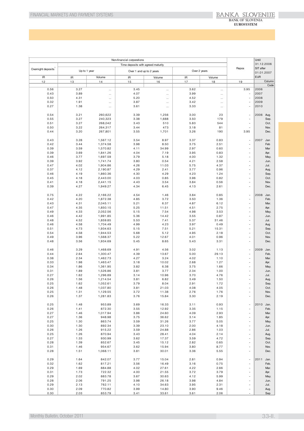|                   |      |              | Non-financial corporations         |          |      |              |                          | Until                   |
|-------------------|------|--------------|------------------------------------|----------|------|--------------|--------------------------|-------------------------|
|                   |      |              | Time deposits with agreed maturity |          |      |              |                          | 31.12.2006              |
| Ovemight deposits |      | Up to 1 year | Over 1 and up to 2 years           |          |      | Over 2 years | Repos                    | SIT after<br>01.01.2007 |
| IR                | IR   | Volume       | IR                                 | Volume   | IR   | Volume       |                          | <b>EUR</b>              |
| 12                | 13   | 14           | 15                                 | 16       | 17   | 18           | 19                       | Column                  |
|                   |      |              |                                    |          |      |              |                          | Code                    |
| 0.56              | 3.27 | $\cdots$     | 3.45                               | $\cdots$ | 3.62 |              | 3.95                     | 2006                    |
| 0.43              | 3.89 | $\cdots$     | 4.07                               |          | 3.99 |              |                          | 2007                    |
| 0.50              | 4.31 | $\cdots$     | 5.20                               |          | 4.52 | $\cdots$     |                          | 2008                    |
| 0.32              | 1.91 | $\cdots$     | 3.87                               |          | 3.42 |              |                          | 2009                    |
| 0.27              | 1.38 | $\cdots$     | 3.61                               | $\cdots$ | 3.33 | $\cdots$     |                          | 2010                    |
|                   |      |              |                                    |          |      |              |                          |                         |
| 0.54              | 3.21 | 260,622      | 3.39                               | 1,256    | 3.00 | 23           |                          | 2006 Aug.               |
| 0.55              | 3.27 | 240,323      | 3.38                               | 1,688    | 3.50 | 179          |                          | Sep.                    |
| 0.51              | 3.27 | 268,042      | 3.43                               | 510      | 5.83 | 544          | $\overline{\phantom{a}}$ | Oct.                    |
| 0.50              | 3.22 | 264,317      | 3.44                               | 473      | 3.18 | 81           |                          | Nov.                    |
| 0.44              | 3.20 | 267,801      | 3.55                               | 1,701    | 3.26 | 190          | 3.95                     | Dec.                    |
|                   |      |              |                                    |          |      |              |                          |                         |
| 0.43              | 3.28 | 1,567.12     | 3.54                               | 8.97     | 3.37 | 0.83         |                          | 2007<br>Jan             |
| 0.42              | 3.44 | 1,374.58     | 3.98                               | 8.50     | 3.75 | 2.51         |                          | Feb                     |
| 0.39              | 3.59 | 1,570.82     | 4.11                               | 34.99    | 2.97 | 0.60         | ä,                       | Mar                     |
| 0.39              | 3.69 |              | 4.04                               | 7.19     | 3.95 | 0.83         |                          |                         |
|                   |      | 1,841.26     |                                    |          |      |              | ä,                       | Apr.                    |
| 0.46              | 3.77 | 1,697.59     | 3.79                               | 5.18     | 4.00 | 1.32         |                          | May.                    |
| 0.39              | 3.92 | 1,741.74     | 3.80                               | 0.54     | 4.21 | 2.58         | í.                       | Jun.                    |
| 0.47              | 4.02 | 1,904.86     | 4.26                               | 11.03    | 5.75 | 4.37         | ä,                       | Jul.                    |
| 0.37              | 4.12 | 2,190.87     | 4.29                               | 2.41     | 3.77 | 0.96         | ä,                       | Aug.                    |
| 0.46              | 4.19 | 1,860.36     | 4.30                               | 4.29     | 4.23 | 1.24         | ä,                       | Sep.                    |
| 0.45              | 4.18 | 2,443.00     | 4.03                               | 0.85     | 3.96 | 0.82         |                          | Oct.                    |
| 0.41              | 4.18 | 2,441.15     | 4.43                               | 3.54     | 3.84 | 0.56         | ٠                        | Nov.                    |
| 0.39              | 4.27 | 1,949.27     | 4.34                               | 6.45     | 4.13 | 2.61         | Ĭ.                       | Dec.                    |
|                   |      |              |                                    |          |      |              |                          |                         |
| 0.75              | 4.22 | 2,166.22     | 4.54                               | 1.46     | 3.84 | 0.85         |                          | 2008<br>Jan.            |
| 0.42              | 4.20 | 1,872.38     | 4.85                               | 3.72     | 3.50 | 1.36         | ä,                       | Feb.                    |
| 0.43              | 4.31 | 2,045.11     | 5.21                               | 6.37     | 4.87 | 6.12         |                          | Mar.                    |
| 0.47              | 4.35 | 1,850.15     | 5.25                               | 11.51    | 4.51 | 2.75         | ä,                       | Apr.                    |
| 0.49              | 4.33 | 2,052.56     | 5.15                               | 7.54     | 4.98 | 3.53         |                          | May.                    |
| 0.46              | 4.42 | 1,991.85     | 5.36                               | 14.42    | 3.55 | 0.87         | ä,                       | Jun.                    |
| 0.48              | 4.52 | 1,859.85     | 5.53                               | 7.41     | 5.37 | 31.46        | ä,                       | Jul.                    |
| 0.46              | 4.58 | 1,704.49     | 4.99                               | 4.23     | 3.97 | 0.49         | ٠                        | Aug                     |
| 0.51              | 4.73 | 1,934.63     | 5.15                               | 7.51     | 5.21 | 15.31        | ä,                       | Sep.                    |
|                   |      |              |                                    |          |      | 2.18         | ٠                        |                         |
| 0.54              | 4.58 | 1,944.53     | 5.68                               | 5.12     | 4.95 |              |                          | Oct.                    |
| 0.49              | 3.96 | 1,568.37     | 5.22                               | 12.67    | 4.01 | 0.96         |                          | Nov.                    |
| 0.48              | 3.56 | 1,934.69     | 5.45                               | 8.65     | 5.43 | 3.31         | ä,                       | Dec.                    |
|                   |      |              |                                    |          |      |              |                          |                         |
| 0.46              | 3.29 | 1,468.69     | 4.91                               | 4.56     | 3.02 | 1.13         |                          | 2009<br>Jan.            |
| 0.44              | 2.64 | 1,300.47     | 4.39                               | 13.67    | 5.00 | 29.13        | í.                       | Feb.                    |
| 0.38              | 2.34 | 1,462.73     | 4.27                               | 3.24     | 4.02 | 1.10         | ٠                        | Mar.                    |
| 0.33              | 1.98 | 1,463.47     | 3.18                               | 10.02    | 2.68 | 1.27         |                          | Apr.                    |
| 0.34              | 1.86 | 1,361.95     | 3.82                               | 6.38     | 3.75 | 1.66         | ٠                        | May.                    |
| 0.31              | 1.89 | 1,526.86     | 3.81                               | 3.77     | 2.34 | 1.00         |                          | Jun.                    |
| 0.27              | 1.62 | 1,296.89     | 3.14                               | 10.96    | 3.70 | 4.76         |                          | Jul.                    |
| 0.26              | 1.56 | 1,214.54     | 3.81                               | 6.82     | 3.49 | 1.50         |                          | Aug.                    |
| 0.25              | 1.62 | 1,052.61     | 3.79                               | 8.04     | 2.91 | 1.72         |                          | Sep.                    |
| 0.26              | 1.48 | 1,037.80     | 3.81                               | 21.03    | 4.08 | 4.05         |                          | Oct.                    |
| 0.25              | 1.31 | 1,129.55     | 3.72                               | 11.38    | 2.76 | 1.76         |                          | Nov.                    |
| 0.26              | 1.37 | 1,281.83     | 3.76                               | 15.84    | 3.30 | 2.19         |                          | Dec.                    |
|                   |      |              |                                    |          |      |              |                          |                         |
| 0.25              | 1.48 | 953.89       | 3.69                               | 16.33    | 3.11 | 0.93         |                          | 2010 Jan.               |
| 0.26              | 1.41 | 872.30       | 3.55                               | 12.92    | 3.35 | 1.15         | $\overline{\phantom{a}}$ | Feb.                    |
| 0.27              | 1.46 | 1,017.94     | 3.86                               | 24.60    | 4.09 | 2.93         |                          | Mar.                    |
| 0.27              | 1.36 | 948.98       | 3.75                               | 36.62    | 3.14 | 1.85         |                          | Apr.                    |
| 0.25              | 1.30 | 863.74       | 3.59                               | 31.26    | 3.77 | 5.05         |                          | May.                    |
| 0.30              | 1.30 | 892.34       | 3.39                               | 23.10    | 2.00 | 4.18         | ä,                       | Jun.                    |
| 0.26              | 1.26 | 915.22       | 3.59                               | 24.88    | 2.86 | 1.03         |                          | Jul.                    |
| 0.25              | 1.26 | 870.94       | 3.43                               | 28.41    | 4.04 | 2.14         |                          | Aug.                    |
| 0.27              | 1.33 | 930.99       | 3.62                               | 17.37    | 3.59 | 4.72         |                          | Sep.                    |
| 0.28              | 1.39 | 852.67       | 3.45                               | 15.12    | 2.82 | 0.65         |                          | Oct.                    |
|                   |      |              |                                    |          |      |              |                          |                         |
| 0.31              | 1.46 | 954.67       | 3.62                               | 15.94    | 3.80 | 8.77         |                          | Nov.                    |
| 0.28              | 1.51 | 1,068.11     | 3.81                               | 30.01    | 3.36 | 5.55         | ä,                       | Dec.                    |
|                   |      |              |                                    |          |      |              |                          |                         |
| 0.29              | 1.64 | 842.07       | 3.77                               | 15.04    | 2.81 | 0.94         |                          | 2011 Jan.               |
| 0.32              | 1.62 | 817.21       | 3.56                               | 16.49    | 3.16 | 0.75         | ÷,                       | Feb.                    |
| 0.29              | 1.69 | 884.88       | 4.02                               | 27.61    | 4.22 | 2.66         |                          | Mar.                    |
| 0.31              | 1.73 | 722.32       | 4.00                               | 21.55    | 3.72 | 3.79         |                          | Apr.                    |
| 0.29              | 2.02 | 883.78       | 3.67                               | 30.63    | 4.12 | 5.99         |                          | May.                    |
| 0.28              | 2.06 | 791.25       | 3.98                               | 26.18    | 3.98 | 4.84         |                          | Jun.                    |
| 0.29              | 2.13 | 762.11       | 4.10                               | 34.63    | 3.95 | 2.31         |                          | Jul.                    |
| 0.30              | 2.09 | 770.82       | 3.99                               | 14.80    | 3.90 | 9.46         |                          | Aug.                    |
| 0.30              | 2.03 | 853.79       | 3.41                               | 33.61    | 3.61 | 2.06         |                          | Sep                     |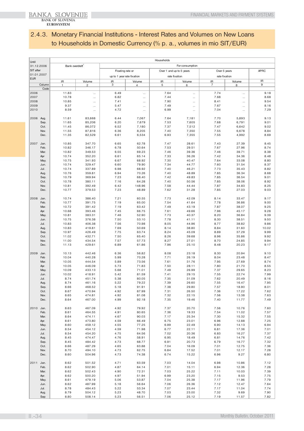# 2.4.3. Monetary Financial Institutions - Interest Rates and Volumes on New Loans to Households in Domestic Currency (% p. a., volumes in mio SIT/EUR)

| Until                |                    |                          |                            |                          | Households               |                 |                             |                |              |
|----------------------|--------------------|--------------------------|----------------------------|--------------------------|--------------------------|-----------------|-----------------------------|----------------|--------------|
| 31.12.2006           | Bank overdraft     |                          |                            |                          |                          | For consumption |                             |                |              |
| SIT after            |                    |                          | Floating rate or           |                          | Over 1 and up to 5 years |                 | Over 5 years                |                | <b>APRC</b>  |
| 01.01.2007           |                    |                          |                            |                          |                          |                 |                             |                |              |
| <b>EUR</b>           |                    |                          | up to 1 year rate fixation |                          | rate fixation            |                 | rate fixation               |                |              |
| Column               | IR<br>$\mathbf{1}$ | Volume<br>$\overline{2}$ | IR<br>3                    | Volume<br>$\overline{4}$ | IR<br>5                  | Volume<br>6     | <b>IR</b><br>$\overline{7}$ | Volume<br>8    | IR<br>9      |
| Code                 |                    |                          |                            |                          |                          |                 |                             |                |              |
| 2006                 | 11.83              | $\cdots$                 | 6.49                       |                          | 7.64                     |                 | 7.74                        | $\cdots$       | 9.18         |
| 2007                 | 10.78              |                          | 6.82                       |                          | 7.44                     |                 | 7.68                        | $\cdots$       | 8.68         |
| 2008                 | 10.85              |                          | 7.41                       | $\cdots$                 | 7.90                     | $\cdots$        | 8.41                        | $\cdots$       | 9.54         |
| 2009                 | 9.37               |                          | 5.47                       |                          | 7.49                     |                 | 7.67                        | $\cdots$       | 8.16         |
| 2010                 | 8.59               | $\cdots$                 | 4.72                       | $\cdots$                 | 6.99                     | $\cdots$        | 7.04                        | $\cdots$       | 7.29         |
|                      |                    |                          |                            |                          |                          |                 |                             |                |              |
| 2006<br>Aug.         | 11.61              | 83,668                   | 6.44                       | 7,067                    | 7.64                     | 7,181           | 7.70                        | 5,893          | 9.13         |
| Sep.                 | 11.65              | 85,206                   | 6.20                       | 7,679                    | 7.53                     | 7,605           | 7.68                        | 6,791          | 9.01         |
| Oct.                 | 11.45              | 86,072                   | 6.52<br>6.36               | 7,180                    | 7.37<br>7.40             | 7,512           | 7.47                        | 6,642          | 9.02         |
| Nov.<br>Dec.         | 11.55<br>11.35     | 87,816<br>82,529         | 6.61                       | 8,205<br>6,534           | 6.93                     | 7,350<br>7,355  | 7.55<br>7.55                | 6,678<br>4,992 | 8.84<br>8.69 |
|                      |                    |                          |                            |                          |                          |                 |                             |                |              |
| 2007<br>Jan.         | 10.85              | 347.70                   | 6.65                       | 62.78                    | 7.47                     | 28.61           | 7.43                        | 27.39          | 8.45         |
| Feb.                 | 10.82              | 346.17                   | 6.78                       | 50.64                    | 7.53                     | 29.51           | 7.67                        | 27.96          | 8.74         |
| Mar.                 | 10.82              | 349.53                   | 6.55                       | 69.23                    | 7.46                     | 39.36           | 7.46                        | 39.71          | 8.38         |
| Apr                  | 10.74              | 352.20                   | 6.61                       | 65.14                    | 7.33                     | 36.26           | 7.42                        | 34.36          | 8.48         |
| May.                 | 10.75              | 341.93                   | 6.67                       | 68.92                    | 7.30                     | 40.47           | 7.64                        | 33.08          | 8.80         |
| Jun.                 | 10.74              | 329.47                   | 6.60                       | 79.90                    | 7.34                     | 44.77           | 7.60                        | 31.54          | 8.37         |
| Jul.                 | 10.74              | 337.89                   | 6.98                       | 68.92                    | 7.40                     | 46.21           | 7.73                        | 35.43          | 8.82         |
| Aug.                 | 10.76              | 359.81                   | 6.94                       | 70.26                    | 7.40                     | 48.89           | 7.85                        | 36.34          | 8.68         |
| Sep.                 | 10.79              | 369.94                   | 7.23                       | 68.40                    | 7.42                     | 49.83           | 7.85                        | 36.54          | 9.01         |
| Oct.                 | 10.78              | 380.11                   | 7.16                       | 64.28                    | 7.40                     | 50.56           | 7.85                        | 38.06          | 8.92         |
| Nov.<br>Dec.         | 10.81<br>10.77     | 392.49<br>379.53         | 6.42<br>7.23               | 148.96<br>48.89          | 7.58<br>7.62             | 44.44<br>31.28  | 7.87<br>7.85                | 34.83<br>27.03 | 8.25<br>9.03 |
|                      |                    |                          |                            |                          |                          |                 |                             |                |              |
| 2008<br>Jan.         | 10.74              | 386.40                   | 7.21                       | 60.55                    | 7.73                     | 42.09           | 8.14                        | 33.47          | 9.17         |
| Feb.                 | 10.77              | 391.75                   | 7.19                       | 65.00                    | 7.54                     | 41.64           | 7.78                        | 36.86          | 9.00         |
| Mar.                 | 10.72              | 391.42                   | 7.19                       | 63.42                    | 7.49                     | 43.19           | 7.87                        | 38.07          | 9.25         |
| Apr.                 | 10.68              | 393.46                   | 7.45                       | 66.75                    | 7.61                     | 49.66           | 7.96                        | 45.17          | 9.28         |
| May.                 | 10.81              | 383.31                   | 7.46                       | 52.90                    | 7.73                     | 40.37           | 8.20                        | 36.84          | 9.39         |
| Jun.                 | 10.75              | 376.38                   | 7.50                       | 53.10                    | 7.78                     | 41.11           | 8.30                        | 38.51          | 9.50         |
| Jul.                 | 10.83              | 406.38                   | 7.56                       | 70.98                    | 8.05                     | 44.96           | 8.77                        | 38.82          | 9.86         |
| Aug.                 | 10.83              | 419.81                   | 7.69                       | 50.69                    | 8.14                     | 38.80           | 8.84                        | 31.60          | 10.02        |
| Sep.                 | 10.97              | 426.49                   | 7.75                       | 63.74                    | 8.24                     | 45.09           | 8.89                        | 37.29          | 9.99         |
| Oct.                 | 11.02              | 432.71                   | 7.50                       | 65.40                    | 8.26                     | 39.68           | 8.96                        | 35.86          | 9.92         |
| Nov.                 | 11.00              | 434.54                   | 7.57                       | 57.73                    | 8.27                     | 27.01           | 8.70                        | 24.85          | 9.94         |
| Dec.                 | 11.13              | 429.61                   | 6.89                       | 61.86                    | 7.96                     | 25.10           | 8.48                        | 20.23          | 9.17         |
| 2009<br>Jan.         | 10.13              | 442.46                   | 6.36                       | 56.82                    | 8.08                     | 23.18           | 8.30                        | 20.94          | 9.10         |
| Feb                  | 10.04              | 440.28                   | 5.99                       | 70.28                    | 7.71                     | 26.19           | 8.04                        | 23.48          | 8.47         |
| Mar.                 | 10.05              | 444.54                   | 5.89                       | 73.56                    | 7.61                     | 31.76           | 7.95                        | 27.69          | 8.74         |
| Apr.                 | 10.05              | 446.09                   | 5.73                       | 71.83                    | 7.50                     | 28.11           | 7.80                        | 21.70          | 8.55         |
| May.                 | 10.09              | 433.13                   | 5.68                       | 71.01                    | 7.49                     | 26.99           | 7.37                        | 29.65          | 8.23         |
| Jun.                 | 10.02              | 418.91                   | 5.42                       | 81.59                    | 7.41                     | 29.15           | 7.55                        | 22.74          | 7.99         |
| Jul.                 | 8.74               | 451.74                   | 5.38                       | 80.05                    | 7.35                     | 31.09           | 7.62                        | 20.49          | 8.16         |
| Aug.                 | 8.74               | 461.16                   | 5.22                       | 79.22                    | 7.39                     | 26.60           | 7.55                        | 16.47          | 7.95         |
| Sep.                 | 8.66               | 468.52                   | 5.18                       | 91.91                    | 7.38                     | 29.80           | 1.51                        | 18.90          | 8.01         |
| Oct.                 | 8.67               | 470.94                   | 4.92                       | 87.99                    | 7.31                     | 26.50           | 7.36                        | 17.22          | 7.62         |
| Nov.                 | 8.65               | 474.81                   | 4.92                       | 81.08                    | 7.32                     | 22.15           | 7.56                        | 13.38          | 7.63         |
| Dec.                 | 8.64               | 467.00                   | 4.99                       | 92.18                    | 7.35                     | 19.46           | 7.40                        | 11.77          | 7.49         |
| 2010 Jan.            | 8.63               | 467.09                   | 4.92                       | 79.92                    | 7.37                     | 20.70           | 7.56                        | 10.76          | 7.60         |
| Feb.                 | 8.61               | 464.55                   | 4.91                       | 80.65                    | 7.36                     | 19.33           | 7.54                        | 11.02          | 7.57         |
| Mar.                 | 8.64               | 474.11                   | 4.67                       | 90.03                    | 7.17                     | 25.34           | 7.30                        | 15.32          | 7.55         |
| Apr.                 | 8.61               | 473.80                   | 4.59                       | 66.49                    | 6.75                     | 23.01           | 6.96                        | 12.88          | 7.25         |
| May.                 | 8.60               | 459.12                   | 4.55                       | 77.25                    | 6.99                     | 22.49           | 6.90                        | 14.13          | 6.94         |
| Jun.                 | 8.54               | 454.12                   | 4.59                       | 71.98                    | 6.77                     | 22.11           | 6.81                        | 17.36          | 7.01         |
| Jul.                 | 8.54               | 454.20                   | 4.75                       | 64.56                    | 7.02                     | 20.36           | 6.83                        | 16.27          | 7.37         |
| Aug.                 | 8.45               | 474.47                   | 4.76                       | 58.91                    | 6.95                     | 18.49           | 6.81                        | 14.76          | 7.42         |
| Sep.                 | 8.45               | 484.42                   | 4.73                       | 68.77                    | 6.91                     | 20.73           | 6.79                        | 16.77          | 7.32         |
| Oct.                 | 8.66               | 487.29                   | 4.65                       | 63.88                    | 7.04                     | 16.09           | 7.01                        | 12.75          | 7.36         |
| Nov.                 | 8.70               | 494.10                   | 4.73                       | 62.75                    | 6.84                     | 17.52           | 7.01                        | 12.17          | 7.28         |
| Dec.                 | 8.60               | 504.96                   | 4.73                       | 74.38                    | 6.74                     | 15.22           | 6.96                        | 9.27           | 6.80         |
|                      |                    |                          |                            |                          |                          |                 |                             |                |              |
| 2011<br>Jan.<br>Feb. | 8.62<br>8.62       | 501.52<br>502.90         | 4.71<br>4.87               | 63.59<br>64.14           | 7.03<br>7.01             | 14.04<br>15.11  | 6.98<br>6.94                | 10.86<br>12.36 | 7.12<br>7.28 |
| Mar.                 | 8.62               | 502.43                   | 4.90                       | 72.31                    | 7.03                     | 25.22           | 7.11                        | 10.03          | 7.39         |
| Apr.                 | 8.62               | 500.20                   | 4.97                       | 51.94                    | 6.99                     | 23.20           | 7.15                        | 9.53           | 7.75         |
| May.                 | 8.61               | 479.19                   | 5.06                       | 53.87                    | 7.04                     | 25.38           | 7.17                        | 11.96          | 7.79         |
| Jun.                 | 8.62               | 487.99                   | 5.18                       | 56.64                    | 7.06                     | 26.36           | 7.12                        | 12.47          | 7.64         |
| Jul.                 | 8.78               | 484.43                   | 5.22                       | 53.34                    | 7.07                     | 23.44           | 7.17                        | 11.04          | 7.74         |
| Aug.                 | 8.79               | 504.12                   | 5.23                       | 48.70                    | 7.03                     | 23.00           | 7.32                        | 9.69           | 7.90         |
| Sep                  | 8.80               | 508.14                   | 5.23                       | 56.51                    | 7.06                     | 25.12           | 7.19                        | 11.57          | 7.82         |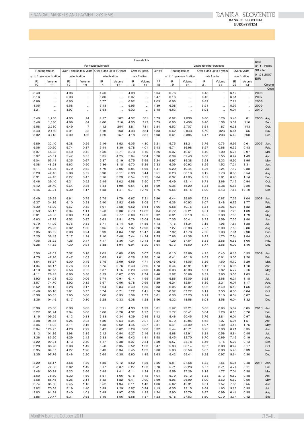|              |                            |              |                |                    |                                                      |              | Households    |              |              |                            |                          |                          |              |               | Until                    |              |
|--------------|----------------------------|--------------|----------------|--------------------|------------------------------------------------------|--------------|---------------|--------------|--------------|----------------------------|--------------------------|--------------------------|--------------|---------------|--------------------------|--------------|
|              |                            |              |                | For house purchase |                                                      |              |               |              |              |                            | Loans for other purposes |                          |              |               |                          | 31.12.2006   |
|              | Floating rate or           |              |                |                    | Over 1 and up to 5 years   Over 5 and up to 10 years |              | Over 10 years | <b>APRC</b>  |              | Floating rate or           |                          | Over 1 and up to 5 years |              | Over 5 years  | SIT after                |              |
|              | up to 1 year rate fixation |              | rate fixation  |                    | rate fixation                                        |              | rate fixation |              |              | up to 1 year rate fixation |                          | rate fixation            |              | rate fixation | 01.01.2007<br><b>EUR</b> |              |
| IR           | Volume                     | IR           | Volume         | IR                 | Volume                                               | IR           | Volume        | IR           | IR           | Volume                     | IR                       | Volume                   | ΙR           | Volume        |                          |              |
| 10           | 11                         | 12           | 13             | 14                 | 15                                                   | 16           | 17            | 18           | 19           | 20                         | 21                       | 22                       | 23           | 24            |                          | Column       |
|              |                            |              |                |                    |                                                      |              |               |              | 6.76         |                            |                          |                          |              |               |                          | Code         |
| 5.40<br>6.16 | $\cdots$                   | 4.96<br>5.93 |                | 4.56<br>5.80       | $\cdots$                                             | 4.03<br>6.07 | $\ldots$      | 5.64<br>6.47 | 6.16         | $\cdots$                   | 6.45<br>6.46             | $\cdots$                 | 6.12<br>6.81 | $\cdots$      | 2006<br>2007             |              |
| 6.69         | $\cdots$<br>$\cdots$       | 6.80         |                | 6.77               | $\cdots$<br>$\cdots$                                 | 6.92         | $\ldots$      | 7.03         | 6.96         | $\cdots$<br>$\cdots$       | 6.89                     | $\ddotsc$<br>            | 7.21         | $\cdots$<br>  | 2008                     |              |
| 4.05         | $\cdots$                   | 5.58         | <br>$\cdots$   | 6.43               | $\cdots$                                             | 5.95         | <br>$\cdots$  | 4.39         | 6.08         | $\cdots$                   | 5.91                     | $\ddotsc$                | 5.93         | $\cdots$      | 2009                     |              |
| 3.21         | $\cdots$                   | 3.97         |                | 5.53               | $\cdots$                                             | 5.02         | $\cdots$      | 3.48         | 5.63         | $\cdots$                   | 6.08                     | $\cdots$                 | 6.01         |               | 2010                     |              |
|              |                            |              |                |                    |                                                      |              |               |              |              |                            |                          |                          |              |               |                          |              |
| 5.40         | 1,756                      | 4.83         | 24             | 4.57               | 182                                                  | 4.07         | 581           | 5.73         | 6.92         | 2,038                      | 6.80                     | 178                      | 5.48         | 81            | 2006                     | Aug.         |
| 5.46         | 1,630                      | 4.68         | 64             | 4.60               | 216                                                  | 4.05         | 712           | 5.75         | 6.95         | 2,458                      | 6.40                     | 138                      | 5.59         | 116           |                          | Sep.         |
| 5.58         | 2,280                      | 5.49         | $\overline{7}$ | 4.42               | 254                                                  | 3.81         | 781           | 5.84         | 6.53         | 2,707                      | 5.64                     | 187                      | 6.38         | 143           |                          | Oct.         |
| 5.43         | 2,160                      | 5.01         | 33             | 5.19               | 163                                                  | 4.33         | 584           | 5.83         | 6.62         | 2,943                      | 5.79                     | 323                      | 6.61         | 55            |                          | Nov.         |
| 5.92         | 3,713                      | 5.09         | 136            | 4.29               | 157                                                  | 4.18         | 881           | 5.98         | 6.61         | 3,385                      | 6.47                     | 203                      | 5.49         | 260           |                          | Dec.         |
|              |                            |              |                |                    |                                                      |              |               |              |              |                            |                          |                          |              |               |                          |              |
| 5.89         | 32.40                      | 6.38         | 0.29           | 5.16               | 1.52                                                 | 6.05         | 4.30          | 6.21         | 5.75         | 38.21                      | 5.76                     | 0.75                     | 5.93         | 0.61          | 2007                     | Jan.         |
| 6.06         | 30.60                      | 5.74         | 0.37           | 5.44               | 1.30                                                 | 5.78         | 4.01          | 6.43         | 5.71         | 36.98                      | 6.57                     | 0.68                     | 6.39         | 0.43          |                          | Feb.         |
| 5.97         | 48.33                      | 5.40         | 0.42           | 5.50               | 2.71                                                 | 5.73         | 6.10          | 6.26         | 6.07         | 40.61                      | 6.49                     | 1.90                     | 6.76         | 0.97          |                          | Mar.         |
| 5.97         | 45.31                      | 5.47         | 0.55           | 5.35               | 4.25                                                 | 5.64         | 6.84          | 6.20         | 6.09         | 32.43                      | 6.80                     | 1.55                     | 6.97         | 1.43          |                          | Apr          |
| 6.04         | 55.44                      | 5.35         | 0.67           | 5.37               | 5.19                                                 | 5.75         | 7.99          | 6.24         | 5.97         | 39.38                      | 5.93                     | 5.33                     | 5.92         | 1.95          |                          | May.         |
| 6.08         | 48.28                      | 5.63         | 0.50           | 5.36               | 3.18                                                 | 5.70         | 6.29          | 6.33         | 6.09         | 50.92                      | 6.29                     | 1.52                     | 7.21         | 1.31          |                          | Jun.         |
| 6.11         | 45.26                      | 5.79         | 0.62           | 5.79               | 3.06                                                 | 5.84         | 5.65          | 6.41         | 6.20         | 40.44                      | 6.36                     | 1.24                     | 7.12         | 0.88          |                          | Jul.         |
| 6.20         | 42.46                      | 5.86         | 0.72           | 5.98               | 3.11                                                 | 6.03         | 8.44          | 6.51         | 6.28         | 36.10                      | 6.12                     | 1.78                     | 6.80         | 0.54          |                          | Aug.         |
| 6.31         | 44.43                      | 6.27         | 0.47           | 6.16               | 3.23                                                 | 6.54         | 6.12          | 6.64         | 6.37         | 41.05                      | 6.72                     | 1.61                     | 6.90         | 1.14          |                          | Sep.         |
| 6.46         | 39.40                      | 6.31         | 0.52           | 6.45               | 3.02                                                 | 6.58         | 7.50          | 6.77         | 6.49         | 42.14                      | 6.71                     | 3.66                     | 7.13         | 0.94          |                          | Oct.         |
| 6.42         | 35.79                      | 6.64         | 0.35           | 6.44               | 1.90                                                 | 6.54         | 7.48          | 6.69         | 6.35         | 45.20                      | 6.84                     | 2.38                     | 6.86         | 2.20          |                          | Nov.         |
| 6.45         | 33.21                      | 6.30         | 1.17           | 6.58               | 1.41                                                 | 6.71         | 12.76         | 6.76         | 6.55         | 45.15                      | 6.90                     | 2.43                     | 7.68         | 13.10         |                          | Dec.         |
| 6.49         | 29.29                      | 6.61         | 0.79           | 6.75               | 1.79                                                 | 6.67         | 7.21          | 6.86         | 6.44         | 25.85                      | 7.51                     | 0.87                     | 7.33         | 1.04          | 2008                     | Jan.         |
| 6.37         | 34.16                      | 6.10         | 0.23           | 6.40               | 2.52                                                 | 6.66         | 8.08          | 6.71         | 6.36         | 40.93                      | 6.07                     | 3.48                     | 6.79         | 1.77          |                          | Feb.         |
| 6.30         | 46.09                      | 6.67         | 0.52           | 6.61               | 2.58                                                 | 6.52         | 8.54          | 6.66         | 6.58         | 40.75                      | 6.84                     | 2.06                     | 6.97         | 1.82          |                          | Mar.         |
| 6.50         | 58.17                      | 6.84         | 1.11           | 6.53               | 3.36                                                 | 6.70         | 14.82         | 6.84         | 6.72         | 59.21                      | 6.51                     | 1.99                     | 7.23         | 1.69          |                          | Apr.         |
| 6.61         | 46.36                      | 6.60         | 1.04           | 6.53               | 2.77                                                 | 6.69         | 14.52         | 6.92         | 6.91         | 50.13                      | 6.52                     | 2.83                     | 7.55         | 1.79          |                          | May.         |
| 6.63         | 47.79                      | 6.52         | 0.87           | 6.63               | 3.51                                                 | 6.79         | 15.04         | 6.98         | 7.05         | 50.41                      | 6.72                     | 3.59                     | 7.35         | 1.80          |                          | Jun.         |
| 6.79         | 41.09                      | 6.76         | 0.53           | 6.71               | 3.14                                                 | 6.91         | 14.85         | 7.13         | 7.15         | 44.34                      | 7.15                     | 1.95                     | 7.87         | 1.28          |                          | Jul.         |
| 6.91         | 28.96                      | 6.82         | 1.60           | 6.95               | 2.74                                                 | 7.07         | 12.96         | 7.28         | 7.27         | 30.38                      | 7.27                     | 2.00                     | 7.50         | 0.86          |                          | Aug.         |
| 7.05         | 33.62                      | 6.98         | 0.94           | 6.99               | 4.84                                                 | 7.32         | 15.47         | 7.43         | 7.32         | 47.78                      | 7.60                     | 1.93                     | 7.61         | 2.98          |                          | Sep.         |
| 7.25         | 36.49                      | 7.17         | 1.24           | 7.10               | 5.48                                                 | 7.44         | 14.24         | 7.55         | 7.66         | 41.38                      | 6.92                     | 1.73                     | 7.64         | 1.84          |                          | Oct.         |
| 7.05         | 38.22                      | 7.25         | 0.47           | 7.17               | 3.36                                                 | 7.34         | 10.13         | 7.38         | 7.29         | 37.54                      | 6.83                     | 2.68                     | 6.66         | 1.65          |                          | Nov.         |
| 6.28         | 41.82                      | 7.30         | 0.94           | 6.88               | 1.94                                                 | 6.94         | 6.20          | 6.64         | 6.73         | 46.50                      | 6.77                     | 2.56                     | 6.09         | 1.46          |                          | Dec.         |
|              |                            |              |                |                    |                                                      |              |               |              |              |                            |                          |                          |              |               |                          |              |
| 5.50         | 42.02                      | 7.02         | 0.18           | 7.05               | 0.60                                                 | 6.65         | 3.07          | 5.85         | 6.10         | 33.69                      | 4.95                     | 0.40                     | 6.18         | 0.55          | 2009                     | Jan.         |
| 4.75         | 47.76                      | 6.47         | 1.02           | 6.63               | 1.01                                                 | 6.28         | 2.98          | 5.16         | 6.41         | 40.16                      | 6.62                     | 0.61                     | 5.05         | 1.20          |                          | Feb          |
| 4.64         | 66.67                      | 5.00         | 0.45           | 5.75               | 2.09                                                 | 6.69         | 4.71          | 5.06         | 6.46         | 44.05                      | 5.86                     | 1.50                     | 5.72         | 3.29          |                          | Mar.         |
| 4.34         | 66.17                      | 6.76         | 0.51           | 6.75               | 0.76                                                 | 6.40         | 2.60          | 4.73         | 6.44         | 43.81                      | 5.16                     | 2.13                     | 6.08         | 1.18          |                          | Apr.         |
| 4.10         | 82.75                      | 5.56         | 0.22           | 6.37               | 1.15                                                 | 6.20         | 2.96          | 4.46         | 6.08         | 48.38                      | 5.61                     | 1.82                     | 5.77         | 2.16          |                          | May.         |
| 4.11         | 78.43                      | 6.60         | 0.36           | 6.59               | 0.87                                                 | 6.33         | 2.74          | 4.46         | 5.87         | 50.69                      | 6.32                     | 2.63                     | 5.56         | 1.65          |                          | Jun.         |
| 3.92         | 84.08                      | 6.32         | 0.06           | 6.74               | 0.91                                                 | 6.14         | 1.99          | 4.25         | 5.86         | 35.09                      | 5.68                     | 2.68                     | 6.21         | 1.18          |                          | Jul.         |
| 3.57         | 74.70                      | 3.92         | 0.12           | 6.57               | 0.56                                                 | 5.78         | 0.99          | 3.89         | 6.24         | 32.84                      | 6.39                     | 2.21                     | 6.07         | 1.17          |                          | Aug.         |
| 3.52         | 90.12                      | 5.28         | 0.17           | 6.64               | 0.84                                                 | 5.49         | 1.55          | 3.83         | 6.05         | 43.32                      | 5.96                     | 3.49                     | 6.10         | 1.56          |                          | Sep.         |
| 3.46         | 90.10                      | 5.91         | 0.77           | 6.74               | 0.71                                                 | 5.22         | 1.41          | 3.76         | 6.07         | 37.22                      | 6.11                     | 2.53                     | 6.00         | 0.84          |                          | Oct.         |
| 3.38         | 90.35                      | 2.95         | 0.06           | 5.00               | 0.35                                                 | 5.09         | 1.72          | 3.61         | 6.08         | 37.23                      | 6.21                     | 2.10                     | 6.34         | 0.87          |                          | Nov.         |
| 3.36         | 104.45                     | 5.17         | 0.10           | 6.28               | 0.33                                                 | 5.08         | 1.28          | 3.56         | 5.32         | 48.56                      | 6.03                     | 3.58                     | 6.04         | 1.32          |                          | Dec.         |
|              |                            |              |                |                    |                                                      |              |               |              |              |                            |                          |                          |              |               |                          |              |
| 3.39         | 73.66<br>81.94             | 0.00<br>3.84 | 0.03<br>0.06   | 6.11<br>6.08       | 0.12<br>0.28                                         | 4.38<br>4.32 | 1.29<br>1.27  | 3.61<br>3.51 | 5.92<br>5.77 | 23.21<br>38.41             | 5.63<br>5.84             | 0.90<br>1.28             | 5.87<br>6.13 | 0.85<br>0.76  | 2010                     | Jan.<br>Feb. |
| 3.27<br>3.15 | 109.59                     | 4.13         | 0.13           | 5.33               | 0.34                                                 | 4.39         | 2.45          | 3.42         | 5.46         | 50.45                      | 5.76                     | 2.81                     | 6.01         | 0.97          |                          | Mar.         |
| 3.08         | 105.45                     | 6.25         | 0.25           | 5.80               | 0.54                                                 | 5.04         | 2.21          | 3.37         | 5.79         | 42.85                      | 5.63                     | 1.07                     | 5.95         | 1.51          |                          | Apr.         |
| 3.06         | 116.02                     | 3.11         | 0.16           | 5.38               | 0.62                                                 | 4.45         | 3.27          | 3.31         | 5.41         | 38.09                      | 6.07                     | 1.39                     | 4.58         | 1.75          |                          | May.         |
| 3.04         | 126.27                     | 4.20         | 2.99           | 5.42               | 0.62                                                 | 5.29         | 3.06          | 3.32         | 5.44         | 43.71                      | 6.23                     | 2.03                     | 6.21         | 0.35          |                          | Jun.         |
| 3.13         | 101.36                     | 3.98         | 3.35           | 5.12               | 0.54                                                 | 5.27         | 2.16          | 3.43         | 5.68         | 42.91                      | 6.34                     | 0.56                     | 5.84         | 0.45          |                          | Jul.         |
| 3.26         | 83.60                      | 4.29         | 2.42           | 5.33               | 0.56                                                 | 5.42         | 1.41          | 3.58         | 5.45         | 32.70                      | 6.70                     | 0.69                     | 7.19         | 0.19          |                          | Aug.         |
| 3.22         | 99.34                      | 4.13         | 2.50           | 5.17               | 0.38                                                 | 5.07         | 2.34          | 3.50         | 5.57         | 33.78                      | 6.56                     | 1.15                     | 6.27         | 0.13          |                          | Sep.         |
| 3.23         | 98.78                      | 3.96         | 1.49           | 5.50               | 0.35                                                 | 5.52         | 1.33          | 3.47         | 5.80         | 36.14                      | 6.07                     | 0.63                     | 6.49         | 0.17          |                          | Oct.         |
| 3.35         | 89.37                      | 4.27         | 1.98           | 5.43               | 0.34                                                 | 5.45         | 1.32          | 3.60         | 5.88         | 30.59                      | 5.87                     | 0.83                     | 5.98         | 0.39          |                          | Nov.         |
| 3.35         | 97.76                      | 5.46         | 2.20           | 5.65               | 0.35                                                 | 5.60         | 1.45          | 3.63         | 5.42         | 59.41                      | 6.28                     | 0.97                     | 5.64         | 0.30          |                          | Dec.         |
|              |                            |              |                |                    |                                                      |              |               |              |              |                            |                          |                          |              |               |                          |              |
| 3.29         | 66.17                      | 3.58         | 1.39           | 5.85               | 0.12                                                 | 5.52         | 1.25          | 3.56         | 5.81         | 21.58                      | 6.33                     | 1.56                     | 5.35         | 0.48          | 2011                     | Jan.         |
| 3.41         | 72.00                      | 3.62         | 1.49           | 5.17               | 0.67                                                 | 5.27         | 1.53          | 3.70         | 5.71         | 22.28                      | 5.77                     | 0.71                     | 4.74         | 0.11          |                          | Feb.         |
| 3.48         | 90.84                      | 5.23         | 2.66           | 5.45               | 1.41                                                 | 6.11         | 1.24          | 3.82         | 5.59         | 37.29                      | 6.18                     | 1.77                     | 7.01         | 0.38          |                          | Mar.         |
| 3.60         | 75.60                      | 5.32         | 1.69           | 5.51               | 1.66                                                 | 6.15         | 1.12          | 4.04         | 5.79         | 39.12                      | 6.33                     | 2.13                     | 6.62         | 0.48          |                          | Apr.         |
| 3.68         | 85.75                      | 5.25         | 2.11           | 5.42               | 1.82                                                 | 6.41         | 0.90          | 3.99         | 5.95         | 26.99                      | 6.00                     | 2.62                     | 6.62         | 0.50          |                          | May.         |
| 3.74         | 85.50                      | 5.45         | 1.13           | 5.52               | 1.94                                                 | 6.11         | 1.43          | 4.06         | 5.62         | 42.31                      | 6.61                     | 1.57                     | 7.35         | 0.55          |                          | Jun.         |
| 3.82         | 70.68                      | 5.19         | 1.40           | 5.39               | 1.29                                                 | 5.87         | 0.94          | 4.13         | 6.05         | 23.15                      | 6.64                     | 1.63                     | 5.26         | 0.35          |                          | Jul.         |
| 3.83         | 61.34                      | 5.40         | 1.01           | 5.49               | 1.97                                                 | 6.38         | 1.33          | 4.24         | 5.90         | 25.79                      | 6.87                     | 0.99                     | 6.41         | 0.35          |                          | Aug.         |
| 3.86         | 70.77                      | 5.31         | 0.68           | 5.45               | 1.56                                                 | 5.68         | 1.37          | 4.23         | 6.18         | 27.53                      | 6.60                     | 0.70                     | 3.74         | 0.42          |                          | Sep          |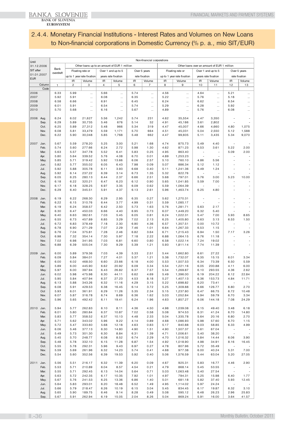#### **EUROSYSTEM**

# 2.4.4. Monetary Financial Institutions - Interest Rates and Volumes on New Loans to Non-financial corporations in Domestic Currency (% p. a., mio SIT/EUR)

| Until        |              |              |                         |                                              |              |                      |              | Non-financial corporations |              |                            |              |                                             |                                                      |                                                      |
|--------------|--------------|--------------|-------------------------|----------------------------------------------|--------------|----------------------|--------------|----------------------------|--------------|----------------------------|--------------|---------------------------------------------|------------------------------------------------------|------------------------------------------------------|
| 31.12.2006   |              |              |                         | Other loans up to an amount of EUR 1 million |              |                      |              |                            |              |                            |              | Other loans over an amount of EUR 1 million |                                                      |                                                      |
| SIT after    |              | Bank         |                         | Floating rate or                             |              | Over 1 and up to 5   |              | Over 5 years               |              | Floating rate or           |              | Over 1 and up to 5                          |                                                      | Over 5 years                                         |
| 01.01.2007   |              | overdraft    |                         | up to 1 year rate fixation                   |              | years rate fixation  |              | rate fixation              |              | up to 1 year rate fixation |              | years rate fixation                         |                                                      | rate fixation                                        |
| <b>EUR</b>   |              |              | ΙR                      | Volume                                       | IR           | Volume               | ΙR           | Volume                     | ΙR           | Volume                     | IR           | Volume                                      | IR                                                   | Volume                                               |
|              | Column       | $\mathbf{1}$ | $\overline{\mathbf{c}}$ | 3                                            | 4            | 5                    | 6            | 7                          | 8            | 9                          | 10           | 11                                          | 12                                                   | 13                                                   |
|              | Code         |              |                         |                                              |              |                      |              |                            |              |                            |              |                                             |                                                      |                                                      |
| 2006<br>2007 |              | 6.33<br>5.92 | 5.99<br>5.91            |                                              | 5.66<br>6.08 | $\cdots$             | 5.74<br>6.35 |                            | 4.56<br>5.22 |                            | 4.64<br>5.76 | $\cdots$                                    | 5.21<br>5.18                                         |                                                      |
| 2008         |              | 6.58         | 6.66                    | $\cdots$<br>$\cdots$                         | 6.91         | $\ldots$<br>$\ldots$ | 6.45         | $\cdots$<br>               | 6.24         | $\cdots$<br>               | 6.62         | $\cdots$<br>$\cdots$                        | 6.54                                                 | $\cdots$<br>                                         |
| 2009         |              | 6.01         | 5.91                    | $\ldots$                                     | 6.54         | $\ldots$             | 5.74         |                            | 5.29         | $\ddotsc$                  | 6.28         | $\cdots$                                    | 5.92                                                 |                                                      |
| 2010         |              | 5.70         | 5.68                    | $\cdots$                                     | 6.16         | $\cdots$             | 5.67         | $\ddotsc$                  | 4.89         | $\ddotsc$                  | 5.76         | $\cdots$                                    | 6.08                                                 | $\ddotsc$                                            |
|              |              |              |                         |                                              |              |                      |              |                            |              |                            |              |                                             |                                                      |                                                      |
| 2006 Aug.    |              | 6.24         | 6.02                    | 21,627                                       | 5.56         | 1,242                | 5.74         | 231                        | 4.62         | 35,554                     | 4.47         | 3,350                                       |                                                      |                                                      |
|              | Sep.<br>Oct. | 6.29<br>6.25 | 5.89<br>5.89            | 30,735<br>27,312                             | 5.46<br>5.48 | 676<br>966           | 5.14<br>5.34 | 32<br>319                  | 4.91<br>4.47 | 45,186<br>45,007           | 3.61<br>4.66 | 2,802<br>4,660                              | 4.80                                                 | 1,075                                                |
|              | Nov.         | 6.08         | 5.81                    | 33,479                                       | 5.59         | 1,171                | 5.70         | 664                        | 4.51         | 45,031                     | 5.04         | 2,550                                       | 5.12                                                 | 1,588                                                |
|              | Dec.         | 6.22         | 5.90                    | 30,048                                       | 5.85         | 1,768                | 5.48         | 662                        | 4.47         | 99,605                     | 5.11         | 3,435                                       | 5.34                                                 | 9,070                                                |
|              |              |              |                         |                                              |              |                      |              |                            |              |                            |              |                                             |                                                      |                                                      |
| 2007         | Jan.         | 5.67         | 5.59                    | 278.20                                       | 5.25         | 3.00                 | 5.21         | 1.68                       | 4.74         | 875.73                     | 5.49         | 4.40                                        | ٠                                                    |                                                      |
|              | Feb.         | 5.74<br>5.63 | 5.60<br>5.57            | 277.66<br>347.78                             | 6.24<br>5.52 | 2.72<br>6.41         | 5.98<br>5.83 | 1.30<br>0.25               | 4.62<br>4.95 | 871.23<br>863.40           | 6.53         | 3.61                                        | 5.22<br>5.09                                         | 2.00<br>2.00                                         |
|              | Mar.<br>Apr. | 5.80         | 5.64                    | 339.52                                       | 5.76         | 4.08                 | 6.70         | 0.01                       | 4.89         | 1,253.23                   | J.           | $\sim$                                      |                                                      |                                                      |
|              | May.         | 5.85         | 5.71                    | 319.42                                       | 5.92         | 13.66                | 6.06         | 2.57                       | 5.10         | 760.10                     | 4.86         | 5.56                                        |                                                      |                                                      |
|              | Jun.         | 5.82         | 5.77                    | 355.02                                       | 6.05         | 6.43                 | 7.98         | 0.09                       | 5.07         | 886.34                     | 5.12         | 1.12                                        |                                                      |                                                      |
|              | Jul.         | 5.92         | 5.88                    | 305.78                                       | 6.11         | 3.93                 | 6.68         | 0.40                       | 5.11         | 1,241.36                   | 6.49         | 1.24                                        |                                                      |                                                      |
|              | Aug.         | 5.92         | 6.14                    | 237.22                                       | 6.39         | 3.14                 | 6.73         | 1.35                       | 5.32         | 822.76                     |              |                                             |                                                      |                                                      |
|              | Sep.<br>Oct. | 6.05<br>6.18 | 6.25<br>6.22            | 280.13<br>320.21                             | 6.44<br>6.47 | 2.37<br>6.23         | 6.66<br>6.12 | 2.51<br>0.90               | 5.68<br>5.65 | 797.01<br>1,041.85         | 5.76<br>5.59 | 3.00<br>7.00                                | 5.23                                                 | 10.00                                                |
|              | Nov.         | 6.17         | 6.18                    | 328.25                                       | 6.97         | 3.35                 | 6.09         | 0.62                       | 5.59         | 1,064.39                   |              |                                             |                                                      |                                                      |
|              | Dec.         | 6.29         | 6.40                    | 345.51                                       | 5.91         | 4.37                 | 6.13         | 2.61                       | 5.96         | 1,463.74                   | 6.25         | 4.80                                        |                                                      |                                                      |
|              |              |              |                         |                                              |              |                      |              |                            |              |                            |              |                                             |                                                      |                                                      |
| 2008         | Jan.         | 6.19         | 6.22                    | 268.30                                       | 6.29         | 2.95                 | 6.35         | 0.27                       | 5.62         | 1,270.31                   |              |                                             |                                                      |                                                      |
|              | Feb.<br>Mar. | 6.22<br>6.19 | 6.15<br>6.24            | 310.76<br>358.57                             | 6.44<br>6.42 | 3.77<br>2.50         | 4.99<br>5.73 | 0.31<br>1.63               | 5.59<br>5.76 | 1,085.17<br>1,281.71       | ä<br>5.63    | ä,<br>2.17                                  |                                                      |                                                      |
|              | Apr.         | 6.30         | 6.47                    | 450.03                                       | 6.66         | 4.40                 | 6.95         | 0.73                       | 6.07         | 1,449.20                   | 6.32         | 5.40                                        |                                                      |                                                      |
|              | May.         | 6.40         | 6.63                    | 382.61                                       | 7.03         | 5.45                 | 6.05         | 0.81                       | 6.24         | 1,022.31                   | 5.47         | 7.00                                        | 5.93                                                 | 8.65                                                 |
|              | Jun.         | 6.55         | 6.73                    | 457.89                                       | 6.85         | 3.29                 | 7.02         | 2.13                       | 6.25         | 1,405.80                   | 6.63         | 3.13                                        | 6.53                                                 | 1.50                                                 |
|              | Jul.         | 6.72         | 6.83                    | 378.49                                       | 7.18         | 2.30                 | 6.90         | 4.36                       | 6.57         | 1,357.51                   | 0.00         | 10.72                                       |                                                      |                                                      |
|              | Aug.         | 6.78         | 6.90                    | 271.29                                       | 7.07         | 2.29                 | 7.46         | 1.01                       | 6.64         | 1,267.33                   | 6.53         | 1.15                                        | ٠<br>7.17                                            | 3.26                                                 |
|              | Sep<br>Oct.  | 6.76<br>6.98 | 7.04<br>7.32            | 375.81<br>354.14                             | 7.28<br>7.30 | 2.46<br>5.97         | 6.82<br>7.18 | 3.64<br>2.22               | 6.71<br>6.88 | 1,215.43<br>1,064.15       | 6.94<br>6.76 | 1.50<br>11.18                               |                                                      |                                                      |
|              | Nov.         | 7.02         | 6.98                    | 341.95                                       | 7.03         | 6.81                 | 6.60         | 0.80                       | 6.58         | 1,022.14                   | 7.24         | 19.02                                       |                                                      |                                                      |
|              | Dec.         | 6.88         | 6.39                    | 505.04                                       | 7.30         | 9.29                 | 5.39         | 1.21                       | 5.93         | 1,811.14                   | 7.74         | 11.39                                       |                                                      |                                                      |
|              |              |              |                         |                                              |              |                      |              |                            |              |                            |              |                                             |                                                      |                                                      |
| 2009         | Jan.<br>Feb. | 6.00<br>6.09 | 5.89<br>5.84            | 379.36<br>384.01                             | 7.03<br>7.27 | 4.39<br>4.01         | 5.33<br>5.37 | 2.51<br>1.21               | 5.44<br>5.38 | 1,662.80<br>1,732.07       | 6.61<br>6.35 | 27.22<br>15.15                              | 6.01                                                 | 3.34                                                 |
|              | Mar.         | 6.00         | 6.02                    | 468.50                                       | 6.60         | 23.66                | 6.18         | 4.00                       | 5.53         | 1,507.53                   | 6.34         | 73.39                                       | 6.50                                                 | 5.59                                                 |
|              | Apr.         | 5.89         | 6.00                    | 445.90                                       | 6.62         | 20.92                | 6.09         | 3.34                       | 5.54         | 1,221.16                   | 6.05         | 200.88                                      | 4.11                                                 | 6.00                                                 |
|              | May.         | 5.97         | 6.00                    | 397.94                                       | 6.43         | 26.82                | 6.37         | 7.57                       | 5.54         | 1,269.87                   | 6.10         | 293.55                                      | 4.36                                                 | 2.62                                                 |
|              | Jun.         | 6.02         | 5.98                    | 475.98                                       | 6.30         | 44.11                | 6.62         | 4.69                       | 5.49         | 1,396.00                   | 6.19         | 204.22                                      | 6.12                                                 | 22.84                                                |
|              | Jul.<br>Aug. | 5.95<br>6.13 | 5.84<br>5.88            | 407.94<br>343.26                             | 6.37<br>6.32 | 27.23<br>11.16       | 4.53<br>4.29 | 8.18<br>3.15               | 5.27<br>5.22 | 1,407.13<br>1,698.82       | 6.36<br>6.20 | 153.73<br>73.41                             | 4.84                                                 | 11.71                                                |
|              | Sep.         | 6.08         | 5.91                    | 429.53                                       | 6.38         | 16.45                | 6.14         | 3.72                       | 5.25         | 1,309.88                   | 6.66         | 126.77                                      | 6.80                                                 | 2.70                                                 |
|              | Oct          | 5.93         | 6.01                    | 361.91                                       | 6.29         | 11.26                | 5.35         | 2.34                       | 5.15         | 1,237.80                   | 6.47         | 66.75                                       | 6.72                                                 | 10.48                                                |
|              | Nov.         | 6.07         | 5.87                    | 316.78                                       | 6.74         | 8.69                 | 6.36         | 1.62                       | 5.03         | 1,052.84                   | 5.94         | 59.79                                       | 6.70                                                 | 3.34                                                 |
|              | Dec.         | 5.96         | 5.65                    | 492.42                                       | 6.11         | 19.41                | 6.24         | 1.96                       | 4.63         | 1,857.27                   | 6.06         | 144.18                                      | 7.08                                                 | 24.29                                                |
| 2010 Jan.    |              | 5.94         | 5.77                    | 262.83                                       | 6.10         | 8.11                 | 4.36         | 4.50                       | 4.98         | 1,039.08                   | 6.15         | 49.40                                       | 3.48                                                 | 6.18                                                 |
|              | Feb.         | 6.01         | 5.80                    | 280.84                                       | 6.37         | 10.87                | 7.02         | 0.58                       | 5.08         | 974.53                     | 6.31         | 41.24                                       | 6.70                                                 | 14.80                                                |
|              | Mar.         | 5.83         | 5.77                    | 358.52                                       | 6.37         | 10.13                | 4.48         | 2.33                       | 5.04         | 1,335.78                   | 5.64         | 20.16                                       | 6.80                                                 | 2.70                                                 |
|              | Apr.         | 5.71         | 5.62                    | 343.02                                       | 5.96         | 9.22                 | 4.14         | 0.89                       | 4.68         | 1,086.93                   | 5.98         | 57.60                                       | 6.70                                                 | 1.15                                                 |
|              | May.         | 5.72         | 5.47                    | 333.60                                       | 5.68         | 12.18                | 4.63         | 0.83                       | 5.17         | 840.88                     | 6.03         | 58.85                                       | 6.33                                                 | 4.99                                                 |
|              | Jun.         | 6.06<br>5.49 | 5.46<br>5.73            | 377.13<br>301.30                             | 6.30<br>6.30 | 14.80<br>8.84        | 4.90<br>6.31 | 1.51<br>1.39               | 4.90<br>4.71 | 1,507.37<br>1,006.61       | 5.61<br>5.40 | 67.04<br>38.20                              | $\overline{\phantom{a}}$<br>$\overline{\phantom{a}}$ | $\overline{\phantom{a}}$<br>$\overline{\phantom{a}}$ |
|              | Jul.<br>Aug. | 5.45         | 5.70                    | 248.77                                       | 6.08         | 8.52                 | 6.74         | 2.29                       | 4.70         | 1,016.32                   | 5.84         | 14.44                                       | 6.06                                                 | 3.90                                                 |
|              | Sep.         | 5.48         | 5.78                    | 332.10                                       | 6.15         | 11.28                | 6.87         | 1.54                       | 4.92         | 1,018.90                   | 4.98         | 34.91                                       | 8.16                                                 | 16.45                                                |
|              | Oct.         | 5.55         | 5.78                    | 292.31                                       | 5.96         | 9.43                 | 6.97         | 0.27                       | 4.78         | 807.96                     | 5.72         | 35.49                                       | $\overline{\phantom{a}}$                             |                                                      |
|              | Nov.         | 5.59         | 5.69                    | 261.96                                       | 6.32         | 14.23                | 5.74         | 0.41                       | 4.68         | 977.38                     | 6.00         | 40.24                                       | 5.31                                                 | 7.00                                                 |
|              | Dec.         | 5.54         | 5.60                    | 352.56                                       | 6.39         | 19.53                | 5.92         | 0.40                       | 5.06         | 1,576.59                   | 5.44         | 63.04                                       | 5.20                                                 | 27.05                                                |
| 2011 Jan.    |              | 5.56         | 5.51                    | 216.17                                       | 6.32         | 11.39                | 6.20         | 0.09                       | 4.67         | 925.31                     | 5.83         | 16.77                                       | 4.46                                                 | 2.90                                                 |
|              | Feb.         | 5.53         | 5.71                    | 210.89                                       | 6.04         | 8.57                 | 4.54         | 0.21                       | 4.79         | 868.14                     | 5.45         | 53.55                                       |                                                      |                                                      |
|              | Mar.         | 5.55         | 5.71                    | 292.45                                       | 6.13         | 14.04                | 5.64         | 0.71                       | 5.03         | 1,063.48                   | 5.40         | 27.54                                       | $\overline{\phantom{a}}$                             | $\overline{\phantom{a}}$                             |
|              | Apr.         | 5.63         | 5.72                    | 242.35                                       | 6.17         | 10.35                | 7.92         | 1.01                       | 4.97         | 794.31                     | 5.25         | 15.98                                       | 6.40                                                 | 1.77                                                 |
|              | May.         | 5.67<br>5.64 | 5.76<br>5.83            | 241.53<br>293.01                             | 6.25<br>6.20 | 13.36                | 6.86<br>6.52 | 1.40                       | 5.01<br>4.95 | 681.18                     | 5.82<br>5.97 | 37.40                                       | 5.93<br>$\overline{\phantom{a}}$                     | 12.45                                                |
|              | Jun.<br>Jul. | 5.66         | 5.79                    | 218.47                                       | 6.26         | 18.48<br>10.19       | 6.15         | 1.49<br>3.04               | 5.45         | 1,114.02<br>834.45         | 6.17         | 24.24<br>19.87                              | 6.32                                                 | 3.10                                                 |
|              | Aug.         | 5.65         | 5.90                    | 189.75                                       | 6.46         | 9.14                 | 8.28         | 0.49                       | 5.08         | 595.12                     | 6.48         | 26.23                                       | 2.96                                                 | 25.83                                                |
|              | Sep.         | 5.67         | 5.91                    | 262.94                                       | 6.19         | 15.05                | 2.04         | 8.26                       | 5.04         | 869.24                     | 5.91         | 16.00                                       | 3.64                                                 | 41.57                                                |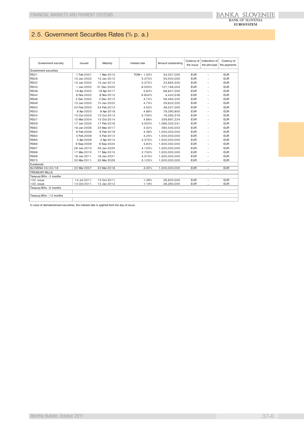# 2.5. Government Securities Rates (% p. a.)

| Government security        | Issued      | Maturity    | Interest rate | Amount outstanding | Currency of | Indexation of | Currency of  |
|----------------------------|-------------|-------------|---------------|--------------------|-------------|---------------|--------------|
|                            |             |             |               |                    | the issue   | the principal | the payments |
| Government securities      |             |             |               |                    |             |               |              |
| <b>RS21</b>                | 1 Feb 2001  | 1 Mar 2015  | $TOM + 1.00%$ | 34,057,005         | <b>EUR</b>  | ٠             | <b>EUR</b>   |
| <b>RS29</b>                | 15 Jan 2002 | 15 Jan 2012 | 5.375%        | 55.000.000         | <b>EUR</b>  | ٠             | <b>EUR</b>   |
| <b>RS32</b>                | 15 Jan 2002 | 15 Jan 2012 | 5.375%        | 23,865,500         | <b>EUR</b>  |               | <b>EUR</b>   |
| <b>RS33</b>                | 1 Jan 2002  | 31 Dec 2022 | 8.000%        | 127,166,004        | <b>EUR</b>  | ٠             | <b>EUR</b>   |
| <b>RS38</b>                | 19 Apr 2002 | 19 Apr 2017 | 5.63%         | 68,847,000         | <b>EUR</b>  | ٠             | <b>EUR</b>   |
| <b>RS44</b>                | 8 Nov 2002  | 8 Nov 2012  | 6.650%        | 4,443,536          | EUR         | ۰             | <b>EUR</b>   |
| <b>RS48</b>                | 2 Dec 2002  | 2 Dec 2012  | 4.75%         | 56,465,200         | <b>EUR</b>  | ٠             | <b>EUR</b>   |
| <b>RS49</b>                | 10 Jan 2003 | 10 Jan 2022 | 4.75%         | 29,632,020         | <b>EUR</b>  | ٠             | <b>EUR</b>   |
| <b>RS50</b>                | 24 Feb 2003 | 24 Feb 2013 | 4.50%         | 48.527.000         | <b>EUR</b>  |               | <b>EUR</b>   |
| <b>RS53</b>                | 8 Apr 2003  | 8 Apr 2018  | 4.88%         | 79,290,900         | <b>EUR</b>  |               | <b>EUR</b>   |
| <b>RS54</b>                | 15 Oct 2003 | 15 Oct 2013 | 5.750%        | 76,295,376         | <b>EUR</b>  |               | <b>EUR</b>   |
| <b>RS57</b>                | 15 Mar 2004 | 15 Oct 2014 | 4.88%         | 259,697,224        | <b>EUR</b>  | ٠             | <b>EUR</b>   |
| <b>RS59</b>                | 17 Jan 2005 | 17 Feb 2016 | 4.000%        | 1,066,332,031      | <b>EUR</b>  | ٠             | <b>EUR</b>   |
| <b>RS62</b>                | 18 Jan 2006 | 23 Mar 2017 | 3.50%         | 390.540.053        | <b>EUR</b>  | ٠             | <b>EUR</b>   |
| <b>RS63</b>                | 6 Feb 2008  | 6 Feb 2019  | 4.38%         | 1,000,000,000      | <b>EUR</b>  | ٠             | <b>EUR</b>   |
| <b>RS64</b>                | 5 Feb 2009  | 5 Feb 2012  | 4.25%         | 1,000,000,000      | <b>EUR</b>  | ٠             | <b>EUR</b>   |
| <b>RS65</b>                | 2 Apr 2009  | 2 Apr 2014  | 4.375%        | 1.500.000.000      | <b>EUR</b>  |               | <b>EUR</b>   |
| <b>RS66</b>                | 9 Sep 2009  | 9 Sep 2024  | 4.63%         | 1,500,000,000      | <b>EUR</b>  | ٠             | <b>EUR</b>   |
| <b>RS67</b>                | 26 Jan 2010 | 26 Jan 2020 | 4.125%        | 1,500,000,000      | <b>EUR</b>  | ٠             | <b>EUR</b>   |
| <b>RS68</b>                | 17 Mar 2010 | 17 Mar 2015 | 2.750%        | 1,000,000,000      | <b>EUR</b>  | ٠             | <b>EUR</b>   |
| <b>RS69</b>                | 18 Jan 2011 | 18 Jan 2021 | 4.375%        | 1,500,000,000      | <b>EUR</b>  |               | <b>EUR</b>   |
| <b>RS70</b>                | 30 Mar 2011 | 30 Mar 2026 | 5.125%        | 1,500,000,000      | <b>EUR</b>  | ٠             | <b>EUR</b>   |
| Eurobonds                  |             |             |               |                    |             |               |              |
| SLOVEN4 03/22/18           | 22 Mar 2007 | 22 Mar 2018 | 4.00%         | 1,000,000,000      | <b>EUR</b>  | ÷.            | <b>EUR</b>   |
| <b>TREASURY BILLS</b>      |             |             |               |                    |             |               |              |
| Treasury Bills - 3 months  |             |             |               |                    |             |               |              |
| 132. issue                 | 14 Jul 2011 | 13 Oct 2011 | 1.39%         | 26,600,000         | <b>EUR</b>  |               | <b>EUR</b>   |
| 133. issue                 | 13 Oct 2011 | 12 Jan 2012 | 1.19%         | 28,260,000         | <b>EUR</b>  |               | <b>EUR</b>   |
| Treasury Bills - 6 months  |             |             |               |                    |             |               |              |
|                            |             |             |               |                    |             |               |              |
| Treasury Bills - 12 months |             |             |               |                    |             |               |              |

In case of dematerialised securities, the interest rate is applied from the day of issue.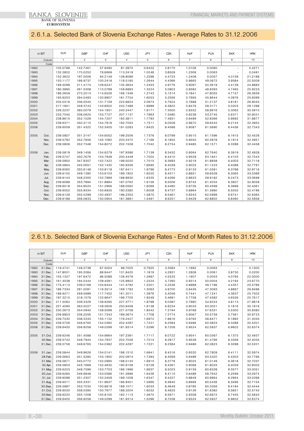**EUROSYSTEM**

### 2.6.1.a. Selected Bank of Slovenia Exchange Rates - Average Rates to 31.12.2006

|      | in SIT | <b>EUR</b>   | GBP            | CHF      | <b>USD</b>     | <b>JPY</b> | CZK    | <b>HUF</b>     | <b>PLN</b> | <b>SKK</b> | <b>HRK</b> |
|------|--------|--------------|----------------|----------|----------------|------------|--------|----------------|------------|------------|------------|
|      | Column | $\mathbf{1}$ | $\overline{c}$ | 3        | $\overline{4}$ | 5          | 6      | $\overline{7}$ | 8          | 9          | 10         |
|      | Code   |              |                |          |                |            |        |                |            |            |            |
| 1992 |        | 105.0788     | 142.7461       | 57.9490  | 81.2870        | 0.6422     | 2.8170 | 1.0106         | 0.0060     | ٠          | 0.4271     |
| 1993 |        | 132.2802     | 170.0252       | 76.6669  | 113.2419       | 1.0248     | 3.8509 | 1.2306         | 0.0063     | ٠          | 0.0491     |
| 1994 |        | 152.3622     | 197,0006       | 94.2149  | 128,8086       | 1.2598     | 4.4723 | 1.2408         | 0.0057     | 4.0159     | 21.2188    |
| 1995 |        | 153.1177     | 186.9737       | 100.2418 | 118.5185       | 1.2644     | 4.4366 | 0.9665         | 49.0672    | 3.9584     | 22.5009    |
| 1996 |        | 169,5098     | 211.4174       | 109.6247 | 135.3654       | 1.2453     | 4.9776 | 0.9097         | 50.3619    | 4.4139     | 24.8883    |
| 1997 |        | 180.3985     | 261.5308       | 110.0789 | 159.6893       | 1.3224     | 5.0803 | 0.8582         | 48.8393    | 4.7465     | 25.9223    |
| 1998 |        | 186.2659     | 275.2013       | 114.6526 | 166.1346       | 1.2743     | 5.1514 | 0.7841         | 47.8055    | 4.7157     | 26.0659    |
| 1999 |        | 193.6253     | 294.0493       | 120.9907 | 181.7704       | 1.6053     | 5.2556 | 0.7665         | 45.8644    | 4.3976     | 25.6099    |
| 2000 |        | 205.0316     | 336.5545       | 131.7159 | 222.6824       | 2.0673     | 5.7624 | 0.7888         | 51.2137    | 4.8181     | 26.9045    |
| 2001 |        | 217.1851     | 349.3743       | 143.8502 | 242.7488       | 1.9989     | 6.3822 | 0.8476         | 59.3171    | 5.0203     | 29.1298    |
| 2002 |        | 226.2237     | 360.0079       | 154.1931 | 240.2447       | 1.9171     | 7.3500 | 0.9332         | 58.8916    | 5.3062     | 30.5910    |
| 2003 |        | 233.7045     | 338.0625       | 153.7727 | 207.1137       | 1.7863     | 7.3480 | 0.9238         | 53.2745    | 5.6371     | 30.9031    |
| 2004 |        | 238.8615     | 352.1029       | 154.7207 | 192.3811       | 1.7783     | 7.4931 | 0.9499         | 52.8366    | 5.9692     | 31.8877    |
| 2005 |        | 239.6371     | 350.3115       | 154.7818 | 192.7055       | 1.7511     | 8.0509 | 0.9670         | 59.6242    | 6.2144     | 32.3952    |
| 2006 |        | 239,6009     | 351.4322       | 152.3405 | 191.0283       | 1.6425     | 8.4588 | 0.9087         | 61.5690    | 6.4436     | 32.7343    |
|      |        |              |                |          |                |            |        |                |            |            |            |
| 2005 | Oct.   | 239.5807     | 351.3147       | 154.6052 | 199,2506       | 1.7376     | 8.0799 | 0.9515         | 61.1596    | 6.1615     | 32.4528    |
|      | Nov.   | 239.5792     | 352.7656       | 155.1060 | 203.2470       | 1.7166     | 8.1855 | 0.9550         | 60.2878    | 6.1914     | 32.4951    |
|      | Dec.   | 239.5806     | 352.7348       | 154.8072 | 202.1508       | 1.7042     | 8.2754 | 0.9485         | 62.1571    | 6.3288     | 32.4458    |
|      |        |              |                |          |                |            |        |                |            |            |            |
| 2006 | Jan.   | 239.5819     | 349.1456       | 154.6279 | 197.9386       | 1.7139     | 8.3432 | 0.9564         | 62.7640    | 6.3919     | 32.4928    |
|      | Feb.   | 239.5747     | 350.7676       | 153.7948 | 200.4449       | 1.7002     | 8.4410 | 0.9529         | 63.1841    | 6.4103     | 32.7543    |
|      | Mar.   | 239.5850     | 347.9357       | 152.7422 | 199.5020       | 1.7015     | 8.3693 | 0.9219         | 61.8858    | 6.4003     | 32.7118    |
|      | Apr.   | 239.5864     | 345.0651       | 152.1430 | 195.9356       | 1.6695     | 8.4039 | 0.9025         | 61.1223    | 6.4088     | 32.7791    |
|      | May    | 239.6060     | 350.6148       | 153.9118 | 187.6411       | 1.6796     | 8.4773 | 0.9133         | 61.5581    | 6.3788     | 32.9716    |
|      | Jun.   | 239.6155     | 349.1390       | 153.6103 | 189.1902       | 1.6520     | 8.4511 | 0.8851         | 59.6528    | 6.3065     | 33.0389    |
|      | Jul.   | 239.6143     | 348.2300       | 152.7889 | 188.8930       | 1.6335     | 8.4266 | 0.8623         | 59.9182    | 6.2473     | 33.0698    |
|      | Aug.   | 239,6088     | 353.7894       | 151.8884 | 187.0762       | 1.6156     | 8.5006 | 0.8742         | 61.4034    | 6.3607     | 32.9058    |
|      | Sep.   | 239.6018     | 354.9524       | 151.2966 | 188.0560       | 1.6069     | 8.4480 | 0.8726         | 60.4599    | 6.3898     | 32.4361    |
|      | Oct.   | 239.6052     | 355.9334       | 150.6935 | 190.0380       | 1.6008     | 8.4737 | 0.8964         | 61.3990    | 6.5055     | 32.4196    |
|      | Nov.   | 239.6129     | 355.5299       | 150.4937 | 186.2352       | 1.5870     | 8.5461 | 0.9243         | 62.5999    | 6.6741     | 32.6365    |
|      | Dec.   | 239.6188     | 356.0833       | 150.0954 | 181.3881       | 1.5491     | 8.6251 | 0.9429         | 62.8802    | 6.8490     | 32.5958    |

# 2.6.1.b. Selected Bank of Slovenia Exchange Rates - End of Month Rates to 31.12.2006

|      | in SIT    | <b>EUR</b> | GBP            | CHF      | <b>USD</b>     | <b>JPY</b> | <b>CZK</b> | <b>HUF</b>     | <b>PLN</b> | <b>SKK</b> | <b>HRK</b> |
|------|-----------|------------|----------------|----------|----------------|------------|------------|----------------|------------|------------|------------|
|      | Column    | 1          | $\overline{c}$ | 3        | $\overline{4}$ | 5          | 6          | $\overline{7}$ | 8          | 9          | 10         |
|      | Code      |            |                |          |                |            |            |                |            |            |            |
| 1992 | 31.Dec.   | 119,4741   | 149.2738       | 67.5004  | 98.7005        | 0.7925     | 3.3584     | 1.1692         | 0.0063     |            | 0.1300     |
| 1993 | 31.Dec.   | 147.8001   | 195.2084       | 89.8447  | 131.8420       | 1.1819     | 4.2931     | 1.2808         | 0.0061     | 3.8730     | 0.0200     |
| 1994 | 31.Dec.   | 155.1327   | 197.6472       | 96.5088  | 126.4576       | 1.2687     | 4.5533     | 1.1607         | 0.0053     | 4.0795     | 22.0000    |
| 1995 | 31.Dec.   | 161.4538   | 194.5444       | 109.4581 | 125.9902       | 1.2224     | 4.7260     | 0.9314         | 50.0004    | 4.2194     | 23.6770    |
| 1996 | 31.Dec.   | 175.4113   | 239.0169       | 104.6444 | 141.4792       | 1.2201     | 5.2536     | 0.8988         | 49.7196    | 4.4357     | 25.5786    |
| 1997 | 31.Dec.   | 186.7334   | 281.5091       | 116.3514 | 169.1792       | 1.3063     | 4.9700     | 0.8426         | 47.3093    | 4.8667     | 26.8496    |
| 1998 | 31.Dec.   | 188.9271   | 269.5999       | 117.7452 | 161.2011       | 1.3976     | 5.4048     | 0.7441         | 47.1241    | 4.3637     | 25.7502    |
| 1999 | 31.Dec.   | 197.3215   | 318.1579       | 122.9647 | 196.7705       | 1.9249     | 5.4681     | 0.7758         | 47.4582    | 4.6526     | 25.7617    |
| 2000 | 31.Dec.   | 211.5062   | 339.3329       | 138.9295 | 227.3771       | 1.9798     | 6.0387     | 0.7980         | 54.9224    | 4.8113     | 27.9818    |
| 2001 | 31.Dec.   | 221.4095   | 363.5027       | 149.5606 | 250.9458       | 1.9138     | 6.9234     | 0.9033         | 63.3051    | 5.1816     | 30.1816    |
| 2002 | 31.Dec.   | 230.2673   | 354.0940       | 158.5099 | 221.0708       | 1.8542     | 7.3194     | 0.9768         | 57.6331    | 5.5300     | 30.8380    |
| 2003 | 31.Dec.   | 236.6903   | 336.2556       | 151.7343 | 189.3674       | 1.7708     | 7.2774     | 0.9067         | 50.5759    | 5.7561     | 30.9723    |
| 2004 | 31.Dec.   | 239.7430   | 338.3333       | 155.1132 | 176.2427       | 1.6972     | 7.8816     | 0.9765         | 58.8471    | 6.1892     | 31.4055    |
| 2005 | 31.Dec.   | 239.5756   | 348.6765       | 154.0382 | 202.4297       | 1.7221     | 8.2584     | 0.9486         | 62.0823    | 6.3288     | 32.5201    |
| 2006 | 31.Dec.   | 239.6400   | 356.9258       | 149.0299 | 181.9314       | 1.5296     | 8.7208     | 0.9524         | 62.5937    | 6.9602     | 32.6374    |
|      |           |            |                |          |                |            |            |                |            |            |            |
| 2005 | 31.Oct.   | 239.6246   | 351.4588       | 154.9664 | 197.2381       | 1.7117     | 8.0722     | 0.9541         | 60.0367    | 6.1375     | 32.4937    |
|      | 30.Nov.   | 239.5742   | 349.7944       | 154.7937 | 202.7026       | 1.7014     | 8.2817     | 0.9539         | 61.4766    | 6.3358     | 32.4055    |
|      | 31.Dec.   | 239,5756   | 348.6765       | 154.0382 | 202.4297       | 1.7221     | 8.2584     | 0.9486         | 62.0823    | 6.3288     | 32.5201    |
|      |           |            |                |          |                |            |            |                |            |            |            |
| 2006 | 31.Jan.   | 239.5844   | 349.9626       | 154.0141 | 198.1510       | 1.6841     | 8.4316     | 0.9520         | 62.7809    | 6.4111     | 32.5974    |
|      | 28.Feb.   | 239,5663   | 351.5280       | 153.1950 | 202.0974       | 1.7394     | 8.4569     | 0.9489         | 63.5320    | 6.4303     | 32.7769    |
|      | 31.Mar.   | 239.5871   | 345.0772       | 152.0995 | 198.5145       | 1.6915     | 8.3778     | 0.9025         | 61.0149    | 6.3618     | 32.7037    |
|      | 30 Apr.   | 239,5803   | 345.1668       | 152.4630 | 190.9158       | 1.6728     | 8.4261     | 0.9068         | 61.8033    | 6.4059     | 32.9003    |
|      | 31.May    | 239,6203   | 349.7596       | 153.7703 | 186.1996       | 1.6637     | 8.5023     | 0.9159         | 60.8328    | 6.3577     | 33.0051    |
|      | 30.Jun.   | 239.6285   | 346.6848       | 153.0586 | 191.2896       | 1.6426     | 8.4110     | 0.8489         | 58.7642    | 6.2599     | 33.0974    |
|      | $31$ Jul. | 239,6096   | 351.2307       | 152.3459 | 189,1008       | 1.6347     | 8.4227     | 0.8849         | 60.9864    | 6.2964     | 33.0268    |
|      | 31.Aug.   | 239.6011   | 355.3331       | 151.9637 | 186.9401       | 1.5966     | 8.4845     | 0.8669         | 60.5436    | 6.3496     | 32.7154    |
|      | 30.Sep.   | 239.5987   | 353.7034       | 150.8618 | 189.1071       | 1.6033     | 8.4649     | 0.8785         | 60.3356    | 6.4184     | 32.4444    |
|      | 31.Oct.   | 239.6000   | 358.0395       | 150.7677 | 188.3204       | 1.6032     | 8.4625     | 0.9126         | 61.6382    | 6.5851     | 32.5743    |
|      | 30.Nov.   | 239.6220   | 355.1008       | 150.8100 | 182.1113       | 1.5670     | 8.5671     | 0.9308         | 62.6872    | 6.7455     | 32.5843    |
|      | 31.Dec.   | 239.6400   | 356.9258       | 149.0299 | 181.9314       | 1.5296     | 8.7208     | 0.9524         | 62.5937    | 6.9602     | 32.6374    |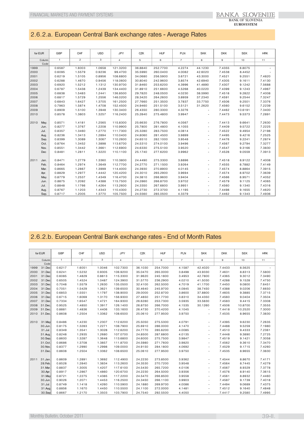### 2.6.2.a. European Central Bank exchange rates - Average Rates

| for EUR |        | GBP          | CHF            | <b>USD</b> | <b>JPY</b>     | CZK     | <b>HUF</b> | PLN            | <b>SKK</b> | <b>DKK</b> | <b>SEK</b> | <b>HRK</b> |
|---------|--------|--------------|----------------|------------|----------------|---------|------------|----------------|------------|------------|------------|------------|
|         | Column | $\mathbf{1}$ | $\overline{c}$ | 3          | $\overline{4}$ | 5       | 6          | $\overline{7}$ | 8          | 9          | 10         | 11         |
|         | Code   |              |                |            |                |         |            |                |            |            |            |            |
| 1999    |        | 0.6587       | 1.6003         | 1.0658     | 121.3200       | 36.8840 | 252,7700   | 4.2274         | 44.1230    | 7.4355     | 8.8075     |            |
| 2000    |        | 0.6095       | 1.5579         | 0.9236     | 99.4700        | 35.5990 | 260.0400   | 4.0082         | 42.6020    | 7.4538     | 8.4452     |            |
| 2001    |        | 0.6219       | 1.5105         | 0.8956     | 108.6800       | 34.0680 | 256.5900   | 3.6721         | 43.3000    | 7.4521     | 9.2551     | 7.4820     |
| 2002    |        | 0.6288       | 1.4670         | 0.9456     | 118.0600       | 30.8040 | 242.9600   | 3.8574         | 42.6940    | 7.4305     | 9.1611     | 7.4130     |
| 2003    |        | 0.6920       | 1.5212         | 1.1312     | 130.9700       | 31.8460 | 253.6200   | 4.3996         | 41.4890    | 7.4307     | 9.1242     | 7.5688     |
| 2004    |        | 0.6787       | 1.5438         | 1.2439     | 134.4400       | 31.8910 | 251.6600   | 4.5268         | 40.0220    | 7.4399     | 9.1243     | 7.4967     |
| 2005    |        | 0.6838       | 1.5483         | 1.2441     | 136.8500       | 29.7820 | 248.0500   | 4.0230         | 38.5990    | 7.4518     | 9.2822     | 7.4008     |
| 2006    |        | 0.6817       | 1.5729         | 1.2556     | 146.0200       | 28.3420 | 264.2600   | 3.8959         | 37.2340    | 7.4591     | 9.2544     | 7.3247     |
| 2007    |        | 0.6843       | 1.6427         | 1.3705     | 161.2500       | 27.7660 | 251.3500   | 3.7837         | 33.7750    | 7.4506     | 9.2501     | 7.3376     |
| 2008    |        | 0.7963       | 1.5874         | 1.4708     | 152.4500       | 24.9460 | 251.5100   | 3.5121         | 31.2620    | 7.4560     | 9.6152     | 7.2239     |
| 2009    |        | 0.8909       | 1.5100         | 1.3948     | 130.3400       | 26.4350 | 280.3300   | 4.3276         |            | 7.4462     | 10.6191    | 7.3400     |
| 2010    |        | 0.8578       | 1.3803         | 1.3257     | 116.2400       | 25.2840 | 275.4800   | 3.9947         |            | 7.4473     | 9.5373     | 7.2891     |
|         |        |              |                |            |                |         |            |                |            |            |            |            |
| 2010    | May.   | 0.8571       | 1.4181         | 1.2565     | 115.8300       | 25.6630 | 276.7800   | 4.0567         |            | 7.4413     | 9.6641     | 7.2630     |
|         | Jun.   | 0.8277       | 1.3767         | 1.2208     | 110.9900       | 25.7800 | 281.4800   | 4.1055         | ٠          | 7.4409     | 9.5722     | 7.2225     |
|         | Jul.   | 0.8357       | 1.3460         | 1.2770     | 111.7300       | 25.3280 | 283.7500   | 4.0814         |            | 7.4522     | 9.4954     | 7.2198     |
|         | Aug.   | 0.8236       | 1.3413         | 1.2894     | 110.0400       | 24.8060 | 281.4500   | 3.9899         | ٠          | 7.4495     | 9.4216     | 7.2525     |
|         | Sep.   | 0.8399       | 1.3089         | 1.3067     | 110.2600       | 24.6510 | 282.1000   | 3.9548         | ٠          | 7.4476     | 9.2241     | 7.2874     |
|         | Oct.   | 0.8764       | 1.3452         | 1.3898     | 113.6700       | 24.5310 | 274.0100   | 3.9496         | ٠          | 7.4567     | 9.2794     | 7.3277     |
|         | Nov.   | 0.8551       | 1.3442         | 1.3661     | 112.6900       | 24.6330 | 275.5100   | 3.9520         |            | 7.4547     | 9.3166     | 7.3830     |
|         | Dec    | 0.8481       | 1.2811         | 1.3220     | 110.1100       | 25.1740 | 277.6200   | 3.9962         | ٠          | 7.4528     | 9.0559     | 7.3913     |
|         |        |              |                |            |                |         |            |                |            |            |            |            |
| 2011    | Jan.   | 0.8471       | 1.2779         | 1.3360     | 110.3800       | 24.4490 | 275.3300   | 3.8896         | ٠          | 7.4518     | 8.9122     | 7.4008     |
|         | Feb.   | 0.8464       | 1.2974         | 1.3649     | 112,7700       | 24.2770 | 271.1500   | 3.9264         |            | 7.4555     | 8.7882     | 7.4149     |
|         | Mar.   | 0.8665       | 1.2867         | 1.3999     | 114.4000       | 24.3930 | 270.8900   | 4.0145         | ٠          | 7.4574     | 8.8864     | 7.3915     |
|         | Apr.   | 0.8829       | 1.2977         | 1.4442     | 120.4200       | 24.3010 | 265.2900   | 3.9694         | ٠          | 7.4574     | 8.9702     | 7.3639     |
|         | May.   | 0.8779       | 1.2537         | 1.4349     | 116.4700       | 24.3810 | 266.9600   | 3.9404         | ٠          | 7.4566     | 8.9571     | 7.4052     |
|         | Jun.   | 0.8875       | 1.2092         | 1.4388     | 115.7500       | 24.2860 | 266.8700   | 3.9702         |            | 7.4579     | 9.1125     | 7.4065     |
|         | Jul.   | 0.8848       | 1.1766         | 1.4264     | 113.2600       | 24.3350 | 267.6800   | 3.9951         | ٠          | 7.4560     | 9.1340     | 7.4316     |
|         | Aug.   | 0.8767       | 1.1203         | 1.4343     | 110.4300       | 24.2730 | 272.3700   | 4.1195         |            | 7.4498     | 9.1655     | 7.4620     |
|         | Sep.   | 0.8717       | 1.2005         | 1.3770     | 105.7500       | 24.5560 | 285.0500   | 4.3379         |            | 7.4462     | 9.1343     | 7.4936     |

### 2.6.2.b. European Central Bank exchange rates - End of Month Rates

|      | for EUR   | GBP          | CHF            | <b>USD</b> | <b>JPY</b>     | CZK     | <b>HUF</b> | <b>PLN</b>     | <b>SKK</b> | <b>DKK</b>     | <b>SEK</b> | <b>HRK</b> |
|------|-----------|--------------|----------------|------------|----------------|---------|------------|----------------|------------|----------------|------------|------------|
|      | Column    | $\mathbf{1}$ | $\overline{c}$ | 3          | $\overline{4}$ | 5       | 6          | $\overline{7}$ | 8          | $\overline{9}$ | 10         | 11         |
|      | Code      |              |                |            |                |         |            |                |            |                |            |            |
| 1999 | 31.Dec    | 0.6217       | 1.6051         | 1.0046     | 102.7300       | 36.1030 | 254,7000   | 4.1587         | 42.4020    | 7.4433         | 8.5625     |            |
| 2000 | 31.Dec    | 0.6241       | 1.5232         | 0.9305     | 106.9200       | 35.0470 | 265,0000   | 3.8498         | 43.9330    | 7.4631         | 8.8313     | 7.5800     |
| 2001 | 31.Dec    | 0.6085       | 1.4829         | 0.8813     | 115.3300       | 31.9620 | 245.1800   | 3.4953         | 42.7800    | 7.4365         | 9.3012     | 7.3490     |
| 2002 | 31.Dec    | 0.6505       | 1.4524         | 1.0487     | 124.3900       | 31.5770 | 236.2900   | 4.0210         | 41.5030    | 7.4288         | 9.1528     | 7.4750     |
| 2003 | 31.Dec    | 0.7048       | 1.5579         | 1.2630     | 135.0500       | 32.4100 | 262.5000   | 4.7019         | 41.1700    | 7.4450         | 9.0800     | 7.6451     |
| 2004 | 31.Dec    | 0.7051       | 1.5429         | 1.3621     | 139.6500       | 30.4640 | 245.9700   | 4.0845         | 38.7450    | 7.4388         | 9.0206     | 7.6650     |
| 2005 | 31.Dec    | 0.6853       | 1.5551         | 1.1797     | 138.9000       | 29.0000 | 252.8700   | 3.8600         | 37.8800    | 7.4605         | 9.3885     | 7.3715     |
| 2006 | 31.Dec    | 0.6715       | 1.6069         | 1.3170     | 156.9300       | 27.4850 | 251.7700   | 3.8310         | 34.4350    | 7.4560         | 9.0404     | 7.3504     |
| 2007 | 31.Dec    | 0.7334       | 1.6547         | 1.4721     | 164.9300       | 26.6280 | 253.7300   | 3.5935         | 33.5830    | 7.4583         | 9.4415     | 7.3308     |
| 2008 | 31.Dec.   | 0.9525       | 1.4850         | 1.3917     | 126.1400       | 26.8750 | 266.7000   | 4.1535         | 30.1260    | 7.4506         | 10.8700    | 7.3555     |
| 2009 | 31.Dec.   | 0.8881       | 1.4836         | 1.4406     | 133.1600       | 26.4730 | 270.4200   | 4.1045         |            | 7.4418         | 10.2520    | 7.3000     |
| 2010 | 31.Dec.   | 0.8608       | 1.2504         | 1.3362     | 108.6500       | 25.0610 | 277.9500   | 3.9750         |            | 7.4535         | 8.9655     | 7.3830     |
|      |           |              |                |            |                |         |            |                |            |                |            |            |
| 2010 | 31.May    | 0.8486       | 1.4230         | 1.2307     | 112.6200       | 25.5050 | 275.5300   | 4.0791         |            | 7.4395         | 9.6230     | 7.2635     |
|      | 30.Jun.   | 0.8175       | 1.3283         | 1.2271     | 108.7900       | 25.6910 | 286.0000   | 4.1470         |            | 7.4488         | 9.5259     | 7.1980     |
|      | 31.Jul.   | 0.8349       | 1.3541         | 1.3028     | 112.6200       | 24.7770 | 285.6200   | 4.0085         | ٠          | 7.4510         | 9.4333     | 7.2361     |
|      | 31.Aug.   | 0.8248       | 1.2935         | 1.2680     | 107.0700       | 24.8500 | 287.6800   | 4.0135         | ٠          | 7.4448         | 9.3890     | 7.2725     |
|      | 30.Sep.   | 0.8600       | 1.3287         | 1.3648     | 113.6800       | 24.6000 | 275.7500   | 3.9847         |            | 7.4519         | 9.1421     | 7.3058     |
|      | 31.Oct.   | 0.8686       | 1.3708         | 1.3857     | 111.8700       | 24.5980 | 271.7600   | 3.9820         |            | 7.4562         | 9.3610     | 7.3470     |
|      | 30.Nov.   | 0.8377       | 1.2990         | 1.2998     | 109.0000       | 24.9150 | 284.1800   | 4.0692         |            | 7.4529         | 9.1715     | 7.4260     |
|      | 31.Dec.   | 0.8608       | 1.2504         | 1.3362     | 108.6500       | 25.0610 | 277.9500   | 3.9750         |            | 7.4535         | 8.9655     | 7.3830     |
|      |           |              |                |            |                |         |            |                |            |                |            |            |
| 2011 | 31.Jan.   | 0.8609       | 1.2891         | 1.3692     | 112.4900       | 24.2230 | 273.8500   | 3.9362         |            | 7.4544         | 8.8670     | 7.4171     |
|      | 28.Feb.   | 0.8528       | 1.2840         | 1.3834     | 113,2600       | 24.3530 | 270.7200   | 3.9548         |            | 7.4564         | 8.7445     | 7.4279     |
|      | 31.Mar.   | 0.8837       | 1.3005         | 1.4207     | 117.6100       | 24.5430 | 265.7200   | 4.0106         |            | 7.4567         | 8.9329     | 7.3778     |
|      | 30.Apr.   | 0.8917       | 1.2867         | 1.4860     | 120.6700       | 24.2230 | 264,5000   | 3.9356         | ٠          | 7.4576         | 8.9140     | 7.3615     |
|      | 31.May    | 0.8721       | 1.2275         | 1.4385     | 117.2200       | 24.5470 | 266.8500   | 3.9558         |            | 7.4561         | 8.8932     | 7.4460     |
|      | 30.Jun.   | 0.9026       | 1.2071         | 1.4453     | 116.2500       | 24.3450 | 266.1100   | 3.9903         |            | 7.4587         | 9.1739     | 7.4018     |
|      | 31.Jul.   | 0.8749       | 1.1418         | 1.4260     | 110.5900       | 24.1880 | 269.9700   | 4.0086         | ×          | 7.4494         | 9.0689     | 7.4375     |
|      | 31.Aug.   | 0.8856       | 1.1670         | 1.4450     | 110.5500       | 24.1100 | 272.0000   | 4.1481         |            | 7.4512         | 9.1640     | 7.4848     |
|      | $30.$ Sep | 0.8667       | 1.2170         | 1.3503     | 103.7900       | 24.7540 | 292.5500   | 4.4050         |            | 7.4417         | 9.2580     | 7.4995     |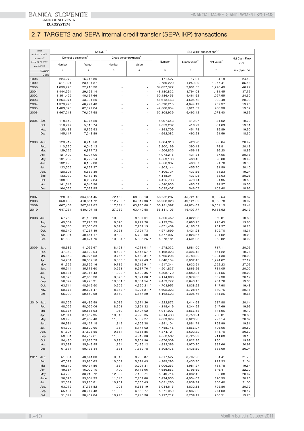**EUROSYSTEM**

### 2.7. TARGET2 and SEPA internal credit transfer (SEPA IKP) transactions

| Value                         |        |                        | TARGET <sup>2</sup> |                                    |                |                        |                          | SEPAIKP transactions <sup>1,2</sup> |                  |
|-------------------------------|--------|------------------------|---------------------|------------------------------------|----------------|------------------------|--------------------------|-------------------------------------|------------------|
| until 31.12.2006              |        |                        |                     |                                    |                |                        |                          |                                     |                  |
| in mio SIT<br>from 01.01.2007 |        | Domestic payments $^3$ |                     | Cross-border payments <sup>4</sup> |                | Number                 | Gross Value <sup>5</sup> | Net Value <sup>6</sup>              | Net Cash Flow    |
| in mio EUR                    |        | Number                 | Value               | Number                             | Value          |                        |                          |                                     | in $%$           |
|                               | Column | 1                      | $\overline{2}$      | $\overline{\mathbf{3}}$            | $\overline{4}$ | 5                      | 6                        | 7                                   | $8 = (7/6)^*100$ |
|                               | Code   |                        |                     |                                    |                |                        |                          |                                     |                  |
| 1998                          |        | 224,270                | 15,216.80           |                                    | ä,             | 171,527                | 17.01                    | 4.18                                | 24.59            |
| 1999                          |        | 511,321                | 23,184.37           |                                    | ÷,             | 9,789,220              | 1,259.30                 | 1,077.41                            | 85.56            |
| 2000                          |        | 1,039,796              | 22,218.30           |                                    | L,             | 34,837,077             | 2,801.55                 | 1,296.40                            | 46.27            |
| 2001                          |        | 1,444,594              | 29,153.14           |                                    | i.             | 48,180,832             | 3,794.08                 | 1,431.45                            | 37.73            |
| 2002                          |        | 1,351,429              | 40,137.66           |                                    | ٠              | 50,486,456             | 4,461.62                 | 1,097.55                            | 24.60            |
| 2003                          |        | 1,264,074              | 43,391.20           |                                    |                | 46,613,463             | 4,505.72                 | 902.48                              | 20.03            |
| 2004                          |        | 1,370,990              | 48,774.40           |                                    | ä,             | 48,598,215             | 4,844.19                 | 932.37                              | 19.25            |
| 2005                          |        | 1,403,876              | 62,694.04           |                                    | ÷,             | 49,368,854             | 5,021.52                 | 980.36                              | 19.52            |
| 2006                          |        | 1,567,213              | 76,107.58           |                                    | ä,             | 52,108,939             | 5,493.42                 | 1,078.40                            | 19.63            |
|                               |        |                        |                     |                                    |                |                        |                          |                                     |                  |
| 2005 Sep.                     |        | 118,642                | 5,975.29            |                                    | ä,             | 4,097,643              | 419.97                   | 81.02                               | 19.29            |
|                               | Oct.   | 116,247                | 5,315.74            |                                    |                | 4,059,202              | 416.29                   | 81.63                               | 19.61            |
|                               | Nov.   | 125,488                | 5,726.53            |                                    | ٠              | 4,393,709              | 451.78                   | 89.89                               | 19.90            |
|                               | Dec.   | 145,117                | 7,248.89            |                                    |                | 4,692,082              | 492.23                   | 91.56                               | 18.60            |
|                               |        |                        |                     |                                    |                |                        |                          |                                     |                  |
| 2006 Jan.                     |        | 120,912                | 6,216.58            |                                    | i,             | 4,084,313              | 423.28                   | 86.64                               | 20.47            |
|                               | Feb.   | 110,330                | 6,046.12            |                                    | ä,             | 3,800,169              | 390.43                   | 78.81                               | 20.18            |
|                               | Mar.   | 129,225                | 6,877.72            |                                    |                | 4,506,835              | 456.43                   | 86.20                               | 18.89            |
|                               | Apr.   | 121,402                | 6,004.00            |                                    | ä,             | 4,073,215              | 431.34                   | 87.05                               | 20.18            |
|                               | May    | 131,262                | 6,722.14            |                                    |                | 4,559,106              | 480.46                   | 93.66                               | 19.49            |
|                               | Jun.   | 132,498                | 6,162.06            |                                    | ä,             | 4,556,337              | 480.67                   | 91.70                               | 19.08            |
|                               | Jul.   | 123,556                | 6,267.37            |                                    |                | 4,302,144              | 455.70                   | 91.59                               | 20.10            |
|                               | Aug.   | 120,691                | 5,553.39            |                                    | ä,             | 4,106,734              | 437.66                   | 84.23                               | 19.24            |
|                               | Sep.   | 133,030                | 6,113.46            |                                    |                | 4,118,041              | 437.05                   | 88.63                               | 20.28            |
|                               | Oct.   | 138,658                | 6,207.84            |                                    |                | 4,425,703              | 470.74                   | 91.95                               | 19.53            |
|                               | Nov.   | 141,613                | 6,546.96            |                                    |                | 4,540,935              | 483.59                   | 94.57                               | 19.55            |
|                               | Dec.   | 164,036                | 7,389.95            |                                    |                | 5,035,407              | 546.07                   | 103.40                              | 18.93            |
|                               |        |                        |                     |                                    |                |                        |                          |                                     |                  |
| 2007                          |        | 728,846                | 364,681.45          | 72,150                             | 68,882.13      | 53,652,237             | 45,721.18                | 9,082.54                            | 19.87            |
| 2008                          |        | 659,466                | 410,351.72          | 112,700 *                          | 84,617.96 *    | 55,908,926             | 49,121.39                | 9,368.78                            | 19.07            |
| 2009                          |        | 667,403                | 507,617.82          | 117,384 *                          | 63,980.68 *    | 55,131,097             | 44,874.69                | 10,504.15                           | 23.41            |
| 2010                          |        | 647,231                | 530,107.18          | 127,269                            | 63,440.58      | 56,131,105             | 45,407.77                | 9,138.52                            | 20.13            |
|                               |        |                        |                     |                                    |                |                        |                          |                                     |                  |
| 2008 Jul.                     |        | 57,759                 | 31,196.89           | 10,922                             | 8,507.01       | 4,800,452              | 4,322.98                 | 859.81                              | 19.89            |
|                               | Aug.   | 49,509                 | 27,723.29           | 8,370                              | 6,274.20       | 4,129,784              | 3,690.23                 | 723.45                              | 19.60            |
|                               | Sep.   | 56,835                 | 32,056.63           | 9,897                              | 7,237.15       | 4,671,409              | 4,165.59                 | 761.37                              | 18.28            |
|                               | Oct.   | 58,340                 | 47,267.49           | 10,251                             | 7,191.73       | 4,971,699              | 4,421.93                 | 809.70                              | 18.31            |
|                               | Nov.   | 52,394                 | 40,451.17           | 9,630                              | 5,782.60       | 4,577,907              | 3,926.67                 | 734.02                              | 19.23            |
|                               | Dec.   | 61,639                 | 49,474.76           | 10,884 *                           | 5,836.25 *     | 5,278,181              | 4,591.95                 | 868.82                              | 18.92            |
|                               |        |                        |                     |                                    |                |                        |                          |                                     |                  |
| 2009 Jan.                     |        | 48,686                 | 41,056.97           | $8,423$ *                          | 4,273.01 *     | 4,278,032              | 3,581.00                 | 717.11                              | 20.03            |
|                               | Feb.   | 47,369                 | 43,622.04           | $8,533$ *                          | 5,547.57 *     | 4,168,023              | 3,396.43                 | 671.22                              | 19.76            |
|                               | Mar.   | 55,653                 | 35,975.53           | $9,767$ *                          | $5,169.31$ *   | 4,765,206              | 3,783.82                 | 1,294.30                            | 28.90            |
|                               | Apr.   | 54,281                 | 38,569.16           | $9,658$ *                          | 6,399.43 *     | 4,648,154              | 3,832.43                 | 1,294.62                            | 27.19            |
|                               | May    | 51,322                 | 28,792.16           | $9,782$ *                          | $5,519.91$ *   | 4,517,344              | 3,632.91                 | 1,222.23                            | 27.03            |
|                               | Jun.   | 55,544                 | 35,773.60           | $10,561$ *                         | 6,937.76 *     | 4,901,837              | 3,866.26                 | 784.05                              | 20.02            |
|                               | Jul.   | 58,681                 | 42,316.43           | 11,002 *                           | 5,439.36 *     | 4,808,170              | 3,889.31                 | 791.56                              | 20.23            |
|                               | Aug.   | 50,575                 | 42,635.38           | 8,876 *                            | 3.874.08 *     | 4,114,660              | 3,379.03                 | 682.38                              | 20.19            |
|                               | Sep.   | 56,692                 | 50,775.91           | 10,831 *                           | 6,051.54 *     | 4,459,772              | 3,640.15                 | 704.76                              | 19.36            |
|                               | Oct.   | 63,714                 | 48,916.50           | 10,909 *                           | 4,390.21 *     | 4,703,953              | 3,838.92                 | 747.90                              | 19.48            |
|                               | Nov.   | 59,677                 | 39,631.47           | 8,873 *                            | 4,221.21 *     | 4,602,323              | 3,728.67                 | 749.76                              | 20.11            |
|                               | Dec.   | 65,209                 | 59,552.68           | 10,169                             | 6,157.29       | 5,163,623              | 4,305.76                 | 844.26                              | 19.61            |
|                               |        |                        |                     |                                    |                |                        |                          |                                     |                  |
| 2010 Jan.                     |        | 50,259                 | 65,486.59           | 8,032                              | 3,674.26       | 4,222,872              | 3,414.68                 | 687.88                              | 20.14            |
|                               | Feb    | 48,056                 | 58,055.06           | 8,601                              | 3,851.32       | 4,148,419              | 3,244.92                 | 647.69                              | 19.96            |
|                               | Mar    | 56,674                 | 50,581.93           | 11,019                             | 5,427.62       | 4,911,927              | 3,866.53                 | 741.96                              | 19.19            |
|                               |        | 52,344                 | 37,957.95           |                                    | 4,925.35       |                        |                          | 780.01                              | 20.80            |
|                               | Apr    |                        |                     | 10,640<br>11,006                   | 5,009.27       | 4,614,480<br>4,839,029 | 3,750.94                 | 777.14                              |                  |
|                               | May    | 53,496                 | 42,989.46           |                                    |                |                        | 3,823.93                 |                                     | 20.32            |
|                               | Jun.   | 56,981                 | 45,127.18           | 11,842                             | 4,659.38       | 4,891,104              | 3,881.74                 | 768.99                              | 19.81            |
|                               | Jul.   | 54,722                 | 38,502.60           | 11,364                             | 5,144.02       | 4,758,748              | 3,866.97                 | 796.05                              | 20.59            |
|                               | Aug.   | 51,624                 | 37,896.55           | 9,614                              | 4,755.85       | 4,374,121              | 3,603.82                 | 745.70                              | 20.69            |
|                               | Sep.   | 53,331                 | 34,757.81           | 11,360                             | 4,912.66       | 4,553,532              | 3,725.99                 | 711.63                              | 19.10            |
|                               | Oct.   | 54,480                 | 32,666.75           | 10,296                             | 5,801.96       | 4,676,009              | 3,822.36                 | 760.11                              | 19.89            |
|                               | Nov.   | 53,687                 | 35,949.95           | 11,864                             | 7,496.12       | 4,832,386              | 3,970.20                 | 832.66                              | 20.97            |
|                               | Dec    | 61,577                 | 50,135.34           | 11,631                             | 7,782.78       | 5,308,478              | 4,435.69                 | 888.69                              | 20.04            |
| 2011                          | Jan.   | 51,354                 | 43,541.00           | 9,640                              | 8,200.87       | 4,517,527              | 3,707.26                 | 804.41                              | 21.70            |
|                               | Feb    | 47,029                 | 33,980.63           | 10,007                             | 5,691.43       | 4,289,293              | 3,433.70                 | 722.33                              | 21.04            |
|                               | Mar    | 55,610                 | 50,434.86           | 11,864                             | 10,991.31      | 5,006,253              | 3,981.27                 | 781.78                              | 19.64            |
|                               | Apr    | 49,787                 | 45,009.10           | 11,400                             | 9,115.06       | 4,686,863              | 3,795.69                 | 846.41                              | 22.30            |
|                               | May    | 54,720                 | 33,218.72           | 12,399                             | 7,102.71       | 5,249,714              | 4,032.42                 | 833.38                              | 20.67            |
|                               | June   | 56,628                 | 33,604.93           | 11,546                             | 7,159.60       | 5,494,935              | 4,054.67                 | 820.99                              | 20.25            |
|                               | Jul.   | 52,082                 | 33,980.81           | 10,751                             | 7,366.45       | 5,031,280              | 3,839.74                 | 806.40                              | 21.00            |
|                               | Aug.   | 53,272                 | 37,731.82           | 11,008                             | 6,683.19       | 5,084,615              | 3,832.88                 | 796.86                              | 20.79            |
|                               |        |                        |                     |                                    |                |                        |                          |                                     |                  |
|                               | Sep.   | 55,137                 | 38,247.48           | 11,389                             | 6,668.77       | 5,271,059              | 3,837.82                 | 774.03                              | 20.17            |
|                               | Okt.   | 51,049                 | 38,432.84           | 10,746                             | 7,740.36       | 5,297,712              | 3,739.12                 | 736.51                              | 19.70            |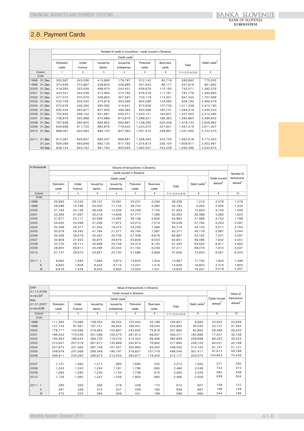### 2.8. Payment Cards

|      |              |                   |                  |                    |                           | Number of cards in circulation - cards issued in Slovenia |                          |                           |                 |
|------|--------------|-------------------|------------------|--------------------|---------------------------|-----------------------------------------------------------|--------------------------|---------------------------|-----------------|
|      |              |                   |                  |                    | Credit cards <sup>1</sup> |                                                           |                          |                           |                 |
|      |              | Domestic<br>cards | Under<br>licence | Issued by<br>banks | Issued by<br>enterprises  | Personal<br>cards                                         | <b>Business</b><br>cards | Total                     | Debit cards $2$ |
|      | Column       | 1                 | $\overline{c}$   | 3                  | $\overline{4}$            | 5                                                         | 6                        | $7 = 1 + 2, 3 + 4, 5 + 6$ | 8               |
|      | Code         |                   |                  |                    |                           |                                                           |                          |                           |                 |
|      | 1998 31.Dec. | 350.567           | 243.296          | 415,666            | 178,197                   | 510,145                                                   | 83,718                   | 593,863                   | 775,032         |
| 1999 | 31.Dec.      | 374,929           | 272,887          | 438.823            | 208.993                   | 551.645                                                   | 96.171                   | 647.816                   | 961.982         |
| 2000 | 31.Dec.      | 418.565           | 323.506          | 498,670            | 243.401                   | 629.879                                                   | 112.192                  | 742.071                   | 1,392,379       |
| 2001 | 31.Dec.      | 443.541           | 344.238          | 512.994            | 274.785                   | 676.018                                                   | 111,761                  | 787.779                   | 1.495.660       |
| 2002 | 31.Dec.      | 477.072           | 370.378          | 539.853            | 307.597                   | 733.119                                                   | 114.331                  | 847.450                   | 1,707,668       |
| 2003 | 31.Dec.      | 522.759           | 405.425          | 573.818            | 354.366                   | 804.099                                                   | 124.085                  | 928.184                   | 2,466,579       |
| 2004 | 31.Dec.      | 575.976           | 435.260          | 595.595            | 415.641                   | 873,506                                                   | 137.730                  | 1.011.236                 | 2.310.190       |
| 2005 | 31.Dec.      | 630.342           | 463.977          | 627.935            | 466.384                   | 933.588                                                   | 160.731                  | 1,094,319                 | 2.330.220       |
| 2006 | 31.Dec.      | 700.950           | 506.102          | 651.681            | 555.371                   | 1.043.121                                                 | 163.931                  | 1.207.052                 | 2,412,485       |
| 2007 | 31.Dec.      | 738.876           | 545.988          | 670.988            | 613.876                   | 1.098.501                                                 | 186.363                  | 1.284.864                 | 2,486,652       |
| 2008 | 31.Dec.      | 787.838           | 590.905          | 684.852            | 693.891                   | 1.158.295                                                 | 220.448                  | 1.378.743                 | 2.626.982       |
| 2009 | 31.Dec.      | 849.696           | 611.720          | 684.876            | 776.540                   | 1.223.575                                                 | 237,841                  | 1,461,416                 | 2,611,307       |
| 2010 | 31.Dec.      | 888.081           | 643.384          | 694.102            | 837.363                   | 1.301.574                                                 | 229.891                  | 1.531.465                 | 2,742,470       |
|      |              |                   |                  |                    |                           |                                                           |                          |                           |                 |
| 2011 | 31.Mar.      | 912.061           | 649.957          | 695.037            | 866.981                   | 1.328.263                                                 | 233.755                  | 1.562.018                 | 2.772.353       |
|      | 31.Jun.      | 926.069           | 683.848          | 692.125            | 917.792                   | 1,374,813                                                 | 235.104                  | 1,609,917                 | 2,552,967       |
|      | 30.Sep.      | 938.724           | 653.762          | 691.793            | 900.693                   | 1.360.257                                                 | 232.229                  | 1.592.486                 | 2.542.975       |

| In thousands | Volume of transactions in Slovenia                                                                                 |                |           |                           |                          |                 |                         |                          |                     |                     |  |  |
|--------------|--------------------------------------------------------------------------------------------------------------------|----------------|-----------|---------------------------|--------------------------|-----------------|-------------------------|--------------------------|---------------------|---------------------|--|--|
|              |                                                                                                                    |                |           |                           | Cards issued in Slovenia |                 |                         |                          |                     | Number of           |  |  |
|              |                                                                                                                    |                |           | Credit cards <sup>1</sup> |                          |                 |                         |                          | Cards issued        | transaction         |  |  |
|              | Domestic                                                                                                           | Under          | Issued by | Issued by                 | Personal                 | <b>Business</b> | Total                   | Debit cards <sup>2</sup> | abroad <sup>3</sup> | abroad <sup>4</sup> |  |  |
|              | cards                                                                                                              | licence        | banks     | enterprises               | cards                    | cards           |                         |                          |                     |                     |  |  |
| Column       | $\mathbf{1}$                                                                                                       | $\overline{c}$ | 3         | 4                         | 5                        | 6               | $7 = 1 + 2.3 + 4.5 + 6$ | 8                        | 9                   | 10                  |  |  |
| Code         |                                                                                                                    |                |           |                           |                          |                 |                         |                          |                     |                     |  |  |
| 1998         | 25.993                                                                                                             | 12,245         | 28.147    | 10,091                    | 33,231                   | 5.006           | 38.238                  | 1,216                    | 2,278               | 1.278               |  |  |
| 1999         | 28.396                                                                                                             | 15,798         | 5,264     | 2,925                     | 1,433                    |                 |                         |                          |                     |                     |  |  |
| 2000         | 31.794                                                                                                             | 20,139         | 13,933    | 3,745                     | 1,558                    |                 |                         |                          |                     |                     |  |  |
| 2001         | 33.366                                                                                                             | 21,697         | 26.388    | 4,585                     | 1,623                    |                 |                         |                          |                     |                     |  |  |
| 2002         | 14.846<br>40.218<br>47.777<br>7,286<br>55,063<br>31.877<br>14.394<br>49,138<br>5,856<br>23,117<br>40.599<br>54,994 |                |           |                           |                          |                 |                         |                          | 4,752               | 1,788               |  |  |
| 2003         | 34.930                                                                                                             | 24,598         | 41.556    | 17.972                    | 52.010                   | 7.519           | 59.528                  | 37.784                   | 5,253               | 2,097               |  |  |
| 2004         | 34.338                                                                                                             | 26,377         | 41.342    | 19.373                    | 53,228                   | 7,486           | 60.715                  | 44.145                   | 5,011               | 2,764               |  |  |
| 2005         | 35,079                                                                                                             | 28,292         | 41.794    | 21,577                    | 55,784                   | 7,587           | 63,371                  | 49,178                   | 5,897               | 3,044               |  |  |
| 2006         | 36.408                                                                                                             | 29,579         | 40.281    | 25.706                    | 57.308                   | 8,679           | 65.987                  | 55.182                   | 7,221               | 3,597               |  |  |
| 2007         | 34.909                                                                                                             | 27,942         | 35.975    | 26.876                    | 53,848                   | 9,003           | 62,851                  | 59,496                   | 7,642               | 4,551               |  |  |
| 2008         | 32.725                                                                                                             | 28.711         | 35.688    | 25.748                    | 53.310                   | 8.125           | 61.435                  | 64.520                   | 8.911               | 4.560               |  |  |
| 2009         | 28,800                                                                                                             | 28,611         | 34.069    | 23,342                    | 51,162                   | 6,248           | 57,411                  | 68.016                   | 7,814               | 5,537               |  |  |
| 2010         | 27.747                                                                                                             | 29,910         | 72,833    | 8,561                     | 6,543                    |                 |                         |                          |                     |                     |  |  |
|              |                                                                                                                    |                |           |                           |                          |                 |                         |                          |                     |                     |  |  |
| $2011$       | 6,682                                                                                                              | 7,284          | 7,994     | 5,973                     | 12,623                   | 1,344           | 13,967                  | 17,705                   | 1,843               | 1,496               |  |  |
| Ш            | 6,850                                                                                                              | 7,808          | 8,542     | 6,115                     | 13,241                   | 1,416           | 14,658                  | 19,804                   | 2,316               | 1,805               |  |  |
| Ш            | 6,616                                                                                                              | 7,229          | 8,045     | 5,800                     | 12,504                   | 1,341           | 13,845                  | 19,347                   | 3,019               | 2,267               |  |  |

| Until              | Value of transactions in Slovenia |                                                                                                                     |           |                           |                          |                 |                 |                          |                     |                     |  |  |  |  |
|--------------------|-----------------------------------|---------------------------------------------------------------------------------------------------------------------|-----------|---------------------------|--------------------------|-----------------|-----------------|--------------------------|---------------------|---------------------|--|--|--|--|
| 31.12.2006         |                                   |                                                                                                                     |           |                           | Cards issued in Slovenia |                 |                 |                          |                     | Value of            |  |  |  |  |
| in mio SIT<br>from |                                   |                                                                                                                     |           | Credit cards <sup>1</sup> |                          |                 |                 |                          | Cards issued        | transaction         |  |  |  |  |
| 01.01.2007         | Domestic                          | Under                                                                                                               | Issued by | Issued by                 | Personal                 | <b>Business</b> |                 | Debit cards <sup>2</sup> | abroad <sup>3</sup> | abroad <sup>4</sup> |  |  |  |  |
| in mio EUR         | cards                             | licence                                                                                                             | banks     | enterprises               | cards                    | cards           | Total           |                          |                     |                     |  |  |  |  |
| Column             | $\mathbf{1}$                      | $\overline{c}$                                                                                                      | 3         | $\overline{4}$            | 5                        | 6               | $7=1+2,3+4,5+6$ | 8                        | 9                   | 10                  |  |  |  |  |
| Code               |                                   |                                                                                                                     |           |                           |                          |                 |                 |                          |                     |                     |  |  |  |  |
| 1998               | 111,565                           | 73,086                                                                                                              | 138,320   | 46,332                    | 152,454                  | 32,198          | 184,651         | 6,890                    | 33,552              | 22,638              |  |  |  |  |
| 1999               | 127.134                           | 97.561<br>56.944<br>185.451<br>167.751<br>39.244<br>224.695<br>30.034                                               |           |                           |                          |                 |                 |                          |                     |                     |  |  |  |  |
| 2000               | 178.771                           | 58.499                                                                                                              | 28,552    |                           |                          |                 |                 |                          |                     |                     |  |  |  |  |
| 2001               | 186.422                           | 143,089<br>245,942<br>218,963<br>75,918<br>170,049<br>105.373<br>287,814<br>68,657<br>251.098<br>356,471<br>162,896 |           |                           |                          |                 |                 |                          |                     |                     |  |  |  |  |
| 2002               | 193.263                           | 86.323                                                                                                              | 35.523    |                           |                          |                 |                 |                          |                     |                     |  |  |  |  |
| 2003               | 210.647                           | 207.019                                                                                                             | 281.677   | 135.989                   | 340.674                  | 76.992          | 417.665         | 249.105                  | 90.031              | 40,168              |  |  |  |  |
| 2004               | 227.975                           | 221.060                                                                                                             | 287.729   | 161.307                   | 355.983                  | 93.052          | 449.035         | 313.100                  | 81.157              | 51.101              |  |  |  |  |
| 2005               | 248.978                           | 237.568                                                                                                             | 296.349   | 190.197                   | 378.827                  | 107.718         | 486.546         | 357,411                  | 91,612              | 59,788              |  |  |  |  |
| 2006               | 266.911                           | 245.265                                                                                                             | 296.973   | 215.204                   | 393.877                  | 118,300         | 512,177         | 403.573                  | 104.853             | 70.435              |  |  |  |  |
|                    |                                   |                                                                                                                     |           |                           |                          |                 |                 |                          |                     |                     |  |  |  |  |
| 2007               | 1,131                             | 1.082                                                                                                               | 1,217     | 995                       | 1.680                    | 532             | 2,212           | 1.945                    | 571                 | 330                 |  |  |  |  |
| 2008               | 1.243                             | 1.243                                                                                                               | 1.294     | 1.191                     | 1.796                    | 690             | 2.486           | 2,248                    | 742                 | 372                 |  |  |  |  |
| 2009               | 1.084                             | 1.280                                                                                                               | 1,230     | 1.134                     | 1.749                    | 616             | 2,365           | 2.326                    | 582                 | 438                 |  |  |  |  |
| 2010               | 1,126                             | 639                                                                                                                 | 504       |                           |                          |                 |                 |                          |                     |                     |  |  |  |  |
|                    |                                   |                                                                                                                     |           |                           |                          |                 |                 |                          |                     |                     |  |  |  |  |
| 2011               | 280                               | 330                                                                                                                 | 292       | 318                       | 438                      | 172             | 610             | 607                      | 159                 | 127                 |  |  |  |  |
| $\mathsf{II}$      | 291                               | 348                                                                                                                 | 312       | 327                       | 459                      | 180             | 639             | 687                      | 198                 | 149                 |  |  |  |  |
| $\mathbf{III}$     | 275                               | 323                                                                                                                 | 290       | 308                       | 431                      | 168             | 598             | 666                      | 244                 | 166                 |  |  |  |  |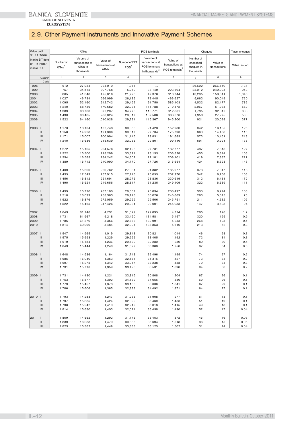**EUROSYSTEM**

### 2.9. Other Payment Instruments and Innovative Payment Schemes

| 31.12.2006<br>Volume of<br>Volume of<br>Number of<br>in mio SIT from<br>Value of<br>Value of<br>Number of<br>Number of EFT<br>transactions at<br>transactions at<br>Value of<br>encashed<br>01.01.2007<br>transactions at<br>transactions at<br>Value issued<br>POS terminals<br>ATMs<br>POS <sup>1</sup><br>ATMs in<br>cheques in<br>transactions<br>in mio EUR<br><b>ATMs</b><br>POS terminals <sup>2</sup><br>in thousands $^{2}$<br>thousands<br>thousands<br>$\overline{4}$<br>$\mathbf{1}$<br>$\overline{c}$<br>3<br>5<br>6<br>8<br>9<br>Column<br>$\overline{7}$<br>Code<br>612<br>224,010<br>11,361<br>1998<br>27,934<br>26,692<br>266,650<br>1,137<br>$\cdots$<br>.<br>1999<br>757<br>34,515<br>307,768<br>15,269<br>38,149<br>223,694<br>23,012<br>249,995<br>953<br>2000<br>865<br>41,048<br>425,016<br>21,723<br>49,376<br>313,744<br>13,205<br>158,841<br>1,043<br>2001<br>1,027<br>46,734<br>566,099<br>73,445<br>5,663<br>90,049<br>720<br>26,186<br>466,627<br>782<br>2002<br>1,095<br>52,160<br>642,742<br>29,452<br>91,750<br>585,103<br>4,532<br>82,477<br>2003<br>589<br>1,240<br>58,736<br>770,682<br>32,035<br>111,788<br>719,572<br>2,967<br>51,935<br>2004<br>1,389<br>63,700<br>892,207<br>34,770<br>110,771<br>812,861<br>1,735<br>32,342<br>603<br>2005<br>1,490<br>983,024<br>506<br>66,485<br>28,817<br>109,508<br>868,676<br>1,350<br>27,275<br>377<br>2006<br>1,522<br>64,160<br>1,010,028<br>29,234<br>115,367<br>945,200<br>921<br>20,028<br>2003  <br>125<br>1,173<br>13,164<br>162,743<br>30,053<br>24,423<br>152,980<br>942<br>16,105<br>$\label{eq:1} \mathsf{II}$<br>191,306<br>30,617<br>27,734<br>860<br>14,458<br>115<br>1,158<br>14,928<br>175,793<br>$\mathbf{III}$<br>1,171<br>15,007<br>200,994<br>31,145<br>29,831<br>191,683<br>573<br>10,451<br>213<br>IV<br>591<br>10,921<br>136<br>1,240<br>15,636<br>215,639<br>32,035<br>29,801<br>199,116<br>2004<br>204,576<br>32,496<br>27,731<br>182,777<br>7,813<br>127<br>$\mathbf{I}$<br>1,272<br>15,105<br>437<br>Ш<br>8,314<br>1,322<br>15,300<br>213,299<br>33,321<br>28,133<br>206,328<br>455<br>106<br>$\mathbf{III}$<br>34,302<br>227<br>1,354<br>16,583<br>234,242<br>27,181<br>208,101<br>419<br>7,887<br>IV<br>240,090<br>1,389<br>16,712<br>34,770<br>27,726<br>215,654<br>424<br>8,328<br>143<br>2005<br>$\mathbf{I}$<br>1,409<br>15,600<br>220,762<br>27,031<br>24,382<br>185,977<br>373<br>7,347<br>118<br>Ш<br>17,549<br>257,915<br>27,746<br>25,055<br>6,758<br>106<br>1,435<br>202,970<br>342<br>Ш<br>1,456<br>16,812<br>254,691<br>28,276<br>28,836<br>230,619<br>312<br>6,481<br>172<br>IV<br>1,490<br>31,235<br>322<br>111<br>16,524<br>249,656<br>28,817<br>249,109<br>6,689<br>2006<br>237,180<br>26,834<br>208,497<br>300<br>6,274<br>103<br>$\mathbf{I}$<br>1,499<br>15,720<br>28,587<br>75<br>Ш<br>1,510<br>16,099<br>253,363<br>29,148<br>30,026<br>245,869<br>263<br>5,515<br>$\mathbf{III}$<br>272,059<br>29,259<br>29,506<br>105<br>1,522<br>16,876<br>245,751<br>211<br>4,632<br>IV<br>94<br>1,522<br>15,465<br>247,426<br>29,234<br>29,001<br>245,083<br>147<br>3,608<br>2007<br>1,643<br>61,146<br>4,731<br>31,529<br>129,895<br>4,724<br>285<br>126<br>1.2<br>2008<br>320<br>125<br>0.9<br>1,731<br>61,567<br>5,218<br>33,490<br>134,581<br>5,457<br>2009<br>1,786<br>61,370<br>5,356<br>32,883<br>132,991<br>5,253<br>268<br>108<br>0.5<br>2010<br>5,484<br>72<br>0.3<br>1,814<br>60,990<br>32,021<br>138,853<br>5,616<br>213<br>2007  <br>14,565<br>1,019<br>29,843<br>30,821<br>1,044<br>46<br>28<br>0.3<br>1,547<br>$\label{eq:1} \mathsf{II}$<br>72<br>0.3<br>1,575<br>15,953<br>1,229<br>29,926<br>33,405<br>1,192<br>34<br>Ш<br>80<br>30<br>0.4<br>1,619<br>15,184<br>1,236<br>29,632<br>32,280<br>1,230<br>IV<br>1,643<br>15,444<br>1,246<br>31,529<br>33,388<br>1,258<br>87<br>34<br>0.3<br>2008  <br>74<br>0.2<br>1,648<br>14,536<br>1,164<br>31,748<br>32,496<br>1,195<br>27<br>$\label{eq:1} \mathsf{II}$<br>73<br>0.2<br>1,685<br>16,040<br>1,353<br>32,581<br>35,316<br>1,427<br>34<br>$\mathbf{III}$<br>1,697<br>15,275<br>1,342<br>33,017<br>33,238<br>1,438<br>79<br>34<br>0.3<br>IV<br>1,359<br>33,490<br>33,531<br>94<br>0.2<br>1,731<br>15,716<br>1,398<br>30<br>2009  <br>1,221<br>33,815<br>30,808<br>1,204<br>67<br>26<br>0.1<br>1,731<br>14,430<br>34,139<br>0.1<br>Ш<br>1,753<br>15,877<br>1,392<br>34,056<br>1,336<br>69<br>26<br>$\ensuremath{\mathsf{III}}\xspace$<br>1,779<br>1,378<br>33,155<br>33,636<br>67<br>0.1<br>15,457<br>1,341<br>29<br>IV<br>1,786<br>1,365<br>32,883<br>34,492<br>1,371<br>0.1<br>15,606<br>64<br>27<br>2010  <br>1,247<br>31,236<br>31,908<br>61<br>0.1<br>1,793<br>14,283<br>1,277<br>18<br>32,092<br>35,469<br>0.1<br>Ш<br>1,797<br>15,835<br>1,424<br>1,433<br>51<br>19<br>$\begin{array}{c} \Pi \end{array}$<br>0.1<br>1,798<br>15,242<br>1,410<br>32,249<br>35,018<br>1,415<br>49<br>18<br>IV<br>1,814<br>15,630<br>1,403<br>32,021<br>36,458<br>1,490<br>52<br>17<br>0.04<br>2011  <br>0.03<br>1,809<br>14,552<br>1,292<br>31,775<br>33,453<br>1,372<br>45<br>16<br>$\sf II$<br>0.05<br>1,839<br>16,038<br>1,470<br>30,886<br>36,694<br>1,518<br>36<br>15 | Value until                        |       | <b>ATMs</b> |       |        | POS terminals |       | Cheques |    | Travel cheques |
|-----------------------------------------------------------------------------------------------------------------------------------------------------------------------------------------------------------------------------------------------------------------------------------------------------------------------------------------------------------------------------------------------------------------------------------------------------------------------------------------------------------------------------------------------------------------------------------------------------------------------------------------------------------------------------------------------------------------------------------------------------------------------------------------------------------------------------------------------------------------------------------------------------------------------------------------------------------------------------------------------------------------------------------------------------------------------------------------------------------------------------------------------------------------------------------------------------------------------------------------------------------------------------------------------------------------------------------------------------------------------------------------------------------------------------------------------------------------------------------------------------------------------------------------------------------------------------------------------------------------------------------------------------------------------------------------------------------------------------------------------------------------------------------------------------------------------------------------------------------------------------------------------------------------------------------------------------------------------------------------------------------------------------------------------------------------------------------------------------------------------------------------------------------------------------------------------------------------------------------------------------------------------------------------------------------------------------------------------------------------------------------------------------------------------------------------------------------------------------------------------------------------------------------------------------------------------------------------------------------------------------------------------------------------------------------------------------------------------------------------------------------------------------------------------------------------------------------------------------------------------------------------------------------------------------------------------------------------------------------------------------------------------------------------------------------------------------------------------------------------------------------------------------------------------------------------------------------------------------------------------------------------------------------------------------------------------------------------------------------------------------------------------------------------------------------------------------------------------------------------------------------------------------------------------------------------------------------------------------------------------------------------------------------------------------------------------------------------------------------------------------------------------------------------------------------------------------------------------------------------------------------------------------------------------------------------------------------------------------------------------------------------------------------------------------------------------------------------------------------------------------------------------------------------------------------------------------------------------------------------------------------------------------------------------------------------------------------------------------------------------------------------------------------------------------------------------------------------------------------------------------------------------------------------------------------------------------------------------------------------------------------------------------------------------------------------------------------------------------------------------------------------------------------------------------------------------------------------------------------------------------------------------------------------------------------------------------------------------------------------------------------------------------------------------------------------------------------------------------------------------------------------------------|------------------------------------|-------|-------------|-------|--------|---------------|-------|---------|----|----------------|
|                                                                                                                                                                                                                                                                                                                                                                                                                                                                                                                                                                                                                                                                                                                                                                                                                                                                                                                                                                                                                                                                                                                                                                                                                                                                                                                                                                                                                                                                                                                                                                                                                                                                                                                                                                                                                                                                                                                                                                                                                                                                                                                                                                                                                                                                                                                                                                                                                                                                                                                                                                                                                                                                                                                                                                                                                                                                                                                                                                                                                                                                                                                                                                                                                                                                                                                                                                                                                                                                                                                                                                                                                                                                                                                                                                                                                                                                                                                                                                                                                                                                                                                                                                                                                                                                                                                                                                                                                                                                                                                                                                                                                                                                                                                                                                                                                                                                                                                                                                                                                                                                                                                                                     |                                    |       |             |       |        |               |       |         |    |                |
|                                                                                                                                                                                                                                                                                                                                                                                                                                                                                                                                                                                                                                                                                                                                                                                                                                                                                                                                                                                                                                                                                                                                                                                                                                                                                                                                                                                                                                                                                                                                                                                                                                                                                                                                                                                                                                                                                                                                                                                                                                                                                                                                                                                                                                                                                                                                                                                                                                                                                                                                                                                                                                                                                                                                                                                                                                                                                                                                                                                                                                                                                                                                                                                                                                                                                                                                                                                                                                                                                                                                                                                                                                                                                                                                                                                                                                                                                                                                                                                                                                                                                                                                                                                                                                                                                                                                                                                                                                                                                                                                                                                                                                                                                                                                                                                                                                                                                                                                                                                                                                                                                                                                                     |                                    |       |             |       |        |               |       |         |    |                |
|                                                                                                                                                                                                                                                                                                                                                                                                                                                                                                                                                                                                                                                                                                                                                                                                                                                                                                                                                                                                                                                                                                                                                                                                                                                                                                                                                                                                                                                                                                                                                                                                                                                                                                                                                                                                                                                                                                                                                                                                                                                                                                                                                                                                                                                                                                                                                                                                                                                                                                                                                                                                                                                                                                                                                                                                                                                                                                                                                                                                                                                                                                                                                                                                                                                                                                                                                                                                                                                                                                                                                                                                                                                                                                                                                                                                                                                                                                                                                                                                                                                                                                                                                                                                                                                                                                                                                                                                                                                                                                                                                                                                                                                                                                                                                                                                                                                                                                                                                                                                                                                                                                                                                     |                                    |       |             |       |        |               |       |         |    |                |
|                                                                                                                                                                                                                                                                                                                                                                                                                                                                                                                                                                                                                                                                                                                                                                                                                                                                                                                                                                                                                                                                                                                                                                                                                                                                                                                                                                                                                                                                                                                                                                                                                                                                                                                                                                                                                                                                                                                                                                                                                                                                                                                                                                                                                                                                                                                                                                                                                                                                                                                                                                                                                                                                                                                                                                                                                                                                                                                                                                                                                                                                                                                                                                                                                                                                                                                                                                                                                                                                                                                                                                                                                                                                                                                                                                                                                                                                                                                                                                                                                                                                                                                                                                                                                                                                                                                                                                                                                                                                                                                                                                                                                                                                                                                                                                                                                                                                                                                                                                                                                                                                                                                                                     |                                    |       |             |       |        |               |       |         |    |                |
|                                                                                                                                                                                                                                                                                                                                                                                                                                                                                                                                                                                                                                                                                                                                                                                                                                                                                                                                                                                                                                                                                                                                                                                                                                                                                                                                                                                                                                                                                                                                                                                                                                                                                                                                                                                                                                                                                                                                                                                                                                                                                                                                                                                                                                                                                                                                                                                                                                                                                                                                                                                                                                                                                                                                                                                                                                                                                                                                                                                                                                                                                                                                                                                                                                                                                                                                                                                                                                                                                                                                                                                                                                                                                                                                                                                                                                                                                                                                                                                                                                                                                                                                                                                                                                                                                                                                                                                                                                                                                                                                                                                                                                                                                                                                                                                                                                                                                                                                                                                                                                                                                                                                                     |                                    |       |             |       |        |               |       |         |    |                |
|                                                                                                                                                                                                                                                                                                                                                                                                                                                                                                                                                                                                                                                                                                                                                                                                                                                                                                                                                                                                                                                                                                                                                                                                                                                                                                                                                                                                                                                                                                                                                                                                                                                                                                                                                                                                                                                                                                                                                                                                                                                                                                                                                                                                                                                                                                                                                                                                                                                                                                                                                                                                                                                                                                                                                                                                                                                                                                                                                                                                                                                                                                                                                                                                                                                                                                                                                                                                                                                                                                                                                                                                                                                                                                                                                                                                                                                                                                                                                                                                                                                                                                                                                                                                                                                                                                                                                                                                                                                                                                                                                                                                                                                                                                                                                                                                                                                                                                                                                                                                                                                                                                                                                     |                                    |       |             |       |        |               |       |         |    |                |
|                                                                                                                                                                                                                                                                                                                                                                                                                                                                                                                                                                                                                                                                                                                                                                                                                                                                                                                                                                                                                                                                                                                                                                                                                                                                                                                                                                                                                                                                                                                                                                                                                                                                                                                                                                                                                                                                                                                                                                                                                                                                                                                                                                                                                                                                                                                                                                                                                                                                                                                                                                                                                                                                                                                                                                                                                                                                                                                                                                                                                                                                                                                                                                                                                                                                                                                                                                                                                                                                                                                                                                                                                                                                                                                                                                                                                                                                                                                                                                                                                                                                                                                                                                                                                                                                                                                                                                                                                                                                                                                                                                                                                                                                                                                                                                                                                                                                                                                                                                                                                                                                                                                                                     |                                    |       |             |       |        |               |       |         |    |                |
|                                                                                                                                                                                                                                                                                                                                                                                                                                                                                                                                                                                                                                                                                                                                                                                                                                                                                                                                                                                                                                                                                                                                                                                                                                                                                                                                                                                                                                                                                                                                                                                                                                                                                                                                                                                                                                                                                                                                                                                                                                                                                                                                                                                                                                                                                                                                                                                                                                                                                                                                                                                                                                                                                                                                                                                                                                                                                                                                                                                                                                                                                                                                                                                                                                                                                                                                                                                                                                                                                                                                                                                                                                                                                                                                                                                                                                                                                                                                                                                                                                                                                                                                                                                                                                                                                                                                                                                                                                                                                                                                                                                                                                                                                                                                                                                                                                                                                                                                                                                                                                                                                                                                                     |                                    |       |             |       |        |               |       |         |    |                |
|                                                                                                                                                                                                                                                                                                                                                                                                                                                                                                                                                                                                                                                                                                                                                                                                                                                                                                                                                                                                                                                                                                                                                                                                                                                                                                                                                                                                                                                                                                                                                                                                                                                                                                                                                                                                                                                                                                                                                                                                                                                                                                                                                                                                                                                                                                                                                                                                                                                                                                                                                                                                                                                                                                                                                                                                                                                                                                                                                                                                                                                                                                                                                                                                                                                                                                                                                                                                                                                                                                                                                                                                                                                                                                                                                                                                                                                                                                                                                                                                                                                                                                                                                                                                                                                                                                                                                                                                                                                                                                                                                                                                                                                                                                                                                                                                                                                                                                                                                                                                                                                                                                                                                     |                                    |       |             |       |        |               |       |         |    |                |
|                                                                                                                                                                                                                                                                                                                                                                                                                                                                                                                                                                                                                                                                                                                                                                                                                                                                                                                                                                                                                                                                                                                                                                                                                                                                                                                                                                                                                                                                                                                                                                                                                                                                                                                                                                                                                                                                                                                                                                                                                                                                                                                                                                                                                                                                                                                                                                                                                                                                                                                                                                                                                                                                                                                                                                                                                                                                                                                                                                                                                                                                                                                                                                                                                                                                                                                                                                                                                                                                                                                                                                                                                                                                                                                                                                                                                                                                                                                                                                                                                                                                                                                                                                                                                                                                                                                                                                                                                                                                                                                                                                                                                                                                                                                                                                                                                                                                                                                                                                                                                                                                                                                                                     |                                    |       |             |       |        |               |       |         |    |                |
|                                                                                                                                                                                                                                                                                                                                                                                                                                                                                                                                                                                                                                                                                                                                                                                                                                                                                                                                                                                                                                                                                                                                                                                                                                                                                                                                                                                                                                                                                                                                                                                                                                                                                                                                                                                                                                                                                                                                                                                                                                                                                                                                                                                                                                                                                                                                                                                                                                                                                                                                                                                                                                                                                                                                                                                                                                                                                                                                                                                                                                                                                                                                                                                                                                                                                                                                                                                                                                                                                                                                                                                                                                                                                                                                                                                                                                                                                                                                                                                                                                                                                                                                                                                                                                                                                                                                                                                                                                                                                                                                                                                                                                                                                                                                                                                                                                                                                                                                                                                                                                                                                                                                                     |                                    |       |             |       |        |               |       |         |    |                |
|                                                                                                                                                                                                                                                                                                                                                                                                                                                                                                                                                                                                                                                                                                                                                                                                                                                                                                                                                                                                                                                                                                                                                                                                                                                                                                                                                                                                                                                                                                                                                                                                                                                                                                                                                                                                                                                                                                                                                                                                                                                                                                                                                                                                                                                                                                                                                                                                                                                                                                                                                                                                                                                                                                                                                                                                                                                                                                                                                                                                                                                                                                                                                                                                                                                                                                                                                                                                                                                                                                                                                                                                                                                                                                                                                                                                                                                                                                                                                                                                                                                                                                                                                                                                                                                                                                                                                                                                                                                                                                                                                                                                                                                                                                                                                                                                                                                                                                                                                                                                                                                                                                                                                     |                                    |       |             |       |        |               |       |         |    |                |
|                                                                                                                                                                                                                                                                                                                                                                                                                                                                                                                                                                                                                                                                                                                                                                                                                                                                                                                                                                                                                                                                                                                                                                                                                                                                                                                                                                                                                                                                                                                                                                                                                                                                                                                                                                                                                                                                                                                                                                                                                                                                                                                                                                                                                                                                                                                                                                                                                                                                                                                                                                                                                                                                                                                                                                                                                                                                                                                                                                                                                                                                                                                                                                                                                                                                                                                                                                                                                                                                                                                                                                                                                                                                                                                                                                                                                                                                                                                                                                                                                                                                                                                                                                                                                                                                                                                                                                                                                                                                                                                                                                                                                                                                                                                                                                                                                                                                                                                                                                                                                                                                                                                                                     |                                    |       |             |       |        |               |       |         |    |                |
|                                                                                                                                                                                                                                                                                                                                                                                                                                                                                                                                                                                                                                                                                                                                                                                                                                                                                                                                                                                                                                                                                                                                                                                                                                                                                                                                                                                                                                                                                                                                                                                                                                                                                                                                                                                                                                                                                                                                                                                                                                                                                                                                                                                                                                                                                                                                                                                                                                                                                                                                                                                                                                                                                                                                                                                                                                                                                                                                                                                                                                                                                                                                                                                                                                                                                                                                                                                                                                                                                                                                                                                                                                                                                                                                                                                                                                                                                                                                                                                                                                                                                                                                                                                                                                                                                                                                                                                                                                                                                                                                                                                                                                                                                                                                                                                                                                                                                                                                                                                                                                                                                                                                                     |                                    |       |             |       |        |               |       |         |    |                |
|                                                                                                                                                                                                                                                                                                                                                                                                                                                                                                                                                                                                                                                                                                                                                                                                                                                                                                                                                                                                                                                                                                                                                                                                                                                                                                                                                                                                                                                                                                                                                                                                                                                                                                                                                                                                                                                                                                                                                                                                                                                                                                                                                                                                                                                                                                                                                                                                                                                                                                                                                                                                                                                                                                                                                                                                                                                                                                                                                                                                                                                                                                                                                                                                                                                                                                                                                                                                                                                                                                                                                                                                                                                                                                                                                                                                                                                                                                                                                                                                                                                                                                                                                                                                                                                                                                                                                                                                                                                                                                                                                                                                                                                                                                                                                                                                                                                                                                                                                                                                                                                                                                                                                     |                                    |       |             |       |        |               |       |         |    |                |
|                                                                                                                                                                                                                                                                                                                                                                                                                                                                                                                                                                                                                                                                                                                                                                                                                                                                                                                                                                                                                                                                                                                                                                                                                                                                                                                                                                                                                                                                                                                                                                                                                                                                                                                                                                                                                                                                                                                                                                                                                                                                                                                                                                                                                                                                                                                                                                                                                                                                                                                                                                                                                                                                                                                                                                                                                                                                                                                                                                                                                                                                                                                                                                                                                                                                                                                                                                                                                                                                                                                                                                                                                                                                                                                                                                                                                                                                                                                                                                                                                                                                                                                                                                                                                                                                                                                                                                                                                                                                                                                                                                                                                                                                                                                                                                                                                                                                                                                                                                                                                                                                                                                                                     |                                    |       |             |       |        |               |       |         |    |                |
|                                                                                                                                                                                                                                                                                                                                                                                                                                                                                                                                                                                                                                                                                                                                                                                                                                                                                                                                                                                                                                                                                                                                                                                                                                                                                                                                                                                                                                                                                                                                                                                                                                                                                                                                                                                                                                                                                                                                                                                                                                                                                                                                                                                                                                                                                                                                                                                                                                                                                                                                                                                                                                                                                                                                                                                                                                                                                                                                                                                                                                                                                                                                                                                                                                                                                                                                                                                                                                                                                                                                                                                                                                                                                                                                                                                                                                                                                                                                                                                                                                                                                                                                                                                                                                                                                                                                                                                                                                                                                                                                                                                                                                                                                                                                                                                                                                                                                                                                                                                                                                                                                                                                                     |                                    |       |             |       |        |               |       |         |    |                |
|                                                                                                                                                                                                                                                                                                                                                                                                                                                                                                                                                                                                                                                                                                                                                                                                                                                                                                                                                                                                                                                                                                                                                                                                                                                                                                                                                                                                                                                                                                                                                                                                                                                                                                                                                                                                                                                                                                                                                                                                                                                                                                                                                                                                                                                                                                                                                                                                                                                                                                                                                                                                                                                                                                                                                                                                                                                                                                                                                                                                                                                                                                                                                                                                                                                                                                                                                                                                                                                                                                                                                                                                                                                                                                                                                                                                                                                                                                                                                                                                                                                                                                                                                                                                                                                                                                                                                                                                                                                                                                                                                                                                                                                                                                                                                                                                                                                                                                                                                                                                                                                                                                                                                     |                                    |       |             |       |        |               |       |         |    |                |
|                                                                                                                                                                                                                                                                                                                                                                                                                                                                                                                                                                                                                                                                                                                                                                                                                                                                                                                                                                                                                                                                                                                                                                                                                                                                                                                                                                                                                                                                                                                                                                                                                                                                                                                                                                                                                                                                                                                                                                                                                                                                                                                                                                                                                                                                                                                                                                                                                                                                                                                                                                                                                                                                                                                                                                                                                                                                                                                                                                                                                                                                                                                                                                                                                                                                                                                                                                                                                                                                                                                                                                                                                                                                                                                                                                                                                                                                                                                                                                                                                                                                                                                                                                                                                                                                                                                                                                                                                                                                                                                                                                                                                                                                                                                                                                                                                                                                                                                                                                                                                                                                                                                                                     |                                    |       |             |       |        |               |       |         |    |                |
|                                                                                                                                                                                                                                                                                                                                                                                                                                                                                                                                                                                                                                                                                                                                                                                                                                                                                                                                                                                                                                                                                                                                                                                                                                                                                                                                                                                                                                                                                                                                                                                                                                                                                                                                                                                                                                                                                                                                                                                                                                                                                                                                                                                                                                                                                                                                                                                                                                                                                                                                                                                                                                                                                                                                                                                                                                                                                                                                                                                                                                                                                                                                                                                                                                                                                                                                                                                                                                                                                                                                                                                                                                                                                                                                                                                                                                                                                                                                                                                                                                                                                                                                                                                                                                                                                                                                                                                                                                                                                                                                                                                                                                                                                                                                                                                                                                                                                                                                                                                                                                                                                                                                                     |                                    |       |             |       |        |               |       |         |    |                |
|                                                                                                                                                                                                                                                                                                                                                                                                                                                                                                                                                                                                                                                                                                                                                                                                                                                                                                                                                                                                                                                                                                                                                                                                                                                                                                                                                                                                                                                                                                                                                                                                                                                                                                                                                                                                                                                                                                                                                                                                                                                                                                                                                                                                                                                                                                                                                                                                                                                                                                                                                                                                                                                                                                                                                                                                                                                                                                                                                                                                                                                                                                                                                                                                                                                                                                                                                                                                                                                                                                                                                                                                                                                                                                                                                                                                                                                                                                                                                                                                                                                                                                                                                                                                                                                                                                                                                                                                                                                                                                                                                                                                                                                                                                                                                                                                                                                                                                                                                                                                                                                                                                                                                     |                                    |       |             |       |        |               |       |         |    |                |
|                                                                                                                                                                                                                                                                                                                                                                                                                                                                                                                                                                                                                                                                                                                                                                                                                                                                                                                                                                                                                                                                                                                                                                                                                                                                                                                                                                                                                                                                                                                                                                                                                                                                                                                                                                                                                                                                                                                                                                                                                                                                                                                                                                                                                                                                                                                                                                                                                                                                                                                                                                                                                                                                                                                                                                                                                                                                                                                                                                                                                                                                                                                                                                                                                                                                                                                                                                                                                                                                                                                                                                                                                                                                                                                                                                                                                                                                                                                                                                                                                                                                                                                                                                                                                                                                                                                                                                                                                                                                                                                                                                                                                                                                                                                                                                                                                                                                                                                                                                                                                                                                                                                                                     |                                    |       |             |       |        |               |       |         |    |                |
|                                                                                                                                                                                                                                                                                                                                                                                                                                                                                                                                                                                                                                                                                                                                                                                                                                                                                                                                                                                                                                                                                                                                                                                                                                                                                                                                                                                                                                                                                                                                                                                                                                                                                                                                                                                                                                                                                                                                                                                                                                                                                                                                                                                                                                                                                                                                                                                                                                                                                                                                                                                                                                                                                                                                                                                                                                                                                                                                                                                                                                                                                                                                                                                                                                                                                                                                                                                                                                                                                                                                                                                                                                                                                                                                                                                                                                                                                                                                                                                                                                                                                                                                                                                                                                                                                                                                                                                                                                                                                                                                                                                                                                                                                                                                                                                                                                                                                                                                                                                                                                                                                                                                                     |                                    |       |             |       |        |               |       |         |    |                |
|                                                                                                                                                                                                                                                                                                                                                                                                                                                                                                                                                                                                                                                                                                                                                                                                                                                                                                                                                                                                                                                                                                                                                                                                                                                                                                                                                                                                                                                                                                                                                                                                                                                                                                                                                                                                                                                                                                                                                                                                                                                                                                                                                                                                                                                                                                                                                                                                                                                                                                                                                                                                                                                                                                                                                                                                                                                                                                                                                                                                                                                                                                                                                                                                                                                                                                                                                                                                                                                                                                                                                                                                                                                                                                                                                                                                                                                                                                                                                                                                                                                                                                                                                                                                                                                                                                                                                                                                                                                                                                                                                                                                                                                                                                                                                                                                                                                                                                                                                                                                                                                                                                                                                     |                                    |       |             |       |        |               |       |         |    |                |
|                                                                                                                                                                                                                                                                                                                                                                                                                                                                                                                                                                                                                                                                                                                                                                                                                                                                                                                                                                                                                                                                                                                                                                                                                                                                                                                                                                                                                                                                                                                                                                                                                                                                                                                                                                                                                                                                                                                                                                                                                                                                                                                                                                                                                                                                                                                                                                                                                                                                                                                                                                                                                                                                                                                                                                                                                                                                                                                                                                                                                                                                                                                                                                                                                                                                                                                                                                                                                                                                                                                                                                                                                                                                                                                                                                                                                                                                                                                                                                                                                                                                                                                                                                                                                                                                                                                                                                                                                                                                                                                                                                                                                                                                                                                                                                                                                                                                                                                                                                                                                                                                                                                                                     |                                    |       |             |       |        |               |       |         |    |                |
|                                                                                                                                                                                                                                                                                                                                                                                                                                                                                                                                                                                                                                                                                                                                                                                                                                                                                                                                                                                                                                                                                                                                                                                                                                                                                                                                                                                                                                                                                                                                                                                                                                                                                                                                                                                                                                                                                                                                                                                                                                                                                                                                                                                                                                                                                                                                                                                                                                                                                                                                                                                                                                                                                                                                                                                                                                                                                                                                                                                                                                                                                                                                                                                                                                                                                                                                                                                                                                                                                                                                                                                                                                                                                                                                                                                                                                                                                                                                                                                                                                                                                                                                                                                                                                                                                                                                                                                                                                                                                                                                                                                                                                                                                                                                                                                                                                                                                                                                                                                                                                                                                                                                                     |                                    |       |             |       |        |               |       |         |    |                |
|                                                                                                                                                                                                                                                                                                                                                                                                                                                                                                                                                                                                                                                                                                                                                                                                                                                                                                                                                                                                                                                                                                                                                                                                                                                                                                                                                                                                                                                                                                                                                                                                                                                                                                                                                                                                                                                                                                                                                                                                                                                                                                                                                                                                                                                                                                                                                                                                                                                                                                                                                                                                                                                                                                                                                                                                                                                                                                                                                                                                                                                                                                                                                                                                                                                                                                                                                                                                                                                                                                                                                                                                                                                                                                                                                                                                                                                                                                                                                                                                                                                                                                                                                                                                                                                                                                                                                                                                                                                                                                                                                                                                                                                                                                                                                                                                                                                                                                                                                                                                                                                                                                                                                     |                                    |       |             |       |        |               |       |         |    |                |
|                                                                                                                                                                                                                                                                                                                                                                                                                                                                                                                                                                                                                                                                                                                                                                                                                                                                                                                                                                                                                                                                                                                                                                                                                                                                                                                                                                                                                                                                                                                                                                                                                                                                                                                                                                                                                                                                                                                                                                                                                                                                                                                                                                                                                                                                                                                                                                                                                                                                                                                                                                                                                                                                                                                                                                                                                                                                                                                                                                                                                                                                                                                                                                                                                                                                                                                                                                                                                                                                                                                                                                                                                                                                                                                                                                                                                                                                                                                                                                                                                                                                                                                                                                                                                                                                                                                                                                                                                                                                                                                                                                                                                                                                                                                                                                                                                                                                                                                                                                                                                                                                                                                                                     |                                    |       |             |       |        |               |       |         |    |                |
|                                                                                                                                                                                                                                                                                                                                                                                                                                                                                                                                                                                                                                                                                                                                                                                                                                                                                                                                                                                                                                                                                                                                                                                                                                                                                                                                                                                                                                                                                                                                                                                                                                                                                                                                                                                                                                                                                                                                                                                                                                                                                                                                                                                                                                                                                                                                                                                                                                                                                                                                                                                                                                                                                                                                                                                                                                                                                                                                                                                                                                                                                                                                                                                                                                                                                                                                                                                                                                                                                                                                                                                                                                                                                                                                                                                                                                                                                                                                                                                                                                                                                                                                                                                                                                                                                                                                                                                                                                                                                                                                                                                                                                                                                                                                                                                                                                                                                                                                                                                                                                                                                                                                                     |                                    |       |             |       |        |               |       |         |    |                |
|                                                                                                                                                                                                                                                                                                                                                                                                                                                                                                                                                                                                                                                                                                                                                                                                                                                                                                                                                                                                                                                                                                                                                                                                                                                                                                                                                                                                                                                                                                                                                                                                                                                                                                                                                                                                                                                                                                                                                                                                                                                                                                                                                                                                                                                                                                                                                                                                                                                                                                                                                                                                                                                                                                                                                                                                                                                                                                                                                                                                                                                                                                                                                                                                                                                                                                                                                                                                                                                                                                                                                                                                                                                                                                                                                                                                                                                                                                                                                                                                                                                                                                                                                                                                                                                                                                                                                                                                                                                                                                                                                                                                                                                                                                                                                                                                                                                                                                                                                                                                                                                                                                                                                     |                                    |       |             |       |        |               |       |         |    |                |
|                                                                                                                                                                                                                                                                                                                                                                                                                                                                                                                                                                                                                                                                                                                                                                                                                                                                                                                                                                                                                                                                                                                                                                                                                                                                                                                                                                                                                                                                                                                                                                                                                                                                                                                                                                                                                                                                                                                                                                                                                                                                                                                                                                                                                                                                                                                                                                                                                                                                                                                                                                                                                                                                                                                                                                                                                                                                                                                                                                                                                                                                                                                                                                                                                                                                                                                                                                                                                                                                                                                                                                                                                                                                                                                                                                                                                                                                                                                                                                                                                                                                                                                                                                                                                                                                                                                                                                                                                                                                                                                                                                                                                                                                                                                                                                                                                                                                                                                                                                                                                                                                                                                                                     |                                    |       |             |       |        |               |       |         |    |                |
|                                                                                                                                                                                                                                                                                                                                                                                                                                                                                                                                                                                                                                                                                                                                                                                                                                                                                                                                                                                                                                                                                                                                                                                                                                                                                                                                                                                                                                                                                                                                                                                                                                                                                                                                                                                                                                                                                                                                                                                                                                                                                                                                                                                                                                                                                                                                                                                                                                                                                                                                                                                                                                                                                                                                                                                                                                                                                                                                                                                                                                                                                                                                                                                                                                                                                                                                                                                                                                                                                                                                                                                                                                                                                                                                                                                                                                                                                                                                                                                                                                                                                                                                                                                                                                                                                                                                                                                                                                                                                                                                                                                                                                                                                                                                                                                                                                                                                                                                                                                                                                                                                                                                                     |                                    |       |             |       |        |               |       |         |    |                |
|                                                                                                                                                                                                                                                                                                                                                                                                                                                                                                                                                                                                                                                                                                                                                                                                                                                                                                                                                                                                                                                                                                                                                                                                                                                                                                                                                                                                                                                                                                                                                                                                                                                                                                                                                                                                                                                                                                                                                                                                                                                                                                                                                                                                                                                                                                                                                                                                                                                                                                                                                                                                                                                                                                                                                                                                                                                                                                                                                                                                                                                                                                                                                                                                                                                                                                                                                                                                                                                                                                                                                                                                                                                                                                                                                                                                                                                                                                                                                                                                                                                                                                                                                                                                                                                                                                                                                                                                                                                                                                                                                                                                                                                                                                                                                                                                                                                                                                                                                                                                                                                                                                                                                     |                                    |       |             |       |        |               |       |         |    |                |
|                                                                                                                                                                                                                                                                                                                                                                                                                                                                                                                                                                                                                                                                                                                                                                                                                                                                                                                                                                                                                                                                                                                                                                                                                                                                                                                                                                                                                                                                                                                                                                                                                                                                                                                                                                                                                                                                                                                                                                                                                                                                                                                                                                                                                                                                                                                                                                                                                                                                                                                                                                                                                                                                                                                                                                                                                                                                                                                                                                                                                                                                                                                                                                                                                                                                                                                                                                                                                                                                                                                                                                                                                                                                                                                                                                                                                                                                                                                                                                                                                                                                                                                                                                                                                                                                                                                                                                                                                                                                                                                                                                                                                                                                                                                                                                                                                                                                                                                                                                                                                                                                                                                                                     |                                    |       |             |       |        |               |       |         |    |                |
|                                                                                                                                                                                                                                                                                                                                                                                                                                                                                                                                                                                                                                                                                                                                                                                                                                                                                                                                                                                                                                                                                                                                                                                                                                                                                                                                                                                                                                                                                                                                                                                                                                                                                                                                                                                                                                                                                                                                                                                                                                                                                                                                                                                                                                                                                                                                                                                                                                                                                                                                                                                                                                                                                                                                                                                                                                                                                                                                                                                                                                                                                                                                                                                                                                                                                                                                                                                                                                                                                                                                                                                                                                                                                                                                                                                                                                                                                                                                                                                                                                                                                                                                                                                                                                                                                                                                                                                                                                                                                                                                                                                                                                                                                                                                                                                                                                                                                                                                                                                                                                                                                                                                                     |                                    |       |             |       |        |               |       |         |    |                |
|                                                                                                                                                                                                                                                                                                                                                                                                                                                                                                                                                                                                                                                                                                                                                                                                                                                                                                                                                                                                                                                                                                                                                                                                                                                                                                                                                                                                                                                                                                                                                                                                                                                                                                                                                                                                                                                                                                                                                                                                                                                                                                                                                                                                                                                                                                                                                                                                                                                                                                                                                                                                                                                                                                                                                                                                                                                                                                                                                                                                                                                                                                                                                                                                                                                                                                                                                                                                                                                                                                                                                                                                                                                                                                                                                                                                                                                                                                                                                                                                                                                                                                                                                                                                                                                                                                                                                                                                                                                                                                                                                                                                                                                                                                                                                                                                                                                                                                                                                                                                                                                                                                                                                     |                                    |       |             |       |        |               |       |         |    |                |
|                                                                                                                                                                                                                                                                                                                                                                                                                                                                                                                                                                                                                                                                                                                                                                                                                                                                                                                                                                                                                                                                                                                                                                                                                                                                                                                                                                                                                                                                                                                                                                                                                                                                                                                                                                                                                                                                                                                                                                                                                                                                                                                                                                                                                                                                                                                                                                                                                                                                                                                                                                                                                                                                                                                                                                                                                                                                                                                                                                                                                                                                                                                                                                                                                                                                                                                                                                                                                                                                                                                                                                                                                                                                                                                                                                                                                                                                                                                                                                                                                                                                                                                                                                                                                                                                                                                                                                                                                                                                                                                                                                                                                                                                                                                                                                                                                                                                                                                                                                                                                                                                                                                                                     |                                    |       |             |       |        |               |       |         |    |                |
|                                                                                                                                                                                                                                                                                                                                                                                                                                                                                                                                                                                                                                                                                                                                                                                                                                                                                                                                                                                                                                                                                                                                                                                                                                                                                                                                                                                                                                                                                                                                                                                                                                                                                                                                                                                                                                                                                                                                                                                                                                                                                                                                                                                                                                                                                                                                                                                                                                                                                                                                                                                                                                                                                                                                                                                                                                                                                                                                                                                                                                                                                                                                                                                                                                                                                                                                                                                                                                                                                                                                                                                                                                                                                                                                                                                                                                                                                                                                                                                                                                                                                                                                                                                                                                                                                                                                                                                                                                                                                                                                                                                                                                                                                                                                                                                                                                                                                                                                                                                                                                                                                                                                                     |                                    |       |             |       |        |               |       |         |    |                |
|                                                                                                                                                                                                                                                                                                                                                                                                                                                                                                                                                                                                                                                                                                                                                                                                                                                                                                                                                                                                                                                                                                                                                                                                                                                                                                                                                                                                                                                                                                                                                                                                                                                                                                                                                                                                                                                                                                                                                                                                                                                                                                                                                                                                                                                                                                                                                                                                                                                                                                                                                                                                                                                                                                                                                                                                                                                                                                                                                                                                                                                                                                                                                                                                                                                                                                                                                                                                                                                                                                                                                                                                                                                                                                                                                                                                                                                                                                                                                                                                                                                                                                                                                                                                                                                                                                                                                                                                                                                                                                                                                                                                                                                                                                                                                                                                                                                                                                                                                                                                                                                                                                                                                     |                                    |       |             |       |        |               |       |         |    |                |
|                                                                                                                                                                                                                                                                                                                                                                                                                                                                                                                                                                                                                                                                                                                                                                                                                                                                                                                                                                                                                                                                                                                                                                                                                                                                                                                                                                                                                                                                                                                                                                                                                                                                                                                                                                                                                                                                                                                                                                                                                                                                                                                                                                                                                                                                                                                                                                                                                                                                                                                                                                                                                                                                                                                                                                                                                                                                                                                                                                                                                                                                                                                                                                                                                                                                                                                                                                                                                                                                                                                                                                                                                                                                                                                                                                                                                                                                                                                                                                                                                                                                                                                                                                                                                                                                                                                                                                                                                                                                                                                                                                                                                                                                                                                                                                                                                                                                                                                                                                                                                                                                                                                                                     |                                    |       |             |       |        |               |       |         |    |                |
|                                                                                                                                                                                                                                                                                                                                                                                                                                                                                                                                                                                                                                                                                                                                                                                                                                                                                                                                                                                                                                                                                                                                                                                                                                                                                                                                                                                                                                                                                                                                                                                                                                                                                                                                                                                                                                                                                                                                                                                                                                                                                                                                                                                                                                                                                                                                                                                                                                                                                                                                                                                                                                                                                                                                                                                                                                                                                                                                                                                                                                                                                                                                                                                                                                                                                                                                                                                                                                                                                                                                                                                                                                                                                                                                                                                                                                                                                                                                                                                                                                                                                                                                                                                                                                                                                                                                                                                                                                                                                                                                                                                                                                                                                                                                                                                                                                                                                                                                                                                                                                                                                                                                                     |                                    |       |             |       |        |               |       |         |    |                |
|                                                                                                                                                                                                                                                                                                                                                                                                                                                                                                                                                                                                                                                                                                                                                                                                                                                                                                                                                                                                                                                                                                                                                                                                                                                                                                                                                                                                                                                                                                                                                                                                                                                                                                                                                                                                                                                                                                                                                                                                                                                                                                                                                                                                                                                                                                                                                                                                                                                                                                                                                                                                                                                                                                                                                                                                                                                                                                                                                                                                                                                                                                                                                                                                                                                                                                                                                                                                                                                                                                                                                                                                                                                                                                                                                                                                                                                                                                                                                                                                                                                                                                                                                                                                                                                                                                                                                                                                                                                                                                                                                                                                                                                                                                                                                                                                                                                                                                                                                                                                                                                                                                                                                     |                                    |       |             |       |        |               |       |         |    |                |
|                                                                                                                                                                                                                                                                                                                                                                                                                                                                                                                                                                                                                                                                                                                                                                                                                                                                                                                                                                                                                                                                                                                                                                                                                                                                                                                                                                                                                                                                                                                                                                                                                                                                                                                                                                                                                                                                                                                                                                                                                                                                                                                                                                                                                                                                                                                                                                                                                                                                                                                                                                                                                                                                                                                                                                                                                                                                                                                                                                                                                                                                                                                                                                                                                                                                                                                                                                                                                                                                                                                                                                                                                                                                                                                                                                                                                                                                                                                                                                                                                                                                                                                                                                                                                                                                                                                                                                                                                                                                                                                                                                                                                                                                                                                                                                                                                                                                                                                                                                                                                                                                                                                                                     |                                    |       |             |       |        |               |       |         |    |                |
|                                                                                                                                                                                                                                                                                                                                                                                                                                                                                                                                                                                                                                                                                                                                                                                                                                                                                                                                                                                                                                                                                                                                                                                                                                                                                                                                                                                                                                                                                                                                                                                                                                                                                                                                                                                                                                                                                                                                                                                                                                                                                                                                                                                                                                                                                                                                                                                                                                                                                                                                                                                                                                                                                                                                                                                                                                                                                                                                                                                                                                                                                                                                                                                                                                                                                                                                                                                                                                                                                                                                                                                                                                                                                                                                                                                                                                                                                                                                                                                                                                                                                                                                                                                                                                                                                                                                                                                                                                                                                                                                                                                                                                                                                                                                                                                                                                                                                                                                                                                                                                                                                                                                                     |                                    |       |             |       |        |               |       |         |    |                |
|                                                                                                                                                                                                                                                                                                                                                                                                                                                                                                                                                                                                                                                                                                                                                                                                                                                                                                                                                                                                                                                                                                                                                                                                                                                                                                                                                                                                                                                                                                                                                                                                                                                                                                                                                                                                                                                                                                                                                                                                                                                                                                                                                                                                                                                                                                                                                                                                                                                                                                                                                                                                                                                                                                                                                                                                                                                                                                                                                                                                                                                                                                                                                                                                                                                                                                                                                                                                                                                                                                                                                                                                                                                                                                                                                                                                                                                                                                                                                                                                                                                                                                                                                                                                                                                                                                                                                                                                                                                                                                                                                                                                                                                                                                                                                                                                                                                                                                                                                                                                                                                                                                                                                     |                                    |       |             |       |        |               |       |         |    |                |
|                                                                                                                                                                                                                                                                                                                                                                                                                                                                                                                                                                                                                                                                                                                                                                                                                                                                                                                                                                                                                                                                                                                                                                                                                                                                                                                                                                                                                                                                                                                                                                                                                                                                                                                                                                                                                                                                                                                                                                                                                                                                                                                                                                                                                                                                                                                                                                                                                                                                                                                                                                                                                                                                                                                                                                                                                                                                                                                                                                                                                                                                                                                                                                                                                                                                                                                                                                                                                                                                                                                                                                                                                                                                                                                                                                                                                                                                                                                                                                                                                                                                                                                                                                                                                                                                                                                                                                                                                                                                                                                                                                                                                                                                                                                                                                                                                                                                                                                                                                                                                                                                                                                                                     |                                    |       |             |       |        |               |       |         |    |                |
|                                                                                                                                                                                                                                                                                                                                                                                                                                                                                                                                                                                                                                                                                                                                                                                                                                                                                                                                                                                                                                                                                                                                                                                                                                                                                                                                                                                                                                                                                                                                                                                                                                                                                                                                                                                                                                                                                                                                                                                                                                                                                                                                                                                                                                                                                                                                                                                                                                                                                                                                                                                                                                                                                                                                                                                                                                                                                                                                                                                                                                                                                                                                                                                                                                                                                                                                                                                                                                                                                                                                                                                                                                                                                                                                                                                                                                                                                                                                                                                                                                                                                                                                                                                                                                                                                                                                                                                                                                                                                                                                                                                                                                                                                                                                                                                                                                                                                                                                                                                                                                                                                                                                                     |                                    |       |             |       |        |               |       |         |    |                |
|                                                                                                                                                                                                                                                                                                                                                                                                                                                                                                                                                                                                                                                                                                                                                                                                                                                                                                                                                                                                                                                                                                                                                                                                                                                                                                                                                                                                                                                                                                                                                                                                                                                                                                                                                                                                                                                                                                                                                                                                                                                                                                                                                                                                                                                                                                                                                                                                                                                                                                                                                                                                                                                                                                                                                                                                                                                                                                                                                                                                                                                                                                                                                                                                                                                                                                                                                                                                                                                                                                                                                                                                                                                                                                                                                                                                                                                                                                                                                                                                                                                                                                                                                                                                                                                                                                                                                                                                                                                                                                                                                                                                                                                                                                                                                                                                                                                                                                                                                                                                                                                                                                                                                     |                                    |       |             |       |        |               |       |         |    |                |
|                                                                                                                                                                                                                                                                                                                                                                                                                                                                                                                                                                                                                                                                                                                                                                                                                                                                                                                                                                                                                                                                                                                                                                                                                                                                                                                                                                                                                                                                                                                                                                                                                                                                                                                                                                                                                                                                                                                                                                                                                                                                                                                                                                                                                                                                                                                                                                                                                                                                                                                                                                                                                                                                                                                                                                                                                                                                                                                                                                                                                                                                                                                                                                                                                                                                                                                                                                                                                                                                                                                                                                                                                                                                                                                                                                                                                                                                                                                                                                                                                                                                                                                                                                                                                                                                                                                                                                                                                                                                                                                                                                                                                                                                                                                                                                                                                                                                                                                                                                                                                                                                                                                                                     |                                    |       |             |       |        |               |       |         |    |                |
|                                                                                                                                                                                                                                                                                                                                                                                                                                                                                                                                                                                                                                                                                                                                                                                                                                                                                                                                                                                                                                                                                                                                                                                                                                                                                                                                                                                                                                                                                                                                                                                                                                                                                                                                                                                                                                                                                                                                                                                                                                                                                                                                                                                                                                                                                                                                                                                                                                                                                                                                                                                                                                                                                                                                                                                                                                                                                                                                                                                                                                                                                                                                                                                                                                                                                                                                                                                                                                                                                                                                                                                                                                                                                                                                                                                                                                                                                                                                                                                                                                                                                                                                                                                                                                                                                                                                                                                                                                                                                                                                                                                                                                                                                                                                                                                                                                                                                                                                                                                                                                                                                                                                                     |                                    |       |             |       |        |               |       |         |    |                |
|                                                                                                                                                                                                                                                                                                                                                                                                                                                                                                                                                                                                                                                                                                                                                                                                                                                                                                                                                                                                                                                                                                                                                                                                                                                                                                                                                                                                                                                                                                                                                                                                                                                                                                                                                                                                                                                                                                                                                                                                                                                                                                                                                                                                                                                                                                                                                                                                                                                                                                                                                                                                                                                                                                                                                                                                                                                                                                                                                                                                                                                                                                                                                                                                                                                                                                                                                                                                                                                                                                                                                                                                                                                                                                                                                                                                                                                                                                                                                                                                                                                                                                                                                                                                                                                                                                                                                                                                                                                                                                                                                                                                                                                                                                                                                                                                                                                                                                                                                                                                                                                                                                                                                     |                                    |       |             |       |        |               |       |         |    |                |
|                                                                                                                                                                                                                                                                                                                                                                                                                                                                                                                                                                                                                                                                                                                                                                                                                                                                                                                                                                                                                                                                                                                                                                                                                                                                                                                                                                                                                                                                                                                                                                                                                                                                                                                                                                                                                                                                                                                                                                                                                                                                                                                                                                                                                                                                                                                                                                                                                                                                                                                                                                                                                                                                                                                                                                                                                                                                                                                                                                                                                                                                                                                                                                                                                                                                                                                                                                                                                                                                                                                                                                                                                                                                                                                                                                                                                                                                                                                                                                                                                                                                                                                                                                                                                                                                                                                                                                                                                                                                                                                                                                                                                                                                                                                                                                                                                                                                                                                                                                                                                                                                                                                                                     |                                    |       |             |       |        |               |       |         |    |                |
|                                                                                                                                                                                                                                                                                                                                                                                                                                                                                                                                                                                                                                                                                                                                                                                                                                                                                                                                                                                                                                                                                                                                                                                                                                                                                                                                                                                                                                                                                                                                                                                                                                                                                                                                                                                                                                                                                                                                                                                                                                                                                                                                                                                                                                                                                                                                                                                                                                                                                                                                                                                                                                                                                                                                                                                                                                                                                                                                                                                                                                                                                                                                                                                                                                                                                                                                                                                                                                                                                                                                                                                                                                                                                                                                                                                                                                                                                                                                                                                                                                                                                                                                                                                                                                                                                                                                                                                                                                                                                                                                                                                                                                                                                                                                                                                                                                                                                                                                                                                                                                                                                                                                                     |                                    |       |             |       |        |               |       |         |    |                |
|                                                                                                                                                                                                                                                                                                                                                                                                                                                                                                                                                                                                                                                                                                                                                                                                                                                                                                                                                                                                                                                                                                                                                                                                                                                                                                                                                                                                                                                                                                                                                                                                                                                                                                                                                                                                                                                                                                                                                                                                                                                                                                                                                                                                                                                                                                                                                                                                                                                                                                                                                                                                                                                                                                                                                                                                                                                                                                                                                                                                                                                                                                                                                                                                                                                                                                                                                                                                                                                                                                                                                                                                                                                                                                                                                                                                                                                                                                                                                                                                                                                                                                                                                                                                                                                                                                                                                                                                                                                                                                                                                                                                                                                                                                                                                                                                                                                                                                                                                                                                                                                                                                                                                     |                                    |       |             |       |        |               |       |         |    |                |
|                                                                                                                                                                                                                                                                                                                                                                                                                                                                                                                                                                                                                                                                                                                                                                                                                                                                                                                                                                                                                                                                                                                                                                                                                                                                                                                                                                                                                                                                                                                                                                                                                                                                                                                                                                                                                                                                                                                                                                                                                                                                                                                                                                                                                                                                                                                                                                                                                                                                                                                                                                                                                                                                                                                                                                                                                                                                                                                                                                                                                                                                                                                                                                                                                                                                                                                                                                                                                                                                                                                                                                                                                                                                                                                                                                                                                                                                                                                                                                                                                                                                                                                                                                                                                                                                                                                                                                                                                                                                                                                                                                                                                                                                                                                                                                                                                                                                                                                                                                                                                                                                                                                                                     |                                    |       |             |       |        |               |       |         |    |                |
|                                                                                                                                                                                                                                                                                                                                                                                                                                                                                                                                                                                                                                                                                                                                                                                                                                                                                                                                                                                                                                                                                                                                                                                                                                                                                                                                                                                                                                                                                                                                                                                                                                                                                                                                                                                                                                                                                                                                                                                                                                                                                                                                                                                                                                                                                                                                                                                                                                                                                                                                                                                                                                                                                                                                                                                                                                                                                                                                                                                                                                                                                                                                                                                                                                                                                                                                                                                                                                                                                                                                                                                                                                                                                                                                                                                                                                                                                                                                                                                                                                                                                                                                                                                                                                                                                                                                                                                                                                                                                                                                                                                                                                                                                                                                                                                                                                                                                                                                                                                                                                                                                                                                                     |                                    |       |             |       |        |               |       |         |    |                |
|                                                                                                                                                                                                                                                                                                                                                                                                                                                                                                                                                                                                                                                                                                                                                                                                                                                                                                                                                                                                                                                                                                                                                                                                                                                                                                                                                                                                                                                                                                                                                                                                                                                                                                                                                                                                                                                                                                                                                                                                                                                                                                                                                                                                                                                                                                                                                                                                                                                                                                                                                                                                                                                                                                                                                                                                                                                                                                                                                                                                                                                                                                                                                                                                                                                                                                                                                                                                                                                                                                                                                                                                                                                                                                                                                                                                                                                                                                                                                                                                                                                                                                                                                                                                                                                                                                                                                                                                                                                                                                                                                                                                                                                                                                                                                                                                                                                                                                                                                                                                                                                                                                                                                     |                                    |       |             |       |        |               |       |         |    |                |
|                                                                                                                                                                                                                                                                                                                                                                                                                                                                                                                                                                                                                                                                                                                                                                                                                                                                                                                                                                                                                                                                                                                                                                                                                                                                                                                                                                                                                                                                                                                                                                                                                                                                                                                                                                                                                                                                                                                                                                                                                                                                                                                                                                                                                                                                                                                                                                                                                                                                                                                                                                                                                                                                                                                                                                                                                                                                                                                                                                                                                                                                                                                                                                                                                                                                                                                                                                                                                                                                                                                                                                                                                                                                                                                                                                                                                                                                                                                                                                                                                                                                                                                                                                                                                                                                                                                                                                                                                                                                                                                                                                                                                                                                                                                                                                                                                                                                                                                                                                                                                                                                                                                                                     |                                    |       |             |       |        |               |       |         |    |                |
|                                                                                                                                                                                                                                                                                                                                                                                                                                                                                                                                                                                                                                                                                                                                                                                                                                                                                                                                                                                                                                                                                                                                                                                                                                                                                                                                                                                                                                                                                                                                                                                                                                                                                                                                                                                                                                                                                                                                                                                                                                                                                                                                                                                                                                                                                                                                                                                                                                                                                                                                                                                                                                                                                                                                                                                                                                                                                                                                                                                                                                                                                                                                                                                                                                                                                                                                                                                                                                                                                                                                                                                                                                                                                                                                                                                                                                                                                                                                                                                                                                                                                                                                                                                                                                                                                                                                                                                                                                                                                                                                                                                                                                                                                                                                                                                                                                                                                                                                                                                                                                                                                                                                                     |                                    |       |             |       |        |               |       |         |    |                |
|                                                                                                                                                                                                                                                                                                                                                                                                                                                                                                                                                                                                                                                                                                                                                                                                                                                                                                                                                                                                                                                                                                                                                                                                                                                                                                                                                                                                                                                                                                                                                                                                                                                                                                                                                                                                                                                                                                                                                                                                                                                                                                                                                                                                                                                                                                                                                                                                                                                                                                                                                                                                                                                                                                                                                                                                                                                                                                                                                                                                                                                                                                                                                                                                                                                                                                                                                                                                                                                                                                                                                                                                                                                                                                                                                                                                                                                                                                                                                                                                                                                                                                                                                                                                                                                                                                                                                                                                                                                                                                                                                                                                                                                                                                                                                                                                                                                                                                                                                                                                                                                                                                                                                     | $\ensuremath{\mathsf{III}}\xspace$ | 1,823 | 15,362      | 1,449 | 33,883 | 36,125        | 1,502 | 31      | 14 | 0.04           |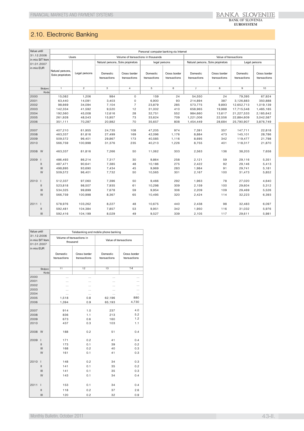

# 2.10. Electronic Banking

| Value until              |                 | Personal computer banking via Internet<br>Volume of transactions in thousands |                |                                   |                              |                                 |                              |                                   |                              |                          |                              |
|--------------------------|-----------------|-------------------------------------------------------------------------------|----------------|-----------------------------------|------------------------------|---------------------------------|------------------------------|-----------------------------------|------------------------------|--------------------------|------------------------------|
| 31.12.2006               |                 |                                                                               | Users          |                                   |                              |                                 |                              |                                   | Value of transactions        |                          |                              |
|                          | in mio SIT from |                                                                               |                | Natural persons, Sole proprietors |                              | legal persons                   |                              | Natural persons, Sole proprietors |                              |                          | Legal persons                |
| 01.01.2007<br>in mio EUR |                 |                                                                               |                |                                   |                              |                                 |                              |                                   |                              |                          |                              |
|                          |                 | Natural persons,                                                              |                |                                   |                              |                                 |                              |                                   |                              |                          |                              |
|                          |                 | Sole proprietors                                                              | Legal persons  | <b>Domestic</b><br>transactions   | Cross border<br>transactions | <b>Domestic</b><br>transactions | Cross border<br>transactions | Domestic<br>transactions          | Cross border<br>transactions | Domestic<br>transactions | Cross border<br>transactions |
|                          |                 |                                                                               |                |                                   |                              |                                 |                              |                                   |                              |                          |                              |
|                          |                 |                                                                               |                | $\overline{\mathbf{3}}$           | $\overline{4}$               |                                 | 6                            |                                   | $\overline{8}$               | $\overline{9}$           | 10                           |
|                          | Stolpec<br>Koda | $\mathbf{1}$                                                                  | $\overline{2}$ |                                   |                              | $\overline{5}$                  |                              | $\overline{7}$                    |                              |                          |                              |
| 2000                     |                 | 15,082                                                                        | 1,206          | 984                               | 0                            | 159                             | 24                           | 54,550                            | 24                           | 79,395                   | 67,924                       |
| 2001                     |                 | 63,440                                                                        | 14,091         | 3,403                             | $\circ$                      | 6,900                           | 93                           | 214,894                           | 387                          | 3,126,883                | 350,888                      |
| 2002                     |                 | 98,669                                                                        | 34,094         | 7,104                             | $\overline{7}$               | 23,879                          | 285                          | 573,775                           | 9,893                        | 12,652,713               | 1,019,139                    |
| 2003                     |                 | 142,334                                                                       | 41,592         | 9.520                             | 12                           | 31,002                          | 410                          | 658,965                           | 19,988                       | 17,715,548               | 1,485,185                    |
| 2004                     |                 | 192.560                                                                       | 45,008         | 12,616                            | 28                           | 32,751                          | 552                          | 984,660                           | 13,617                       | 21,227,533               | 2,185,642                    |
| 2005                     |                 | 261,928                                                                       | 48,543         | 15,957                            | 73                           | 33,624                          | 709                          | 1,221,006                         | 22,556                       | 22,884,609               | 3,042,587                    |
| 2006                     |                 | 351,111                                                                       | 70,287         | 20,982                            | 70                           | 35,657                          | 808                          | 1,454,449                         | 28,684                       | 25,790,907               | 3,876,749                    |
|                          |                 |                                                                               |                |                                   |                              |                                 |                              |                                   |                              |                          |                              |
| 2007                     |                 | 407,210                                                                       | 61.955         | 24.735                            | 108                          | 47,205                          | 974                          | 7,391                             | 357                          | 147.711                  | 22,818                       |
| 2008                     |                 | 463.337                                                                       | 81.816         | 27,499                            | 169                          | 42.096                          | 1.176                        | 8.884                             | 473                          | 145.101                  | 28,786                       |
| 2009                     |                 | 509,572                                                                       | 96,401         | 29,867                            | 173                          | 40,585                          | 1,116                        | 8,695                             | 342                          | 119,477                  | 21,798                       |
| 2010                     |                 | 566,759                                                                       | 100,998        | 31,376                            | 235                          | 40,213                          | 1,226                        | 8,755                             | 401                          | 118,317                  | 21,870                       |
| 2008 IV                  |                 | 463,337                                                                       | 81,816         | 7,266                             | 50                           | 11,062                          | 303                          | 2,563                             | 136                          | 38,203                   | 7,658                        |
|                          |                 |                                                                               |                |                                   |                              |                                 |                              |                                   |                              |                          |                              |
| 2009                     |                 | 486,493                                                                       | 86,214         | 7,317                             | 30                           | 9,864                           | 258                          | 2,121                             | 59                           | 29,116                   | 5,351                        |
|                          | $\mathbf{II}$   | 487,471                                                                       | 90,641         | 7,385                             | 48                           | 10,186                          | 275                          | 2,422                             | 92                           | 29,146                   | 5,413                        |
|                          | Ш               | 498,895                                                                       | 93,690         | 7,434                             | 45                           | 9,969                           | 283                          | 1,984                             | 91                           | 29,741                   | 5,181                        |
|                          | IV              | 509,572                                                                       | 96,401         | 7.732                             | 50                           | 10,565                          | 301                          | 2.167                             | 100                          | 31,473                   | 5,852                        |
| 2010                     |                 | 512,337                                                                       | 97,060         | 7,396                             | 50                           | 9,466                           | 292                          | 1,963                             | 78                           | 27,020                   | 4,640                        |
|                          | $\mathbf{H}$    | 523,818                                                                       |                |                                   | 61                           | 10,298                          | 309                          | 2,159                             | 100                          |                          | 5,312                        |
|                          |                 |                                                                               | 98,507         | 7,935                             |                              |                                 |                              |                                   |                              | 29,604                   |                              |
|                          | III             | 534,325                                                                       | 99,899         | 7,678                             | 59                           | 9,954                           | 306                          | 2,209                             | 109                          | 29,469                   | 5,526                        |
|                          | IV              | 566,759                                                                       | 100,998        | 8,367                             | 65                           | 10,495                          | 320                          | 2,424                             | 114                          | 32,223                   | 6,393                        |
|                          |                 |                                                                               |                |                                   |                              |                                 |                              |                                   |                              |                          |                              |
| 2011                     |                 | 578,976                                                                       | 103,262        | 8,227                             | 48                           | 10,675                          | 440                          | 2,438                             | 98                           | 32,483                   | 6,097                        |
|                          | $\mathbf{II}$   | 592,481                                                                       | 104,384        | 7,857                             | 53                           | 9,951                           | 342                          | 1,950                             | 116                          | 31,032                   | 5,976                        |
|                          | Ш               | 592,416                                                                       | 104,199        | 8,029                             | 49                           | 9,527                           | 339                          | 2.105                             | 117                          | 29,611                   | 5,981                        |

| Value until |                 | Telebanking and mobile phone banking |              |                       |              |  |  |  |
|-------------|-----------------|--------------------------------------|--------------|-----------------------|--------------|--|--|--|
| 31.12.2006  |                 | Volume of transactions in            |              |                       |              |  |  |  |
|             | in mio SIT from | thousand                             |              | Value of transactions |              |  |  |  |
| 01.01.2007  |                 |                                      |              |                       |              |  |  |  |
| in mio EUR  |                 |                                      |              |                       |              |  |  |  |
|             |                 | Domestic                             | Cross border | Domestic              | Cross border |  |  |  |
|             |                 | transactions                         | transactions | transactions          | transactions |  |  |  |
|             |                 |                                      |              |                       |              |  |  |  |
|             | Stolpec         | 11                                   | 12           | 13                    | 14           |  |  |  |
|             | Koda            |                                      |              |                       |              |  |  |  |
| 2000        |                 | .                                    | .            | .                     | .            |  |  |  |
| 2001        |                 | $\cdots$                             | $\cdots$     | $\cdots$              | $\cdots$     |  |  |  |
| 2002        |                 |                                      | .            | .                     | $\cdots$     |  |  |  |
| 2003        |                 | .                                    |              | .                     |              |  |  |  |
| 2004        |                 | $\cdots$                             |              | .                     | .            |  |  |  |
| 2005        |                 | 1,518                                | 0.8          | 62,196                | 880          |  |  |  |
| 2006        |                 | 1,394                                | 0.9          | 65,193                | 4,730        |  |  |  |
|             |                 |                                      |              |                       |              |  |  |  |
| 2007        |                 | 914                                  | 1.0          | 237                   | 4.0          |  |  |  |
| 2008        |                 | 836                                  | 1.1          | 213                   | 5.2<br>1.2   |  |  |  |
| 2009        |                 | 673                                  | 0.6          | 160                   |              |  |  |  |
| 2010        |                 | 437                                  | 0.3          | 103                   | 1.1          |  |  |  |
| 2008        | IV              | 188                                  | 0.2          | 51                    | 0.4          |  |  |  |
|             |                 |                                      |              |                       |              |  |  |  |
| 2009        | L               | 171                                  | 0.2          | 41                    | 0.4          |  |  |  |
|             | $\mathbf{I}$    | 173                                  | 0.1          | 39                    | 0.2          |  |  |  |
|             | Ш               | 168                                  | 0.2          | 40                    | 0.3          |  |  |  |
|             | IV              | 161                                  | 0.1          | 41                    | 0.3          |  |  |  |
| 2010        | т               | 148                                  | 0.2          | 34                    | 0.3          |  |  |  |
|             |                 |                                      |              |                       |              |  |  |  |
|             | Ш               | 141                                  | 0.1          | 35                    | 0.2          |  |  |  |
|             | Ш               | 141                                  | 0.1          | 35                    | 0.3          |  |  |  |
|             | IV              | 143                                  | 0.1          | 34                    | 0.4          |  |  |  |
|             |                 |                                      |              |                       |              |  |  |  |
| 2011        | L               | 153                                  | 0.1          | 34                    | 0.4          |  |  |  |
|             | $\mathbf{I}$    | 118                                  | 0.2          | 37                    | 2.6          |  |  |  |
|             | Ш               | 120                                  | 0.2          | 32                    | 0.9          |  |  |  |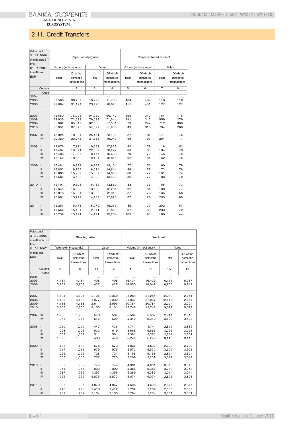BANK OF SLOVENIA **EUROSYSTEM**

### 2.11. Credit Transfers

| Value until<br>31.12.2006<br>in milliards SIT<br>from |                                      |                                      | Paper based payment                   |                                      |                          | Non-paper based payment              |                          |                                      |
|-------------------------------------------------------|--------------------------------------|--------------------------------------|---------------------------------------|--------------------------------------|--------------------------|--------------------------------------|--------------------------|--------------------------------------|
| 01.01.2007                                            |                                      | Volume (in thousands)                |                                       | Value                                |                          | Volume (in thousands)                |                          | Value                                |
| in millions<br><b>EUR</b>                             | Total                                | Of which<br>domestic<br>transactions | Total                                 | Of which<br>domestic<br>transactions | Total                    | Of which<br>domestic<br>transactions | Total                    | Of which<br>domestic<br>transactions |
| Column                                                | 1                                    | $\overline{2}$                       | 3                                     | 4                                    | 5                        | 6                                    | $\overline{7}$           | 8                                    |
| Code                                                  |                                      |                                      |                                       |                                      |                          |                                      |                          |                                      |
| 2004<br>2005<br>2006                                  | 87,508<br>92,004                     | 86,757<br>91,124                     | $\cdots$<br>16,277<br>23,496          | 11,783<br>18,675                     | $\cdots$<br>404<br>451   | $\cdots$<br>404<br>451               | $\ddotsc$<br>116<br>127  | $\ddotsc$<br>116<br>127              |
| 2007<br>2008<br>2009<br>2010                          | 76,550<br>72,935<br>65,982<br>68,051 | 76,098<br>72,533<br>65,647<br>67,673 | 104,959<br>79,538<br>62,860<br>57,072 | 96,149<br>71,544<br>57,501<br>51,988 | 365<br>341<br>329<br>349 | 342<br>315<br>297<br>315             | 764<br>559<br>712<br>704 | 416<br>279<br>308<br>288             |
| 2007<br>III<br>IV                                     | 18,925<br>20,380                     | 18,834<br>20,275                     | 25,171<br>21,386                      | 23,188<br>19,040                     | 87<br>99                 | 81<br>93                             | 171<br>204               | 75<br>117                            |
| 2008<br>$\blacksquare$<br>$\mathbf{H}$<br>III<br>IV   | 17,876<br>19,497<br>17,403<br>18,159 | 17,774<br>19,391<br>17,306<br>18,062 | 19.668<br>22,309<br>18,457<br>19,104  | 17,829<br>20,297<br>16,603<br>16,815 | 84<br>86<br>79<br>92     | 79<br>80<br>72<br>84                 | 116<br>134<br>146<br>162 | 52<br>73<br>79<br>75                 |
| 2009<br>т<br>Ш<br>$\mathbf{III}$<br>IV                | 16,481<br>16,852<br>16,065<br>16,584 | 16,393<br>16,766<br>15,987<br>16,500 | 16,362<br>16,014<br>15,582<br>14,902  | 15,104<br>14,611<br>14,353<br>13,433 | 77<br>86<br>80<br>86     | 70<br>78<br>72<br>77                 | 160<br>172<br>191<br>188 | 79<br>76<br>74<br>79                 |
| 2010<br>$\overline{1}$<br>Ш<br>Ш<br>IV.               | 19,401<br>16,641<br>15,918<br>16,091 | 19,303<br>16,538<br>15,834<br>15,997 | 15,439<br>13,503<br>13.992<br>14,137  | 13,869<br>12,281<br>12,910<br>12,928 | 83<br>92<br>87<br>87     | 75<br>84<br>78<br>78                 | 156<br>180<br>165<br>203 | 73<br>77<br>58<br>80                 |
| 2011<br>т<br>$\mathsf{II}$<br>III                     | 15,257<br>15,556<br>15,259           | 15,173<br>15,484<br>15,191           | 16,070<br>12,841<br>14,171            | 15,073<br>11,859<br>13,234           | 86<br>97<br>103          | 77<br>88<br>93                       | 202<br>233<br>180        | 67<br>72<br>44                       |

| Value until<br>31.12.2006 | in milliards SIT |                            | Standing orders            |                        |                          |                              | Direct credit            |                            |                          |
|---------------------------|------------------|----------------------------|----------------------------|------------------------|--------------------------|------------------------------|--------------------------|----------------------------|--------------------------|
| from<br>01.01.2007        |                  |                            | Volume (in thousands)      |                        | Value                    | Volume (in thousands)        |                          | Value                      |                          |
| in millions               |                  |                            | Of which                   |                        | Of which                 |                              | Of which                 |                            | Of which                 |
| <b>EUR</b>                |                  | Total                      | domestic<br>transactions   | Total                  | domestic<br>transactions | Total                        | domestic<br>transactions | Total                      | domestic<br>transactions |
|                           | Column           | 9                          | 10                         | 11                     | 12                       | 13                           | 14                       | 15                         | 16                       |
|                           | Code             |                            |                            |                        |                          |                              |                          |                            |                          |
| 2004<br>2005<br>2006      |                  | $\cdots$<br>4,484<br>3,963 | $\cdots$<br>4,484<br>3,963 | $\cdots$<br>408<br>427 | $\cdots$<br>408<br>427   | $\cdots$<br>16,434<br>18,050 | 16,429<br>18,049         | $\cdots$<br>6,111<br>6,736 | $\sim$<br>6,087<br>6,717 |
| 2007                      |                  | 4,624                      | 4,624                      | 2,105                  | 2,060                    | 21,284                       | 21.284                   | 12,249                     | 12,241                   |
| 2008                      |                  | 4,199                      | 4,199                      | 1,977                  | 1,932                    | 21,037                       | 21,037                   | 12,116                     | 12,114                   |
| 2009<br>2010              |                  | 4,188                      | 4,188                      | 2,611                  | 2,595                    | 20,784<br>15,748             | 20,784                   | 12,024<br>9.079            | 12,024<br>9,079          |
|                           |                  | 2,856                      | 2,855                      | 8,135                  | 8,131                    |                              | 15,748                   |                            |                          |
| 2007                      | III              | 1.200                      | 1.200                      | 573                    | 564                      | 5.587                        | 5.587                    | 2,914                      | 2.913                    |
|                           | IV               | 1.076                      | 1,076                      | 546                    | 529                      | 5,349                        | 5,349                    | 3,530                      | 3,528                    |
| 2008                      | $\mathbf{I}$     | 1,020                      | 1.020                      | 447                    | 436                      | 4,741                        | 4.741                    | 2,891                      | 2,889                    |
|                           | $\mathbf{II}$    | 1,023                      | 1,023                      | 532                    | 519                      | 5,666                        | 5,666                    | 3,253                      | 3,253                    |
|                           | Ш<br>IV          | 1,067<br>1,090             | 1,067<br>1,089             | 511<br>488             | 501<br>476               | 5,381<br>5,249               | 5,381                    | 2,861<br>3,110             | 2,861                    |
|                           |                  |                            |                            |                        |                          |                              | 5,249                    |                            | 3,110                    |
| 2009                      | $\mathbf{I}$     | 1,138                      | 1,138                      | 578                    | 573                      | 4,836                        | 4,836                    | 2,790                      | 2,790                    |
|                           | Ш                | 1,017                      | 1,016                      | 579                    | 575                      | 5,572                        | 5,572                    | 3,321                      | 3,321                    |
|                           | Ш                | 1,026                      | 1,026                      | 728                    | 724                      | 5,168                        | 5,168                    | 2,894                      | 2,894                    |
|                           | IV               | 1,008                      | 1,008                      | 727                    | 723                      | 5,209                        | 5,209                    | 3,019                      | 3,019                    |
| 2010                      | $\mathbf{I}$     | 962                        | 962                        | 745                    | 744                      | 4,931                        | 4,931                    | 3,043                      | 3,043                    |
|                           | $\mathsf{II}$    | 954                        | 954                        | 903                    | 902                      | 5,386                        | 5.386                    | 3,243                      | 3,243                    |
|                           | Ш                | 937                        | 936                        | 1,357                  | 1,356                    | 5,289                        | 5,289                    | 3,014                      | 3,014                    |
|                           | IV               | 965                        | 965                        | 5,875                  | 5,873                    | 5,074                        | 5,074                    | 2,823                      | 2,823                    |
| 2011                      | $\mathbf{I}$     | 936                        | 935                        | 4,870                  | 4,867                    | 4,698                        | 4,698                    | 2,875                      | 2,875                    |
|                           | $\mathsf{II}$    | 945                        | 945                        | 2,413                  | 2,412                    | 5,239                        | 5.239                    | 2,033                      | 2,033                    |
|                           | Ш                | 932                        | 932                        | 2,134                  | 2,133                    | 5,284                        | 5,284                    | 3,051                      | 3,051                    |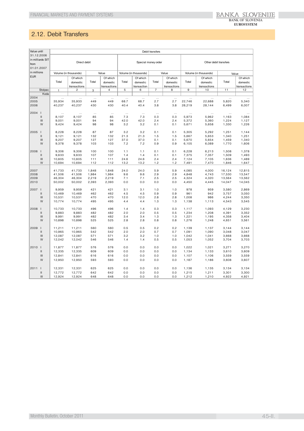### 2.12. Debit Transfers

| Value until              |                 |              |                       |            |              |             |                       | Debit transfers     |              |        |                       |          |              |
|--------------------------|-----------------|--------------|-----------------------|------------|--------------|-------------|-----------------------|---------------------|--------------|--------|-----------------------|----------|--------------|
| 31.12.2006               |                 |              |                       |            |              |             |                       |                     |              |        |                       |          |              |
| in milliards SIT<br>from |                 |              | Direct debit          |            |              |             |                       | Special money order |              |        | Other debit transfers |          |              |
| 01.01.2007               |                 |              |                       |            |              |             |                       |                     |              |        |                       |          |              |
| in millions              |                 |              | Volume (in thousands) |            | Value        |             | Volume (in thousands) |                     | Value        |        | Volume (in thousands) |          | Value        |
| <b>EUR</b>               |                 |              | Of which              |            | Of which     |             | Of which              |                     | Of which     |        | Of which              |          | Of which     |
|                          |                 | Total        | domestic              | Total      | domestic     | Total       | domestic              | Total               | domestic     | Total  | domestic              | Total    | domestic     |
|                          |                 |              | transactions          |            | transactions |             | transaction           |                     | transactions |        | transactions          |          | transactions |
|                          | Stolpec<br>Koda | $\mathbf{1}$ | $\overline{c}$        | 3          | 4            | 5           | 6                     | $\overline{7}$      | 8            | 9      | 10                    | 11       | 12           |
| 2004                     |                 |              |                       | $\cdots$   | $\ldots$     | $\cdots$    | $\cdots$              | $\cdots$            | $\cdots$     |        |                       |          |              |
| 2005                     |                 | 35,934       | 35,933                | 449        | 449          | 68.7        | 68.7                  | 2.7                 | 2.7          | 22,746 | 22,688                | 5,820    | 5,340        |
| 2006                     |                 | 40,237       | 40,237                | 430        | 430          | 40.4        | 40.4                  | 3.8                 | 3.8          | 28,219 | 28,144                | 6,499    | 6,007        |
|                          |                 |              |                       |            |              |             |                       |                     |              |        |                       |          |              |
| 2004                     |                 |              | $\cdots$              | $\ldots$   | $\ldots$     | $\ldots$    | $\cdots$              | $\cdots$            | $\cdots$     | .      | $\cdots$              | $\cdots$ |              |
|                          | Ш<br>Ш          | 8,107        | 8,107                 | 85         | 85           | 7.3         | 7.3                   | 0.3<br>2.4          | 0.3          | 5,973  | 5,962                 | 1,163    | 1,084        |
|                          | IV              | 9,001        | 9,001                 | 94<br>98   | 94<br>98     | 42.0<br>3.2 | 42.0                  | 0.1                 | 2.4<br>0.1   | 5,372  | 5,360                 | 1,224    | 1,127        |
|                          |                 | 9,424        | 9,424                 |            |              |             | 3.2                   |                     |              | 5,671  | 5,658                 | 1,330    | 1,226        |
| 2005                     |                 | 8,228        | 8,228                 | 87         | 87           | 3.2         | 3.2                   | 0.1                 | 0.1          | 5,305  | 5,292                 | 1,251    | 1,144        |
|                          | $\mathsf{II}$   | 9,121        | 9,121                 | 132        | 132          | 21.3        | 21.3                  | 1.5                 | 1.5          | 5,667  | 5,653                 | 1,340    | 1,251        |
|                          | $\mathbf{III}$  | 9,207        | 9,207                 | 127        | 127          | 37.0        | 37.0                  | 0.1                 | 0.1          | 5,670  | 5,654                 | 1,459    | 1,340        |
|                          | IV              | 9,378        | 9,378                 | 103        | 103          | 7.2         | 7.2                   | 0.9                 | 0.9          | 6,105  | 6,089                 | 1,770    | 1,606        |
|                          |                 |              |                       |            |              |             |                       |                     |              |        |                       |          |              |
| 2006                     |                 | 9,306        | 9,306                 | 100        | 100          | 1.1         | 1.1                   | 0.1                 | 0.1          | 6,228  | 6,213                 | 1,508    | 1,378        |
|                          | $\mathsf{II}$   | 9,633        | 9,633                 | 107        | 107          | 1.4         | 1.4                   | 0.1                 | 0.1          | 7,375  | 7,357                 | 1,509    | 1,493        |
|                          | $\mathbf{III}$  | 10,605       | 10,605                | 111        | 111          | 24.6        | 24.6                  | 2.4                 | 2.4          | 7,124  | 7,105                 | 1,636    | 1,489        |
|                          | IV              | 10,694       | 10,694                | 112        | 112          | 13.2        | 13.2                  | 1.2                 | 1.2          | 7,491  | 7,470                 | 1,846    | 1,647        |
| 2007                     |                 | 41,733       | 41,733                | 1,848      | 1,848        | 24.0        | 24.0                  | 5.9                 | 5.9          | 4,085  | 4,000                 | 16,124   | 12,815       |
| 2008                     |                 | 41,506       | 41,506                | 1,984      | 1,984        | 9.6         | 9.6                   | 2.9                 | 2.9          | 4,848  | 4,743                 | 17,530   | 13,547       |
| 2009                     |                 | 46,304       | 46,304                | 2,219      | 2,219        | 7.1         | 7.1                   | 2.5                 | 2.5          | 4,324  | 4,320                 | 13,564   | 13,562       |
| 2010                     |                 | 50,002       | 50,002                | 2,393      | 2,393        | 0.0         | 0.0                   | 0.0                 | 0.0          | 4,450  | 4,445                 | 14,047   | 14,045       |
|                          |                 |              |                       |            |              |             |                       |                     |              |        |                       |          |              |
| 2007                     |                 | 9,959        | 9,959                 | 421        | 421          | 3.1         | 3.1                   | 1.0                 | 1.0          | 978    | 959                   | 3,580    | 2,869        |
|                          | Ш               | 10,469       | 10,469                | 462        | 462          | 4.5         | 4.5                   | 0.9                 | 0.9          | 961    | 942                   | 3,757    | 3,050        |
|                          | Ш<br>IV         | 10,531       | 10,531                | 470<br>495 | 470<br>495   | 12.0        | 12.0                  | 2.8<br>1.3          | 2.8          | 1,008  | 986                   | 4,244    | 3,350        |
|                          |                 | 10,774       | 10,774                |            |              | 4.4         | 4.4                   |                     | 1.3          | 1,138  | 1,113                 | 4,543    | 3,545        |
| 2008                     | $\blacksquare$  | 10,733       | 10,733                | 496        | 496          | 1.4         | 1.4                   | 0.3                 | 0.3          | 1,117  | 1,093                 | 4,129    | 3,230        |
|                          | $\mathsf{II}$   | 9,883        | 9,883                 | 482        | 482          | 2.0         | 2.0                   | 0.5                 | 0.5          | 1,234  | 1,208                 | 4,391    | 3,352        |
|                          | Ш               | 9,991        | 9,991                 | 482        | 482          | 3.4         | 3.4                   | 1.3                 | 1.3          | 1,221  | 1,195                 | 4,358    | 3,404        |
|                          | IV              | 10,898       | 10,898                | 525        | 525          | 2.8         | 2.8                   | 0.8                 | 0.8          | 1,276  | 1,248                 | 4,651    | 3,561        |
|                          |                 |              |                       |            |              |             |                       |                     |              |        |                       |          |              |
| 2009                     | $\blacksquare$  | 11,211       | 11,211                | 560        | 560          | 0.5         | 0.5                   | 0.2                 | 0.2          | 1,139  | 1,137                 | 3,144    | 3,144        |
|                          | $\mathsf{II}$   | 10,965       | 10,965                | 542        | 542          | 2.0         | 2.0                   | 0.7                 | 0.7          | 1,091  | 1,090                 | 3,048    | 3,047        |
|                          | Ш               | 12,087       | 12,087                | 571        | 571          | 3.2         | 3.2                   | 1.0                 | 1.0          | 1,042  | 1,041                 | 3,668    | 3,668        |
|                          | IV              | 12,042       | 12,042                | 546        | 546          | 1.4         | 1.4                   | 0.5                 | 0.5          | 1,053  | 1,052                 | 3,704    | 3,703        |
| 2010                     | -1              | 11,877       | 11,877                | 576        | 576          | 0.0         | 0.0                   | 0.0                 | 0.0          | 1,022  | 1,021                 | 3,271    | 3,270        |
|                          | Ш               | 12,335       | 12,335                | 609        | 609          | 0.0         | 0.0                   | 0.0                 | 0.0          | 1,134  | 1,133                 | 3,610    | 3,609        |
|                          | $\mathbf{III}$  | 12,841       | 12,841                | 616        | 616          | 0.0         | 0.0                   | 0.0                 | 0.0          | 1,107  | 1,106                 | 3,559    | 3,559        |
|                          | IV              | 12,950       | 12,950                | 593        | 593          | 0.0         | 0.0                   | 0.0                 | 0.0          | 1,187  | 1,186                 | 3,608    | 3,607        |
|                          |                 |              |                       |            |              |             |                       |                     |              |        |                       |          |              |
| $2011$ $1$               |                 | 12,331       | 12,331                | 625        | 625          | 0.0         | 0.0                   | 0.0                 | 0.0          | 1,136  | 1,135                 | 3,134    | 3,134        |
|                          | $\mathbf{II}$   | 12,772       | 12,772                | 642        | 642          | 0.0         | 0.0                   | 0.0                 | 0.0          | 1,215  | 1,211                 | 3,301    | 3,300        |
|                          | Ш               | 12,924       | 12,924                | 648        | 648          | 0.0         | 0.0                   | 0.0                 | 0.0          | 1,212  | 1,210                 | 4,922    | 4,921        |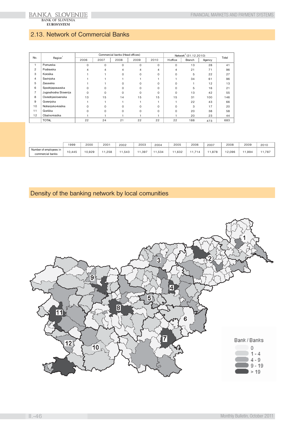**EUROSYSTEM**

### 2.13. Network of Commercial Banks

| No.            |                       |                |          | Commercial banks (Head offices) |          |                         |          | Network <sup>2</sup> (31.12.2010) | Total  |     |
|----------------|-----------------------|----------------|----------|---------------------------------|----------|-------------------------|----------|-----------------------------------|--------|-----|
|                | Region <sup>1</sup>   | 2006           | 2007     | 2008                            | 2009     | 2010                    | H.office | <b>Branch</b>                     | Agency |     |
| 1              | Pomurska              | $\Omega$       | $\Omega$ | 0                               | $\Omega$ | $\Omega$                | $\Omega$ | 13                                | 28     | 41  |
| 2              | Podravska             | $\overline{4}$ | 4        | 4                               | 4        | $\overline{\mathbf{4}}$ | 4        | 21                                | 71     | 96  |
| 3              | Koroška               |                |          | $\Omega$                        | $\cap$   | $\Omega$                | $\Omega$ | 5                                 | 22     | 27  |
| $\overline{4}$ | Savinjska             |                |          |                                 |          |                         |          | 34                                | 61     | 96  |
| 5              | Zasavska              |                |          | O                               | $\cap$   | $\Omega$                | $\Omega$ |                                   | 12     | 13  |
| 6              | Spodnjeposavska       | $\Omega$       | O        | $\Omega$                        | $\Omega$ | $\Omega$                | $\Omega$ | 5                                 | 16     | 21  |
| $\overline{7}$ | Jugovzhodna Slovenija | $\Omega$       | $\Omega$ | 0                               | $\cap$   | $\Omega$                | $\Omega$ | 13                                | 42     | 55  |
| 8              | Osrednjeslovenska     | 13             | 15       | 14                              | 15       | 15                      | 15       | 31                                | 100    | 146 |
| 9              | Gorenjska             |                |          |                                 |          |                         |          | 22                                | 43     | 66  |
| 10             | Notranjsko-kraška     | $\Omega$       | $\Omega$ | $\Omega$                        | $\cap$   | $\Omega$                | $\Omega$ | 3                                 | 17     | 20  |
| 11             | Goriška               | $\Omega$       | $\Omega$ | 0                               | $\Omega$ | $\Omega$                | $\Omega$ | 20                                | 38     | 58  |
| 12             | Obalno-kraška         |                |          |                                 |          |                         |          | 20                                | 23     | 44  |
|                | <b>TOTAL</b>          | 22             | 24       | 21                              | 22       | 22                      | 22       | 188                               | 473    | 683 |

|                                            | 1999   | 2000  | 2001 | 2002  | 2003 | 2004 | 2005  | 2006           | 2007 | 2008   | 2009  | 2010  |
|--------------------------------------------|--------|-------|------|-------|------|------|-------|----------------|------|--------|-------|-------|
| Number of employees in<br>commercial banks | 10.445 | 0.929 | .258 | 1.543 | .397 | .534 | 1.632 | $\overline{z}$ | .878 | 12.096 | 1.994 | .,787 |

Density of the banking network by local comunities

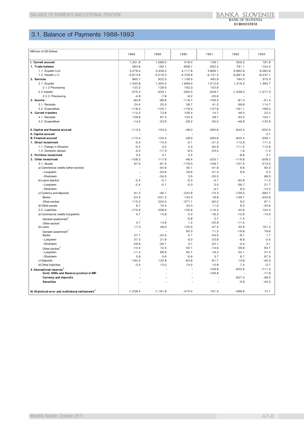#### BANKA SLOVENIJE BANK OF SLOVENIA **EUROSYSTEM**

# 3.1. Balance of Payments 1988-1993

| Millions of US Dollars                                           | 1988       | 1989        | 1990       | 1991        | 1992       | 1993            |
|------------------------------------------------------------------|------------|-------------|------------|-------------|------------|-----------------|
| I. Current account                                               | 1,351.8    | 1,088.5     | 518.4      | 129.1       | 926.2      | 191.9           |
| 1. Trade balance                                                 | 364.8      | 192.1       | $-608.7$   | $-262.2$    | 791.1      | $-154.2$        |
| 1.1. Exports f.o.b.                                              | 3,278.4    | 3,408.5     | 4,117.8    | 3,869.1     | 6,682.9    | 6,082.9         |
| 1.2. Imports c.i.f.                                              | $-2,913.6$ | $-3,216.3$  | $-4,726.6$ | $-4, 131.3$ | $-5,891.8$ | $-6,237.1$      |
| 2. Services                                                      | 965.7      | 922.3       | 1,139.5    | 482.9       | 180.3      | 375.3           |
| 2.1. Exports                                                     | 1,340.8    | 1,355.4     | 1,699.4    | 1,012.6     | 1,219.3    | 1,392.7         |
| 2.1.2 Processing                                                 | 123.2      | 128.5       | 162.3      | 152.8       |            |                 |
| 2.2 Imports                                                      | $-375.2$   | $-433.1$    | $-560.0$   | $-529.7$    | $-1,039.0$ | $-1,017.3$      |
| 2.2.2. Processing                                                | $-4.9$     | $-7.8$      | $-6.2$     | $-25.6$     |            |                 |
| 3. Income                                                        | $-93.9$    | $-99.8$     | $-118.7$   | $-106.3$    | $-91.3$    | $-51.4$         |
| 3.1. Receipts                                                    | 24.4       | 25.3        | 59.7       | 41.5        | 69.8       | 114.7           |
| 3.2. Expenditure                                                 | $-118.3$   | $-125.1$    | $-178.4$   | $-147.8$    | $-161.1$   | $-166.0$        |
| 4. Current transfers                                             | 115.2      | 73.8        | 106.4      | 14.7        | 46.0       | 22.2            |
| 4.1. Receipts                                                    | 129.8      | 97.4        | 134.5      | 49.7        | 93.0       | 155.1           |
| 4.2. Expenditure                                                 | $-14.5$    | $-23.6$     | $-28.2$    | $-35.0$     | $-46.9$    | $-132.9$        |
| II. Capital and financial account<br>A. Capital account          | $-113.4$   | 103.4       | $-48.0$    | $-290.6$    | $-645.4$   | $-202.0$<br>4.1 |
| <b>B. Financial account</b>                                      | $-113.4$   | 103.4       | $-48.0$    | $-290.6$    | $-645.4$   | $-206.1$        |
| 1. Direct investment                                             | $-5.4$     | $-14.3$     | $-2.1$     | $-41.3$     | 112.9      | 111.3           |
| 1.1. Foreign in Slovenia                                         | $-0.2$     | 3.0         | 4.3        | 64.9        | 111.0      | 112.6           |
| 1.2. Domestic abroad                                             | $-5.2$     | $-17.3$     | $-6.5$     | $-23.5$     | 1.8        | $-1.3$          |
| 2. Portfolio investment                                          | 0.2        | 0.1         | 2.5        |             | $-8.9$     | 3.1             |
| 3. Other investment                                              | $-108.3$   | 117.6       | $-48.4$    | $-225.1$    | $-116.8$   | $-209.2$        |
| 3.1. Assets                                                      | 67.5       | $-91.0$     | $-179.0$   | $-108.7$    | $-157.5$   | $-313.5$        |
| a) Commercial credits (other sectors)                            |            | $-54.6$     | 30.1       | $-41.8$     | 6.6        | 93.3            |
| - Long-term                                                      | L,         | $-20.6$     | 26.6       | $-21.3$     | 6.6        | 5.3             |
| - Short-term                                                     |            | $-34.0$     | 3.5        | $-20.5$     |            | 88.0            |
| b) Loans (banks)                                                 | $-2.4$     | $-0.1$      | $-0.3$     | $-4.7$      | $-30.8$    | 11.5            |
| - Long-term                                                      | $-2.4$     | $-0.1$      | $-0.3$     | 0.0         | $-36.7$    | 21.7            |
| - Short-term                                                     |            |             |            | $-4.7$      | 6.0        | $-10.2$         |
| c) Currency and deposits                                         | 61.2       | $-46.7$     | $-242.8$   | $-73.3$     | $-139.5$   | $-383.7$        |
| Banks                                                            | $-54.3$    | $-251.2$    | 134.3      | 18.8        | $-148.7$   | $-450.8$        |
| Other sectors                                                    | 115.5      | 204.5       | $-377.1$   | $-92.0$     | 9.2        | 67.1            |
| d) Other assets                                                  | 8.7        | 10.4        | 34.0       | 11.0        | 6.2        | $-34.6$         |
| 3.2. Liabilities                                                 | $-175.8$   | 208.6       | 130.6      | $-116.4$    | 40.6       | 104.3           |
| a) Commercial credits (long-term)                                | 4.7        | 14.8        | 0.4        | $-18.2$     | $-12.9$    | $-13.0$         |
| General government <sup>1</sup>                                  |            |             | $-0.8$     | 2.7         | $-1.4$     | $\sim$          |
| Other sectors                                                    | 4.7        | 14.8        | 1.2        | $-20.9$     | $-11.5$    | ÷               |
| b) Loans                                                         | 17.3       | 48.0        | 120.5      | $-47.4$     | 32.9       | 161.2           |
| General government                                               |            |             | 65.3       | 11.2        | $-16.8$    | 78.6            |
| Banks                                                            | 27.7       | $-24.5$     | 0.1        | $-44.0$     | $-9.1$     | 1.7             |
| - Long-term                                                      | 57.3       | 21.6        | $-3.0$     | $-23.9$     | $-6.8$     | $-2.4$          |
| - Short-term                                                     | $-29.6$    | $-46.1$     | 3.1        | $-20.1$     | $-2.4$     | 4.1             |
| Other sectors                                                    | $-10.4$    | 72.5        | 55.1       | $-14.6$     | 58.8       | 94.7            |
| - Long-term                                                      | $-11.2$    | 66.9        | 60.7       | $-18.3$     | 52.1       | 27.3            |
| - Short-term                                                     | 0.9        | 5.6         | $-5.6$     | 3.7         | 6.7        | 67.5            |
| c) Deposits                                                      | $-194.3$   | 132.8       | $-64.8$    | $-61.7$     | 13.8       | $-40.3$         |
| d) Other liabilities                                             | $-3.5$     | 13.0        | 74.5       | 10.9        | 7.4        | $-3.7$          |
| 4. International reserves <sup>3</sup>                           |            |             |            | $-106.8$    | $-632.6$   | $-111.3$        |
| Gold, SDRs and Reserve position in IMF                           |            |             |            | $-106.8$    |            | $-17.8$         |
| Currency and deposits                                            |            |             |            |             | $-627.0$   | $-48.3$         |
| <b>Securities</b>                                                |            |             |            |             | $-5.6$     | $-45.3$         |
| III. Statistical error and multilateral settlements <sup>2</sup> | $-1,238.4$ | $-1, 191.8$ | $-470.4$   | 161.5       | $-288.6$   | 10.1            |
|                                                                  |            |             |            |             |            |                 |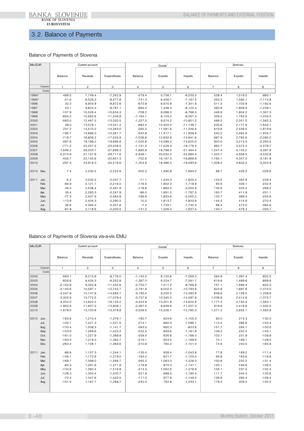BANK OF SLOVENIA **EUROSYSTEM**

### 3.2. Balance of Payments

### Balance of Payments of Slovenia

| Mio EUR      |              | Current account |              |                | Goods'   |              |                | Services |             |
|--------------|--------------|-----------------|--------------|----------------|----------|--------------|----------------|----------|-------------|
|              | Balance      | Receipts        | Expenditures | Balance        | Exports  | Imports      | Balance        | Exports  | Imports     |
| Column       | $\mathbf{1}$ | $\overline{2}$  | 3            | $\overline{4}$ | 5        | 6            | $\overline{7}$ | 8        | 9           |
| Code         |              |                 |              |                |          |              |                |          |             |
| 1994*        | 486.5        | 7,749.4         | $-7,262.9$   | $-279.4$       | 5,756.1  | $-6,035.5$   | 539.4          | 1,519.5  | $-980.1$    |
| 1995*        | $-51.6$      | 8,526.2         | $-8,577.8$   | $-731.3$       | 6,456.1  | $-7,187.5$   | 450.3          | 1,565.1  | $-1, 114.8$ |
| 1996         | 32.3         | 8,904.9         | $-8,872.6$   | $-670.9$       | 6,670.9  | $-7,341.8$   | 511.3          | 1,703.9  | $-1, 192.6$ |
| 1997         | 43.1         | 9,824.3         | $-9,781.1$   | $-684.0$       | 7,438.3  | $-8,122.4$   | 560.8          | 1,809.9  | $-1,249.1$  |
| 1998         | $-107.9$     | 10,526.4        | $-10,634.3$  | $-708.2$       | 8,088.3  | $-8,796.5$   | 446.9          | 1,804.2  | $-1,357.3$  |
| 1999         | $-664.2$     | 10,582.6        | $-11,246.8$  | $-1, 164.1$    | 8,103.2  | $-9,267.3$   | 329.5          | 1,763.5  | $-1,434.0$  |
| 2000         | $-583.0$     | 12.467.5        | $-13,050.5$  | $-1,227.0$     | 9,574.2  | $-10,801.2$  | 489.2          | 2.051.5  | $-1,562.3$  |
| 2001         | 38.0         | 13.579.1        | $-13,541.2$  | $-684.5$       | 10,454.3 | $-11.138.7$  | 535.6          | 2,177.6  | $-1,642.1$  |
| 2002         | 247.2        | 14,510.2        | $-14,263.0$  | $-265.0$       | 11,081.6 | $-11.346.6$  | 619.8          | 2,439.5  | $-1,819.8$  |
| 2003         | $-195.7$     | 14,866.0        | $-15,061.7$  | $-542.8$       | 11,417.1 | $-11,959.9$  | 540.2          | 2,464.9  | $-1,924.7$  |
| 2004         | $-719.7$     | 16,806.2        | $-17,525.9$  | $-1,008.8$     | 12,932.8 | $-13,941.6$  | 687.6          | 2,782.6  | $-2,095.0$  |
| 2005         | $-497.6$     | 19,198.2        | $-19,695.8$  | $-1,025.8$     | 14,599.2 | $-15,625.0$  | 920.0          | 3,213.5  | $-2,293.5$  |
| 2006         | $-771.0$     | 22,257.5        | $-23,028.5$  | $-1, 151.0$    | 17,028.3 | $-18, 179.3$ | 992.7          | 3,572.4  | $-2,579.7$  |
| 2007         | $-1,646.2$   | 26,053.1        | $-27,699.3$  | $-1,665.9$     | 19,798.5 | $-21,464.4$  | 1,047.4        | 4,145.2  | $-3,097.9$  |
| 2008         | $-2,573.9$   | 27,137.8        | $-29,711.6$  | $-2,648.1$     | 20,032.2 | $-22,680.4$  | 1,423.7        | 4,956.5  | $-3,532.8$  |
| 2009         | $-455.7$     | 22,145.6        | $-22,601.3$  | $-702.6$       | 16,167.3 | $-16,869.9$  | 1,165.1        | 4,347.0  | $-3,181.9$  |
| 2010         | $-297.3$     | 24.919.3        | $-25.216.6$  | $-1.204.9$     | 18.386.0 | $-19.590.8$  | 1,308.2        | 4,633.2  | $-3,324.9$  |
| 2010 Dec.    | 7.4          | 2,230.2         | $-2,222.8$   | $-202.2$       | 1,490.8  | $-1,693.0$   | 96.7           | 426.3    | $-329.6$    |
| 2011<br>Jan. | $-5.2$       | 2,032.5         | $-2,037.7$   | $-71.1$        | 1,534.3  | $-1,605.4$   | 123.5          | 352.9    | $-229.4$    |
| Feb.         | $-94.9$      | 2,121.1         | $-2,216.0$   | $-116.5$       | 1,602.3  | $-1,718.8$   | 93.6           | 326.1    | $-232.5$    |
| Mar.         | 46.5         | 2,538.4         | $-2,491.9$   | $-118.6$       | 1,884.0  | $-2,002.6$   | 135.9          | 405.2    | $-269.2$    |
| Apr.         | 35.4         | 2,283.3         | $-2,247.9$   | $-96.0$        | 1,691.5  | $-1,787.5$   | 160.7          | 411.9    | $-251.1$    |
| May          | $-77.3$      | 2,407.6         | $-2,484.8$   | $-166.6$       | 1,833.6  | $-2,000.2$   | 133.7          | 389.4    | $-255.6$    |
| Jun.         | 113.9        | 2,404.3         | $-2,290.5$   | 10.2           | 1,813.7  | $-1,803.6$   | 144.5          | 414.9    | $-270.4$    |
| Jul.         | 36.6         | 2,394.2         | $-2.357.6$   | $-7.2$         | 1,733.1  | $-1.740.3$   | 88.4           | 473.0    | $-384.6$    |
| Aug.         | $-81.8$      | 2,118.6         | $-2.200.5$   | $-131.0$       | 1,506.4  | $-1,637.4$   | 140.7          | 476.4    | $-335.7$    |

| Mio EUR      |              | Current account |              |                | Goods <sup>1</sup> |             |                | Services |            |
|--------------|--------------|-----------------|--------------|----------------|--------------------|-------------|----------------|----------|------------|
|              | Balance      | Receipts        | Expenditures | Balance        | Exports            | Imports     | Balance        | Exports  | Imports    |
| Column       | $\mathbf{1}$ | $\overline{2}$  | 3            | $\overline{4}$ | 5                  | 6           | $\overline{7}$ | 8        | 9          |
| Code         |              |                 |              |                |                    |             |                |          |            |
| 2002         | $-560.1$     | 8,215.9         | $-8,776.0$   | $-1, 145.5$    | 6,120.8            | $-7,266.3$  | 594.8          | 1,397.4  | $-802.5$   |
| 2003         | $-826.6$     | 8,426.3         | $-9,252.9$   | $-1,367.0$     | 6,224.7            | $-7,591.7$  | 619.8          | 1,489.6  | $-869.8$   |
| 2004         | $-2,102.8$   | 9,352.8         | $-11,455.6$  | $-2,755.7$     | 7,011.2            | $-9,766.9$  | 757.1          | 1,689.4  | $-932.3$   |
| 2005         | $-2,145.6$   | 10,597.1        | $-12,742.7$  | $-2.791.6$     | 8,002.3            | $-10,793.9$ | 823.8          | 1,897.8  | $-1,074.0$ |
| 2006         | $-2,547.9$   | 12,147.8        | $-14,695.7$  | $-3,190.4$     | 9,200.2            | $-12,390.6$ | 949.6          | 2,158.5  | $-1,208.9$ |
| 2007         | $-3,305.9$   | 13,772.5        | $-17,078.4$  | $-3,757.8$     | 10,340.0           | $-14,097.8$ | 1,038.9        | 2,414.6  | $-1,375.7$ |
| 2008         | $-4.202.0$   | 13,923.2        | $-18, 125.2$ | $-4,422.9$     | 10.201.9           | $-14,624.9$ | 1,177.3        | 2,740.4  | $-1,563.1$ |
| 2009         | $-1.950.6$   | 11.957.5        | $-13,908.1$  | $-2,367.5$     | 8.839.8            | $-11,207.3$ | 919.8          | 2,419.8  | $-1,500.0$ |
| 2010         | $-1,678.0$   | 13,700.8        | $-15,378.8$  | $-2,558.5$     | 10,226.7           | $-12,785.3$ | 1,071.3        | 2,655.1  | $-1,583.8$ |
|              |              |                 |              |                |                    |             |                |          |            |
| 2010<br>Jun. | $-165.8$     | 1,210.4         | $-1,376.1$   | $-180.7$       | 924.6              | $-1, 105.3$ | 85.0           | 215.3    | $-130.3$   |
| Jul.         | $-100.1$     | 1,221.3         | $-1,321.5$   | $-214.1$       | 882.0              | $-1,096.1$  | 113.2          | 266.6    | $-153.4$   |
| Aug.         | $-133.4$     | 1,008.3         | $-1, 141.7$  | $-263.5$       | 660.3              | $-923.8$    | 151.7          | 284.7    | $-133.0$   |
| Sep.         | $-153.6$     | 1,269.6         | $-1,423.2$   | $-232.4$       | 949.6              | $-1,181.9$  | 109.2          | 252.4    | $-143.1$   |
| Oct.         | $-161.0$     | 1,227.9         | $-1,388.9$   | $-259.4$       | 926.6              | $-1,186.0$  | 103.1          | 231.9    | $-128.8$   |
| Nov.         | $-163.3$     | 1,219.3         | $-1,382.7$   | $-216.1$       | 953.5              | $-1,169.6$  | 70.1           | 199.1    | $-129.0$   |
| Dec.         | $-262.4$     | 1,106.1         | $-1,368.6$   | $-310.8$       | 790.2              | $-1,101.0$  | 74.6           | 240.5    | $-165.8$   |
| 2011<br>Jan. | $-86.8$      | 1,157.3         | $-1,244.1$   | $-135.4$       | 908.4              | $-1,043.8$  | 77.8           | 189.2    | $-111.4$   |
| Feb.         | $-146.1$     | 1,172.9         | $-1,319.0$   | $-183.2$       | 921.7              | $-1, 105.0$ | 66.8           | 183.6    | $-116.8$   |
| Mar.         | $-168.7$     | 1,398.0         | $-1,566.7$   | $-265.3$       | 1,063.0            | $-1,328.3$  | 100.8          | 232.2    | $-131.4$   |
| Apr.         | $-80.3$      | 1,291.6         | $-1,371.9$   | $-176.8$       | 970.3              | $-1, 147.1$ | 120.1          | 246.6    | $-126.5$   |
| May          | $-134.6$     | 1,382.4         | $-1,516.9$   | $-214.3$       | 1,062.6            | $-1,276.9$  | 105.1          | 237.5    | $-132.4$   |
| Jun.         | $-126.3$     | 1,304.4         | $-1,430.7$   | $-201.9$       | 988.5              | $-1,190.4$  | 111.7          | 244.3    | $-132.6$   |
| Jul.         | $-72.4$      | 1,347.6         | $-1,420.0$   | $-171.3$       | 977.9              | $-1, 149.2$ | 128.9          | 285.4    | $-156.4$   |
| Aug.         | $-101.0$     | 1,167.7         | $-1,268.7$   | $-240.4$       | 792.8              | $-1,033.1$  | 179.3          | 309.3    | $-130.0$   |
|              |              |                 |              |                |                    |             |                |          |            |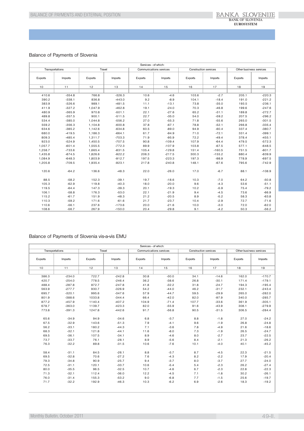### Balance of Payments of Slovenia

|         |                 |         |          | Services - of which: |                         |         |                       |                         |          |
|---------|-----------------|---------|----------|----------------------|-------------------------|---------|-----------------------|-------------------------|----------|
|         | Transportations | Travel  |          |                      | Communications services |         | Construction services | Other business services |          |
| Exports | Imports         | Exports | Imports  | Exports              | Imports                 | Exports | Imports               | Exports                 | Imports  |
| 10      | 11              | 12      | 13       | 14                   | 15                      | 16      | 17                    | 18                      | 19       |
|         |                 |         |          |                      |                         |         |                       |                         |          |
| 410.6   | $-354.8$        | 766.8   | $-326.3$ | 10.6                 | $-4.6$                  | 103.6   | $-2.7$                | 205.1                   | $-220.3$ |
| 390.2   | $-338.1$        | 836.8   | $-443.0$ | 9.2                  | $-8.9$                  | 104.1   | $-18.4$               | 191.0                   | $-221.2$ |
| 383.9   | $-326.6$        | 989.1   | $-481.5$ | 11.1                 | $-13.1$                 | 73.8    | $-35.0$               | 193.5                   | $-236.1$ |
| 411.9   | $-327.2$        | 1,047.9 | $-462.8$ | 19.1                 | $-24.0$                 | 70.3    | $-46.8$               | 199.6                   | $-247.6$ |
| 480.9   | $-365.9$        | 970.8   | $-501.1$ | 22.1                 | $-27.6$                 | 65.2    | $-31.1$               | 189.8                   | $-272.7$ |
| 489.8   | $-357.5$        | 900.1   | $-511.5$ | 22.7                 | $-35.0$                 | 54.0    | $-59.2$               | 207.5                   | $-296.2$ |
| 534.4   | $-385.0$        | 1,044.8 | $-556.2$ | 27.0                 | $-55.3$                 | 71.8    | $-55.6$               | 265.0                   | $-301.5$ |
| 559.2   | $-356.3$        | 1,104.8 | $-600.8$ | 37.8                 | $-67.1$                 | 78.8    | $-52.1$               | 266.8                   | $-335.4$ |
| 634.6   | $-385.2$        | 1,142.6 | $-634.8$ | 60.5                 | $-89.0$                 | 94.9    | $-60.4$               | 337.4                   | $-380.7$ |
| 680.0   | $-419.5$        | 1,186.3 | $-664.1$ | 61.7                 | $-94.9$                 | 71.0    | $-72.1$               | 331.4                   | $-399.1$ |
| 809.3   | $-485.4$        | 1,311.7 | $-703.3$ | 71.9                 | $-95.9$                 | 72.2    | $-49.4$               | 378.4                   | $-455.1$ |
| 923.0   | $-524.9$        | 1,450.5 | $-707.5$ | 90.8                 | $-109.4$                | 107.9   | $-64.4$               | 479.5                   | $-572.3$ |
| 1,057.7 | $-601.4$        | 1,555.5 | $-772.3$ | 89.9                 | $-107.9$                | 103.8   | $-67.5$               | 577.1                   | $-648.5$ |
| 1,258.7 | $-733.6$        | 1.665.4 | $-831.5$ | 105.4                | $-129.8$                | 151.4   | $-160.5$              | 751.5                   | $-801.7$ |
| 1,435.8 | $-874.5$        | 1,826.6 | $-922.2$ | 206.3                | $-217.5$                | 300.3   | $-155.2$              | 880.4                   | $-839.9$ |
| 1,084.9 | $-648.3$        | 1.803.9 | $-912.7$ | 197.5                | $-223.3$                | 197.3   | $-98.9$               | 778.9                   | $-697.5$ |
| 1,205.8 | $-709.5$        | 1.935.4 | $-923.1$ | 217.8                | $-240.8$                | 148.1   | $-67.6$               | 795.6                   | $-742.9$ |
| 120.6   | $-64.2$         | 136.6   | $-48.3$  | 22.0                 | $-26.0$                 | 17.0    | $-6.7$                | 88.1                    | $-108.9$ |
| 88.5    | $-58.2$         | 152.3   | $-39.1$  | 19.7                 | $-18.6$                 | 10.3    | $-7.0$                | 64.2                    | $-50.8$  |
| 105.3   | $-62.9$         | 119.8   | $-40.3$  | 18.0                 | $-20.0$                 | 9.6     | $-4.3$                | 53.6                    | $-51.1$  |
| 119.5   | $-64.4$         | 147.3   | $-39.3$  | 20.1                 | $-19.3$                 | 10.2    | $-5.9$                | 75.4                    | $-79.2$  |
| 106.1   | $-58.8$         | 176.3   | $-53.0$  | 22.1                 | $-21.9$                 | 9.4     | $-4.5$                | 73.6                    | $-66.9$  |
| 115.2   | $-61.7$         | 151.9   | $-48.3$  | 21.2                 | $-20.5$                 | 8.9     | $-5.2$                | 58.3                    | $-63.8$  |
| 110.3   | $-59.2$         | 171.6   | $-61.6$  | 21.7                 | $-23.7$                 | 10.4    | $-2.9$                | 72.7                    | $-71.6$  |
| 110.6   | $-56.1$         | 237.6   | $-173.6$ | 20.0                 | $-21.6$                 | 10.0    | $-3.0$                | 72.0                    | $-62.0$  |
| 108.6   | $-56.7$         | 267.9   | $-150.0$ | 20.4                 | $-29.8$                 | 9.1     | $-4.2$                | 50.3                    | $-56.2$  |

|         | Services - of which: |         |          |         |                         |         |                       |         |                         |  |  |
|---------|----------------------|---------|----------|---------|-------------------------|---------|-----------------------|---------|-------------------------|--|--|
|         | Transportations      | Travel  |          |         | Communications services |         | Construction services |         | Other business services |  |  |
| Exports | Imports              | Exports | Imports  | Exports | Imports                 | Exports | Imports               | Exports | Imports                 |  |  |
| 10      | 11                   | 12      | 13       | 14      | 15                      | 16      | 17                    | 18      | 19                      |  |  |
|         |                      |         |          |         |                         |         |                       |         |                         |  |  |
| 386.3   | $-234.0$             | 722.7   | $-242.8$ | 30.8    | $-30.0$                 | 34.1    | $-14.6$               | 162.0   | $-170.7$                |  |  |
| 420.7   | $-254.0$             | 778.5   | $-246.4$ | 36.2    | $-38.6$                 | 26.8    | $-30.1$               | 171.4   | $-179.1$                |  |  |
| 488.4   | $-287.8$             | 872.7   | $-247.8$ | 41.8    | $-32.2$                 | 31.8    | $-24.7$               | 194.3   | $-195.4$                |  |  |
| 563.9   | $-277.7$             | 930.7   | $-326.9$ | 54.2    | $-44.0$                 | 46.2    | $-31.7$               | 232.1   | $-243.4$                |  |  |
| 695.7   | $-320.1$             | 995.6   | $-347.6$ | 57.9    | $-44.7$                 | 59.5    | $-29.9$               | 265.0   | $-282.0$                |  |  |
| 801.9   | $-388.6$             | 1033.8  | $-344.4$ | 66.4    | $-42.0$                 | 82.0    | $-97.9$               | 340.0   | $-285.7$                |  |  |
| 877.2   | $-457.9$             | 1140.4  | $-407.2$ | 104.9   | $-71.4$                 | 107.7   | $-33.6$               | 361.9   | $-305.1$                |  |  |
| 678.7   | $-363.0$             | 1139.7  | $-423.3$ | 82.0    | $-55.9$                 | 91.6    | $-43.9$               | 308.1   | $-279.9$                |  |  |
| 773.8   | $-391.3$             | 1247.8  | $-442.6$ | 91.7    | $-56.8$                 | 90.5    | $-31.5$               | 306.5   | $-284.4$                |  |  |
|         |                      |         |          |         |                         |         |                       |         |                         |  |  |
| 65.6    | $-34.9$              | 94.9    | $-34.6$  | 6.8     | $-3.7$                  | 8.8     | $-1.8$                | 27.0    | $-24.2$                 |  |  |
| 67.5    | $-32.9$              | 143.6   | $-51.3$  | 7.9     | $-4.1$                  | 9.6     | $-1.9$                | 26.8    | $-24.8$                 |  |  |
| 56.2    | $-33.1$              | 180.2   | $-44.3$  | 7.1     | $-3.6$                  | 7.8     | $-4.9$                | 21.6    | $-18.6$                 |  |  |
| 68.3    | $-32.1$              | 121.8   | $-44.1$  | 11.6    | $-8.0$                  | 7.3     | $-1.9$                | 26.5    | $-24.7$                 |  |  |
| 69.5    | $-36.1$              | 107.5   | $-34.1$  | 8.9     | $-4.6$                  | 8.0     | $-2.7$                | 23.7    | $-22.5$                 |  |  |
| 73.7    | $-33.7$              | 76.1    | $-28.1$  | 8.9     | $-5.6$                  | 8.4     | $-2.1$                | 21.3    | $-26.2$                 |  |  |
| 76.3    | $-32.2$              | 89.8    | $-31.5$  | 10.6    | $-7.6$                  | 10.1    | $-4.0$                | 40.1    | $-45.2$                 |  |  |
|         |                      |         |          |         |                         |         |                       |         |                         |  |  |
| 58.4    | $-31.1$              | 84.5    | $-26.1$  | 8.8     | $-3.7$                  | 8.7     | $-4.5$                | 22.3    | $-21.5$                 |  |  |
| 69.5    | $-32.8$              | 70.6    | $-27.2$  | 7.6     | $-4.3$                  | 8.2     | $-2.2$                | 17.9    | $-20.4$                 |  |  |
| 79.3    | $-34.8$              | 90.9    | $-25.7$  | 9.4     | $-3.7$                  | 8.0     | $-3.7$                | 27.7    | $-24.0$                 |  |  |
| 72.5    | $-31.1$              | 120.1   | $-33.7$  | 10.6    | $-5.4$                  | 5.4     | $-2.3$                | 26.2    | $-27.4$                 |  |  |
| 80.0    | $-35.5$              | 96.5    | $-32.5$  | 10.7    | $-4.6$                  | 6.7     | $-2.3$                | 22.8    | $-22.3$                 |  |  |
| 71.3    | $-32.1$              | 112.4   | $-36.0$  | 12.2    | $-4.5$                  | 7.1     | $-1.8$                | 30.2    | $-26.1$                 |  |  |
| 76.0    | $-31.4$              | 155.3   | $-53.2$  | 9.0     | $-6.8$                  | 7.7     | $-1.5$                | 25.6    | $-19.7$                 |  |  |
| 71.7    | $-32.2$              | 192.9   | $-46.3$  | 10.3    | $-6.2$                  | 6.9     | $-2.6$                | 18.3    | $-19.2$                 |  |  |
|         |                      |         |          |         |                         |         |                       |         |                         |  |  |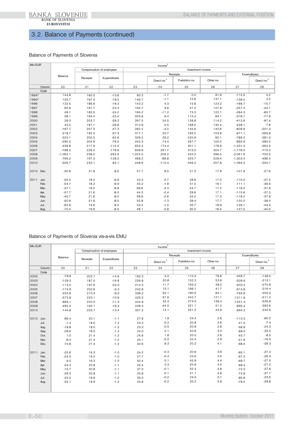**EUROSYSTEM**

Balance of Payments of Slovenia

3.2. Balance of Payments (continued)

| Mio EUR      | Income <sup>8</sup> |          |                           |         |                          |                   |            |            |                          |  |  |
|--------------|---------------------|----------|---------------------------|---------|--------------------------|-------------------|------------|------------|--------------------------|--|--|
|              |                     |          | Compensation of employees |         |                          | Investment income |            |            |                          |  |  |
|              | Balance             |          |                           |         |                          | Receipts          |            |            | Expenditures             |  |  |
|              |                     | Receipts | Expenditures              |         | Direct inv. <sup>8</sup> | Portofolio inv.   | Other inv. |            | Direct inv. <sup>8</sup> |  |  |
| Column       | 20                  | 21       | 22                        | 23      | 24                       | 25                | 26         | 27         | 28                       |  |  |
| Code         |                     |          |                           |         |                          |                   |            |            |                          |  |  |
| 1994*        | 144.8               | 183.5    | $-13.6$                   | 90.3    | $-1.7$                   | 0.0               | 91.9       | $-115.5$   | 4.2                      |  |  |
| 1995*        | 155.7               | 167.0    | $-19.5$                   | 146.7   | $-1.1$                   | 10.6              | 137.1      | $-138.4$   | 3.2                      |  |  |
| 1996         | 122.0               | 186.6    | $-19.2$                   | 143.2   | 4.3                      | 15.8              | 123.2      | $-188.7$   | $-10.7$                  |  |  |
| 1997         | 65.8                | 181.7    | $-23.3$                   | 164.7   | 9.6                      | 27.2              | 127.9      | $-257.3$   | $-44.1$                  |  |  |
| 1998         | 49.1                | 183.5    | $-24.2$                   | 184.2   | $-11.2$                  | 73.3              | 122.1      | $-294.3$   | $-65.7$                  |  |  |
| 1999         | 58.1                | 194.4    | $-23.4$                   | 205.8   | 6.4                      | 115.4             | 84.1       | $-318.7$   | $-77.6$                  |  |  |
| 2000         | 29.3                | 203.7    | $-29.3$                   | 267.5   | 24.5                     | 128.8             | 114.2      | $-412.6$   | $-97.4$                  |  |  |
| 2001         | 43.2                | 197.1    | $-29.8$                   | 313.9   | 5.5                      | 168.0             | 140.4      | $-438.1$   | 7.8                      |  |  |
| 2002         | $-167.7$            | 207.3    | $-47.3$                   | 282.2   | $-4.0$                   | 145.6             | 140.6      | $-609.9$   | $-201.3$                 |  |  |
| 2003         | $-218.7$            | 192.0    | $-57.3$                   | 317.7   | 20.7                     | 193.2             | 103.8      | $-671.1$   | $-265.8$                 |  |  |
| 2004         | $-322.1$            | 200.5    | $-62.6$                   | 329.2   | 26.2                     | 220.9             | 82.1       | $-789.2$   | $-381.0$                 |  |  |
| 2005         | $-295.2$            | 204.9    | $-76.5$                   | 442.3   | 74.4                     | 267.7             | 100.2      | $-865.9$   | $-385.5$                 |  |  |
| 2006         | $-439.8$            | 217.6    | $-110.2$                  | 654.3   | 174.4                    | 301.1             | 178.8      | $-1,201.5$ | $-562.5$                 |  |  |
| 2007         | $-788.5$            | 229.0    | $-178.9$                  | 939.9   | 261.7                    | 373.5             | 304.7      | $-1,778.5$ | $-770.3$                 |  |  |
| 2008         | $-1.062.1$          | 238.0    | $-262.6$                  | 1,024.0 | 205.2                    | 422.3             | 396.5      | $-2,061.6$ | $-700.5$                 |  |  |
| 2009         | $-766.2$            | 197.5    | $-128.5$                  | 468.2   | $-86.8$                  | 325.7             | 229.4      | $-1,303.4$ | $-496.4$                 |  |  |
| 2010         | $-506.7$            | 233.1    | $-94.1$                   | 448.6   | $-115.4$                 | 356.2             | 207.8      | $-1.094.3$ | $-304.1$                 |  |  |
| 2010 Dec.    | $-30.9$             | 21.8     | $-8.5$                    | 57.7    | 8.5                      | 31.3              | 17.9       | $-101.9$   | $-27.6$                  |  |  |
| 2011<br>Jan. | $-55.5$             | 18.2     | $-6.9$                    | 43.3    | $-2.7$                   | 28.9              | 17.0       | $-110.0$   | $-37.5$                  |  |  |
| Feb.         | $-54.7$             | 18.2     | $-6.9$                    | 45.2    | $-1.9$                   | 31.0              | 16.1       | $-111.1$   | $-36.6$                  |  |  |
| Mar.         | $-37.1$             | 18.2     | $-6.9$                    | 69.6    | $-2.3$                   | 54.7              | 17.2       | $-118.0$   | $-37.6$                  |  |  |
| Apr.         | $-57.7$             | 21.6     | $-8.0$                    | 44.3    | $-2.4$                   | 29.6              | 17.1       | $-115.6$   | $-37.3$                  |  |  |
| May          | $-45.7$             | 21.6     | $-8.0$                    | 58.9    | $-2.6$                   | 44.2              | 17.3       | $-118.2$   | $-37.9$                  |  |  |
| Jun.         | $-50.9$             | 21.6     | $-8.0$                    | 55.8    | $-1.3$                   | 39.4              | 17.7       | $-120.2$   | $-38.0$                  |  |  |
| Jul.         | $-63.9$             | 19.6     | $-8.5$                    | 53.2    | $-1.5$                   | 35.7              | 18.9       | $-128.1$   | $-44.0$                  |  |  |
| Aug.         | $-70.4$             | 19.6     | $-8.5$                    | 46.1    | $-2.8$                   | 30.5              | 18.4       | $-127.5$   | $-40.5$                  |  |  |

| Mio EUR |        | Income <sup>8</sup> |          |                           |       |                 |                   |            |           |                 |  |
|---------|--------|---------------------|----------|---------------------------|-------|-----------------|-------------------|------------|-----------|-----------------|--|
|         |        |                     |          | Compensation of employees |       |                 | Investment income |            |           |                 |  |
|         |        | Balance             |          |                           |       |                 | Receipts          |            |           | Expenditures    |  |
|         |        |                     | Receipts | Expenditures              |       | Direct inv. $8$ | Portofolio inv.   | Other inv. |           | Direct inv. $8$ |  |
|         | Column | 20                  | 21       | 22                        | 23    | 24              | 25                | 26         | 27        | 28              |  |
|         | Code   |                     |          |                           |       |                 |                   |            |           |                 |  |
| 2002    |        | $-79.8$             | 202.1    | $-14.6$                   | 192.3 | 5.0             | 110.5             | 76.8       | $-459.7$  | $-148.0$        |  |
| 2003    |        | $-129.3$            | 187.0    | $-16.6$                   | 226.8 | 20.8            | 152.3             | 53.8       | $-526.6$  | $-213.1$        |  |
| 2004    |        | $-113.5$            | 197.6    | $-22.0$                   | 214.3 | 11.7            | 163.2             | 39.5       | $-503.4$  | $-270.9$        |  |
| 2005    |        | $-174.6$            | 202.6    | $-5.3$                    | 242.9 | 15.1            | 186.1             | 41.7       | $-614.8$  | $-316.4$        |  |
| 2006    |        | $-253.8$            | 213.4    | $-9.5$                    | 336.2 | 62.1            | 190.0             | 84.1       | $-793.9$  | $-353.0$        |  |
| 2007    |        | $-573.9$            | 223.1    | $-10.6$                   | 425.5 | 61.6            | 242.7             | 121.1      | $-1211.8$ | $-511.2$        |  |
| 2008    |        | $-885.1$            | 232.5    | $-11.3$                   | 444.9 | 32.4            | 274.0             | 138.4      | $-1551.3$ | $-526.8$        |  |
| 2009    |        | $-493.2$            | 192.1    | $-18.3$                   | 228.3 | $-44.0$         | 221.1             | 51.2       | $-895.4$  | $-363.6$        |  |
| 2010    |        | $-144.8$            | 225.7    | $-13.4$                   | 307.2 | 12.1            | 251.2             | 43.9       | $-664.3$  | $-242.6$        |  |
|         |        |                     |          |                           |       |                 |                   |            |           |                 |  |
| 2010    | Jun.   | $-66.4$             | 20.1     | $-1.1$                    | 27.9  | 1.8             | 23.4              | 2.8        | $-113.3$  | $-80.2$         |  |
|         | Jul.   | $-1.4$              | 18.0     | $-1.2$                    | 23.3  | $-0.2$          | 20.8              | 2.6        | $-41.5$   | $-7.4$          |  |
|         | Aug.   | $-18.8$             | 18.0     | $-1.2$                    | 23.3  | $-0.5$          | 20.9              | 2.9        | $-58.9$   | $-24.3$         |  |
|         | Sep.   | $-28.6$             | 18.0     | $-1.2$                    | 24.0  | 0.1             | 20.6              | 3.3        | $-69.5$   | $-33.5$         |  |
|         | Oct.   | 1.0                 | 21.4     | $-1.2$                    | 24.6  | 1.8             | 20.0              | 2.8        | $-43.7$   | $-8.5$          |  |
|         | Nov.   | $-6.3$              | 21.4     | $-1.2$                    | 25.1  | $-0.2$          | 22.4              | 2.9        | $-51.6$   | $-16.5$         |  |
|         | Dec.   | $-15.8$             | 21.4     | $-1.2$                    | 32.6  | 8.3             | 20.2              | 4.1        | $-68.5$   | $-28.3$         |  |
|         |        |                     |          |                           |       |                 |                   |            |           |                 |  |
| 2011    | Jan.   | $-25.6$             | 16.3     | $-1.0$                    | 24.2  | $-0.3$          | 20.6              | 3.9        | $-65.1$   | $-27.4$         |  |
|         | Feb.   | $-24.5$             | 16.3     | $-1.0$                    | 27.7  | $-0.4$          | 24.6              | 3.5        | $-67.5$   | $-26.4$         |  |
|         | Mar.   | $-4.0$              | 16.3     | $-1.0$                    | 50.4  | 0.1             | 45.9              | 4.4        | $-69.7$   | $-27.5$         |  |
|         | Apr.   | $-24.3$             | 20.8     | $-1.1$                    | 25.4  | 0.3             | 20.6              | 4.5        | $-69.4$   | $-27.2$         |  |
|         | May    | $-15.7$             | 20.8     | $-1.1$                    | 37.0  | $-0.1$          | 32.4              | 4.8        | $-72.3$   | $-27.6$         |  |
|         | Jun.   | $-29.3$             | 20.8     | $-1.1$                    | 25.8  | $-0.1$          | 21.1              | 4.8        | $-74.8$   | $-27.7$         |  |
|         | Jul.   | $-33.2$             | 18.9     | $-1.2$                    | 30.0  | $-0.2$          | 24.5              | 5.7        | $-80.8$   | $-33.5$         |  |
|         | Aug.   | $-35.1$             | 18.9     | $-1.2$                    | 25.8  | $-0.2$          | 20.2              | 5.8        | $-78.5$   | $-29.8$         |  |
|         |        |                     |          |                           |       |                 |                   |            |           |                 |  |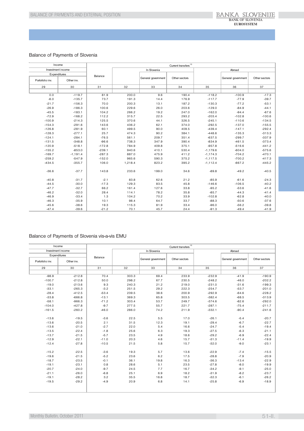### Balance of Payments of Slovenia

| Income            |            | Current transfers $10$ |         |                    |               |             |                    |               |
|-------------------|------------|------------------------|---------|--------------------|---------------|-------------|--------------------|---------------|
| Investment income |            |                        |         | In Slovenia        |               |             | Abroad             |               |
| Expenditures      |            |                        |         |                    |               |             |                    |               |
| Portofolio inv.   | Other inv. | Balance                |         | General government | Other sectors |             | General government | Other sectors |
|                   |            |                        |         |                    |               |             |                    |               |
| 29                | 30         | 31                     | 32      | 33                 | 34            | 35          | 36                 | 37            |
|                   |            |                        |         |                    |               |             |                    |               |
| 0.0               | $-119.7$   | 81.9                   | 200.0   | 9.6                | 190.4         | $-118.2$    | $-100.9$           | $-17.3$       |
| $-6.0$            | $-135.7$   | 73.7                   | 191.3   | 14.4               | 176.9         | $-117.7$    | $-77.9$            | $-39.7$       |
| $-21.7$           | $-156.3$   | 70.0                   | 200.3   | 13.1               | 187.2         | $-130.3$    | $-77.2$            | $-53.1$       |
| $-26.9$           | $-186.3$   | 100.6                  | 229.6   | 26.0               | 203.6         | $-129.0$    | $-84.9$            | $-44.1$       |
| $-45.5$           | $-183.1$   | 104.2                  | 266.2   | 19.2               | 247.0         | $-162.0$    | $-94.4$            | $-67.6$       |
| $-72.9$           | $-168.2$   | 112.2                  | 315.7   | 22.5               | 293.2         | $-203.4$    | $-102.8$           | $-100.6$      |
| $-100.9$          | $-214.3$   | 125.5                  | 370.6   | 44.1               | 326.5         | $-245.1$    | $-110.6$           | $-134.5$      |
| $-154.3$          | $-291.6$   | 143.6                  | 436.2   | 62.1               | 374.0         | $-292.5$    | $-137.0$           | $-155.5$      |
| $-126.8$          | $-281.9$   | 60.1                   | 499.5   | 90.0               | 409.5         | $-439.4$    | $-147.1$           | $-292.4$      |
| $-128.3$          | $-277.1$   | 25.7                   | 474.3   | 90.2               | 384.1         | $-448.6$    | $-135.3$           | $-313.3$      |
| $-124.1$          | $-284.1$   | $-76.5$                | 561.1   | 209.7              | 351.4         | $-637.5$    | $-299.7$           | $-337.9$      |
| $-131.5$          | $-348.8$   | $-96.6$                | 738.3   | 347.9              | 390.4         | $-834.9$    | $-461.5$           | $-373.4$      |
| $-120.9$          | $-518.1$   | $-172.8$               | 784.9   | 409.8              | 375.1         | $-957.8$    | $-516.6$           | $-441.2$      |
| $-155.2$          | $-853.0$   | $-239.1$               | 940.6   | 410.1              | 530.4         | $-1,179.6$  | $-604.0$           | $-575.6$      |
| $-169.7$          | $-1,191.4$ | $-287.3$               | 887.0   | 475.9              | 411.2         | $-1, 174.3$ | $-704.2$           | $-470.1$      |
| $-259.2$          | $-547.9$   | $-152.0$               | 965.6   | 590.3              | 375.2         | $-1, 117.5$ | $-700.2$           | $-417.3$      |
| $-434.5$          | $-355.7$   | 106.0                  | 1,218.4 | 823.2              | 395.2         | $-1, 112.4$ | $-667.2$           | $-445.2$      |
|                   |            |                        |         |                    |               |             |                    |               |
| $-36.6$           | $-37.7$    | 143.8                  | 233.6   | 199.0              | 34.6          | $-89.8$     | $-49.2$            | $-40.5$       |
|                   |            |                        |         |                    |               |             |                    |               |
| $-40.8$           | $-31.7$    | $-2.1$                 | 83.8    | 62.6               | 21.2          | $-85.9$     | $-61.6$            | $-24.3$       |
| $-44.5$           | $-30.0$    | $-17.3$                | 129.3   | 83.5               | 45.8          | $-146.6$    | $-106.5$           | $-40.2$       |
| $-47.7$           | $-32.7$    | 66.2                   | 161.4   | 127.6              | 33.8          | $-95.2$     | $-53.6$            | $-41.6$       |
| $-46.2$           | $-32.0$    | 28.4                   | 114.1   | 78.2               | 35.8          | $-85.7$     | $-44.3$            | $-41.4$       |
| $-46.9$           | $-33.4$    | 1.3                    | 104.2   | 70.2               | 33.9          | $-102.8$    | $-62.8$            | $-40.0$       |
| $-46.3$           | $-35.9$    | 10.1                   | 98.4    | 64.7               | 33.7          | $-88.3$     | $-50.6$            | $-37.6$       |
| $-45.6$           | $-38.6$    | 19.3                   | 115.3   | 81.9               | 33.4          | $-96.0$     | $-56.2$            | $-39.8$       |
| $-47.4$           | $-39.6$    | $-21.2$                | 70.1    | 45.7               | 24.4          | $-91.3$     | $-49.4$            | $-41.9$       |

|                   | Income     | Current transfers $10$ |       |                    |               |          |                    |               |
|-------------------|------------|------------------------|-------|--------------------|---------------|----------|--------------------|---------------|
| Investment income |            |                        |       | In Slovenia        |               |          | Abroad             |               |
| Expenditures      |            | Balance                |       |                    |               |          |                    |               |
| Portofolio inv.   | Other inv. |                        |       | General government | Other sectors |          | General government | Other sectors |
| 29                | 30         | 31                     | 32    | 33                 | 34            | 35       | 36                 | 37            |
|                   |            |                        |       |                    |               |          |                    |               |
| $-98.9$           | $-212.8$   | 70.4                   | 303.3 | 69.4               | 233.9         | $-232.9$ | $-41.9$            | $-190.9$      |
| $-100.7$          | $-212.8$   | 50.0                   | 298.2 | 67.7               | 230.5         | $-248.2$ | $-46.0$            | $-202.2$      |
| $-19.0$           | $-213.6$   | 9.3                    | 240.3 | 21.2               | 219.0         | $-231.0$ | $-31.6$            | $-199.3$      |
| $-33.1$           | $-265.3$   | $-3.2$                 | 251.5 | 29.2               | 222.3         | $-254.7$ | $-53.7$            | $-201.0$      |
| $-28.4$           | $-412.5$   | $-53.4$                | 239.5 | 38.6               | 200.9         | $-292.9$ | $-64.6$            | $-228.2$      |
| $-33.8$           | $-666.8$   | $-13.1$                | 369.3 | 65.8               | 303.5         | $-382.4$ | $-68.5$            | $-313.9$      |
| $-58.1$           | $-966.3$   | $-71.2$                | 303.4 | 53.7               | 249.7         | $-374.6$ | $-82.6$            | $-292.0$      |
| $-104.0$          | $-427.8$   | $-9.7$                 | 277.5 | 55.7               | 221.7         | $-287.1$ | $-75.4$            | $-211.7$      |
| $-161.5$          | $-260.2$   | $-46.0$                | 286.0 | 74.2               | 211.9         | $-332.1$ | $-90.4$            | $-241.6$      |
|                   |            |                        |       |                    |               |          |                    |               |
| $-13.6$           | $-19.5$    | $-3.6$                 | 22.5  | 5.5                | 17.0          | $-26.1$  | $-5.4$             | $-20.7$       |
| $-13.6$           | $-20.5$    | 2.1                    | 31.5  | 12.3               | 19.1          | $-29.4$  | $-6.7$             | $-22.7$       |
| $-13.6$           | $-21.0$    | $-2.7$                 | 22.0  | 5.4                | 16.6          | $-24.7$  | $-5.4$             | $-19.4$       |
| $-13.5$           | $-22.4$    | $-1.8$                 | 25.6  | 6.3                | 19.3          | $-27.5$  | $-6.3$             | $-21.1$       |
| $-13.7$           | $-21.5$    | $-5.7$                 | 23.5  | 4.9                | 18.6          | $-29.2$  | $-6.9$             | $-22.4$       |
| $-12.9$           | $-22.1$    | $-11.0$                | 20.3  | 4.6                | 15.7          | $-31.3$  | $-11.4$            | $-19.9$       |
| $-12.4$           | $-27.8$    | $-10.5$                | 21.5  | 5.8                | 15.7          | $-32.0$  | $-9.0$             | $-23.1$       |
|                   |            |                        |       |                    |               |          |                    |               |
| $-15.2$           | $-22.5$    | $-3.6$                 | 19.3  | 5.7                | 13.6          | $-22.9$  | $-7.4$             | $-15.5$       |
| $-19.6$           | $-21.5$    | $-5.2$                 | 23.6  | 6.2                | 17.5          | $-28.8$  | $-7.9$             | $-20.9$       |
| $-18.7$           | $-23.5$    | $-0.1$                 | 36.1  | 19.8               | 16.3          | $-36.3$  | $-13.4$            | $-22.9$       |
| $-19.1$           | $-23.1$    | 0.8                    | 28.6  | 5.1                | 23.5          | $-27.8$  | $-8.0$             | $-19.9$       |
| $-20.7$           | $-24.0$    | $-9.7$                 | 24.5  | 7.7                | 16.7          | $-34.2$  | $-9.1$             | $-25.0$       |
| $-21.1$           | $-26.0$    | $-6.8$                 | 25.1  | 6.9                | 18.2          | $-31.9$  | $-8.2$             | $-23.7$       |
| $-19.1$           | $-28.2$    | 3.2                    | 35.5  | 16.8               | 18.7          | $-32.3$  | $-6.1$             | $-26.2$       |
| $-19.5$           | $-29.2$    | $-4.9$                 | 20.9  | 6.8                | 14.1          | $-25.8$  | $-6.9$             | $-18.9$       |
|                   |            |                        |       |                    |               |          |                    |               |
|                   |            |                        |       |                    |               |          |                    |               |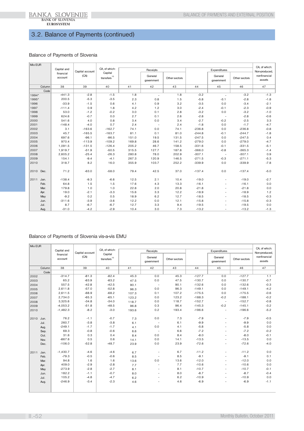**EUROSYSTEM**

### Balance of Payments of Slovenia

| Mio EUR      |                      |                 |                                    |       |                          |               |          |                          |               |                                |
|--------------|----------------------|-----------------|------------------------------------|-------|--------------------------|---------------|----------|--------------------------|---------------|--------------------------------|
|              | Capital and          | Capital account | CA, of which:                      |       | Receipts                 |               |          | Expenditures             |               | CA, of which:<br>Non-produced, |
|              | financial<br>account | (CA)            | Capital<br>transfers <sup>10</sup> |       | General<br>government    | Other sectors |          | General<br>government    | Other sectors | nonfinancial<br>assets         |
| Column       | 38                   | 39              | 40                                 | 41    | 42                       | 43            | 44       | 45                       | 46            | 47                             |
| Code         |                      |                 |                                    |       |                          |               |          |                          |               |                                |
| 1994*        | $-441.3$             | $-2.8$          | $-1.5$                             | 1.8   | $\overline{\phantom{a}}$ | 1.8           | $-3.2$   |                          | $-3.2$        | $-1.3$                         |
| 1995*        | 200.5                | $-5.3$          | $-3.5$                             | 2.3   | 0.8                      | 1.5           | $-5.8$   | $-3.1$                   | $-2.8$        | $-1.8$                         |
| 1996         | $-33.9$              | $-1.5$          | 0.6                                | 4.1   | 0.9                      | 3.2           | $-3.5$   | 0.0                      | $-3.4$        | $-2.1$                         |
| 1997         | $-111.4$             | 0.9             | 1.8                                | 4.2   | 1.2                      | 3.0           | $-2.4$   | $-0.1$                   | $-2.3$        | $-0.9$                         |
| 1998         | 53.0                 | $-1.2$          | $-0.2$                             | 3.0   | 0.1                      | 2.8           | $-3.2$   | 0.0                      | $-3.2$        | $-1.0$                         |
| 1999         | 624.6                | $-0.7$          | 0.0                                | 2.7   | 0.1                      | 2.6           | $-2.8$   | $\sim$                   | $-2.8$        | $-0.6$                         |
| 2000         | 541.6                | 4.0             | 0.8                                | 3.4   | 0.0                      | 3.4           | $-2.7$   | $-0.2$                   | $-2.5$        | 3.3                            |
| 2001         | $-148.4$             | $-4.0$          | 0.7                                | 2.4   | ÷,                       | 2.4           | $-1.8$   | 0.0                      | $-1.7$        | $-4.7$                         |
| 2002         | 3.1                  | $-163.6$        | $-162.7$                           | 74.1  | 0.0                      | 74.1          | $-236.8$ | 0.0                      | $-236.8$      | $-0.8$                         |
| 2003         | 45.7                 | $-165.5$        | $-163.7$                           | 81.1  | 0.1                      | 81.0          | $-244.8$ | $-0.1$                   | $-244.7$      | $-1.8$                         |
| 2004         | 697.6                | $-96.1$         | $-96.5$                            | 151.0 | 19.5                     | 131.5         | $-247.5$ | 0.0                      | $-247.5$      | 0.4                            |
| 2005         | 970.4                | $-113.9$        | $-109.2$                           | 169.8 | 28.6                     | 141.2         | $-279.0$ | 0.0                      | $-279.0$      | $-4.7$                         |
| 2006         | 1,091.5              | $-131.5$        | $-126.4$                           | 205.2 | 46.7                     | 158.5         | $-331.6$ | $-0.1$                   | $-331.5$      | $-5.1$                         |
| 2007         | 1,919.7              | $-51.9$         | $-50.5$                            | 315.5 | 127.7                    | 187.8         | $-366.0$ | $-0.8$                   | $-365.3$      | $-1.4$                         |
| 2008         | 2,605.2              | $-25.4$         | $-26.3$                            | 280.8 | 78.0                     | 202.9         | $-307.1$ | $\overline{\phantom{a}}$ | $-307.1$      | 0.9                            |
| 2009         | 154.1                | $-9.4$          | $-4.1$                             | 267.3 | 120.9                    | 146.5         | $-271.5$ | $-0.3$                   | $-271.1$      | $-5.3$                         |
| 2010         | 318.7                | 8.2             | 16.0                               | 355.9 | 103.7                    | 252.2         | $-339.9$ | 0.0                      | $-339.9$      | $-7.8$                         |
| 2010 Dec.    | 71.2                 | $-63.0$         | $-58.0$                            | 79.4  | 42.5                     | 37.0          | $-137.4$ | 0.0                      | $-137.4$      | $-5.0$                         |
| 2011<br>Jan. | $-138.4$             | $-9.3$          | $-6.6$                             | 12.5  | 2.1                      | 10.4          | $-19.0$  |                          | $-19.0$       | $-2.7$                         |
| Feb.         | 64.8                 | 1.5             | 1.5                                | 17.6  | 4.3                      | 13.3          | $-16.1$  |                          | $-16.1$       | 0.0                            |
| Mar.         | 179.8                | 1.0             | 1.0                                | 22.8  | 2.0                      | 20.8          | $-21.8$  | ٠                        | $-21.8$       | 0.0                            |
| Apr.         | 19.0                 | $-2.1$          | $-3.3$                             | 15.6  | 3.3                      | 12.2          | $-18.9$  | ×                        | $-18.9$       | 1.2                            |
| May          | $-9.2$               | 0.2             | 0.5                                | 18.9  | 6.2                      | 12.7          | $-18.5$  |                          | $-18.5$       | $-0.3$                         |
| Jun.         | $-311.6$             | $-3.9$          | $-3.6$                             | 12.2  | 0.0                      | 12.1          | $-15.8$  |                          | $-15.8$       | $-0.3$                         |
| Jul.         | 8.7                  | $-6.7$          | $-6.7$                             | 12.7  | 3.3                      | 9.4           | $-19.5$  |                          | $-19.5$       | 0.0                            |
| Aug.         | $-31.0$              | $-4.2$          | $-2.9$                             | 10.4  | 3.0                      | 7.3           | $-13.2$  |                          | $-13.2$       | $-1.3$                         |

| Mio EUR |        |                      |                 |                                    |       |                          |               |          |                          |               | CA, of which:          |
|---------|--------|----------------------|-----------------|------------------------------------|-------|--------------------------|---------------|----------|--------------------------|---------------|------------------------|
|         |        | Capital and          | Capital account | CA, of which:                      |       | Receipts                 |               |          | Expenditures             |               | Non-produced,          |
|         |        | financial<br>account | (CA)            | Capital<br>transfers <sup>10</sup> |       | General<br>government    | Other sectors |          | General<br>government    | Other sectors | nonfinancial<br>assets |
|         | Column | 38                   | 39              | 40                                 | 41    | 42                       | 43            | 44       | 45                       | 46            | 47                     |
|         | Code   |                      |                 |                                    |       |                          |               |          |                          |               |                        |
| 2002    |        | $-314.7$             | $-81.3$         | $-82.4$                            | 45.3  | 0.0                      | 45.3          | $-127.7$ | 0.0                      | $-127.7$      | 1.1                    |
| 2003    |        | 65.2                 | $-83.9$         | $-83.2$                            | 47.5  | 0.0                      | 47.5          | $-130.7$ | 0.0                      | $-130.7$      | $-0.7$                 |
| 2004    |        | 557.5                | $-42.8$         | $-42.5$                            | 90.1  | $\overline{\phantom{a}}$ | 90.1          | $-132.6$ | 0.0                      | $-132.6$      | $-0.3$                 |
| 2005    |        | 2,611.8              | $-57.0$         | $-52.8$                            | 96.3  | 0.0                      | 96.3          | $-149.1$ | 0.0                      | $-149.1$      | $-4.2$                 |
| 2006    |        | 2,611.5              | $-68.9$         | $-68.2$                            | 107.3 | 0.1                      | 107.2         | $-175.5$ | 0.0                      | $-175.5$      | $-0.6$                 |
| 2007    |        | 2,734.0              | $-65.3$         | $-65.1$                            | 123.2 | 0.0                      | 123.2         | $-188.3$ | $-0.2$                   | $-188.1$      | $-0.2$                 |
| 2008    |        | 3,325.6              | $-34.8$         | $-34.0$                            | 118.7 | 0.0                      | 118.7         | $-152.7$ | $\overline{\phantom{a}}$ | $-152.7$      | $-0.8$                 |
| 2009    |        | $-4,053.2$           | $-51.8$         | $-48.5$                            | 96.8  | 0.3                      | 96.4          | $-145.3$ | $-0.2$                   | $-145.1$      | $-3.2$                 |
| 2010    |        | $-1,482.3$           | $-8.2$          | $-3.0$                             | 193.6 | 0.2                      | 193.4         | $-196.6$ | ٠                        | $-196.6$      | $-5.2$                 |
|         |        |                      |                 |                                    |       |                          |               |          |                          |               |                        |
| 2010    | Jun.   | 76.2                 | $-1.1$          | $-0.7$                             | 7.3   | 0.0                      | 7.3           | $-7.9$   | ٠                        | $-7.9$        | $-0.5$                 |
|         | Jul.   | 260.7                | $-3.8$          | $-3.8$                             | 6.1   | $\sim$                   | 6.1           | $-9.9$   | ÷,                       | $-9.9$        | 0.0                    |
|         | Aug.   | $-249.1$             | $-1.7$          | $-1.7$                             | 4.1   | 0.0                      | 4.1           | $-5.8$   | ×                        | $-5.8$        | 0.0                    |
|         | Sep.   | 69.3                 | $-0.8$          | $-0.6$                             | 6.6   | $\sim$                   | 6.6           | $-7.2$   | ×                        | $-7.2$        | $-0.2$                 |
|         | Oct.   | 31.6                 | 0.3             | 0.4                                | 8.4   | 0.0                      | 8.4           | $-8.0$   | ×                        | $-8.0$        | $-0.1$                 |
|         | Nov.   | $-867.6$             | 0.5             | 0.6                                | 14.1  | 0.0                      | 14.1          | $-13.5$  | ٠                        | $-13.5$       | 0.0                    |
|         | Dec.   | $-106.0$             | $-52.8$         | $-48.7$                            | 23.9  | 0.0                      | 23.9          | $-72.6$  | ٠                        | $-72.6$       | $-4.0$                 |
| 2011    | Jan.   | $-1,430.7$           | $-4.6$          | $-4.6$                             | 6.7   |                          | 6.7           | $-11.2$  |                          | $-11.2$       | 0.0                    |
|         | Feb.   | $-79.3$              | $-0.5$          | $-0.6$                             | 8.5   | ×.                       | 8.5           | $-9.1$   | ×                        | $-9.1$        | 0.1                    |
|         | Mar.   | 94.8                 | 1.6             | 1.6                                | 13.6  | 0.0                      | 13.6          | $-12.0$  | ٠                        | $-12.0$       | 0.0                    |
|         | Apr.   | 409.0                | $-2.9$          | $-2.8$                             | 7.7   | ×.                       | 7.7           | $-10.6$  | ÷.                       | $-10.6$       | 0.0                    |
|         | May    | $-273.9$             | $-2.8$          | $-2.7$                             | 8.1   | $\overline{\phantom{a}}$ | 8.1           | $-10.7$  | ٠                        | $-10.7$       | $-0.1$                 |
|         | Jun.   | 182.2                | $-1.1$          | $-0.7$                             | 8.0   | $\overline{\phantom{a}}$ | 8.0           | $-8.7$   | ×                        | $-8.7$        | $-0.4$                 |
|         | Jul.   | 105.2                | $-4.8$          | $-4.7$                             | 6.2   |                          | 6.2           | $-10.9$  |                          | $-10.9$       | 0.0                    |
|         | Aug.   | $-246.9$             | $-3.4$          | $-2.3$                             | 4.6   |                          | 4.6           | $-6.9$   |                          | $-6.9$        | $-1.1$                 |
|         |        |                      |                 |                                    |       |                          |               |          |                          |               |                        |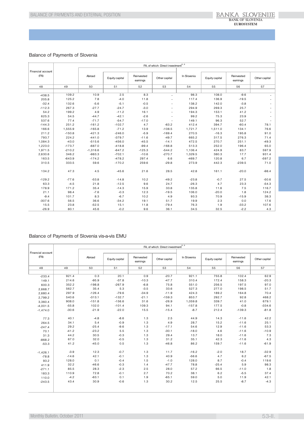### Balance of Payments of Slovenia

|                   |          |            |                |                       | FA, of which: Direct investment <sup>8, 9</sup> |             |                |                       |               |
|-------------------|----------|------------|----------------|-----------------------|-------------------------------------------------|-------------|----------------|-----------------------|---------------|
| Financial account |          |            |                |                       |                                                 |             |                |                       |               |
| (FA)              |          | Abroad     | Equity capital | Reinvested<br>eamings | Other capital                                   | In Slovenia | Equity capital | Reinvested<br>eamings | Other capital |
| 48                | 49       | 50         | 51             | 52                    | 53                                              | 54          | 55             | 56                    | 57            |
|                   |          |            |                |                       |                                                 |             |                |                       |               |
| $-438.5$          | 109.2    | 10.9       | 2.5            | 8.3                   |                                                 | 98.3        | 108.0          | $-9.6$                |               |
| 205.8             | 125.2    | 7.8        | $-4.0$         | 11.8                  |                                                 | 117.4       | 136.9          | $-19.5$               |               |
| $-32.4$           | 132.6    | $-5.6$     | $-5.1$         | $-0.5$                |                                                 | 138.2       | 142.0          | $-3.8$                |               |
| $-112.3$          | 267.3    | $-27.7$    | $-24.7$        | $-3.0$                |                                                 | 294.9       | 269.3          | 25.7                  |               |
| 54.2              | 199.2    | 4.9        | $-11.2$        | 16.1                  |                                                 | 194.3       | 153.1          | 41.2                  |               |
| 625.3             | 54.5     | $-44.7$    | $-42.1$        | $-2.6$                |                                                 | 99.2        | 75.3           | 23.9                  |               |
| 537.6             | 77.4     | $-71.7$    | $-54.7$        | $-17.0$               |                                                 | 149.1       | 96.3           | 52.7                  |               |
| $-144.3$          | 251.2    | $-161.2$   | $-102.7$       | 4.7                   | $-63.2$                                         | 412.4       | 394.7          | $-60.4$               | 78.1          |
| 166.6             | 1,555.9  | $-165.8$   | $-71.2$        | 13.9                  | $-108.5$                                        | 1,721.7     | 1,511.0        | 134.1                 | 76.6          |
| 211.2             | $-150.8$ | $-421.3$   | $-246.0$       | $-5.9$                | $-169.4$                                        | 270.5       | $-16.3$        | 195.8                 | 91.0          |
| 793.7             | 224.2    | $-441.0$   | $-379.7$       | $-11.6$               | $-49.7$                                         | 665.2       | 317.5          | 276.3                 | 71.4          |
| 1,084.3           | $-43.0$  | $-515.6$   | $-456.0$       | $-45.5$               | $-14.1$                                         | 472.5       | 270.7          | 251.1                 | $-49.3$       |
| 1,223.0           | $-173.7$ | $-687.0$   | $-418.8$       | $-99.4$               | $-168.8$                                        | 513.3       | 252.0          | 196.4                 | 65.0          |
| 1,971.5           | $-210.2$ | $-1,316.6$ | $-647.2$       | $-125.3$              | $-544.2$                                        | 1,106.4     | 424.9          | 83.7                  | 597.9         |
| 2,630.6           | 346.2    | $-983.3$   | $-702.1$       | $-10.6$               | $-270.7$                                        | 1,329.5     | 380.3          | 17.7                  | 931.4         |
| 163.5             | $-643.9$ | $-174.2$   | $-478.2$       | 297.4                 | 6.6                                             | $-469.7$    | 120.8          | 6.7                   | $-597.2$      |
| 310.5             | 333.5    | 59.6       | $-170.2$       | 259.6                 | $-29.8$                                         | 273.9       | 442.3          | $-239.5$              | 71.0          |
| 134.2             | 47.3     | 4.5        | $-45.6$        | 21.6                  | 28.5                                            | 42.8        | 161.1          | $-20.0$               | $-98.4$       |
| $-129.2$          | $-77.6$  | $-53.8$    | $-14.8$        | 10.2                  | $-49.2$                                         | $-23.8$     | $-0.7$         | 27.5                  | $-50.6$       |
| 63.3              | $-4.5$   | 21.8       | $-12.5$        | 9.6                   | 24.7                                            | $-26.3$     | 4.7            | 23.3                  | $-54.3$       |
| 178.9             | 171.2    | 35.4       | $-14.3$        | 15.9                  | 33.8                                            | 135.8       | 11.6           | 7.5                   | 116.7         |
| 21.1              | 98.4     | $-7.6$     | $-0.3$         | 12.3                  | $-19.5$                                         | 106.0       | $-20.0$        | 1.8                   | 124.2         |
| $-9.4$            | 101.7    | 8.3        | $-6.7$         | 10.2                  | 4.9                                             | 93.3        | 70.9           | $-15.9$               | 38.3          |
| $-307.6$          | 56.5     | 36.6       | $-34.2$        | 19.1                  | 51.7                                            | 19.9        | 2.3            | 0.0                   | 17.6          |
| 15.5              | 23.8     | $-52.5$    | 15.1           | 11.8                  | $-79.4$                                         | 76.3        | 1.9            | $-33.2$               | 107.6         |
| $-26.9$           | 80.1     | 45.6       | $-0.2$         | 9.6                   | 36.1                                            | 34.5        | 32.5           | $-2.2$                | 4.3           |

|                   |         |          |                |                       | FA, of which: Direct investment <sup>8, 9</sup> |             |                |                       |               |
|-------------------|---------|----------|----------------|-----------------------|-------------------------------------------------|-------------|----------------|-----------------------|---------------|
| Financial account |         |          |                |                       |                                                 |             |                |                       |               |
| (FA)              |         | Abroad   | Equity capital | Reinvested<br>eamings | Other capital                                   | In Slovenia | Equity capital | Reinvested<br>eamings | Other capital |
| 48                | 49      | 50       | 51             | 52                    | 53                                              | 54          | 55             | 56                    | 57            |
|                   |         |          |                |                       |                                                 |             |                |                       |               |
| $-233.4$          | 921.4   | 0.3      | 20.1           | 0.9                   | $-20.7$                                         | 921.1       | 755.8          | 102.4                 | 62.9          |
| 149.1             | 214.6   | $-95.9$  | $-37.8$        | $-10.3$               | $-47.7$                                         | 310.4       | 172.4          | 158.3                 | $-20.3$       |
| 600.3             | 352.2   | $-198.8$ | $-267.9$       | $-6.8$                | 75.8                                            | 551.0       | 256.5          | 197.5                 | 97.0          |
| 2,668.7           | 562.7   | 35.4     | 5.3            | $-3.5$                | 33.6                                            | 527.3       | 277.0          | 198.5                 | 51.7          |
| 2,680.4           | 297.9   | $-126.4$ | $-79.6$        | $-34.9$               | $-11.9$                                         | 424.3       | 189.2          | 164.8                 | 70.4          |
| 2,799.2           | 540.6   | $-313.1$ | $-132.7$       | $-21.1$               | $-159.3$                                        | 853.7       | 292.7          | 92.8                  | 468.2         |
| 3,360.4           | 908.0   | $-151.8$ | $-156.6$       | 31.6                  | $-26.9$                                         | 1,059.8     | 339.7          | 41.0                  | 679.1         |
| $-4,001.5$        | $-55.8$ | 102.0    | $-101.4$       | 109.3                 | 94.1                                            | $-157.8$    | 177.5          | $-0.8$                | $-334.6$      |
| $-1,474.0$        | $-30.6$ | $-21.9$  | $-22.0$        | 15.5                  | $-15.4$                                         | $-8.7$      | 212.4          | $-139.3$              | $-81.8$       |
|                   |         |          |                |                       |                                                 |             |                |                       |               |
| 77.3              | 40.1    | $-4.8$   | $-8.6$         | 1.3                   | 2.5                                             | 44.9        | 14.3           | $-11.6$               | 42.2          |
| 264.5             | 34.1    | 5.4      | $-0.9$         | 1.3                   | 4.9                                             | 28.7        | 15.2           | $-11.6$               | 25.1          |
| $-247.4$          | 29.2    | $-25.4$  | $-9.6$         | 1.3                   | $-17.1$                                         | 54.6        | 12.9           | $-11.6$               | 53.3          |
| 70.1              | $-41.2$ | $-23.2$  | 5.5            | 1.3                   | $-30.1$                                         | $-18.0$     | 4.6            | $-11.6$               | $-10.9$       |
| 31.3              | 44.2    | 30.5     | $-0.3$         | 1.3                   | 29.4                                            | 13.7        | 18.0           | $-11.6$               | 7.3           |
| $-868.2$          | 67.0    | 32.0     | $-0.5$         | 1.3                   | 31.2                                            | 35.1        | 42.3           | $-11.6$               | 4.3           |
| $-53.3$           | 41.2    | $-45.0$  | 0.5            | 1.3                   | $-46.8$                                         | 86.2        | 159.7          | $-11.6$               | $-61.9$       |
|                   |         |          |                |                       |                                                 |             |                |                       |               |
| $-1,426.1$        | $-3.9$  | 12.3     | $-0.7$         | 1.3                   | 11.7                                            | $-16.2$     | $-2.0$         | 18.7                  | $-32.9$       |
| $-78.8$           | $-14.6$ | 42.1     | $-0.1$         | 1.3                   | 40.9                                            | $-56.6$     | 4.7            | 6.2                   | $-67.5$       |
| 93.2              | 128.0   | 0.1      | $-0.4$         | 1.5                   | $-1.0$                                          | 128.0       | 8.7            | $-0.4$                | 119.6         |
| 411.9             | 32.2    | $-46.6$  | $-0.3$         | 1.4                   | $-47.7$                                         | 78.8        | $-25.4$        | 5.9                   | 98.3          |
| $-271.1$          | 85.5    | 28.3     | $-2.3$         | 2.5                   | 28.0                                            | 57.2        | 66.5           | $-11.0$               | 1.8           |
| 183.3             | 110.9   | 72.8     | $-0.1$         | 2.7                   | 70.2                                            | 38.1        | 6.2            | $-5.5$                | 37.4          |
| 110.0             | $-4.2$  | $-63.1$  | 0.1            | 1.9                   | $-65.1$                                         | 59.0        | 5.0            | 11.9                  | 42.1          |
| $-243.5$          | 43.4    | 30.9     | $-0.6$         | 1.3                   | 30.2                                            | 12.5        | 25.5           | $-8.7$                | $-4.3$        |
|                   |         |          |                |                       |                                                 |             |                |                       |               |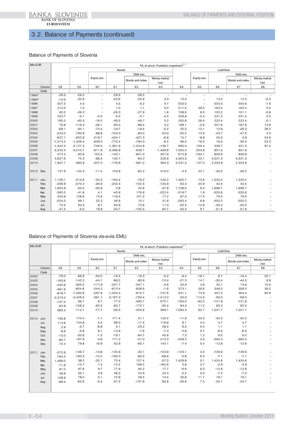**EUROSYSTEM**

### 3.2. Balance of Payments (continued)

### Balance of Payments of Slovenia

| Mio EUR      |            |            |             |            |                 | FA, of which: Portofolio investment <sup>2, 3</sup> |                          |                          |             |                 |                       |
|--------------|------------|------------|-------------|------------|-----------------|-----------------------------------------------------|--------------------------|--------------------------|-------------|-----------------|-----------------------|
|              |            |            |             | Assets     |                 |                                                     |                          |                          | Liabilities |                 |                       |
|              |            |            |             |            | Debt sec.       |                                                     |                          |                          |             | Debt sec.       |                       |
|              |            |            | Equity sec. |            | Bonds and notes | Money market<br>inst.                               |                          | Equity sec.              |             | Bonds and notes | Money market<br>inst. |
| Column       | 58         | 59         | 60          | 61         | 62              | 63                                                  | 64                       | 65                       | 66          | 67              | 68                    |
| Code         |            |            |             |            |                 |                                                     |                          |                          |             |                 |                       |
| 1994*        | $-29.5$    | $-29.5$    | ÷.          | $-29.5$    | $-29.5$         | ×.                                                  | $\overline{\phantom{a}}$ | ÷.                       | ÷           | ÷               |                       |
| 1995*        | $-10.6$    | $-22.6$    |             | $-22.6$    | $-25.9$         | 3.3                                                 | 12.0                     |                          | 12.0        | 12.3            | $-0.3$                |
| 1996         | 507.5      | 4.5        |             | 4.5        | $-0.2$          | 4.7                                                 | 503.0                    | $\overline{\phantom{a}}$ | 503.0       | 504.6           | $-1.6$                |
| 1997         | 212.5      | 1.0        |             | 1.0        | 1.1             | 0.0                                                 | 211.5                    | 48.0                     | 163.4       | 163.4           | 0.0                   |
| 1998         | 82.2       | $-26.3$    |             | $-26.3$    | $-27.9$         | 1.6                                                 | 108.5                    | 8.3                      | 100.2       | 101.1           | $-0.8$                |
| 1999         | 323.7      | $-5.1$     | $-0.5$      | $-4.5$     | $-0.1$          | $-4.5$                                              | 328.8                    | $-2.4$                   | 331.2       | 331.2           | 0.0                   |
| 2000         | 185.2      | $-65.5$    | $-16.0$     | $-49.5$    | $-49.7$         | 0.2                                                 | 250.8                    | 28.4                     | 222.4       | 222.4           | $-0.1$                |
| 2001         | 79.8       | $-119.3$   | $-26.1$     | $-93.2$    | $-96.4$         | 3.2                                                 | 199.1                    | $-2.6$                   | 201.6       | 187.8           | 13.9                  |
| 2002         | $-69.1$    | $-94.1$    | $-74.4$     | $-19.7$    | $-19.4$         | $-0.2$                                              | 25.0                     | 12.1                     | 12.9        | $-26.3$         | 39.2                  |
| 2003         | $-223.0$   | $-192.8$   | $-88.8$     | $-104.0$   | $-84.0$         | $-20.0$                                             | $-30.2$                  | 13.5                     | $-43.7$     | $-47.0$         | 3.3                   |
| 2004         | $-637.1$   | $-652.8$   | $-218.7$    | $-434.1$   | $-427.3$        | $-6.8$                                              | 15.7                     | $-9.8$                   | 25.5        | 0.9             | 24.6                  |
| 2005         | $-1,313.4$ | $-1,409.4$ | $-639.0$    | $-770.4$   | $-764.3$        | $-6.2$                                              | 96.0                     | 79.2                     | 16.9        | $-36.4$         | 53.3                  |
| 2006         | $-1,442.5$ | $-2,127.5$ | $-746.0$    | $-1,381.6$ | $-1,244.9$      | $-136.7$                                            | 685.0                    | 156.4                    | 528.7       | 431.3           | 97.4                  |
| 2007         | $-2,255.4$ | $-3,310.7$ | $-911.8$    | $-2,398.9$ | $-939.1$        | $-1,459.9$                                          | 1,055.4                  | 203.8                    | 851.6       | 851.6           |                       |
| 2008         | 572.2      | $-40.6$    | 102.5       | $-143.1$   | $-601.0$        | 457.9                                               | 612.8                    | $-194.1$                 | 806.9       | 806.9           |                       |
| 2009         | 4,627.6    | 74.3       | $-68.4$     | 142.7      | $-84.3$         | 226.9                                               | 4,553.3                  | 22.1                     | 4,531.3     | 4,531.3         |                       |
| 2010         | 1,947.1    | $-383.9$   | $-207.0$    | $-176.9$   | $-561.2$        | 384.3                                               | 2,331.0                  | 127.0                    | 2,203.9     | 2,203.9         |                       |
| 2010 Dec.    | 137.9      | 142.4      | $-11.4$     | 153.8      | $-62.2$         | 216.0                                               | $-4.5$                   | 22.1                     | $-26.5$     | $-26.5$         |                       |
| 2011<br>Jan. | 1,136.1    | $-214.6$   | $-30.2$     | $-184.4$   | $-79.2$         | $-105.2$                                            | 1,350.7                  | 15.6                     | 1,335.2     | 1,335.2         |                       |
| Feb.         | $-206.9$   | $-270.3$   | $-36.9$     | $-233.4$   | $-102.5$        | $-130.9$                                            | 63.4                     | 20.9                     | 42.5        | 42.5            |                       |
| Mar.         | 1,654.9    | $-53.0$    | $-55.8$     | 2.8        | 40.6            | $-37.8$                                             | 1,708.0                  | 9.2                      | 1,698.7     | 1,698.7         |                       |
| Apr.         | $-360.5$   | $-41.8$    | 4.1         | $-45.9$    | 176.6           | $-222.4$                                            | $-318.7$                 | 1.9                      | $-320.6$    | $-320.6$        |                       |
| May          | 225.9      | 128.9      | 10.6        | 118.4      | 101.2           | 17.2                                                | 97.0                     | 17.5                     | 79.5        | 79.5            |                       |
| Jun.         | $-224.3$   | 69.1       | 22.2        | 46.9       | 15.1            | 31.8                                                | $-293.4$                 | 6.8                      | $-300.2$    | $-300.2$        |                       |
| Jul.         | 72.2       | 94.5       | 9.7         | 84.8       | 73.8            | 11.0                                                | $-22.3$                  | 12.9                     | $-35.2$     | $-35.2$         |                       |
| Aug.         | $-47.4$    | $-5.0$     | 19.8        | $-24.7$    | $-105.5$        | 80.7                                                | $-42.4$                  | 9.1                      | $-51.6$     | $-51.6$         |                       |

| Mio EUR |        | FA, of which: Portofolio investment <sup>2, 3</sup><br>Assets |            |             |            |                 |                       |          |             |             |                 |                       |
|---------|--------|---------------------------------------------------------------|------------|-------------|------------|-----------------|-----------------------|----------|-------------|-------------|-----------------|-----------------------|
|         |        |                                                               |            |             |            |                 |                       |          |             | Liabilities |                 |                       |
|         |        |                                                               |            |             |            | Debt sec.       |                       |          |             |             | Debt sec.       |                       |
|         |        |                                                               |            | Equity sec. |            | Bonds and notes | Money market<br>inst. |          | Equity sec. |             | Bonds and notes | Money market<br>inst. |
|         | Column | 58                                                            | 59         | 60          | 61         | 62              | 63                    | 64       | 65          | 66          | 67              | 68                    |
|         | Code   |                                                               |            |             |            |                 |                       |          |             |             |                 |                       |
| 2002    |        | $-76.0$                                                       | $-66.6$    | $-50.0$     | $-16.5$    | $-16.3$         | $-0.2$                | $-9.4$   | $-18.1$     | 8.7         | $-16.4$         | 25.1                  |
| 2003    |        | $-163.6$                                                      | $-142.3$   | $-44.1$     | $-98.2$    | $-85.9$         | $-12.4$               | $-21.3$  | 14.1        | $-35.4$     | $-44.3$         | 8.9                   |
| 2004    |        | $-430.6$                                                      | $-465.5$   | $-117.8$    | $-347.7$   | $-347.1$        | $-0.6$                | 34.9     | 4.8         | 30.1        | 14.6            | 15.5                  |
| 2005    |        | $-481.6$                                                      | $-854.6$   | $-244.2$    | $-610.4$   | $-608.6$        | $-1.8$                | 373.1    | 26.6        | 346.5       | 308.3           | 38.2                  |
| 2006    |        | $-819.7$                                                      | $-1,350.8$ | $-297.6$    | $-1,053.2$ | $-915.7$        | $-137.6$              | 531.1    | 73.9        | 457.2       | 364.4           | 92.8                  |
| 2007    |        | $-2.373.0$                                                    | $-2,428.5$ | $-261.1$    | $-2,167.3$ | $-755.4$        | $-1,412.0$            | 55.5     | 114.5       | $-59.0$     | $-59.0$         |                       |
| 2008    |        | $-107.3$                                                      | 86.7       | 9.7         | 77.0       | $-493.1$        | 570.1                 | $-194.0$ | $-62.2$     | $-131.8$    | $-131.8$        |                       |
| 2009    |        | $-63.9$                                                       | $-158.2$   | $-65.5$     | $-92.7$    | $-173.1$        | 80.4                  | 94.3     | 11.0        | 83.3        | 83.3            |                       |
| 2010    |        | 980.3                                                         | $-114.1$   | $-77.7$     | $-36.5$    | $-405.6$        | 369.1                 | 1,094.4  | 62.7        | 1,031.7     | 1,031.7         |                       |
|         |        |                                                               |            |             |            |                 |                       |          |             |             |                 |                       |
| 2010    | Jun.   | 158.8                                                         | 170.4      | $-1.1$      | 171.4      | 51.1            | 120.4                 | $-11.6$  | 20.3        | $-32.0$     | $-32.0$         |                       |
|         | Jul.   | 113.9                                                         | 104.8      | 5.5         | 99.3       | $-17.4$         | 116.8                 | 9.1      | 4.4         | 4.7         | 4.7             |                       |
|         | Aug.   | 2.9                                                           | $-3.7$     | $-8.8$      | 5.1        | $-23.2$         | 28.4                  | 6.5      | 5.4         | 1.1         | 1.1             |                       |
|         | Sep.   | $-6.6$                                                        | $-5.8$     | 9.1         | $-14.9$    | $-7.6$          | $-7.3$                | $-0.8$   | 5.7         | $-6.5$      | $-6.5$          |                       |
|         | Oct.   | $-13.3$                                                       | $-20.6$    | $-1.5$      | $-19.1$    | $-64.7$         | 45.6                  | 7.3      | 1.2         | 6.0         | 6.0             |                       |
|         | Nov.   | $-90.7$                                                       | 167.6      | $-3.6$      | 171.2      | $-41.0$         | 212.3                 | $-258.3$ | 2.0         | $-260.3$    | $-260.3$        |                       |
|         | Dec.   | 72.4                                                          | 79.8       | 16.9        | 62.9       | $-80.1$         | 143.1                 | $-7.4$   | 5.4         | $-12.8$     | $-12.8$         |                       |
|         |        |                                                               |            |             |            |                 |                       |          |             |             |                 |                       |
| 2011    | Jan.   | $-272.8$                                                      | $-149.7$   | $-13.8$     | $-135.9$   | $-32.1$         | $-103.8$              | $-123.1$ | 3.5         | $-126.6$    | $-126.6$        |                       |
|         | Feb.   | $-184.3$                                                      | $-183.5$   | $-14.2$     | $-169.3$   | $-80.5$         | $-88.8$               | $-0.8$   | 6.3         | $-7.1$      | $-7.1$          |                       |
|         | Mar.   | 1,468.0                                                       | 38.3       | $-32.1$     | 70.4       | 107.4           | $-37.0$               | 1,429.8  | 5.1         | 1,424.6     | 1,424.6         |                       |
|         | Apr.   | $-11.9$                                                       | $-12.7$    | 1.4         | $-14.2$    | 168.4           | $-182.6$              | 0.8      | 3.7         | $-2.9$      | $-2.9$          |                       |
|         | May    | 81.0                                                          | 87.6       | 9.7         | 77.9       | 60.2            | 17.7                  | $-6.6$   | 6.3         | $-12.8$     | $-12.8$         |                       |
|         | Jun.   | 49.9                                                          | 52.1       | 3.9         | 48.2       | 24.9            | 23.3                  | $-2.2$   | 5.0         | $-7.2$      | $-7.2$          |                       |
|         | Jul.   | 108.9                                                         | 78.0       | 5.1         | 72.9       | 58.5            | 14.4                  | 30.8     | 11.7        | 19.1        | 19.1            |                       |
|         | Aug.   | $-89.4$                                                       | $-62.6$    | $-5.4$      | $-57.2$    | $-137.9$        | 80.6                  | $-26.8$  | 7.2         | $-34.1$     | $-34.1$         |                       |
|         |        |                                                               |            |             |            |                 |                       |          |             |             |                 |                       |
|         |        |                                                               |            |             |            |                 |                       |          |             |             |                 |                       |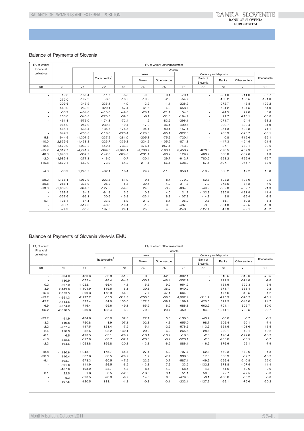### Balance of Payments of Slovenia

| FA, of which:            |            |            |                            |            |            | FA, of which: Other investment |            |          |                       |               |              |
|--------------------------|------------|------------|----------------------------|------------|------------|--------------------------------|------------|----------|-----------------------|---------------|--------------|
| Financial                |            |            |                            |            |            | Assets                         |            |          |                       |               |              |
| derivatives              |            |            |                            |            | Loans      |                                |            |          | Currency and deposits |               |              |
|                          |            |            | Trade credits <sup>4</sup> |            | Banks      | Other sectors                  |            | Bank of  | Banks                 | Other sectors | Other assets |
|                          |            |            |                            |            |            |                                |            | Slovenia |                       |               |              |
| 69                       | 70         | 71         | 72                         | 73         | 74         | 75                             | 76         | 77       | 78                    | 79            | 80           |
|                          |            |            |                            |            |            |                                |            |          |                       |               |              |
| ä.                       | 12.3       | $-186.4$   | $-11.7$                    | $-8.8$     | $-9.2$     | 0.4                            | $-70.1$    |          | $-281.0$              | 211.0         | $-95.7$      |
| ä,                       | 272.0      | $-197.2$   | $-8.3$                     | $-13.2$    | $-10.9$    | $-2.2$                         | $-54.7$    | $\sim$   | $-160.2$              | 105.5         | $-121.0$     |
| ٠                        | $-209.5$   | $-343.9$   | $-235.1$                   | $-4.0$     | $-2.9$     | $-1.1$                         | $-226.9$   |          | $-272.7$              | 45.8          | 122.2        |
| ٠                        | 549.0      | 230.2      | $-320.1$                   | $-57.4$    | $-61.6$    | 4.2                            | 658.7      |          | 524.2                 | 134.5         | $-51.0$      |
| ٠                        | $-80.9$    | $-404.8$   | $-415.8$                   | $-49.3$    | $-28.1$    | $-21.1$                        | 54.5       | ٠        | $-24.5$               | 79.0          | 5.8          |
| ٠                        | 158.6      | $-540.3$   | $-275.6$                   | $-39.5$    | $-8.1$     | $-31.3$                        | $-194.4$   | ٠        | 21.7                  | $-216.1$      | $-30.8$      |
| ٠                        | 461.8      | $-576.0$   | $-174.3$                   | $-72.4$    | 11.2       | $-83.5$                        | $-296.1$   |          | $-271.7$              | $-24.4$       | $-33.2$      |
| $\overline{\phantom{a}}$ | 964.0      | 247.9      | $-239.3$                   | 19.4       | $-17.0$    | 36.4                           | 499.7      | ٠        | $-300.7$              | 800.4         | $-31.9$      |
| $\overline{\phantom{a}}$ | 565.1      | $-538.4$   | $-135.5$                   | $-174.5$   | $-94.1$    | $-80.4$                        | $-157.4$   | ٠        | 351.3                 | $-508.8$      | $-71.1$      |
|                          | 849.2      | $-730.3$   | $-116.0$                   | $-223.4$   | $-128.3$   | $-95.1$                        | $-322.8$   | ٠        | 203.9                 | $-526.7$      | $-68.1$      |
| 5.8                      | 944.9      | $-1,307.5$ | $-237.2$                   | $-281.0$   | $-205.3$   | $-75.6$                        | $-720.4$   |          | $-0.8$                | $-719.6$      | $-69.1$      |
| $-10.0$                  | 2,639.5    | $-1,458.8$ | $-225.7$                   | $-339.8$   | $-234.6$   | $-105.2$                       | $-871.8$   |          | $-447.3$              | $-424.5$      | $-21.5$      |
| $-12.5$                  | 1.570.9    | $-1,939.2$ | $-442.4$                   | $-733.2$   | $-476.1$   | $-257.1$                       | $-743.0$   |          | 37.1                  | $-780.1$      | $-20.6$      |
| $-15.2$                  | 4,312.7    | $-4,741.2$ | $-399.6$                   | $-1,895.1$ | $-1,706.7$ | $-188.4$                       | $-2,453.7$ | $-873.3$ | $-870.5$              | $-709.9$      | 7.2          |
| 46.0                     | 1,645.2    | $-332.7$   | $-142.3$                   | $-324.6$   | $-231.4$   | $-93.2$                        | 129.9      | 483.7    | 308.8                 | $-662.6$      | 4.3          |
| $-2.0$                   | $-3,985.4$ | $-277.1$   | 416.0                      | $-0.7$     | $-30.4$    | 29.7                           | $-612.7$   | 780.5    | $-623.2$              | $-769.9$      | $-79.7$      |
| $-116.8$                 | $-1,872.1$ | 683.0      | $-173.9$                   | 164.2      | 211.1      | 56.1                           | 608.9      | 57.5     | 1,497.1               | $-945.7$      | 83.9         |
|                          |            |            |                            |            |            |                                |            |          |                       |               |              |
| $-4.0$                   | $-33.9$    | 1,295.7    | 402.1                      | 18.4       | 29.7       | $-11.3$                        | 858.4      | $-16.9$  | 858.2                 | 17.2          | 16.8         |
|                          |            |            |                            |            |            |                                |            |          |                       |               |              |
| $-29.2$                  | $-1,168.4$ | $-1,062.9$ | $-223.8$                   | $-51.0$    | $-9.5$     | $-8.7$                         | $-779.0$   | $-62.8$  | $-523.2$              | $-193.0$      | $-9.2$       |
| $-30.8$                  | 288.4      | 337.9      | 28.2                       | 5.4        | 30.4       | $-4.0$                         | 311.3      | 17.0     | 378.5                 | $-84.2$       | $-7.0$       |
| $-19.6$                  | $-1,609.2$ | $-844.7$   | $-127.5$                   | $-54.6$    | 24.8       | $-8.2$                         | $-684.6$   | $-49.9$  | $-382.0$              | $-252.7$      | 21.9         |
| ٠                        | 269.9      | 64.9       | $-81.3$                    | 13.5       | 10.3       | 4.0                            | 121.2      | $-132.8$ | 385.8                 | $-131.8$      | 11.4         |
| $\overline{\phantom{a}}$ | $-337.6$   | $-96.1$    | 30.6                       | $-15.8$    | $-23.4$    | 8.3                            | $-107.3$   | $-14.8$  | 3.8                   | $-96.4$       | $-3.5$       |
| 0.1                      | $-138.1$   | $-164.1$   | $-33.9$                    | $-18.9$    | 21.2       | $-5.4$                         | $-105.0$   | 0.8      | $-55.7$               | $-50.2$       | $-6.3$       |
|                          | $-68.7$    | $-512.0$   | $-40.8$                    | $-19.4$    | $-1.9$     | 9.8                            | $-437.8$   | $-3.6$   | $-354.8$              | $-79.5$       | $-13.9$      |
|                          | $-74.9$    | $-35.3$    | 197.6                      | 29.1       | 25.5       | 4.6                            | $-243.8$   | $-127.4$ | $-17.3$               | $-99.1$       | $-18.2$      |

| FA, of which:            |            |            |                            |          |          | FA of which: Other investment |            |                          |                       |               |              |
|--------------------------|------------|------------|----------------------------|----------|----------|-------------------------------|------------|--------------------------|-----------------------|---------------|--------------|
| Financial                |            |            |                            |          |          |                               | Assets     |                          |                       |               |              |
| derivatives              |            |            |                            |          | Loans    |                               |            |                          | Currency and deposits |               |              |
|                          |            |            | Trade credits <sup>4</sup> |          | Banks    | Other sectors                 |            | Bank of<br>Slovenia      | Banks                 | Other sectors | Other assets |
| 69                       | 70         | 71         | 72                         | 73       | 74       | 75                            | 76         | 77                       | 78                    | 79            | 80           |
|                          |            |            |                            |          |          |                               |            |                          |                       |               |              |
| $\blacksquare$           | 504.0      | $-480.6$   | $-56.8$                    | $-51.2$  | 0.8      | $-52.0$                       | $-302.1$   | $\sim$                   | 310.5                 | $-612.6$      | $-70.5$      |
| $\overline{\phantom{a}}$ | 480.9      | $-675.4$   | $-28.4$                    | $-84.3$  | $-35.9$  | $-48.4$                       | $-552.9$   | $\overline{\phantom{a}}$ | 121.9                 | $-674.8$      | $-9.8$       |
| $-0.2$                   | 367.0      | $-1,022.1$ | $-66.4$                    | 4.3      | $-15.6$  | 19.9                          | $-954.2$   | ٠                        | $-161.9$              | $-792.3$      | $-5.9$       |
| $-3.9$                   | 2,449.6    | $-1,104.9$ | $-149.5$                   | $-6.1$   | 30.8     | $-36.9$                       | $-940.2$   | ٠                        | $-371.7$              | $-568.4$      | $-9.2$       |
| $-15.6$                  | 2,353.5    | $-899.3$   | $-178.3$                   | $-54.9$  | $-7.7$   | $-47.1$                       | $-664.9$   | ٠                        | 177.6                 | $-842.5$      | $-1.2$       |
| $-19.7$                  | 4,651.3    | $-2,297.7$ | $-55.5$                    | $-311.8$ | $-253.5$ | $-58.3$                       | $-1,907.4$ | $-511.2$                 | $-775.9$              | $-620.2$      | $-23.1$      |
| 45.2                     | 2,514.6    | 392.4      | 34.9                       | 133.0    | 172.8    | $-39.9$                       | 199.9      | 420.5                    | 322.3                 | $-543.0$      | 24.7         |
| $-6.9$                   | $-3,874.9$ | $-716.4$   | 99.6                       | $-49.1$  | $-65.2$  | 16.2                          | $-686.8$   | 662.9                    | $-724.1$              | $-625.7$      | $-80.0$      |
| $-95.2$                  | $-2,328.5$ | 250.8      | $-183.4$                   | $-3.0$   | 79.3     | 20.7                          | 459.9      | $-84.8$                  | 1,344.1               | $-799.5$      | $-22.7$      |
|                          |            |            |                            |          |          |                               |            |                          |                       |               |              |
| $-29.7$                  | $-91.9$    | $-134.8$   | $-33.0$                    | 32.3     | 27.1     | 5.3                           | $-130.6$   | $-43.9$                  | $-80.0$               | $-6.7$        | $-3.5$       |
| $-3.3$                   | 119.8      | 750.8      | $-3.9$                     | 107.1    | 102.8    | 4.3                           | 655.0      | 98.7                     | 606.4                 | $-50.1$       | $-7.4$       |
| $-2.2$                   | $-277.4$   | $-447.5$   | 123.4                      | $-7.9$   | $-5.4$   | $-2.5$                        | $-576.6$   | $-113.5$                 | $-361.5$              | $-101.6$      | 13.5         |
| $-2.4$                   | 120.3      | 52.5       | $-93.2$                    | $-130.1$ | $-20.9$  | $-6.2$                        | 265.6      | 28.6                     | 280.1                 | $-43.1$       | 10.2         |
| $-6.1$                   | 6.5        | $-123.5$   | $-63.1$                    | $-26.9$  | $-13.1$  | $-13.7$                       | $-18.3$    | $-2.8$                   | 176.4                 | $-192.0$      | $-15.2$      |
| $-1.8$                   | $-842.6$   | $-617.9$   | $-58.7$                    | $-32.4$  | $-23.6$  | $-8.7$                        | $-523.1$   | $-2.6$                   | $-455.0$              | $-65.5$       | $-3.7$       |
| $-2.3$                   | $-164.6$   | 1,053.8    | 195.8                      | $-20.3$  | $-13.8$  | $-6.5$                        | 886.1      | $-16.9$                  | 876.9                 | 26.1          | $-7.9$       |
|                          |            |            |                            |          |          |                               |            |                          |                       |               |              |
| $-18.8$                  | $-1,130.6$ | $-1,043.1$ | $-175.7$                   | $-65.4$  | $-27.4$  | $-5.2$                        | $-797.7$   | $-62.8$                  | $-562.3$              | $-172.6$      | $-4.3$       |
| $-20.3$                  | 140.4      | 367.8      | 68.5                       | $-26.7$  | 1.7      | $-7.4$                        | 336.3      | 17.0                     | 388.9                 | $-69.7$       | $-10.2$      |
| $-9.1$                   | $-1,493.7$ | $-673.3$   | $-60.5$                    | $-47.6$  | 22.9     | 0.7                           | $-587.1$   | $-49.9$                  | $-296.4$              | $-240.8$      | 22.0         |
| $\overline{\phantom{a}}$ | 391.6      | 111.9      | $-26.5$                    | $-6.5$   | $-13.3$  | 7.6                           | 133.5      | $-132.8$                 | 373.8                 | $-107.5$      | 11.4         |
|                          | $-437.6$   | $-198.9$   | $-33.7$                    | $-4.8$   | $-8.4$   | 4.3                           | $-158.4$   | $-14.8$                  | $-74.0$               | $-69.6$       | $-2.0$       |
| 0.1                      | 22.5       | 1.8        | 8.5                        | $-52.6$  | $-18.0$  | 0.1                           | 51.1       | 50.8                     | 22.7                  | $-22.5$       | $-5.3$       |
|                          | 5.3        | $-523.5$   | $-28.9$                    | $-6.7$   | 14.6     | 6.0                           | $-479.3$   | $-3.1$                   | $-408.0$              | $-68.2$       | $-8.6$       |
| $\overline{\phantom{0}}$ | $-197.5$   | $-120.5$   | 133.1                      | $-1.3$   | $-0.3$   | $-0.1$                        | $-232.1$   | $-127.3$                 | $-29.1$               | $-75.6$       | $-20.2$      |
|                          |            |            |                            |          |          |                               |            |                          |                       |               |              |
|                          |            |            |                            |          |          |                               |            |                          |                       |               |              |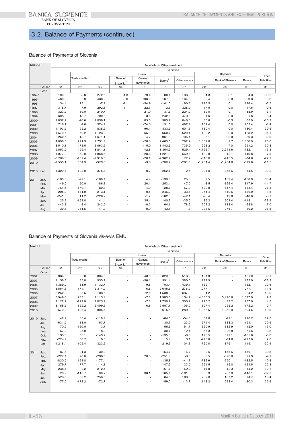**EUROSYSTEM**

### 3.2. Balance of Payments (continued)

### Balance of Payments of Slovenia

| Mio EUR      | FA, of which. Other investment<br>Liabilities |                            |            |                             |                  |                    |               |            |                  |          |             |  |
|--------------|-----------------------------------------------|----------------------------|------------|-----------------------------|------------------|--------------------|---------------|------------|------------------|----------|-------------|--|
|              | Deposits<br>Loans                             |                            |            |                             |                  |                    |               |            |                  |          |             |  |
|              |                                               |                            |            |                             |                  |                    |               |            |                  |          | Other       |  |
|              |                                               | Trade credits <sup>4</sup> |            | Bank of                     | General          | Banks <sup>2</sup> | Other sectors |            | Bank of Slovenia | Banks    | liabilities |  |
| Column       | 81                                            | 82                         | 83         | Slovenia <sup>6</sup><br>84 | government<br>85 | 86                 | 87            | 88         | 89               | 90       | 91          |  |
| Code         |                                               |                            |            |                             |                  |                    |               |            |                  |          |             |  |
| 1994*        | 199.2                                         | $-8.8$                     | 272.5      | $-4.3$                      | 79.4             | 89.4               | 108.0         | $-4.3$     | 0.1              | $-4.3$   | $-60.2$     |  |
| 1995*        | 469.2                                         | $-2.9$                     | 436.9      | $-2.6$                      | 106.9            | 167.9              | 164.8         | 29.4       | 0.0              | 29.3     | 5.8         |  |
| 1996         | 134.4                                         | 17.1                       | $-7.7$     | $-2.1$                      | $-54.9$          | $-141.6$           | 190.8         | 128.5      | 0.1              | 128.4    | $-3.5$      |  |
| 1997         | 318.7                                         | 7.9                        | 292.8      | $-1.1$                      | $-22.7$          | $-12.3$            | 328.9         | 17.5       | 0.0              | 17.5     | 0.5         |  |
| 1998         | 323.9                                         | 39.0                       | 240.7      |                             | $-21.0$          | 37.5               | 224.2         | 39.0       | 0.1              | 38.9     | 5.1         |  |
| 1999         | 698.9                                         | $-18.7$                    | 709.6      |                             | $-3.6$           | 242.5              | 470.6         | 1.6        | 0.0              | 1.6      | 6.4         |  |
| 2000         | 1,037.9                                       | $-20.6$                    | 1,038.1    |                             | 85.5             | 305.9              | 646.6         | 33.6       | $-0.3$           | 33.9     | $-13.2$     |  |
| 2001         | 716.1                                         | $-9.6$                     | 574.7      |                             | $-74.0$          | 151.6              | 497.1         | 152.4      | 0.0              | 152.4    | $-1.4$      |  |
| 2002         | 1,103.5                                       | 95.2                       | 838.5      |                             | $-96.1$          | 333.3              | 601.3         | 130.4      | 0.0              | 130.4    | 39.5        |  |
| 2003         | 1,579.5                                       | 59.2                       | 1,123.2    |                             | $-65.9$          | 659.7              | 529.4         | 428.2      | 0.0              | 428.2    | $-31.1$     |  |
| 2004         | 2,252.5                                       | 213.7                      | 1,671.1    |                             | 4.7              | 961.3              | 705.1         | 335.1      | 98.9             | 236.3    | 32.5        |  |
| 2005         | 4,098.3                                       | 291.3                      | 2,731.4    |                             | $-26.8$          | 2,465.3            | 292.9         | 1,052.6    | 1.7              | 1,050.9  | 23.0        |  |
| 2006         | 3,510.1                                       | 478.5                      | 2,063.6    |                             | $-115.0$         | 1,442.6            | 735.9         | 998.2      | 7.0              | 991.2    | $-30.3$     |  |
| 2007         | 9,053.9                                       | 499.4                      | 3,841.1    |                             | $-42.8$          | 3,354.5            | 529.4         | 4,726.7    | 3,544.6          | 1,182.1  | $-13.2$     |  |
| 2008         | 1,977.9                                       | $-73.0$                    | 1,868.6    |                             | $-28.8$          | 1,227.8            | 669.6         | 189.8      | 43.1             | 146.8    | $-7.5$      |  |
| 2009         | $-3,708.3$                                    | $-452.4$                   | $-2,910.8$ |                             | $-20.1$          | $-2,962.9$         | 72.2          | $-318.0$   | $-243.5$         | $-74.6$  | $-27.1$     |  |
| 2010         | $-2,555.1$                                    | 364.3                      | $-973.5$   |                             | $-3.0$           | $-709.2$           | $-261.3$      | $-1,934.4$ | $-1,234.8$       | $-699.6$ | $-11.5$     |  |
| 2010 Dec.    | $-1,329.6$                                    | $-123.0$                   | $-375.4$   |                             | $-0.7$           | $-262.1$           | $-112.5$      | $-801.0$   | $-855.6$         | 54.6     | $-30.2$     |  |
| 2011<br>Jan. | $-105.5$                                      | $-29.1$                    | $-109.4$   |                             | 4.4              | $-138.8$           | 25.0          | 2.5        | 139.4            | $-136.9$ | 30.4        |  |
| Feb.         | $-49.5$                                       | 60.0                       | $-86.3$    |                             | 20.1             | $-253.4$           | 147.0         | $-8.5$     | $-326.4$         | 317.9    | $-14.7$     |  |
| Mar.         | $-764.5$                                      | 179.7                      | $-189.8$   |                             | $-4.0$           | $-128.6$           | $-57.2$       | $-780.8$   | $-617.4$         | $-163.4$ | 26.5        |  |
| Apr.         | 205.0                                         | 141.9                      | $-213.1$   |                             | $-0.5$           | $-246.2$           | 33.6          | 274.4      | 410.5            | $-136.0$ | 1.8         |  |
| May          | $-241.5$                                      | 11.2                       | $-226.2$   |                             | $-1.7$           | $-182.3$           | $-42.1$       | $-26.4$    | 19.6             | $-46.0$  | $-0.1$      |  |
| Jun.         | 25.9                                          | $-163.8$                   | 141.4      |                             | 35.4             | 140.9              | $-35.0$       | 86.3       | 204.4            | $-118.1$ | $-37.9$     |  |
| Jul.         | 443.3                                         | $-8.4$                     | 242.5      |                             | $-0.2$           | 64.1               | 178.6         | 202.2      | 133.4            | 68.8     | 7.0         |  |
| Aug.         | $-39.6$                                       | $-261.5$                   | $-41.3$    |                             | 0.0              | $-43.1$            | 1.8           | 236.5      | 275.7            | $-39.2$  | 26.8        |  |

| Mio EUR |        |             |                            |            |                       |            | FA, of which. Other investment |               |            |                  |          |             |
|---------|--------|-------------|----------------------------|------------|-----------------------|------------|--------------------------------|---------------|------------|------------------|----------|-------------|
|         |        | Liabilities |                            |            |                       |            |                                |               |            |                  |          |             |
|         |        |             |                            |            |                       | Loans      |                                |               |            | Deposits         |          | Other       |
|         |        |             | Trade credits <sup>4</sup> |            | Bank of               | General    | Banks <sup>2</sup>             | Other sectors |            | Bank of Slovenia | Banks    | liabilities |
|         |        |             |                            |            | Slovenia <sup>6</sup> | government |                                |               |            |                  |          |             |
|         | Column | 81          | 82                         | 83         | 84                    | 85         | 86                             | 87            | 88         | 89               | 90       | 91          |
|         | Code   |             |                            |            |                       |            |                                |               |            |                  |          |             |
| 2002    |        | 984.6       | 26.0                       | 804.5      | ٠                     | $-43.5$    | 329.8                          | 518.2         | 121.9      | ٠                | 121.9    | 32.1        |
| 2003    |        | 1,156.3     | 85.8                       | 935.9      |                       | $-36.1$    | 591.4                          | 380.5         | 172.9      |                  | 172.9    | $-38.2$     |
| 2004    |        | 1,389.2     | 81.9                       | 1,132.7    |                       | $-9.8$     | 703.4                          | 439.1         | 152.1      |                  | 152.1    | 22.6        |
| 2005    |        | 3,554.6     | 174.1                      | 2,314.9    |                       | $-6.8$     | 2,045.6                        | 276.2         | 1,077.1    |                  | 1,077.1  | $-11.6$     |
| 2006    |        | 3,252.8     | 235.5                      | 2,103.5    |                       | $-72.5$    | 1,538.0                        | 637.9         | 924.2      |                  | 924.2    | $-10.5$     |
| 2007    |        | 6,949.0     | 237.1                      | 2,113.4    | ٠                     | $-7.1$     | 1,985.6                        | 134.9         | 4,588.5    | 3,490.6          | 1,097.9  | 9.9         |
| 2008    |        | 2,122.2     | $-122.0$                   | 2,023.7    |                       | $-7.3$     | 1,730.7                        | 300.2         | 216.2      | 79.2             | 137.0    | 4.3         |
| 2009    |        | $-3,158.5$  | $-352.2$                   | $-2,409.6$ |                       | $-6.8$     | $-2,507.7$                     | 105.0         | $-397.4$   | $-225.2$         | $-172.2$ | 0.7         |
| 2010    |        | $-2,579.3$  | 186.4                      | $-895.7$   |                       | ٠          | $-615.5$                       | $-280.3$      | $-1,856.5$ | $-1,252.0$       | $-604.5$ | $-13.5$     |
|         |        |             |                            |            |                       |            |                                |               |            |                  |          |             |
| 2010    | Jun.   | 42.9        | 53.4                       | $-119.4$   |                       |            | $-64.5$                        | $-54.8$       | 89.6       | $-29.1$          | 118.7    | 19.3        |
|         | Jul.   | $-631.0$    | 18.0                       | $-53.7$    |                       | ٠          | $-30.7$                        | $-23.0$       | $-574.4$   | $-383.3$         | $-191.1$ | $-20.9$     |
|         | Aug.   | 170.2       | $-160.0$                   | $-3.7$     |                       |            | $-55.3$                        | 51.7          | 320.9      | 332.9            | $-12.0$  | 13.0        |
|         | Sep.   | 67.8        | 95.9                       | 18.3       |                       |            | 30.7                           | $-12.4$       | $-55.3$    | $-326.8$         | 271.6    | 8.8         |
|         | Oct.   | 130.0       | 85.1                       | $-143.7$   |                       |            | $-135.6$                       | $-8.0$        | 193.5      | 329.1            | $-135.6$ | $-5.0$      |
|         | Nov.   | $-224.7$    | 60.7                       | 8.5        |                       |            | 5.4                            | 3.1           | $-296.6$   | $-74.6$          | $-222.0$ | 2.6         |
|         | Dec.   | $-1,218.4$  | $-102.4$                   | $-323.6$   |                       |            | $-219.3$                       | $-104.3$      | $-760.0$   | $-879.1$         | 119.1    | $-32.4$     |
|         |        |             |                            |            |                       |            |                                |               |            |                  |          |             |
| 2011    | Jan.   | $-87.6$     | 21.3                       | $-139.0$   |                       |            | $-154.7$                       | 15.7          | $-0.6$     | 155.6            | $-156.1$ | 30.8        |
|         | Feb.   | $-227.4$    | 20.0                       | $-238.8$   |                       | 20.5       | $-251.3$                       | $-8.0$        | 0.5        | $-320.8$         | 321.3    | $-9.1$      |
|         | Mar.   | $-820.5$    | 128.8                      | $-177.4$   |                       |            | $-135.8$                       | $-41.7$       | $-782.6$   | $-650.1$         | $-132.5$ | 10.8        |
|         | Apr.   | 279.7       | 77.7                       | $-114.8$   |                       |            | $-147.9$                       | 33.0          | 294.5      | 419.0            | $-124.5$ | 22.3        |
|         | May    | $-238.6$    | $-2.2$                     | $-212.5$   |                       |            | $-161.6$                       | $-50.9$       | $-11.8$    | 42.3             | $-54.2$  | $-12.1$     |
|         | Jun.   | 20.7        | $-113.7$                   | 99.7       |                       | 36.1       | 165.4                          | $-101.8$      | 66.9       | 207.0            | $-140.1$ | $-32.2$     |
|         | Jul.   | 528.8       | 36.2                       | 250.3      |                       |            | 64.3                           | 186.0         | 232.0      | 137.2            | 94.7     | 10.4        |
|         | Aug.   | $-77.0$     | $-173.2$                   | $-72.7$    |                       |            | $-59.0$                        | $-13.7$       | 143.2      | 223.4            | $-80.3$  | 25.6        |
|         |        |             |                            |            |                       |            |                                |               |            |                  |          |             |
|         |        |             |                            |            |                       |            |                                |               |            |                  |          |             |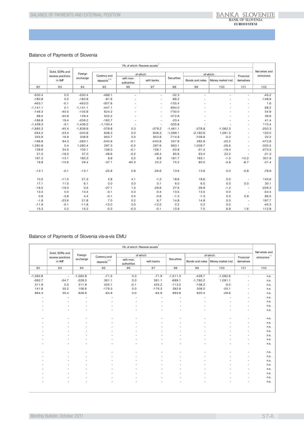### Balance of Payments of Slovenia

|             |                             |             |                   |                          | FA, of which: Reserve assets <sup>7</sup> |            |                          |                             |                          |          |
|-------------|-----------------------------|-------------|-------------------|--------------------------|-------------------------------------------|------------|--------------------------|-----------------------------|--------------------------|----------|
|             | Gold, SDRs and              | Foreign     | Currency and      |                          | of which:                                 | of which:  | Financial                | Net errors and<br>omissions |                          |          |
|             | reserve positions<br>in IMF | exchange    | deposits $^{2,5}$ | with mon.<br>authorities | with banks                                | Securities | Bonds and notes          | Money market inst.          | derivatives              |          |
| 92          | 93                          | 94          | 95                | 96                       | 97                                        | 98         | 99                       | 100                         | 101                      | 102      |
|             |                             |             |                   |                          |                                           |            |                          |                             |                          |          |
| $-530.4$    | 0.0                         | $-530.4$    | $-498.1$          | $\overline{\phantom{a}}$ | $\blacksquare$                            | $-32.3$    | $\overline{\phantom{a}}$ | ×                           | ٠                        | $-45.2$  |
| $-180.8$    | 0.0                         | $-180.8$    | $-91.6$           | ٠                        | ٠                                         | $-89.2$    |                          |                             |                          | $-148.9$ |
| $-463.1$    | $-0.1$                      | $-463.0$    | $-307.6$          |                          | ٠                                         | $-155.4$   |                          |                             |                          | 1.6      |
| $-1, 141.1$ | 0.1                         | $-1, 141.1$ | $-447.1$          |                          | ٠                                         | $-694.0$   |                          |                             |                          | 68.2     |
| $-146.3$    | $-40.5$                     | $-105.8$    | 624.2             |                          | ٠                                         | $-730.0$   |                          |                             |                          | 54.9     |
| 88.5        | $-40.9$                     | 129.4       | 502.2             |                          |                                           | $-372.8$   |                          |                             |                          | 39.6     |
| $-186.8$    | 19.4                        | $-206.2$    | $-182.7$          | ٠                        |                                           | $-23.4$    |                          |                             |                          | 41.4     |
| $-1,439.3$  | $-3.1$                      | $-1,436.2$  | $-1,100.4$        | ٠                        | ٠                                         | $-335.8$   |                          |                             |                          | 110.4    |
| $-1,885.3$  | $-45.4$                     | $-1,839.9$  | $-378.8$          | 0.3                      | $-379.2$                                  | $-1,461.1$ | $-378.8$                 | $-1,082.3$                  |                          | $-250.3$ |
| $-264.2$    | $-23.4$                     | $-240.8$    | 848.3             | 0.0                      | 848.3                                     | $-1,089.1$ | $-2,180.6$               | 1,091.5                     |                          | 150.0    |
| 255.9       | 16.9                        | 238.9       | 953.7             | 0.0                      | 953.8                                     | $-714.8$   | $-709.8$                 | $-5.0$                      |                          | 22.2     |
| $-188.8$    | 94.3                        | $-283.1$    | $-540.9$          | $-0.1$                   | $-540.9$                                  | 257.8      | 282.9                    | $-25.2$                     |                          | $-472.8$ |
| 1,280.8     | 0.4                         | 1,280.4     | 297.3             | $-0.2$                   | 297.6                                     | 983.1      | 1,009.7                  | $-26.6$                     | ٠                        | $-320.5$ |
| 139.6       | 34.5                        | 105.1       | 156.0             | $-0.1$                   | 156.1                                     | $-50.8$    | $-31.4$                  | $-19.4$                     |                          | $-273.5$ |
| 21.0        | $-16.0$                     | 37.0        | $-48.6$           | $-0.2$                   | $-48.4$                                   | 85.6       | 63.4                     | 22.2                        |                          | $-31.3$  |
| 167.2       | $-13.1$                     | 180.3       | 8.8               | 0.0                      | 8.9                                       | 181.7      | 183.1                    | $-1.5$                      | $-10.2$                  | 301.6    |
| 18.8        | $-10.6$                     | 29.4        | $-37.1$           | $-60.3$                  | 23.2                                      | 75.2       | 80.0                     | $-4.8$                      | $-8.7$                   | $-21.4$  |
| $-13.1$     | $-0.1$                      | $-13.1$     | $-25.8$           | 0.8                      | $-26.6$                                   | 13.6       | 13.6                     | 0.0                         | $-0.8$                   | $-78.6$  |
| 10.0        | $-11.5$                     | 21.5        | 2.8               | 4.1                      | $-1.2$                                    | 18.6       | 18.6                     | 0.0                         |                          | 143.6    |
| 17.1        | 11.0                        | 6.1         | 0.0               | $0.0$                    | 0.1                                       | 6.0        | 6.0                      | 0.0                         | 0.0                      | 30.1     |
| $-18.5$     | $-19.0$                     | 0.5         | $-27.1$           | 1.5                      | $-28.6$                                   | 27.6       | 28.9                     | $-1.2$                      |                          | $-226.3$ |
| 13.3        | 0.0                         | 13.4        | $-0.1$            | 0.3                      | $-0.4$                                    | 13.5       | 13.5                     | 0.0                         | $\overline{\phantom{a}}$ | $-54.4$  |
| 0.6         | $-3.8$                      | 4.4         | $-0.1$            | 0.5                      | $-0.6$                                    | $-1.3$     | $-1.3$                   | 0.0                         | 5.9                      | 86.5     |
| $-1.8$      | $-23.6$                     | 21.8        | 7.0               | 0.2                      | 6.7                                       | 14.8       | 14.8                     | 0.0                         |                          | 197.7    |
| $-11.9$     | $-0.1$                      | $-11.8$     | $-12.0$           | 0.0                      | $-12.0$                                   | 0.2        | 0.2                      | 0.0                         |                          | $-45.3$  |
| 15.3        | 0.2                         | 15.2        | $-0.3$            | $-0.3$                   | $-0.1$                                    | 13.9       | 7.0                      | 6.9                         | 1.6                      | 112.8    |

| FA, of which: Reserve assets <sup>7</sup><br>Net errors and |                          |            |                         |                        |            |            |                |                                      |             |                         |
|-------------------------------------------------------------|--------------------------|------------|-------------------------|------------------------|------------|------------|----------------|--------------------------------------|-------------|-------------------------|
|                                                             | Gold, SDRs and           | of which:  |                         |                        |            |            |                |                                      |             |                         |
|                                                             | reserve positions        | Foreign    | Currency and            | of which:<br>with mon. |            |            |                |                                      | Financial   | omissions <sup>11</sup> |
|                                                             | in IMF                   | exchange   | $\text{deposits}^{2,5}$ | authorities            | with banks | Securities |                | Bonds and notes   Money market inst. | derivatives |                         |
| 92                                                          | 93                       | 94         | 95                      | 96                     | 97         | 98         | 99             | 100                                  | 101         | 102                     |
|                                                             |                          |            |                         |                        |            |            |                |                                      |             |                         |
| $-1,582.8$                                                  | $\overline{\phantom{a}}$ | $-1,582.8$ | $-71.5$                 | 0.3                    | $-71.9$    | $-1,511.3$ | $-428.7$       | $-1,082.6$                           | ٠           | n.s.                    |
| $-382.7$                                                    | $-54.7$                  | $-328.0$   | 361.1                   | 0.0                    | 361.1      | $-689.1$   | $-1,780.2$     | 1,091.1                              | ٠           | n.s.                    |
| 311.9                                                       | 0.0                      | 311.9      | 425.1                   | $-0.1$                 | 425.2      | $-113.2$   | $-108.2$       | $-5.0$                               | ٠           | n.s.                    |
| 141.8                                                       | 35.2                     | 106.6      | $-176.3$                | 0.0                    | $-176.3$   | 282.9      | 308.0          | $-25.1$                              | ٠           | n.s.                    |
| 864.3                                                       | 35.4                     | 828.9      | $-64.9$                 | 0.0                    | $-64.9$    | 893.8      | 920.4          | $-26.6$                              | ٠           | n.s.                    |
| ٠                                                           | $\overline{a}$           | ٠          | ä,                      | $\overline{a}$         | ٠          | ٠          | $\overline{a}$ |                                      | ٠           | n.s.                    |
|                                                             | ä,                       | ٠          | ä,                      | ٠                      |            |            |                |                                      | ä,          | n.s.                    |
|                                                             |                          | ٠          |                         | ä,                     |            |            |                |                                      | ٠           | n.s.                    |
|                                                             |                          | ٠          |                         |                        |            |            |                |                                      | ٠           | n.s.                    |
|                                                             |                          |            |                         |                        |            |            |                |                                      |             |                         |
|                                                             |                          |            |                         |                        |            |            |                |                                      | ٠           | n.s.                    |
|                                                             |                          |            |                         |                        |            |            |                |                                      | ä,          | n.s.                    |
|                                                             |                          |            |                         |                        |            |            |                |                                      | ä,          | n.s.                    |
|                                                             |                          |            |                         |                        |            |            |                |                                      | ÷           | n.s.                    |
|                                                             |                          |            |                         |                        |            |            |                |                                      | ä,          | n.s.                    |
|                                                             |                          |            |                         |                        |            |            |                |                                      | ٠           | n.s.                    |
|                                                             |                          | ٠          |                         | ä,                     | ÷          | ÷          |                |                                      | ٠           | n.s.                    |
|                                                             |                          |            |                         |                        |            |            |                |                                      |             |                         |
|                                                             |                          | ٠          | ä,                      | ä,                     |            |            | ٠              |                                      | ٠           | n.s.                    |
|                                                             |                          |            |                         |                        |            |            |                |                                      | ٠           | n.s.                    |
|                                                             |                          |            |                         |                        |            |            |                |                                      | ٠           | n.s.                    |
|                                                             |                          |            |                         |                        |            |            |                |                                      |             | n.s.                    |
|                                                             |                          |            |                         |                        |            |            |                |                                      | ٠           | n.s.                    |
|                                                             |                          |            |                         |                        |            |            |                |                                      | ٠           | n.s.                    |
|                                                             |                          |            |                         |                        |            |            |                |                                      | ٠           | n.s.                    |
|                                                             |                          |            |                         |                        |            |            |                |                                      | ٠           | n.s.                    |
|                                                             |                          |            |                         |                        |            |            |                |                                      |             |                         |
|                                                             |                          |            |                         |                        |            |            |                |                                      |             |                         |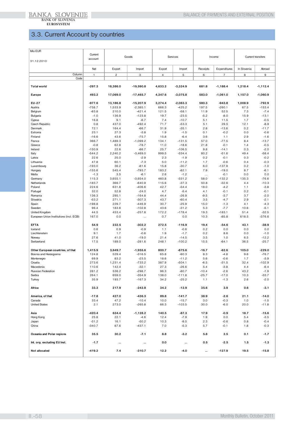# 3.3. Current Account by countries

| Mio EUR                                 |                |                  |                      |                |                     |                    |                   |              |                    |
|-----------------------------------------|----------------|------------------|----------------------|----------------|---------------------|--------------------|-------------------|--------------|--------------------|
|                                         | Current        |                  |                      |                |                     |                    |                   |              |                    |
|                                         | account        |                  | Goods                |                | Services            |                    | Income            |              | Current transfers  |
| 31.12.2010                              |                |                  |                      |                |                     |                    |                   |              |                    |
|                                         |                |                  |                      |                |                     |                    |                   |              |                    |
|                                         | Net            | Export           | Import               | Export         | Import              | Receipts           | Expenditures      | In Slovenia  | Abroad             |
| Column                                  | $\mathbf{1}$   | $\overline{c}$   | 3                    | $\overline{4}$ | 5                   | 6                  | $\overline{7}$    | 8            | 9                  |
| Code                                    |                |                  |                      |                |                     |                    |                   |              |                    |
|                                         |                |                  |                      |                |                     |                    |                   |              |                    |
| <b>Total world</b>                      | $-297.3$       | 18,386.0         | $-19,590.8$          | 4,633.2        | $-3,324.9$          | 681.8              | $-1,188.4$        | 1,218.4      | $-1, 112.4$        |
|                                         |                |                  |                      |                |                     |                    |                   |              |                    |
| Europe                                  | 493.2          | 17,069.0         | $-17,465.7$          | 4,347.6        | $-3,075.8$          | 583.0              | $-1,061.0$        | 1,157.0      | $-1,060.9$         |
|                                         |                |                  |                      |                |                     |                    |                   |              |                    |
| EU-27                                   | $-977.6$       | 13,186.8         | $-15,207.9$          | 3,274.4        | $-2,083.3$          | 580.3              | -943.8            | 1,008.9      | $-792.9$           |
| Austria                                 | $-758.7$       | 1,533.9          | $-2,385.1$           | 666.3          | $-425.2$            | 197.5              | $-260.1$          | 67.5         | $-153.4$           |
| Belgium                                 | $-83.8$        | 210.0            | $-421.4$             | 121.5          | $-58.1$             | 11.9               | 52.5              | 7.3          | $-7.4$             |
| Bulgaria                                | $-1.0$         | 136.9            | $-123.8$             | 19.7           | $-23.5$             | $-5.2$             | $-8.0$            | 15.9         | $-13.1$            |
| Cyprus                                  | 16.8           | 9.1              | $-6.7$               | 7.4            | $-10.7$             | 5.1                | 11.5              | 1.7          | $-0.5$             |
| Czech Republic                          | 0.8            | 437.0            | $-492.4$             | 71.7           | $-53.3$             | 5.1                | 29.5              | 12.1         | $-8.9$             |
| Denmark                                 | 72.1           | 164.4            | $-66.7$              | 31.9           | $-35.1$             | 2.8                | $-13.6$           | 0.2          | $-11.7$            |
| Estionia                                | 23.1           | 27.3             | $-3.8$               | 1.9            | $-1.5$              | 0.1                | $-0.2$            | 0.0          | $-0.6$             |
| Finland                                 | $-16.6$        | 43.6             | $-75.7$              | 15.8           | $-6.4$              | 3.6                | 1.1               | 2.9          | $-1.6$             |
| France                                  | 366.7          | 1,489.3          | $-1,099.2$           | 134.1          | $-131.5$            | 57.0               | $-77.5$           | 8.4          | $-13.7$            |
| Greece                                  | $-0.8$         |                  |                      |                | $-18.6$             |                    | $-0.1$            |              |                    |
|                                         |                | 62.8             | $-78.7$              | 11.0           |                     | 21.8               |                   | 1.4          | $-0.5$             |
| Ireland                                 | $-150.9$       | 22.6             | $-86.7$              | 25.7           | $-106.5$            | 9.8                | $-14.1$           | 0.3          | $-2.0$             |
| Italy                                   | $-544.2$       | 2,240.2          | $-3,469.0$           | 999.5          | $-334.4$            | 80.2               | $-51.6$           | 49.4         | $-58.4$            |
| Latvia                                  | 22.6           | 25.0             | $-2.9$               | 2.3            | $-1.9$              | 0.2                | $-0.1$            | 0.3          | $-0.2$             |
| Lithuania                               | 47.8           | 60.1             | $-7.3$               | 5.0            | $-11.2$             | 1.7                | $-0.6$            | 0.4          | $-0.3$             |
| Luxembourg                              | $-193.0$       | 36.2             | $-81.6$              | 15.8           | $-30.7$             | 6.0                | $-137.9$          | 0.2          | $-1.0$             |
| Hungary                                 | $-155.6$       | 545.4            | $-793.7$             | 183.2          | $-82.1$             | 7.9                | $-19.0$           | 8.7          | $-6.1$             |
| Malta                                   | $-1.3$         | 3.5              | $-6.1$               | 2.6            | $-1.2$              | $\ddotsc$          | $-0.1$            | 0.0          | 0.0                |
| Germany                                 | 115.3          | 3,655.1          | $-3,654.0$           | 460.8          | $-331.2$            | 58.0               | $-132.2$          | 135.3        | $-76.6$            |
| Netherlands                             | $-183.7$       | 366.7            | $-640.9$             | 115.6          | $-37.3$             | 50.8               | $-32.6$           | 4.4          | $-10.3$            |
| Poland                                  | 224.6          | 631.8            | $-406.6$             | 42.7           | $-54.4$             | 18.0               | $-4.2$            | 1.1          | $-3.8$             |
| Portugal                                | 32.0           | 52.8             | $-24.0$              | 4.7            | $-5.4$              | 4.1                | $-0.1$            | 0.2          | $-0.1$             |
| Romania                                 | 136.3          | 295.1            | $-164.8$             | 44.4           | $-26.9$             | $-9.5$             | $-3.7$            | 3.7          | $-2.0$             |
| Slovakia                                | $-53.2$        | 271.1            | $-307.3$             | 43.7           | $-60.4$             | 3.5                | $-4.7$            | 2.9          | $-2.1$             |
| Spain                                   | $-198.8$       | 229.7            | $-446.9$             | 30.7           | $-25.9$             | 15.0               | $-1.3$            | 4.1          | $-4.3$             |
| Sweden                                  | 96.4           | 183.6            | $-102.8$             | 43.6           | $-31.2$             | 5.3                | $-7.7$            | 10.6         | $-5.1$             |
| United Kingdom                          | 44.5           | 453.4            | $-257.8$             | 172.2          | $-178.4$            | 19.3               | $-183.1$          | 51.4         | $-32.5$            |
| European Union Institutions (incl. ECB) | 167.0          | 0.0              |                      | 0.7            | 0.0                 | 10.3               | $-85.8$           | 618.5        | $-376.6$           |
|                                         |                |                  |                      |                |                     |                    |                   |              |                    |
| <b>EFTA</b>                             | 54.9           | 232.5            | $-302.2$             | 272.5          | $-116.9$            | 19.4               | $-54.6$           | 43.1         | $-38.9$            |
| Iceland                                 | 0.6            | 0.9              | $-0.9$               | 1.1            | $-0.6$              | 0.2                | 0.0               | 0.0          | 0.0                |
| Liechtenstein                           | 9.1            | 1.7              | $-0.6$               | 1.9            | $-1.7$              | 0.2                | 8.6               | 0.0          | $-1.0$             |
| Norway                                  | 27.6           | 41.0             | $-19.0$              | 21.4           | $-14.5$             | 3.5                | 1.0               | 6.5          | $-12.2$            |
| Switzerland                             | 17.5           | 189.0            | $-281.6$             | 248.1          | $-100.2$            | 15.5               | $-64.1$           | 36.5         | $-25.7$            |
|                                         |                |                  |                      |                |                     |                    |                   |              |                    |
| Other European countries, of that       | 1,415.9        | 3,649.7          | $-1,955.6$           | 800.7          | $-875.6$            | $-16.7$            | $-62.6$           | 105.0        | $-229.0$           |
|                                         |                | 529.4            | $-316.5$             | 65.8           | $-90.3$             | 8.3                | $-4.8$            | 9.6          | $-76.7$            |
| Bosnia and Herzegovina                  | 124.8          |                  |                      |                |                     |                    |                   |              |                    |
| Montenegro                              | 69.9           | 83.2             | $-23.5$              | 18.6           | $-11.2$             | 5.6                | $-0.6$            | 1.7          | $-3.9$             |
| Croatia<br>Macedonia                    | 273.6<br>110.6 | 1,231.4<br>142.4 | $-733.2$<br>$-32.1$  | 387.9<br>27.3  | $-504.1$<br>$-26.6$ | $-6.5$<br>5.4      | $-31.5$<br>$-3.8$ | 32.4<br>4.4  | $-102.9$<br>$-6.4$ |
|                                         |                |                  |                      |                |                     |                    |                   |              |                    |
| Russian Federation<br>Serbia            | 281.2<br>264.1 | 536.2<br>659.0   | $-298.7$<br>$-354.9$ | 96.3<br>138.0  | $-80.7$<br>$-111.8$ | $-10.4$<br>$-25.7$ | $-2.6$<br>$-17.0$ | 43.2<br>10.3 | $-1.9$<br>$-33.7$  |
|                                         |                |                  |                      |                |                     |                    |                   |              |                    |
| Turkey                                  | 35.9           | 193.7            | $-167.3$             | 34.2           | $-25.2$             | 1.1                | $-1.3$            | 2.6          | $-2.0$             |
|                                         |                |                  |                      |                |                     |                    |                   |              |                    |
| Africa                                  | 33.3           | 217.9            | $-242.8$             | 34.2           | $-12.9$             | 35.6               | 3.9               | 0.6          | $-3.1$             |
|                                         |                |                  |                      |                |                     |                    |                   |              |                    |
| America, of that                        | $-17.8$        | 427.0            | -436.3               | 89.8           | $-141.7$            | 38.9               | $-2.6$            | 21.1         | $-14.0$            |
| Canada                                  | 33.4           | 47.2             | $-10.4$              | 10.0           | $-15.7$             | 3.0                | $-0.3$            | 1.0          | $-1.5$             |
| <b>United States</b>                    | 2.1            | 273.0            | $-265.8$             | 66.3           | $-103.5$            | 30.0               | $-6.0$            | 20.0         | $-11.8$            |
|                                         |                |                  |                      |                |                     |                    |                   |              |                    |
| Asia                                    | $-420.4$       | 634.4            | $-1,128.2$           | 140.5          | -87.3               | 17.9               | $-0.9$            | 18.7         | $-15.6$            |
| Hong Kong                               | 25.8           | 22.1             | $-4.6$               | 12.4           | $-7.9$              | 1.9                | 0.0               | 5.4          | $-3.5$             |
| Japan                                   | $-31.2$        | 16.1             | $-50.2$              | 10.3           | $-9.5$              | 2.3                | $-0.6$            | 0.8          | $-0.4$             |
| China                                   | $-340.7$       | 87.6             | $-437.1$             | 7.0            | $-5.3$              | 5.7                | $-0.1$            | 1.8          | $-0.3$             |
|                                         |                |                  |                      |                |                     |                    |                   |              |                    |
| Oceania and Polar regions               | 35.5           | 30.2             | $-7.1$               | 8.8            | $-3.2$              | 5.8                | 2.5               | 0.1          | $-1.7$             |
|                                         |                |                  |                      |                |                     |                    |                   |              |                    |
| Int. org. excluding EU Inst.            | $-1.7$         | $\cdots$         |                      | 0.0            | $\cdots$            | 0.5                | $-2.5$            | 1.5          | $-1.3$             |
|                                         |                |                  |                      |                |                     |                    |                   |              |                    |
| Not allocated                           | $-419.2$       | 7.4              | $-310.7$             | 12.2           | $-4.0$              | $\cdots$           | $-127.9$          | 19.5         | $-15.8$            |
|                                         |                |                  |                      |                |                     |                    |                   |              |                    |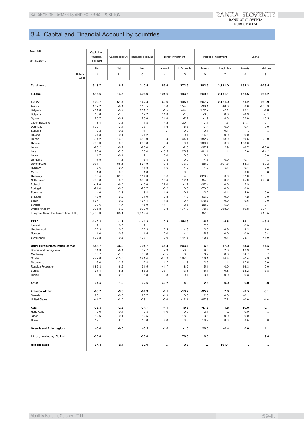# BANKA SLOVENIJE

BANK OF SLOVENIA **EUROSYSTEM**

# 3.4. Capital and Financial Account by countries

| Mio EUR<br>31.12.2010                   | Capital and<br>financial<br>account | Capital account | Financial account | Direct investment |             | Portfolio investment |             |          | Loans              |
|-----------------------------------------|-------------------------------------|-----------------|-------------------|-------------------|-------------|----------------------|-------------|----------|--------------------|
|                                         | Net                                 | Net             | Net               | Abroad            | In Slovenia | Assets               | Liabilities | Assets   | Liabilities        |
| Column                                  | 1                                   | $\overline{c}$  | 3                 | $\overline{4}$    | 5           | 6                    | 7           | 8        | 9                  |
| Code                                    |                                     |                 |                   |                   |             |                      |             |          |                    |
| <b>Total world</b>                      | 318.7                               | 8.2             | 310.5             | 59.6              | 273.9       | -383.9               | 2,331.0     | 164.2    | $-973.5$           |
| Europe                                  | 415.6                               | 14.6            | 401.0             | 104.6             | 193.6       | $-259.6$             | 2,131.1     | 163.6    | $-981.2$           |
| EU-27                                   | $-100.7$                            | 61.7            | $-162.4$          | 69.0              | 145.1       | $-257.7$             | 2,121.0     | 61.2     | -989.9             |
| Austria                                 | 107.2                               | $-8.4$          | 115.5             | 3.6               | 154.6       | $-38.1$              | 46.0        | 6.6      | $-235.3$           |
| Belgium                                 | 211.6                               | $-0.2$          | 211.7             | $-1.5$            | $-44.5$     | 172.7                | $-7.1$      | 12.1     | $-4.8$             |
| Bulgaria                                | 10.6                                | $-1.5$          | 12.2              | 51.3              | $-1.5$      | $-0.8$               | 0.0         | $-9.3$   | $-0.1$             |
| Cyprus                                  | 78.7                                | $-0.1$          | 78.8              | 31.4              | $-7.7$      | $-1.9$               | 8.6         | 32.8     | 10.5               |
| Czech Republic                          | 8.4                                 | $-3.4$          | 11.8              | 4.2               | $-30.4$     | $-17.1$              | 11.7        | 51.7     | $-0.1$             |
| Denmark                                 | 122.7                               | $-2.4$          | 125.1             | 1.6               | 6.6         | $-7.4$               | 0.0         | 0.4      | 0.0                |
| Estionia                                | $-2.2$                              | $-0.5$          | $-1.7$            | $\cdots$          | 0.0         | 0.1                  | 0.1         | $\cdots$ | $\cdots$           |
| Finland                                 | $-21.3$                             | $-0.1$          | $-21.2$           | $-0.1$            | 0.4         | $-14.8$              | 0.0         | 0.0      | 0.1                |
| France                                  | $-334.2$                            | $-14.3$         | $-319.9$          | $-0.4$            | $-44.1$     | $-182.7$             | $-63.9$     | 39.5     | $-23.9$            |
| Greece                                  | $-293.9$                            | $-0.6$          | $-293.3$          | $-5.4$            | 0.4         | $-190.4$             | 0.0         | $-103.6$ |                    |
| Ireland                                 | $-26.2$                             | $-0.2$          | $-26.0$           | $-0.1$            | $-2.6$      | $-37.7$              | 2.9         | $-3.7$   | $-23.8$            |
| Italy                                   | 25.8                                | $-7.6$          | 33.4              | $-18.5$           | 25.9        | $-81.1$              | 1.1         | 7.6      | $-24.2$            |
| Latvia                                  | 1.7                                 | $-0.4$          | 2.1               | 0.0               | 0.0         | 0.1                  |             | 1.1      | 0.0                |
| Lithuania                               | $-7.5$                              | $-1.1$          | $-6.4$            | $-0.3$            | 0.0         | $-4.3$               | 0.0         | $-0.1$   |                    |
| Luxembourg                              | 931.7                               | 56.8            | 874.9             | $-0.3$            | $-73.0$     | $-86.2$              | 1,107.5     | 33.3     | $-60.2$            |
| Hungary                                 | 8.6                                 | $-2.7$          | 11.3              | 1.0               | 4.2         | $-4.9$               | 15.1        | 0.1      | 0.0                |
| Malta                                   | $-1.3$                              | 0.0             | $-1.3$            | $\ddotsc$         | 0.0         |                      | $\cdots$    | 0.0      | $-0.8$             |
| Gemany                                  | 83.4                                | $-31.2$         | 114.6             | $-9.8$            | $-4.5$      | 328.2                | $-0.6$      | $-37.0$  | $-308.1$           |
| Netherlands                             | $-299.3$                            | 0.7             | $-300.0$          | $-16.4$           | $-12.1$     | $-34.8$              | $-0.2$      | 15.9     | $-222.3$           |
| Poland                                  | $-17.6$                             | $-6.8$          | $-10.8$           | 32.0              | $-1.7$      | $-37.4$              | 0.0         | 5.3      |                    |
| Portugal                                | $-71.4$                             | $-0.8$          | $-70.7$           | $-0.2$            | 0.0         | $-70.0$              | 0.0         | 0.0      | $\cdots$           |
| Romania                                 | 4.6                                 | $-3.8$          | 8.4               | 11.9              | $-0.1$      | $-2.2$               | $-0.1$      | 5.9      | 0.0                |
| Slovakia                                | 18.9                                | $-2.2$          | 21.0              | $-2.8$            | $-1.8$      | $-56.2$              | 0.0         | $-7.2$   | 0.0                |
| Spain                                   | 164.1                               | $-0.3$          | 164.4             | $-1.2$            | 0.4         | 178.6                | $0.0$       | 0.6      | $-3.0$             |
| Sweden                                  | $-20.6$                             | $-4.7$          | $-15.9$           | $-11.1$           | 2.5         | $-28.9$              | 5.9         | $-1.7$   | $-0.1$             |
| United Kingdom                          | 925.8                               | $-6.2$          | 932.0             | 0.3               | 174.3       | $-78.7$              | 993.9       | 10.8     | $-304.4$           |
| European Union Institutions (incl. ECB) | $-1,708.9$                          | 103.4           | $-1,812.4$        | $\cdots$          | $\ddotsc$   | 37.9                 |             | $\cdots$ | 210.5              |
| <b>EFTA</b>                             | $-142.3$                            | $-1.1$          | $-141.2$          | 0.2               | $-154.9$    | $-8.7$               | $-6.8$      | 19.1     | $-45.8$            |
| Iceland                                 | 7.1                                 | 0.0             | 7.1               | $\ddotsc$         | $\cdots$    | 7.0                  | $\cdots$    | 0.0      |                    |
| Liechtenstein                           | $-22.2$                             | 0.0             | $-22.2$           | 0.2               | $-14.9$     | 2.0                  | $-6.9$      | $-4.3$   | 1.6                |
| Norway                                  | 1.0                                 | $-0.5$          | 1.5               | 0.0               | 4.4         | $-5.3$               | 0.0         | 0.0      | 0.4                |
| Switzerland                             | $-128.2$                            | $-0.5$          | $-127.7$          | 0.0               | $-144.5$    | $-12.5$              | 0.1         | 23.4     | -47.9              |
| Other European countries, of that       | 658.7                               | $-46.0$         | 704.7             | 35.4              | 203.4       | 6.8                  | 17.0        | 83.3     | 54.5               |
| Bosnia and Herzegovina                  | 51.3                                | $-6.4$          | 57.7              | 7.9               | $-8.8$      | 9.3                  | 2.0         | 42.3     | 0.2                |
| Montenegro                              | 86.7                                | $-1.3$          | 88.0              | $-8.5$            | 0.0         | 3.9                  | 0.0         | 34.7     | 0.7                |
| Croatia                                 | 277.6                               | $-13.8$         | 291.4             | $-28.9$           | 197.6       | 16.1                 | 24.4        | $-7.4$   | 59.3               |
| Macedonia                               | -5.0                                | $-2.2$          | $-2.8$            | 1.7               | $-1.3$      | 3.9                  | 1.1         | 17.5     | 0.0                |
| Russian Federation                      | 185.3                               | $-6.2$          | 191.5             | $-41.7$           | 18.2        | $-15.1$              | 0.0         | 46.3     | 0.0                |
| Serbia                                  | 77.4                                | $-8.8$          | 86.2              | 107.1             | $-3.8$      | $-6.1$               | $-10.8$     | $-55.2$  | $-5.8$             |
| Turkey                                  | $-9.0$                              | $-2.3$          | $-6.8$            | $-3.3$            | 0.7         | $-3.1$               | 0.0         | $-0.3$   |                    |
| Africa                                  | $-34.5$                             | $-1.9$          | $-32.6$           | $-33.2$           | -4.0        | $-2.5$               | 0.0         | 0.0      | 0.0                |
| America, of that                        | $-68.7$                             | $-3.8$          | $-64.9$           | $-6.1$            | $-13.2$     | $-95.2$              | 7.6         | $-9.5$   | $-3.1$             |
| Canada                                  | 23.1                                | $-0.6$          | 23.7              | $-1.9$            | 0.0         | 12.8                 | 0.0         | $-0.1$   |                    |
| <b>United States</b>                    | $-41.7$                             | $-2.6$          | $-39.1$           | $-5.8$            | $-12.1$     | $-67.9$              | 7.2         | $-0.6$   | $\ldots$<br>$-4.4$ |
|                                         |                                     |                 |                   |                   |             |                      |             |          |                    |
| Asia                                    | $-27.3$                             | $-2.6$          | $-24.7$           | $-4.1$            | 19.5        | $-47.3$              | 1.5         | 10.0     | 0.1                |
| Hong Kong                               | 2.0                                 | $-0.4$          | 2.3               | $-1.0$            | 0.0         | 2.1                  | $\cdots$    | 0.0      | $\cdots$           |
| Japan                                   | 12.6                                | 0.1             | 12.5              | 0.1               | 18.9        | $-3.8$               | 0.0         | 0.0      | $\ldots$           |
| China                                   | $-17.1$                             | 2.2             | $-19.3$           | $-2.8$            | $-0.2$      | $-10.7$              | 0.0         | 0.5      | 0.0                |
| Oceania and Polar regions               | 40.0                                | $-0.6$          | 40.5              | $-1.6$            | $-1.5$      | 20.8                 | $-0.4$      | 0.0      | 1.1                |
| Int. org. excluding EU Inst.            | $-30.8$                             |                 | $-30.8$           |                   | 78.6        | 0.0                  | $\cdots$    |          | 9.6                |
| Not allocated                           | 24.4                                | 2.4             | 22.0              |                   | 0.8         | $\ddotsc$            | 191.1       |          | $\cdots$           |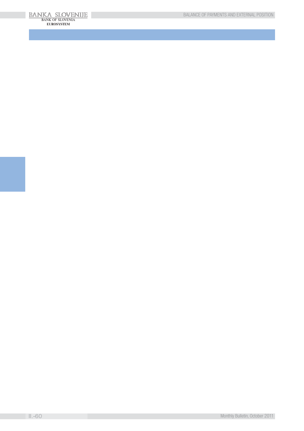BANKA SLOVENIJE BANK OF SLOVENIA **EUROSYSTEM**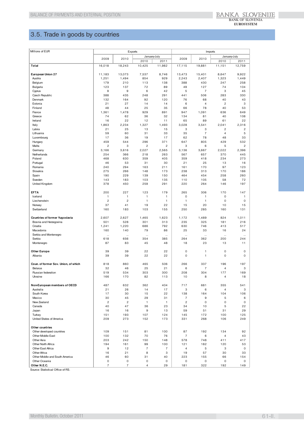# 3.5. Trade in goods by countries

| Millions of EUR                      |                | Exports        |                           |                | Imports        |                |                     |                         |  |
|--------------------------------------|----------------|----------------|---------------------------|----------------|----------------|----------------|---------------------|-------------------------|--|
|                                      | 2009           |                | January-July              |                |                |                | January-July        |                         |  |
|                                      |                | 2010           | 2010                      | 2011           | 2009           | 2010           | 2010                | 2011                    |  |
| Total                                | 16,018         | 18,243         | 10,425                    | 11,982         | 17,115         | 19,881         | 11,151              | 12,759                  |  |
| European Union 27                    | 11,183         | 13,073         | 7,537                     | 8,746          | 13,473         | 15,401         | 8,647               | 9,922                   |  |
| Austria                              | 1,251          | 1,494          | 854                       | 929            | 2,243          | 2,407          | 1,323               | 1,449                   |  |
| Belgium                              | 179            | 210            | 113                       | 138            | 388            | 430            | 247                 | 258                     |  |
| Bulgaria                             | 123            | 137            | 72                        | 89             | 49             | 127            | 74                  | 104                     |  |
| Cyprus                               | 9              | 9              | 6                         | 42             | 5              | $\overline{7}$ | 3                   | 45                      |  |
| Czech Republic                       | 388            | 435            | 248                       | 291            | 441            | 506            | 283                 | 330                     |  |
| Denmark                              | 132            | 164            | 92                        | 120            | 76             | 68             | 40                  | 43                      |  |
|                                      | 21             |                | 14                        | 14             |                | $\overline{4}$ | $\overline{c}$      |                         |  |
| Estonia                              |                | 27             |                           |                | 6              |                |                     | 3                       |  |
| Finland                              | 48             | 44             | 25                        | 35             | 66             | 78             | 40                  | 53                      |  |
| France                               | 1,361          | 1,478          | 929                       | 891            | 947            | 1,091          | 636                 | 649                     |  |
| Greece                               | 74             | 62             | 36                        | 32             | 134            | 81             | 40                  | 108                     |  |
| Ireland                              | 16             | 22             | 12                        | 11             | 65             | 89             | 61                  | 22                      |  |
| Italy                                | 1,863          | 2,234          | 1,327                     | 1,493          | 3,028          | 3,541          | 2,041               | 2,316                   |  |
| Latvia                               | 21             | 25             | 13                        | 15             | 3              | 3              | $\overline{c}$      | $\overline{c}$          |  |
| Lithuania                            | 59             | 60             | 31                        | 33             | 35             | $\overline{7}$ | 4                   | 5                       |  |
| Luxembourg                           | 17             | 36             | 19                        | 17             | 62             | 78             | 48                  | 33                      |  |
| Hungary                              | 459            | 544            | 296                       | 371            | 647            | 805            | 429                 | 532                     |  |
| Malta                                | $\overline{c}$ | 3              | $\overline{c}$            | $\overline{c}$ | 3              | 6              | 5                   | $\overline{\mathbf{c}}$ |  |
| Germany                              | 3,166          | 3,616          | 2,027                     | 2,565          | 3,136          | 3,667          | 2,022               | 2,396                   |  |
| Netherlands                          | 254            | 366            | 218                       | 263            | 567            | 657            | 370                 | 445                     |  |
| Poland                               | 468            | 630            | 359                       | 405            | 359            | 418            | 234                 | 273                     |  |
| Portugal                             | 46             | 53             | 31                        | 30             | 21             | 25             | 13                  | 16                      |  |
| Romania                              | 240            | 294            | 163                       | 211            | 161            | 170            | 97                  | 123                     |  |
| Slovakia                             | 275            | 266            | 148                       | 173            | 238            | 313            | 170                 | 186                     |  |
| Spain                                | 190            | 229            | 139                       | 150            | 464            | 454            | 258                 | 260                     |  |
| Sweden                               | 143            | 183            | 103                       | 135            | 110            | 105            | 58                  | 72                      |  |
| United Kingdom                       | 378            | 450            | 259                       | 291            | 220            | 264            | 146                 | 197                     |  |
|                                      |                |                |                           |                |                |                |                     |                         |  |
| <b>EFTA</b>                          | 200            | 227            | 123                       | 179            | 265            | 306            | 170                 | 147                     |  |
| Iceland                              | $\mathbf{1}$   | 1              | 1                         | 1              | 0              | 1              | $\mathsf O$         | 1                       |  |
| Liechenstein                         | $\overline{c}$ | $\overline{c}$ | 1                         | $\mathbf{1}$   | 1              | 1              | $\mathsf O$         | 0                       |  |
| Norway                               | 37             | 41             | 19                        | 22             | 15             | 20             | 10                  | 15                      |  |
| Switzerland                          | 160            | 183            | 103                       | 155            | 250            | 285            | 160                 | 131                     |  |
|                                      |                |                |                           |                |                |                |                     |                         |  |
| Countries of former Yugoslavia       | 2,607          | 2,627          | 1,465                     | 1,623          | 1,172          | 1,489          | 824                 | 1,011                   |  |
| Bosnia and Herzegovina               | 501            | 528            | 301                       | 313            | 235            | 325            | 181                 | 216                     |  |
| Croatia                              | 1,241          | 1,220          | 686                       | 792            | 630            | 746            | 413                 | 517                     |  |
| Macedonia                            | 160            | 140            | 79                        | 86             | 25             | 33             | 16                  | 24                      |  |
| Serbia and Montenegro                | $\cdots$       |                | $\cdots$                  |                | $\cdots$       |                |                     | $\cdots$                |  |
| Serbia                               | 618            | 656            | 354                       | 385            | 264            | 362            | 200                 | 244                     |  |
| Montenegro                           | 87             | 83             | 45                        | 48             | 18             | 23             | 13                  | 11                      |  |
| Other Europe                         | 39             | 39             | 22                        | 22             | 0              | 1              | $\mathsf O$         | 0                       |  |
| Albania                              | 39             | 39             | 22                        | 22             | 0              | 1              | $\mathsf{O}\xspace$ | 0                       |  |
|                                      |                |                |                           |                |                |                |                     |                         |  |
| Coun. of former Sov. Union, of which | 818            | 860            | 465                       | 506            | 266            | 337            | 196                 | 197                     |  |
| Belarus                              | 32             | 46             | 25                        | 21             | 6              | 7              | 4                   | 3                       |  |
| Russian federation                   | 519            | 534            | 303                       | 300            | 208            | 304            | 177                 | 169                     |  |
| Ukraine                              | 166            | 170            | 82                        | 113            | 10             | 8              | $\overline{4}$      | 18                      |  |
|                                      |                |                |                           |                |                |                |                     |                         |  |
| Non-European members of OECD         | 487            | 632            | 362                       | 404            | 717            | 681            | 355                 | 541                     |  |
| Australia                            | 21             | 26             | 14                        | 17             | 3              | 6              | $\overline{4}$      | 3                       |  |
| South Korea                          | 17             | 30             | 15                        | 22             | 138            | 164            | 104                 | 106                     |  |
| Mexico                               | 30             | 45             | 29                        | 31             | $\overline{7}$ | 9              | 5                   | 6                       |  |
| New Zealand                          | $\overline{c}$ | $\overline{c}$ | $\mathbf{1}$              | $\mathbf{1}$   | $\overline{c}$ | $\circ$        | $\mathsf O$         | $\mathsf{O}\xspace$     |  |
| Canada                               | 40             | 47             | 36                        | 23             | 34             | 10             | 5                   | 22                      |  |
| Japan                                | 16             | 16             | 9                         | 13             | 59             | 51             | 31                  | 29                      |  |
| Turkey                               | 151            | 193            | 107                       | 124            | 145            | 172            | 100                 | 125                     |  |
| United States of America             | 209            | 273            | 152                       | 173            | 331            | 268            | 106                 | 249                     |  |
|                                      |                |                |                           |                |                |                |                     |                         |  |
| Other countries                      |                |                |                           |                |                |                |                     |                         |  |
| Other developed countries            | 109            | 151            | 81                        | 100            | 87             | 192            | 134                 | 92                      |  |
| Other Middle East                    | 100            | 132            | 70                        | 76             | $\overline{7}$ | 6              | $\overline{4}$      | 43                      |  |
| Other Asia                           | 203            | 242            | 150                       | 148            | 578            | 748            | 411                 | 417                     |  |
| Other North Africa                   | 194            | 161            | 99                        | 100            | 121            | 182            | 120                 | 53                      |  |
| Other East Africa                    | $\mathsf g$    | 12             | $\overline{\mathfrak{c}}$ | $\overline{7}$ | $\overline{4}$ | 5              | 3                   | 0                       |  |
| Other Africa                         | 16             | 21             | 8                         | 3              | 19             | 57             | 30                  | 33                      |  |
| Other Middle and South America       | 46             | 60             | 31                        | 40             | 223            | 155            | 66                  | 154                     |  |
| Other Oceania                        | $\mathsf O$    | 0              | 0                         | $\mathsf O$    | 0              | $\mathsf O$    | $\mathsf O$         | 0                       |  |
| Other N.E.C.                         | $\overline{7}$ | $\overline{7}$ | $\overline{4}$            | 29             | 181            | 322            | 192                 | 149                     |  |

Source: Statistical Office of RS.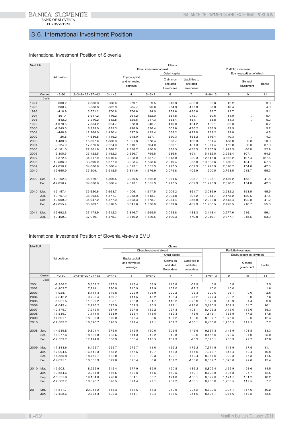**EUROSYSTEM**

### 3.6. International Investment Position

### International Investment Position of Slovenia

| Mio EUR |              |              |                  |                                             |                |                                                                                       | Claims  |                |              |                       |                             |       |
|---------|--------------|--------------|------------------|---------------------------------------------|----------------|---------------------------------------------------------------------------------------|---------|----------------|--------------|-----------------------|-----------------------------|-------|
|         |              |              |                  |                                             |                | Direct investment abroad                                                              |         |                |              |                       | Portfolio investment        |       |
|         |              |              |                  |                                             |                | Ostali kapital                                                                        |         |                |              |                       | Equity securities, of which |       |
|         | Net position |              |                  | Equity capital<br>and reinvested<br>eamings |                | Liabilities to<br>Claims on<br>affiliated<br>affiliated<br>Enterprises<br>enterprises |         |                |              | General<br>government | Banks                       |       |
|         | Column       | $1 = 2 - 50$ | $2=3+8+22+27+42$ | $3 = 4 + 5$                                 | $\overline{4}$ | $5 = 6 + 7$                                                                           | 6       | $\overline{7}$ | $8 = 9 + 13$ | 9                     | 10                          | 11    |
|         | Code         |              |                  |                                             |                |                                                                                       |         |                |              |                       |                             |       |
| 1994    |              | 600.2        | 4,830.3          | 288.6                                       | 279.1          | 9.5                                                                                   | 216.3   | $-206.8$       | 50.6         | 12.2                  | $\cdots$                    | 3.3   |
| 1995    |              | 360.4        | 5,338.8          | 382.3                                       | 285.7          | 96.6                                                                                  | 274.3   | $-177.8$       | 83.0         | 13.4                  | $\cdots$                    | 4.8   |
| 1996    |              | $-418.9$     | 5.771.2          | 370.6                                       | 276.6          | 94.0                                                                                  | 279.6   | $-185.6$       | 75.7         | 12.7                  | $\cdots$                    | 5.1   |
| 1997    |              | $-361.4$     | 6,947.2          | 416.2                                       | 294.2          | 122.0                                                                                 | 364.8   | $-242.7$       | 50.6         | 14.0                  | $\cdots$                    | 5.4   |
| 1998    |              | $-842.2$     | 7,210.2          | 542.8                                       | 325.5          | 217.3                                                                                 | 368.4   | $-151.1$       | 33.8         | 14.3                  | $\cdots$                    | 6.2   |
| 1999    |              | $-1,970.5$   | 7,834.2          | 624.7                                       | 378.0          | 246.7                                                                                 | 410.9   | $-164.2$       | 130.1        | 32.3                  | $\cdots$                    | 6.2   |
| 2000    |              | $-2.545.5$   | 8,923.0          | 825.3                                       | 498.9          | 326.4                                                                                 | 502.6   | $-176.2$       | 188.5        | 39.5                  | $\cdots$                    | 5.7   |
| 2001    |              | $-448.8$     | 12,268.0         | 1,120.4                                     | 697.0          | 423.4                                                                                 | 553.2   | $-129.8$       | 289.2        | 29.0                  | $\cdots$                    | 4.8   |
| 2002    |              | 26.8         | 14.636.8         | 1,445.2                                     | 918.0          | 527.1                                                                                 | 690.3   | $-163.2$       | 316.4        | 40.3                  | $\cdots$                    | 4.2   |
| 2003    |              | $-1,480.6$   | 15,867.6         | 1,880.3                                     | 1,201.8        | 678.4                                                                                 | 863.7   | $-185.3$       | 551.4        | 188.0                 | 0.0                         | 19.0  |
| 2004    |              | $-2,124.9$   | 17,876.8         | 2,224.0                                     | 1,519.1        | 704.9                                                                                 | 836.1   | $-131.3$       | 1,271.4      | 472.0                 | 0.0                         | 37.0  |
| 2005    |              | $-3,161.0$   | 22,361.6         | 2,788.7                                     | 2,338.7        | 450.0                                                                                 | 883.5   | $-433.5$       | 2,757.9      | 1,242.3               | 86.8                        | 52.9  |
| 2006    |              | $-5,305.5$   | 25,122.5         | 3,452.2                                     | 2,656.7        | 795.5                                                                                 | 986.6   | $-191.1$       | 5,132.5      | 2,258.4               | 107.1                       | 94.6  |
| 2007    |              | $-7,372.5$   | 34,617.9         | 4,916.6                                     | 3,328.9        | 1,587.7                                                                               | 1,818.0 | $-230.3$       | 12,547.8     | 3,662.2               | 197.4                       | 127.5 |
| 2008    |              | $-12,586.9$  | 33.890.9         | 5,677.0                                     | 3,923.4        | 1,753.6                                                                               | 2,019.4 | $-265.8$       | 10,635.6     | 1,750.7               | 134.7                       | 57.8  |
| 2009    |              | $-12,650.7$  | 34,830.6         | 5,568.4                                     | 4,013.1        | 1,555.3                                                                               | 1,917.5 | $-362.3$       | 11,296.9     | 2,320.7               | 174.6                       | 42.0  |
| 2010    |              | $-12,655.9$  | 35,209.1         | 5,518.5                                     | 3,841.6        | 1,676.9                                                                               | 2,079.8 | $-402.9$       | 11,900.5     | 2,793.5               | 218.7                       | 55.3  |
| 2009    | Sep.         | $-12,162.8$  | 35,629.1         | 5,599.5                                     | 3,936.6        | 1,662.9                                                                               | 1,961.6 | $-298.7$       | 11,398.1     | 2,186.2               | 153.1                       | 41.8  |
|         | Dec.         | $-12.650.7$  | 34.830.6         | 5.568.4                                     | 4.013.1        | 1.555.3                                                                               | 1,917.5 | $-362.3$       | 11,296.9     | 2,320.7               | 174.6                       | 42.0  |
| 2010    | Mar.         | $-12.157.4$  | 35.620.6         | 5.653.7                                     | 4.006.1        | 1.647.5                                                                               | 2.009.2 | $-361.7$       | 12.036.9     | 2.532.2               | 193.5                       | 45.9  |
|         | Jun.         | $-12.707.0$  | 36.263.5         | 5.571.7                                     | 3.958.0        | 1.613.7                                                                               | 2,004.8 | $-391.2$       | 11.914.7     | 2.478.2               | 189.5                       | 47.5  |
|         | Sep.         | $-12.909.0$  | 35.947.2         | 5.577.0                                     | 3.898.3        | 1.678.7                                                                               | 2,034.4 | $-355.8$       | 12.032.8     | 2,543.4               | 192.9                       | 41.2  |
|         | Dec.         | $-12,655.9$  | 35,209.1         | 5,518.5                                     | 3,841.6        | 1,676.9                                                                               | 2,079.8 | $-402.9$       | 11,900.5     | 2,793.5               | 218.7                       | 55.3  |
| 2011    | Mar.         | $-12.692.6$  | 37.178.9         | 5.512.3                                     | 3.846.7        | 1.665.5                                                                               | 2.098.8 | $-433.3$       | 12.448.4     | 2.977.6               | 216.1                       | 56.1  |
|         | Jun.         | $-12,469.3$  | 37,019.1         | 5,475.7                                     | 3,846.2        | 1,629.5                                                                               | 2,100.3 | $-470.8$       | 12,249.7     | 2,877.7               | 215.5                       | 53.9  |

#### International Investment Position of Slovenia vis-a-vis EMU

| Mio EUR      |                            | Claims               |                |                                             |                          |                                        |                                             |                      |                |                             |              |
|--------------|----------------------------|----------------------|----------------|---------------------------------------------|--------------------------|----------------------------------------|---------------------------------------------|----------------------|----------------|-----------------------------|--------------|
|              |                            |                      |                |                                             | Direct investment abroad |                                        |                                             | Portfolio investment |                |                             |              |
|              |                            |                      |                |                                             |                          | Other capital                          |                                             |                      |                | Equity securities, of which |              |
|              | Net position               |                      |                | Equity capital<br>and reinvested<br>eamings |                          | Claims on<br>affiliated<br>Enterprises | Liabilities to<br>affiliated<br>enterprises |                      |                | General<br>aovemment        | Banks        |
|              | Column<br>$1 = 2 - 50$     | $2=3+8+22+27+42$     | $3 = 4 + 5$    | $\overline{4}$                              | $5 = 6 + 7$              | 6                                      | $\overline{7}$                              | $8 = 9 + 13$         | 9              | 10                          | 11           |
|              | Code                       |                      |                |                                             |                          |                                        |                                             |                      |                |                             |              |
| 2001         | $-2.256.2$                 | 5.353.2              | 177.3          | 118.4                                       | 58.9                     | 116.8                                  | $-57.9$                                     | 5.8                  | 5.8            | $\cdots$                    | 2.5          |
| 2002         | $-1,403.7$                 | 7,714.1              | 290.8          | 210.9                                       | 79.9                     | 157.0                                  | $-77.2$                                     | 10.0                 | 10.0           | $\cdots$                    | 1.6          |
| 2003         | $-1.928.1$                 | 8.711.3              | 349.8          | 222.9                                       | 126.9                    | 220.2                                  | $-93.3$                                     | 300.0                | 93.1           | 0.0                         | 2.6          |
| 2004         | $-2,842.2$                 | 9,795.4              | 459.7          | 411.5                                       | 48.2                     | 125.4                                  | $-77.2$                                     | 777.4                | 223.2          | 0.0                         | 7.6          |
| 2005         | $-5,921.5$                 | 11,629.2             | 505.1          | 766.8                                       | $-261.7$                 | 115.2                                  | $-376.9$                                    | 1,672.9              | 548.9          | 34.4                        | 9.3          |
| 2006         | $-9,049.4$                 | 12,916.2             | 577.9          | 562.3                                       | 15.5                     | 129.1                                  | $-113.6$                                    | 3,110.9              | 959.5          | 54.7                        | 16.1         |
| 2007         | $-12.179.7$                | 17,949.0             | 587.0          | 397.8                                       | 189.2                    | 297.3                                  | $-108.1$                                    | 8,425.2              | 1,416.0        | 115.6                       | 35.3         |
| 2008         | $-17,539.7$                | 17,144.0             | 668.9          | 555.4                                       | 113.5                    | 189.3                                  | $-75.9$                                     | 7,846.1              | 768.9          | 77.2                        | 17.8         |
| 2009         | $-14.691.1$                | 18,305.3             | 679.0          | 675.4                                       | 3.6                      | 137.2                                  | $-133.6$                                    | 8.337.7              | 1,075.6        | 92.6                        | 12.4         |
| 2010         | $-12.583.7$                | 18,520.7             | 698.5          | 671.4                                       | 27.1                     | 207.2                                  | $-180.1$                                    | 8,455.8              | 1,233.5        | 117.5                       | 7.7          |
|              |                            |                      |                |                                             |                          |                                        |                                             |                      |                |                             |              |
| 2008 Jun.    | $-14,939.8$                | 19,801.4             | 675.5          | 515.5                                       | 160.0                    | 306.5                                  | $-146.5$                                    | 9.661.3              | 1,148.9        | 101.8                       | 33.3         |
| Sep.         | $-16.277.6$                | 18.685.8             | 733.5          | 514.3                                       | 219.2                    | 312.8                                  | $-93.6$                                     | 9.155.0              | 973.5          | 94.0                        | 25.0         |
| Dec.         | $-17,539.7$                | 17,144.0             | 668.9          | 555.4                                       | 113.5                    | 189.3                                  | $-75.9$                                     | 7,846.1              | 768.9          | 77.2                        | 17.8         |
|              |                            |                      |                |                                             |                          |                                        |                                             |                      |                |                             |              |
| 2009<br>Mar. | $-17,343.6$<br>$-17.094.5$ | 16,425.7             | 565.7<br>668.2 | 576.7<br>657.5                              | $-11.0$<br>10.7          | 165.2<br>158.3                         | $-176.2$<br>$-147.6$                        | 7,374.9<br>7.378.7   | 743.9<br>847.4 | 67.5<br>69.4                | 11.1<br>10.8 |
| Jun.         | $-14,585.8$                | 16,542.3             | 582.9          | 603.1                                       |                          | 122.1                                  | $-142.4$                                    |                      | 993.3          |                             | 11.5         |
| Sep.<br>Dec. | $-14.691.1$                | 18,759.7<br>18,305.3 | 679.0          | 675.4                                       | $-20.3$<br>3.6           | 137.2                                  | $-133.6$                                    | 8,357.0<br>8,337.7   | 1,075.6        | 77.3<br>92.6                | 12.4         |
|              |                            |                      |                |                                             |                          |                                        |                                             |                      |                |                             |              |
| 2010<br>Mar. | $-13,902.1$                | 18,565.9             | 642.4          | 677.9                                       | $-35.5$                  | 150.8                                  | $-186.2$                                    | 8,809.4              | 1,166.9        | 98.6                        | 14.5         |
| Jun.         | $-13,554.6$                | 19,281.9             | 666.5          | 683.0                                       | $-16.5$                  | 162.5                                  | $-179.1$                                    | 8,723.8              | 1,135.8        | 95.7                        | 12.5         |
| Sep.         | $-13,551.9$                | 19,134.6             | 720.8          | 684.1                                       | 36.7                     | 174.8                                  | $-138.1$                                    | 8,692.6              | 1,171.1        | 101.2                       | 10.2         |
| Dec.         | $-12,583.7$                | 18,520.7             | 698.5          | 671.4                                       | 27.1                     | 207.2                                  | $-180.1$                                    | 8,455.8              | 1,233.5        | 117.5                       | 7.7          |
|              |                            |                      |                |                                             |                          |                                        |                                             |                      |                |                             |              |
| 2011<br>Mar. | $-11.511.7$                | 20.056.2             | 654.3          | 668.6                                       | $-14.3$                  | 210.9                                  | $-225.2$                                    | 8.702.5              | 1,304.1        | 117.6                       | 10.2         |
| Jun.         | $-12,428.6$                | 19,884.3             | 602.3          | 664.7                                       | $-62.4$                  | 188.6                                  | $-251.0$                                    | 8,526.1              | 1,271.6        | 118.5                       | 13.5         |
|              |                            |                      |                |                                             |                          |                                        |                                             |                      |                |                             |              |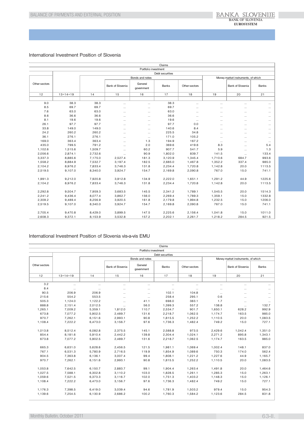#### International Investment Position of Slovenia

|               | Claims         |         |                  |                       |                 |               |          |                                    |          |  |  |  |  |  |
|---------------|----------------|---------|------------------|-----------------------|-----------------|---------------|----------|------------------------------------|----------|--|--|--|--|--|
|               |                |         |                  | Portfolio investment  |                 |               |          |                                    |          |  |  |  |  |  |
|               |                |         |                  |                       | Debt securities |               |          |                                    |          |  |  |  |  |  |
|               |                |         |                  | Bonds and notes       |                 |               |          | Money market instruments, of which |          |  |  |  |  |  |
| Other sectors |                |         | Bank of Slovenia | General<br>government | Banks           | Other sectors |          | Bank of Slovenia                   | Banks    |  |  |  |  |  |
| 12            | $13 = 14 + 19$ | 14      | 15               | 16                    | 17              | 18            | 19       | 20                                 | 21       |  |  |  |  |  |
|               |                |         |                  |                       |                 |               |          |                                    |          |  |  |  |  |  |
| 9.0           | 38.3           | 38.3    | $\cdots$         | $\cdots$              | 38.3            | $\cdots$      | $\cdots$ |                                    | $\cdots$ |  |  |  |  |  |
| 8.5           | 69.7           | 69.7    | $\cdots$         | $\cdots$              | 69.7            | $\cdots$      | $\cdots$ | $\cdots$                           | $\cdots$ |  |  |  |  |  |
| 7.6           | 63.0           | 63.0    | $\cdots$         | $\cdots$              | 63.0            | $\cdots$      | $\cdots$ |                                    | $\cdots$ |  |  |  |  |  |
| 8.6           | 36.6           | 36.6    | $\cdots$         | $\cdots$              | 36.6            | $\cdots$      | $\cdots$ | $\cdots$                           | $\cdots$ |  |  |  |  |  |
| 8.1           | 19.6           | 19.6    | $\cdots$         | $\cdots$              | 19.6            | $\cdots$      | $\cdots$ |                                    | $\cdots$ |  |  |  |  |  |
| 26.1          | 97.7           | 97.7    | $\cdots$         | $\cdots$              | 97.7            | 0.0           | $\cdots$ | $\cdots$                           | $\cdots$ |  |  |  |  |  |
| 33.8          | 149.0          | 149.0   | $\cdots$         | $\cdots$              | 140.6           | 8.4           |          |                                    | $\cdots$ |  |  |  |  |  |
| 24.2          | 260.2          | 260.2   | $\cdots$         | $\cdots$              | 225.5           | 34.8          | $\cdots$ | $\cdots$                           | $\cdots$ |  |  |  |  |  |
| 36.1          | 276.1          | 276.1   | $\cdots$         | $\cdots$              | 171.0           | 105.2         | $\cdots$ |                                    | $\cdots$ |  |  |  |  |  |
| 169.0         | 363.4          | 363.4   | $\cdots$         | 1.3                   | 194.9           | 167.2         | $\cdots$ |                                    | $\cdots$ |  |  |  |  |  |
| 435.0         | 799.5          | 791.2   | $\cdots$         | 2.0                   | 369.6           | 419.6         | 8.3      |                                    | 5.4      |  |  |  |  |  |
| 1,102.6       | 1,515.6        | 1,509.7 | $\cdots$         | 60.2                  | 907.7           | 541.7         | 5.9      |                                    | 1.3      |  |  |  |  |  |
| 2.056.6       | 2.874.1        | 2,732.6 | $\cdots$         | 90.9                  | 1,802.0         | 839.7         | 141.5    | $\cdots$                           | 133.4    |  |  |  |  |  |
| 3,337.3       | 8,885.6        | 7,175.0 | 2,527.4          | 181.3                 | 3,120.9         | 1,345.4       | 1,710.6  | 684.7                              | 993.6    |  |  |  |  |  |
| 1,558.2       | 8.884.9        | 7,532.7 | 3,197.4          | 182.5                 | 2,685.0         | 1,467.8       | 1,352.2  | 337.4                              | 985.0    |  |  |  |  |  |
| 2,104.2       | 8.976.2        | 7,833.4 | 3,746.3          | 131.8                 | 2,234.4         | 1,720.8       | 1,142.8  | 20.0                               | 1113.5   |  |  |  |  |  |
| 2,519.5       | 9.107.0        | 8,340.0 | 3,924.7          | 154.7                 | 2,169.8         | 2,090.8       | 767.0    | 15.0                               | 741.1    |  |  |  |  |  |
| 1,991.3       | 9,212.0        | 7,920.8 | 3,912.8          | 134.9                 | 2,222.0         | 1,651.1       | 1,291.2  | 44.9                               | 1225.6   |  |  |  |  |  |
| 2,104.2       | 8,976.2        | 7,833.4 | 3,746.3          | 131.8                 | 2,234.4         | 1,720.8       | 1,142.8  | 20.0                               | 1113.5   |  |  |  |  |  |
| 2,292.8       | 9,504.7        | 7,959.3 | 3,683.5          | 145.5                 | 2,341.2         | 1,789.1       | 1,545.5  | 20.0                               | 1514.3   |  |  |  |  |  |
| 2.241.2       | 9,436.4        | 8.077.4 | 3,862.7          | 156.0                 | 2.269.4         | 1,789.3       | 1,359.1  | 15.0                               | 1332.8   |  |  |  |  |  |
| 2,309.2       | 9,489.4        | 8,256.9 | 3,920.5          | 161.8                 | 2,179.8         | 1,994.8       | 1,232.5  | 15.0                               | 1206.0   |  |  |  |  |  |
| 2,519.5       | 9.107.0        | 8,340.0 | 3,924.7          | 154.7                 | 2,169.8         | 2,090.8       | 767.0    | 15.0                               | 741.1    |  |  |  |  |  |
| 2,705.4       | 9,470.8        | 8,429.0 | 3,899.5          | 147.5                 | 2,225.6         | 2,156.4       | 1,041.8  | 15.0                               | 1011.0   |  |  |  |  |  |
| 2,608.3       | 9,372.1        | 8,153.9 | 3,532.8          | 157.2                 | 2,202.1         | 2,261.7       | 1,218.2  | 284.5                              | 921.5    |  |  |  |  |  |

#### International Investment Position of Slovenia vis-a-vis EMU

|               | Claims         |          |                  |                       |                 |               |          |                                    |          |  |  |  |  |  |
|---------------|----------------|----------|------------------|-----------------------|-----------------|---------------|----------|------------------------------------|----------|--|--|--|--|--|
|               |                |          |                  | Portfolio investment  |                 |               |          |                                    |          |  |  |  |  |  |
|               |                |          |                  |                       | Debt securities |               |          |                                    |          |  |  |  |  |  |
|               |                |          |                  | Bonds and notes       |                 |               |          | Money market instruments, of which |          |  |  |  |  |  |
| Other sectors |                |          | Bank of Slovenia | General<br>government | <b>Banks</b>    | Other sectors |          | Bank of Slovenia                   | Banks    |  |  |  |  |  |
| 12            | $13 = 14 + 19$ | 14       | 15               | 16                    | 17              | 18            | 19       | 20                                 | 21       |  |  |  |  |  |
|               |                |          |                  |                       |                 |               |          |                                    |          |  |  |  |  |  |
| 3.2           | $\cdots$       | $\cdots$ | $\cdots$         | $\cdots$              | $\cdots$        | $\cdots$      | $\cdots$ | $\cdots$                           | $\cdots$ |  |  |  |  |  |
| 8.4           | $\cdots$       | $\cdots$ |                  | $\cdots$              | $\cdots$        | $\cdots$      | $\cdots$ | $\cdots$                           | $\cdots$ |  |  |  |  |  |
| 90.5          | 206.9          | 206.9    |                  | $\cdots$              | 102.1           | 104.8         | $\cdots$ | $\cdots$                           | $\cdots$ |  |  |  |  |  |
| 215.6         | 554.2          | 553.5    |                  | $\cdots$              | 258.4           | 295.1         | 0.6      | $\cdots$                           | $\cdots$ |  |  |  |  |  |
| 505.3         | 1.124.0        | 1,122.2  | $\cdots$         | 41.1                  | 698.0           | 383.1         | 1.7      | $\cdots$                           | $\cdots$ |  |  |  |  |  |
| 888.8         | 2,151.4        | 2,012.5  | $\cdots$         | 56.0                  | 1,399.3         | 557.2         | 138.8    | $\cdots$                           | 132.7    |  |  |  |  |  |
| 1,265.1       | 7.009.2        | 5.359.1  | 1.812.0          | 110.7                 | 2,534.7         | 901.7         | 1,650.1  | 628.2                              | 992.9    |  |  |  |  |  |
| 673.8         | 7,077.2        | 5,902.5  | 2,489.7          | 131.6                 | 2,218.7         | 1,062.5       | 1,174.7  | 163.5                              | 985.0    |  |  |  |  |  |
| 970.7         | 7.262.1        | 6.151.6  | 2.993.1          | 90.8                  | 1.815.5         | 1.252.2       | 1.110.5  | 20.0                               | 1,083.5  |  |  |  |  |  |
| 1,108.4       | 7,222.2        | 6,473.0  | 3,156.7          | 97.6                  | 1.736.3         | 1,482.4       | 749.2    | 15.0                               | 727.1    |  |  |  |  |  |
|               |                |          |                  |                       |                 |               |          |                                    |          |  |  |  |  |  |
| 1,013.8       | 8,512.4        | 6,082.8  | 2,375.5          | 145.1                 | 2,588.8         | 973.5         | 2,429.6  | 1,042.4                            | 1,351.0  |  |  |  |  |  |
| 854.4         | 8,181.6        | 5,910.4  | 2,442.2          | 139.8                 | 2,304.4         | 1,024.1       | 2,271.2  | 895.8                              | 1,343.1  |  |  |  |  |  |
| 673.8         | 7,077.2        | 5,902.5  | 2,489.7          | 131.6                 | 2,218.7         | 1,062.5       | 1,174.7  | 163.5                              | 985.0    |  |  |  |  |  |
|               |                |          |                  |                       |                 |               |          |                                    |          |  |  |  |  |  |
| 665.3         | 6,631.0        | 5,628.6  | 2,456.5          | 121.5                 | 1,981.1         | 1,069.4       | 1,002.4  | 148.1                              | 837.0    |  |  |  |  |  |
| 767.1         | 6,531.3        | 5,780.9  | 2,716.5          | 119.9                 | 1,854.9         | 1,089.6       | 750.3    | 174.0                              | 562.4    |  |  |  |  |  |
| 904.5         | 7,363.8        | 6.136.1  | 3,007.4          | 99.4                  | 1,808.1         | 1,221.2       | 1,227.6  | 44.9                               | 1,165.7  |  |  |  |  |  |
| 970.7         | 7,262.1        | 6,151.6  | 2,993.1          | 90.8                  | 1,815.5         | 1,252.2       | 1,110.5  | 20.0                               | 1,083.5  |  |  |  |  |  |
| 1,053.8       | 7,642.5        | 6,150.7  | 2,883.7          | 99.1                  | 1,904.4         | 1,263.4       | 1,491.8  | 20.0                               | 1,464.6  |  |  |  |  |  |
| 1.027.5       | 7,588.1        | 6,302.8  | 3.110.2          | 103.0                 |                 | 1,261.1       | 1.285.3  | 15.0                               | 1,263.1  |  |  |  |  |  |
|               |                |          |                  |                       | 1,828.5         |               |          |                                    |          |  |  |  |  |  |
| 1,059.6       | 7,521.5        | 6,373.3  | 3,116.7          | 102.0                 | 1,751.3         | 1,403.2       | 1,148.3  | 15.0                               | 1,126.1  |  |  |  |  |  |
| 1,108.4       | 7,222.2        | 6.473.0  | 3.156.7          | 97.6                  | 1,736.3         | 1,482.4       | 749.2    | 15.0                               | 727.1    |  |  |  |  |  |
| 1.176.3       | 7.398.5        | 6,419.0  | 3.039.4          | 94.6                  | 1.781.9         | 1.503.2       | 979.4    | 15.0                               | 954.3    |  |  |  |  |  |
| 1,139.6       | 7,254.5        | 6.130.9  | 2.686.2          | 100.2                 | 1.760.3         | 1.584.2       | 1,123.6  | 284.5                              | 831.8    |  |  |  |  |  |
|               |                |          |                  |                       |                 |               |          |                                    |          |  |  |  |  |  |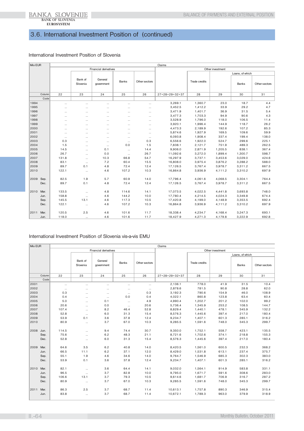**EUROSYSTEM**

# 3.6. International Investment Position of (continued)

#### International Investment Position of Slovenia

| Mio EUR |        |          |                     |                       |          |               | Claims                   |               |                  |                 |               |  |  |
|---------|--------|----------|---------------------|-----------------------|----------|---------------|--------------------------|---------------|------------------|-----------------|---------------|--|--|
|         |        |          |                     | Financial derivatives |          |               |                          |               | Other investment |                 |               |  |  |
|         |        |          |                     |                       |          |               |                          |               |                  | Loans, of which |               |  |  |
|         |        |          | Bank of<br>Slovenia | General<br>government | Banks    | Other sectors |                          | Trade credits |                  | Banks           | Other sectors |  |  |
|         | Column | 22       | 23                  | 24                    | 25       | 26            | $27 = 28 + 29 + 32 + 37$ | 28            | 29               | 30              | 31            |  |  |
|         | Code   |          |                     |                       |          |               |                          |               |                  |                 |               |  |  |
| 1994    |        | $\cdots$ | $\cdots$            |                       |          | $\cdots$      | 3,269.1                  | 1,360.7       | 23.0             | 18.7            | 4.4           |  |  |
| 1995    |        | $\cdots$ | $\cdots$            |                       |          | $\ddotsc$     | 3,452.5                  | 1,412.2       | 33.9             | 29.2            | 4.7           |  |  |
| 1996    |        | $\cdots$ | $\cdots$            | $\cdots$              |          | $\cdots$      | 3,471.9                  | 1,401.7       | 36.9             | 31.5            | 5.4           |  |  |
| 1997    |        | $\cdots$ | $\cdots$            | $\cdots$              |          | $\cdots$      | 3,477.3                  | 1,703.3       | 94.9             | 90.6            | 4.3           |  |  |
| 1998    |        | $\cdots$ | $\cdots$            | $\cdots$              |          | $\cdots$      | 3,528.9                  | 1,796.0       | 118.0            | 106.5           | 11.4          |  |  |
| 1999    |        | $\cdots$ | $\cdots$            | $\cdots$              | $\cdots$ | $\cdots$      | 3,920.1                  | 1,996.4       | 144.9            | 118.7           | 26.2          |  |  |
| 2000    |        | $\cdots$ | $\cdots$            | $\cdots$              | $\cdots$ | $\ddotsc$     | 4,473.3                  | 2,189.9       | 192.6            | 107.2           | 85.3          |  |  |
| 2001    |        | $\cdots$ | $\cdots$            | $\cdots$              | $\cdots$ | $\ddotsc$     | 5,874.6                  | 1,927.9       | 169.5            | 109.6           | 59.9          |  |  |
| 2002    |        | $\cdots$ | $\cdots$            | $\cdots$              | $\cdots$ | $\cdots$      | 6,093.8                  | 1,908.4       | 337.4            | 199.4           | 138.0         |  |  |
| 2003    |        | 0.3      | $\cdots$            | $\cdots$              | $\cdots$ | 0.3           | 6,556.6                  | 1,922.0       | 524.7            | 299.6           | 225.1         |  |  |
| 2004    |        | 1.5      | $\cdots$            | $\cdots$              | 0.0      | 1.5           | 7,838.1                  | 2,121.7       | 751.9            | 489.3           | 262.5         |  |  |
| 2005    |        | 14.5     | $\cdots$            | 0.1                   | $\cdots$ | 14.4          | 9,906.0                  | 2,871.9       | 1,205.5          | 838.1           | 367.4         |  |  |
| 2006    |        | 26.7     | $\cdots$            | 0.0                   | $\cdots$ | 26.7          | 11.092.6                 | 3,272.0       | 1,899.4          | 1,300.7         | 598.7         |  |  |
| 2007    |        | 131.8    | $\cdots$            | 10.3                  | 66.8     | 54.7          | 16,297.9                 | 3,737.1       | 3,453.6          | 3,029.0         | 424.6         |  |  |
| 2008    |        | 83.1     | $\cdots$            | 7.2                   | 60.4     | 15.5          | 16,808.0                 | 3,975.4       | 3,876.2          | 3,288.2         | 588.0         |  |  |
| 2009    |        | 89.7     | 0.1                 | 4.8                   | 72.4     | 12.4          | 17,126.5                 | 3,767.4       | 3,978.7          | 3,311.2         | 667.5         |  |  |
| 2010    |        | 122.1    | $\cdots$            | 4.6                   | 107.2    | 10.3          | 16,864.8                 | 3,936.9       | 4,111.2          | 3,310.2         | 697.9         |  |  |
| 2009    | Sep.   | 82.5     | 1.9                 | 5.7                   | 60.9     | 14.0          | 17,796.4                 | 4,061.6       | 4,068.5          | 3,304.1         | 764.4         |  |  |
|         | Dec.   | 89.7     | 0.1                 | 4.8                   | 72.4     | 12.4          | 17,126.5                 | 3,767.4       | 3,978.7          | 3,311.2         | 667.5         |  |  |
| 2010    | Mar.   | 133.5    | $\cdots$            | 4.8                   | 114.6    | 14.1          | 17,073.5                 | 4,022.5       | 4,441.8          | 3,693.8         | 748.0         |  |  |
|         | Jun.   | 158.8    | $\cdots$            | 4.6                   | 144.2    | 10.0          | 17,780.4                 | 4,214.5       | 4,024.3          | 3,349.8         | 674.4         |  |  |
|         | Sep.   | 145.5    | 13.1                | 4.6                   | 117.3    | 10.5          | 17,420.8                 | 4.199.0       | 4,148.9          | 3,353.5         | 692.4         |  |  |
|         | Dec.   | 122.1    | $\cdots$            | 4.6                   | 107.2    | 10.3          | 16,864.8                 | 3,936.9       | 4,111.2          | 3,310.2         | 697.9         |  |  |
| 2011    | Mar.   | 120.5    | 2.5                 | 4.6                   | 101.6    | 11.7          | 18,338.4                 | 4,234.7       | 4,168.4          | 3,247.3         | 693.1         |  |  |
|         | Jun.   | 118.0    | $\cdots$            | 4.6                   | 101.6    | 11.7          | 18,427.9                 | 4,271.3       | 4,179.8          | 3,222.9         | 692.8         |  |  |

#### International Investment Position of Slovenia vis-a-vis EMU

|      | Mio EUR<br>Claims |          |                     |                       |          |               |                          |                      |                  |                 |               |
|------|-------------------|----------|---------------------|-----------------------|----------|---------------|--------------------------|----------------------|------------------|-----------------|---------------|
|      |                   |          |                     | Financial derivatives |          |               |                          |                      | Other investment |                 |               |
|      |                   |          |                     |                       |          |               |                          |                      |                  | Loans, of which |               |
|      |                   |          | Bank of<br>Slovenia | General<br>government | Banks    | Other sectors |                          | <b>Trade credits</b> |                  | Banks           | Other sectors |
|      | Column            | 22       | 23                  | 24                    | 25       | 26            | $27 = 28 + 29 + 32 + 37$ | 28                   | 29               | 30              | 31            |
|      | Code              |          |                     |                       |          |               |                          |                      |                  |                 |               |
| 2001 |                   | $\cdots$ | $\cdots$            | $\cdots$              | $\cdots$ |               | 2,136.1                  | 778.0                | 41.9             | 31.5            | 10.4          |
| 2002 |                   | $\cdots$ | $\cdots$            | $\cdots$              |          | $\cdots$      | 2.878.6                  | 781.5                | 90.8             | 28.8            | 62.0          |
| 2003 |                   | 0.3      |                     | $\cdots$              | $\cdots$ | 0.3           | 3,192.3                  | 790.6                | 154.9            | 46.0            | 108.9         |
| 2004 |                   | 0.4      | $\cdots$            | $\cdots$              | 0.0      | 0.4           | 4,022.1                  | 860.8                | 123.8            | 63.4            | 60.4          |
| 2005 |                   | 5.0      | $\cdots$            | 0.1                   | $\cdots$ | 4.9           | 4,990.4                  | 1,202.7              | 201.2            | 102.0           | 99.2          |
| 2006 |                   | 20.6     | $\cdots$            | 0.0                   | $\cdots$ | 20.6          | 5,736.4                  | 1,345.9              | 253.2            | 108.5           | 144.7         |
| 2007 |                   | 107.4    | $\cdots$            | 8.2                   | 46.4     | 52.8          | 8.829.4                  | 1,440.1              | 478.1            | 345.9           | 132.2         |
| 2008 |                   | 52.8     | $\cdots$            | 6.0                   | 31.3     | 15.4          | 8,576.3                  | 1,445.6              | 397.4            | 217.0           | 180.4         |
| 2009 |                   | 53.9     | 0.1                 | 3.6                   | 37.8     | 12.4          | 9,234.7                  | 1,407.1              | 601.3            | 285.1           | 316.2         |
| 2010 |                   | 80.9     | $\cdots$            | 3.7                   | 67.0     | 10.3          | 9.285.5                  | 1,591.6              | 748.0            | 345.3           | 299.7         |
| 2008 | Jun.              | 114.5    | $\cdots$            | 9.4                   | 74.4     | 30.7          | 9,350.0                  | 1,752.1              | 558.7            | 423.1           | 135.5         |
|      | Sep.              | 75.6     |                     | 6.2                   | 48.3     | 21.1          | 8,721.6                  | 1,702.6              | 374.1            | 218.8           | 155.3         |
|      | Dec.              | 52.8     | $\cdots$            | 6.0                   | 31.3     | 15.4          | 8,576.3                  | 1,445.6              | 397.4            | 217.0           | 180.4         |
| 2009 | Mar.              | 64.6     | 3.5                 | 6.2                   | 40.8     | 14.0          | 8,420.5                  | 1,561.0              | 600.5            | 232.3           | 368.2         |
|      | Jun.              | 66.5     | 11.1                | 6.2                   | 37.1     | 12.0          | 8,429.0                  | 1,531.8              | 613.1            | 237.4           | 375.7         |
|      | Sep.              | 55.1     | 1.9                 | 4.6                   | 34.6     | 14.0          | 9.764.7                  | 1,546.9              | 685.3            | 302.3           | 383.0         |
|      | Dec.              | 53.9     | 0.1                 | 3.6                   | 37.8     | 12.4          | 9,234.7                  | 1,407.1              | 601.3            | 285.1           | 316.2         |
| 2010 | Mar.              | 82.1     | $\cdots$            | 3.6                   | 64.4     | 14.1          | 9,032.0                  | 1,564.1              | 914.9            | 583.8           | 331.1         |
|      | Jun.              | 96.5     | $\cdots$            | 3.7                   | 82.8     | 10.0          | 9,795.0                  | 1,671.7              | 591.6            | 308.6           | 283.0         |
|      | Sep.              | 106.6    | 13.1                | 3.7                   | 79.3     | 10.5          | 9.614.6                  | 1,681.7              | 706.9            | 316.7           | 287.2         |
|      | Dec.              | 80.9     | $\cdots$            | 3.7                   | 67.0     | 10.3          | 9,285.5                  | 1,591.6              | 748.0            | 345.3           | 299.7         |
| 2011 | Mar.              | 86.3     | 2.5                 | 3.7                   | 68.7     | 11.4          | 10.613.1                 | 1,757.8              | 890.3            | 346.9           | 315.4         |
|      | Jun.              | 83.8     | $\cdots$            | 3.7                   | 68.7     | 11.4          | 10,672.1                 | 1,789.3              | 963.0            | 379.9           | 318.9         |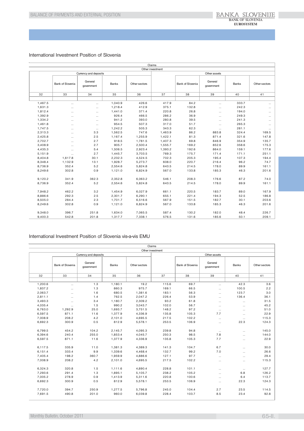#### International Investment Position of Slovenia

|         |                  |                       |         |               | Claims           |                  |                       |       |               |
|---------|------------------|-----------------------|---------|---------------|------------------|------------------|-----------------------|-------|---------------|
|         |                  |                       |         |               | Other investment |                  |                       |       |               |
|         |                  | Currency and deposits |         |               |                  |                  | Other assets          |       |               |
|         | Bank of Slovenia | General<br>government | Banks   | Other sectors |                  | Bank of Slovenia | General<br>government | Banks | Other sectors |
| 32      | 33               | 34                    | 35      | 36            | 37               | 38               | 39                    | 40    | 41            |
|         |                  |                       |         |               |                  |                  |                       |       |               |
| 1,467.5 | $\cdots$         | $\cdots$              | 1,040.9 | 426.6         | 417.9            | 84.2             | $\cdots$              | 333.7 |               |
| 1,631.3 | $\cdots$         | $\cdots$              | 1,218.4 | 412.9         | 375.1            | 132.8            | $\cdots$              | 242.3 |               |
| 1,812.4 | $\cdots$         | $\cdots$              | 1,441.0 | 371.4         | 220.8            | 26.8             | $\cdots$              | 194.0 | $\cdots$      |
| 1,392.9 | $\cdots$         | $\cdots$              | 926.4   | 466.5         | 286.2            | 36.9             | $\cdots$              | 249.3 | $\cdots$      |
| 1,334.2 | $\cdots$         | $\cdots$              | 941.2   | 393.0         | 280.8            | 39.5             | $\cdots$              | 241.3 | $\cdots$      |
| 1,461.8 | $\cdots$         | $\cdots$              | 954.5   | 507.3         | 317.0            | 51.7             | $\cdots$              | 265.3 | $\cdots$      |
| 1,747.5 | $\cdots$         | $\cdots$              | 1,242.2 | 505.3         | 343.3            | 62.3             | $\cdots$              | 281.1 | $\cdots$      |
| 2,313.3 | $\cdots$         | 3.3                   | 1,562.5 | 747.6         | 1,463.9          | 86.2             | 883.8                 | 324.4 | 169.5         |
| 2,425.8 | $\cdots$         | 2.5                   | 1,167.4 | 1,255.9       | 1,422.1          | 81.3             | 871.4                 | 321.6 | 147.8         |
| 2,702.7 | $\cdots$         | 2.7                   | 918.5   | 1,781.5       | 1,407.3          | 69.8             | 846.9                 | 354.9 | 135.7         |
| 3,408.9 | $\cdots$         | 2.7                   | 905.7   | 2,500.4       | 1,555.7          | 169.2            | 852.6                 | 358.6 | 175.3         |
| 4,435.3 | $\cdots$         | 5.4                   | 1,506.5 | 2,923.4       | 1,393.2          | 192.6            | 864.0                 | 159.1 | 177.6         |
| 5,151.9 | $\cdots$         | 2.7                   | 1,445.7 | 3,703.5       | 769.3            | 175.7            | 171.4                 | 171.1 | 251.1         |
| 8,404.8 | 1.617.8          | 30.1                  | 2,232.3 | 4,524.5       | 702.3            | 205.3            | 195.4                 | 107.3 | 194.4         |
| 8,348.4 | 1,132.9          | 13.1                  | 1,928.7 | 5,273.7       | 608.0            | 220.7            | 216.4                 | 96.2  | 74.7          |
| 8,736.9 | 352.4            | 5.2                   | 2,554.6 | 5,824.8       | 643.5            | 214.5            | 178.0                 | 89.9  | 161.1         |
| 8,249.6 | 302.8            | 0.9                   | 1,121.0 | 6,824.9       | 567.0            | 133.8            | 185.3                 | 46.3  | 201.6         |
| 9,120.2 | 341.9            | 362.3                 | 2,352.8 | 6,063.2       | 546.1            | 208.3            | 176.6                 | 87.2  | 74.0          |
| 8,736.9 | 352.4            | 5.2                   | 2,554.6 | 5,824.8       | 643.5            | 214.5            | 178.0                 | 89.9  | 161.1         |
| 7,948.2 | 462.2            | 3.2                   | 1,454.9 | 6,027.9       | 661.1            | 220.5            | 183.7                 | 89.0  | 167.9         |
| 8,886.6 | 292.3            | 2.5                   | 2,301.7 | 6,290.1       | 655.1            | 221.4            | 194.3                 | 52.5  | 186.8         |
| 8,505.0 | 284.4            | 2.3                   | 1,701.7 | 6,516.6       | 567.9            | 151.5            | 182.7                 | 30.1  | 203.6         |
| 8,249.6 | 302.8            | 0.9                   | 1,121.0 | 6,824.9       | 567.0            | 133.8            | 185.3                 | 46.3  | 201.6         |
| 9,348.0 | 396.7            | 251.8                 | 1,634.0 | 7,065.5       | 587.4            | 130.2            | 182.0                 | 48.4  | 226.7         |
| 9,400.3 | 542.8            | 201.8                 | 1,317.7 | 7,338.1       | 576.5            | 131.6            | 185.6                 | 50.1  | 209.1         |

|         |                  |                       |         |               | Claims           |                  |                       |           |               |
|---------|------------------|-----------------------|---------|---------------|------------------|------------------|-----------------------|-----------|---------------|
|         |                  |                       |         |               | Other investment |                  |                       |           |               |
|         |                  | Currency and deposits |         |               |                  |                  | Other assets          |           |               |
|         | Bank of Slovenia | General<br>government | Banks   | Other sectors |                  | Bank of Slovenia | General<br>government | Banks     | Other sectors |
| 32      | 33               | 34                    | 35      | 36            | 37               | 38               | 39                    | 40        | 41            |
|         |                  |                       |         |               |                  |                  |                       |           |               |
| 1,200.6 | $\cdots$         | 1.3                   | 1,180.1 | 19.2          | 115.6            | 69.7             | $\cdots$              | 42.3      | 3.6           |
| 1,837.2 | $\cdots$         | 1.3                   | 860.3   | 975.7         | 169.1            | 66.5             |                       | 100.5     | 2.2           |
| 2.063.7 | $\cdots$         | 1.6                   | 680.5   | 1.381.6       | 183.1            | 56.3             |                       | 123.7     | 3.0           |
| 2,811.1 | $\cdots$         | 1.4                   | 762.5   | 2,047.2       | 226.4            | 53.9             |                       | 136.4     | 36.1          |
| 3,493.3 | $\cdots$         | 3.4                   | 1,180.7 | 2.309.2       | 93.2             | 61.8             |                       | $\cdots$  | 31.5          |
| 4,035.4 | $\cdots$         | 1.5                   | 990.2   | 3,043.7       | 102.0            | 56.7             | $\cdots$              | $\ddotsc$ | 45.2          |
| 6,763.0 | 1,292.9          | 25.0                  | 1,693.7 | 3.751.5       | 148.2            | 97.2             | $\cdots$              | $\cdots$  | 51.0          |
| 6,597.5 | 871.1            | 11.6                  | 1,377.9 | 4,336.9       | 135.8            | 105.3            | 7.7                   | $\cdots$  | 22.9          |
| 7,008.9 | 208.2            | 4.2                   | 2,101.0 | 4,695.5       | 217.5            | 102.2            | $\cdots$              | $\cdots$  | 115.3         |
| 6,692.3 | 300.9            | 0.5                   | 812.9   | 5,578.1       | 253.5            | 106.9            | $\cdots$              | 22.3      | 124.3         |
|         |                  |                       |         |               |                  |                  |                       |           |               |
| 6,799.5 | 454.2            | 104.2                 | 2,145.7 | 4,095.3       | 239.8            | 94.8             | $\cdots$              | $\cdots$  | 145.0         |
| 6,394.6 | 240.4            | 255.0                 | 1,853.4 | 4,045.7       | 250.3            | 98.5             | 7.8                   | $\cdots$  | 144.0         |
| 6,597.5 | 871.1            | 11.6                  | 1,377.9 | 4,336.9       | 135.8            | 105.3            | 7.7                   | $\cdots$  | 22.9          |
|         |                  |                       |         |               |                  |                  |                       |           |               |
| 6,117.5 | 335.9            | 11.0                  | 1,381.3 | 4,389.3       | 141.3            | 104.7            | 6.7                   | $\cdots$  | 30.0          |
| 6,151.4 | 333.4            | 9.9                   | 1,339.6 | 4,468.4       | 132.7            | 99.2             | 7.0                   | $\cdots$  | 26.6          |
| 7,405.4 | 198.2            | 360.7                 | 1,959.9 | 4,886.6       | 127.1            | 97.7             | $\cdots$              | $\ddotsc$ | 29.4          |
| 7,008.9 | 208.2            | 4.2                   | 2,101.0 | 4,695.5       | 217.5            | 102.2            | $\cdots$              | $\cdots$  | 115.3         |
|         |                  |                       |         |               |                  |                  |                       |           |               |
| 6,324.3 | 320.8            | 1.5                   | 1,111.6 | 4,890.4       | 228.8            | 101.1            |                       | $\cdots$  | 127.7         |
| 7.293.6 | 291.4            | 1.3                   | 1.895.1 | 5.105.7       | 238.2            | 105.2            |                       | 6.8       | 126.2         |
| 7,005.2 | 278.9            | 0.9                   | 1,413.9 | 5,311.6       | 220.8            | 100.6            | $\cdots$              | 6.4       | 113.7         |
| 6,692.3 | 300.9            | 0.5                   | 812.9   | 5,578.1       | 253.5            | 106.9            | $\cdots$              | 22.3      | 124.3         |
|         |                  |                       |         |               |                  |                  |                       |           |               |
| 7,720.0 | 394.7            | 250.9                 | 1,277.5 | 5,796.8       | 245.0            | 104.4            | 2.7                   | 23.5      | 114.5         |
| 7,691.5 | 490.8            | 201.0                 | 960.0   | 6,039.8       | 228.4            | 103.7            | 8.5                   | 23.4      | 92.8          |
|         |                  |                       |         |               |                  |                  |                       |           |               |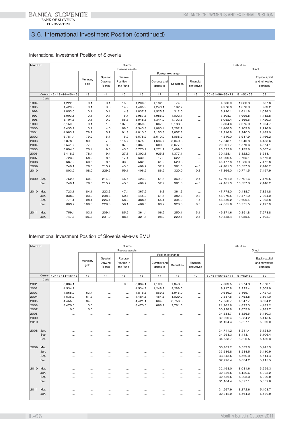**EUROSYSTEM**

# 3.6. International Investment Position (continued)

#### International Investment Position of Slovenia

| Mio EUR |      |                                 |                  |                              | Claims                             |         |                          |            |                          |                          | Liabilities    |                                             |
|---------|------|---------------------------------|------------------|------------------------------|------------------------------------|---------|--------------------------|------------|--------------------------|--------------------------|----------------|---------------------------------------------|
|         |      |                                 |                  |                              | Reserve assets                     |         |                          |            |                          |                          |                | Direct                                      |
|         |      |                                 |                  |                              |                                    |         | Foreign exchange         |            |                          |                          |                |                                             |
|         |      |                                 | Monetary<br>gold | Special<br>Drawing<br>Rights | Reserve<br>Position in<br>the Fund |         | Currency and<br>deposits | Securities | Financial<br>derivatives |                          |                | Equity capital<br>and reinvested<br>eamings |
|         |      | Column $42 = 43 + 44 + 45 + 46$ | 43               | 44                           | 45                                 | 46      | 47                       | 48         | 49                       | $50 = 51 + 56 + 66 + 71$ | $51 = 52 + 53$ | 52                                          |
|         | Code |                                 |                  |                              |                                    |         |                          |            |                          |                          |                |                                             |
| 1994    |      | 1,222.0                         | 0.1              | 0.1                          | 15.3                               | 1.206.5 | 1.132.0                  | 74.5       | $\cdots$                 | 4,230.0                  | 1.080.8        | 787.8                                       |
| 1995    |      | 1.420.9                         | 0.1              | 0.0                          | 14.9                               | 1.405.9 | 1,243.1                  | 162.7      | $\cdots$                 | 4.978.3                  | 1.376.0        | 939.2                                       |
| 1996    |      | 1.853.0                         | 0.1              | 0.1                          | 14.9                               | 1.837.9 | 1,525.9                  | 312.0      | $\cdots$                 | 6.190.1                  | 1.611.6        | 1,028.3                                     |
| 1997    |      | 3.003.1                         | 0.1              | 0.1                          | 15.7                               | 2.987.3 | 1,985.2                  | 1,002.1    | $\cdots$                 | 7.308.7                  | 1,999.8        | 1,412.8                                     |
| 1998    |      | 3.104.6                         | 0.1              | 0.2                          | 55.8                               | 3.048.5 | 1,344.9                  | 1,703.6    | $\cdots$                 | 8.052.4                  | 2,369.5        | 1,720.3                                     |
| 1999    |      | 3,159.3                         | 0.1              | 1.6                          | 107.3                              | 3,050.3 | 867.0                    | 2,183.3    | $\cdots$                 | 9,804.6                  | 2.675.0        | 1,904.7                                     |
| 2000    |      | 3,435.9                         | 0.1              | 4.0                          | 88.5                               | 3,343.3 | 1.060.4                  | 2,282.9    | $\cdots$                 | 11,468.5                 | 3,109.8        | 2,116.9                                     |
| 2001    |      | 4,983.7                         | 76.2             | 5.7                          | 91.3                               | 4,810.5 | 2,153.3                  | 2,657.3    | $\cdots$                 | 12,716.8                 | 2,940.0        | 2,489.0                                     |
| 2002    |      | 6,781.4                         | 79.9             | 6.7                          | 115.9                              | 6,578.9 | 2,510.0                  | 4,068.9    | $\cdots$                 | 14,610.0                 | 3,947.9        | 3,466.2                                     |
| 2003    |      | 6.878.9                         | 80.9             | 7.3                          | 115.7                              | 6.675.0 | 1.634.7                  | 5,040.3    | $\cdots$                 | 17.348.1                 | 5.046.8        | 4,438.6                                     |
| 2004    |      | 6.541.7                         | 77.8             | 8.2                          | 87.9                               | 6.367.9 | 690.3                    | 5,677.6    | $\cdots$                 | 20.001.7                 | 5,579.6        | 4,874.1                                     |
| 2005    |      | 6,894.5                         | 70.4             | 9.8                          | 43.6                               | 6.770.7 | 1,271.1                  | 5,499.6    | $\cdots$                 | 25,522.6                 | 6,133.6        | 5,607.4                                     |
| 2006    |      | 5,418.5                         | 78.4             | 9.4                          | 27.8                               | 5,302.8 | 925.8                    | 4,377.1    | $\cdots$                 | 30,428.1                 | 6,822.3        | 6,283.1                                     |
| 2007    |      | 723.8                           | 58.2             | 8.6                          | 17.1                               | 639.9   | 17.0                     | 622.9      | $\cdots$                 | 41,990.5                 | 9,765.1        | 6,776.0                                     |
| 2008    |      | 687.2                           | 63.6             | 8.5                          | 33.2                               | 582.0   | 61.2                     | 520.8      | $\cdots$                 | 46,477.8                 | 11,236.3       | 7,472.8                                     |
| 2009    |      | 749.1                           | 78.3             | 215.7                        | 45.8                               | 409.2   | 52.7                     | 361.3      | $-4.8$                   | 47,481.3                 | 10,537.8       | 7,440.2                                     |
| 2010    |      | 803.2                           | 108.0            | 229.5                        | 59.1                               | 406.5   | 86.2                     | 320.0      | 0.3                      | 47,865.0                 | 10,771.5       | 7,497.9                                     |
| 2009    | Sep. | 752.6                           | 69.9             | 214.2                        | 45.5                               | 423.0   | 51.6                     | 369.0      | 2.4                      | 47.791.9                 | 10.701.6       | 7,470.5                                     |
|         | Dec. | 749.1                           | 78.3             | 215.7                        | 45.8                               | 409.2   | 52.7                     | 361.3      | $-4.8$                   | 47,481.3                 | 10,537.8       | 7,440.2                                     |
| 2010    | Mar. | 723.1                           | 84.1             | 223.6                        | 47.4                               | 367.9   | 6.3                      | 361.6      | $\cdots$                 | 47,778.0                 | 10,438.7       | 7,321.8                                     |
|         | Jun. | 838.0                           | 103.3            | 238.8                        | 50.7                               | 445.2   | 61.6                     | 382.8      | 0.8                      | 48,970.5                 | 10,471.9       | 7,294.0                                     |
|         | Sep. | 771.1                           | 98.1             | 226.1                        | 58.2                               | 388.7   | 55.1                     | 334.9      | $-1.4$                   | 48,856.2                 | 10,606.4       | 7,298.8                                     |
|         | Dec. | 803.2                           | 108.0            | 229.5                        | 59.1                               | 406.5   | 86.2                     | 320.0      | 0.3                      | 47,865.0                 | 10,771.5       | 7,497.9                                     |
| 2011    | Mar. | 759.4                           | 103.1            | 209.4                        | 85.5                               | 361.4   | 106.2                    | 250.1      | 5.1                      | 49.871.6                 | 10.851.8       | 7,573.8                                     |
|         | Jun. | 747.8                           | 106.8            | 231.0                        | 88.7                               | 321.4   | 98.0                     | 220.7      | 2.6                      | 49.488.4                 | 11,085.5       | 7,603.7                                     |

| Mio EUR |                     |                          |                  |                              | Claims                             |           |                          |            |                          |                          | Liabilities    |                                             |
|---------|---------------------|--------------------------|------------------|------------------------------|------------------------------------|-----------|--------------------------|------------|--------------------------|--------------------------|----------------|---------------------------------------------|
|         |                     |                          |                  |                              | Reserve assets                     |           |                          |            |                          |                          |                | Direct                                      |
|         |                     |                          |                  |                              |                                    |           | Foreign exchange         |            |                          |                          |                |                                             |
|         |                     |                          | Monetary<br>gold | Special<br>Drawing<br>Rights | Reserve<br>Position in<br>the Fund |           | Currency and<br>deposits | Securities | Financial<br>derivatives |                          |                | Equity capital<br>and reinvested<br>eamings |
|         | Column <sup>I</sup> | $42 = 43 + 44 + 45 + 46$ | 43               | 44                           | 45                                 | 46        | 47                       | 48         | 49                       | $50 = 51 + 56 + 66 + 71$ | $51 = 52 + 53$ | 52                                          |
|         | Code                |                          |                  |                              |                                    |           |                          |            |                          |                          |                |                                             |
| 2001    |                     | 3,034.1                  | $\cdots$         | $\cdots$                     | 0.0                                | 3,034.1   | 1,190.8                  | 1,843.3    | $\cdots$                 | 7,609.5                  | 2,274.3        | 1,873.1                                     |
| 2002    |                     | 4,534.7                  | $\cdots$         | $\cdots$                     | $\cdots$                           | 4,534.7   | 1,248.2                  | 3,286.5    | $\cdots$                 | 9,117.8                  | 2,923.4        | 2,509.9                                     |
| 2003    |                     | 4.868.9                  | 53.4             | $\cdots$                     | $\cdots$                           | 4,815.5   | 869.5                    | 3,946.0    | $\cdots$                 | 10,639.3                 | 3,169.1        | 2,727.3                                     |
| 2004    |                     | 4,535.9                  | 51.3             | $\cdots$                     | $\cdots$                           | 4,484.5   | 454.6                    | 4,029.9    | $\cdots$                 | 12,637.5                 | 3,753.8        | 3,191.0                                     |
| 2005    |                     | 4,455.8                  | 34.8             |                              | $\cdots$                           | 4,421.1   | 664.3                    | 3,756.8    | $\cdots$                 | 17,550.7                 | 4,247.7        | 3,804.2                                     |
| 2006    |                     | 3,470.5                  | 0.0              |                              | $\cdots$                           | 3,470.5   | 688.9                    | 2,781.6    | $\cdots$                 | 21,965.6                 | 4,892.0        | 4,439.2                                     |
| 2007    |                     | 0.0                      | 0.0              |                              | $\cdots$                           | $\cdots$  | $\cdots$                 | $\cdots$   | $\cdots$                 | 30,128.8                 | 7,675.6        | 4,789.7                                     |
| 2008    |                     | $\cdots$                 | $\cdots$         |                              | $\cdots$                           | $\ddotsc$ | $\ddotsc$                | $\cdots$   | $\cdots$                 | 34,683.7                 | 8,826.5        | 5,430.3                                     |
| 2009    |                     | $\cdots$                 | $\cdots$         | $\cdots$                     | $\cdots$                           | $\cdots$  | $\cdots$                 | $\cdots$   | $\cdots$                 | 32,996.4                 | 8,334.2        | 5,415.5                                     |
| 2010    |                     | $\cdots$                 |                  |                              | $\cdots$                           | $\cdots$  | $\cdots$                 |            | $\cdots$                 | 31,104.4                 | 8,327.1        | 5,369.0                                     |
| 2008    | Jun.                | $\cdots$                 | $\cdots$         |                              |                                    |           | $\cdots$                 |            | $\cdots$                 | 34,741.2                 | 8,211.4        | 5,123.0                                     |
|         | Sep.                | $\cdots$                 |                  |                              |                                    |           |                          |            | $\cdots$                 | 34,963.3                 | 8,443.1        | 5,106.4                                     |
|         | Dec.                |                          | $\cdots$         | $\cdots$                     |                                    |           |                          |            | $\cdots$                 | 34,683.7                 | 8,826.5        | 5,430.3                                     |
| 2009    | Mar.                |                          |                  |                              |                                    | $\cdots$  |                          |            | $\cdots$                 | 33,769.2                 | 8,539.0        | 5,445.3                                     |
|         | Jun.                | $\cdots$                 | $\cdots$         | $\ddotsc$                    | $\ddotsc$                          | $\ddotsc$ | $\ddotsc$                | $\cdots$   | $\cdots$                 | 33,636.8                 | 8,584.5        | 5,410.9                                     |
|         | Sep.                | $\cdots$                 | $\cdots$         |                              | $\ddotsc$                          | $\cdots$  | $\cdots$                 | $\cdots$   | $\cdots$                 | 33,345.5                 | 8,569.3        | 5,514.4                                     |
|         | Dec.                | $\cdots$                 |                  |                              | $\cdots$                           | $\cdots$  | $\ddotsc$                |            | $\cdots$                 | 32,996.4                 | 8,334.2        | 5,415.5                                     |
| 2010    | Mar.                | $\cdots$                 | $\cdots$         |                              |                                    | $\cdots$  | $\cdots$                 |            | $\cdots$                 | 32,468.0                 | 8,081.6        | 5,299.3                                     |
|         | Jun.                |                          |                  |                              | $\cdots$                           | $\cdots$  | $\cdots$                 |            | $\cdots$                 | 32.836.5                 | 8,139.6        | 5,293.2                                     |
|         | Sep.                | $\cdots$                 | $\cdots$         | $\cdots$                     |                                    | $\cdots$  | $\cdots$                 | $\cdots$   | $\cdots$                 | 32,686.5                 | 8,295.3        | 5,290.9                                     |
|         | Dec.                | $\cdots$                 | $\cdots$         |                              |                                    | $\cdots$  | $\cdots$                 | $\cdots$   | $\cdots$                 | 31,104.4                 | 8,327.1        | 5,369.0                                     |
| 2011    | Mar.                | $\ddotsc$                | $\cdots$         | $\cdots$                     | $\ddotsc$                          | $\ddotsc$ | $\ddotsc$                | $\cdots$   | $\cdots$                 | 31,567.9                 | 8.372.6        | 5,403.7                                     |
|         | Jun.                | $\cdots$                 | $\cdots$         | $\cdots$                     | $\ddotsc$                          | $\cdots$  | $\ddotsc$                | $\cdots$   | $\cdots$                 | 32,312.9                 | 8,564.0        | 5,439.9                                     |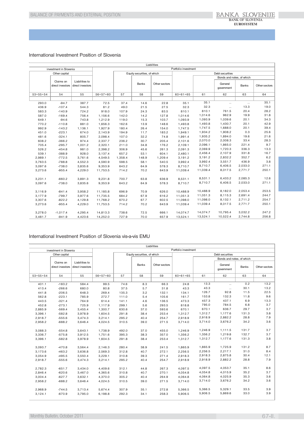#### International Investment Position of Slovenia

|                |                               |                                    |                                                     |         |       | Liabilities   |                |          |                           |          |               |
|----------------|-------------------------------|------------------------------------|-----------------------------------------------------|---------|-------|---------------|----------------|----------|---------------------------|----------|---------------|
|                | investment in Slovenia        |                                    | Portfolio investment<br>Equity securities, of which |         |       |               |                |          |                           |          |               |
|                | Other capital                 |                                    |                                                     |         |       |               |                |          | Debt securities           |          |               |
|                |                               |                                    |                                                     |         |       |               |                |          | Bonds and notes, of which |          |               |
|                | Claims on<br>direct investors | Liabilities to<br>direct investors |                                                     |         | Banks | Other sectors |                |          | General<br>government     | Banks    | Other sectors |
| $53 - 55 + 54$ | 54                            | 55                                 | $56 = 57 + 60$                                      | 57      | 58    | 59            | $60 = 61 + 65$ | 61       | 62                        | 63       | 64            |
|                |                               |                                    |                                                     |         |       |               |                |          |                           |          |               |
| 293.0          | $-94.7$                       | 387.7                              | 72.5                                                | 37.4    | 14.6  | 22.8          | 35.1           | 35.1     | $\cdots$                  | $\cdots$ | 35.1          |
| 436.9          | $-107.4$                      | 544.3                              | 81.2                                                | 49.0    | 21.5  | 27.5          | 32.3           | 32.3     | $\cdots$                  | 13.3     | 19.0          |
| 583.3          | $-140.9$                      | 724.2                              | 918.0                                               | 107.9   | 24.3  | 83.5          | 810.1          | 810.1    | 761.5                     | 20.4     | 28.2          |
| 587.0          | $-169.4$                      | 756.4                              | 1,156.6                                             | 142.0   | 14.2  | 127.8         | 1,014.6        | 1,014.6  | 962.9                     | 19.9     | 31.8          |
| 649.1          | $-94.6$                       | 743.8                              | 1,212.9                                             | 119.0   | 15.3  | 103.7         | 1,093.9        | 1,093.9  | 1,039.6                   | 20.1     | 34.3          |
| 770.2          | $-110.8$                      | 881.0                              | 1,656.3                                             | 162.6   | 13.9  | 148.6         | 1,493.8        | 1,493.8  | 1,430.7                   | 20.1     | 42.9          |
| 992.9          | $-143.2$                      | 1,136.1                            | 1,927.9                                             | 180.4   | 26.4  | 154.0         | 1.747.5        | 1,747.5  | 1,688.0                   | 20.1     | 39.4          |
| 451.0          | $-223.1$                      | 674.0                              | 2,143.9                                             | 194.9   | 11.7  | 183.2         | 1,949.1        | 1,934.2  | 1,908.2                   | 0.3      | 25.6          |
| 481.6          | $-324.1$                      | 805.7                              | 2,098.4                                             | 107.0   | 32.2  | 74.8          | 1,991.4        | 1,935.2  | 1,894.0                   | 19.6     | 21.6          |
| 608.2          | $-366.2$                      | 974.4                              | 2,337.7                                             | 236.2   | 30.7  | 205.4         | 2,101.6        | 2,070.0  | 2,008.3                   | 33.4     | 28.3          |
| 705.4          | $-295.7$                      | 1,001.2                            | 2,320.1                                             | 211.0   | 34.8  | 176.2         | 2,109.1        | 2,096.1  | 1,865.0                   | 221.4    | 9.7           |
| 526.2          | $-454.8$                      | 981.0                              | 2,398.2                                             | 306.9   | 45.6  | 261.3         | 2,091.3        | 2,069.9  | 1,720.3                   | 336.3    | 13.3          |
| 539.1          | $-388.9$                      | 928.0                              | 3,137.4                                             | 657.2   | 53.1  | 604.1         | 2,480.1        | 2,456.4  | 2.107.9                   | 331.8    | 16.7          |
| 2,989.1        | $-772.5$                      | 3,761.6                            | 4,549.5                                             | 1,358.4 | 148.9 | 1,209.4       | 3,191.2        | 3,191.2  | 2,832.2                   | 352.7    | 6.2           |
| 3,763.5        | $-788.8$                      | 4,552.3                            | 4,590.9                                             | 598.5   | 58.1  | 540.5         | 3,992.4        | 3,992.4  | 3,551.7                   | 436.9    | 3.8           |
| 3,097.6        | $-738.0$                      | 3,835.6                            | 9,353.9                                             | 643.2   | 64.9  | 578.3         | 8,710.7        | 8,710.7  | 6,406.5                   | 2,033.0  | 271.1         |
| 3,273.6        | $-955.4$                      | 4,229.0                            | 11,753.5                                            | 714.2   | 70.2  | 643.9         | 11,039.4       | 11,039.4 | 8,017.5                   | 2,771.7  | 250.1         |
| 3,231.1        | $-660.2$                      | 3,891.3                            | 9,231.8                                             | 700.7   | 63.8  | 636.9         | 8,531.1        | 8,531.1  | 6,433.2                   | 2,085.3  | 12.6          |
| 3.097.6        | $-738.0$                      | 3.835.6                            | 9.353.9                                             | 643.2   | 64.9  | 578.3         | 8.710.7        | 8,710.7  | 6,406.5                   | 2,033.0  | 271.1         |
| 3,116.9        | $-841.4$                      | 3,958.2                            | 11,185.8                                            | 696.9   | 70.9  | 626.0         | 10.488.9       | 10,488.9 | 8,182.0                   | 2,053.4  | 253.5         |
| 3,177.9        | $-799.7$                      | 3,977.6                            | 11,735.5                                            | 684.2   | 67.9  | 616.2         | 11,051.3       | 11,051.3 | 8,115.3                   | 2,691.4  | 244.7         |
| 3,307.6        | $-822.2$                      | 4,129.8                            | 11,768.2                                            | 670.2   | 67.7  | 602.5         | 11,098.0       | 11,098.0 | 8,132.1                   | 2,711.2  | 254.7         |
| 3,273.6        | $-955.4$                      | 4,229.0                            | 11,753.5                                            | 714.2   | 70.2  | 643.9         | 11,039.4       | 11,039.4 | 8,017.5                   | 2,771.7  | 250.1         |
| 3,278.0        | $-1.017.4$                    | 4,295.4                            | 14,813.3                                            | 738.6   | 72.5  | 666.1         | 14.074.7       | 14,074.7 | 10,795.4                  | 3,032.2  | 247.2         |
| 3,481.7        | $-941.9$                      | 4,423.6                            | 14,252.0                                            | 727.9   | 70.0  | 657.9         | 13,524.1       | 13,524.1 | 10,522.4                  | 2,744.8  | 256.8         |

|                |                               |                                    |                |       |                             | Liabilities   |                      |         |                           |       |               |
|----------------|-------------------------------|------------------------------------|----------------|-------|-----------------------------|---------------|----------------------|---------|---------------------------|-------|---------------|
|                | investment in Slovenia        |                                    |                |       |                             |               | Portfolio investment |         |                           |       |               |
|                | Other capital                 |                                    |                |       | Equity securities, of which |               |                      |         | Debt securities           |       |               |
|                |                               |                                    |                |       |                             |               |                      |         | Bonds and notes, of which |       |               |
|                | Claims on<br>direct investors | Liabilities to<br>direct investors |                |       | Banks                       | Other sectors |                      |         | General<br>government     | Banks | Other sectors |
| $53 - 55 + 54$ | 54                            | 55                                 | $56 = 57 + 60$ | 57    | 58                          | 59            | $60 = 61 + 65$       | 61      | 62                        | 63    | 64            |
|                |                               |                                    |                |       |                             |               |                      |         |                           |       |               |
| 401.1          | $-183.2$                      | 584.4                              | 99.5           | 74.6  | 8.3                         | 66.3          | 24.8                 | 13.3    | $\cdots$                  | 0.2   | 13.2          |
| 413.4          | $-266.6$                      | 680.0                              | 80.8           | 37.5  | 5.7                         | 31.8          | 43.3                 | 43.3    | $\cdots$                  | 30.1  | 13.2          |
| 441.8          | $-206.5$                      | 648.3                              | 269.4          | 135.3 | 3.2                         | 132.1         | 134.1                | 126.7   | 92.8                      | 11.5  | 22.5          |
| 562.8          | $-223.1$                      | 785.9                              | 272.7          | 111.0 | 5.4                         | 105.6         | 161.7                | 153.8   | 132.3                     | 11.8  | 9.6           |
| 443.5          | $-321.4$                      | 764.9                              | 614.4          | 141.1 | 4.6                         | 136.5         | 473.3                | 457.3   | 437.1                     | 6.9   | 13.3          |
| 452.8          | $-273.1$                      | 725.9                              | 1,117.9        | 299.1 | 5.6                         | 293.5         | 818.8                | 795.0   | 784.5                     | 6.8   | 3.7           |
| 2,885.9        | $-569.4$                      | 3,455.4                            | 1,300.7        | 630.6 | 37.0                        | 593.6         | 670.1                | 670.1   | 636.7                     | 29.7  | 3.7           |
| 3,396.1        | $-582.8$                      | 3,978.9                            | 1,604.5        | 291.8 | 38.4                        | 253.4         | 1,312.7              | 1,312.7 | 1,177.6                   | 131.3 | 3.8           |
| 2,918.7        | $-555.6$                      | 3,474.3                            | 3,214.1        | 295.2 | 40.4                        | 254.7         | 2,918.9              | 2,918.9 | 2,882.2                   | 28.8  | 7.9           |
| 2,958.2        | $-688.2$                      | 3.646.4                            | 4,024.5        | 310.5 | 39.0                        | 271.5         | 3,714.0              | 3,714.0 | 3,676.2                   | 34.2  | 3.6           |
| 3,088.3        | $-554.8$                      | 3.643.1                            | 1.738.9        | 492.0 | 37.0                        | 455.0         | 1.246.9              | 1,246.9 | 1.111.5                   | 131.7 | 3.7           |
| 3,336.7        | $-575.8$                      | 3.912.5                            | 1,751.6        | 395.3 | 38.3                        | 357.0         | 1.356.2              | 1,356.2 | 1,219.8                   | 132.7 | 3.7           |
| 3,396.1        | $-582.8$                      | 3,978.9                            | 1,604.5        | 291.8 | 38.4                        | 253.4         | 1,312.7              | 1,312.7 | 1,177.6                   | 131.3 | 3.8           |
|                |                               |                                    |                |       |                             |               |                      |         |                           |       |               |
| 3,093.7        | $-470.8$                      | 3,564.4                            | 2,146.3        | 280.4 | 38.9                        | 241.5         | 1,865.9              | 1,865.9 | 1,725.9                   | 131.2 | 8.7           |
| 3,173.6        | $-463.2$                      | 3,636.8                            | 2,569.3        | 312.8 | 40.7                        | 272.1         | 2,256.5              | 2,256.5 | 2,217.1                   | 31.0  | 8.4           |
| 3,054.9        | $-495.5$                      | 3,550.4                            | 3,229.1        | 310.8 | 39.3                        | 271.4         | 2,918.3              | 2,918.3 | 2,875.8                   | 30.4  | 12.1          |
| 2,918.7        | $-555.6$                      | 3,474.3                            | 3,214.1        | 295.2 | 40.4                        | 254.7         | 2,918.9              | 2,918.9 | 2,882.2                   | 28.8  | 7.9           |
| 2,782.3        | $-651.7$                      | 3,434.0                            | 4,409.6        | 312.1 | 44.8                        | 267.3         | 4.097.5              | 4,097.5 | 4,053.7                   | 35.1  | 8.6           |
| 2,846.4        | $-620.6$                      | 3,467.0                            | 4,365.6        | 310.8 | 40.7                        | 270.1         | 4,054.8              | 4,054.8 | 4,015.9                   | 35.2  | 3.7           |
| 3,004.4        | $-627.7$                      | 3,632.1                            | 4,370.0        | 305.2 | 40.4                        | 264.9         | 4.064.8              | 4,064.8 | 4,025.9                   | 35.3  | 3.6           |
| 2,958.2        | $-688.2$                      | 3,646.4                            | 4,024.5        | 310.5 | 39.0                        | 271.5         | 3,714.0              | 3,714.0 | 3,676.2                   | 34.2  | 3.6           |
|                |                               |                                    |                |       |                             |               |                      |         |                           |       |               |
| 2,968.9        | $-744.5$                      | 3,713.4                            | 5,674.4        | 307.9 | 35.1                        | 272.8         | 5,366.5              | 5,366.5 | 5,329.1                   | 33.5  | 3.9           |
| 3.124.1        | $-670.9$                      | 3.795.0                            | 6.198.8        | 292.3 | 34.1                        | 258.3         | 5.906.5              | 5,906.5 | 5,869.6                   | 33.0  | 3.9           |
|                |                               |                                    |                |       |                             |               |                      |         |                           |       |               |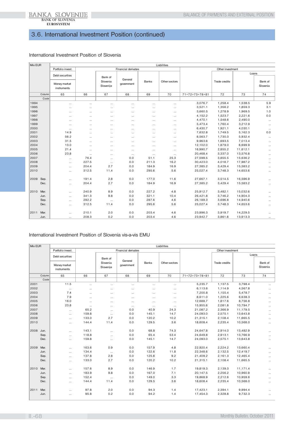**EUROSYSTEM**

# 3.6. International Investment Position (continued)

#### International Investment Position of Slovenia

| Mio EUR |        |                   |          |                     |                     |          | Liabilities   |                          |                  |          |          |
|---------|--------|-------------------|----------|---------------------|---------------------|----------|---------------|--------------------------|------------------|----------|----------|
|         |        | Portfolio invest. |          |                     | Financial derivates |          |               |                          | Other investment |          |          |
|         |        | Debt securities   |          |                     |                     |          |               |                          |                  | Loans    |          |
|         |        |                   |          | Bank of<br>Slovenia | General             | Banks    | Other sectors |                          | Trade credits    |          | Bank of  |
|         |        | Money market      |          | Slovenije           | government          |          |               |                          |                  |          | Slovenia |
|         |        | instruments       |          |                     |                     |          |               |                          |                  |          |          |
|         | Column | 65                | 66       | 67                  | 68                  | 69       | 70            | $71 = 72 + 73 + 78 + 81$ | 72               | 73       | 74       |
|         | Code   |                   |          |                     |                     |          |               |                          |                  |          |          |
| 1994    |        | $\cdots$          | $\cdots$ | $\cdots$            | $\cdots$            |          | $\cdots$      | 3,076.7                  | 1,258.4          | 1,538.5  | 5.9      |
| 1995    |        |                   | $\cdots$ |                     | $\cdots$            |          | $\ddotsc$     | 3,521.1                  | 1,356.2          | 1,859.3  | 3.1      |
| 1996    |        |                   |          |                     |                     |          | $\cdots$      | 3,660.5                  | 1,278.9          | 1,969.5  | 1.0      |
| 1997    |        | $\cdots$          | $\cdots$ | $\cdots$            | $\ddotsc$           | $\cdots$ | $\cdots$      | 4,152.2                  | 1,523.7          | 2,221.6  | 0.0      |
| 1998    |        | $\cdots$          | $\cdots$ |                     | $\cdots$            |          | $\cdots$      | 4,470.1                  | 1,548.6          | 2,490.0  | $\cdots$ |
| 1999    |        | $\cdots$          |          |                     | $\cdots$            |          | $\cdots$      | 5,473.4                  | 1,760.4          | 3,212.9  | $\cdots$ |
| 2000    |        | $\cdots$          |          |                     | $\cdots$            |          | $\cdots$      | 6,430.7                  | 1,921.1          | 4,030.1  | $\cdots$ |
| 2001    |        | 14.9              |          |                     | $\cdots$            | $\cdots$ | $\cdots$      | 7,632.8                  | 1,749.5          | 5,162.3  | 0.0      |
| 2002    |        | 56.2              |          |                     | $\cdots$            | $\cdots$ | $\cdots$      | 8,563.7                  | 1,730.3          | 5,932.4  | $\cdots$ |
| 2003    |        | 31.5              | $\cdots$ | $\cdots$            | $\cdots$            | $\cdots$ | $\cdots$      | 9,963.6                  | 1,693.5          | 7,013.4  | $\cdots$ |
| 2004    |        | 13.0              | $\cdots$ |                     | $\cdots$            | $\cdots$ | $\cdots$      | 12,102.0                 | 1,879.0          | 8,699.9  |          |
| 2005    |        | 21.4              | $\cdots$ | $\cdots$            | $\cdots$            | $\cdots$ | $\cdots$      | 16,990.7                 | 2,855.2          | 11,612.1 | $\cdots$ |
| 2006    |        | 23.8              | $\cdots$ |                     | $\cdots$            | $\cdots$ | $\cdots$      | 20,468.4                 | 3,337.0          | 13,576.8 |          |
| 2007    |        | $\cdots$          | 76.4     | $\cdots$            | 0.0                 | 51.1     | 25.3          | 27,599.5                 | 3,855.5          | 15,636.2 |          |
| 2008    |        | $\cdots$          | 227.5    | $\cdots$            | 0.0                 | 211.3    | 16.2          | 30,423.0                 | 4,018.7          | 17,987.2 |          |
| 2009    |        | $\cdots$          | 204.4    | 2.7                 | 0.0                 | 184.9    | 16.9          | 27,385.2                 | 3,429.4          | 15,583.2 |          |
| 2010    |        | $\cdots$          | 312.5    | 11.4                | 0.0                 | 295.6    | 5.6           | 25,027.4                 | 3,748.3          | 14,653.6 | $\cdots$ |
| 2009    | Sep.   |                   | 191.4    | 2.8                 | 0.0                 | 177.0    | 11.6          | 27,667.1                 | 3,514.5          | 16,596.9 |          |
|         | Dec.   |                   | 204.4    | 2.7                 | 0.0                 | 184.9    | 16.9          | 27,385.2                 | 3,429.4          | 15,583.2 | $\cdots$ |
| 2010    | Mar.   | $\cdots$          | 240.9    | 8.9                 | 0.0                 | 227.2    | 4.8           | 25,912.7                 | 3,482.1          | 15,032.6 |          |
|         | Jun.   | $\cdots$          | 341.3    | 9.8                 | 0.0                 | 321.1    | 10.4          | 26,421.8                 | 3,746.2          | 14,904.3 |          |
|         | Sep.   | $\cdots$          | 292.2    | $\ddotsc$           | 0.0                 | 287.6    | 4.6           | 26,189.3                 | 3,696.8          | 14,940.6 | $\cdots$ |
|         | Dec.   | $\cdots$          | 312.5    | 11.4                | 0.0                 | 295.6    | 5.6           | 25,027.4                 | 3,748.3          | 14,653.6 | $\cdots$ |
| 2011    | Mar.   |                   | 210.1    | 2.0                 | 0.0                 | 203.4    | 4.6           | 23,996.3                 | 3,919.7          | 14,229.5 | $\cdots$ |
|         | Jun.   | $\cdots$          | 208.3    | 0.2                 | 0.0                 | 203.4    | 4.6           | 23,942.7                 | 3,861.8          | 13,913.3 | $\cdots$ |

| Mio EUR |        |                             |          |                                  |                       |          | Liabilities   |                          |                  |          |                     |
|---------|--------|-----------------------------|----------|----------------------------------|-----------------------|----------|---------------|--------------------------|------------------|----------|---------------------|
|         |        | Portfolio invest.           |          |                                  | Financial derivates   |          |               |                          | Other investment |          |                     |
|         |        | Debt securities             |          |                                  |                       |          |               |                          |                  |          | Loans               |
|         |        | Money market<br>instruments |          | Bank of<br>Slovenia<br>Slovenije | General<br>government | Banks    | Other sectors |                          | Trade credits    |          | Bank of<br>Slovenia |
|         | Column | 65                          | 66       | 67                               | 68                    | 69       | 70            | $71 = 72 + 73 + 78 + 81$ | 72               | 73       | 74                  |
|         | Code   |                             |          |                                  |                       |          |               |                          |                  |          |                     |
| 2001    |        | 11.5                        | $\cdots$ | $\cdots$                         | $\cdots$              | $\cdots$ | $\cdots$      | 5,235.7                  | 1,137.5          | 3,798.4  | $\cdots$            |
| 2002    |        | $\ldots$                    | $\cdots$ |                                  | $\ddotsc$             | $\cdots$ | $\cdots$      | 6,113.6                  | 1,114.9          | 4,567.8  | $\cdots$            |
| 2003    |        | 7.4                         | $\cdots$ | $\cdots$                         | $\cdots$              | $\cdots$ | $\cdots$      | 7,200.8                  | 1,155.4          | 5,478.7  | $\cdots$            |
| 2004    |        | 7.9                         | $\cdots$ |                                  | $\cdots$              | $\cdots$ | $\cdots$      | 8,611.0                  | 1,225.6          | 6,638.3  | $\cdots$            |
| 2005    |        | 16.0                        | $\cdots$ |                                  | $\cdots$              | $\cdots$ | $\cdots$      | 12,688.7                 | 1,817.6          | 8,756.8  | $\cdots$            |
| 2006    |        | 23.8                        | $\cdots$ | $\cdots$                         | $\cdots$              | $\cdots$ | $\cdots$      | 15,955.6                 | 2,081.8          | 10,794.7 | $\cdots$            |
| 2007    |        | $\cdots$                    | 65.2     | $\cdots$                         | 0.0                   | 40.9     | 24.3          | 21,087.2                 | 2,366.9          | 11,179.5 | $\cdots$            |
| 2008    |        |                             | 159.8    | $\cdots$                         | 0.0                   | 145.1    | 14.7          | 24,093.0                 | 2,575.1          | 13,643.8 | $\cdots$            |
| 2009    |        | $\cdots$                    | 133.0    | 2.7                              | 0.0                   | 120.2    | 10.2          | 21,315.1                 | 2,108.4          | 11,665.5 | $\cdots$            |
| 2010    |        | $\cdots$                    | 144.4    | 11.4                             | 0.0                   | 129.5    | 3.6           | 18,608.4                 | 2,235.4          | 10,568.0 | $\cdots$            |
| 2008    | Jun.   | $\cdots$                    | 143.1    | $\cdots$                         | 0.0                   | 68.8     | 74.3          | 24,647.8                 | 2,914.0          | 13,482.9 | $\cdots$            |
|         | Sep.   | $\cdots$                    | 118.8    | $\cdots$                         | 0.0                   | 65.4     | 53.4          | 24,649.8                 | 2,913.1          | 13,766.9 | $\cdots$            |
|         | Dec.   | $\cdots$                    | 159.8    | $\cdots$                         | 0.0                   | 145.1    | 14.7          | 24,093.0                 | 2,575.1          | 13,643.8 | $\cdots$            |
| 2009    | Mar.   | $\cdots$                    | 163.6    | 0.9                              | 0.0                   | 157.9    | 4.8           | 22,920.4                 | 2,224.2          | 13,660.4 | $\cdots$            |
|         | Jun.   | $\cdots$                    | 134.4    | $\cdots$                         | 0.0                   | 122.6    | 11.8          | 22,348.6                 | 2,132.5          | 12,419.7 | $\cdots$            |
|         | Sep.   | $\cdots$                    | 137.8    | 2.8                              | 0.0                   | 125.8    | 9.2           | 21,409.2                 | 2,161.3          | 12,465.4 | $\cdots$            |
|         | Dec.   | $\cdots$                    | 133.0    | 2.7                              | 0.0                   | 120.2    | 10.2          | 21,315.1                 | 2,108.4          | 11,665.5 | $\cdots$            |
| 2010    | Mar.   | $\cdots$                    | 157.6    | 8.9                              | 0.0                   | 146.9    | 1.7           | 19,819.3                 | 2,139.3          | 11,171.4 |                     |
|         | Jun.   | $\cdots$                    | 183.9    | 9.8                              | 0.0                   | 167.0    | 7.1           | 20,147.5                 | 2,256.2          | 10,960.9 |                     |
|         | Sep.   |                             | 152.4    | $\cdots$                         | 0.0                   | 149.0    | 3.3           | 19,868.9                 | 2,212.6          | 10,959.6 | $\cdots$            |
|         | Dec.   | $\cdots$                    | 144.4    | 11.4                             | 0.0                   | 129.5    | 3.6           | 18,608.4                 | 2,235.4          | 10,568.0 | $\cdots$            |
| 2011    | Mar.   |                             | 97.8     | 2.0                              | 0.0                   | 94.3     | 1.4           | 17,423.1                 | 2,394.1          | 9,994.4  |                     |
|         | Jun.   | $\cdots$                    | 95.8     | 0.2                              | 0.0                   | 94.2     | 1.4           | 17,454.3                 | 2,328.8          | 9,732.3  |                     |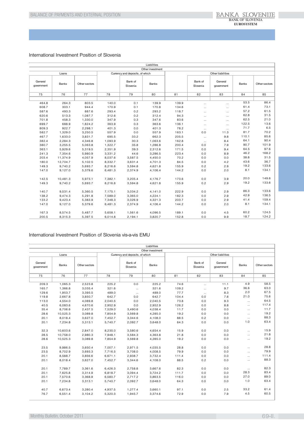#### International Investment Position of Slovenia

|                       |          |               |         |                                 | Liabilities      |       |                     |                       |       |               |
|-----------------------|----------|---------------|---------|---------------------------------|------------------|-------|---------------------|-----------------------|-------|---------------|
|                       |          |               |         |                                 | Other investment |       |                     |                       |       |               |
|                       | Loans    |               |         | Currency and deposits, of which |                  |       |                     | Other liabilities     |       |               |
| General<br>government | Banks    | Other sectors |         | Bank of<br>Slovenia             | Banks            |       | Bank of<br>Slovenia | General<br>government | Banks | Other sectors |
| 75                    | 76       | 77            | 78      | 79                              | 80               | 81    | 82                  | 83                    | 84    | 85            |
|                       |          |               |         |                                 |                  |       |                     |                       |       |               |
| 464.8                 | 264.3    | 803.5         | 140.0   | 0.1                             | 139.9            | 139.9 | $\cdots$            | $\cdots$              | 53.5  | 86.4          |
| 608.7                 | 303.1    | 944.4         | 170.9   | 0.1                             | 170.8            | 134.6 |                     | $\cdots$              | 61.4  | 73.1          |
| 587.6                 | 493.3    | 887.6         | 293.4   | 0.2                             | 293.2            | 118.7 | $\cdots$            | $\cdots$              | 57.2  | 61.5          |
| 620.6                 | 513.3    | 1,087.7       | 312.6   | 0.2                             | 312.4            | 94.3  | $\cdots$            | $\cdots$              | 62.8  | 31.5          |
| 701.8                 | 458.3    | 1,330.0       | 347.9   | 0.3                             | 347.6            | 83.6  | $\cdots$            | $\cdots$              | 62.5  | 21.0          |
| 699.7                 | 688.9    | 1,824.2       | 363.9   | 0.3                             | 363.6            | 136.1 | $\cdots$            | $\cdots$              | 122.5 | 13.6          |
| 809.3                 | 922.7    | 2,298.1       | 401.3   | 0.0                             | 401.3            | 78.2  | $\cdots$            | $\cdots$              | 71.7  | 6.5           |
| 582.7                 | 1,329.0  | 3,250.5       | 557.9   | 0.0                             | 557.9            | 163.1 | 0.0                 | 11.3                  | 81.7  | 70.2          |
| 467.7                 | 1,633.0  | 3,831.7       | 695.5   | 33.2                            | 662.3            | 205.5 | $\cdots$            | 9.8                   | 110.1 | 85.6          |
| 382.4                 | 2,284.3  | 4,346.8       | 1,093.9 | 30.3                            | 1,063.6          | 162.8 | $\ldots$            | 8.4                   | 64.1  | 90.4          |
| 380.7                 | 3,255.5  | 5,063.8       | 1,322.7 | 35.8                            | 1,286.8          | 200.4 | 0.0                 | 7.9                   | 90.7  | 101.9         |
| 363.1                 | 5,929.6  | 5,319.5       | 2,351.9 | 39.3                            | 2,312.6          | 171.5 | 0.0                 | 9.4                   | 64.5  | 97.6          |
| 241.3                 | 7,354.6  | 5,980.9       | 3,331.2 | 44.6                            | 3,286.5          | 223.4 | 0.0                 | 8.9                   | 46.2  | 168.2         |
| 203.4                 | 11,374.9 | 4.057.9       | 8,037.6 | 3,587.5                         | 4,450.0          | 70.2  | 0.0                 | 0.0                   | 38.8  | 31.5          |
| 180.0                 | 12,704.7 | 5,102.5       | 8,332.7 | 3,631.4                         | 4,701.3          | 84.5  | 0.0                 | 4.2                   | 43.6  | 36.7          |
| 149.3                 | 9,740.2  | 5,693.7       | 8,216.6 | 3,594.8                         | 4,621.8          | 155.9 | 0.2                 | 2.9                   | 19.2  | 133.6         |
| 147.0                 | 9,127.0  | 5,379.6       | 6,481.3 | 2,374.9                         | 4,106.4          | 144.2 | 0.0                 | 2.0                   | 8.1   | 134.1         |
| 142.5                 | 10,481.3 | 5,973.1       | 7,382.1 | 3,205.4                         | 4,176.7          | 173.6 | 0.0                 | 3.9                   | 20.0  | 149.6         |
| 149.3                 | 9,740.2  | 5,693.7       | 8,216.6 | 3,594.8                         | 4,621.8          | 155.9 | 0.2                 | 2.9                   | 19.2  | 133.6         |
| 140.7                 | 9,531.4  | 5,360.5       | 7,175.1 | 3,034.2                         | 4,141.0          | 222.9 | 0.0                 | 2.9                   | 86.3  | 133.6         |
| 138.2                 | 9,474.3  | 5,291.8       | 7,589.0 | 3,365.0                         | 4,224.1          | 182.3 | 0.0                 | 2.9                   | 42.9  | 136.5         |
| 133.2                 | 9,423.4  | 5,383.9       | 7,348.3 | 3,026.9                         | 4,321.3          | 203.7 | 0.0                 | 2.9                   | 41.4  | 159.4         |
| 147.0                 | 9,127.0  | 5,379.6       | 6,481.3 | 2,374.9                         | 4,106.4          | 144.2 | 0.0                 | 2.0                   | 8.1   | 134.1         |
| 167.3                 | 8,574.5  | 5,487.7       | 5,658.1 | 1,561.6                         | 4,096.5          | 189.1 | 0.0                 | 4.5                   | 60.2  | 124.5         |
| 200.5                 | 8,315.3  | 5,397.5       | 6,014.8 | 2,194.1                         | 3,820.7          | 152.8 | 0.0                 | 9.9                   | 18.7  | 124.2         |

|                       |          |               |         |                                 | Liabilities      |       |                     |                       |          |               |
|-----------------------|----------|---------------|---------|---------------------------------|------------------|-------|---------------------|-----------------------|----------|---------------|
|                       |          |               |         |                                 | Other investment |       |                     |                       |          |               |
|                       | Loans    |               |         | Currency and deposits, of which |                  |       |                     | Other liabilities     |          |               |
| General<br>government | Banks    | Other sectors |         | Bank of<br>Slovenia             | Banks            |       | Bank of<br>Slovenia | General<br>government | Banks    | Other sectors |
| 75                    | 76       | 77            | 78      | 79                              | 80               | 81    | 82                  | 83                    | 84       | 85            |
|                       |          |               |         |                                 |                  |       |                     |                       |          |               |
| 209.3                 | 1,065.3  | 2,523.8       | 225.2   | 0.0                             | 225.2            | 74.6  | $\cdots$            | 11.1                  | 4.9      | 58.5          |
| 165.7                 | 1,366.8  | 3,035.4       | 321.6   | $\cdots$                        | 321.6            | 109.2 | $\cdots$            | 9.7                   | 36.6     | 63.0          |
| 129.6                 | 1,953.7  | 3.395.5       | 489.0   | $\cdots$                        | 489.0            | 77.7  | $\cdots$            | 8.3                   | 2.0      | 67.5          |
| 119.8                 | 2,667.8  | 3,850.7       | 642.7   | 0.0                             | 642.7            | 104.4 | 0.0                 | 7.8                   | 21.0     | 75.6          |
| 113.0                 | 4.554.0  | 4.089.8       | 2,040.5 | 0.0                             | 2.040.5          | 73.8  | 0.0                 | 9.3                   | $\cdots$ | 64.5          |
| 40.5                  | 6,083.6  | 4,670.6       | 2,952.9 | 0.0                             | 2,952.9          | 126.2 | 0.0                 | 8.8                   | $\cdots$ | 117.4         |
| 35.4                  | 8.706.6  | 2,437.5       | 7,529.0 | 3,490.6                         | 4.038.4          | 11.7  | 0.0                 | 0.0                   | $\cdots$ | 11.7          |
| 28.6                  | 10,525.3 | 3,089.8       | 7,854.9 | 3,569.8                         | 4,285.0          | 19.2  | 0.0                 | 0.0                   | $\cdots$ | 19.2          |
| 20.1                  | 8,018.4  | 3,627.0       | 7,452.7 | 3,344.6                         | 4,108.0          | 88.5  | 0.2                 | 0.0                   | $\cdots$ | 88.3          |
| 20.1                  | 7,234.8  | 3,313.1       | 5,740.7 | 2,092.7                         | 3,648.0          | 64.3  | 0.0                 | 0.0                   | 1.0      | 63.4          |
| 32.3                  | 10,603.6 | 2,847.0       | 8,235.0 | 3,580.6                         | 4,654.4          | 15.9  | 0.0                 | 0.0                   | $\cdots$ | 15.9          |
| 28.5                  | 10,758.0 | 2,980.3       | 7,948.1 | 3,584.3                         | 4,363.8          | 21.8  | 0.0                 | 0.0                   | $\cdots$ | 21.8          |
| 28.6                  | 10,525.3 | 3,089.8       | 7,854.9 | 3,569.8                         | 4,285.0          | 19.2  | 0.0                 | 0.0                   |          | 19.2          |
| 23.5                  | 9,986.5  | 3,650.4       | 7,007.1 | 2,971.5                         | 4,035.5          | 28.8  | 0.0                 | 0.0                   |          | 28.8          |
| 23.5                  | 8,702.9  | 3,693.3       | 7,716.5 | 3,708.0                         | 4,008.5          | 79.9  | 0.0                 | 0.0                   | $\cdots$ | 79.9          |
| 20.1                  | 8,588.7  | 3,856.6       | 6,671.1 | 2,938.7                         | 3,732.4          | 111.4 | 0.0                 | 0.0                   | $\cdots$ | 111.4         |
| 20.1                  | 8,018.4  | 3,627.0       | 7,452.7 | 3,344.6                         | 4,108.0          | 88.5  | 0.2                 | 0.0                   | $\cdots$ | 88.3          |
| 20.1                  | 7,789.7  | 3.361.6       | 6,426.3 | 2,758.8                         | 3,667.6          | 82.3  | 0.0                 | 0.0                   | $\cdots$ | 82.3          |
| 20.1                  | 7,625.8  | 3.314.9       | 6,818.7 | 3,094.4                         | 3,724.2          | 111.7 | 0.0                 | 0.0                   | 28.3     | 83.4          |
| 20.1                  | 7.570.6  | 3.368.9       | 6,580.7 | 2.717.2                         | 3.863.5          | 116.0 | 0.0                 | 0.0                   | 27.0     | 89.0          |
| 20.1                  | 7,234.8  | 3.313.1       | 5.740.7 | 2,092.7                         | 3.648.0          | 64.3  | 0.0                 | 0.0                   | 1.0      | 63.4          |
| 40.7                  | 6,673.4  | 3.280.4       | 4,937.5 | 1,277.4                         | 3,660.1          | 97.1  | 0.0                 | 2.5                   | 33.2     | 61.4          |
| 76.7                  | 6,551.4  | 3.104.2       | 5,320.3 | 1.945.7                         | 3.374.6          | 72.9  | 0.0                 | 7.9                   | 4.5      | 60.5          |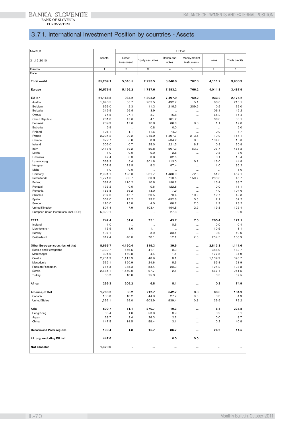**EUROSYSTEM**

# 3.7.1. International Investment Position by countries - Assets

| Mio EUR                                 |          |                      |                   |                    | Of that:                    |                |                |
|-----------------------------------------|----------|----------------------|-------------------|--------------------|-----------------------------|----------------|----------------|
| 31.12.2010                              | Assets   | Direct<br>investment | Equity securities | Bonds and<br>notes | Money market<br>instruments | Loans          | Trade credits  |
| Column                                  | 1        | $\overline{c}$       | 3                 | 4                  | 5                           | $\overline{6}$ | $\overline{7}$ |
| Code                                    |          |                      |                   |                    |                             |                |                |
| <b>Total world</b>                      | 35,209.1 | 5,518.5              | 2,793.5           | 8,340.0            | 767.0                       | 4,111.2        | 3,936.9        |
| Europe                                  | 30,576.9 | 5,196.2              | 1,787.6           | 7,583.2            | 766.2                       | 4,011.8        | 3,487.9        |
| EU-27                                   | 21,168.8 | 984.2                | 1,393.2           | 7,497.9            | 759.2                       | 933.2          | 2,175.2        |
| Austria                                 | 1,640.5  | 86.7                 | 262.5             | 492.7              | 5.1                         | 88.6           | 213.1          |
| Belgium                                 | 656.0    | 2.3                  | 11.3              | 215.5              | 209.5                       | 0.9            | 36.0           |
| Bulgaria                                | 219.5    | 26.5                 | 3.9               |                    |                             | 106.1          | 45.2           |
| Cyprus                                  | 74.5     | $-27.1$              | 3.7               | 16.8               | $\ddotsc$                   | 65.2           | 15.4           |
| Czech Republic                          | 261.6    | 47.6                 | 4.1               | 101.2              |                             | 36.8           | 66.1           |
| Denmark                                 | 209.9    | 17.6                 | 10.9              | 66.6               | 0.0                         | 1.1            | 19.0           |
| Estionia                                | 5.9      |                      | 0.8               | 0.0                | $\ddotsc$                   | $\cdots$       | 5.0            |
| Finland                                 | 105.1    | 1.1                  | 11.6              | 74.0               | $\cdots$                    | 0.0            | 7.7            |
| France                                  | 2,234.2  | 20.2                 | 215.9             | 1,407.7            | 213.5                       | 10.9           | 154.1          |
| Greece                                  | 672.7    | 6.6                  | 8.6               | 534.2              | 0.0                         | 104.0          | 18.6           |
| Ireland                                 | 303.0    | 0.7                  | 25.0              | 221.5              | 18.7                        | 0.3            | 30.8           |
| Italy                                   | 1,417.6  | 39.2                 | 50.8              | 567.3              | 53.9                        | 107.7          | 461.2          |
| Latvia                                  | 7.0      | 0.0                  | 0.0               | 2.8                |                             | 0.8            | 3.0            |
| Lithuania                               | 47.4     | 0.3                  | 0.6               | 32.5               | $\cdots$                    | 0.1            | 13.4           |
| Luxembourg                              | 569.3    | 5.4                  | 301.8             | 113.0              | 0.2                         | 16.0           | 44.8           |
| Hungary                                 | 207.8    | 23.5                 | 8.2               | 87.4               | $\ddotsc$                   | 1.0            | 85.2           |
| Malta                                   | 1.0      | 0.0                  |                   |                    | $\cdots$                    |                | 1.0            |
| Germany                                 | 2,991.1  | 198.3                | 261.7             | 1,488.0            | 72.3                        | 51.3           | 457.1          |
| Netherlands                             | 1,771.0  | 300.7                | 36.3              | 713.5              | 159.7                       | 288.3          | 45.7           |
| Poland                                  | 382.6    | 110.2                | 10.8              | 158.2              | $\ddotsc$                   | 13.4           | 88.7           |
| Portugal                                | 135.2    | 0.5                  | 0.6               | 122.8              | $\cdots$                    | 0.0            | 11.1           |
| Romania                                 | 165.8    | 36.2                 | 13.0              | 7.9                | $\cdots$                    | 4.0            | 104.6          |
| Slovakia                                | 207.6    | 46.7                 | 20.5              | 73.4               | 10.9                        | 12.7           | 42.8           |
| Spain                                   | 551.0    | 17.2                 | 23.2              | 432.6              | 5.5                         | 2.1            | 52.2           |
| Sweden                                  | 195.0    | 15.8                 | 4.0               | 86.2               | 7.0                         | 1.9            | 28.2           |
| United Kingdom                          | 807.4    | 7.9                  | 103.4             | 454.8              | 2.9                         | 19.8           | 125.4          |
| European Union Institutions (incl. ECB) | 5,329.1  |                      |                   | 27.3               | $\cdots$                    |                | 0.0            |
| <b>EFTA</b>                             | 742.4    | 51.6                 | 75.1              | 45.7               | 7.0                         | 265.4          | 171.1          |
| Iceland                                 | 1.0      | $\ddotsc$            | $\ddotsc$         | 0.6                | $\ddotsc$                   | 0.0            | 0.4            |
| Liechtenstein                           | 16.9     | 3.6                  | 1.1               | $\cdots$           | $\cdots$                    | 10.9           | 1.1            |
| Norway                                  | 107.1    |                      | 3.9               | 33.1               | $\cdots$                    | 0.0            | 10.6           |
| Switzerland                             | 617.4    | 48.0                 | 70.1              | 12.1               | 7.0                         | 254.5          | 158.9          |
| Other European countries, of that       | 8,665.7  | 4,160.4              | 319.3             | 39.5               | $\ddotsc$                   | 2,813.3        | 1,141.6        |
| Bosnia and Herzegovina                  | 1,332.7  | 656.5                | 41.1              | 0.3                | $\cdots$                    | 386.9          | 182.7          |
| Montenegro                              | 394.9    | 169.8                | 4.4               | 1.1                | $\cdots$                    | 177.5          | 34.9           |
| Croatia                                 | 2,761.9  | 1,117.9              | 48.9              | 8.1                | $\cdots$                    | 1,139.9        | 395.7          |
| Macedonia                               | 535.1    | 350.9                | 24.6              | 5.6                |                             | 65.4           | 51.9           |
| Russian Federation                      | 715.3    | 345.3                | 83.4              | 20.3               | $\cdots$                    | 124.2          | 128.8          |
| Serbia                                  | 2,684.1  | 1,459.0              | 97.7              | 2.1                |                             | 867.1          | 241.5          |
| Turkey                                  | 66.2     | 10.8                 | 15.3              | $\cdots$           | $\cdots$                    | 0.5            | 39.5           |
| Africa                                  | 299.3    | 209.2                | 6.8               | 8.1                | $\ddotsc$                   | 0.2            | 74.9           |
| America, of that                        | 1,766.3  | 60.2                 | 712.7             | 642.7              | 0.8                         | 68.6           | 134.9          |
| Canada                                  | 106.0    | 10.2                 | 44.0              | 27.7               | 0.0                         | 0.3            | 4.9            |
| <b>United States</b>                    | 1,392.1  | 29.0                 | 603.9             | 539.4              | 0.8                         | 29.5           | 79.2           |
| Asia                                    | 599.7    | 51.1                 | 270.7             | 19.3               |                             | 6.4            | 227.8          |
| Hong Kong                               | 65.4     | 1.6                  | 53.6              | 0.9                | $\ddot{\phantom{a}}$        | 0.2            | 6.1            |
| Japan                                   | 38.7     | 2.4                  | 26.3              | 2.2                |                             | 0.0            | 3.7            |
| China                                   | 147.5    | 14.5                 | 88.4              | 3.1                | $\cdots$                    | 0.2            | 40.8           |
| Oceania and Polar regions               | 199.4    | 1.8                  | 15.7              | 86.7               | $\ddotsc$                   | 24.2           | 11.5           |
| Int. org. excluding EU Inst.            | 447.6    |                      |                   | 0.0                | 0.0                         | $\ddotsc$      |                |
| Not allocated                           | 1,320.0  |                      |                   |                    | $\cdots$                    |                | $\cdots$       |
|                                         |          |                      |                   |                    |                             |                |                |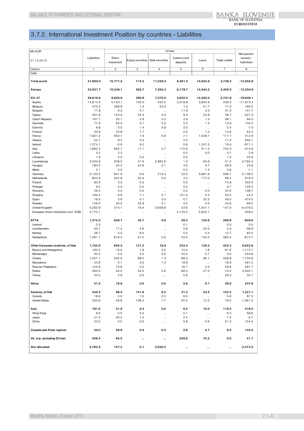# 3.7.2. International Investment Position by countries - Liabilities

| Mio EUR                                 |                |                      |                                     |                | Of that:                 |                    |                      |                                          |
|-----------------------------------------|----------------|----------------------|-------------------------------------|----------------|--------------------------|--------------------|----------------------|------------------------------------------|
| 31.12.2010                              | Liabilities    | Direct<br>investment | Equity securities   Debt securities |                | Currency and<br>deposits | Loans              | <b>Trade credits</b> | Net position<br>(assest-<br>liabilities) |
|                                         |                |                      |                                     |                |                          |                    |                      |                                          |
| Column                                  | $\mathbf{1}$   | $\overline{c}$       | 3                                   | $\overline{4}$ | 5                        | $\overline{6}$     | $\overline{7}$       | 8                                        |
| Code                                    |                |                      |                                     |                |                          |                    |                      |                                          |
| <b>Total world</b>                      | 47.865.0       | 10,771.5             | 714.2                               | 11,039.4       | 6,481.3                  | 14,653.6           | 3,748.3              | $-12,655.9$                              |
| Europe                                  | 42,931.7       | 10,346.1             | 565.7                               | 7,393.4        | 6,178.7                  | 14,544.2           | 3,493.0              | $-12,354.8$                              |
| EU-27                                   | 39,816.9       | 8,850.9              | 390.9                               | 7,376.0        | 5,820.2                  | 14,260.0           | 2,751.8              | $-18,648.1$                              |
| Austria                                 | 13,614.0       | 5,163.1              | 154.0                               | 450.2          | 3,318.8                  | 3,954.6            | 436.3                | $-11,973.4$                              |
| Belgium                                 | 475.5          | 289.9                | 1.3                                 | 54.0           | 1.4                      | 51.7               | 77.0                 | 180.5                                    |
| Bulgaria                                | 77.8           | $-4.2$               | 0.1                                 |                | 11.9                     | 2.0                | 31.0                 | 141.7                                    |
| Cyprus                                  | 301.8          | 152.0                | 53.4                                | 5.0            | 6.3                      | 22.9               | 36.7                 | $-227.3$                                 |
| Czech Republic                          | 167.7          | 50.1                 | 2.9                                 | 0.2            | 2.6                      | 1.3                | 99.1                 | 94.0                                     |
| Denmark                                 | 77.9           | 62.5                 | 0.1                                 | 0.0            | 0.3                      | 1.2                | 12.6                 | 132.0                                    |
| Estionia                                | 6.8            | 0.0                  | 1.4                                 | 4.8            | 0.0                      |                    | 0.4                  | $-1.0$                                   |
| Finland                                 | 42.6           | 23.8                 | 1.7                                 | $\ddotsc$      | 0.5                      | 1.4                | 14.6                 | 62.4                                     |
| France                                  | 1,821.2        | 653.7                | 1.9                                 | 0.6            | 7.1                      | 1,028.7            | 117.7                | 412.9                                    |
| Greece                                  | 22.7           | 9.3                  | 0.2                                 | $\ddotsc$      | 2.0                      | $\ddotsc$          | 11.2                 | 650.1                                    |
| Ireland                                 | 1,274.1        | $-3.6$               | 9.2                                 | $\ddotsc$      | 0.6                      | 1,247.5            | 19.4                 | $-971.1$                                 |
| Italy                                   | 1,892.2        | 665.7                | 17.1                                | 5.7            | 172.6                    | 311.2              | 702.0                | $-474.6$                                 |
| Latvia                                  | 3.2            | 2.3                  | $\cdots$                            |                | 0.0                      | 0.0                | 0.7                  | 3.9                                      |
| Lithuania                               | 1.9            | 0.0                  | 0.2                                 | $\ddotsc$      | 0.0                      | $\ddotsc$          | 1.5                  | 45.6                                     |
| Luxembourg                              | 3,334.6        | 208.0                | 41.6                                | 2,982.6        | 1.3                      | 64.6               | 31.2                 | $-2,765.4$                               |
| Hungary                                 | 183.2          | 55.2                 | 22.9                                | 0.1            | 3.5                      | 0.7                | 89.9                 | 24.6                                     |
| Malta                                   | 2.1            | 0.0                  |                                     |                | 0.0                      | 1.2                | 0.8                  | $-1.1$                                   |
| Germany                                 | 5,130.2        | 601.6                | 8.5                                 | 215.4          | 32.0                     | 3,681.8            | 586.7                | $-2,139.2$                               |
| Netherlands                             | 852.9          | 552.9                | 20.4                                | 0.0            | 3.2                      | 177.0              | 98.2                 | 918.2                                    |
| Poland                                  | 80.6           | 3.3                  | 0.5                                 |                | 0.5                      | $\cdots$           | 74.8                 | 302.0                                    |
| Portugal                                | 6.0            | 0.0                  | 0.0                                 |                | 0.2                      | $\cdots$           | 5.7                  | 129.2                                    |
| Romania                                 | 26.2           | 0.3                  | 0.0                                 | $\cdots$       | 0.3                      | 0.0                | 24.5                 | 139.7                                    |
| Slovakia                                | 165.4          | 6.8                  | 1.1                                 | 0.1            | 101.5                    | 0.2                | 52.0                 | 42.2                                     |
| Spain                                   | 76.5           | 3.9                  | 0.1                                 | 0.5            | 0.7                      | 25.2               | 46.0                 | 474.5                                    |
| Sweden                                  | 126.0          | 40.2                 | 32.9                                | 0.1            | 4.2                      | 0.5                | 34.8                 | 69.0                                     |
| United Kingdom                          | 5,283.9        | 314.1                | 19.4                                | 3,656.8        | 23.6                     | 1,041.1            | 147.0                | $-4,476.5$                               |
| European Union Institutions (incl. ECB) | 4,770.1        | $\cdots$             | $\cdots$                            |                | 2,125.0                  | 2,645.1            | $\cdots$             | 559.0                                    |
| <b>EFTA</b><br>Iceland                  | 1,372.0<br>0.5 | 840.7<br>$\cdots$    | 43.7<br>$\ddotsc$                   | 0.6<br>        | 26.2<br>0.1              | 155.9<br>$\ddotsc$ | 298.9<br>0.5         | $-629.6$<br>0.5                          |
| Liechtenstein                           | 53.7           | 17.3                 | 4.6                                 |                | 0.9                      | 25.5               | 5.3                  | $-36.8$                                  |
| Norway                                  | 26.7           | 5.0                  | 8.0                                 | <br>           | 0.2                      | 0.4                | 12.7                 | 80.4                                     |
| Switzerland                             | 1,291.1        | 818.3                | 31.0                                | 0.6            | 25.0                     | 130.0              | 280.4                | $-673.7$                                 |
| Other European countries, of that       | 1,742.8        | 654.5                | 131.2                               | 16.8           | 332.4                    | 128.4              | 442.3                | 6,922.8                                  |
| Bosnia and Herzegovina                  | 160.0          | 13.0                 | 1.9                                 | 2.5            | 74.4                     | 1.8                | 61.6                 | 1,172.7                                  |
| Montenegro                              | 50.2           | 0.0                  | 3.3                                 | 0.0            | 40.5                     | 0.7                | 3.6                  | 344.8                                    |
| Croatia                                 | 1,027.1        | 525.0                | 88.0                                | 7.3            | 89.3                     | 96.1               | 208.8                | 1,734.8                                  |
| Macedonia                               | 43.9           | 0.1                  | 3.0                                 | 1.3            | 19.6                     |                    | 18.9                 | 491.2                                    |
| Russian Federation                      | 123.6          | 73.8                 | 0.2                                 | $\cdots$       | 16.7                     | 2.3                | 29.8                 | 591.7                                    |
| Serbia                                  | 282.0          | 34.0                 | 34.5                                | 5.6            | 89.4                     | 27.3               | 75.5                 | 2,402.1                                  |
| Turkey                                  | 33.5           | 2.9                  | 0.0                                 | $\cdots$       | 0.9                      | $\cdots$           | 29.5                 | 32.7                                     |
| Africa                                  | 51.5           | 16.6                 | 0.0                                 | 0.0            | 2.6                      | 0.1                | 28.6                 | 247.8                                    |
| America, of that                        | 445.2          | 88.5                 | 141.6                               | 9.2            | 41.3                     | 23.4               | 102.2                | 1,321.1                                  |
| Canada                                  | 18.8           | 0.0                  | 1.5                                 | 2.0            | 9.0                      | $\cdots$           | 5.8                  | 87.3                                     |
| <b>United States</b>                    | 330.6          | 59.6                 | 138.2                               | 1.7            | 20.4                     | 12.3               | 76.0                 | 1,061.5                                  |
| Asia                                    | 181.6          | 41.8                 | 6.2                                 | 0.0            | 6.2                      | 10.0               | 116.0                | 418.0                                    |
| Hong Kong                               | 6.6            | 0.0                  | 0.2                                 | $\cdots$       | 0.1                      | $\cdots$           | 6.3                  | 58.8                                     |
| Japan                                   | 41.4           | 30.2                 | 1.4                                 | $\cdots$       | 2.4                      | $\ldots$           | 7.3                  | $-2.7$                                   |
| China                                   | 23.0           | 0.0                  | 0.0                                 | $\cdots$       | 0.8                      | 0.9                | 21.3                 | 124.4                                    |
| Oceania and Polar regions               | 55.0           | 36.9                 | 0.5                                 | 0.5            | 2.6                      | 5.7                | 8.5                  | 144.4                                    |
| Int. org. excluding EU Inst.            | 406.4          | 84.5                 | $\cdots$                            | $\sim$         | 249.8                    | 70.2               | 0.0                  | 41.1                                     |
| Not allocated                           | 3,793.5        | 157.2                | 0.1                                 | 3,636.2        |                          | $\sim$             | $\cdots$             | $-2,473.5$                               |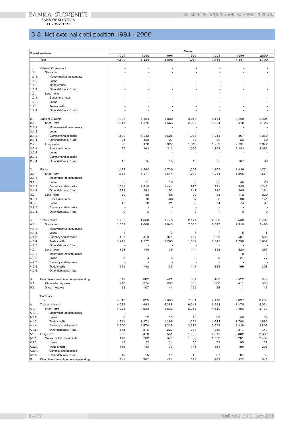**EUROSYSTEM**

# 3.8. Net external debt position 1994 - 2000

|        | Breakdown items                         |              |              |              | Claims         |                |       |             |
|--------|-----------------------------------------|--------------|--------------|--------------|----------------|----------------|-------|-------------|
|        |                                         | 1994         | 1995         | 1996         | 1997           | 1998           | 1999  | 2000        |
|        | Total                                   | 4,840        | 5,325        | 5,808        | 7,051          | 7,116          | 7,697 | 8,700       |
|        |                                         |              |              |              |                |                |       |             |
|        |                                         |              |              |              |                |                |       |             |
| 1.     | <b>General Government</b>               |              |              |              |                |                |       |             |
| 1.1.   | Short - term                            |              |              |              |                |                |       |             |
| 1.1.1. | Money market instruments                |              |              |              |                |                |       |             |
| 1.1.2. | Loans                                   |              |              |              |                |                |       |             |
| 1.1.3. | Trade credits                           |              |              |              |                |                |       |             |
| 1.1.4. | Other debt ass. / liab.                 |              |              |              |                |                |       |             |
|        |                                         |              |              |              |                |                |       |             |
| 1.2.   | Long - term                             |              |              |              |                |                |       |             |
| 1.2.1. | Bonds and notes                         |              |              |              |                |                |       |             |
| 1.2.2. | Loans                                   |              |              |              |                |                |       |             |
| 1.2.3. | Trade credits                           |              |              |              |                |                |       |             |
| 1.2.4. | Other debt ass. / liab.                 |              |              |              |                |                |       |             |
|        |                                         |              |              |              |                |                |       |             |
| 2.     | Bank of Slovenia                        | 1,306        | 1,554        | 1,880        | 3,040          | 3,144          | 3,209 | 3,494       |
| 2.1.   | Short - term                            | 1,216        | 1,376        | 1,553        | 2,022          | 1,384          | 919   | 1,123       |
|        |                                         |              |              |              |                |                |       |             |
| 2.1.1. | Money market instruments                |              |              |              |                |                |       |             |
| 2.1.2. | Loans                                   |              |              |              |                |                | ٠     |             |
| 2.1.3. | Currency and deposits                   | 1,132        | 1,243        | 1,526        | 1,985          | 1,345          | 867   | 1,060       |
| 2.1.4. | Other debt ass. / liab.                 | 84           | 133          | 27           | 37             | 39             | 52    | 62          |
| 2.2.   | Long - term                             | 90           | 178          | 327          | 1,018          | 1,759          | 2,291 | 2,372       |
| 2.2.1. | Bonds and notes                         | 75           | 163          | 312          | 1,002          | 1,704          | 2,183 | 2,283       |
| 2.2.2. | Loans                                   |              |              |              |                |                |       |             |
|        |                                         |              |              |              |                |                |       |             |
| 2.2.3. | Currency and deposits                   | ä,           |              |              | ×              | ÷              | ٠     |             |
| 2.2.4. | Other debt ass. / liab.                 | 15           | 15           | 15           | 16             | 56             | 107   | 89          |
|        |                                         |              |              |              |                |                |       |             |
| 3.     | Banks                                   | 1,432        | 1,560        | 1,730        | 1,303          | 1,309          | 1,436 | 1,771       |
| 3.1.   | Short - term                            | 1,381        | 1,471        | 1,644        | 1,213          | 1,214          | 1,265 | 1,551       |
| 3.1.1. | Money market instruments                |              |              |              |                |                |       |             |
| 3.1.2. | Loans                                   | 6            |              | 10           | 39             | 32             | 45    | 28          |
|        |                                         |              | 11           |              |                |                |       |             |
| 3.1.3. | Currency and deposits                   | 1,041        | 1,218        | 1,441        | 926            | 941            | 955   | 1,242       |
| 3.1.4. | Other debt ass. / liab.                 | 334          | 242          | 193          | 247            | 240            | 265   | 281         |
| 3.2.   | Long - term                             | 50           | 88           | 85           | 90             | 95             | 172   | 220         |
| 3.2.1. | Bonds and notes                         | 38           | 70           | 63           | 37             | 20             | 98    | 141         |
| 3.2.2. | Loans                                   | 12           | 19           | 21           | 52             | 74             | 74    | 80          |
| 3.2.3. | Currency and deposits                   |              |              |              | ٠              |                |       |             |
| 3.2.4. | Other debt ass. / liab.                 | $\circ$      | $\mathsf O$  | $\mathbf{1}$ | $\overline{c}$ | 1              | 0     | $\mathsf O$ |
|        |                                         |              |              |              |                |                |       |             |
|        |                                         |              |              |              |                |                |       |             |
| 4.     | Other sectors                           | 1,792        | 1,830        | 1,778        | 2,174          | 2,200          | 2,530 | 2,789       |
| 4.1.   | Short - term                            | 1,639        | 1,686        | 1,640        | 2,030          | 2,042          | 2,310 | 2,496       |
| 4.1.1. | Money market instruments                |              |              |              |                | J.             |       |             |
| 4.1.2. | Loans                                   | $\mathbf{1}$ | $\mathbf{1}$ | 3            | $\mathbf{1}$   | $\overline{7}$ | 5     | 8           |
| 4.1.3. | Currency and deposits                   | 427          | 413          | 371          | 467            | 393            | 507   | 505         |
| 4.1.4. | Trade credits                           | 1,211        | 1,272        | 1,266        | 1,562          | 1,642          | 1,798 | 1,982       |
| 4.1.5. | Other debt ass. / liab.                 |              |              |              |                | ×.             |       |             |
|        |                                         |              |              |              |                |                |       |             |
| 4.2.   | Long - term                             | 153          | 144          | 139          | 144            | 158            | 220   | 293         |
| 4.2.1. | Money market instruments                |              |              |              |                | ÷,             | 0     | 8           |
| 4.2.2. | Loans                                   | 3            | 4            | 3            | 3              | 5              | 21    | 77          |
| 4.2.3. | Currency and deposits                   |              |              |              |                | ä,             |       |             |
| 4.2.4. | Trade credits                           | 149          | 140          | 136          | 141            | 154            | 199   | 208         |
| 4.2.5. | Other debt ass. / liab.                 |              |              |              |                |                |       |             |
|        |                                         |              |              |              |                |                |       |             |
| 5.     |                                         | 311          | 382          | 421          | 534            | 463            | 522   | 646         |
|        | Direct investment: intercompany lending |              |              |              |                |                |       |             |
| 5.1.   | Affiliated enterprises                  | 216          | 274          | 280          | 365            | 368            | 411   | 503         |
| 5.2.   | Direct investors                        | 95           | 107          | 141          | 169            | 95             | 111   | 143         |
|        |                                         |              |              |              |                |                |       |             |
|        | Summary                                 |              |              |              |                |                |       |             |
|        | Total                                   | 4,840        | 5,325        | 5,808        | 7,051          | 7,116          | 7,697 | 8,700       |
| A.     | Total all sectors                       | 4,529        | 4,943        | 5,388        | 6,517          | 6,653          | 7,175 | 8,054       |
| A.1.   | Short - term                            | 4,236        | 4,533        | 4,836        | 5,265          | 4,640          | 4,493 | 5,169       |
| A.1.1. |                                         |              |              |              |                | ÷,             | ÷,    |             |
|        | Money market instruments                |              |              |              |                |                |       |             |
| A.1.2. | Loans                                   | 8            | 12           | 13           | 40             | 39             | 50    | 36          |
| A.1.3. | Trade credits                           | 1,211        | 1,272        | 1,266        | 1,562          | 1,642          | 1,798 | 1,982       |
| A.1.4. | Currency and deposits                   | 2,600        | 2,874        | 3,338        | 3,378          | 2,679          | 2,329 | 2,808       |
| A.1.5. | Other debt ass. / liab.                 | 418          | 375          | 220          | 284            | 280            | 317   | 343         |
| A.2.   | Long - term                             | 293          | 410          | 551          | 1,252          | 2,012          | 2,682 | 2,885       |
| A.2.1. | Money market instruments                | 113          | 232          | 375          | 1,039          | 1,723          | 2,281 | 2,432       |
|        |                                         |              |              |              |                |                |       |             |
| A.2.2. | Loans                                   | 15           | 22           | 24           | 55             | 79             | 95    | 157         |
| A.2.3. | Trade credits                           | 149          | 140          | 136          | 141            | 154            | 199   | 208         |
| A.2.4. | Currency and deposits                   |              |              |              |                | ٠              |       |             |
| A.2.5. | Other debt ass. / liab.                 | 15           | 15           | 16           | 18             | 57             | 107   | 89          |
| ΙB.    | Direct investment: intercompany lending | 311          | 382          | 421          | 534            | 463            | 522   | 646         |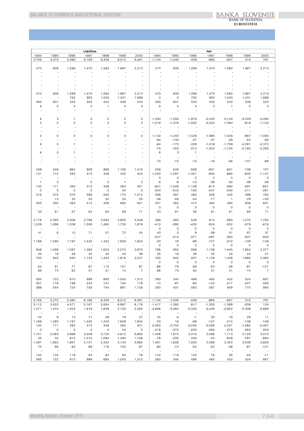#### BANKA SLOVENIJE BANK OF SLOVENIA **EUROSYSTEM**

|                          |                          |                          | Liabilities              |                          |                          |                          |                          |                               |                          | Net                      |                          |                          |                          |
|--------------------------|--------------------------|--------------------------|--------------------------|--------------------------|--------------------------|--------------------------|--------------------------|-------------------------------|--------------------------|--------------------------|--------------------------|--------------------------|--------------------------|
| 1994                     | 1995                     | 1996                     | 1997                     | 1998                     | 1999                     | 2000                     | 1994                     | 1995                          | 1996                     | 1997                     | 1998                     | 1999                     | 2000                     |
| 3,706                    | 4,275                    | 5,380                    | 6,166                    | 6,459                    | 8,012                    | 9,491                    | $-1, 134$                | $-1,049$                      | $-428$                   | $-885$                   | $-657$                   | 315                      | 791                      |
|                          |                          |                          |                          |                          |                          |                          |                          |                               |                          |                          |                          |                          |                          |
| 470                      | 606                      | 1,299                    | 1,470                    | 1,582                    | 1,967                    | 2,213                    | 470                      | 606                           | 1,299                    | 1,470                    | 1,582                    | 1,967                    | 2,213                    |
|                          |                          |                          |                          |                          |                          |                          |                          |                               |                          |                          |                          |                          |                          |
| ÷                        |                          | ٠                        |                          |                          |                          | $\overline{a}$           | ä,                       | J,                            |                          |                          |                          |                          |                          |
|                          |                          |                          |                          |                          |                          | ٠                        |                          |                               |                          |                          |                          |                          |                          |
| ÷                        |                          | ä,                       |                          |                          |                          | ÷                        | ÷,                       |                               |                          |                          |                          |                          |                          |
|                          |                          |                          |                          |                          |                          |                          |                          |                               |                          |                          |                          |                          |                          |
| 470                      | 606                      | 1,299                    | 1,470                    | 1,582                    | 1,967                    | 2,213                    | 470                      | 606                           | 1,299                    | 1,470                    | 1,582                    | 1,967                    | 2,213                    |
| $\overline{\phantom{a}}$ | $\overline{a}$           | 762                      | 963                      | 1,040                    | 1,431                    | 1,688                    | $\circ$                  | 0                             | 762                      | 963                      | 1,040                    | 1,431                    | 1,688                    |
| 465                      | 601                      | 533                      | 505                      | 542                      | 536                      | 525                      | 465                      | 601                           | 533                      | 505                      | 542                      | 536                      | 525                      |
| 6                        | 5                        | 4                        |                          | 1                        | 0                        | 0                        | 6                        |                               |                          | $\sqrt{2}$               | $\mathbf{1}$             | 0                        | $\mathsf O$              |
| ٠                        | $\overline{a}$           | ÷,                       | 2<br>$\overline{a}$      |                          | $\overline{a}$           | $\overline{a}$           | $\overline{\phantom{a}}$ | 5<br>$\overline{\phantom{a}}$ | 4                        | ÷,                       |                          | ÷,                       | $\sim$                   |
|                          |                          |                          |                          | ÷                        |                          |                          |                          |                               |                          |                          |                          |                          |                          |
|                          |                          |                          |                          |                          |                          |                          |                          |                               |                          |                          |                          |                          |                          |
| 6                        | 3                        | 1                        | $\mathsf{O}\xspace$      | 0                        | 0                        | 0                        | $-1,300$                 | $-1,550$                      | $-1,878$                 | $-3,040$                 | $-3,144$                 | $-3,209$                 | $-3,494$                 |
| 0                        | $\mathsf O$              | $\mathsf O$              | $\mathsf O$              | 0                        | 0                        | 0                        | $-1,216$                 | $-1,376$                      | $-1,552$                 | $-2,022$                 | $-1,384$                 | $-918$                   | $-1, 123$                |
| ÷                        | ٠                        | ä,                       | ×.                       |                          |                          | ÷,                       | ٠.                       | $\overline{\phantom{a}}$      | $\overline{\phantom{a}}$ | $\overline{\phantom{a}}$ |                          | ÷,                       | $\overline{\phantom{a}}$ |
|                          | $\overline{a}$           | ä,                       | ٠                        |                          | ÷,                       | $\overline{\phantom{a}}$ | ÷.                       | $\overline{\phantom{a}}$      | $\overline{\phantom{a}}$ | $\overline{\phantom{a}}$ | $\overline{\phantom{a}}$ | $\overline{\phantom{a}}$ | $\sim$                   |
| 0                        | $\mathsf O$              | 0                        | $\mathsf O$              | 0                        | 0                        | 0                        | $-1,132$                 | $-1,243$                      | $-1,526$                 | $-1,985$                 | $-1,345$                 | $-867$                   | $-1,060$                 |
|                          | ٠                        | ×,                       |                          |                          |                          |                          | $-84$                    | $-133$                        | $-27$                    | $-37$                    | $-39$                    | $-52$                    | $-62$                    |
| 6                        | 3                        | 1                        | ×.                       |                          | ÷,                       | ٠                        | $-84$                    | $-175$                        | $-326$                   | $-1,018$                 | $-1,759$                 | $-2,291$                 | $-2,372$                 |
|                          | ÷,                       |                          |                          |                          |                          | ٠                        | $-75$                    | $-163$                        | $-312$                   | $-1,002$                 | $-1,704$                 | $-2,183$                 | $-2,283$                 |
| 6                        | 3                        | 1                        |                          |                          |                          | ٠                        | 6                        | 3                             | $\mathbf{1}$             | $\overline{\phantom{a}}$ |                          | $\overline{\phantom{a}}$ | $\overline{\phantom{a}}$ |
|                          |                          |                          |                          |                          |                          | ä,                       | ÷,                       | $\sim$                        |                          |                          | $\overline{\phantom{a}}$ | ÷,                       |                          |
| ×                        |                          | ÷,                       |                          |                          |                          | ×                        | $-15$                    | $-15$                         | $-15$                    | $-16$                    | $-56$                    | $-107$                   | $-89$                    |
|                          |                          |                          |                          |                          |                          |                          |                          |                               |                          |                          |                          |                          |                          |
| 458                      | 549                      | 864                      | 908                      | 888                      | 1,195                    | 1,416                    | 458                      | 549                           | $-568$                   | $-651$                   | $-841$                   | $-108$                   | 107                      |
| 141                      | 174                      | 293                      | 313                      | 348                      | 425                      | 404                      | $-1,240$                 | $-1,297$                      | $-1,351$                 | $-900$                   | $-865$                   | $-840$                   | $-1, 147$                |
| $\overline{\phantom{a}}$ | $\overline{\phantom{a}}$ | $\overline{\phantom{a}}$ | $\overline{\phantom{a}}$ | $\overline{\phantom{a}}$ | $\sim$                   | $\overline{\phantom{a}}$ | $\circ$                  | $\mathsf O$                   | $\circ$                  | $\circ$                  | $\circ$                  | $\circ$                  | $\circ$                  |
| $\overline{1}$           | 3                        |                          | $\mathsf O$              | $\mathsf O$              | $\overline{7}$           | $\overline{c}$           | $-5$                     | $-8$                          | $-10$                    | $-39$                    | $-32$                    | $-38$                    | $-26$                    |
| 140                      | 171                      | 293                      | 312                      | 348                      | 364                      | 401                      | -901                     | $-1,048$                      | $-1, 148$                | $-614$                   | $-594$                   | $-591$                   | $-841$                   |
| 0                        | $\circ$                  | $\circ$                  | $\mathsf{O}\xspace$      | 0                        | 54                       | $\mathsf{O}\xspace$      | $-334$                   | $-242$                        | $-193$                   | $-247$                   | $-240$                   | $-211$                   | $-281$                   |
| 316                      | 375                      | 570                      | 596                      | 540                      | 770                      | 1,012                    | 266                      | 287                           | 485                      | 506                      | 445                      | 599                      | 792                      |
| $\overline{\phantom{a}}$ | 13                       | 20                       | 20                       | 20                       | 20                       | 20                       | $-38$                    | $-56$                         | $-43$                    | $-17$                    | $\overline{1}$           | $-78$                    | $-120$                   |
| 263                      | 300                      | 493                      | 513                      | 458                      | 682                      | 921                      | 251                      | 282                           | 472                      | 462                      | 384                      | 608                      | 841                      |
| $\sim$                   | $\overline{\phantom{a}}$ | $\sim$                   | ÷,                       | $\overline{\phantom{a}}$ | $\sim$                   | $\sim$                   | $\circ$                  | $\mathsf{O}$                  | $\circ$                  | $\circ$                  | $\circ$                  | $\circ$                  | $\circ$                  |
| 53                       | 61                       | 57                       | 62                       | 62                       | 69                       | 71                       | 53                       | 61                            | 56                       | 61                       | 61                       | 69                       | 71                       |
|                          |                          |                          |                          |                          |                          |                          |                          |                               |                          |                          |                          |                          |                          |
| 2,178                    | 2,395                    | 2,306                    | 2,789                    | 3,093                    | 3,805                    | 4,549                    | 386                      | 565                           | 528                      | 614                      | 893                      | 1,275                    | 1,760                    |
| 1,229                    | 1,296                    | 1,209                    | 1,506                    | 1,490                    | 1,730                    | 1,879                    | $-410$                   | $-390$                        | $-430$                   | $-524$                   | $-552$                   | $-579$                   | $-616$                   |
| $\blacksquare$           | ٠                        | $\overline{\phantom{a}}$ | $\overline{\phantom{a}}$ | $\overline{\phantom{a}}$ | $\sim$                   | $\overline{\phantom{a}}$ | $\mathsf{O}\xspace$      | $\mathsf O$                   | $\circ$                  | $\circ$                  | $\circ$                  | $\circ$                  | $\mathsf 0$              |
| 41                       | 6                        | 12                       | 71                       | 57                       | 72                       | 45                       | 40                       | 5                             | 9                        | 69                       | 51                       | 67                       | 37                       |
|                          |                          | ۰.                       |                          |                          | $\overline{\phantom{a}}$ | $\sim$                   | $-427$                   | $-413$                        | $-371$                   | $-467$                   | $-393$                   | $-507$                   | $-505$                   |
| 1,189                    | 1,290                    | 1,197                    | 1,435                    | 1,432                    | 1,659                    | 1,834                    | $-23$                    | 18                            | $-68$                    | $-127$                   | $-210$                   | $-139$                   | $-148$                   |
| $\overline{\phantom{a}}$ | ٠                        | $\overline{\phantom{a}}$ |                          | $\overline{\phantom{a}}$ |                          | $\overline{\phantom{a}}$ | $\circ$                  | $\mathsf O$                   | $\circ$                  | $\mathsf O$              | $\circ$                  | $\mathsf O$              | $\mathsf O$              |
| 948                      | 1,099                    | 1,097                    | 1,283                    | 1,603                    | 2,074                    | 2,670                    | 796                      | 955                           | 958                      | 1,139                    | 1,445                    | 1,854                    | 2,377                    |
| 35                       | 19                       | 28                       | 32                       | 34                       | 43                       | 39                       | 35                       | 19                            | 28                       | 32                       | 34                       | 43                       | 31                       |
| 763                      | 945                      | 930                      | 1,133                    | 1,433                    | 1,916                    | 2,537                    | 760                      | 942                           | 927                      | 1,129                    | 1,428                    | 1,895                    | 2,460                    |
| $\overline{\phantom{a}}$ | $\overline{\phantom{a}}$ | $\overline{\phantom{a}}$ | $\overline{\phantom{a}}$ | $\overline{\phantom{a}}$ | ÷                        | $\sim$                   | $\mathsf O$              | $\mathsf O$                   | $\circ$                  | $\mathsf O$              | $\circ$                  | $\mathsf O$              | $\mathsf O$              |
| 64                       | 61                       | 77                       | 87                       | 115                      | 101                      | 87                       | $-86$                    | $-79$                         | $-59$                    | $-54$                    | $-38$                    | $-97$                    | $-121$                   |
| 86                       | 73                       | 62                       | 31                       | 21                       | 14                       | $\overline{7}$           | 86                       | 73                            | 62                       | 31                       | 21                       | 14                       | $\overline{7}$           |
|                          |                          |                          |                          |                          |                          |                          |                          |                               |                          |                          |                          |                          |                          |
| 595                      | 722                      | 910                      | 999                      | 895                      | 1,045                    | 1,312                    | 283                      | 340                           | 489                      | 465                      | 432                      | 524                      | 667                      |
| 207                      | 178                      | 186                      | 243                      | 151                      | 164                      | 176                      | $-10$                    | $-97$                         | $-94$                    | $-122$                   | $-217$                   | $-247$                   | $-326$                   |
| 388                      | 544                      | 724                      | 756                      | 744                      | 881                      | 1,136                    | 293                      | 437                           | 583                      | 587                      | 649                      | 770                      | 993                      |
|                          |                          |                          |                          |                          |                          |                          |                          |                               |                          |                          |                          |                          |                          |
|                          |                          |                          |                          |                          |                          |                          |                          |                               |                          |                          |                          |                          |                          |
| 3,706                    | 4,275                    | 5,380                    | 6,166                    | 6,459                    | 8,012                    | 9,491                    | $-1,134$                 | $-1,049$                      | $-428$                   | $-885$                   | $-657$                   | 315                      | 791                      |
| 3,112                    | 3,553                    | 4,471                    | 5,167                    | 5,564                    | 6,967                    | 8,178                    | $-1,417$                 | $-1,390$                      | $-917$                   | $-1,350$                 | $-1,089$                 | $-208$                   | 124                      |
| 1,371                    | 1,470                    | 1,503                    | 1,819                    | 1,839                    | 2,155                    | 2,283                    | $-2,866$                 | $-3,063$                      | $-3,333$                 | $-3,446$                 | $-2,802$                 | $-2,338$                 | $-2,886$                 |
| $\overline{\phantom{a}}$ | $\overline{\phantom{a}}$ | $\overline{\phantom{a}}$ | $\overline{\phantom{a}}$ | $\overline{\phantom{a}}$ | $\sim$                   | $\overline{\phantom{a}}$ | $\overline{\phantom{a}}$ | $\overline{\phantom{a}}$      | $\overline{\phantom{a}}$ | $\sim$                   | $\overline{\phantom{a}}$ | $\overline{\phantom{a}}$ | $\sim$                   |
| 42                       | $\mathsf g$              | 12                       | 71                       | 58                       | 79                       | 47                       | 34                       | $-3$                          | $-1$                     | 30                       | 19                       | 29                       | 11                       |
| 1,189                    | 1,290                    | 1,197                    | 1,435                    | 1,432                    | 1,659                    | 1,834                    | $-23$                    | 18                            | $-68$                    | $-127$                   | $-210$                   | $-139$                   | $-148$                   |
| 140                      | 171                      | 293                      | 313                      | 348                      | 364                      | 401                      | $-2,460$                 | $-2,704$                      | $-3,045$                 | $-3,066$                 | $-2,331$                 | $-1,965$                 | $-2,407$                 |
|                          | $\mathsf{O}\xspace$      |                          | $\mathsf{O}\xspace$      | $\circ$                  |                          | $\mathsf{O}\xspace$      |                          |                               |                          |                          |                          |                          |                          |
| $\mathsf{O}$             |                          | $\circ$                  |                          |                          | 54                       |                          | $-418$                   | $-375$                        | $-220$                   | $-284$                   | $-279$                   | $-263$                   | $-343$                   |
| 1,741                    | 2,083                    | 2,968                    | 3,348                    | 3,725                    | 4,812                    | 5,895                    | 1,448                    | 1,673                         | 2,416                    | 2,096                    | 1,713                    | 2,129                    | 3,010                    |
| 35                       | 32                       | 810                      | 1,015                    | 1,094                    | 1,494                    | 1,748                    | $-78$                    | $-200$                        | 435                      | $-24$                    | $-629$                   | $-787$                   | $-684$                   |
| 1,497                    | 1,850                    | 1,957                    | 2,151                    | 2,432                    | 3,134                    | 3,983                    | 1,481                    | 1,828                         | 1,933                    | 2,096                    | 2,353                    | 3,039                    | 3,826                    |
| 70                       | 66                       | 82                       | 88                       | 116                      | 102                      | 87                       | $-80$                    | $-74$                         | $-54$                    | $-52$                    | $-38$                    | $-97$                    | $-121$                   |
| $\overline{\phantom{a}}$ | $\overline{\phantom{a}}$ | $\overline{\phantom{a}}$ | $\overline{\phantom{a}}$ | $\overline{\phantom{a}}$ | $\overline{\phantom{a}}$ | $\overline{\phantom{a}}$ | $\overline{\phantom{a}}$ | $\overline{\phantom{a}}$      | $\overline{\phantom{a}}$ | $\overline{\phantom{a}}$ | $\overline{\phantom{a}}$ | $\overline{\phantom{a}}$ | $\overline{\phantom{a}}$ |
| 140                      | 134                      | 118                      | 94                       | 83                       | 82                       | 78                       | 124                      | 119                           | 102                      | 76                       | 26                       | $-25$                    | $-11$                    |
| 595                      | 722                      | 910                      | 999                      | 895                      | 1,045                    | 1,312                    | 283                      | 340                           | 489                      | 465                      | 432                      | 524                      | 667                      |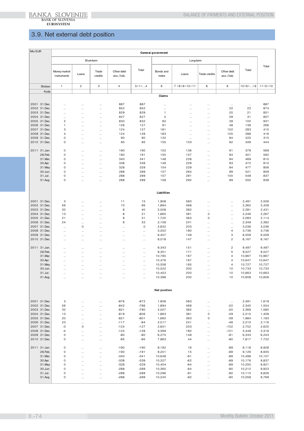**EUROSYSTEM**

## 3.9. Net external debt position

| Mio EUR                      |                             |                         |                           |                          |                  | General government      |                       |                            |                          |                  |                  |
|------------------------------|-----------------------------|-------------------------|---------------------------|--------------------------|------------------|-------------------------|-----------------------|----------------------------|--------------------------|------------------|------------------|
|                              |                             |                         | Short-term                |                          |                  |                         | Long-term             |                            |                          |                  |                  |
|                              | Money market<br>instruments | Loans                   | Trade<br>credits          | Other debt<br>ass./liab. | Total            | Bonds and<br>notes      | Loans                 | Trade credits              | Other debt<br>ass./liab. | Total            | Total            |
| Stolpec                      | $\mathbf{1}$                | $\overline{\mathbf{c}}$ | $\ensuremath{\mathsf{3}}$ | 4                        | $5 = 1 +  4$     | 6                       | $7 = 8 + 9 + 10 + 11$ | 8                          | 9                        | $10=6++9$        | $11 = 5 + 10$    |
| Koda                         |                             |                         |                           |                          |                  |                         |                       |                            |                          |                  |                  |
|                              |                             |                         |                           |                          |                  | Claims                  |                       |                            |                          |                  |                  |
| 2001 31.Dec.                 |                             |                         |                           | 887                      | 887              | $\ddotsc$               |                       | $\ddotsc$                  | $\ddotsc$                | $\cdots$         | 887              |
| 2002 31.Dec.<br>2003 31.Dec. | <br>                        | <br>                    | <br>$\cdots$              | 852<br>829               | 852<br>829       | $\ddotsc$<br>1          | <br>                  | $\ddotsc$<br>$\ddotsc$     | 22<br>20                 | 22<br>21         | 874<br>851       |
| 2004 31.Dec.                 |                             |                         | $\cdots$                  | 827                      | 827              | $\overline{\mathbf{c}}$ |                       | $\ddotsc$                  | 29                       | 31               | 857              |
| 2005 31.Dec.                 | $\overline{\mathbf{c}}$     |                         | $\cdots$                  | 830                      | 832              | 60                      |                       | $\ddotsc$                  | 39                       | 100              | 931              |
| 2006 31.Dec.                 | 1                           |                         |                           | 126                      | 127              | 91                      |                       | $\ddotsc$                  | 48                       | 139              | 266              |
| 2007 31.Dec.<br>2008 31.Dec. | 3<br>4                      | <br>                    | <br>$\cdots$              | 124<br>124               | 127<br>128       | 181<br>183              | <br>                  | $\ddotsc$                  | 102<br>105               | 283<br>288       | 410<br>416       |
| 2009 31.Dec.                 | 0                           |                         | $\cdots$                  | 90                       | 90               | 132                     | $\cdots$              | $\cdots$<br>$\ddotsc$      | 94                       | 225              | 315              |
| 2010 31.Dec.                 | 0                           |                         |                           | 95                       | 95               | 155                     | 103                   | $\ddotsc$                  | 92                       | 349              | 444              |
| 2011 31.Jan.                 | 0                           | $\cdots$                |                           | 190                      | 190              | 152                     | 136                   | $\ddotsc$                  | 91                       | 379              | 569              |
| 28.Feb.                      | 0                           |                         | $\cdots$                  | 190                      | 191              | 150                     | 157                   | $\ddotsc$                  | 94                       | 401              | 592              |
| 31.Mar.                      | $\mathsf O$                 |                         |                           | 340                      | 341              | 148                     | 228                   | $\ddotsc$                  | 94                       | 469              | 810              |
| 30.Apr.                      | 0                           |                         |                           | 338                      | 339              | 149                     | 229                   | $\ddotsc$                  | 93                       | 472              | 810              |
| 31.May<br>30.Jun.            | 0<br>0                      | <br>                    | $\cdots$<br>              | 328<br>288               | 329<br>289       | 154<br>157              | 229<br>264            | $\cdots$<br>$\ddotsc$      | 94<br>99                 | 477<br>521       | 806<br>809       |
| 31.Jul.                      | 0                           |                         |                           | 288                      | 289              | 157                     | 291                   |                            | 100                      | 548              | 837              |
| 31.Aug.                      | 0                           |                         | $\cdots$                  | 288                      | 289              | 158                     | 292                   | $\ddotsc$                  | 99                       | 550              | 838              |
|                              |                             |                         |                           |                          |                  | Liabilities             |                       |                            |                          |                  |                  |
| 2001 31.Dec.                 | 3                           |                         | $\cdots$                  | 11                       | 15               | 1,908                   | 583                   | $\cdots$                   |                          | 2,491            | 2,506            |
| 2002 31.Dec.                 | 56                          |                         |                           | 10                       | 66               | 1,894                   | 468                   | $\ddotsc$                  | $\cdots$                 | 2,362            | 2,428            |
| 2003 31.Dec.                 | 32                          |                         |                           | 8                        | 40               | 2,008                   | 382                   |                            | $\ddotsc$                | 2,391            | 2,431            |
| 2004 31.Dec.                 | 13                          |                         | $\cdots$                  | 8                        | 21               | 1,865                   | 381                   | $\mathsf{O}\xspace$        | $\cdots$                 | 2,246            | 2,267            |
| 2005 31.Dec.<br>2006 31.Dec. | 21<br>24                    |                         |                           | 9<br>9                   | 31<br>33         | 1,720<br>2,108          | 363<br>241            | $\mathsf O$                | $\cdots$                 | 2,083<br>2,349   | 2,114<br>2,382   |
| 2007 31.Dec.                 |                             | <br>0                   | <br>                      | $\cdots$                 | 0                | 2,832                   | 203                   | $\ddotsc$<br>$\ddotsc$     | $\cdots$<br>$\ddotsc$    | 3,036            | 3,036            |
| 2008 31.Dec.                 |                             |                         |                           |                          | $\cdots$         | 3,552                   | 180                   | $\ddotsc$                  | 4                        | 3,736            | 3,736            |
| 2009 31.Dec.                 |                             | $\cdots$                | $\cdots$                  | $\cdots$                 | $\cdots$         | 6,407                   | 149                   | $\cdots$                   | 3                        | 6,559            | 6,559            |
| 2010 31.Dec.                 |                             |                         | $\cdots$                  | $\cdots$                 | $\cdots$         | 8,018                   | 147                   | $\ddotsc$                  | $\overline{c}$           | 8,167            | 8,167            |
| 2011 31.Jan.                 | $\cdots$                    |                         |                           |                          | $\cdots$         | 9,343                   | 151                   | $\ddotsc$                  | $\sqrt{2}$               | 9,497            | 9,497            |
| 28.Feb.<br>31.Mar.           | $\cdots$                    | $\cdots$                |                           | $\cdots$                 | $\cdots$         | 9,351                   | 171                   | $\ddotsc$                  | 5                        | 9,527            | 9,527            |
| 30.Apr.                      | <br>                        | <br>                    | <br>                      |                          | $\cdots$<br>     | 10,795<br>10,476        | 167<br>167            | $\ddotsc$<br>$\ddotsc$     | 4<br>4                   | 10,967<br>10,647 | 10,967<br>10,647 |
| 31.May                       |                             |                         |                           |                          | $\cdots$         | 10,558                  | 165                   | $\ddotsc$                  | 4                        | 10,727           | 10,727           |
| 30.Jun.                      | $\cdots$                    |                         |                           | $\cdots$                 | $\cdots$         | 10,522                  | 200                   | $\ddotsc$                  | 10                       | 10,733           | 10,733           |
| 31.Jul.<br>31.Aug.           |                             |                         |                           |                          | $\cdots$         | 10,453<br>10,398        | 200<br>200            | $\ddotsc$                  | 10<br>10                 | 10,663<br>10,608 | 10,663<br>10,608 |
|                              |                             |                         |                           | $\cdots$                 | $\cdots$         |                         |                       | $\ddotsc$                  |                          |                  |                  |
|                              |                             |                         |                           |                          |                  | Net position            |                       |                            |                          |                  |                  |
| 2001 31.Dec.                 | 3                           |                         | $\cdots$                  | $-876$                   | $-872$           | 1,908                   | 583                   | $\cdots$                   | $\cdots$                 | 2,491            | 1,619            |
| 2002 31.Dec.                 | 56                          |                         | $\ldots$                  | $-842$                   | $-786$           | 1,894                   | 468                   | $\cdots$                   | $-22$                    | 2,340            | 1,554            |
| 2003 31.Dec.                 | 32                          |                         | $\cdots$                  | $-821$                   | $-790$           | 2,007                   | 382                   | $\cdots$                   | $-20$                    | 2,369            | 1,580            |
| 2004 31.Dec.<br>2005 31.Dec. | 13<br>20                    | <br>$\cdots$            | $\cdots$<br>$\cdots$      | $-819$<br>$-821$         | $-806$<br>$-801$ | 1,863<br>1,660          | 381<br>363            | $\mathsf O$<br>$\mathsf O$ | $-29$<br>$-39$           | 2,215<br>1,984   | 1,409<br>1,183   |
| 2006 31.Dec.                 | 23                          | $\cdots$                | $\ldots$                  | $-117$                   | $-94$            | 2,017                   | 241                   | $\cdots$                   | $-48$                    | 2,210            | 2,116            |
| 2007 31.Dec.                 | $-3$                        | 0                       | $\cdots$                  | $-124$                   | $-127$           | 2,651                   | 203                   | $\cdots$                   | $-102$                   | 2,752            | 2,625            |
| 2008 31.Dec.                 | $-4$                        |                         |                           | $-124$                   | $-128$           | 3,369                   | 180                   | $\cdots$                   | $-101$                   | 3,448            | 3,319            |
| 2009 31.Dec.<br>2010 31.Dec. | 0<br>0                      | <br>$\cdots$            | $\cdots$<br>$\ldots$      | $-90$<br>$-95$           | $-90$<br>$-95$   | 6,275<br>7,863          | 149<br>44             | $\cdots$<br>$\cdots$       | $-91$<br>$-90$           | 6,333<br>7,817   | 6,243<br>7,722   |
|                              |                             |                         |                           |                          |                  |                         |                       |                            |                          |                  |                  |
| 2011 31.Jan.<br>28.Feb.      | 0<br>0                      | <br>                    | $\cdots$<br>$\cdots$      | $-190$<br>$-190$         | $-190$<br>$-191$ | 9,192<br>9,201          | 16<br>15              | $\ddotsc$<br>$\cdots$      | $-89$<br>$-89$           | 9,118<br>9,126   | 8,928<br>8,935   |
| 31.Mar.                      | 0                           |                         | $\ldots$                  | $-340$                   | $-341$           | 10,648                  | $-61$                 | $\cdots$                   | $-89$                    | 10,498           | 10,157           |
| 30.Apr.                      | 0                           |                         | $\cdots$                  | $-338$                   | $-339$           | 10,327                  | $-62$                 | $\cdots$                   | $-89$                    | 10,176           | 9,837            |
| 31.May                       | 0                           |                         | $\ldots$                  | $-328$                   | $-329$           | 10,404                  | $-64$                 | $\ddotsc$                  | $-89$                    | 10,250           | 9,921            |
| 30.Jun.<br>31.Jul.           | 0<br>0                      |                         | $\cdots$                  | $-288$<br>$-288$         | $-289$<br>$-289$ | 10,365<br>10,296        | -64<br>$-91$          | $\cdots$                   | $-90$<br>$-90$           | 10,212<br>10,115 | 9,923<br>9,826   |
| 31.Aug.                      | $\mathsf{O}\xspace$         | $\cdots$<br>            | $\ldots$<br>$\cdots$      | $-288$                   | $-289$           | 10,240                  | $-92$                 | $\cdots$<br>$\cdots$       | $-90$                    | 10,058           | 9,769            |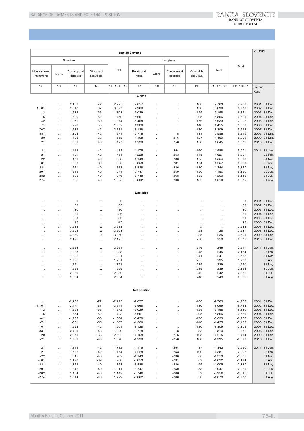**EUROSYSTEM**

|                             |                      |                          |                          |                      | <b>Bank of Slovenia</b> |                      |                          |                          |                      |                      | Mio EUR                      |
|-----------------------------|----------------------|--------------------------|--------------------------|----------------------|-------------------------|----------------------|--------------------------|--------------------------|----------------------|----------------------|------------------------------|
|                             |                      | Short-term               |                          |                      |                         |                      | Long-term                |                          |                      |                      |                              |
| Money market<br>instruments | Loans                | Currency and<br>deposits | Other debt<br>ass./liab. | Total                | Bonds and<br>notes      | Loans                | Currency and<br>deposits | Other debt<br>ass./liab. | Total                | Total                |                              |
| 12                          | 13                   | 14                       | 15                       | $16 = 12 +  + 15$    | 17                      | 18                   | 19                       | 20                       | $21 = 17 +20$        | $22 = 16 + 21$       | Stolpec                      |
|                             |                      |                          |                          |                      | Claims                  |                      |                          |                          |                      |                      | Koda                         |
|                             |                      |                          |                          |                      |                         |                      |                          |                          |                      |                      |                              |
| <br>1,101                   | $\cdots$             | 2,153<br>2,510           | 72<br>67                 | 2,225<br>3,677       | 2,657<br>2,968          |                      |                          | 106<br>130               | 2,763<br>3,099       | 4,988<br>6,776       | 2001 31.Dec.<br>2002 31.Dec. |
| 12                          | <br>$\cdots$         | 1,635                    | 56                       | 1,703                | 5,029                   | <br>$\cdots$         | $\cdots$<br>             | 129                      | 5,158                | 6,861                | 2003 31.Dec.                 |
| 16                          |                      | 690                      | 52                       | 759                  | 5,661                   |                      |                          | 205                      | 5,866                | 6,625                | 2004 31.Dec.                 |
| 42                          | $\cdots$             | 1,271                    | 60                       | 1,374                | 5,458                   | $\cdots$             | $\cdots$                 | 176                      | 5,633                | 7,007                | 2005 31.Dec.                 |
| 71                          |                      | 926                      | 55                       | 1,052                | 4,306                   |                      |                          | 148                      | 4,455                | 5,506                | 2006 31.Dec.                 |
| 707                         | $\cdots$             | 1,635                    | 42                       | 2,384                | 3,128                   | $\cdots$             | $\cdots$                 | 180                      | 3,309                | 5,692                | 2007 31.Dec.                 |
| 337                         |                      | 1,194                    | 143                      | 1,674                | 3,718                   | $\cdots$             | 8                        | 111                      | 3,838                | 5,512                | 2008 31.Dec.                 |
| 20                          | $\cdots$             | 405                      | 133                      | 558                  | 4,108                   | $\cdots$             | 216                      | 127                      | 4,450                | 5,009                | 2009 31.Dec.                 |
| 21                          | $\cdots$             | 362                      | 43                       | 427                  | 4,238                   | $\cdots$             | 256                      | 150                      | 4,645                | 5,071                | 2010 31.Dec.                 |
| 21                          |                      | 419                      | 42                       | 482                  | 4,175                   | $\cdots$             | 254                      | 160                      | 4,588                | 5,071                | 2011 31.Jan.                 |
| 21                          | $\cdots$             | 401                      | 42                       | 464                  | 4,228                   | $\cdots$             | 253                      | 145                      | 4,627                | 5,091                | 28.Feb.                      |
| 22                          |                      | 476                      | 40                       | 538                  | 4,143                   |                      | 236                      | 175                      | 4,554                | 5,093                | 31.Mar.                      |
| 181                         | $\cdots$             | 603                      | 39                       | 823                  | 3,853                   | $\cdots$             | 231                      | 174                      | 4,257                | 5,080                | 30.Apr.                      |
| 221                         |                      | 621                      | 40                       | 883                  | 3,828                   |                      | 236                      | 180                      | 4,244                | 5,127                | 31.May                       |
| 291                         | $\cdots$             | 613                      | 40                       | 944                  | 3,747                   | $\cdots$             | 259                      | 180                      | 4,186                | 5,130                | 30.Jun.                      |
| 282<br>274                  | <br>$\cdots$         | 625<br>751               | 40<br>40                 | 946<br>1,065         | 3,748<br>3,862          | <br>$\cdots$         | 268<br>266               | 183<br>182               | 4,200<br>4,310       | 5,146<br>5,375       | 31.Jul.<br>31.Aug.           |
|                             |                      |                          |                          |                      |                         |                      |                          |                          |                      |                      |                              |
|                             |                      |                          |                          |                      | Liabilities             |                      |                          |                          |                      |                      |                              |
|                             |                      | $\mathsf{O}\xspace$      |                          | $\mathsf O$          | $\cdots$                |                      |                          |                          |                      | $\mathsf O$          | 2001 31.Dec.                 |
|                             | $\cdots$             | 33                       |                          | 33                   |                         |                      |                          |                          |                      | 33                   | 2002 31.Dec.                 |
| $\cdots$                    | $\cdots$             | 30                       |                          | 30                   |                         | $\cdots$             |                          |                          | $\cdots$             | 30                   | 2003 31.Dec.                 |
|                             | $\cdots$             | 36                       |                          | 36                   |                         |                      |                          |                          | $\cdots$             | 36                   | 2004 31.Dec.                 |
|                             |                      | 39                       |                          | 39                   |                         |                      |                          |                          | $\cdots$             | 39                   | 2005 31.Dec.                 |
|                             | $\cdots$             | 45                       | $\cdots$                 | 45                   | $\cdots$                | $\cdots$             |                          | $\cdots$                 | $\cdots$             | 45                   | 2006 31.Dec.                 |
| $\cdots$                    |                      | 3,588                    |                          | 3,588                |                         |                      |                          | $\cdots$                 | $\cdots$             | 3,588                | 2007 31.Dec.                 |
|                             | $\cdots$             | 3,603<br>3,360           | <br>0                    | 3,603<br>3,360       |                         |                      |                          | 28<br>235                | 28<br>235            | 3,631<br>3,595       | 2008 31.Dec.<br>2009 31.Dec. |
| $\cdots$<br>                | <br>$\cdots$         | 2,125                    | $\ddotsc$                | 2,125                | $\cdots$<br>            | $\cdots$<br>         | <br>$\cdots$             | 250                      | 250                  | 2,375                | 2010 31.Dec.                 |
|                             |                      | 2,264                    |                          | 2,264                |                         |                      |                          | 246                      | 246                  | 2,511                | 2011 31.Jan.                 |
|                             | $\cdots$             | 1,938                    |                          | 1,938                |                         |                      |                          | 245                      | 245                  | 2,184                | 28.Feb.                      |
|                             | <br>$\cdots$         | 1,321                    | <br>$\cdots$             | 1,321                | $\cdots$<br>$\cdots$    | <br>$\cdots$         | <br>$\cdots$             | 241                      | 241                  | 1,562                | 31.Mar.                      |
| $\cdots$                    |                      | 1,731                    |                          | 1,731                |                         |                      | $\cdots$                 | 235                      | 235                  | 1,966                | 30.Apr.                      |
|                             | $\cdots$             | 1,751                    | $\cdots$                 | 1,751                |                         |                      |                          | 239                      | 239                  | 1,990                | 31.May                       |
|                             |                      | 1,955                    |                          | 1,955                |                         |                      |                          | 239                      | 239                  | 2,194                | 30.Jun.                      |
| $\cdots$                    | $\cdots$             | 2,089                    | $\cdots$                 | 2,089                | $\cdots$                |                      | $\cdots$                 | 242                      | 242                  | 2,331                | 31.Jul.                      |
| $\cdots$                    | $\cdots$             | 2,364                    |                          | 2,364                | $\cdots$                | $\cdots$             | $\cdots$                 | 240                      | 240                  | 2,605                | 31.Aug.                      |
|                             |                      |                          |                          |                      | Net position            |                      |                          |                          |                      |                      |                              |
|                             |                      |                          |                          |                      |                         |                      |                          |                          |                      |                      |                              |
| $\cdots$                    | $\cdots$             | $-2,153$                 | $-72$                    | $-2,225$             | $-2,657$                |                      | $\cdots$                 | $-106$                   | $-2,763$             | $-4,988$             | 2001 31.Dec.                 |
| $-1,101$                    |                      | $-2,477$                 | $-67$                    | $-3,644$             | $-2,968$                |                      | $\cdots$                 | $-130$                   | $-3,099$             | $-6,743$             | 2002 31.Dec.                 |
| $-12$                       | $\cdots$             | $-1,604$                 | -56                      | $-1,672$             | $-5,029$                | $\cdots$             | $\cdots$                 | $-129$                   | $-5,158$             | $-6,830$             | 2003 31.Dec.                 |
| $-16$                       |                      | $-654$                   | $-52$<br>-60             | $-723$               | $-5,661$                | $\cdots$             |                          | $-205$                   | $-5,866$             | $-6,589$             | 2004 31.Dec.                 |
| $-42$<br>$-71$              | $\cdots$             | $-1,232$<br>$-881$       | $-55$                    | $-1,334$<br>$-1,007$ | $-5,458$<br>$-4,306$    | $\cdots$             | $\cdots$                 | $-176$<br>$-148$         | $-5,633$<br>$-4,455$ | $-6,968$<br>$-5,462$ | 2005 31.Dec.<br>2006 31.Dec. |
| $-707$                      | $\cdots$<br>$\cdots$ | 1,953                    | $-42$                    | 1,204                | $-3,128$                | $\cdots$<br>$\cdots$ | $\cdots$                 | $-180$                   | $-3,309$             | $-2,105$             | 2007 31.Dec.                 |
| $-337$                      |                      | 2,409                    | $-143$                   | 1,929                | $-3,718$                | $\cdots$             | $\cdots$<br>-8           | $-83$                    | $-3,810$             | $-1,881$             | 2008 31.Dec.                 |
| $-20$                       |                      | 2,955                    | $-133$                   | 2,802                | $-4,108$                | $\cdots$             | -216                     | 108                      | $-4,215$             | $-1, 414$            | 2009 31.Dec.                 |
| $-21$                       | $\cdots$             | 1,763                    | $-43$                    | 1,698                | $-4,238$                | $\cdots$             | $-256$                   | 100                      | $-4,395$             | $-2,696$             | 2010 31.Dec.                 |
| $-21$                       |                      | 1,845                    | $-42$                    | 1,782                | $-4, 175$               |                      | $-254$                   | 87                       | $-4,342$             | $-2,560$             | 2011 31.Jan.                 |
| $-21$                       |                      | 1,537                    | $-42$                    | 1,474                | $-4,228$                | $\cdots$             | $-253$                   | 100                      | $-4,381$             | $-2,907$             | 28.Feb.                      |
| $-22$                       |                      | 845                      | $-40$                    | 782                  | $-4, 143$               |                      | $-236$                   | 66                       | $-4,313$             | $-3,531$             | 31.Mar.                      |
| $-181$                      | $\cdots$             | 1,128                    | $-39$                    | 908                  | $-3,853$                | $\cdots$             | $-231$                   | 62                       | $-4,022$             | $-3,114$             | 30.Apr.                      |
| $-221$                      |                      | 1,129                    | $-40$                    | 868                  | $-3,828$                |                      | $-236$                   | 59                       | $-4,005$             | $-3,137$             | 31.May                       |
| $-291$                      |                      | 1,342                    | $-40$                    | 1,011                | $-3,747$                | $\cdots$             | $-259$                   | 58                       | $-3,947$             | $-2,936$             | 30.Jun.                      |
| $-282$<br>$-274$            |                      | 1,464<br>1,614           | $-40$<br>$-40$           | 1,142<br>1,299       | $-3,748$                |                      | $-268$<br>$-266$         | 59<br>58                 | $-3,958$<br>$-4,070$ | $-2,815$             | 31.Jul.<br>31.Aug.           |
|                             | $\cdots$             |                          |                          |                      | $-3,862$                |                      |                          |                          |                      | $-2,770$             |                              |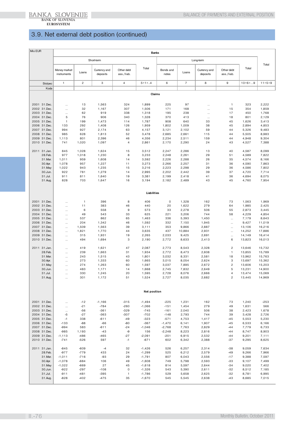**EUROSYSTEM**

# 3.9. Net external debt position (continued)

| Mio EUR                      |                             |                  |                          |                          | <b>Banks</b>        |                    |                |                          |                          |                |                |
|------------------------------|-----------------------------|------------------|--------------------------|--------------------------|---------------------|--------------------|----------------|--------------------------|--------------------------|----------------|----------------|
|                              |                             |                  | Short-term               |                          |                     |                    |                | Long-term                |                          |                |                |
|                              | Money market<br>instruments | Loans            | Currency and<br>deposits | Other debt<br>ass./liab. | Total               | Bonds and<br>notes | Loans          | Currency and<br>deposits | Other debt<br>ass./liab. | Total          | Total          |
| Stolpec                      | $\mathbf{1}$                | $\overline{c}$   | 3                        | $\overline{4}$           | $5 = 1 + .4$        | 6                  | $\overline{7}$ | 8                        | 9                        | $10 = 6 +  9$  | $11 = 5 + 9$   |
| Koda                         |                             |                  |                          |                          |                     |                    |                |                          |                          |                |                |
|                              |                             |                  |                          |                          | Claims              |                    |                |                          |                          |                |                |
| 2001 31.Dec.                 | $\cdots$                    | 13               | 1,563                    | 324                      | 1,899               | 225                | 97             | $\cdots$                 | $\mathbf{1}$             | 323            | 2,222          |
| 2002 31.Dec.                 |                             | 32               | 1,167                    | 307                      | 1,506               | 171                | 168            |                          | 15                       | 354            | 1,859          |
| 2003 31.Dec.                 | $\cdots$                    | 62               | 919                      | 338                      | 1,318               | 195                | 238            | $\cdots$                 | 17                       | 450            | 1,768          |
| 2004 31.Dec.                 | 5                           | 76               | 906                      | 340                      | 1,328               | 370                | 413            | $\cdots$                 | 18                       | 801            | 2,129          |
| 2005 31.Dec                  | $\mathbf{1}$                | 199              | 1,473                    | 114                      | 1,787               | 908                | 640            | 33                       | 45                       | 1,626          | 3,413          |
| 2006 31.Dec.                 | 133                         | 292              | 1,408                    | 126                      | 1,959               | 1,802              | 1,009          | 38                       | 45                       | 2,894          | 4,853          |
| 2007 31.Dec.                 | 994                         | 927              | 2,174                    | 63                       | 4,157               | 3,121              | 2,102          | 59                       | 44<br>44                 | 5,326          | 9,483          |
| 2008 31.Dec.<br>2009 31.Dec. | 985<br>1,113                | 628<br>801       | 1,813<br>2,396           | 52<br>46                 | 3,478<br>4,356      | 2,685<br>2,234     | 2,661<br>2,511 | 115<br>159               | 44                       | 5,505<br>4,948 | 8,983<br>9,304 |
| 2010 31.Dec.                 | 741                         | 1,020            | 1,097                    | 4                        | 2,861               | 2,170              | 2,290          | 24                       | 43                       | 4,527          | 7,388          |
|                              |                             |                  |                          |                          |                     |                    |                |                          |                          |                |                |
| 2011 31.Jan.                 | 845                         | 1,028            | 1,624                    | 15                       | 3,512               | 2,247              | 2,286          | 13                       | 40                       | 4,587          | 8,099          |
| 28.Feb.                      | 977                         | 1,018            | 1,230                    | 8                        | 3,233               | 2,248              | 2,261          | 29                       | 51                       | 4,589          | 7,822          |
| 31.Mar.                      | 1,011                       | 959              | 1,608                    | 14                       | 3,592               | 2,226              | 2,288          | 26                       | 35                       | 4,574          | 8,166          |
| 30.Apr.                      | 1,078                       | 957              | 1,227                    | 11                       | 3,273               | 2,266              | 2,257          | 31                       | 36                       | 4,590          | 7,863          |
| 31.May                       | 1,022                       | 943              | 1,235                    | 15                       | 3,216               | 2,223              | 2,298          | 29                       | 36                       | 4,586          | 7,802          |
| 30.Jun.                      | 922                         | 781              | 1,279                    | 14                       | 2,995               | 2,202              | 2,442          | 39                       | 37                       | 4,720          | 7,714          |
| 31.Jul.                      | 911                         | 811              | 1,640                    | 19                       | 3,381               | 2,199              | 2,418          | 41                       | 36                       | 4,694          | 8,075          |
| 31.Aug.                      | 828                         | 703              | 1,647                    | 16                       | 3,194               | 2,182              | 2,489          | 43                       | 45                       | 4,760          | 7,954          |
|                              |                             |                  |                          |                          | Liabilities         |                    |                |                          |                          |                |                |
| 2001 31.Dec.                 |                             | $\mathbf{1}$     | 396                      | 8                        | 406                 | $\mathsf{O}$       | 1,328          | 162                      | 73                       | 1,563          | 1,969          |
| 2002 31.Dec.                 | $\cdots$                    | 11               | 383                      | 46                       | 440                 | 20                 | 1,622          | 279                      | 64                       | 1,985          | 2,425          |
| 2003 31.Dec.                 |                             | 6                | 558                      | 9                        | 573                 | 33                 | 2,278          | 506                      | 55                       | 2,873          | 3,445          |
| 2004 31.Dec.                 |                             | 49               | 543                      | 33                       | 625                 | 221                | 3,206          | 744                      | 58                       | 4,229          | 4,854          |
| 2005 31.Dec.                 |                             | 537              | 862                      | 65                       | 1,463               | 336                | 5,393          | 1,450                    | $\cdots$                 | 7,179          | 8,643          |
| 2006 31.Dec                  |                             | 204              | 1,342                    | 46                       | 1,592               | 332                | 7,150          | 1,945                    | $\cdots$                 | 9,427          | 11,019         |
| 2007 31.Dec.                 |                             | 1,509            | 1,563                    | 39                       | 3,111               | 353                | 9,866          | 2,887                    | $\ddotsc$                | 13,106         | 16,216         |
| 2008 31.Dec                  | $\cdots$                    | 1,821            | 1,770                    | 44                       | 3,635               | 437                | 10,884         | 2,931                    | $\cdots$                 | 14,252         | 17,886         |
| 2009 31.Dec.                 |                             | 315              | 1,931                    | 19                       | 2,265               | 2,033              | 9,425          | 2,691                    | $\cdots$                 | 14,149         | 16,414         |
| 2010 31.Dec.                 |                             | 494              | 1,694                    | 3                        | 2,190               | 2,772              | 8,633          | 2,413                    | 6                        | 13,823         | 16,013         |
| 2011 31.Jan.                 |                             | 419              | 1,621                    | 47                       | 2,087               | 2,773              | 8,543          | 2,328                    | $\overline{c}$           | 13,646         | 15,732         |
| 28.Feb.                      |                             | 239              | 1,663                    | 31                       | 1,934               | 2,772              | 8,473          | 2,608                    | 1                        | 13,855         | 15,789         |
| 31.Mar.                      | $\cdots$<br>$\cdots$        | 243              | 1,515                    | 43                       | 1,801               | 3,032              | 8,331          | 2,581                    | 18                       | 13,962         | 15,763         |
| 30.Apr.                      |                             | 273              | 1,333                    | 60                       | 1,665               | 3,015              | 8,054          | 2,624                    | 3                        | 13,697         | 15,362         |
| 31.May                       | $\cdots$                    | 274              | 1,263                    | 60                       | 1,597               | 3,037              | 7,895          | 2,672                    | $\overline{\mathbf{c}}$  | 13,606         | 15,203         |
| 30.Jun.                      |                             | 483              | 1,171                    | 14                       | 1,668               | 2,745              | 7,832          | 2,649                    | 5                        | 13,231         | 14,900         |
| 31.Jul.                      | $\cdots$                    | 330              | 1,245                    | 20                       | 1,595               | 2,728              | 8,076          | 2,666                    | 4                        | 13,474         | 15,069         |
| 31.Aug.                      |                             | 301              | 1,172                    | 51                       | 1,524               | 2,727              | 8,035          | 2,682                    | $\overline{c}$           | 13,445         | 14,969         |
|                              |                             |                  |                          |                          | <b>Net position</b> |                    |                |                          |                          |                |                |
|                              |                             |                  |                          |                          |                     |                    |                |                          |                          |                |                |
| 2001 31.Dec.                 | $\ldots$                    | $-12$            | $-1,166$                 | $-315$                   | $-1,494$            | $-225$             | 1,231          | 162                      | 73                       | 1,240          | $-253$         |
| 2002 31.Dec.                 | $\ldots$                    | $-21$            | $-784$                   | $-260$                   | $-1,066$            | $-151$             | 1,454          | 279                      | 49                       | 1,631          | 566            |
| 2003 31.Dec.                 | $\ldots$                    | $-56$            | $-361$                   | $-329$                   | $-745$              | $-161$             | 2,040          | 506                      | 38                       | 2,423          | 1,678          |
| 2004 31.Dec.                 | $-5$                        | $-27$            | $-363$                   | $-307$                   | $-702$              | $-148$             | 2,793          | 744                      | 39                       | 3,428          | 2,726          |
| 2005 31.Dec.                 | $-1$                        | 338              | $-611$                   | $-49$                    | $-323$              | $-571$             | 4,753          | 1,417                    | $-45$                    | 5,553          | 5,230          |
| 2006 31.Dec.                 | $-133$                      | $-88$            | $-66$                    | $-80$                    | $-367$              | $-1,470$           | 6,141          | 1,907                    | $-45$                    | 6,533          | 6,166          |
| 2007 31.Dec.                 | $-994$                      | 583              | $-611$                   | $-24$                    | $-1,046$            | $-2,768$           | 7,763          | 2,829                    | $-44$                    | 7,779          | 6,733          |
| 2008 31.Dec.                 | $-985$                      | 1,193            | $-43$                    | -9                       | 156                 | $-2,248$           | 8,223          | 2,816                    | $-44$                    | 8,747          | 8,903          |
| 2009 31.Dec.<br>2010 31.Dec. | $-1, 113$<br>$-741$         | $-486$<br>$-526$ | $-465$<br>597            | $-27$<br>$-1$            | $-2,091$<br>$-671$  | $-201$<br>602      | 6,915<br>6,342 | 2,532<br>2,388           | $-44$<br>$-37$           | 9,201<br>9,295 | 7,111<br>8,625 |
| 2011 31.Jan.                 | $-845$                      | $-609$           | $-4$                     | 32                       | $-1,426$            | 526                | 6,257          | 2,314                    | $-38$                    | 9,059          | 7,634          |
| 28.Feb.                      | $-977$                      | $-779$           | 433                      | 24                       | $-1,299$            | 525                | 6,212          | 2,579                    | $-49$                    | 9,266          | 7,966          |
| 31.Mar.                      | $-1,011$                    | $-716$           | $-93$                    | 29                       | $-1,791$            | 807                | 6,043          | 2,556                    | $-17$                    | 9,388          | 7,597          |
| 30.Apr.                      | $-1,078$                    | $-684$           | 106                      | 49                       | $-1,608$            | 749                | 5,798          | 2,593                    | $-33$                    | 9,107          | 7,499          |
| 31.May                       | $-1,022$                    | $-669$           | 27                       | 45                       | $-1,618$            | 814                | 5,597          | 2,644                    | $-34$                    | 9,020          | 7,402          |
| 30.Jun.                      | $-922$                      | $-297$           | $-108$                   | $\mathsf O$              | $-1,326$            | 543                | 5,390          | 2,611                    | $-32$                    | 8,512          | 7,185          |
| 31.Jul.                      | $-911$                      | $-481$           | $-395$                   | $\mathbf{1}$             | $-1,786$            | 529                | 5,658          | 2,625                    | $-32$                    | 8,781          | 6,995          |
| 31.Aug.                      | $-828$                      | $-402$           | $-475$                   | 35                       | $-1,670$            | 545                | 5,545          | 2,638                    | -43                      | 8,685          | 7,015          |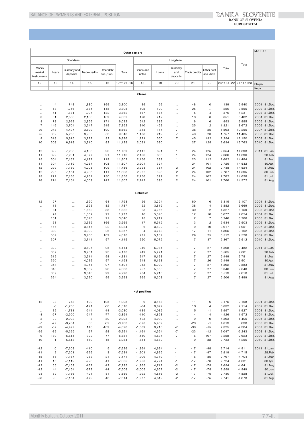|                                |                     |                          |                  |                          | Other sectors        |                    |                |                                    |                           |                          |                      |                    | Mio EUR                      |
|--------------------------------|---------------------|--------------------------|------------------|--------------------------|----------------------|--------------------|----------------|------------------------------------|---------------------------|--------------------------|----------------------|--------------------|------------------------------|
|                                |                     | Short-term               |                  |                          |                      |                    |                | Long-term                          |                           |                          |                      |                    |                              |
| Money<br>market<br>instruments | Loans               | Currency and<br>deposits | Trade credits    | Other debt<br>ass./liab. | Total                | Bonds and<br>notes | Loans          | Currency<br>and<br>deposits        | Trade credits             | Other debt<br>ass./liab. | Total                | Total              |                              |
| 12                             | 13                  | 14                       | 15               | 16                       | $17 = 12 + .16$      | 18                 | 19             | 20                                 | 21                        | 22                       | $23=18+.22$ 24=17+23 |                    | Stolpec                      |
|                                |                     |                          |                  |                          |                      |                    |                |                                    |                           |                          |                      |                    | Koda                         |
|                                |                     |                          |                  |                          |                      | Claims             |                |                                    |                           |                          |                      |                    |                              |
| $\cdots$                       | $\overline{4}$      | 748                      | 1,880            | 169                      | 2,800                | 35                 | 56             | $\cdots$                           | 48                        | 0                        | 139                  | 2,940              | 2001 31.Dec.                 |
|                                | 18                  | 1,256                    | 1,884            | 148                      | 3,305                | 105                | 120            |                                    | 25                        |                          | 250                  | 3,555              | 2002 31.Dec.                 |
| $\cdots$                       | 41                  | 1,781                    | 1,907            | 132                      | 3,862                | 167                | 184            | $\cdots$                           | 15                        | 4                        | 370                  | 4,231              | 2003 31.Dec.                 |
| З                              | 51                  | 2,500                    | 2,108            | 169                      | 4,832                | 420                | 212            | $\cdots$                           | 13                        | 6                        | 651                  | 5,482              | 2004 31.Dec.                 |
| 3                              | 78                  | 2,923                    | 2,856            | 171                      | 6,032                | 542                | 289            | $\cdots$                           | 16                        | 6                        | 853                  | 6,885              | 2005 31.Dec.                 |
| $\overline{7}$                 | 146                 | 3,704                    | 3,247            | 249                      | 7,352                | 840                | 453            | $\cdots$                           | 25                        | $\sqrt{2}$               | 1,321                | 8,672              | 2006 31.Dec.                 |
| 29<br>25                       | 248<br>369          | 4,497<br>5,265           | 3,699<br>3,935   | 190<br>53                | 8,662<br>9,648       | 1,345<br>1,468     | 177<br>219     | $\boldsymbol{7}$<br>$\overline{7}$ | 38<br>40                  | 25<br>23                 | 1,593<br>1,757       | 10,255<br>11,405   | 2007 31.Dec.<br>2008 31.Dec. |
| $\mathsf g$                    | 318                 | 5,815                    | 3,722            | 32                       | 9,896                | 1,721              | 350            | $\overline{7}$                     | 45                        | 132                      | 2,254                | 12,150             | 2009 31.Dec.                 |
| 10                             | 308                 | 6,818                    | 3,910            | 82                       | 11,129               | 2,091              | 390            | 1                                  | 27                        | 125                      | 2,634                | 13,763             | 2010 31.Dec.                 |
|                                |                     |                          |                  |                          |                      |                    |                |                                    |                           |                          |                      |                    |                              |
| 12                             | 322                 | 7,208                    | 4,108            | 90                       | 11,739               | 2,112              | 391            | 1                                  | 24                        | 125                      | 2,654                | 14,393             | 2011 31.Jan.                 |
| 11                             | 329                 | 7,201                    | 4,077            | 91                       | 11,710               | 2,150              | 386            | 1                                  | 24                        | 124                      | 2,686                | 14,396             | 28.Feb.                      |
| 15                             | 304                 | 7,167                    | 4,197            | 119                      | 11,802               | 2,156              | 389            | 1                                  | 23                        | 112                      | 2,682                | 14,484             | 31.Mar.                      |
| 11                             | 304                 | 7,119                    | 4,264            | 108                      | 11,807               | 2,204              | 394            | 1                                  | 24                        | 101                      | 2,725                | 14,532             | 30.Apr.                      |
| 12                             | 299                 | 7,159                    | 4,208            | 109                      | 11,786               | 2,223              | 387            | $\sqrt{2}$                         | 24                        | 102                      | 2,738                | 14,524             | 31.May                       |
| 12<br>23                       | 296<br>277          | 7,154<br>7,166           | 4,235            | 111<br>130               | 11,808<br>11,856     | 2,262              | 398<br>399     | $\overline{c}$<br>$\sqrt{2}$       | 24<br>24                  | 102<br>102               | 2,787                | 14,595<br>14,638   | 30.Jun.<br>31.Jul.           |
| 28                             | 274                 | 7,154                    | 4,261<br>4,009   | 142                      | 11,607               | 2,256<br>2,242     | 396            | $\overline{c}$                     | 24                        | 101                      | 2,782<br>2,766       | 14,372             | 31.Aug.                      |
|                                |                     |                          |                  |                          |                      |                    |                |                                    |                           |                          |                      |                    |                              |
|                                |                     |                          |                  |                          |                      | Liabilities        |                |                                    |                           |                          |                      |                    |                              |
|                                |                     |                          |                  |                          |                      |                    |                |                                    |                           |                          |                      |                    |                              |
| 12<br>                         | 27<br>13            | <br>$\cdots$             | 1,690<br>1,693   | 64<br>82                 | 1,793<br>1,787       | 26<br>22           | 3,224<br>3,819 | <br>$\cdots$                       | 60<br>38                  | 6<br>4                   | 3,315<br>3,882       | 5,107<br>5,669     | 2001 31.Dec.<br>2002 31.Dec. |
|                                | 81                  |                          | 1,663            | 88                       | 1,832                | 28                 | 4,266          | $\cdots$                           | 30                        | $\overline{\mathbf{c}}$  | 4,327                | 6,159              | 2003 31.Dec.                 |
|                                | 24                  | $\cdots$                 | 1,862            | 92                       | 1,977                | 10                 | 5,040          | $\cdots$                           | 17                        | 10                       | 5,077                | 7,054              | 2004 31.Dec.                 |
|                                | 101                 |                          | 2,848            | 91                       | 3,040                | 13                 | 5,219          | $\cdots$                           | $\overline{\mathfrak{c}}$ | $\overline{7}$           | 5,246                | 8,286              | 2005 31.Dec.                 |
|                                | 68                  | $\cdots$                 | 3,335            | 166                      | 3,569                | 17                 | 5,912          | $\cdots$                           | 3                         | $\boldsymbol{2}$         | 5,934                | 9,503              | 2006 31.Dec.                 |
|                                | 166                 |                          | 3,847            | 22                       | 4,034                | 6                  | 3,892          | $\cdots$                           | 9                         | 10                       | 3,917                | 7,951              | 2007 31.Dec.                 |
|                                | 330                 | $\cdots$                 | 4,002            | 26                       | 4,357                | $\overline{4}$     | 4,773          | $\cdots$                           | 17                        | 11                       | 4,805                | 9,162              | 2008 31.Dec.                 |
| $\cdots$                       | 507                 | $\cdots$                 | 3,400            | 109                      | 4,016                | 271                | 5,187          | $\cdots$                           | 29                        | 25                       | 5,512                | 9,528              | 2009 31.Dec.                 |
|                                | 307                 | $\cdots$                 | 3,741            | 97                       | 4,145                | 250                | 5,072          | $\cdots$                           | $\overline{7}$            | 37                       | 5,367                | 9,512              | 2010 31.Dec.                 |
|                                | 322                 | $\cdots$                 | 3,697            | 95                       | 4,114                | 249                | 5,084          | $\cdots$                           | $\overline{\mathfrak{c}}$ | 27                       | 5,368                | 9,482              | 2011 31.Jan.                 |
|                                | 332                 |                          | 3,751            | 93                       | 4,176                | 249                | 5,221          | $\cdots$                           | $\overline{7}$            | 27                       | 5,505                | 9,681              | 28.Feb.                      |
|                                | 319                 | $\cdots$                 | 3,914            | 98                       | 4,331                | 247                | 5,168          | $\cdots$                           | $\overline{7}$            | 27                       | 5,449                | 9,781              | 31.Mar.                      |
|                                | 320                 |                          | 4,036            | 97                       | 4,453                | 248                | 5,168          | $\cdots$                           | $\overline{7}$            | 26                       | 5,449                | 9,901              | 30.Apr.                      |
|                                | 354                 | $\cdots$                 | 4,041            | 97                       | 4,491                | 258                | 5,099          | $\cdots$                           | $\overline{\mathfrak{c}}$ | 27                       | 5,392                | 9,883              | 31.May                       |
|                                | 340                 |                          | 3,862            | 98                       | 4,300                | 257                | 5,055          | $\cdots$                           | $\overline{7}$            | 27                       | 5,346                | 9,646              | 30.Jun.                      |
|                                | 359                 |                          | 3,840            | 99                       | 4,298                | 264                | 5,215          | $\cdots$                           | $\overline{7}$            | 27                       | 5,513                | 9,810              | 31.Jul.                      |
|                                | 364                 |                          | 3,530            | 99                       | 3,993                | 265                | 5,208          | $\cdots$                           |                           | 27                       | 5,506                | 9,499              | 31.Aug.                      |
|                                |                     |                          |                  |                          |                      | Net position       |                |                                    |                           |                          |                      |                    |                              |
|                                |                     |                          |                  |                          |                      |                    |                |                                    |                           |                          |                      |                    |                              |
| 12                             | 23                  | $-748$                   | $-190$           | $-105$                   | $-1,008$             | -9                 | 3,168          |                                    | 11                        | 6                        | 3,175                | 2,168              | 2001 31.Dec.                 |
| $\ldots$                       | $-5$<br>39          | $-1,256$<br>$-1,781$     | $-191$<br>$-244$ | -66<br>$-44$             | $-1,518$<br>$-2,030$ | $-84$<br>$-139$    | 3,699<br>4,082 | $\cdots$                           | 13<br>15                  | 4<br>$-1$                | 3,632<br>3,957       | 2,114<br>1,927     | 2002 31.Dec.<br>2003 31.Dec. |
| $\ldots$<br>-3                 | $-27$               | $-2,500$                 | $-247$           | $-77$                    | $-2,854$             | $-410$             | 4,828          | $\ldots$<br>$\ldots$               | 4                         | 4                        | 4,426                | 1,572              | 2004 31.Dec.                 |
| -3                             | 22                  | $-2,923$                 | -8               | -80                      | $-2,993$             | $-528$             | 4,930          | $\ldots$                           | -9                        | 0                        | 4,393                | 1,400              | 2005 31.Dec.                 |
| $-7$                           | $-77$               | $-3,704$                 | 88               | $-82$                    | $-3,783$             | $-823$             | 5,459          | $\ldots$                           | $-23$                     | $-1$                     | 4,613                | 830                | 2006 31.Dec.                 |
| -29                            | $-82$               | $-4,497$                 | 148              | $-169$                   | $-4,628$             | $-1,339$           | 3,715          | -7                                 | $-30$                     | $-15$                    | 2,325                | $-2,304$           | 2007 31.Dec.                 |
| $-25$                          | $-39$               | $-5,265$                 | 67               | $-28$                    | $-5,291$             | $-1,464$           | 4,554          | $-7$                               | $-23$                     | $-12$                    | 3,047                | $-2,243$           | 2008 31.Dec.                 |
| -9                             | 189                 | $-5,815$                 | $-322$           | 77                       | $-5,881$             | $-1,450$           | 4,837          | -7                                 | $-16$                     | -107                     | 3,258                | $-2,623$           | 2009 31.Dec.                 |
| $-10$                          | $-1$                | $-6,818$                 | $-169$           | 15                       | $-6,984$             | $-1,841$           | 4,682          | $-1$                               | $-19$                     | $-88$                    | 2,733                | $-4,250$           | 2010 31.Dec.                 |
| $-12$                          | $\mathsf{O}\xspace$ | $-7,208$                 | $-410$           | 5                        | $-7,626$             | $-1,864$           | 4,694          | $-1$                               | $-17$                     | $-98$                    | 2,714                | $-4,911$           | 2011 31.Jan.                 |
| $-11$                          | $\overline{c}$      | $-7,201$                 | $-326$           | 3                        | $-7,534$             | $-1,901$           | 4,835          | $-1$                               | $-17$                     | $-97$                    | 2,819                | $-4,715$           | 28.Feb.                      |
| $-15$                          | 16                  | $-7,167$                 | $-283$           | $-21$                    | $-7,471$             | $-1,909$           | 4,779          | $-1$                               | $-16$                     | $-85$                    | 2,767                | $-4,704$           | 31.Mar.                      |
| $-11$                          | 15                  | $-7,119$                 | -228             | $-11$                    | -7,355               | $-1,956$           | 4,774          | $-1$                               | $-17$                     | $-76$                    | 2,724                | -4,631             | 30.Apr.                      |
| $-12$                          | 55                  | $-7,159$                 | $-167$           | $-12$                    | $-7,295$             | $-1,965$           | 4,712          | $-2$                               | $-17$                     | $-75$                    | 2,654                | $-4,641$           | 31.May                       |
| $-12$                          | 44                  | $-7,154$                 | $-372$           | $-14$                    | $-7,508$             | $-2,005$           | 4,657          | $-2$                               | $-17$                     | $-75$                    | 2,559                | $-4,949$           | 30.Jun.                      |
| $-23$<br>$-28$                 | 82<br>90            | $-7,166$<br>$-7,154$     | -421<br>$-479$   | -31<br>-43               | $-7,559$<br>$-7,614$ | $-1,992$<br>-1,977 | 4,816<br>4,812 | $-2$<br>$-2$                       | $-17$<br>$-17$            | $-75$<br>$-75$           | 2,730<br>2,741       | $-4,828$<br>-4,873 | 31.Jul.<br>31.Aug.           |
|                                |                     |                          |                  |                          |                      |                    |                |                                    |                           |                          |                      |                    |                              |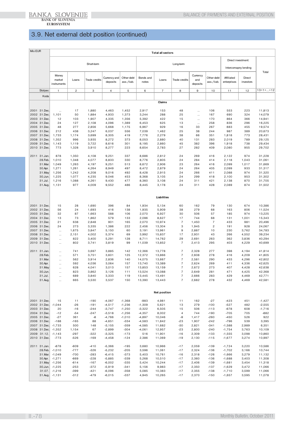BANKA SLOVENIJE

BANK OF SLOVENIA **EUROSYSTEM**

# 3.9. Net external debt position (continued)

| Mio EUR                      |                                |                  |                      |                          |                          |                      | <b>Total all sectors</b> |                                  |                             |                          |                           |                      |                  |
|------------------------------|--------------------------------|------------------|----------------------|--------------------------|--------------------------|----------------------|--------------------------|----------------------------------|-----------------------------|--------------------------|---------------------------|----------------------|------------------|
|                              |                                |                  |                      |                          |                          |                      |                          |                                  |                             |                          |                           | Direct investment:   |                  |
|                              |                                |                  | Short-term           |                          |                          |                      |                          | Long-term                        |                             |                          |                           | Intercomapny lending |                  |
|                              | Money<br>market<br>instruments | Loans            | <b>Trade credits</b> | Currency and<br>deposits | Other debt<br>ass./liab. | Bonds and<br>notes   | Loans                    | Trade credits                    | Currency<br>and<br>deposits | Other debt<br>ass./liab. | Affiliated<br>enterprises | Direct<br>investors  | Total            |
| Stolpec                      | 1                              | $\overline{c}$   | 3                    | $\overline{4}$           | 5                        | 6                    | $\overline{7}$           | 8                                | 9                           | 10                       | 11                        | 12                   | $13=1++12$       |
| Koda                         |                                |                  |                      |                          |                          |                      |                          |                                  |                             |                          |                           |                      |                  |
|                              |                                |                  |                      |                          |                          |                      | Claims                   |                                  |                             |                          |                           |                      |                  |
|                              |                                |                  |                      |                          |                          |                      |                          |                                  |                             |                          |                           |                      |                  |
| 2001 31.Dec.                 | $\ddotsc$                      | 17               | 1,880                | 4,463                    | 1,452                    | 2,917                | 153                      | 48                               | $\ddotsc$                   | 106                      | 553                       | 223                  | 11,813           |
| 2002 31.Dec.                 | 1,101                          | 50               | 1,884                | 4,933                    | 1,373                    | 3,244                | 288                      | 25                               | $\cdots$                    | 167                      | 690                       | 324                  | 14,079           |
| 2003 31.Dec.<br>2004 31.Dec. | 12<br>24                       | 103<br>127       | 1,907<br>2,108       | 4,335<br>4,096           | 1,356<br>1,389           | 5,392<br>6,453       | 422<br>625               | 15<br>13                         | $\cdots$                    | 170<br>258               | 864<br>836                | 366<br>296           | 14,941           |
| 2005 31.Dec.                 | 48                             | 277              | 2,856                | 5,668                    | 1,175                    | 6,967                | 929                      | 16                               | $\cdots$<br>33              | 267                      | 883                       | 455                  | 16,225<br>19,574 |
| 2006 31.Dec.                 | 212                            | 438              | 3,247                | 6,037                    | 556                      | 7,039                | 1,462                    | 25                               | 38                          | 244                      | 987                       | 389                  | 20,673           |
| 2007 31.Dec.                 | 1,733                          | 1,174            | 3,699                | 8,305                    | 419                      | 7,776                | 2,279                    | 38                               | 66                          | 351                      | 1,818                     | 773                  | 28,431           |
| 2008 31.Dec.                 | 1,352                          | 996              | 3,935                | 8,272                    | 373                      | 8,053                | 2,880                    | 40                               | 131                         | 283                      | 2,019                     | 789                  | 29,125           |
| 2009 31.Dec.                 | 1,143                          | 1,119            | 3,722                | 8,616                    | 301                      | 8,195                | 2,860                    | 45                               | 382                         | 396                      | 1,918                     | 738                  | 29,434           |
| 2010 31.Dec.                 | 773                            | 1,328            | 3,910                | 8,277                    | 223                      | 8,654                | 2,783                    | 27                               | 282                         | 409                      | 2,080                     | 955                  | 29,702           |
| 2011 31.Jan.                 | 878                            | 1,350            | 4,108                | 9,251                    | 337                      | 8,686                | 2,812                    | 24                               | 269                         | 416                      | 2,122                     | 974                  | 31,228           |
| 28.Feb.<br>31.Mar.           | 1,010<br>1,049                 | 1,348<br>1,263   | 4,077<br>4,197       | 8,833<br>9,251           | 330<br>513               | 8,776<br>8,672       | 2,805<br>2,906           | 24<br>23                         | 284<br>264                  | 414<br>416               | 2,118<br>2,099            | 1,043<br>1,017       | 31,061<br>31,669 |
| 30.Apr.                      | 1,271                          | 1,261            | 4,264                | 8,949                    | 497                      | 8,472                | 2,879                    | 24                               | 264                         | 405                      | 2,099                     | 933                  | 31,317           |
| 31.May                       | 1,256                          | 1,242            | 4,208                | 9,016                    | 492                      | 8,428                | 2,915                    | 24                               | 266                         | 411                      | 2,088                     | 974                  | 31,320           |
| 30.Jun.                      | 1,225                          | 1,077            | 4,235                | 9,046                    | 453                      | 8,368                | 3,105                    | 24                               | 299                         | 418                      | 2,100                     | 953                  | 31,302           |
| 31.Jul.                      | 1,216                          | 1,088            | 4,261                | 9,430                    | 477                      | 8,360                | 3,108                    | 24                               | 311                         | 421                      | 2,138                     | 870                  | 31,705           |
| 31.Aug.                      | 1,131                          | 977              | 4,009                | 9,552                    | 486                      | 8,445                | 3,178                    | 24                               | 311                         | 428                      | 2,089                     | 874                  | 31,502           |
|                              |                                |                  |                      |                          |                          |                      | Liabilities              |                                  |                             |                          |                           |                      |                  |
| 2001 31.Dec.                 | 15                             | 28               | 1,690                | 396                      | 84                       | 1,934                | 5,134                    | 60                               | 162                         | 79                       | 130                       | 674                  | 10,386           |
| 2002 31.Dec.                 | 56                             | 24               | 1,693                | 416                      | 138                      | 1,935                | 5,909                    | 38                               | 279                         | 68                       | 163                       | 806                  | 11,524           |
| 2003 31.Dec.                 | 32                             | 87               | 1,663                | 588                      | 106                      | 2,070                | 6,927                    | 30                               | 506                         | 57                       | 185                       | 974                  | 13,225           |
| 2004 31.Dec.<br>2005 31.Dec. | 13<br>21                       | 73<br>638        | 1,862<br>2,848       | 579<br>901               | 133<br>165               | 2,096<br>2,070       | 8,627<br>10,974          | 17<br>$\overline{7}$             | 744<br>1,450                | 68<br>$\overline{7}$     | 131<br>433                | 1,001<br>981         | 15,343<br>20,496 |
| 2006 31.Dec.                 | 24                             | 273              | 3,335                | 1,386                    | 222                      | 2,456                | 13,304                   | 3                                | 1,945                       | $\overline{c}$           | 191                       | 928                  | 24,067           |
| 2007 31.Dec.                 |                                | 1,675            | 3,847                | 5,150                    | 60                       | 3,191                | 13,961                   | 9                                | 2,887                       | 10                       | 230                       | 3,762                | 34,783           |
| 2008 31.Dec.                 |                                | 2,151            | 4,002                | 5,374                    | 69                       | 3,992                | 15,837                   | 17                               | 2,931                       | 43                       | 266                       | 4,552                | 39,234           |
| 2009 31.Dec.                 |                                | 822              | 3,400                | 5,291                    | 128                      | 8,711                | 14,762                   | 29                               | 2,691                       | 263                      | 362                       | 3,836                | 40,294           |
| 2010 31.Dec.                 |                                | 802              | 3,741                | 3,819                    | 99                       | 11,039               | 13,852                   | $\overline{7}$                   | 2,413                       | 295                      | 403                       | 4,229                | 40,699           |
| 2011 31.Jan.                 |                                | 741              | 3,697                | 3,885                    | 142                      | 12,366               | 13,778                   | $\overline{7}$                   | 2,328                       | 277                      | 398                       | 4,194                | 41,814           |
| 28.Feb.                      |                                | 571              | 3,751                | 3,601                    | 125                      | 12,372               | 13,866                   | 7                                | 2,608                       | 278                      | 416                       | 4,209                | 41,805           |
| 31.Mar.<br>30.Apr.           |                                | 562<br>592       | 3,914<br>4,036       | 2,836<br>3,064           | 140<br>157               | 14,075<br>13,740     | 13,667<br>13,389         | $\overline{7}$<br>$\overline{7}$ | 2,581<br>2,624              | 290<br>269               | 433<br>411                | 4,296<br>4,336       | 42,802<br>42,625 |
| 31.May                       | <br>                           | 628              | 4,041                | 3,013                    | 157                      | 13,853               | 13,159                   | $\overline{7}$                   | 2,672                       | 273                      | 407                       | 4,428                | 42,638           |
| 30.Jun.                      |                                | 823              | 3,862                | 3,126                    | 111                      | 13,524               | 13,088                   | $\overline{7}$                   | 2,649                       | 281                      | 471                       | 4,425                | 42,368           |
| 31.Jul.                      |                                | 689              | 3,840                | 3,333                    | 119                      | 13,445               | 13,491                   | 7                                | 2,666                       | 283                      | 429                       | 4,469                | 42,771           |
| 31.Aug.                      |                                | 665              | 3,530                | 3,537                    | 150                      | 13,390               | 13,443                   | $\overline{\mathbf{7}}$          | 2,682                       | 278                      | 432                       | 4,469                | 42,581           |
|                              |                                |                  |                      |                          |                          |                      | Net position             |                                  |                             |                          |                           |                      |                  |
| 2001 31.Dec.                 | 15                             | 11               | $-190$               | $-4,067$                 | $-1,368$                 | $-983$               | 4,981                    | 11                               | 162                         | $-27$                    | $-423$                    | 451                  | $-1,427$         |
| 2002 31.Dec.                 | $-1,044$                       | $-26$            | $-191$               | $-4,517$                 | $-1,236$                 | $-1,309$             | 5,621                    | 13                               | 279                         | $-100$                   | $-527$                    | 482                  | $-2,555$         |
| 2003 31.Dec.                 | 20                             | $-16$            | $-244$               | $-3,747$                 | $-1,250$                 | $-3,322$             | 6,505                    | 15                               | 506                         | $-113$                   | $-678$                    | 608                  | $-1,716$         |
| 2004 31.Dec.                 | $-12$                          | $-54$            | $-247$               | $-3,518$                 | $-1,256$                 | $-4,357$             | 8,002                    | $\overline{4}$                   | 744                         | $-190$                   | $-705$                    | 705                  | $-882$           |
| 2005 31.Dec.<br>2006 31.Dec. | $-27$<br>$-188$                | 361<br>$-165$    | -8<br>88             | $-4,766$<br>$-4,651$     | $-1,010$<br>$-334$       | $-4,897$<br>$-4,583$ | 10,046<br>11,842         | -9<br>$-23$                      | 1,417<br>1,907              | $-260$<br>$-242$         | $-450$<br>$-796$          | 526<br>539           | 922<br>3,395     |
| 2007 31.Dec.                 | $-1,733$                       | 500              | 148                  | $-3,155$                 | $-359$                   | $-4,585$             | 11,682                   | $-30$                            | 2,821                       | $-341$                   | $-1,588$                  | 2,989                | 6,351            |
| 2008 31.Dec.                 | $-1,352$                       | 1,154            | 67                   | $-2,899$                 | $-304$                   | $-4,061$             | 12,957                   | $-23$                            | 2,800                       | $-240$                   | $-1,754$                  | 3,763                | 10,109           |
| 2009 31.12.                  | $-1, 143$                      | $-297$           | $-322$               | $-3,325$                 | $-173$                   | 516                  | 11,901                   | $-16$                            | 2,309                       | $-133$                   | $-1,555$                  | 3,098                | 10,860           |
| 2010 31.Dec.                 | $-773$                         | $-526$           | $-169$               | $-4,458$                 | $-124$                   | 2,386                | 11,069                   | $-19$                            | 2,130                       | $-115$                   | $-1,677$                  | 3,274                | 10,997           |
| 2011 31.Jan.                 | $-878$                         | $-609$           | $-410$               | $-5,366$                 | $-195$                   | 3,680                | 10,966                   | $-17$                            | 2,059                       | $-139$                   | $-1,724$                  | 3,220                | 10,586           |
| 28.Feb.                      | $-1,010$                       | $-777$           | $-326$               | $-5,232$                 | $-205$                   | 3,596                | 11,061                   | $-17$                            | 2,324                       | $-136$                   | $-1,702$                  | 3,166                | 10,744           |
| 31.Mar.<br>30.Apr.           | $-1,049$<br>$-1,271$           | $-700$<br>$-669$ | $-283$<br>$-228$     | $-6,415$<br>$-5,885$     | $-373$<br>$-339$         | 5,403<br>5,268       | 10,761<br>10,510         | $-16$<br>$-17$                   | 2,318<br>2,360              | $-126$<br>$-136$         | $-1,666$<br>$-1,688$      | 3,279<br>3,403       | 11,132<br>11,308 |
| 31.May                       | $-1,256$                       | $-614$           | $-167$               | $-6,002$                 | $-335$                   | 5,424                | 10,244                   | $-17$                            | 2,406                       | $-139$                   | $-1,681$                  | 3,454                | 11,318           |
| 30.Jun.                      | $-1,225$                       | $-253$           | $-372$               | $-5,919$                 | $-341$                   | 5,156                | 9,983                    | $-17$                            | 2,350                       | $-137$                   | $-1,629$                  | 3,472                | 11,066           |
| 31.07.                       | $-1,216$                       | $-399$           | $-421$               | $-6,096$                 | $-358$                   | 5,085                | 10,383                   | $-17$                            | 2,355                       | $-138$                   | $-1,710$                  | 3,599                | 11,066           |
| 31.Aug.                      | $-1,131$                       | $-312$           | $-479$               | $-6,015$                 | -337                     | 4,945                | 10,265                   | $-17$                            | 2,370                       | $-150$                   | $-1,657$                  | 3,595                | 11,078           |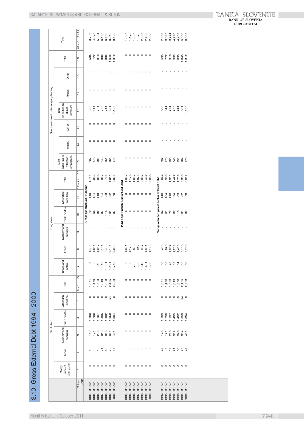|                                         |      | Total                                       | $20 = 6 + 12 + 19$            |      |                                     |                | 3,706<br>4,275                                                                           | 5,381                       |                |                |                                                    | 6,165<br>6,459<br>6,012<br>9,490 |                                     | 1,097          | 1,178                                 | 1,657<br>1,875 |                | 2,007          |                     | 2,462<br>2,883     |                                            |                | 2,609<br>3,097    | 3,724                                                                | 4,290             | 4,452          | 5,550          | 6,607                                                                                                       |
|-----------------------------------------|------|---------------------------------------------|-------------------------------|------|-------------------------------------|----------------|------------------------------------------------------------------------------------------|-----------------------------|----------------|----------------|----------------------------------------------------|----------------------------------|-------------------------------------|----------------|---------------------------------------|----------------|----------------|----------------|---------------------|--------------------|--------------------------------------------|----------------|-------------------|----------------------------------------------------------------------|-------------------|----------------|----------------|-------------------------------------------------------------------------------------------------------------|
|                                         |      | Total                                       | $\frac{0}{1}$                 |      |                                     | 595            | 722                                                                                      | 910                         | 999            | 895            |                                                    | $1,045$<br>$1,312$               |                                     |                | $\circ\circ\circ\circ\circ\circ\circ$ |                |                |                |                     |                    |                                            | 595            |                   | $722$<br>$999$<br>$995$<br>$895$                                     |                   |                | 1,045          | 1,312                                                                                                       |
|                                         |      | Other                                       | $\frac{8}{1}$                 |      |                                     |                | 00000000                                                                                 |                             |                |                |                                                    |                                  |                                     |                | 00000000                              |                |                |                |                     |                    |                                            |                |                   |                                                                      |                   |                |                |                                                                                                             |
|                                         |      | Arears                                      | $\overline{1}$                |      |                                     |                | 00000000                                                                                 |                             |                |                |                                                    |                                  |                                     |                | 00000000                              |                |                |                |                     |                    |                                            |                | $\blacksquare$    | $\mathcal{A}$                                                        | $\blacksquare$    | $\,$           | $\mathbf{I}$   |                                                                                                             |
| Direct investment: Intercompany lending | Debt | liabilities to<br>investors<br>direct       | $\frac{6}{1}$                 |      |                                     | 388            | 544<br>724<br>756                                                                        |                             |                | 744            | 881                                                | 1,136                            |                                     |                | $\circ\circ\circ\circ\circ\circ\circ$ |                |                |                |                     |                    |                                            | 388            |                   | 544<br>724                                                           | 756               | 744            | 881            | 1,136                                                                                                       |
|                                         |      | Other                                       | $\frac{10}{10}$               |      |                                     |                | $\circ\circ\circ\circ\circ\circ\circ$                                                    |                             |                |                |                                                    |                                  |                                     |                | 00000000                              |                |                |                |                     |                    |                                            |                | $\,$              | $\mathbf{u}$                                                         |                   |                |                |                                                                                                             |
|                                         |      | Arrears                                     | $\frac{4}{3}$                 |      |                                     |                | 00000000                                                                                 |                             |                |                |                                                    |                                  |                                     |                | 00000000                              |                |                |                |                     |                    |                                            |                | $\mathcal{A}$     | $\sim$ 1                                                             | $\sim$            | $\mathcal{A}$  | $\sim$ 1       | $\mathbf{I}$                                                                                                |
|                                         | Debt | liabilities to<br>enterprises<br>affiliated | $\frac{8}{1}$                 |      |                                     | 207            | 178                                                                                      |                             |                |                |                                                    | 243<br>151<br>176<br>176         |                                     |                | 00000000                              |                |                |                |                     |                    |                                            | 207            |                   | $178$<br>$186$<br>$245$<br>$164$<br>$176$                            |                   |                |                |                                                                                                             |
|                                         |      | Total                                       | $= 7 +  + 1$<br>$\frac{2}{1}$ |      |                                     | 1,741          | 2,083                                                                                    | 2,968                       | 3,347          | 3,726          | 4,811                                              | 5,895                            |                                     | 1,097          | 1,178                                 | 1,657          | 1,875          | 2,007          | 2,462               | 2,883              |                                            | 644            | 905               | 1,311                                                                |                   |                |                | $1,472$<br>$1,719$<br>$2,350$<br>$2,350$<br>$3,012$                                                         |
|                                         |      | Other debt<br>liabilities                   | $\overline{1}$                |      | <b>Gross External Debt Position</b> | 140            |                                                                                          | $134$<br>118                | $\overline{9}$ |                | $\begin{array}{c} 30 \\ 30 \\ 30 \\ 5 \end{array}$ |                                  | Public and Publicly Guaranteed Debt |                | $\circ\circ\circ\circ$                |                |                |                | $\circ \circ \circ$ |                    | Non-guaranteed privat sector external debt | 140            | 134               | $118$                                                                |                   |                | 98887          |                                                                                                             |
|                                         |      | Trade credits                               | $\frac{1}{2}$                 |      |                                     |                | <b>PO</b><br>66                                                                          | 82<br>87                    |                | 115            | 101                                                | 87                               |                                     |                | 0 0 0 0 0 0 0                         |                |                |                |                     |                    |                                            |                |                   | $\frac{4}{9}$ $\frac{2}{9}$ $\frac{2}{9}$                            |                   |                | $115$<br>$101$ | $\overline{8}$                                                                                              |
| $Long - term$                           |      | Currency and<br>deposits                    | တ                             |      |                                     |                | $\circ$ $\circ$                                                                          | $\circ\circ\circ\circ\circ$ |                |                |                                                    |                                  |                                     |                | $\circ\circ\circ\circ\circ\circ\circ$ |                |                |                |                     |                    |                                            |                |                   | $\,$                                                                 | $\,$              | $\,$           |                |                                                                                                             |
|                                         |      | Loans                                       | ${}^{\circ}$                  |      |                                     | 1,496          | 1,851                                                                                    | 1,957                       | 2,151          |                |                                                    | 2,433<br>3,134<br>3,983          |                                     | 1,091          | 1,173                                 | 890            | 912            | 967            | 1,0.31              | 1,195              |                                            | 405            | 678               | 1,067                                                                | 1,239             | 1,466          | 2,103          | 2,788                                                                                                       |
|                                         |      | Bonds and<br>notes                          | N                             |      |                                     |                |                                                                                          |                             |                |                |                                                    |                                  |                                     |                |                                       |                |                | 1,040          |                     | $1,431$<br>$1,688$ |                                            |                |                   | 5<br>5 5 5 5 7 5 6 7                                                 |                   |                |                |                                                                                                             |
|                                         |      | Total                                       | $= 1 +  + 5$<br>$\circ$       |      |                                     |                | $\begin{array}{cccc}\n 1.371 \\ 7.470 \\ 1.503 \\ 1.638 \\ 2.453 \\ 2.283\n \end{array}$ |                             |                |                |                                                    |                                  |                                     |                | $\circ\circ\circ\circ\circ\circ\circ$ |                |                |                |                     |                    |                                            |                |                   |                                                                      |                   |                |                | $\begin{array}{cccc}\n & 3.71 \\ & 3.70 \\ & 4.503 \\ & 5.835 \\ & 6.763 \\ & 7.683 \\ & 8.35\n\end{array}$ |
| Short-term                              |      | Other debt<br>liabilities                   | LO                            |      |                                     |                | $\circ \circ \circ \circ \circ \circ \underset{\omega}{\circ} \circ$                     |                             |                |                |                                                    |                                  |                                     |                | 00000000                              |                |                |                |                     |                    |                                            |                |                   | $\circ \circ \circ \circ \circ \circ \underset{\omega}{\circ} \circ$ |                   |                |                |                                                                                                             |
|                                         |      | Trade credits                               | 4                             |      |                                     |                |                                                                                          |                             |                |                |                                                    |                                  |                                     |                | $\circ\circ\circ\circ\circ\circ\circ$ |                |                |                |                     |                    |                                            |                |                   |                                                                      |                   |                |                |                                                                                                             |
|                                         |      | Currency and<br>deposits                    | S                             |      |                                     |                | $140$<br>$171$                                                                           |                             | 0.78804        |                |                                                    |                                  |                                     |                | 00000000                              |                |                |                |                     |                    |                                            |                |                   | 75878870                                                             |                   |                |                |                                                                                                             |
|                                         |      | Loans                                       | $\sim$                        |      |                                     |                | 4 9 2 7 8 9 7 4                                                                          |                             |                |                |                                                    |                                  |                                     |                | 00000000                              |                |                |                |                     |                    |                                            |                |                   | 4 9 2 7 8 9 7 4 9 7                                                  |                   |                |                |                                                                                                             |
|                                         |      | instruments<br>market<br>Money              | ÷                             |      |                                     |                | 00000000                                                                                 |                             |                |                |                                                    |                                  |                                     |                | 00000000                              |                |                |                |                     |                    |                                            |                |                   | 00000000                                                             |                   |                |                |                                                                                                             |
|                                         |      |                                             | Column                        | Code |                                     | 31.dec<br>1994 | 31.dec<br>1995                                                                           | 31.dec<br>1996              | 31.dec<br>1997 | 31.dec<br>1998 | 31.dec<br>1999                                     | 31.dec<br>2000                   |                                     | 31.dec<br>1994 | 31.dec<br>31.dec<br>1995              | 1996           | 31.dec<br>1997 | 31.dec<br>1998 | $31$ .dec<br>1999   | 31.dec<br>2000     |                                            | 31.dec<br>1994 | $31$ .dec<br>1995 | $31$ .dec<br>1996                                                    | $31$ .dec<br>1997 | 31.dec<br>1998 | 31.dec<br>1999 | 31.dec<br>2000                                                                                              |

3.10. Gross External Debt 1994 - 2000

3.10. Gross External Debt 1994 - 2000

#### BANKA SLOVENIJE BANK OF SLOVENIA **EUROSYSTEM**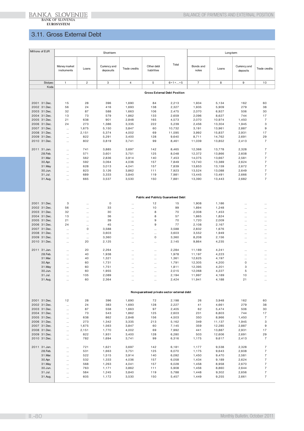**EUROSYSTEM**

# 3.11. Gross External Debt

| Millions of EUR              |                             |                      | Short-term                |                         |                                     |                                             |                    | Long-term      |                          |                                              |
|------------------------------|-----------------------------|----------------------|---------------------------|-------------------------|-------------------------------------|---------------------------------------------|--------------------|----------------|--------------------------|----------------------------------------------|
|                              | Money market<br>instruments | Loans                | Currency and<br>deposuits | Trade credits           | Other debt<br>liabilities           | Total                                       | Bonds and<br>notes | Loans          | Currency and<br>deposits | Trade credits                                |
| Stolpec                      | $\mathbf{1}$                | $\overline{c}$       | 3                         | $\overline{\mathbf{4}}$ | 5                                   | $6 = 1 +  + 5$                              | $\overline{7}$     | 8              | 9                        | 10                                           |
| Koda                         |                             |                      |                           |                         |                                     |                                             |                    |                |                          |                                              |
|                              |                             |                      |                           |                         | <b>Gross External Debt Position</b> |                                             |                    |                |                          |                                              |
|                              |                             |                      |                           |                         |                                     |                                             |                    |                |                          |                                              |
| 2001 31.Dec.<br>2002 31.Dec. | 15<br>56                    | 28<br>24             | 396                       | 1,690                   | 84                                  | 2,213                                       | 1,934              | 5,134          | 162                      | 60<br>38                                     |
| 2003 31.Dec.                 | 32                          | 87                   | 416<br>588                | 1,693<br>1,663          | 138<br>106                          | 2,327<br>2,475                              | 1,935<br>2,070     | 5,909<br>6,927 | 279<br>506               | 30                                           |
| 2004 31.Dec.                 | 13                          | 73                   | 579                       | 1,862                   | 133                                 | 2,659                                       | 2,096              | 8,627          | 744                      | 17                                           |
| 2005 31.Dec.                 | 21                          | 638                  | 901                       | 2,848                   | 165                                 | 4,573                                       | 2,070              | 10,974         | 1,450                    | $\overline{7}$                               |
| 2006 31.Dec.                 | 24                          | 273                  | 1,386                     | 3,335                   | 222                                 | 5,239                                       | 2,456              | 13,304         | 1,945                    | 3                                            |
| 2007 31.Dec.                 | $\cdots$                    | 1,675                | 5,150                     | 3,847                   | 60                                  | 10,732                                      | 3,191              | 13,961         | 2,887                    | 9                                            |
| 2008 31.Dec.                 | $\cdots$                    | 2,151                | 5,374                     | 4,002                   | 69                                  | 11,595                                      | 3,992              | 15,837         | 2,931                    | 17                                           |
| 2009 31.Dec.                 | $\ldots$                    | 822                  | 5,291                     | 3,400                   | 128                                 | 9,640                                       | 8,711              | 14,762         | 2,691                    | 29                                           |
| 2010 31.Dec.                 | $\ldots$                    | 802                  | 3,819                     | 3,741                   | 99                                  | 8,461                                       | 11,039             | 13,852         | 2,413                    | $\overline{7}$                               |
| 2011 31.Jan.                 | $\cdots$                    | 741                  | 3,885                     | 3,697                   | 142                                 | 8,465                                       | 12,366             | 13,778         | 2,328                    | $\overline{7}$                               |
| 28.Feb.                      | $\cdots$                    | 571                  | 3,601                     | 3,751                   | 125                                 | 8,048                                       | 12,372             | 13,866         | 2,608                    | $\overline{7}$                               |
| 31.Mar.                      | $\ldots$                    | 562                  | 2,836                     | 3,914                   | 140                                 | 7,453                                       | 14,075             | 13,667         | 2,581                    | $\overline{7}$                               |
| 30.Apr.                      | $\cdots$                    | 592                  | 3,064                     | 4,036                   | 157                                 | 7,849                                       | 13,740             | 13,389         | 2,624                    | $\overline{7}$                               |
| 31.May                       | $\cdots$                    | 628                  | 3,013                     | 4,041                   | 157                                 | 7,839                                       | 13,853             | 13,159         | 2,672                    | $\overline{7}$                               |
| 30.Jun.                      | $\ldots$                    | 823                  | 3,126                     | 3,862                   | 111                                 | 7,923                                       | 13,524             | 13,088         | 2,649                    | $\overline{7}$                               |
| 31.Jul.                      | $\cdots$                    | 689                  | 3,333                     | 3,840                   | 119                                 | 7,981                                       | 13,445             | 13,491         | 2,666                    | $\overline{7}$                               |
| 31.Aug.                      | $\cdots$                    | 665                  | 3,537                     | 3,530                   | 150                                 | 7,881                                       | 13,390             | 13,443         | 2,682                    | $\overline{7}$                               |
|                              |                             |                      |                           |                         |                                     |                                             |                    |                |                          |                                              |
|                              |                             |                      |                           |                         |                                     |                                             |                    |                |                          |                                              |
|                              |                             |                      |                           |                         | Public and Publicly Guaranteed Debt |                                             |                    |                |                          |                                              |
| 2001 31.Dec.                 | 3                           |                      | $\mathsf O$               |                         | 12                                  | 15                                          | 1,908              | 1,186          |                          |                                              |
| 2002 31.Dec.                 | 56                          | $\cdots$<br>$\cdots$ | 33                        | <br>                    | 10                                  | 99                                          | 1,894              | 1,248          | <br>                     |                                              |
| 2003 31.Dec.                 | 32                          | $\cdots$             | 30                        |                         | 8                                   | 70                                          | 2,008              | 1,453          |                          | <br>                                         |
| 2004 31.Dec.                 | 13                          | $\cdots$             | 36                        |                         | 8                                   | 57                                          | 1,865              | 1,824          |                          |                                              |
| 2005 31.Dec.                 | 21                          | $\cdots$             | 39                        |                         | 9                                   | 70                                          | 1,720              | 2,009          |                          |                                              |
| 2006 31.Dec.                 | 24                          | $\cdots$             | 45                        |                         | 9                                   | 77                                          | 2,108              | 2,167          |                          |                                              |
| 2007 31.Dec.                 | $\cdots$                    | 0                    | 3,588                     |                         |                                     | 3,588                                       | 2,832              | 1,676          |                          |                                              |
| 2008 31.Dec.                 | $\cdots$                    | $\cdots$             | 3,603                     |                         | $\cdots$                            | 3,603                                       | 3,552              | 1,949          |                          |                                              |
| 2009 31.Dec.                 | $\cdots$                    | $\cdots$             | 3,360                     | $\cdots$                | 0                                   | 3,360                                       | 8,208              | 2,156          |                          |                                              |
| 2010 31.Dec.                 | $\cdots$                    | 20                   | 2,125                     | $\ddotsc$               | $\cdots$                            | 2,145                                       | 9,864              | 4,235          |                          |                                              |
| 2011 31.Jan.                 | $\cdots$                    | 20                   | 2,264                     |                         | $\cdots$                            | 2,284                                       | 11,189             | 4,241          |                          |                                              |
| 28.Feb.                      | $\cdots$                    | 40                   | 1,938                     |                         | $\cdots$                            | 1,978                                       | 11,197             | 4,223          |                          |                                              |
| 31.Mar.                      | $\cdots$                    | 40                   | 1,321                     |                         | $\cdots$                            | 1,361                                       | 12,625             | 4,197          |                          |                                              |
| 30.Apr.                      | $\cdots$                    | 60                   | 1,731                     | $\cdots$                | $\cdots$                            | 1,791                                       | 12,305             | 4,200          | $\mathsf{O}\xspace$      |                                              |
| 31.May                       | $\cdots$                    | 60                   | 1,751                     |                         |                                     | 1,811                                       | 12,395             | 4,201          | 3                        |                                              |
| 30.Jun.                      | $\cdots$                    | 60                   | 1,955                     |                         | $\cdots$                            | 2,015                                       | 12,068             | 4,227          | 5                        |                                              |
| 31.Jul.<br>31.Aug.           | $\cdots$                    | 105<br>60            | 2,089<br>2,364            |                         |                                     | 2,194<br>2,424                              | 11,997<br>11,941   | 4,189<br>4,188 | 10<br>21                 |                                              |
|                              |                             |                      |                           |                         |                                     |                                             |                    |                |                          |                                              |
|                              |                             |                      |                           |                         |                                     |                                             |                    |                |                          |                                              |
|                              |                             |                      |                           |                         |                                     | Non-guaranteed private sector external debt |                    |                |                          |                                              |
| 2001 31.Dec.                 | 12                          | 28                   | 396                       | 1,690                   | 72                                  | 2,198                                       | 26                 | 3,948          | 162                      | 60                                           |
| 2002 31.Dec.                 | $\cdots$                    | 24                   | 383                       | 1,693                   | 128                                 | 2,227                                       | 41                 | 4,661          | 279                      | 38                                           |
| 2003 31.Dec.                 | $\cdots$                    | 87                   | 558                       | 1,663                   | 97                                  | 2,405                                       | 62                 | 5,474          | 506                      | 30                                           |
| 2004 31.Dec.                 | $\cdots$                    | 73                   | 543                       | 1,862                   | 125                                 | 2,603                                       | 231                | 6,803          | 744                      | 17                                           |
| 2005 31.Dec.                 | $\cdots$                    | 638                  | 862                       | 2,848                   | 156                                 | 4,503                                       | 350                | 8,966          | 1,450                    | $\overline{7}$                               |
| 2006 31.Dec.                 | $\ldots$                    | 273                  | 1,342                     | 3,335                   | 213                                 | 5,162                                       | 349                | 11,137         | 1,945                    | 3                                            |
| 2007 31.Dec.                 | $\cdots$                    | 1,675                | 1,563                     | 3,847                   | 60                                  | 7,145                                       | 359                | 12,285         | 2,887                    | 9                                            |
| 2008 31.Dec.                 | $\cdots$                    | 2,151                | 1,770                     | 4,002                   | 69                                  | 7,992                                       | 441                | 13,887         | 2,931                    | 17                                           |
| 2009 31.Dec.<br>2010 31.Dec. | $\cdots$                    | 822<br>782           | 1,931                     | 3,400                   | 128<br>99                           | 6,280                                       | 503                | 12,606         | 2,691                    | 29<br>$\overline{7}$                         |
|                              | $\cdots$                    |                      | 1,694                     | 3,741                   |                                     | 6,316                                       | 1,175              | 9,617          | 2,413                    |                                              |
| 2011 31.Jan.                 | $\cdots$                    | 721                  | 1,621                     | 3,697                   | 142                                 | 6,181                                       | 1,177              | 9,538          | 2,328                    | $\boldsymbol{7}$                             |
| 28.Feb.                      | $\cdots$                    | 531                  | 1,663                     | 3,751                   | 125                                 | 6,070                                       | 1,175              | 9,643          | 2,608                    | $\overline{7}$                               |
| 31.Mar.                      | $\ldots$                    | 522                  | 1,515                     | 3,914                   | 140                                 | 6,092                                       | 1,450              | 9,470          | 2,581                    | $\boldsymbol{7}$                             |
| 30.Apr.                      | $\cdots$                    | 532                  | 1,333                     | 4,036                   | 157                                 | 6,058                                       | 1,434              | 9,189          | 2,624                    | $\overline{\mathcal{I}}$                     |
| 31.May                       | $\cdots$                    | 568                  | 1,263                     | 4,041                   | 157                                 | 6,028                                       | 1,458              | 8,958          | 2,670                    | $\boldsymbol{7}$                             |
| 30.Jun.                      | $\ldots$                    | 763                  | 1,171                     | 3,862                   | 111                                 | 5,908                                       | 1,456              | 8,860          | 2,644                    | $\overline{7}$                               |
| 31.Jul.<br>31.Aug.           | $\cdots$                    | 584<br>605           | 1,245<br>1,172            | 3,840<br>3,530          | 119<br>150                          | 5,788<br>5,457                              | 1,448<br>1,449     | 9,302<br>9,255 | 2,656<br>2,661           | $\boldsymbol{7}$<br>$\overline{\mathcal{I}}$ |
|                              | $\ldots$                    |                      |                           |                         |                                     |                                             |                    |                |                          |                                              |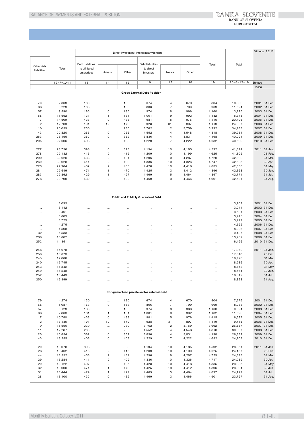|                      |                  |                              |                         |                       | Direct investment: Intercompany lending     |                                           |                |       |                  | Millions of EUR              |
|----------------------|------------------|------------------------------|-------------------------|-----------------------|---------------------------------------------|-------------------------------------------|----------------|-------|------------------|------------------------------|
|                      |                  |                              |                         |                       |                                             |                                           |                |       |                  |                              |
| Other debt           |                  | Debt liabilities             |                         |                       | Debt liabilities                            |                                           |                | Total | Total            |                              |
| liabilities          | Total            | to affiliated<br>enterprises | Arrears                 | Other                 | to direct<br>investors                      | Arrears                                   | Other          |       |                  |                              |
| 11                   | $12=7++11$       | 13                           | 14                      | 15                    | 16                                          | 17                                        | 18             | 19    | $20=6+12+19$     | Stolpec                      |
|                      |                  |                              |                         |                       |                                             |                                           |                |       |                  | Koda                         |
|                      |                  |                              |                         |                       | <b>Gross External Debt Position</b>         |                                           |                |       |                  |                              |
| 79                   | 7,369            | 130                          |                         | 130                   | 674                                         | $\sqrt{4}$                                | 670            | 804   | 10,386           | 2001 31.Dec.                 |
| 68                   | 8,229            | 163                          | $\mathsf{O}\xspace$     | 163                   | 806                                         | $\overline{7}$                            | 799            | 969   | 11,524           | 2002 31.Dec.                 |
| 57                   | 9,590            | 185                          | 0                       | 185                   | 974                                         | 8                                         | 966            | 1,160 | 13,225           | 2003 31.Dec.                 |
| 68                   | 11,552           | 131                          | 1                       | 131                   | 1,001                                       | 9                                         | 992            | 1,132 | 15,343           | 2004 31.Dec.                 |
| $\overline{7}$       | 14,509           | 433                          | $\mathsf O$             | 433                   | 981                                         | 5                                         | 976            | 1,415 | 20,496           | 2005 31.Dec.                 |
| $\overline{c}$       | 17,709           | 191                          | 12                      | 179                   | 928                                         | 31                                        | 897            | 1,119 | 24,067           | 2006 31.Dec.                 |
| 10<br>43             | 20,059           | 230                          | <br>0                   | 230                   | 3,762                                       | $\overline{\mathbf{c}}$<br>$\overline{4}$ | 3,759          | 3,992 | 34,783           | 2007 31.Dec.                 |
| 263                  | 22,820           | 266<br>362                   | 0                       | 266<br>362            | 4,552                                       | $\overline{4}$                            | 4,548<br>3,831 | 4,818 | 39,234           | 2008 31.Dec.<br>2009 31.Dec. |
| 295                  | 26,455<br>27,606 | 403                          | 0                       | 403                   | 3,836<br>4,229                              | $\overline{7}$                            | 4,222          | 4,198 | 40,294<br>40,699 | 2010 31.Dec.                 |
|                      |                  |                              |                         |                       |                                             |                                           |                | 4,632 |                  |                              |
| 277                  | 28,756           | 398                          | 0                       | 398                   | 4,194                                       | 10                                        | 4,185          | 4,592 | 41,814           | 2011 31.Jan.                 |
| 278                  | 29,132           | 416                          | $\overline{\mathbf{c}}$ | 415                   | 4,209                                       | 10                                        | 4,199          | 4,625 | 41,805           | 28.Feb.                      |
| 290                  | 30,620           | 433                          | $\overline{\mathbf{c}}$ | 431                   | 4,296                                       | 9                                         | 4,287          | 4,729 | 42,802           | 31.Mar.                      |
| 269                  | 30,028           | 411                          | $\overline{\mathbf{c}}$ | 409                   | 4,336                                       | 10                                        | 4,326          | 4,747 | 42,625           | 30.Apr.                      |
| 273                  | 29,964           | 407                          | $\overline{\mathbf{c}}$ | 405                   | 4,428                                       | 10                                        | 4,418          | 4,835 | 42,638           | 31.May                       |
| 281                  | 29,549           | 471                          | 1                       | 470                   | 4,425                                       | 13                                        | 4,412          | 4,896 | 42,368           | 30.Jun.                      |
| 283                  | 29,892           | 429                          | 1                       | 427                   | 4,469                                       | 5                                         | 4,464          | 4,897 | 42,771           | 31.Jul.                      |
| 278                  | 29,799           | 432                          | 0                       | 432                   | 4,469                                       | 3                                         | 4,466          | 4,901 | 42,581           | 31.Aug.                      |
|                      |                  |                              |                         |                       | Public and Publicly Guaranteed Debt         |                                           |                |       |                  |                              |
|                      |                  |                              |                         |                       |                                             |                                           |                |       |                  |                              |
| $\cdots$             | 3,095            |                              |                         |                       | $\ddotsc$                                   |                                           |                |       | 3,109            | 2001 31.Dec.<br>2002 31.Dec. |
| $\cdots$             | 3,142<br>3,461   |                              |                         |                       | $\ddotsc$                                   |                                           |                |       | 3,241<br>3,531   | 2003 31.Dec.                 |
| $\cdots$             | 3,689            | $\cdots$                     |                         |                       | $\ddotsc$                                   |                                           |                |       | 3,745            | 2004 31.Dec.                 |
| $\cdots$             | 3,729            | $\cdots$                     |                         |                       |                                             |                                           |                |       | 3,799            | 2005 31.Dec.                 |
| $\cdots$<br>$\cdots$ | 4,275            | $\cdots$<br>$\cdots$         | <br>                    | $\cdots$<br>$\ddotsc$ | $\ddotsc$<br>$\ddotsc$                      | <br>                                      | <br>           | <br>  | 4,352            | 2006 31.Dec                  |
| $\cdots$             | 4,508            |                              |                         |                       | $\ddotsc$                                   | $\cdots$                                  | $\cdots$       |       | 8,096            | 2007 31.Dec.                 |
| 32                   | 5,533            | $\cdots$                     |                         | $\ddotsc$             | $\ddotsc$                                   |                                           |                |       | 9,137            | 2008 31.Dec.                 |
| 238                  | 10,602           | $\cdots$                     | $\cdots$                |                       | $\ddotsc$                                   |                                           |                |       | 13,962           | 2009 31.Dec                  |
| 252                  | 14,351           |                              |                         |                       | $\ddotsc$                                   |                                           |                |       | 16,496           | 2010 31.Dec.                 |
| 248                  | 15,678           |                              |                         |                       | $\ddotsc$                                   |                                           |                |       | 17,962           | 2011 31.Jan.                 |
| 250                  | 15,670           |                              |                         | $\cdots$              | $\ddotsc$                                   |                                           |                |       | 17,648           | 28.Feb.                      |
| 245                  | 17,068           |                              |                         |                       |                                             | $\cdots$                                  | $\cdots$       |       | 18,428           | 31.Mar.                      |
| 240                  | 16,745           |                              |                         |                       |                                             |                                           | $\cdots$       |       | 18,536           | 30.Apr.                      |
| 243                  | 16,842           |                              |                         |                       | $\ddotsc$                                   | $\cdots$                                  | $\cdots$       |       | 18,653           | 31.May                       |
| 249                  | 16,549           |                              |                         |                       |                                             |                                           |                |       | 18,564           | 30.Jun.                      |
| 252                  | 16,449           | $\cdots$                     |                         |                       |                                             |                                           | $\cdots$       |       | 18,642           | 31.Jul.                      |
| 250                  | 16,399           | $\cdots$                     |                         |                       |                                             | $\cdots$                                  |                |       | 18,823           | 31.Aug.                      |
|                      |                  |                              |                         |                       | Non-guaranteed private sector external debt |                                           |                |       |                  |                              |
| 79                   | 4,274            | 130                          | $\cdots$                | 130                   | 674                                         | $\overline{\mathbf{4}}$                   | 670            | 804   | 7,276            | 2001 31.Dec.                 |
| 68                   | 5,087            | 163                          | 0                       | 163                   | 806                                         | $\overline{7}$                            | 799            | 969   | 8,283            | 2002 31.Dec.                 |
| 57                   | 6,129            | 185                          | 0                       | 185                   | 974                                         | 8                                         | 966            | 1,160 | 9,694            | 2003 31.Dec.                 |
| 68                   | 7,863            | 131                          | 1                       | 131                   | 1,001                                       | 9                                         | 992            | 1,132 | 11,598           | 2004 31.Dec.                 |
| $\sqrt{7}$           | 10,780           | 433                          | $\mathsf{O}\xspace$     | 433                   | 981                                         | 5                                         | 976            | 1,415 | 16,697           | 2005 31.Dec.                 |
| $\sqrt{2}$           | 13,435           | 191                          | 12                      | 179                   | 928                                         | 31                                        | 897            | 1,119 | 19,715           | 2006 31.Dec.                 |
| 10                   | 15,550           | 230                          |                         | 230                   | 3,762                                       | $\boldsymbol{2}$                          | 3,759          | 3,992 | 26,687           | 2007 31.Dec.                 |
| 11                   | 17,287           | 266                          | 0                       | 266                   | 4,552                                       | $\overline{4}$                            | 4,548          | 4,818 | 30,097           | 2008 31.Dec.                 |
| 25                   | 15,854           | 362                          | 0                       | 362                   | 3,836                                       | 4                                         | 3,831          | 4,198 | 26,332           | 2009 31.Dec.                 |
| 43                   | 13,255           | 403                          | 0                       | 403                   | 4,229                                       | $\overline{7}$                            | 4,222          | 4,632 | 24,203           | 2010 31.Dec.                 |
| 29                   | 13,078           | 398                          | 0                       | 398                   | 4,194                                       | 10                                        | 4,185          | 4,592 | 23,851           | 2011 31.Jan.                 |
| 28                   | 13,462           | 416                          | $\overline{\mathbf{c}}$ | 415                   | 4,209                                       | 10                                        | 4,199          | 4,625 | 24,157           | 28.Feb.                      |
| 44                   | 13,552           | 433                          | $\overline{\mathbf{c}}$ | 431                   | 4,296                                       | 9                                         | 4,287          | 4,729 | 24,373           | 31.Mar.                      |
| 29                   | 13,284           | 411                          | $\overline{\mathbf{c}}$ | 409                   | 4,336                                       | 10                                        | 4,326          | 4,747 | 24,089           | 30.Apr.                      |
| 29                   | 13,122           | 407                          | $\overline{\mathbf{c}}$ | 405                   | 4,428                                       | 10                                        | 4,418          | 4,835 | 23,985           | 31.May                       |
| 32                   | 13,000           | 471                          | $\mathbf{1}$            | 470                   | 4,425                                       | 13                                        | 4,412          | 4,896 | 23,804           | 30.Jun.                      |
| 31                   | 13,444           | 429                          | $\mathbf{1}$            | 427                   | 4,469                                       | 5                                         | 4,464          | 4,897 | 24,129           | 31.Jul.                      |
| 28                   | 13,400           | 432                          | 0                       | 432                   | 4,469                                       | 3                                         | 4,466          | 4,901 | 23,757           | 31.Aug.                      |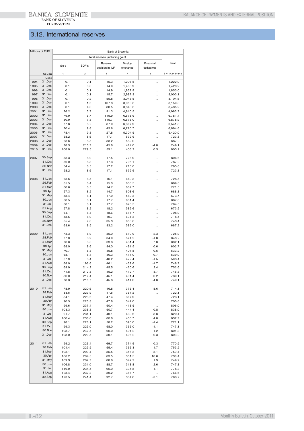BANK OF SLOVENIA **EUROSYSTEM**

# 3.12. International reserves

|              | Millions of EUR  |                |                |                                 | Bank of Slovenia   |                  |                         |
|--------------|------------------|----------------|----------------|---------------------------------|--------------------|------------------|-------------------------|
|              |                  |                |                | Total reserves (including gold) |                    |                  |                         |
|              |                  |                |                | Reserve                         | Foreign            | Financial        | Total                   |
|              |                  | Gold           | SDR's          | position in IMF                 | exchange           | derivatives      |                         |
|              | Column           | 1              | $\overline{2}$ | $\overline{3}$                  | 4                  | 5                | $6 = 1 + 2 + 3 + 4 + 5$ |
|              | Code             |                |                |                                 |                    |                  |                         |
| 1994         | 31.Dec<br>31.Dec | 0.1<br>0.1     | 0.1            | 15.3                            | 1,206.5            |                  | 1,222.0                 |
| 1995<br>1996 | 31.Dec           | 0.1            | 0.0<br>0.1     | 14.9<br>14.9                    | 1,405.9<br>1,837.9 | <br>             | 1,420.9<br>1,853.0      |
| 1997         | 31.Dec           | 0.1            | 0.1            | 15.7                            | 2,987.3            |                  | 3,003.1                 |
| 1998         | 31.Dec           | 0.1            | 0.2            | 55.8                            | 3,048.5            |                  | 3,104.6                 |
| 1999         | 31.Dec           | 0.1            | 1.6            | 107.3                           | 3,050.3            |                  | 3,159.3                 |
| 2000         | 31.Dec           | 0.1            | 4.0            | 88.5                            | 3,343.3            |                  | 3,435.9                 |
| 2001         | 31.Dec           | 76.2           | 5.7            | 91.3                            | 4,810.5            |                  | 4,983.7                 |
| 2002         | 31.Dec<br>31.Dec | 79.9           | 6.7            | 115.9                           | 6,578.9            |                  | 6,781.4                 |
| 2003<br>2004 | 31.Dec           | 80.9<br>77.8   | 7.3<br>8.2     | 115.7<br>87.9                   | 6,675.0            |                  | 6,878.9                 |
| 2005         | 31.Dec           | 70.4           | 9.8            | 43.6                            | 6,367.9<br>6,770.7 | <br>             | 6,541.8<br>6,894.6      |
| 2006         | 31.Dec           | 78.4           | 9.3            | 27.8                            | 5,304.5            |                  | 5,420.0                 |
| 2007         | 31.Dec           | 58.2           | 8.6            | 17.1                            | 639.9              |                  | 723.8                   |
| 2008         | 31.Dec           | 63.6           | 8.5            | 33.2                            | 582.0              |                  | 687.2                   |
| 2009         | 31.Dec           | 78.3           | 215.7          | 45.8                            | 414.0              | $-4.8$           | 749.1                   |
| 2010         | 31.Dec           | 108.0          | 229.5          | 59.1                            | 406.2              | 0.3              | 803.2                   |
| 2007         | 30.Sep           | 53.3           | 8.9            | 17.5                            | 726.9              |                  | 806.6                   |
|              | 31.Oct           | 56.0           | 8.8            | 17.3                            | 705.1              | <br>             | 787.2                   |
|              | 30.Nov           | 54.4           | 8.5            | 17.2                            | 715.6              |                  | 795.6                   |
|              | 31.Dec           | 58.2           | 8.6            | 17.1                            | 639.9              |                  | 723.8                   |
|              |                  |                |                |                                 |                    |                  |                         |
| 2008         | 31.Jan           | 63.6           | 8.5            | 16.1                            | 640.3              |                  | 728.5                   |
|              | 29.Feb           | 65.5           | 8.4            | 15.0                            | 600.5              |                  | 689.3                   |
|              | 31.Mar<br>30.Apr | 60.6<br>57.3   | 8.5<br>8.2     | 14.7<br>14.7                    | 687.7<br>608.6     |                  | 771.5<br>688.8          |
|              | 31.May           | 58.4           | 8.1            | 17.9                            | 589.3              | <br>             | 673.7                   |
|              | 30.Jun           | 60.5           | 8.1            | 17.7                            | 601.4              |                  | 687.6                   |
|              | 31.Jul           | 60.1           | 8.1            | 17.7                            | 678.5              |                  | 764.5                   |
|              | 31.Aug           | 57.8           | 8.2            | 18.2                            | 589.6              |                  | 673.9                   |
|              | 30.Sep           | 64.1           | 8.4            | 18.6                            | 617.7              |                  | 708.9                   |
|              | 31.Oct           | 58.6           | 8.9            | 19.7                            | 631.3              |                  | 718.5                   |
|              | 30.Nov<br>31.Dec | 65.4           | 9.0            | 35.3                            | 633.6              |                  | 743.4                   |
|              |                  | 63.6           | 8.5            | 33.2                            | 582.0              |                  | 687.2                   |
| 2009         | 31.Jan           | 73.3           | 8.9            | 35.0                            | 610.9              | $-2.3$           | 725.9                   |
|              | 28.Feb           | 77.0           | 8.9            | 34.9                            | 524.2              | $-1.8$           | 643.2                   |
|              | 31.Mar           | 70.6           | 8.6            | 33.8                            | 481.4              | 7.8              | 602.1                   |
|              | 30.Apr           | 68.0           | 8.6            | 34.0                            | 491.5              | 0.6              | 602.7                   |
|              | 31.May<br>30.Jun | 70.7           | 8.3            | 45.8                            | 407.8              | 0.5              | 533.2                   |
|              | 31.Jul           | 68.1<br>67.9   | 8.4<br>8.4     | 46.3<br>46.2                    | 417.0<br>472.4     | $-0.7$<br>$-1.5$ | 539.0<br>593.4          |
|              | 31.Aug           | 68.0           | 196.6          | 46.1                            | 439.6              | $-1.7$           | 748.7                   |
|              | 30.Sep           | 69.9           | 214.2          | 45.5                            | 420.6              | 2.4              | 752.6                   |
|              | 31.Oct           | 71.8           | 212.8          | 45.2                            | 412.7              | 3.7              | 746.3                   |
|              | 30.Nov           | 80.0           | 212.4          | 45.1                            | 401.4              | 0.2              | 739.1                   |
|              | 31.Dec           | 78.3           | 215.7          | 45.8                            | 414.0              | $-4.8$           | 749.1                   |
| 2010         | 31.Jan           | 78.9           | 220.6          | 46.8                            | 376.4              | $-8.6$           | 714.1                   |
|              | 28.Feb           | 83.5           | 223.9          | 47.5                            | 367.2              |                  | 722.1                   |
|              | 31.Mar           | 84.1           | 223.6          | 47.4                            | 367.9              | $\ddotsc$        | 723.1                   |
|              | 30.Apr           | 90.5           | 225.3          | 47.8                            | 342.0              |                  | 705.6                   |
|              | 31.May           | 99.6           | 237.4          | 50.4                            | 418.5              |                  | 806.0                   |
|              | 30.Jun           | 103.3          | 238.8          | 50.7                            | 444.4              | 0.8              | 838.0                   |
|              | $31$ .Jul        | 91.7           | 231.1          | 49.1                            | 439.6              | 8.8              | 820.4                   |
|              | 31.Aug<br>30.Sep | 100.4          | 236.0<br>226.1 | 60.8                            | 430.7              | 4.8              | 832.7                   |
|              | 31.Oct           | 98.1<br>99.3   | 225.0          | 58.2<br>58.0                    | 390.0<br>366.0     | $-1.4$<br>$-1.1$ | 771.1<br>747.1          |
|              | 30.Nov           | 108.7          | 232.5          | 60.0                            | 401.2              | $-1.2$           | 801.3                   |
|              | 31.Dec           | 108.0          | 229.5          | 59.1                            | 406.2              | 0.3              | 803.2                   |
|              |                  |                |                |                                 |                    |                  |                         |
| 2011         | 31.Jan           | 99.2           | 226.4          | 69.7                            | 374.9              | 0.3              | 770.5                   |
|              | 28.Feb<br>31.Mar | 104.4          | 225.5          | 55.4                            | 366.3              | 1.7              | 753.2                   |
|              | 30.Apr           | 103.1<br>106.2 | 209.4<br>204.5 | 85.5<br>83.5                    | 356.3<br>331.5     | 5.1<br>10.6      | 759.4<br>736.4          |
|              | 31.May           | 109.3          | 207.7          | 88.8                            | 342.2              | 1.9              | 749.9                   |
|              | 30.Jun           | 106.8          | 231.0          | 88.7                            | 318.8              | 2.6              | 747.8                   |
|              | $31$ .Jul        | 116.9          | 234.5          | 90.0                            | 335.8              | 1.1              | 778.3                   |
|              | 31.Aug           | 128.4          | 232.3          | 89.2                            | 316.7              |                  | 766.6                   |
|              | 30.Sep           | 123.5          | 241.4          | 92.7                            | 304.8              | $-2.1$           | 760.2                   |
|              |                  |                |                |                                 |                    |                  |                         |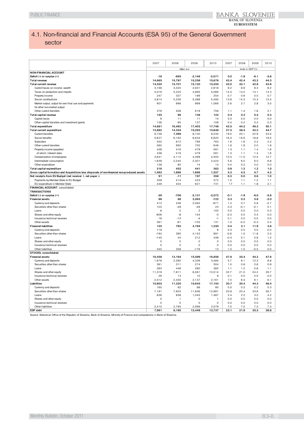### 4.1. Non-financial and Financial Accounts (ESA 95) of the General Government sector

|                                                                                              | 2007      | 2008                | 2009           | 2010         | 2007       | 2008          | 2009             | 2010       |
|----------------------------------------------------------------------------------------------|-----------|---------------------|----------------|--------------|------------|---------------|------------------|------------|
|                                                                                              |           |                     | miljon eur     |              |            |               | share in GDP (%) |            |
| NON-FINANCIAL ACCOUNT                                                                        |           |                     |                |              |            |               |                  |            |
| Deficit (-) or surplus (+)                                                                   | $-16$     | $-695$              | $-2,146$       | $-2,071$     | 0.0        | $-1.9$        | $-6.1$           | $-5.8$     |
| Total revenue                                                                                | 14,665    | 15,797              | 15,258         | 15,676       | 42.4       | 42.4          | 43.2             | 44.3       |
| Total current revenue                                                                        | 14,520    | 15,701              | 15,120         | 15,555       | 42.0       | 42.1          | 42.8             | 43.9       |
| Current taxes on income, wealth                                                              | 3,168     | 3,320               | 2,931          | 2,918        | 9.2        | 8.9           | 8.3              | 8.2        |
| Taxes on production and imports                                                              | 5,016     | 5,225               | 4,995          | 5,066        | 14.5       | 14.0          | 14.1             | 14.3       |
| Property income                                                                              | 247       | 327                 | 189            | 254          | 0.7        | 0.9           | 0.5              | 0.7        |
| Social contributions                                                                         | 4,814     | 5,326               | 5,388          | 5,495        | 13.9       | 14.3          | 15.3             | 15.5       |
| Market output, output for own final use and payments                                         | 901       | 996                 | 999            | 1,066        | 2.6        | 2.7           | 2.8              | 3.0        |
| for other non-market output                                                                  | 376       | 508                 | 619            |              |            |               | 1.8              | 2.1        |
| Other current transfers<br>Total capital revenue                                             | 145       | 96                  | 138            | 756<br>122   | 1.1<br>0.4 | 1.4<br>0.3    | 0.4              | 0.3        |
| Capital taxes                                                                                | 9         | 11                  | 11             | 14           | 0.0        | 0.0           | 0.0              | 0.0        |
| Other capital transfers and investment grants                                                | 136       | 85                  | 127            | 108          | 0.4        | 0.2           | 0.4              | 0.3        |
| <b>Total expenditure</b>                                                                     | 14,681    | 16,492              | 17,403         | 17,748       | 42.5       | 44.2          | 49.3             | 50.1       |
| Total current expenditure                                                                    | 12,882    | 14,354              | 15,293         | 15,848       | 37.3       | 38.5          | 43.3             | 44.7       |
| Current transfers                                                                            | 6,736     | 7,496               | 8,100          | 8,330        | 19.5       | 20.1          | 22.9             | 23.5       |
| Social benefits                                                                              | 5,627     | 6,192               | 6,634          | 6,920        | 16.3       | 16.6          | 18.8             | 19.5       |
| Subsidies                                                                                    | 550       | 612                 | 766            | 763          | 1.6        | 1.6           | 2.2              | 2.2        |
| Other current transfers                                                                      | 560       | 692                 | 700            | 646          | 1.6        | 1.9           | 2.0              | 1.8        |
| Property income (payable)                                                                    | 438       | 416                 | 479            | 581          | 1.3        | 1.1           | 1.4              | 1.6        |
| of which: interest rates                                                                     | 438       | 416                 | 479            | 581          | 1.3        | 1.1           | 1.4              | 1.6        |
| Compensation of employees                                                                    | 3,641     | 4,112               | 4,399          | 4,500        | 10.5       | 11.0          | 12.5             | 12.7       |
| Intermediate consumption                                                                     | 1,939     | 2,245               | 2,301          | 2,424        | 5.6        | 6.0           | 6.5              | 6.8        |
| Other expenditure                                                                            | 128       | 85                  | 14             | 13           | 0.4        | 0.2           | 0.0              | 0.0        |
| Total capital expenditure                                                                    | 316       | 452                 | 441            | 363          | 0.9        | $1.2$         | $1.2$            | 1.0        |
| Gross capital formation and Acquisitions less disposals of non-financial non-produced assets | 1.483     | 1.686               | 1.669          | 1.537        | 4.3        | 4.5           | 4.7              | 4.3        |
| Net receipts from EU Budget (net receiver +, net payer -)                                    | 91        | $-11$               | 197            | 358          | 0.3        | 0.0           | 0.6              | 1.0        |
| Payments by Member State to EU Budget                                                        | 358       | 414                 | 423            | 372          | 1.0        | 1.1           | 1.2              | 1.1        |
| EU expenditure in Member State                                                               | 449       | 404                 | 621            | 731          | 1.3        | 1.1           | 1.8              | 2.1        |
| FINANCIAL ACCOUNT, consolidated                                                              |           |                     |                |              |            |               |                  |            |
| <b>TRANSACTIONS</b>                                                                          |           |                     |                |              |            |               |                  |            |
| Deficit (-) or surplus (+)                                                                   | $-29$     | $-706$              | $-2, 131$      | $-2,072$     | $-0.1$     | $-1.9$        | $-6.0$           | $-5.8$     |
| <b>Financial assets</b>                                                                      | 96        | 88                  | 2,063          | $-722$       | 0.3        | 0.2           | 5.8              | $-2.0$     |
| Currency and deposits                                                                        | 412       | 248                 | 2,062          | $-971$       | 1.2        | 0.7           | 5.8              | $-2.7$     |
| Securities other than shares                                                                 | 103       | $-49$               | $-46$          | 23           | 0.3        | $-0.1$        | $-0.1$           | 0.1        |
| Loans                                                                                        | 8         | $\mathbf 0$         | $\overline{c}$ | 100          | 0.0        | 0.0           | 0.0              | 0.3        |
| Shares and other equity                                                                      | -806      | -8                  | 154            | $-3$         | $-2.3$     | 0.0           | 0.4              | 0.0        |
| Insurance technical reserves<br>Other assets                                                 | 18<br>361 | $-13$<br>$-91$      | $-4$<br>$-105$ | $-1$<br>131  | 0.1<br>1.0 | 0.0<br>$-0.2$ | 0.0<br>$-0.3$    | 0.0<br>0.4 |
| <b>Financial liabilities</b>                                                                 | 125       | 793                 | 4,194          | 1,350        | 0.4        | 2.1           | 11.9             | 3.8        |
| Currency and deposits                                                                        | 119       | $\mathbf{1}$        | 6              | 8            | 0.3        | 0.0           | 0.0              | 0.0        |
| Securities other than shares                                                                 | $-194$    | 390                 | 4,153          | 891          | $-0.6$     | 1.0           | 11.8             | 2.5        |
| Loans                                                                                        | $-145$    | 44                  | 212            | 438          | $-0.4$     | 0.1           | 0.6              | 1.2        |
| Shares and other equity                                                                      | $\circ$   | $\mathsf{O}\xspace$ | $\Omega$       | $\circ$      | 0.0        | 0.0           | 0.0              | 0.0        |
| Insurance technical reserves                                                                 | $\circ$   | 0                   | $\Omega$       | $\mathsf O$  | 0.0        | 0.0           | 0.0              | 0.0        |
| Other liabilities                                                                            | 345       | 358                 | $-176$         | 13           | 1.0        | 1.0           | $-0.5$           | 0.0        |
| STOCKS, consolidated                                                                         |           |                     |                |              |            |               |                  |            |
| <b>Financial assets</b>                                                                      | 16,458    | 13,194              | 15,599         | 16,856       | 47.6       | 35.4          | 44.2             | 47.6       |
| Currency and deposits                                                                        | 1,978     | 2,280               | 4,336          | 3,485        | 5.7        | 6.1           | 12.3             | 9.8        |
| Securities other than shares                                                                 | 361       | 311                 | 274            | 304          | 1.0        | 0.8           | 0.8              | 0.9        |
| Loans                                                                                        | 363       | 448                 | 280            | 382          | 1.1        | 1.2           | 0.8              | 1.1        |
| Shares and other equity                                                                      | 11,319    | 7,811               | 8,561          | 10,514       | 32.7       | 21.0          | 24.2             | 29.7       |
| Insurance technical reserves                                                                 | 26        | 13                  | 10             | 9            | 0.1        | 0.0           | 0 <sub>0</sub>   | 0.0        |
| Other assets                                                                                 | 2,412     | 2,330               | 2,137          | 2,161        | 7.0        | 6.3           | 6.1              | 6.1        |
| Liabilities                                                                                  | 10,603    | 11,320              | 15,645         | 17,154       | 30.7       | 30.4          | 44.3             | 48.4       |
| Currency and deposits                                                                        | 165       | 82                  | 88             | 95           | 0.5        | 0.2           | 0.2              | 0.3        |
| Securities other than shares                                                                 | 7,191     | 7,603               | 11,946         | 12,991       | 20.8       | 20.4          | 33.8             | 36.7       |
| Loans                                                                                        | 836       | 838                 | 1,045          | 1,487        | 2.4        | 2.2           | 3.0              | 4.2        |
| Shares and other equity                                                                      | $\circ$   | 1                   | $\Omega$       | $\mathbf{1}$ | 0.0        | 0.0           | 0.0              | 0.0        |
| Insurance technical reserves                                                                 | $\Omega$  | $\circ$             | $\Omega$       | $\circ$      | 0.0        | 0.0           | 0.0              | 0.0        |
| Other liabilities                                                                            | 2,410     | 2,795               | 2,566          | 2,579        | 7.0        | 7.5           | 7.3              | 7.3        |
| EDP debt                                                                                     | 7,981     | 8.180               | 12.449         | 13.737       | 23.1       | 21.9          | 35.3             | 38.8       |

Source: Statistical Office of the Republic of Slovenia, Bank of Slovenia, Ministry of Finance and computations in Bank of Slovenia.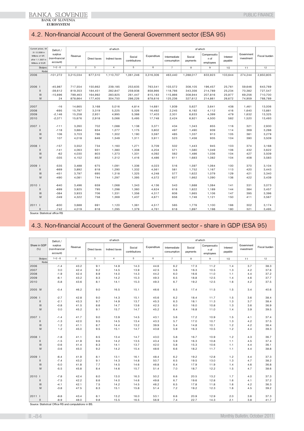# BANKA SLOVENIJE

BANK OF SLOVENIA **EUROSYSTEM**

### 4.2. Non-financial Account of the General Government sector (ESA 95)

| Current prices, till                                                      | Deficit /                             |                |                         | of which       |                         | of which    |                             |                    |                                  |                     |                         |               |
|---------------------------------------------------------------------------|---------------------------------------|----------------|-------------------------|----------------|-------------------------|-------------|-----------------------------|--------------------|----------------------------------|---------------------|-------------------------|---------------|
| 31.12.2006 in<br>Millions of SIT.<br>after 1.1.2007 in<br>Millions of EUR | surplus<br>(non-financial<br>account) | Revenue        | Direct taxes            | Indirect taxes | Social<br>contributions | Expenditure | Intermediate<br>consumption | Social<br>payments | Compensatio<br>n of<br>employees | Interest<br>payable | Govemment<br>investment | Fiscal burden |
| Stolpec                                                                   | $1 = 2 - 6$                           | $\overline{2}$ | $\overline{\mathbf{3}}$ | $\overline{4}$ | $\overline{5}$          | 6           | $\overline{7}$              | 8                  | 9                                | 10                  | 11                      | 12            |
| Koda                                                                      |                                       |                |                         |                |                         |             |                             |                    |                                  |                     |                         |               |
| 2006                                                                      | $-101,272$                            | 3,215,034      | 677,510                 | 1,110,707      | 1,061,246               | 3,316,306   | 463,440                     | 1,288,017          | 833,923                          | 103,644             | 274,244                 | 2,850,805     |
| 2006                                                                      | $-45.987$                             | 717.554        | 150.662                 | 239.185        | 253,635                 | 763.541     | 103.572                     | 308.105            | 196.457                          | 25.761              | 59.646                  | 643.769       |
| Ш                                                                         | $-39,612$                             | 819,353        | 184,451                 | 282,847        | 259,938                 | 858,966     | 118,766                     | 343,356            | 214,789                          | 25,234              | 70,382                  | 727,547       |
| III                                                                       | $-15,696$                             | 799,463        | 164,992                 | 283,925        | 261,447                 | 815,183     | 115,866                     | 308,944            | 207,816                          | 25,977              | 69,256                  | 710,700       |
| IV                                                                        | 24                                    | 878,664        | 177,405                 | 304,750        | 286,226                 | 878,616     | 125,236                     | 327,612            | 214,861                          | 26,672              | 74,959                  | 768,789       |
|                                                                           |                                       |                |                         |                |                         |             |                             |                    |                                  |                     |                         |               |
| 2007                                                                      | $-16$                                 | 14,665         | 3,168                   | 5,016          | 4,814                   | 14,681      | 1,939                       | 5,627              | 3,641                            | 438                 | 1,461                   | 13,006        |
| 2008                                                                      | $-695$                                | 15,797         | 3,319                   | 5,225          | 5,326                   | 16,492      | 2,245                       | 6,192              | 4,112                            | 416                 | 1,640                   | 13,881        |
| 2009                                                                      | $-2,146$                              | 15,258         | 2,931                   | 4,995          | 5,388                   | 17,403      | 2,301                       | 6,633              | 4,399                            | 479                 | 1,632                   | 13,325        |
| 2010                                                                      | $-2,071$                              | 15,676         | 2,918                   | 5,066          | 5,495                   | 17,748      | 2,424                       | 6,921              | 4,500                            | 582                 | 1,520                   | 13,493        |
|                                                                           |                                       |                |                         |                |                         |             |                             |                    |                                  |                     |                         |               |
| 2007                                                                      | $-111$                                | 3,260          | 702                     | 1,088          | 1,138                   | 3,371       | 434                         | 1,343              | 855                              | 116                 | 321                     | 2,930         |
| Ш                                                                         | $-118$                                | 3,684          | 834                     | 1.277          | 1,175                   | 3,802       | 497                         | 1.490              | 939                              | 114                 | 369                     | 3,288         |
| $\ensuremath{\mathsf{III}}\xspace$                                        | 106                                   | 3,703          | 786                     | 1,302          | 1,190                   | 3,597       | 485                         | 1,337              | 913                              | 105                 | 381                     | 3,279         |
| IV                                                                        | 107                                   | 4,018          | 846                     | 1,349          | 1,311                   | 3,911       | 523                         | 1,456              | 935                              | 104                 | 390                     | 3,509         |
|                                                                           |                                       |                |                         |                |                         |             |                             |                    |                                  |                     |                         |               |
| 2008                                                                      | $-157$                                | 3,552          | 734                     | 1,160          | 1,271                   | 3,709       | 502                         | 1,443              | 945                              | 103                 | 374                     | 3,168         |
| Ш                                                                         | $-141$                                | 4,063          | 931                     | 1,380          | 1,308                   | 4,204       | 571                         | 1,580              | 1,049                            | 106                 | 432                     | 3,622         |
| III                                                                       | $-62$                                 | 4,030          | 803                     | 1,373          | 1,331                   | 4,092       | 562                         | 1,486              | 1,036                            | 104                 | 427                     | 3,509         |
| IV                                                                        | $-335$                                | 4,152          | 852                     | 1,312          | 1,416                   | 4,486       | 611                         | 1,683              | 1,082                            | 104                 | 408                     | 3,583         |
|                                                                           |                                       |                |                         |                |                         |             |                             |                    |                                  |                     |                         |               |
| 2009                                                                      | $-535$                                | 3,488          | 675                     | 1,091          | 1,336                   | 4,023       | 516                         | 1,597              | 1,064                            | 100                 | 370                     | 3,104         |
| Ш                                                                         | $-669$                                | 3,892          | 818                     | 1,290          | 1,332                   | 4,561       | 581                         | 1,752              | 1,167                            | 113                 | 420                     | 3,443         |
| $\ensuremath{\mathsf{III}}\xspace$                                        | $-451$                                | 3,797          | 695                     | 1,318          | 1,325                   | 4,248       | 577                         | 1,622              | 1,079                            | 129                 | 421                     | 3,340         |
| IV                                                                        | $-490$                                | 4,081          | 744                     | 1,297          | 1,395                   | 4,572       | 627                         | 1,662              | 1,090                            | 136                 | 422                     | 3,439         |
|                                                                           |                                       |                |                         |                |                         |             |                             |                    |                                  |                     |                         |               |
| 2010                                                                      | $-640$                                | 3,496          | 659                     | 1,068          | 1,343                   | 4,136       | 543                         | 1,688              | 1,084                            | 141                 | 331                     | 3,073         |
| Ш                                                                         | $-699$                                | 3,925          | 795                     | 1,298          | 1,360                   | 4,624       | 618                         | 1,822              | 1,189                            | 144                 | 384                     | 3,457         |
| Ш                                                                         | $-384$                                | 3,933          | 706                     | 1,331          | 1,356                   | 4,317       | 606                         | 1,665              | 1,106                            | 147                 | 395                     | 3,396         |
| IV                                                                        | $-349$                                | 4,322          | 758                     | 1,369          | 1,437                   | 4,671       | 656                         | 1,746              | 1,121                            | 150                 | 411                     | 3,567         |
|                                                                           |                                       |                |                         |                |                         |             |                             |                    |                                  |                     |                         |               |
| $2011$                                                                    | $-830$                                | 3,688          | 691                     | 1,120          | 1,361                   | 4,517       | 565                         | 1,776              | 1,100                            | 166                 | 302                     | 3,174         |
| Ш                                                                         | $-742$                                | 4,019          | 818                     | 1,295          | 1,379                   | 4,761       | 618                         | 1,897              | 1,198                            | 180                 | 321                     | 3,495         |

#### Source: Statistical office RS

## 4.3. Non-financial Account of the General Government sector - share in GDP (ESA 95)

|                                    |         | Deficit /                             |                |              | of which       |                         | of which    |                             |                    |                                  |                     |                          |               |
|------------------------------------|---------|---------------------------------------|----------------|--------------|----------------|-------------------------|-------------|-----------------------------|--------------------|----------------------------------|---------------------|--------------------------|---------------|
| Share in GDP<br>(%)                |         | surplus<br>(non-financial<br>account) | Revenue        | Direct taxes | Indirect taxes | Social<br>contributions | Expenditure | Intermediate<br>consumption | Social<br>payments | Compensatio<br>n of<br>employees | Interest<br>payable | Government<br>investment | Fiscal burden |
|                                    | Stolpec | $1 = 2 - 6$                           | $\overline{c}$ | 3            | $\overline{4}$ | 5                       | 6           | $\overline{7}$              | 8                  | $\overline{9}$                   | 10                  | 11                       | 12            |
|                                    | Koda    |                                       |                |              |                |                         |             |                             |                    |                                  |                     |                          |               |
| 2006                               |         | $-1.4$                                | 43.2           | 9.1          | 14.9           | 14.3                    | 44.6        | 6.2                         | 17.3               | 11.2                             | 1.4                 | 3.7                      | 38.3          |
| 2007                               |         | 0.0                                   | 42.4           | 9.2          | 14.5           | 13.9                    | 42.5        | 5.6                         | 16.3               | 10.5                             | 1.3                 | 4.2                      | 37.6          |
| 2008                               |         | $-1.9$                                | 42.4           | 8.9          | 14.0           | 14.3                    | 44.2        | 6.0                         | 16.6               | 11.0                             | 1.1                 | 4.4                      | 37.2          |
| 2009                               |         | $-6.1$                                | 43.2           | 8.3          | 14.2           | 15.3                    | 49.3        | 6.5                         | 18.8               | 12.5                             | 1.4                 | 4.6                      | 37.7          |
| 2010                               |         | $-5.8$                                | 43.6           | 8.1          | 14.1           | 15.3                    | 49.3        | 6.7                         | 19.2               | 12.5                             | 1.6                 | 4.2                      | 37.5          |
| 2005 IV                            |         | $-0.4$                                | 46.2           | 9.0          | 16.5           | 15.1                    | 46.6        | 6.5                         | 17.4               | 11.5                             | 1.5                 | 3.4                      | 40.6          |
| 2006                               |         | $-2.7$                                | 42.8           | 9.0          | 14.3           | 15.1                    | 45.6        | 6.2                         | 18.4               | 11.7                             | 1.5                 | 3.6                      | 38.4          |
| $\mathbf{II}$                      |         | $-2.1$                                | 43.3           | 9.7          | 14.9           | 13.7                    | 45.3        | 6.3                         | 18.1               | 11.3                             | 1.3                 | 3.7                      | 38.4          |
| $\mathop{\rm III}$                 |         | $-0.8$                                | 41.5           | 8.6          | 14.7           | 13.6                    | 42.3        | 6.0                         | 16.0               | 10.8                             | 1.3                 | 3.6                      | 36.9          |
| IV.                                |         | 0.0                                   | 45.2           | 9.1          | 15.7           | 14.7                    | 45.2        | 6.4                         | 16.8               | 11.0                             | 1.4                 | 3.9                      | 39.5          |
| 2007                               |         | $-1.4$                                | 41.7           | 9.0          | 13.9           | 14.5                    | 43.1        | 5.6                         | 17.2               | 10.9                             | 1.5                 | 4.1                      | 37.4          |
| $\rm{II}$                          |         | $-1.3$                                | 42.0           | 9.5          | 14.5           | 13.4                    | 43.3        | 5.7                         | 17.0               | 10.7                             | 1.3                 | 4.2                      | 37.5          |
| $\ensuremath{\mathsf{III}}\xspace$ |         | 1.2                                   | 41.1           | 8.7          | 14.4           | 13.2                    | 39.9        | 5.4                         | 14.8               | 10.1                             | 1.2                 | 4.2                      | 36.4          |
| IV                                 |         | 1.2                                   | 45.0           | 9.5          | 15.1           | 14.7                    | 43.8        | 5.9                         | 16.3               | 10.5                             | 1.2                 | 4.4                      | 39.3          |
| 2008                               |         | $-1.8$                                | 41.1           | 8.5          | 13.4           | 14.7                    | 43.0        | 5.8                         | 16.7               | 10.9                             | 1.2                 | 4.3                      | 36.7          |
| Ш                                  |         | $-1.5$                                | 41.9           | 9.6          | 14.2           | 13.5                    | 43.4        | 5.9                         | 16.3               | 10.8                             | 1.1                 | 4.5                      | 37.4          |
| $\ensuremath{\mathsf{III}}\xspace$ |         | $-0.6$                                | 41.4           | 8.3          | 14.1           | 13.7                    | 42.0        | 5.8                         | 15.3               | 10.6                             | 1.1                 | 4.4                      | 36.1          |
| IV                                 |         | $-3.6$                                | 45.0           | 9.2          | 14.2           | 15.4                    | 48.6        | 6.6                         | 18.2               | 11.7                             | 1.1                 | 4.4                      | 38.8          |
| 2009 1                             |         | $-6.4$                                | 41.9           | 8.1          | 13.1           | 16.1                    | 48.4        | 6.2                         | 19.2               | 12.8                             | 1.2                 | 4.4                      | 37.3          |
| Ш                                  |         | $-7.4$                                | 43.2           | 9.1          | 14.3           | 14.8                    | 50.7        | 6.5                         | 19.5               | 13.0                             | 1.3                 | 4.7                      | 38.2          |
| $\ensuremath{\mathsf{III}}\xspace$ |         | $-5.0$                                | 41.8           | 7.7          | 14.5           | 14.6                    | 46.8        | 6.4                         | 17.9               | 11.9                             | 1.4                 | 4.6                      | 36.8          |
| IV                                 |         | $-5.5$                                | 45.8           | 8.4          | 14.6           | 15.7                    | 51.4        | 7.0                         | 18.7               | 12.2                             | 1.5                 | 4.7                      | 38.6          |
| 2010                               |         | $-7.8$                                | 42.4           | 8.0          | 13.0           | 16.3                    | 50.2        | 6.6                         | 20.5               | 13.2                             | 1.7                 | 4.0                      | 37.3          |
| $\mathbf{H}$                       |         | $-7.5$                                | 42.2           | 8.6          | 14.0           | 14.6                    | 49.8        | 6.7                         | 19.6               | 12.8                             | 1.6                 | 4.1                      | 37.2          |
| $\mathop{\rm III}$                 |         | $-4.1$                                | 42.1           | 7.5          | 14.2           | 14.5                    | 46.2        | 6.5                         | 17.8               | 11.8                             | 1.6                 | 4.2                      | 36.3          |
| IV                                 |         | $-3.8$                                | 47.5           | 8.3          | 15.1           | 15.8                    | 51.4        | 7.2                         | 19.2               | 12.3                             | 1.6                 | 4.5                      | 39.2          |
| $2011$                             |         | $-9.8$                                | 43.4           | 8.1          | 13.2           | 16.0                    | 53.1        | 6.6                         | 20.9               | 12.9                             | 2.0                 | 3.6                      | 37.3          |
| Ш                                  |         | $-8.9$                                | 48.0           | 9.8          | 15.5           | 16.5                    | 56.9        | 7.4                         | 22.7               | 14.3                             | 2.1                 | 3.8                      | 41.7          |

Source: Statistical Office RS and computations in BS.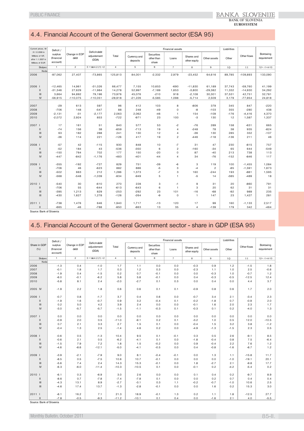## 4.4. Financial Account of the General Government sector (ESA 95)

|                                       |                |                |                          | Financial assets |                |            |                     |                |                |        |             |                    |
|---------------------------------------|----------------|----------------|--------------------------|------------------|----------------|------------|---------------------|----------------|----------------|--------|-------------|--------------------|
| Current prices, till<br>31.12.2006 in | Deficit /      |                | Deficit-debt             |                  |                |            |                     | Liabilities    |                |        |             |                    |
| Millions of SIT,                      | surplus        | Change in EDP  | adjustement              | Total            |                | Securities |                     |                |                |        | Other flows | Borrowing          |
| after 1.1.2007 in                     | (financial     | debt           | (DDA)                    |                  | Currency and   | other than | Loans               | Shares and     | Other assets   | Other  |             | requirement        |
| Millions of EUR                       | account)       |                |                          |                  | deposits       | share      |                     | other equity   |                |        |             |                    |
| Stolpec                               | $\overline{1}$ | $\overline{2}$ | $3 = \frac{1}{2}(1) + 2$ | $\overline{4}$   | $\overline{5}$ | 6          | $\overline{7}$      | 8              | $\mathbf{9}$   | 10     | 11          | $12 = -1 + 4 - 10$ |
| Koda                                  |                |                |                          |                  |                |            |                     |                |                |        |             |                    |
| 2006                                  | $-97,062$      | 27,407         | $-73,865$                | 125,813          | 84,001         | $-2,332$   | 2,979               | $-23,452$      | 64,616         | 89.785 | $-109,893$  | 133,090            |
|                                       |                |                |                          |                  |                |            |                     |                |                |        |             |                    |
|                                       |                |                |                          |                  |                |            |                     |                |                |        |             |                    |
| 2006<br>- 1                           | $-12.465$      | 14,961         | $-31.026$                | 66,477           | 7,155          | 10,653     | $-690$              | $-11,830$      | 61.189         | 37.743 | $-59.760$   | 41,199             |
| $\mathbf{H}$                          | $-31,346$      | 27,629         | $-11.984$                | 14,278           | 52,997         | $-7,189$   | 1,653               | $-3,800$       | $-29,382$      | 11,332 | $-14,930$   | 34,292             |
| $\mathbf{III}$                        | 3,664          | 94,892         | 79,196                   | 73,976           | 45,076         | $-210$     | 918                 | $-2,108$       | 30,301         | 37,531 | 42,751      | 32,781             |
| IV                                    | $-56,915$      | $-110,075$     | $-110,051$               | $-28,918$        | $-21,226$      | $-5,585$   | 1,098               | $-5,714$       | 2,509          | 3,179  | $-77,954$   | 24,818             |
|                                       |                |                |                          |                  |                |            |                     |                |                |        |             |                    |
| 2007                                  | $-29$          | 613            | 597                      | 96               | 412            | 103        | 8                   | $-806$         | 379            | 345    | 847         | $-220$             |
| 2008                                  | $-706$         | 148            | $-547$                   | 88               | 248            | $-49$      | $\circ$             | $-8$           | $-103$         | 355    | $-280$      | 438                |
| 2009                                  | $-2,131$       | $-31$          | $-2.177$                 | 2,063            | 2.062          | $-46$      | $\mathbf{1}$        | 154            | $-109$         | $-176$ | $-4, 416$   | 4,370              |
| 2010                                  | $-2,072$       | 2,924          | 853                      | $-722$           | $-971$         | 23         | 100                 | $-3$           | 130            | 12     | 1,587       | 1,337              |
|                                       |                |                |                          |                  |                |            |                     |                |                |        |             |                    |
| 2007                                  | 17             | 161            | 51                       | 840              | 577            | 53         | $-2$                | $-76$          | 289            | 158    | $-631$      | 665                |
| $\mathbf{H}$                          | $-74$          | 156            | 38                       | $-859$           | $-713$         | 19         | $\overline{4}$      | $-248$         | 78             | 38     | 935         | $-824$             |
| $\mathbf{III}$                        | 63             | 182            | 288                      | 241              | 130            | 12         | $\overline{4}$      | $-36$          | 130            | 285    | 332         | $-107$             |
| IV                                    | $-36$          | 114            | 221                      | $-126$           | 417            | 19         | $\overline{c}$      | $-446$         | $-118$         | $-136$ | 211         | 46                 |
|                                       |                |                |                          |                  |                |            |                     |                |                |        |             |                    |
| 2008<br>- 1                           | $-57$          | 42             | $-115$                   | 930              | 848            | 10         | $-7$                | 31             | 47             | 230    | $-815$      | 757                |
| $\mathbf{II}$                         | $-52$          | 184            | 43                       | $-536$           | $-350$         | 6          | $\overline{c}$      | $-160$         | $-34$          | 65     | 644         | $-549$             |
| $\mathbf{III}$                        | $-150$         | 764            | 702                      | 177              | 150            | $-20$      | $\mathsf{O}\xspace$ | 87             | $-40$          | 213    | 738         | 113                |
| IV.                                   | $-447$         | $-842$         | $-1, 176$                | $-483$           | $-401$         | $-44$      | $\overline{4}$      | 34             | $-76$          | $-152$ | $-846$      | 117                |
|                                       |                |                |                          |                  |                |            |                     |                |                |        |             |                    |
| 2009<br>. I                           | $-355$         | $-192$         | $-727$                   | 829              | 751            | $-39$      | -6                  | 3              | 119            | 100    | $-1,455$    | 1,084              |
| $\mathbf{H}$                          | $-706$         | 46             | $-623$                   | 882              | 886            | $-5$       | 3                   | $-4$           | $\overline{c}$ | $-85$  | $-1,591$    | 1,673              |
| $\ensuremath{\mathsf{III}}\xspace$    | $-502$         | 663            | 212                      | 1,286            | 1,373          | $-7$       | 3                   | 160            | $-244$         | 193    | $-881$      | 1,595              |
| IV                                    | $-568$         | $-548$         | $-1,039$                 | $-934$           | $-949$         | 5          | $\mathbf{1}$        | $-5$           | 14             | $-385$ | $-489$      | 18                 |
|                                       |                |                |                          |                  |                |            |                     |                |                |        |             |                    |
| 2010                                  | $-540$         | 30             | $-610$                   | 270              | 228            | 3          | $-1$                | 9              | 31             | 20     | $-860$      | 791                |
| $\mathbf{H}$                          | $-706$         | 55             | $-644$                   | $-613$           | $-643$         | 6          | $\mathbf{1}$        | 3              | 20             | 62     | 31          | 31                 |
| $\mathbf{III}$                        | $-395$         | 1,213          | 829                      | $-253$           | $-292$         | 23         | 101                 | $-16$          | $-68$          | $-92$  | 989         | 235                |
| $\mathbf{III}$                        | $-430$         | 1,627          | 1,278                    | $-126$           | $-264$         | -9         | $\circ$             | $\mathbf{1}$   | 147            | 23     | 1,427       | 281                |
|                                       |                |                |                          |                  |                |            |                     |                |                |        |             |                    |
| $2011$                                | $-738$         | 1,476          | 646                      | 1,940            | 1,717          | $-13$      | 120                 | 17             | 99             | 160    | $-1.133$    | 2,517              |
| $\mathbf{I}$                          | $-665$         | $-46$          | $-788$                   | $-950$           | $-863$         | 13         | 35                  | $\overline{4}$ | $-139$         | 179    | 342         | $-464$             |

Source: Bank of Slovenia

## 4.5. Financial Account of the General Government sector - share in GDP (ESA 95)

|                                  | Deficit /                         |                       |                                      | Financial assets |                          |                                   |                |                            |              | Liabilities |             |                          |
|----------------------------------|-----------------------------------|-----------------------|--------------------------------------|------------------|--------------------------|-----------------------------------|----------------|----------------------------|--------------|-------------|-------------|--------------------------|
| Share in GDP<br>(%)              | surplus<br>(financial<br>account) | Change in EDP<br>debt | Deficit-debt<br>adjustement<br>(DDA) | Total            | Currency and<br>deposits | Securities<br>other than<br>share | Loans          | Shares and<br>other equity | Other assets | Other       | Other flows | Borrowing<br>requirement |
| Stolpec                          | $\overline{1}$                    | $\overline{2}$        | $3 = \frac{1}{2}(1) + 2$             | $\overline{4}$   | $\overline{5}$           | $\overline{6}$                    | $\overline{7}$ | 8                          | 9            | 10          | 11          | $12 = -1 + 4 - 10$       |
| Koda                             |                                   |                       |                                      |                  |                          |                                   |                |                            |              |             |             |                          |
| 2006                             | $-1.3$                            | 0.4                   | $-1.0$                               | 1.7              | 1.1                      | 0.0                               | 0.0            | $-0.3$                     | 0.9          | 1.2         | $-1.5$      | 1.8                      |
| 2007                             | $-0.1$                            | 1.8                   | 1.7                                  | 0.3              | 1.2                      | 0.3                               | 0.0            | $-2.3$                     | 1.1          | 1.0         | 2.5         | $-0.6$                   |
| 2008                             | $-1.9$                            | 0.4                   | $-1.5$                               | 0.2              | 0.7                      | $-0.1$                            | 0.0            | 0.0                        | $-0.3$       | 1.0         | $-0.7$      | 1.2                      |
| 2009                             | $-6.0$                            | $-0.1$                | $-6.2$                               | 5.8              | 5.8                      | $-0.1$                            | 0.0            | 0.4                        | $-0.3$       | $-0.5$      | $-12.5$     | 12.4                     |
| 2010                             | $-5.8$                            | 8.1                   | 2.4                                  | $-2.0$           | $-2.7$                   | 0.1                               | 0.3            | 0.0                        | 0.4          | 0.0         | 4.4         | 3.7                      |
| 2005 IV                          | $-1.9$                            | 2.2                   | 1.8                                  | 0.6              | 0.6                      | 0.1                               | 0.1            | $-0.9$                     | 0.8          | 0.6         | 1.7         | 2.0                      |
| 2006                             | $-0.7$                            | 0.8                   | $-1.7$                               | 3.7              | 0.4                      | 0.6                               | 0.0            | $-0.7$                     | 3.4          | 2.1         | $-3.4$      | 2.3                      |
| $\mathbf{II}$                    | $-1.9$                            | 1.6                   | $-0.7$                               | 0.9              | 3.2                      | $-0.4$                            | 0.1            | $-0.2$                     | $-1.8$       | 0.7         | $-0.9$      | 2.0                      |
| $\mathbf{III}$                   | 0.2                               | 5.0                   | 4.2                                  | 3.9              | 2.4                      | 0.0                               | 0.0            | $-0.1$                     | 1.6          | 2.0         | 2.3         | 1.7                      |
| IV                               | $-3.0$                            | $-5.7$                | $-5.7$                               | $-1.5$           | $-1.1$                   | $-0.3$                            | 0.1            | $-0.3$                     | 0.1          | 0.2         | $-4.0$      | 1.3                      |
|                                  |                                   |                       |                                      |                  |                          |                                   |                |                            |              |             |             |                          |
| 2007                             | 0.0                               | 0.0                   | 0.0                                  | 0.0              | 0.0                      | 0.0                               | 0.0            | 0.0                        | 0.0          | 0.0         | 0.0         | 0.0                      |
| $\mathbf{H}$                     | $-0.9$                            | 2.0                   | 0.5                                  | $-11.0$          | $-9.1$                   | 0.2                               | 0.1            | $-3.2$                     | 1.0          | 0.5         | 12.0        | $-10.5$                  |
| $\mathbf{H}$                     | 0.7                               | 2.1                   | 3.3                                  | 2.7              | 1.5                      | 0.1                               | 0.0            | $-0.4$                     | 1.5          | 3.2         | 3.8         | $-1.2$                   |
| IV                               | $-0.4$                            | 1.3                   | 2.5                                  | $-1.4$           | 4.6                      | 0.2                               | 0.0            | $-4.9$                     | $-1.3$       | $-1.5$      | 2.3         | 0.5                      |
| 2008<br>- 1                      | $-0.6$                            | 0.5                   | $-1.3$                               | 10.4             | 9.5                      | 0.1                               | $-0.1$         | 0.3                        | 0.5          | 2.6         | $-9.1$      | 8.5                      |
| $\mathbf{H}$                     | $-0.6$                            | 2.1                   | 0.5                                  | $-6.2$           | $-4.1$                   | 0.1                               | 0.0            | $-1.8$                     | $-0.4$       | 0.8         | 7.5         | $-6.4$                   |
| $\mathbf{III}$                   | $-1.5$                            | 7.9                   | 7.2                                  | 1.8              | 1.5                      | $-0.2$                            | 0.0            | 0.9                        | $-0.4$       | 2.2         | 7.6         | 1.2                      |
| IV                               | $-4.6$                            | $-8.6$                | $-12.1$                              | $-5.0$           | $-4.1$                   | $-0.5$                            | 0.0            | 0.4                        | $-0.8$       | $-1.6$      | $-8.7$      | 1.2                      |
|                                  |                                   |                       |                                      |                  |                          |                                   |                |                            |              |             |             |                          |
| 2009                             | $-3.9$                            | $-2.1$                | $-7.9$                               | 9.0              | 8.1                      | $-0.4$                            | $-0.1$         | 0.0                        | 1.3          | 1.1         | $-15.8$     | 11.7                     |
| $\mathbf{H}$                     | $-8.5$                            | 0.5                   | $-7.5$                               | 10.6             | 10.7                     | $-0.1$                            | 0.0            | 0.0                        | 0.0          | $-1.0$      | $-19.1$     | 20.1                     |
| $\mathbf{III}$                   | $-5.6$                            | 7.4                   | 2.4                                  | 14.3             | 15.3                     | $-0.1$                            | 0.0            | 1.8                        | $-2.7$       | 2.1         | $-9.8$      | 17.7                     |
| IV                               | $-6.3$                            | $-6.0$                | $-11.4$                              | $-10.3$          | $-10.5$                  | 0.1                               | 0.0            | $-0.1$                     | 0.2          | $-4.2$      | $-5.4$      | 0.2                      |
|                                  |                                   |                       |                                      |                  |                          |                                   |                |                            |              |             |             |                          |
| $2010$ $\mid$                    | $-6.1$                            | 0.3                   | $-6.9$                               | 3.0              | 2.6                      | 0.0                               | 0.0            | 0.1                        | 0.4          | 0.2         | $-9.7$      | 8.9                      |
| $\rm{II}$                        | $-8.6$                            | 0.7                   | $-7.8$                               | $-7.4$           | $-7.8$                   | 0.1                               | 0.0            | 0.0                        | 0.2          | 0.7         | 0.4         | 0.4                      |
| $\mathop{\mathrm{III}}\nolimits$ | $-4.3$                            | 13.1                  | 8.9                                  | $-2.7$           | $-3.1$                   | 0.3                               | 1.1            | $-0.2$                     | $-0.7$       | $-1.0$      | 10.6        | 2.5                      |
| $\mathbf{III}$                   | $-4.6$                            | 17.4                  | 13.7                                 | $-1.3$           | $-2.8$                   | $-0.1$                            | 0.0            | 0.0                        | 1.6          | 0.2         | 15.3        | 3.0                      |
|                                  |                                   |                       |                                      |                  |                          |                                   |                |                            |              |             |             |                          |
| $2011$                           | $-8.1$                            | 16.2                  | 7.1                                  | 21.3             | 18.9                     | $-0.1$                            | 1.3            | 0.2                        | 1.1          | 1.8         | $-12.5$     | 27.7                     |
| $\mathbf{II}$                    | $-7.8$                            | $-0.5$                | $-9.3$                               | $-11.2$          | $-10.1$                  | 0.1                               | 0.4            | 0.0                        | $-1.6$       | 2.1         | 4.0         | $-5.5$                   |

Source: Bank of Slovenia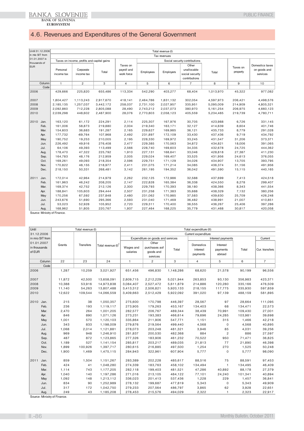# 4.6. Revenues and Expenditures of the General Government

| Until 31.12.2006              | Total revenue (I)<br>Tax revenues |                                            |           |                                       |           |                  |                                                          |           |                      |                                             |  |  |
|-------------------------------|-----------------------------------|--------------------------------------------|-----------|---------------------------------------|-----------|------------------|----------------------------------------------------------|-----------|----------------------|---------------------------------------------|--|--|
| in mio SIT from               |                                   |                                            |           |                                       |           |                  |                                                          |           |                      |                                             |  |  |
| 01.01.2007 in<br>thousands of |                                   | Taxes on income, profits and capital gains |           |                                       |           |                  | Social security contributions                            |           |                      |                                             |  |  |
| EUR.                          | Personal<br>income tax            | Corporate<br>income tax                    | Total     | Taxes on<br>payroll and<br>work force | Employees | <b>Employers</b> | Other<br>unallocable<br>social security<br>contributions | Total     | Taxes on<br>property | Domestics taxes<br>on goods and<br>services |  |  |
| Column                        | $\mathbf{1}$                      | $\overline{c}$                             | 3         | $\overline{4}$                        | 5         | 6                | $\overline{7}$                                           | 8         | 9                    | 10                                          |  |  |
| Code                          |                                   |                                            |           |                                       |           |                  |                                                          |           |                      |                                             |  |  |
| 2006                          | 429,666                           | 225,820                                    | 655,486   | 113,334                               | 542,290   | 403,277          | 68,404                                                   | 1,013,970 | 45,322               | 977,082                                     |  |  |
| 2007                          | 1,804,427                         | 1,113,243                                  | 2.917.670 | 418.141                               | 2,464,786 | 1.831.132        | 302,054                                                  | 4.597.973 | 206,421              | 4,498,576                                   |  |  |
| 2008                          | 2,185,135                         | 1,257,037                                  | 3,442,172 | 258,037                               | 2,731,100 | 2,027,957        | 335,951                                                  | 5,095,009 | 214,909              | 4,805,321                                   |  |  |
| 2009                          | 2,092,860                         | 712,228                                    | 2,805,088 | 28,490                                | 2,743,212 | 2,037,073        | 380,970                                                  | 5,161,254 | 206,975              | 4,660,123                                   |  |  |
| 2010                          | 2,039,298                         | 448,602                                    | 2,487,900 | 28,076                                | 2,770,803 | 2,058,123        | 405,559                                                  | 5,234,485 | 219,739              | 4,780,711                                   |  |  |
| 2010<br>Jan.                  | 163,120                           | 61,172                                     | 224,291   | 2,114                                 | 225,307   | 167,976          | 30,705                                                   | 423,988   | 6,726                | 331,145                                     |  |  |
| Feb.                          | 161,006                           | 58,873                                     | 219,880   | 2,004                                 | 219,340   | 163,171          | 32,127                                                   | 414,639   | 8,604                | 401,746                                     |  |  |
| Mar.                          | 154,603                           | 36,683                                     | 191,287   | 2,165                                 | 229,627   | 169,985          | 36,121                                                   | 435,733   | 8,779                | 291,028                                     |  |  |
| Apr.                          | 177,732                           | $-69,764$                                  | 107,968   | 2,492                                 | 231,897   | 172,109          | 33,430                                                   | 437,436   | 9,719                | 434,792                                     |  |  |
| May                           | 190,752                           | 19,253                                     | 210,005   | 2,195                                 | 228,330   | 169,972          | 33,245                                                   | 431,547   | 31,206               | 373,371                                     |  |  |
| Jun.                          | 226,492                           | 49,916                                     | 276,408   | 2,477                                 | 229,385   | 170,563          | 34,872                                                   | 434,821   | 18,006               | 391,065                                     |  |  |
| Jul.                          | 64.106                            | 49,393                                     | 113,499   | 2,566                                 | 228,740   | 169,603          | 34,335                                                   | 432,678   | 24.725               | 444,362                                     |  |  |
| Aug.                          | 178,470                           | 47,322                                     | 225,792   | 1,910                                 | 227,131   | 168,641          | 33,046                                                   | 428,818   | 27,387               | 411,230                                     |  |  |
| Sep.                          | 164,783                           | 48,176                                     | 212,959   | 2,005                                 | 229,024   | 169,407          | 33,525                                                   | 431,956   | 24,613               | 376,055                                     |  |  |
| Oct.                          | 169,261                           | 49,093                                     | 218,354   | 2,596                                 | 229,751   | 171,129          | 34,026                                                   | 434,907   | 13,705               | 393,795                                     |  |  |
| Nov.                          | 170,822                           | 48,155                                     | 218,977   | 2,411                                 | 231,075   | 171,214          | 34,085                                                   | 436,374   | 31,156               | 491,956                                     |  |  |
| Dec.                          | 218,150                           | 50,331                                     | 268,481   | 3,142                                 | 261,195   | 194,352          | 36,042                                                   | 491,590   | 15,115               | 440,165                                     |  |  |
| 2011<br>Jan.                  | 172,014                           | 42,964                                     | 214,979   | 2,262                                 | 232,125   | 172,986          | 32,588                                                   | 437,699   | 7,413                | 424,518                                     |  |  |
| Feb.                          | 161,963                           | 46,242                                     | 208,205   | 2,147                                 | 222,828   | 165,384          | 36,338                                                   | 424,550   | 8,278                | 299,407                                     |  |  |
| Mar.                          | 169,374                           | 42,752                                     | 212,126   | 2,300                                 | 229,793   | 170,393          | 38,180                                                   | 438,366   | 8,343                | 441,554                                     |  |  |
| Apr.                          | 188.841                           | 105,603                                    | 294,444   | 2,507                                 | 231,258   | 171,383          | 35,688                                                   | 438,329   | 7,132                | 380,256                                     |  |  |
| May                           | 170,256                           | 67,592                                     | 237,848   | 2,480                                 | 231,062   | 170,985          | 37,583                                                   | 439,630   | 25,709               | 426,248                                     |  |  |
| Jun.                          | 243.676                           | 51,690                                     | 295,366   | 2,593                                 | 231,040   | 171,469          | 36,482                                                   | 438,991   | 21,007               | 410,851                                     |  |  |
| Jul.                          | 53,023                            | 52,928                                     | 105,952   | 2.720                                 | 229,311   | 170,400          | 36,555                                                   | 436.267   | 25,406               | 397,286                                     |  |  |
| Aug.                          | 168,962                           | 51,805                                     | 220,767   | 1,937                                 | 227,464   | 168,225          | 35,779                                                   | 431,468   | 30,817               | 420,058                                     |  |  |

Source: Ministry of Finance.

| Until                                |                 |        | Total revenue (I) |                                | Total expenditure (II) |                                                 |           |                                   |                                |         |                |
|--------------------------------------|-----------------|--------|-------------------|--------------------------------|------------------------|-------------------------------------------------|-----------|-----------------------------------|--------------------------------|---------|----------------|
| 31.12.2006                           |                 |        |                   |                                |                        |                                                 |           | Current expenditure               |                                |         |                |
|                                      | in mio SIT from |        |                   |                                |                        | Expenditure on goods and services               |           |                                   | Interest payments              |         | Current        |
| 01.01.2007<br>in thousands<br>of EUR |                 | Grants | <b>Transfers</b>  | Total revenue (I) <sup>2</sup> | Wages and<br>salaries  | Other<br>purchases aof<br>goods and<br>services | Total     | Domestics<br>interest<br>payments | Interest<br>payments<br>abroad | Total   | Cur. transfers |
|                                      | Column          | 22     | 23                | 24                             | $\mathbf{1}$           | $\overline{c}$                                  | 3         | $\overline{4}$                    | 5                              | 6       | $\overline{7}$ |
|                                      | Code            |        |                   |                                |                        |                                                 |           |                                   |                                |         |                |
| 2006                                 |                 | 1,287  | 10,259            | 3,021,927                      | 651.456                | 496,830                                         | 1,148,286 | 68,620                            | 21,578                         | 90.199  | 96,556         |
| 2007                                 |                 | 11,872 | 42,500            | 13,658,091                     | 2,809,715              | 2,212,229                                       | 5,021,944 | 263,853                           | 93,130                         | 356,983 | 423,371        |
| 2008                                 |                 | 10,388 | 53,916            | 14,973,838                     | 3,084,407              | 2,527,472                                       | 5,611,879 | 214,886                           | 120,280                        | 335,166 | 476,509        |
| 2009                                 |                 | 11,140 | 54,263            | 13,807,488                     | 3,413,312              | 2,506,821                                       | 5,920,133 | 218,155                           | 117,775                        | 335,930 | 597,859        |
| 2010                                 |                 | 12,622 | 109,544           | 14,066,559                     | 3,409,663              | 2,512,429                                       | 5,922,092 | 391,020                           | 97,139                         | 488,159 | 581,895        |
| 2010                                 | Jan.            | 215    | 38                | 1.050.357                      | 275,600                | 170,798                                         | 446.397   | 28,567                            | 97                             | 28.664  | 111,095        |
|                                      | Feb.            | 236    | 193               | 1,119,117                      | 273,905                | 179,263                                         | 453,167   | 134,403                           | 68                             | 134,471 | 22,573         |
|                                      | Mar.            | 2,470  | 264               | 1,001,205                      | 282,577                | 206,767                                         | 489,344   | 38,439                            | 70,991                         | 109,430 | 27,001         |
|                                      | Apr.            | 846    | 890               | 1,071,126                      | 273,231                | 193,383                                         | 466,614   | 79,696                            | 24,285                         | 103,981 | 39,698         |
|                                      | May             | 1,001  | 570               | 1,120,103                      | 335,864                | 211,906                                         | 547.771   | 1,151                             | 315                            | 1,466   | 42,218         |
|                                      | Jun.            | 343    | 833               | 1,198,009                      | 279,876                | 219,564                                         | 499,440   | 4,568                             | 0                              | 4,568   | 40,895         |
|                                      | Jul.            | 1,068  | 2,014             | 1,121,881                      | 278,073                | 203,248                                         | 481,321   | 3,946                             | 85                             | 4,031   | 39,256         |
|                                      | Aug.            | 969    | 948               | 1,246,910                      | 281,837                | 200,530                                         | 482,368   | 884                               | $\overline{c}$                 | 886     | 27,597         |
|                                      | Sep.            | 487    | 872               | 1,123,865                      | 277,326                | 183,906                                         | 461,232   | 70,522                            | 950                            | 71,471  | 36,825         |
|                                      | Oct.            | 1,189  | 527               | 1,141,154                      | 285,817                | 203,217                                         | 489,035   | 21,813                            | 77                             | 21,890  | 46,398         |
|                                      | Nov.            | 1,899  | 100,926           | 1,397,717                      | 280,615                | 216,885                                         | 497,500   | 1,254                             | 270                            | 1,525   | 50,248         |
|                                      | Dec.            | 1,900  | 1,469             | 1,475,115                      | 284,943                | 322,961                                         | 607,904   | 5,777                             | 0                              | 5,777   | 98,090         |
| 2011                                 | Jan.            | 859    | 1,504             | 1,151,267                      | 283,389                | 202,228                                         | 485,617   | 88,516                            | 75                             | 88,591  | 97,453         |
|                                      | Feb.            | 424    | 41                | 1,048,280                      | 274,339                | 183,763                                         | 458,102   | 134,494                           | $\mathbf{1}$                   | 134,495 | 46,409         |
|                                      | Mar.            | 1,114  | 743               | 1,177,205                      | 282,118                | 199,403                                         | 481,521   | 47,286                            | 40,892                         | 88,178  | 27,379         |
|                                      | Apr.            | 1,040  | 140               | 1,197,286                      | 271,016                | 213,105                                         | 484,122   | 77,101                            | 24,240                         | 101,341 | 40,894         |
|                                      | May             | 1,092  | 148               | 1,213,112                      | 336,023                | 201,413                                         | 537,436   | 1,228                             | 229                            | 1,457   | 36,841         |
|                                      | Jun.            | 834    | 90                | 1,252,989                      | 278,132                | 199,687                                         | 477,819   | 5,343                             | $\mathsf{O}\xspace$            | 5,343   | 49,909         |
|                                      | Jul.            | 317    | 172               | 1,042,750                      | 279,233                | 207,564                                         | 486,797   | 3,865                             | 62                             | 3,928   | 22,651         |
|                                      | Aug.            | 249    | 43                | 1,185,208                      | 278,453                | 215,576                                         | 494,029   | 2,322                             | $\mathbf{1}$                   | 2,323   | 22,917         |

Source: Ministry of Finance.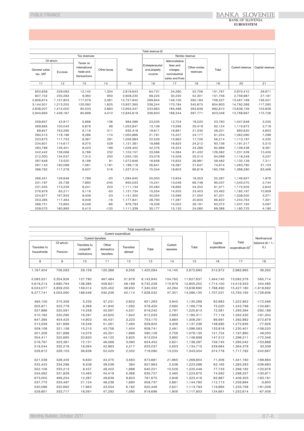650,858 229,083 12,145 1,304 2,818,643 64,731 34,280 52,756 151,767 2,970,410 39,971 607,702 230,283 9,360 950 2,608,230 69,225 30,230 52,301 151,756 2,759,987 27,181 2,906,674 1,157,853 117,079 2,081 12,757,942 299,944 149,100 260,183 709,227 13,467,169 136,551 3,144,501 1,213,255 120,092 1,825 13,937,365 338,244 170,784 345,875 854,903 14,792,268 117,265 2,838,007 1,415,000 90,533 2,883 12,955,347 233,683 185,488 263,638 682,810 13,638,156 103,928 2,940,893 1,439,187 90,699 4,010 12,845,619 336,933 188,344 397,771 923,048 13,768,667 175,726 259,857 42,917 5,688 136 994,088 23,035 12,704 18,020 53,760 1,047,848 2,255 269,885 100,043 6,876 99 1,053,847 13,109 13,596 35,419 62,124 1,115,972 2,718 89,847 163,290 6,116 311 935,418 19,811 16,861 21,530 58,201 993,620 4,852 280,515 118,196 8,286 174 1,000,866 21,791 15,257 24,177 61,224 1,062,090 7,299 223,875 117,753 8,367 291 1,056,983 22,526 15,962 17,726 56,214 1,113,197 5,335 234,801 114,617 8,075 529 1,131,381 18,998 16,925 24,212 60,136 1,191,517 5,315 283,788 126,401 8,423 199 1,026,452 42,376 16,324 24,286 82,986 1,109,438 9,361 242,442 139,068 6,788 232 1,102,157 33,566 14,384 81,432 129,382 1,231,539 13,455 212,300 134,037 7,312 250 1,055,150 23,078 15,508 25,513 64,099 1,119,249 3,257 287,648 73,520 9,199 91 1,072,646 16,658 15,832 26,991 59,482 1,132,128 7,311 267,143 192,068 7,061 1,181 1,189,116 26,641 16,387 31,647 74,674 1,263,790 31,103 288,792 117,278 8,507 516 1,227,514 75,344 18,603 66,819 160,766 1,388,280 83,466 266,451 126,649 7,789 -20 1,094,640 20,000 13,934 18,353 52,287 1,146,927 1,976 231,197 35,738 7,690 -245 950,033 15,241 13,048 66,748 95,037 1,045,070 2,744 231,505 173,229 8,241 203 1,111,134 20,484 16,685 24,202 61,371 1,172,505 2,843 276,979 65,211 9,116 -50 1,131,734 15,554 14,505 23,403 53,462 1,185,197 10,909 224,977 167,933 9,409 -23 1,141,300 30,054 15,596 21,550 67,201 1,208,500 3,371 253,385 117,464 9,049 -16 1,177,841 28,793 17,297 20,833 66,922 1,244,764 7,301 288,751 75,663 9,249 -86 976,793 19,209 15,002 26,161 60,372 1,037,165 5,097 209,075 180,993 6,413 -120 1,111,339 30,177 15,130 24,080 69,386 1,180,725 4,190 Administrative fees and charges, nonindustrial sales and fines Of which: General sales  $\frac{t}{\tan x}$ , VAT Excises 11 12 13 Enterpreneurial Other taxes **Total** Total and property charges, Other nontax income Total revenue (I) Tax revenues Nontax revenue Current revenue | Capital revenue Taxes on international trade and transactions Other nontax Total 14 | 15 | 16 | 17 | 18 | 19 | 20 | 21

| Total expenditure (II) |           |                   |                     |           |           |          |            |             |                      |                      |  |
|------------------------|-----------|-------------------|---------------------|-----------|-----------|----------|------------|-------------|----------------------|----------------------|--|
|                        |           |                   | Current expenditure |           |           |          |            |             |                      |                      |  |
|                        |           | Current transfers |                     |           |           |          |            |             |                      | Nonfinancial         |  |
|                        | Of which: | Transfers to      | Other               |           |           | Current  |            | Capital     | Total                | balance $(A = 1, -)$ |  |
| Transfers to           |           | nonprofit         | domestics           | Transfers | Total     | reserves | Total      | expenditure | expenditure $(II)^2$ | II.                  |  |
| households             | Pension   | institutions      | transfers           | abroad    |           |          |            |             |                      |                      |  |
|                        |           |                   |                     |           |           |          |            |             |                      |                      |  |
| 8                      | 9         | 10                | 11                  | 12        | 13        | 14       | 15         | 16          | 17                   | 18                   |  |
|                        |           |                   |                     |           |           |          |            |             |                      |                      |  |
| 1,167,404              | 756,593   | 29,159            | 120,389             | 6,556     | 1,420,064 | 14,145   | 2,672,693  | 312,972     | 2,985,665            | 36,262               |  |
|                        |           |                   |                     |           |           |          |            |             |                      |                      |  |
| 5,093,321              | 3,354,926 | 127,790           | 467,484             | 31,979    | 6,143,945 | 104,765  | 11,627,637 | 1,464,740   | 13,092,376           | 565,714              |  |
| 5,619,214              | 3,680,764 | 138,385           | 459,931             | 48,189    | 6,742,228 | 115,979  | 12,805,252 | 1,714,100   | 14,519,353           | 454,485              |  |
| 6,024,077              | 3,859,250 | 159,014           | 520,452             | 38,930    | 7,340,332 | 42,294   | 13,638,690 | 1,788,490   | 15,427,180           | $-1,619,692$         |  |
| 6,277,741              | 4,003,560 | 188,546           | 540,236             | 40,114    | 7,628,532 | 47,351   | 14,086,135 | 1,707,031   | 15,793,165           | $-1,726,606$         |  |
|                        |           |                   |                     |           |           |          |            |             |                      |                      |  |
| 495,100                | 315,359   | 5,235             | 37,231              | 2,602     | 651,263   | 3,945    | 1,130,269  | 92,683      | 1,222,952            | $-172,596$           |  |
| 505,971                | 323,779   | 6,368             | 41,945              | 1,592     | 578,450   | 2,690    | 1,168,778  | 75,020      | 1,243,799            | $-124,681$           |  |
| 527,886                | 320,591   | 14,258            | 45,567              | 4,531     | 619,242   | 2,797    | 1,220,813  | 72,581      | 1,293,394            | $-292,188$           |  |
| 510,182                | 320,295   | 16,291            | 43,920              | 1,942     | 612,033   | 2,683    | 1,185,311  | 77,119      | 1,262,430            | $-191,304$           |  |
| 647,395                | 454,425   | 14,903            | 45,431              | 3,223     | 753,170   | 3,884    | 1,306,291  | 86,691      | 1,392,982            | $-272,879$           |  |
| 513,559                | 321,689   | 16,549            | 51,461              | 7,460     | 629,925   | 3,306    | 1,137,239  | 138,695     | 1,275,935            | $-77,926$            |  |
| 509,108                | 321,158   | 15,215            | 43,758              | 1,404     | 608,741   | 2,491    | 1,096,583  | 133,818     | 1,230,401            | $-108,520$           |  |
| 501,206                | 321,898   | 14,076            | 45,351              | 1,896     | 590,126   | 2,756    | 1,076,135  | 121,724     | 1,197,860            | 49,050               |  |
| 504,411                | 322,665   | 20,820            | 44,122              | 5,825     | 612,004   | 3,992    | 1,148,699  | 147,512     | 1,296,211            | $-172,346$           |  |
| 516,767                | 323,381   | 12,131            | 46,066              | 3,090     | 624,452   | 2,921    | 1,138,297  | 156,745     | 1,295,042            | $-153,888$           |  |
| 519,544                | 332,218   | 16,064            | 42,963              | 4,217     | 633,037   | 2,653    | 1,134,715  | 229,664     | 1,364,379            | 33,339               |  |
| 526,612                | 326,103   | 36,636            | 52,420              | 2,332     | 716,090   | 13,233   | 1,343,004  | 374,778     | 1,717,782            | $-242,667$           |  |
|                        |           |                   |                     |           |           |          |            |             |                      |                      |  |
| 521,539                | 328,435   | 6,630             | 44,475              | 3,583     | 673,681   | 21,965   | 1,269,854  | 71,306      | 1,341,160            | $-189,894$           |  |
| 532,423                | 334,286   | 9,208             | 39,539              | 384       | 627,963   | 2,538    | 1,223,098  | 62,165      | 1,285,263            | $-236,983$           |  |
| 552,106                | 333,213   | 9,437             | 49,402              | 1,898     | 640,221   | 10,529   | 1,220,449  | 77,733      | 1,298,182            | $-120,976$           |  |
| 534,562                | 331,829   | 10,483            | 44,419              | 5,368     | 635,727   | 2,485    | 1,223,675  | 74,582      | 1,298,257            | $-100,971$           |  |
| 673,005                | 469,254   | 12,287            | 49,639              | 9,903     | 781,675   | 2,848    | 1,323,416  | 82,887      | 1,406,303            | $-193, 191$          |  |
| 537,775                | 333,497   | 21,124            | 48,238              | 1,690     | 658,737   | 2,881    | 1,144,780  | 112,113     | 1,256,894            | $-3,905$             |  |
| 530,096                | 332,662   | 17,963            | 43,554              | 6,182     | 620,446   | 2,621    | 1,113,793  | 119,965     | 1,233,758            | $-191,008$           |  |
| 529,801                | 333,717   | 18,591            | 47,292              | 1,095     | 619,696   | 1,906    | 1,117,953  | 134,661     | 1,252,614            | $-67,406$            |  |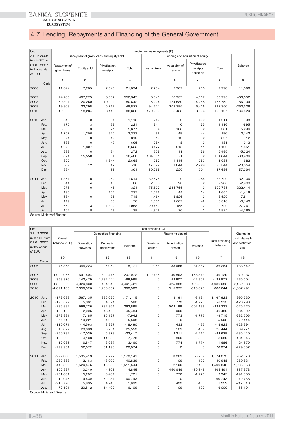**EUROSYSTEM**

# 4.7. Lending, Repayments and Financing of the General Government

| Until                                |                 | Lending minus repayments (B)<br>Repayment of given loans and equity sold<br>Lending and aquisition of equity |                |                           |                |             |                        |                                       |         |            |  |  |  |
|--------------------------------------|-----------------|--------------------------------------------------------------------------------------------------------------|----------------|---------------------------|----------------|-------------|------------------------|---------------------------------------|---------|------------|--|--|--|
| 31.12.2006                           |                 |                                                                                                              |                |                           |                |             |                        |                                       |         |            |  |  |  |
| 01.01.2007<br>in thousands<br>of EUR | in mio SIT from | Repayment of<br>given loans                                                                                  | Equity sold    | Privatization<br>receipts | Total          | Loans given | Acquision of<br>equity | Privatization<br>receipts<br>spending | Total   | Balance    |  |  |  |
|                                      |                 | $\mathbf{1}$                                                                                                 | $\overline{c}$ | 3                         | $\overline{4}$ | 5           | 6                      | $\overline{7}$                        | 8       | 9          |  |  |  |
|                                      | Code            |                                                                                                              |                |                           |                |             |                        |                                       |         |            |  |  |  |
| 2006                                 |                 | 11,344                                                                                                       | 7,205          | 2,545                     | 21,094         | 2.784       | 2,902                  | 755                                   | 9,998   | 11,096     |  |  |  |
|                                      |                 |                                                                                                              |                |                           |                |             |                        |                                       |         |            |  |  |  |
| 2007                                 |                 | 44,785                                                                                                       | 497,229        | 8,332                     | 550,347        | 5,043       | 58,937                 | 4,037                                 | 86,995  | 463,352    |  |  |  |
| 2008                                 |                 | 50,391                                                                                                       | 20,250         | 10,001                    | 80,642         | 5,224       | 134,689                | 14,288                                | 166,752 | $-86,109$  |  |  |  |
| 2009                                 |                 | 19,808                                                                                                       | 23,298         | 5,717                     | 48,822         | 94,611      | 203,395                | 6,426                                 | 312,350 | $-263,528$ |  |  |  |
| 2010                                 |                 | 12,263                                                                                                       | 18,234         | 3,140                     | 33,638         | 179,230     | 3,488                  | 3,594                                 | 198,167 | $-164,529$ |  |  |  |
|                                      |                 |                                                                                                              |                |                           |                |             |                        |                                       |         |            |  |  |  |
| 2010                                 | Jan.            | 549                                                                                                          | $\circ$        | 564                       | 1,113          | 742         | $\circ$                | 469                                   | 1,211   | $-98$      |  |  |  |
|                                      | Feb.            | 170                                                                                                          | 13             | 38                        | 221            | 941         | $\circ$                | 175                                   | 1,116   | $-895$     |  |  |  |
|                                      | Mar.            | 5,656                                                                                                        | $\mathbf 0$    | 21                        | 5,677          | 84          | 108                    | $\overline{c}$                        | 381     | 5,296      |  |  |  |
|                                      | Apr.            | 1,757                                                                                                        | 1,250          | 325                       | 3,333          | 99          | 48                     | 44                                    | 190     | 3,143      |  |  |  |
|                                      | May             | 274                                                                                                          | $\mathbf 0$    | 42                        | 316            | 316         | 10                     | $\overline{c}$                        | 327     | $-12$      |  |  |  |
|                                      | Jun.            | 638                                                                                                          | 10             | 47                        | 695            | 284         | 8                      | $\overline{2}$                        | 481     | 213        |  |  |  |
|                                      | Jul.            | 1,070                                                                                                        | 1,397          | 88                        | 2,555          | 3,477       | 618                    | 11                                    | 4,106   | $-1,551$   |  |  |  |
|                                      | Aug.            | 238                                                                                                          | $\mathbf 0$    | 34                        | 272            | 309         | 11                     | 76                                    | 5,495   | $-5,224$   |  |  |  |
|                                      | Sep.            | 824                                                                                                          | 15,550         | 34                        | 16,408         | 104,651     | $-1$                   | $\overline{c}$                        | 104,844 | $-88,436$  |  |  |  |
|                                      | Oct.            | 822                                                                                                          | $\mathbf{1}$   | 1,844                     | 2,668          | 287         | 1,415                  | 283                                   | 1,985   | 682        |  |  |  |
|                                      | Nov.            | $-69$                                                                                                        | 12             | 47                        | $-10$          | 17,072      | 1,044                  | 2,229                                 | 20,344  | $-20,354$  |  |  |  |
|                                      | Dec.            | 334                                                                                                          | $\mathbf{1}$   | 55                        | 391            | 50,968      | 229                    | 301                                   | 57,686  | $-57,294$  |  |  |  |
|                                      |                 |                                                                                                              |                |                           |                |             |                        |                                       |         |            |  |  |  |
| 2011                                 | Jan.            | 1,351                                                                                                        | $\mathbf 0$    | 262                       | 1,614          | 32,575      | $\circ$                | 1,085                                 | 33,720  | $-32,106$  |  |  |  |
|                                      | Feb.            | 44                                                                                                           | 4              | 40                        | 88             | 2.808       | 90                     | 2                                     | 2,988   | $-2,900$   |  |  |  |
|                                      | Mar.            | 276                                                                                                          | $\mathbf 0$    | 45                        | 321            | 75,629      | 245,755                | $\overline{c}$                        | 322.735 | $-322,414$ |  |  |  |
|                                      | Apr.            | 135                                                                                                          | $\mathbf{1}$   | 102                       | 237            | 1,576       | 44                     | 34                                    | 1,654   | $-1,416$   |  |  |  |
|                                      | May             | 684                                                                                                          | $\mathbf 0$    | 35                        | 718            | 1,464       | 6,826                  | $\overline{c}$                        | 8,529   | $-7,811$   |  |  |  |
|                                      | Jun.            | 119                                                                                                          | $\mathbf{1}$   | 58                        | 178            | 1,586       | 1,607                  | 42                                    | 8,318   | $-8,140$   |  |  |  |
|                                      | Jul.            | 662                                                                                                          | 3              | 1,302                     | 1,968          | 29,489      | 155                    | $\overline{c}$                        | 29,729  | $-27,761$  |  |  |  |
|                                      | Aug.            | 102                                                                                                          | 8              | 29                        | 139            | 4,819       | 20                     | $\overline{c}$                        | 4,924   | $-4,785$   |  |  |  |

Source: Ministry of Finance.

| Until                                |                 |                          | Total financing (C)   |                          |            |                    |                        |            |                            |                                            |  |
|--------------------------------------|-----------------|--------------------------|-----------------------|--------------------------|------------|--------------------|------------------------|------------|----------------------------|--------------------------------------------|--|
| 31.12.2006                           |                 |                          |                       | Domestics financing      |            |                    | Financing abroad       |            |                            | Change in                                  |  |
| 01.01.2007<br>in thousands<br>of EUR | in mio SIT from | Overall<br>balance (A+B) | Domestics<br>drawings | Domestic<br>amortization | Balance    | Drawings<br>abroad | Amortization<br>abroad | Balance    | Total financing<br>balance | cash, deposits<br>and statistical<br>error |  |
|                                      |                 |                          |                       |                          |            |                    |                        |            |                            |                                            |  |
|                                      |                 | 10                       | 11                    | 12                       | 13         | 14                 | 15                     | 16         | 17                         | 18                                         |  |
|                                      | Column          |                          |                       |                          |            |                    |                        |            |                            |                                            |  |
| 2006                                 |                 | 47,358                   | 344,223               | 226.052                  | 118,171    | 2.068              | 33,955                 | $-31,887$  | 86,284                     | 133.642                                    |  |
|                                      |                 |                          |                       |                          |            |                    |                        |            |                            |                                            |  |
| 2007                                 |                 | 1,029,066                | 691,504               | 899,476                  | $-207,972$ | 199,736            | 40,893                 | 158,843    | $-49,129$                  | 979,937                                    |  |
| 2008                                 |                 | 368,376                  | 1,142,479             | 1,232,444                | $-89,965$  | $\Omega$           | 42,907                 | $-42,907$  | $-132,872$                 | 235,504                                    |  |
| 2009                                 |                 | $-1,883,220$             | 4,926,369             | 464,948                  | 4,461,421  | 0                  | 425,338                | $-425,338$ | 4,036,083                  | 2,152,863                                  |  |
| 2010                                 |                 | $-1,891,135$             | 2,659,326             | 1,260,357                | 1,398,969  | 0                  | 515,325                | $-515,325$ | 883,644                    | $-1,007,491$                               |  |
|                                      |                 |                          |                       |                          |            |                    |                        |            |                            |                                            |  |
| 2010                                 | Jan.            | $-172,693$               | 1,567,135             | 396,020                  | 1,171,115  | $\Omega$           | 3,191                  | $-3,191$   | 1,167,923                  | 995,230                                    |  |
|                                      | Feb.            | $-125,577$               | 5,081                 | 4,521                    | 560        | $\Omega$           | 1,773                  | $-1,773$   | $-1,213$                   | $-126,790$                                 |  |
|                                      | Mar.            | $-286,892$               | 996,726               | 732,861                  | 263,865    | 0                  | 502,199                | $-502,199$ | $-238,333$                 | $-525,225$                                 |  |
|                                      | Apr.            | $-188, 162$              | 2,995                 | 48,429                   | $-45,434$  | $\mathbf 0$        | 996                    | $-996$     | $-46,430$                  | $-234,592$                                 |  |
|                                      | May             | $-272,891$               | 7,185                 | 15,127                   | $-7.942$   | 0                  | 1.773                  | $-1.773$   | $-9,715$                   | $-282,606$                                 |  |
|                                      | Jun.            | $-77,712$                | 10,221                | 4,622                    | 5,598      | 0                  | $\circ$                | 0          | 5,598                      | $-72,114$                                  |  |
|                                      | Jul.            | $-110,071$               | $-14,563$             | 3,927                    | $-18,490$  | 0                  | 433                    | $-433$     | $-18,923$                  | $-128,994$                                 |  |
|                                      | Aug.            | 43.827                   | 28.803                | 3,251                    | 25,553     | 0                  | 109                    | $-109$     | 25,444                     | 69,271                                     |  |
|                                      | Sep.            | $-260,782$               | $-17,039$             | 5,378                    | $-22,417$  | $\mathbf 0$        | 2,211                  | $-2,211$   | $-24,628$                  | $-285,410$                                 |  |
|                                      | Oct.            | $-153,206$               | 4,163                 | 11,936                   | $-7,773$   | $\Omega$           | 866                    | $-866$     | $-8,639$                   | $-161,845$                                 |  |
|                                      | Nov.            | 12,985                   | 16,547                | 3,087                    | 13,460     | 0                  | 1,774                  | $-1,774$   | 11,686                     | 24,670                                     |  |
|                                      | Dec.            | $-299,961$               | 52,072                | 31,198                   | 20,874     | $\circ$            | 0                      | 0          | 20,874                     | $-279,087$                                 |  |
|                                      |                 |                          |                       |                          |            |                    |                        |            |                            |                                            |  |
| 2011                                 | Jan.            | $-222,000$               | 1,535,413             | 357,272                  | 1.178.141  | 0                  | 3,269                  | $-3,269$   | 1,174,873                  | 952,873                                    |  |
|                                      | Feb.            | $-239,883$               | 2,163                 | 43,002                   | $-40,839$  | 0                  | 109                    | $-109$     | $-40,948$                  | $-280,831$                                 |  |
|                                      | Mar.            | $-443,390$               | 1,526,575             | 15,030                   | 1,511,544  | 0                  | 2,196                  | $-2,196$   | 1,509,348                  | 1,065,958                                  |  |
|                                      | Apr.            | $-102.387$               | $-10.340$             | 4,505                    | $-14.845$  | 0                  | 450,646                | $-450.646$ | $-465, 491$                | $-567,878$                                 |  |
|                                      | May             | $-201,001$               | 15,202                | 3,481                    | 11.721     | 0                  | 1.776                  | $-1,776$   | 9,945                      | $-191,056$                                 |  |
|                                      | Jun.            | $-12,045$                | 9,539                 | 70,281                   | $-60,743$  | 0                  | 0                      | 0          | $-60,743$                  | $-72,788$                                  |  |
|                                      | Jul.            | $-218,770$               | 5,935                 | 4,243                    | 1,692      | $\Omega$           | 433                    | $-433$     | 1,259                      | $-217,510$                                 |  |
|                                      | Aug.            | $-72,191$                | 20,512                | 14,402                   | 6,109      | 0                  | 109                    | $-109$     | 6,000                      | $-66,191$                                  |  |

Source: Ministry of Finance.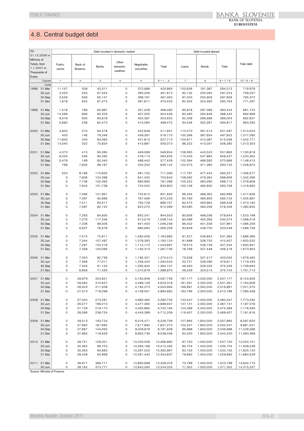# 4.8. Central budget debt

| Till                   |                  |                     |                | Debt incurred in domestic market |                          |                        | Debt incurred abroad   |                    |                    |                    |                        |
|------------------------|------------------|---------------------|----------------|----------------------------------|--------------------------|------------------------|------------------------|--------------------|--------------------|--------------------|------------------------|
|                        | 31.12.2006 in    |                     |                |                                  |                          |                        |                        |                    |                    |                    |                        |
| Millions of            |                  |                     |                |                                  | Other                    |                        |                        |                    |                    |                    |                        |
| Tolars, from           |                  | Public              | Bank of        | Banks                            | domestic                 | Negotiable             | Total                  | Loans              | <b>Bonds</b>       | Total              | Total debt             |
| 1.1.2007 in            |                  | sector              | Slovenia       |                                  | creditors                | securities             |                        |                    |                    |                    |                        |
| Thousands of<br>Euros. |                  |                     |                |                                  |                          |                        |                        |                    |                    |                    |                        |
|                        | Column           | $\mathbf{1}$        | $\overline{c}$ | 3                                | $\sqrt{4}$               | $\mathbf 5$            | $6 = 1  5$             | $\overline{7}$     | 8                  | $9 = 7 + 8$        | $10 = 6 + 9$           |
|                        | Code             |                     |                |                                  |                          |                        |                        |                    |                    |                    |                        |
|                        | 1998 31.Mar      | 11,157              | 509            | 43,311                           | $\circ$                  | 370,988                | 425,965                | 102,626            | 191,387            | 294,013            | 719,978                |
|                        | 30.Jun           | 3,450               | 553            | 67,554                           | $\mathsf{O}\xspace$      | 390,256                | 461,813                | 92,132             | 205,092            | 297,224            | 759,037                |
|                        | 30.Sep           | 3,526               | 609            | 65,147                           | $\mathsf{O}\xspace$      | 398,181                | 467,463                | 97,003             | 200,906            | 297,909            | 765,372                |
|                        | 31.Dec           | 1,818               | 625            | 81,273                           | 0                        | 391,817                | 475,533                | 92,304             | 203,460            | 295,764            | 771,297                |
|                        |                  |                     |                |                                  |                          |                        |                        |                    |                    |                    |                        |
| 1999                   | 31.Mar<br>30.Jun | 1,518<br>14,289     | 766<br>856     | 94,987<br>82,333                 | 0<br>$\mathsf{O}\xspace$ | 401,209<br>407,050     | 498,480<br>504,528     | 95,878<br>93,492   | 287,366<br>294,948 | 383,244<br>388,440 | 881,724<br>892,968     |
|                        | 30.Sep           | 9,518               | 930            | 90,818                           | 0                        | 402,387                | 503,653                | 92,308             | 296,696            | 389,004            | 892,657                |
|                        | 31.Dec           | 5,680               | 238            | 82,473                           | $\mathsf O$              | 410,084                | 498,475                | 94,536             | 300,281            | 394,817            | 893,292                |
|                        |                  |                     |                |                                  |                          |                        |                        |                    |                    |                    |                        |
| 2000                   | 31.Mar           | 4,600               | 310            | 84,378                           | $\mathbf 0$              | 422,648                | 511,937                | 110,073            | 391,514            | 501,587            | 1,013,524              |
|                        | 30.Jun           | 400                 | 146            | 79,346                           | 0                        | 439,281                | 519,173                | 100,268            | 397,654            | 497,922            | 1,017,095              |
|                        | 30.Sep           | 11,600              | 240            | 84,060                           | $\mathbf 0$              | 431,813                | 527,713                | 104,671            | 410,387            | 515,058            | 1,042,771              |
|                        | 31.Dec           | 13,040              | 322            | 75,824                           | 0                        | 415,887                | 505,073                | 98,222             | 410,057            | 508,280            | 1,013,353              |
| 2001                   | 31.Mar           |                     | 413            |                                  | $\mathbf 0$              |                        | 548,934                |                    |                    | 551,883            |                        |
|                        | 30.Jun           | 4,373<br>6,035      | 526            | 95,080<br>80,260                 | $\mathbf 0$              | 449,068<br>478,114     | 564,935                | 108,360<br>110,433 | 443,523<br>547,994 | 658,427            | 1,100,818<br>1,223,362 |
|                        | 30.Sep           | 5,478               | 169            | 83,340                           | 0                        | 488,442                | 577,429                | 102,394            | 468,592            | 570,986            | 1,148,415              |
|                        | 31.Dec           | 768                 | 7,935          | 96,187                           | $\mathsf O$              | 530,252                | 635,142                | 122,373            | 471,360            | 593,733            | 1,228,875              |
|                        |                  |                     |                |                                  |                          |                        |                        |                    |                    |                    |                        |
| 2002                   | 31.Mar           | 553                 | 8,196          | 110,855                          | $\mathbf 0$              | 591,752                | 711,356                | 117,797            | 477,424            | 595,221            | 1,306,577              |
|                        | 30.Jun           | 0                   | 7,836          | 104,398                          | 0                        | 641,405                | 753,640                | 109,592            | 479,064            | 588,656            | 1,342,296              |
|                        | 30.Sep           | 0                   | 7,736          | 102,365                          | $\mathsf{O}\xspace$      | 680,995                | 791,096                | 105,222            | 483,490            | 588,712            | 1,379,808              |
|                        | 31.Dec           | 0                   | 7,643          | 101,738                          | $\circ$                  | 724,520                | 833,902                | 100,108            | 485,650            | 585,758            | 1,419,660              |
|                        | 31.Mar           |                     |                |                                  |                          |                        |                        |                    |                    |                    |                        |
| 2003                   | 30.Jun           | 0<br>0              | 7,466<br>7,097 | 101,861<br>95,666                | $\mathbf 0$<br>$\circ$   | 722,612<br>767,469     | 831,940<br>870,233     | 96,334<br>94,783   | 489,362<br>490,950 | 585,696<br>585,734 | 1,417,636<br>1,455,967 |
|                        | 30.Sep           | 0                   | 7,511          | 83,517                           | 0                        | 795,729                | 886,757                | 92,473             | 493,964            | 586,438            | 1,473,195              |
|                        | 31.Dec           | 0                   | 7,097          | 82,122                           | $\mathsf{O}\xspace$      | 823,270                | 912,489                | 83,090             | 495,256            | 578,346            | 1,490,835              |
|                        |                  |                     |                |                                  |                          |                        |                        |                    |                    |                    |                        |
| 2004                   | 31.Mar           | $\mathsf{O}\xspace$ | 7,283          | 84,930                           | $\mathsf{O}\xspace$      | 852,341                | 944,553                | 80,606             | 498,038            | 578,644            | 1,523,198              |
|                        | 30.Jun           | 0                   | 7,276          | 117,348                          | 0                        | 913,519                | 1,038,144              | 80,089             | 450,285            | 530,374            | 1,568,518              |
|                        | 30.Sep           | 0                   | 7,339          | 99,506                           | $\mathsf O$              | 941,403                | 1,048,248              | 86,452             | 451,509            | 537,961            | 1,586,209              |
|                        | 31.Dec           | 0                   | 6,937          | 78,578                           | $\mathsf O$              | 980,694                | 1,066,209              | 83,849             | 449,700            | 533,549            | 1,599,759              |
|                        | 2005 31.Mar      |                     |                |                                  | $\mathsf O$              |                        |                        |                    |                    |                    |                        |
|                        | 30.Jun           | 0<br>0              | 7,015<br>7,344 | 75,911<br>107,497                | $\mathsf{O}\xspace$      | 1,082,058<br>1,078,283 | 1,164,985<br>1,193,124 | 81,527<br>81,688   | 449,854<br>328,720 | 531,382<br>410,407 | 1,696,366<br>1,603,532 |
|                        | 30.Sep           | 0                   | 7,297          | 124,218                          | $\mathsf O$              | 1,112,172              | 1,243,687              | 78,515             | 328,729            | 407,244            | 1,650,931              |
|                        | 31.Dec           | 0                   | 7,358          | 105,066                          | $\mathsf O$              | 1,155,313              | 1,267,736              | 78,769             | 327,449            | 406,218            | 1,673,954              |
|                        |                  |                     |                |                                  |                          |                        |                        |                    |                    |                    |                        |
|                        | 2006 31.Mar      | 0                   | 7,353          | 82,736                           | $\mathsf{O}\xspace$      | 1,185,321              | 1,275,410              | 75,638             | 327,417            | 403,055            | 1,678,465              |
|                        | 30.Jun           | 0                   | 7,068          | 77,011                           | $\mathsf O$              | 1,256,445              | 1,340,524              | 52,721             | 326,090            | 378,811            | 1,719,335              |
|                        | 30.Sep           | 0                   | 7,045          | 61,153                           | $\mathsf O$              | 1,295,940              | 1,364,137              | 49,493             | 326,032            | 375,526            | 1,739,663              |
|                        | 31.Dec           | 0                   | 6,956          | 71,335                           | 0                        | 1,310,679              | 1,388,970              | 49,229             | 323,514            | 372,743            | 1,761,713              |
|                        | 2007 31.Mar      | 0                   | 28,979         | 354,821                          | 0                        | 5,183,949              | 5,567,749              | 187,177            | 2,350,000          | 2,537,177          | 8,104,926              |
|                        | 30.Jun           | 0                   | 28,582         | 315,627                          | 0                        | 4,289,109              | 4,633,318              | 181,291            | 2,350,000          | 2,531,291          | 7,164,609              |
|                        | 30.Sep           | 0                   | 28,403         | 311,008                          | $\mathsf O$              | 4,165,273              | 4,504,684              | 166,891            | 2,350,000          | 2,516,891          | 7,021,575              |
|                        | 31.Dec           | 0                   | 27,313         | 718,298                          | 0                        | 4,139,051              | 4,884,662              | 160,796            | 2,350,000          | 2,510,796          | 7,395,458              |
|                        |                  |                     |                |                                  |                          |                        |                        |                    |                    |                    |                        |
|                        | 2008 31.Mar      | 0                   | 27,004         | 273,281                          | 0                        | 4,980,460              | 5,280,745              | 142,547            | 2,350,000          | 2,492,547          | 7,773,292              |
|                        | 30.Jun           | 0                   | 26,577         | 196,010                          | 0                        | 4,477,360              | 4,699,947              | 137,131            | 2,350,000          | 2,487,131          | 7,187,078              |
|                        | 30.Sep           | 0                   | 27,129         | 219,170                          | 0                        | 4,455,885              | 4,702,184              | 124,399            | 2,350,000          | 2,474,399          | 7,176,583              |
|                        | 31.Dec           | 0                   | 28,096         | 238,724                          | 0                        | 4,445,389              | 4,712,209              | 119,407            | 2,350,000          | 2,469,407          | 7,181,616              |
| 2009                   | 31.Mar           | 0                   | 29,513         | 183,724                          | 0                        | 6,016,471              | 6,229,708              | 107,895            | 1,950,000          | 2,057,895          | 8,287,603              |
|                        | 30.Jun           | 0                   | 27,692         | 181,692                          | $\mathsf{O}\xspace$      | 7,617,890              | 7,827,273              | 104,247            | 1,950,000          | 2,054,247          | 9,881,521              |
|                        | 30.Sep           | 0                   | 27,867         | 144,062                          | $\mathsf{O}\xspace$      | 9,009,679              | 9,181,608              | 96,988             | 1,950,000          | 2,046,988          | 11,228,596             |
|                        | 31.Dec           | 0                   | 27,684         | 118,626                          | 0                        | 8,892,736              | 9,039,046              | 94,320             | 1,950,000          | 2,044,320          | 11,083,366             |
|                        |                  |                     |                |                                  |                          |                        |                        |                    |                    |                    |                        |
|                        | 2010 31.Mar      | 0                   | 28,721         | 108,201                          | 0                        | 10,330,059             | 10,466,982             | 87,720             | 1,450,000          | 1,537,720          | 12,004,701             |
|                        | 30.Jun           | 0                   | 30,465         | 96,703                           | 0                        | 10,285,168             | 10,412,335             | 85,704             | 1,450,000          | 1,535,704          | 11,948,039             |
|                        | 30.Sep           | 0                   | 30,263         | 95,683                           | 0                        | 10,267,022             | 10,392,967             | 82,155             | 1,450,000          | 1,532,155          | 11,925,122             |
|                        | 31.Dec           | 0                   | 29,429         | 63,968                           | 0                        | 10,261,440             | 10,354,837             | 79,692             | 1,450,000          | 1,529,692          | 11,884,529             |
|                        | 2011 31.Mar      | 0                   | 28,917         | 388,771                          | 0                        | 12,890,688             | 13,308,376             | 73,799             | 1,450,000          | 1,523,799          | 14,832,175             |
|                        | 30.Jun           | 0                   | 28,162         | 373,771                          | 0                        | 12,842,092             | 13,244,025             | 71,302             | 1,000,000          | 1,071,302          | 14,315,327             |

Source: Ministry of Finance.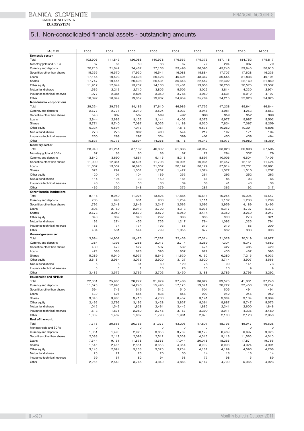**EUROSYSTEM**

# 5.1. Non-consolidated financial assets - outstanding amounts

| Mio EUR                      | 2003    | 2004    | 2005           | 2006    | 2007    | 2008    | 2009    | 2010    | $I-2009$ |
|------------------------------|---------|---------|----------------|---------|---------|---------|---------|---------|----------|
| Domestic sector              |         |         |                |         |         |         |         |         |          |
| Total                        | 102,906 | 111,843 | 126,088        | 140,978 | 176,553 | 175,375 | 187,118 | 184,753 | 175,817  |
| Monetary gold and SDRs       | 87      | 86      | 80             | 88      | 67      | 72      | 294     | 337     | 79       |
| Currency and deposits        | 20,216  | 21,847  | 24,467         | 27,138  | 33,498  | 36,595  | 43,245  | 39,945  | 36,913   |
| Securities other than shares | 15,355  | 16,570  | 17,930         | 16,541  | 16,088  | 15,884  | 17,707  | 17,628  | 16,236   |
| Loans                        | 17,155  | 19,593  | 24,698         | 29,428  | 40,601  | 48,367  | 50,555  | 51,838  | 49,101   |
| Shares                       | 17,747  | 19,455  | 20,608         | 26,531  | 36,648  | 22,552  | 22,402  | 22,160  | 21,860   |
| Other equity                 | 11,912  | 12,844  | 13,732         | 14,160  | 15,401  | 19,056  | 20,256  | 20,575  | 19,532   |
| Mutual fund shares           | 1,565   | 2,213   | 2,710          | 3,805   | 5,505   | 3,025   | 3,814   | 4,330   | 2,974    |
| Insurance technical reserves | 1,977   | 2,385   | 2,805          | 3,350   | 3,786   | 4,060   | 4,631   | 5,012   | 4,197    |
|                              |         |         |                |         |         |         | 24,215  |         | 24,925   |
| Other                        | 16,892  | 16,849  | 19,057         | 19,937  | 24,959  | 25,764  |         | 22,926  |          |
| Non-financial corporations   |         |         |                |         |         |         |         |         |          |
| Total                        | 29,334  | 29,766  | 34,186         | 37,610  | 46,986  | 47,755  | 47,238  | 45,641  | 46,844   |
| Currency and deposits        | 2,677   | 2,771   | 3,219          | 3,524   | 4,037   | 3,946   | 4,081   | 4,253   | 3,863    |
| Securities other than shares | 548     | 637     | 537            | 569     | 492     | 380     | 359     | 352     | 396      |
| Loans                        | 2,644   | 2,682   | 3,132          | 3,141   | 4,402   | 5,376   | 5,977   | 5,987   | 5,502    |
| Shares                       | 5,771   | 5,740   | 7,087          | 8,033   | 11,188  | 8,520   | 7,834   | 7,067   | 8,259    |
| Other equity                 | 6,334   | 6,594   | 7,017          | 7,351   | 7,816   | 9,576   | 10,262  | 10,391  | 9,808    |
| Mutual fund shares           | 273     | 278     | 302            | 400     | 544     | 212     | 197     | 171     | 194      |
| Insurance technical reserves | 250     | 288     | 297            | 334     | 389     | 402     | 450     | 438     | 464      |
| Other                        | 10,837  | 10,776  | 12,594         | 14,258  | 18,118  | 19,343  | 18,077  | 16,982  | 18,359   |
| Monetary sector              |         |         |                |         |         |         |         |         |          |
| Total                        | 28.940  | 31,251  | 37,132         | 40,302  | 51,838  | 58.057  | 63,023  | 60,898  | 57,505   |
| Monetary gold and SDRs       | 87      | 86      | 80             | 88      | 67      | 72      | 294     | 337     | 79       |
| Currency and deposits        | 3,842   | 3,690   | 4,861          | 5,115   | 8,318   | 8,897   | 10,006  | 6,604   | 7,405    |
| Securities other than shares | 11,990  | 12,361  | 13,501         | 11,706  | 10,991  | 10,935  | 12,457  | 12,161  | 11,424   |
| Loans                        | 11,602  | 13,537  | 16,890         | 21,352  | 30,192  | 36,179  | 37,914  | 39,701  | 36,681   |
| Shares                       | 671     | 792     | 1,001          | 1,282   | 1,422   | 1,324   | 1,572   | 1,515   | 1,232    |
| Other equity                 | 120     | 101     | 104            | 169     | 253     | 261     | 293     | 252     | 263      |
| Mutual fund shares           | 114     | 104     | 93             | 150     | 181     | 66      | 85      | 93      | 68       |
| Insurance technical reserves | 48      | 50      | 53             | 60      | 39      | 36      | 41      | 43      | 36       |
| Other                        | 465     | 530     | 548            | 379     | 375     | 287     | 363     | 192     | 317      |
| Other financial institutions |         |         |                |         |         |         |         |         |          |
| Total                        | 8,116   | 9,940   | 11,025         | 13,826  | 17,884  | 15.611  | 16,254  | 16,095  | 15,547   |
| Currency and deposits        | 735     | 996     | 881            | 988     | 1,254   | 1,111   | 1,132   | 1,288   | 1,206    |
| Securities other than shares | 1,792   | 2,348   | 2,846          | 3,247   | 3,563   | 3,593   | 3,959   | 4,189   | 3,495    |
| Loans                        | 1,808   | 2,180   | 2,913          | 3,702   | 4,313   | 5,276   | 5,317   | 4,737   | 5,373    |
| Shares                       | 2,673   | 3,050   | 2,870          | 3,872   | 5,950   | 3,414   | 3,352   | 3,260   | 3,247    |
| Other equity                 | 346     | 389     | 343            | 292     | 368     | 338     | 300     | 278     | 321      |
| Mutual fund shares           | 162     | 274     | 455            | 733     | 1,217   | 784     | 1,092   | 1,325   | 791      |
| Insurance technical reserves | 166     | 174     | 174            | 193     | 165     | 219     | 219     | 186     | 209      |
| Other                        | 434     | 531     | 544            | 799     | 1,055   | 877     | 882     | 833     | 903      |
| General government           |         |         |                |         |         |         |         |         |          |
| Total                        | 13,684  | 14,902  | 15,473         | 17,262  | 22,436  | 17,324  | 21,028  | 20,319  | 18,677   |
| Currency and deposits        | 1,384   | 1,395   | 1,258          | 2,017   | 2,714   | 3,269   | 7,304   | 5,347   | 4,682    |
| Securities other than shares | 430     | 479     | 527            | 507     | 532     | 475     | 427     | 435     | 429      |
| Loans                        | 471     | 568     | 878            | 395     | 837     | 627     | 405     | 467     | 593      |
| Shares                       | 5,289   | 5,910   | 5,937          | 8,643   | 11,630  | 6,152   | 6,280   | 7,215   | 6,033    |
|                              |         |         | 3,076          |         |         |         |         |         | 3,566    |
| Other equity                 | 2,618   | 2,964   |                | 2,920   | 3,127   | 3,520   | 3,714   | 3,907   |          |
| Mutual fund shares           | 5       | 8       | 31             | 60      | 120     | 78      | 99      | 141     | 73       |
| Insurance technical reserves | 0       | 3       | $\overline{1}$ | 16      | 26      | 13      | 10      | 9       | 9        |
| Other                        | 3,486   | 3,575   | 3,765          | 2,703   | 3,450   | 3,188   | 2,789   | 2,796   | 3,292    |
| <b>Households and NPISHs</b> |         |         |                |         |         |         |         |         |          |
| Total                        | 22,831  | 25,983  | 28,272         | 31,979  | 37,408  | 36,627  | 39,575  | 41,801  | 37,243   |
| Currency and deposits        | 11,578  | 12,995  | 14,248         | 15,495  | 17,175  | 19,371  | 20,722  | 22,453  | 19,757   |
| Securities other than shares | 594     | 746     | 519            | 512     | 510     | 501     | 505     | 491     | 491      |
| Loans                        | 630     | 626     | 885            | 838     | 858     | 909     | 942     | 946     | 952      |
| Shares                       | 3,343   | 3,963   | 3,713          | 4,700   | 6,457   | 3,141   | 3,364   | 3,104   | 3,089    |
| Other equity                 | 2,492   | 2,796   | 3,192          | 3,428   | 3,837   | 5,361   | 5,687   | 5,747   | 5,573    |
| Mutual fund shares           | 1,012   | 1,549   | 1,828          | 2,461   | 3,442   | 1,885   | 2,341   | 2,600   | 1,848    |
| Insurance technical reserves | 1,513   | 1,871   | 2,280          | 2,746   | 3,167   | 3,390   | 3,911   | 4,336   | 3,480    |
| Other                        | 1,669   | 1,437   | 1,607          | 1,798   | 1,961   | 2,070   | 2,103   | 2,123   | 2,053    |
| Rest of the world            |         |         |                |         |         |         |         |         |          |
| Total                        | 17,716  | 20,558  | 26,765         | 31,377  | 43,206  | 47,807  | 48,796  | 49,947  | 46,528   |
| Monetary gold and SDRs       | 0       | 0       | 0              | 0       | 0       | 0       | 0       | 0       | 0        |
| Currency and deposits        | 1,051   | 1,490   | 2,920          | 3,858   | 9,739   | 10,179  | 8,489   | 6,697   | 9,028    |
| Securities other than shares | 2,088   | 2,119   | 2,098          | 2,512   | 3,359   | 4,313   | 9,118   | 11,565  | 4,510    |
| Loans                        | 7,544   | 9,161   | 11,878         | 13,566  | 17,044  | 20,018  | 18,266  | 17,871  | 19,755   |
| Shares                       | 1,545   | 2,465   | 2,851          | 3,658   | 4,354   | 3,902   | 3,908   | 4,024   | 4,001    |
| Other equity                 | 3,145   | 2,694   | 3,168          | 3,320   | 3,754   | 4,161   | 4,199   | 4,593   | 4,208    |
| Mutual fund shares           | 20      | 21      | 23             | 20      | 30      | 14      | 18      | 16      | 14       |
| Insurance technical reserves | 59      | 67      | 82             | 94      | 58      | 73      | 98      | 115     | 89       |
| Other                        | 2,266   | 2,543   | 3,745          | 4,349   | 4,868   | 5,147   | 4,700   | 5,065   | 4,923    |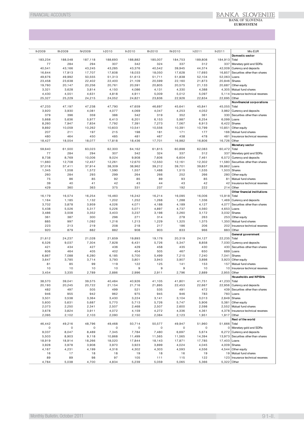| II-2009        | III-2009       | IV-2009        | $I - 2010$     | $II-2010$      | III-2010       | IV-2010        | $I-2011$       | $II-2011$     | Mio EUR                              |
|----------------|----------------|----------------|----------------|----------------|----------------|----------------|----------------|---------------|--------------------------------------|
|                |                |                |                |                |                |                |                |               | Domestic sector                      |
| 183,234        | 188,548        | 187,118        | 188,693        | 188,882        | 185,007        | 184,753        | 189,808        | 184,913 Total |                                      |
| 77             | 284            | 294            | 307            | 342            | 324            | 337            | 312            | 337           | Monetary gold and SDRs               |
| 40,541         | 43,166         | 43,245         | 43,285         | 43,376         | 40,542         | 39,945         | 44,374         |               | 42,009 Currency and deposits         |
| 16,644         | 17,913         | 17,707         | 17,608         | 18,033         | 18,050         | 17,628         | 17,693         | 16,857        | Securities other than shares         |
| 49,676         | 49,992         | 50,555         | 51,313         | 51,613         | 51,711         | 51,838         | 52,104         | 52,063 Loans  |                                      |
| 23,458         | 23,638         | 22,402         | 22,400         | 21,109         | 20,599         | 22,160         | 21,873         | 20,846 Shares |                                      |
| 19,760         | 20,147         | 20,256         | 20,761         | 20,591         | 20,805         | 20,575         | 21,133         |               | 20,687 Other equity                  |
| 3,321          | 3,628          | 3,814          | 4,150          | 4,086          | 4,131          | 4,330          | 4,388          |               | 4,305 Mutual fund shares             |
| 4,430          | 4,551          | 4,631          | 4,818          | 4,911          | 5,009          | 5,012          | 5,097          |               | 5,114   Insurance technical reserves |
| 25,327         | 25,229         | 24,215         | 24,052         | 24,821         | 23,836         | 22,926         | 22,834         | 22,695        | Other<br>Non-financial corporations  |
| 47,233         | 47,197         | 47,238         | 47,790         | 47,659         | 46,697         | 45,641         | 45,841         | 45,055        | Total                                |
| 3,920          | 3,930          | 4,081          | 4,077          | 4,069          | 4,047          | 4,253          | 4,052          |               | 3,982 Currency and deposits          |
| 379            | 396            | 359            | 386            | 342            | 319            | 352            | 361            |               | 330 Securities other than shares     |
| 5,668          | 5,636          | 5,977          | 6,413          | 6,201          | 6,153          | 5,987          | 6,254          | 6,099 Loans   |                                      |
| 8,260          | 7,947          | 7,834          | 7,792          | 7,391          | 7,273          | 7,067          | 6,913          |               | $6,422$ Shares                       |
| 9,892          | 10,059         | 10,262         | 10,603         | 10,541         | 10,556         | 10,391         | 10,799         | 10,851        | Other equity                         |
| 207            | 211            | 197            | 215            | 198            | 181            | 171            | 177            | 166           | Mutual fund shares                   |
| 480            | 464            | 450            | 485            | 481            | 467            | 438            | 478            | 481           | Insurance technical reserves         |
| 18,427         | 18,554         | 18,077         | 17,818         | 18,436         | 17,701         | 16,982         | 16,806         | 16,726 Other  |                                      |
|                |                |                |                |                |                |                |                |               | Monetary sector                      |
| 59,640         | 61,500         | 63,023         | 62,300         | 64,162         | 61,815         | 60,898         | 62,083         | 60,472 Total  |                                      |
| 77             | 284            | 294            | 307            | 342            | 324            | 337            | 312            | 337           | Monetary gold and SDRs               |
| 8,738          | 8,769          | 10,006         | 9,024          | 9,908          | 7,606          | 6,604          | 7,461          |               | 6,572 Currency and deposits          |
| 11,660         | 12,708         | 12,457         | 12,261         | 12,670         | 12,550         | 12,161         | 12,302         | 11,580        | Securities other than shares         |
| 37,018         | 37,411         | 37,914         | 38,309         | 38,962         | 39,212         | 39,701         | 39,857         | 39,862 Loans  |                                      |
| 1,345          | 1,558          | 1,572          | 1,590          | 1,557          | 1,488          | 1,515          | 1,535          |               | 1,503 Shares                         |
| 260            | 284            | 293            | 299            | 264            | 266            | 252            | 266            |               | 280 Other equity                     |
| 75             | 86             | 85             | 92             | 85             | 89             | 93             | 85             | 81            | Mutual fund shares                   |
| 39             | 40             | 41             | 42             | 43             | 44             | 43             | 42             | 42            | Insurance technical reserves         |
| 429            | 360            | 363            | 375            | 331            | 237            | 192            | 222            | 214           | Other                                |
|                |                |                |                |                |                |                |                |               | Other financial institutions         |
| 16,179         | 16,574         | 16,254         | 16,460         | 16,242         | 16,214         | 16,095         | 16,006         | 15,918 Total  |                                      |
| 1,164          | 1,185          | 1,132          | 1,202          | 1,252          | 1,268          | 1,288          | 1,336          | 1,469         | Currency and deposits                |
| 3,702          | 3,878          | 3,959          | 4,026<br>5,226 | 4,071          | 4,188<br>4,897 | 4,189          | 4,127<br>4,560 | 4,653 Loans   | 4,077 Securities other than shares   |
| 5,438<br>3,486 | 5,526<br>3,508 | 5,317<br>3,352 | 3,403          | 5,071<br>3,237 | 3,198          | 4,737<br>3,260 | 3,172          |               | $3,032$ Shares                       |
| 361            | 387            | 300            | 296            | 271            | 314            | 278            | 263            |               | 253 Other equity                     |
| 885            | 997            | 1,092          | 1,216          | 1,213          | 1,229          | 1,325          | 1,375          | 1,350         | Mutual fund shares                   |
| 223            | 213            | 219            | 208            | 218            | 217            | 186            | 206            | 202           | Insurance technical reserves         |
| 920            | 879            | 882            | 882            | 908            | 903            | 833            | 966            |               | 883 Other                            |
|                |                |                |                |                |                |                |                |               | General government                   |
| 21,612         | 24,237         | 21,028         | 21,659         | 19,893         | 19,176         | 20,319         | 24,127         | 22,235        | Total                                |
| 6,526          | 9,037          | 7,304          | 7,828          | 6,431          | 5,726          | 5,347          | 8,858          | 7,030         | Currency and deposits                |
| 421            | 434            | 427            | 436            | 429            | 458            | 435            | 430            | 430           | Securities other than shares         |
| 606            | 464            | 405            | 402            | 404            | 505            | 467            | 650            |               | 689 Loans                            |
| 6,867          | 7,088          | 6,280          | 6,185          | 5,700          | 5,499          | 7,215          | 7,240          | 7,041         | Shares                               |
| 3,647          | 3,785          | 3,714          | 3,793          | 3,801          | 3,943          | 3,907          | 3,898          |               | 3,923 Other equity                   |
| 81             | 85             | 99             | 119            | 122            | 125            | 141            | 153            | 157           | Mutual fund shares                   |
| 10             | 10             | 10             | 10             | 9              | 9              | 9              | 10             | 10            | Insurance technical reserves         |
| 3,454          | 3,335          | 2,789          | 2,886          | 2,996          | 2,911          | 2,796          | 2,889          | 2,955 Other   |                                      |
|                |                |                |                |                |                |                |                |               | <b>Households and NPISHs</b>         |
| 38,570         | 39,041         | 39,575         | 40,484         | 40,926         | 41,105         | 41,801         | 41,751         | 41,233 Total  |                                      |
| 20,193         | 20,245         | 20,722         | 21,154         | 21,716         | 21,895         | 22,453         | 22,667         |               | 22,956 Currency and deposits         |
| 482            | 497            | 505            | 499            | 521            | 535            | 491            | 472            | 760           | 439 Securities other than shares     |
| 946            | 955            | 942            | 962<br>3,430   | 975            | 945            | 946            | 783            |               | Loans<br>$2,849$ Shares              |
| 3,501<br>5,600 | 3,538<br>5,631 | 3,364<br>5,687 | 5,770          | 3,224<br>5,713 | 3,141<br>5,726 | 3,104<br>5,747 | 3,013<br>5,906 | 5,381         | Other equity                         |
| 2,073          | 2,250          | 2,341          | 2,507          | 2,468          | 2,507          | 2,600          | 2,598          |               | 2,552 Mutual fund shares             |
| 3,678          | 3,824          | 3,911          | 4,072          | 4,159          | 4,272          | 4,336          | 4,361          |               | 4.378 Insurance technical reserves   |
| 2,095          | 2,102          | 2,103          | 2,090          | 2,150          | 2,084          | 2,123          | 1,951          | 1,917 Other   |                                      |
|                |                |                |                |                |                |                |                |               | Rest of the world                    |
| 46,442         | 49,216         | 48,796         | 49,468         | 50,714         | 50,577         | 49,947         | 51,960         | 51,666 Total  |                                      |
| 0              | 0              | 0              | 0              | 0              | 0              | 0              | $\circ$        |               | 0 Monetary gold and SDRs             |
| 9,037          | 8,047          | 8,489          | 7,345          | 7,784          | 7,480          | 6,697          | 5,674          |               | 6,272 Currency and deposits          |
| 5,503          | 8,903          | 9,118          | 10,868         | 11,499         | 11,565         | 11,565         | 14,394         |               | 13,973 Securities other than shares  |
| 18,919         | 18,914         | 18,266         | 18,020         | 17,844         | 18,143         | 17,871         | 17,785         | 17,403 Loans  |                                      |
| 3,928          | 3,978          | 3,908          | 3,970          | 3,923          | 3,899          | 4,024          | 4,045          |               | 4,009 Shares                         |
| 4,167          | 4,231          | 4,199          | 4,316          | 4,302          | 4,303          | 4,593          | 4,556          |               | 4,544 Other equity                   |
| 16             | 17             | 18             | 18             | 19             | 18             | 16             | 19             |               | 19 Mutual fund shares                |
| 89             | 89             | 98             | 97             | 105            | 111            | 115            | 122            |               | 123   Insurance technical reserves   |
| 4,784          | 5,038          | 4,700          | 4,834          | 5,239          | 5,059          | 5,065          | 5,366          | 5,322 Other   |                                      |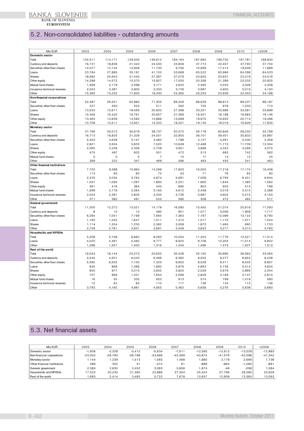BANK OF SLOVENIA **EUROSYSTEM**

## 5.2. Non-consolidated liabilities - outstanding amounts

| Mio EUR                                               | 2003    | 2004             | 2005             | 2006             | 2007    | 2008    | 2009             | 2010    | $I-2009$ |
|-------------------------------------------------------|---------|------------------|------------------|------------------|---------|---------|------------------|---------|----------|
| Domestic sector                                       |         |                  |                  |                  |         |         |                  |         |          |
| Total                                                 | 104,511 | 114,171          | 129,500          | 146,612          | 184,164 | 187,960 | 199,730          | 197,781 | 188,800  |
|                                                       | 16,721  |                  |                  |                  | 33,856  | 37,772  |                  | 37,790  | 37,704   |
| Currency and deposits<br>Securities other than shares | 12,077  | 18,836<br>12,134 | 21,343<br>12,928 | 24,530<br>11,730 | 9,795   | 10,669  | 42,457<br>17,414 | 19,649  | 11,889   |
|                                                       |         |                  |                  |                  |         |         |                  |         |          |
| Loans                                                 | 23,764  | 27,885           | 35,191           | 41,102           | 53,668  | 63,522  | 63,666           | 64,296  | 64,023   |
| Shares                                                | 18,692  | 20,943           | 21,444           | 27,587           | 37,076  | 23,925  | 23,631           | 23,319  | 23,516   |
| Other equity                                          | 14,299  | 14,572           | 15,570           | 15,827           | 17,055  | 20,358  | 21,286           | 22,032  | 20,925   |
| Mutual fund shares                                    | 1,569   | 2,179            | 2,398            | 3,171            | 4,622   | 2,465   | 3,033            | 3,328   | 2,408    |
| Insurance technical reserves                          | 2,024   | 2,391            | 2,805            | 3,333            | 3,726   | 3,997   | 4,605            | 5,015   | 4,150    |
| Other                                                 | 15,365  | 15,232           | 17,820           | 19,330           | 24,365  | 25,253  | 23,639           | 22,353  | 24,188   |
| Non-financial corporations                            |         |                  |                  |                  |         |         |                  |         |          |
| Total                                                 | 52,387  | 56,551           | 62,984           | 71,305           | 89,356  | 88,629  | 88,813           | 89,237  | 88.187   |
| Securities other than shares                          | 227     | 350              | 523              | 511              | 592     | 705     | 978              | 1,033   | 710      |
| Loans                                                 | 13,533  | 15,611           | 18,465           | 20,920           | 27,398  | 33,321  | 33,686           | 33,581  | 33,899   |
| Shares                                                | 14,456  | 16,420           | 16,761           | 20,657           | 27,366  | 16,501  | 16,198           | 16,984  | 16,146   |
| Other equity                                          | 13,463  | 13,659           | 14,584           | 14,886           | 15,699  | 18,970  | 19,932           | 20,714  | 19,496   |
| Other                                                 | 10,708  | 10,511           | 12,651           | 14,332           | 18,301  | 19,133  | 18,019           | 16,926  | 17,935   |
| Monetary sector                                       |         |                  |                  |                  |         |         |                  |         |          |
| Total                                                 | 27,796  | 30,012           | 35,619           | 38,737           | 50,370  | 56,178  | 60,846           | 58,232  | 55.769   |
| Currency and deposits                                 | 16.713  | 18,825           | 21,329           | 24,051           | 32,955  | 36,701  | 39,401           | 35,832  | 35.987   |
| Securities other than shares                          | 5,453   | 4,639            | 5,147            | 3,482            | 1,788   | 2,127   | 4,261            | 5,430   | 2,308    |
| Loans                                                 | 2,821   | 3,504            | 5,833            | 7,520            | 10,649  | 12,468  | 11,710           | 11,709  | 12,354   |
| Shares                                                | 2,065   | 2,226            | 2,356            | 2,708            | 3,901   | 3,889   | 4,322            | 4,266   | 4,075    |
| Other equity                                          | 475     | 497              | 602              | 501              | 472     | 513     | 683              | 742     | 562      |
| Mutual fund shares                                    | 0       | $\mathbf 0$      | 5                | $\overline{7}$   | 10      | 17      | 14               | 12      | 20       |
| Other                                                 | 269     | 322              | 347              | 469              | 596     | 463     | 455              | 241     | 463      |
| Other financial institutions                          |         |                  |                  |                  |         |         |                  |         |          |
| Total                                                 | 7,720   | 9,588            | 10,994           | 14,298           | 17,803  | 16,500  | 17,218           | 17,174  | 16.438   |
| Securities other than shares                          | 113     | 93               | 60               | 72               | 53      | 71      | 76               | 64      | 80       |
| Loans                                                 | 2,225   | 3,034            | 3,764            | 4,874            | 5,691   | 7,008   | 6,795            | 6,421   | 6,944    |
| Shares                                                | 1,057   | 1,093            | 1,097            | 1,860            | 2,251   | 1,665   | 1,645            | 1,380   | 1,562    |
| Other equity                                          | 361     | 416              | 384              | 440              | 885     | 803     | 605              | 514     | 798      |
| Mutual fund shares                                    | 1,569   | 2,179            | 2,394            | 3,165            | 4,612   | 2,448   | 3,019            | 3,315   | 2,388    |
| Insurance technical reserves                          | 2,024   | 2,391            | 2,805            | 3,333            | 3,726   | 3,997   | 4,605            | 5,015   | 4,150    |
| Other                                                 | 371     | 382              | 491              | 552              | 585     | 508     | 472              | 465     | 517      |
| General government                                    |         |                  |                  |                  |         |         |                  |         |          |
| Total                                                 | 11,300  | 12,272           | 13,021           | 14,179           | 16,580  | 15,450  | 21,074           | 20,616  | 17,093   |
| Currency and deposits                                 | 8       | 12               | 14               | 480              | 901     | 1,071   | 3,056            | 1,958   | 1,717    |
| Securities other than shares                          | 6,284   | 7,051            | 7,198            | 7,665            | 7,363   | 7,767   | 12,099           | 13,122  | 8,790    |
| Loans                                                 | 1,165   | 1,245            | 1,647            | 1,011            | 1,310   | 1,017   | 1,170            | 1,571   | 1,024    |
| Shares                                                | 1,114   | 1,204            | 1,230            | 2,362            | 3,559   | 1,870   | 1,465            | 690     | 1,733    |
| Other                                                 | 2,729   | 2,761            | 2,931            | 2,661            | 3,449   | 3,653   | 3,217            | 3,214   | 3,760    |
| <b>Households and NPISHs</b>                          |         |                  |                  |                  |         |         |                  |         |          |
| Total                                                 | 5,308   | 5,748            | 6,882            | 8,093            | 10,054  | 11,204  | 11,779           | 12,521  | 11,314   |
| Loans                                                 | 4,020   | 4,491            | 5,482            | 6,777            | 8,620   | 9,708   | 10,304           | 11,014  | 9,802    |
| Other                                                 | 1,288   | 1,257            | 1,400            | 1,316            | 1,434   | 1,496   | 1,475            | 1,507   | 1,512    |
| Rest of the world                                     |         |                  |                  |                  |         |         |                  |         |          |
| Total                                                 | 16,024  | 18,144           | 23,273           | 25,655           | 35,528  | 35,150  | 35,890           | 36,582  | 33,465   |
| Currency and deposits                                 | 4,545   | 4,501            | 6,043            | 6,466            | 9,382   | 9,002   | 9,277            | 8,852   | 8,238    |
| Securities other than shares                          | 5,365   | 6,555            | 7,100            | 7,323            | 9,652   | 9,528   | 9,411            | 9,545   | 8,857    |
|                                                       | 935     |                  |                  |                  |         |         |                  |         | 4,834    |
| Loans                                                 |         | 868<br>977       | 1,386            | 1,892            | 3,976   | 4,863   | 5,156            | 5,414   | 2,344    |
| Shares                                                | 600     |                  | 2,015            | 2,602            | 3,925   | 2,529   | 2,679            | 2,866   |          |
| Other equity                                          | 757     | 966              | 1,331            | 1,653            | 2,099   | 2,859   | 3,169            | 3,137   | 2,815    |
| Mutual fund shares                                    | 16      | 55               | 335              | 653              | 913     | 574     | 799              | 1,019   | 580      |
| Insurance technical reserves                          | 12      | 62               | 83               | 110              | 117     | 136     | 124              | 113     | 136      |
| Other                                                 | 3,793   | 4,160            | 4,981            | 4,955            | 5,462   | 5,658   | 5,276            | 5,638   | 5,660    |

#### 5.3. Net financial assets

| Mio EUR                      | 2003      | 2004      | 2005      | 2006      | 2007      | 2008      | 2009      | 2010      | $I-2009$  |
|------------------------------|-----------|-----------|-----------|-----------|-----------|-----------|-----------|-----------|-----------|
| Domestic sector              | $-1.606$  | $-2.328$  | $-3.412$  | $-5.634$  | $-7.611$  | $-12.585$ | $-12.612$ | $-13.028$ | $-12.983$ |
| Non-financial corporations   | $-23.052$ | $-26.785$ | $-28.798$ | $-33.696$ | $-42.369$ | $-40.874$ | -41.576   | $-43.596$ | $-41.342$ |
| Monetary sector              | 1.144     | ,239      | .513      | .565      | 1.468     | 880.      | 2.178     | 2.666     | 1.736     |
| Other financial institutions | 396       | 352       | 31        | $-472$    | 81        | $-889$    | $-964$    | $-1.080$  | $-891$    |
| General government           | 2.384     | 2.630     | 2.452     | 3.083     | 5.856     | 874.      | $-46$     | $-298$    | .584      |
| Households and NPISHs        | 17.522    | 20.235    | 21.390    | 23.886    | 27.354    | 25.424    | 27.796    | 29,280    | 25,929    |
| Rest of the world            | 1.693     | 2.414     | 3.492     | 5.722     | 7.678     | 12.657    | 12.906    | 13.365    | 13.063    |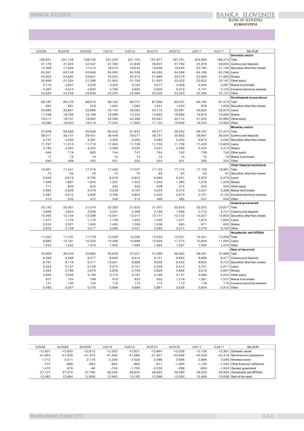**EUROSYSTEM**

| II-2009 | <b>III-2009</b> | IV-2009 | $I - 2010$ | $II-2010$ | III-2010 | IV-2010 | $1 - 2011$ | $II-2011$     | Mio EUR                              |
|---------|-----------------|---------|------------|-----------|----------|---------|------------|---------------|--------------------------------------|
|         |                 |         |            |           |          |         |            |               | Domestic sector                      |
| 195,641 | 201,148         | 199,730 | 201,025    | 201,703   | 197,971  | 197,781 | 202,965    | 198,274       | Total                                |
| 41,179  | 41,925          | 42,457  | 41,780     | 41,646    | 38,901   | 37,790  | 40,379     | 38,805        | Currency and deposits                |
| 13,356  | 17,099          | 17,414  | 18,474     | 19,544    | 19,658   | 19,649  | 22,184     | 21,108        | Securities other than shares         |
| 63,561  | 63,749          | 63,666  | 64,060     | 64,356    | 64,595   | 64,296  | 64,169     | 63,796        | Loans                                |
| 24,823  | 24,830          | 23,631  | 23,535     | 22,274    | 21,669   | 23,319  | 22,899     | 21,863        | Shares                               |
| 20,999  | 21,334          | 21,286  | 21,904     | 21,706    | 21,922   | 22,032  | 22,622     | 22,187        | Other equity                         |
| 2,710   | 2,941           | 3,033   | 3,253      | 3,182     | 3,217    | 3,328   | 3,346      | 3,287         | Mutual fund shares                   |
| 4,387   | 4,510           | 4,605   | 4,799      | 4,902     | 5,005    | 5,015   | 5,101      | 5,122         | Insurance technical reserves         |
| 24,626  | 24,759          | 23,639  | 23,220     | 24,094    | 23,005   | 22,353  | 22,266     | 22,107        | Other                                |
|         |                 |         |            |           |          |         |            |               | Non-financial corporations           |
| 89,187  | 89,125          | 88,813  | 89,150     | 88,747    | 87,698   | 89,237  | 89,180     | 87,474        | Total                                |
| 664     | 681             | 978     | 1,004      | 1,062     | 1,031    | 1,033   | 979        | 1,006         | Securities other than shares         |
| 33,880  | 33,861          | 33,686  | 34,145     | 34,082    | 34,114   | 33,581  | 33,820     | 33,915        | Loans                                |
| 17,036  | 16,796          | 16,198  | 16,099     | 15,242    | 14,862   | 16,984  | 16,616     | 15,680 Shares |                                      |
| 19,511  | 19,737          | 19,932  | 20,568     | 20,368    | 20,567   | 20,714  | 21,322     | 20,880        | Other equity                         |
| 18,096  | 18,050          | 18,019  | 17,334     | 17,993    | 17,125   | 16,926  | 16,442     | 15,994        | Other                                |
|         |                 |         |            |           |          |         |            |               | Monetary sector                      |
| 57,928  | 59,489          | 60,846  | 60,042     | 61,834    | 59,317   | 58,232  | 59,187     | 57,374        | Total                                |
| 38,511  | 38,101          | 39,401  | 38,449     | 39,077    | 36,731   | 35,832  | 36,667     | 36,054        | Currency and deposits                |
| 2,157   | 4,250           | 4,261   | 4,355      | 5,395     | 5,392    | 5,430   | 5,613      | 5,082         | Securities other than shares         |
| 11,767  | 11,615          | 11,710  | 11,593     | 11,729    | 11,735   | 11,709  | 11,428     | 10,828        | Loans                                |
| 4,193   | 4,320           | 4,322   | 4,386      | 4,320     | 4,227    | 4,266   | 4,332      |               | $4,313$ Shares                       |
| 644     | 719             | 683     | 744        | 747       | 764      | 742     | 739        | 745           | Other equity                         |
| 17      | 15              | 14      | 14         | 14        | 14       | 12      | 15         | 19            | Mutual fund shares                   |
| 640     | 468             | 455     | 501        | 553       | 454      | 241     | 393        | 334           | Other                                |
|         |                 |         |            |           |          |         |            |               | Other financial institutions         |
| 16,951  | 17,441          | 17,218  | 17,422     | 17,207    | 17,125   | 17,174  | 17,126     | 16,981        | Total                                |
| 70      | 64              | 76      | 74         | 70        | 65       | 64      | 64         | 67            | Securities other than shares         |
| 6,946   | 6,916           | 6,795   | 6,676      | 6,622     | 6,485    | 6,421   | 6,303      | 6,275         | Loans                                |
| 1,569   | 1,687           | 1,645   | 1,557      | 1,403     | 1,343    | 1,380   | 1,279      | 1,205         | Shares                               |
| 771     | 803             | 605     | 530        | 529       | 528      | 514     | 502        | 502           | Other equity                         |
| 2,694   | 2,926           | 3,019   | 3,239      | 3,167     | 3,203    | 3,315   | 3,331      | 3,268         | Mutual fund shares                   |
| 4,387   | 4,510           | 4,605   | 4,799      | 4,902     | 5,005    | 5,015   | 5,101      |               | 5,122   Insurance technical reserves |
| 513     | 535             | 472     | 546        | 513       | 496      | 465     | 547        | 543           | Other                                |
|         |                 |         |            |           |          |         |            |               | General government                   |
| 20,142  | 23,361          | 21,074  | 22,382     | 21,623    | 21,407   | 20,616  | 25,020     | 23,877        | Total                                |
| 2,668   | 3,824           | 3,056   | 3,331      | 2,569     | 2,169    | 1,958   | 3,712      | 2.751         | Currency and deposits                |
| 10,465  | 12,104          | 12,099  | 13,041     | 13,017    | 13,171   | 13,122  | 15,527     | 14,954        | Securities other than shares         |
| 1,077   | 1,176           | 1,170   | 1,158      | 1,224     | 1,402    | 1,571   | 1,672      | 1,684         | Loans                                |
| 2,024   | 2,027           | 1,465   | 1,493      | 1,309     | 1,238    | 690     | 671        | 665           | Shares                               |
| 3,835   | 4,156           | 3,217   | 3,299      | 3,441     | 3,365    | 3,214   | 3,379      | 3,762         | Other                                |
|         |                 |         |            |           |          |         |            |               | <b>Households and NPISHs</b>         |
| 11,432  | 11,731          | 11,779  | 12,028     | 12,292    | 12,423   | 12,521  | 12,451     | 12,569 Total  |                                      |
| 9,890   | 10,181          | 10,304  | 10,488     | 10,698    | 10,859   | 11,014  | 10,946     | 11,094        | Loans                                |
| 1,542   | 1,550           | 1,475   | 1,540      | 1,594     | 1,564    | 1,507   | 1,505      | 1,475         | Other                                |
|         |                 |         |            |           |          |         |            |               | Rest of the world                    |
| 33,959  | 36,333          | 35,890  | 36,828     | 37,551    | 37,289   | 36,582  | 38,491     | 37,968        | Total                                |
| 8,399   | 9,288           | 9,277   | 8,850      | 9,514     | 9,121    | 8,852   | 9,669      | 9,477         | Currency and deposits                |
| 8,791   | 9,716           | 9,411   | 10,001     | 9,988     | 9,956    | 9,545   | 9,903      | 9.723         | Securities other than shares         |
| 5,034   | 5,157           | 5,156   | 5,272      | 5,101     | 5,259    | 5,414   | 5,721      | 5,671         | Loans                                |
| 2,564   | 2,786           | 2,679   | 2,835      | 2,759     | 2,829    | 2,866   | 3,019      | 2,991         | Shares                               |
| 2,928   | 3,045           | 3,169   | 3,173      | 3,187     | 3,186    | 3,137   | 3,066      |               | 3,044 Other equity                   |
| 627     | 704             | 799     | 915        | 923       | 932      | 1,019   | 1,061      | 1,037         | Mutual fund shares                   |
| 131     | 130             | 124     | 116        | 114       | 115      | 113     | 118        | 115           | Insurance technical reserves         |
| 5,485   | 5.507           | 5,276   | 5.666      | 5.966     | 5.891    | 5.638   | 5,934      | 5.910 Other   |                                      |

II-2009 III-2009 IV-2009 I-2010 II-2010 III-2010 IV-2010 I-2011 II-2011 Mio EUR .<br>112,407 -12,600 -12,612 -12,333 -12,821 -12,964 -13,028 -13,156 -13,361 Domestic sector<br>12,600 -12,612 -12,333 -12,821 -12,964 -13,028 -13,156 -13,361 Domestic sector -41,954 -41,928 -41,576 -41,360 -41,088 -41,001 -43,596 -43,339 -42,418 Non-financial corporations 1,712 2,011 2,178 2,258 2,328 2,498 2,666 2,896 3,098 Monetary sector -772 -868 -964 -962 -965 -911 -1,080 -1,120 -1,062 Other financial institutions<br>1.470 876 -46 -724 -1,730 -2,232 -298 -893 -1,642 General government 1,470 876 -46 -724 -1,730 -2,232 -298 -893 -1,642 General government 27,796 28,456 28,634 28,682 29,280 29,300 28,664 Households and NPISHs<br>12,906 12,640 13,163 13,288 13,365 13,469 13,698 Rest of the world 12,483 12,884 12,906 12,640 13,163 13,288 13,365 13,469 13,698 Rest of the world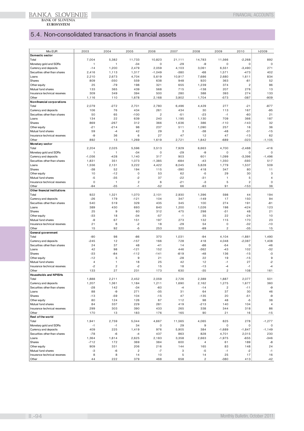# 5.4. Non-consolidated transactions in financial assets

| Mio EUR                      | 2003                | 2004           | 2005                | 2006           | 2007   | 2008           | 2009                    | 2010           | $I-2009$       |
|------------------------------|---------------------|----------------|---------------------|----------------|--------|----------------|-------------------------|----------------|----------------|
| Domestic sector              |                     |                |                     |                |        |                |                         |                |                |
|                              |                     |                |                     |                |        |                |                         |                |                |
| Total                        | 7,004               | 5,382          | 11,733              | 10,823         | 21,111 | 14,783         | 11,566                  | $-2,268$       | 892            |
| Monetary gold and SDRs       | $\overline{1}$      | $\overline{1}$ | $-34$               | $\mathbf 0$    | $-29$  | -9             | $\mathbf 0$             | $\mathbf 0$    | $\circ$        |
| Currency and deposits        | $-14$               | 1,200          | 2,479               | 2,059          | 4,103  | 3,061          | 6,551                   | $-3,490$       | 271            |
| Securities other than shares | 2,416               | 1,113          | 1,317               | $-1,049$       | $-380$ | $-68$          | 1,571                   | $-473$         | 402            |
| Loans                        | 2,210               | 2,673          | 4,704               | 5,619          | 10,917 | 7,686          | 2,680                   | 1,611          | 834            |
| Shares                       | 809                 | $-350$         | 559                 | 638            | 948    | 920            | 363                     | $-81$          | 52             |
|                              |                     |                |                     |                |        |                |                         |                | 96             |
| Other equity                 | 25                  | $-79$          | 198                 | 321            | 655    | 1,239          | 374                     | $\overline{c}$ |                |
| Mutual fund shares           | 133                 | 365            | 439                 | 568            | 715    | $-138$         | 207                     | 276            | 13             |
| Insurance technical reserves | 309                 | 349            | 394                 | 500            | 280    | 388            | 393                     | 274            | 133            |
| Other                        | 1,116               | 110            | 1,678               | 2,168          | 3,902  | 1,704          | $-573$                  | $-387$         | $-909$         |
| Non-financial corporations   |                     |                |                     |                |        |                |                         |                |                |
| Total                        | 2,079               | $-272$         | 2,701               | 2,780          | 6,496  | 4,429          | 277                     | $-21$          | $-877$         |
|                              |                     |                |                     |                |        |                |                         |                |                |
| Currency and deposits        | 106                 | 76             | 434                 | 261            | 434    | 30             | 113                     | 167            | $-95$          |
| Securities other than shares | 50                  | 65             | $-100$              | $\overline{c}$ | $-51$  | $-23$          | $-1$                    | $-60$          | 21             |
| Loans                        | 134                 | 22             | 639                 | 240            | 1,195  | 1,130          | 709                     | 366            | 187            |
| Shares                       | 869                 | $-267$         | 312                 | 366            | 1,636  | 386            | $-110$                  | $-143$         | 32             |
| Other equity                 | $-21$               | $-214$         | 98                  | 237            | 511    | 1,090          | 257                     | 16             | 36             |
|                              | 59                  |                | 42                  | 29             | 3      | $-38$          |                         | $-31$          | $-15$          |
| Mutual fund shares           |                     | $-4$           |                     |                |        |                | $-48$                   |                |                |
| Insurance technical reserves | -9                  | 36             | 6                   | 27             | 47     | 12             | 47                      | $-13$          | 62             |
| Other                        | 892                 | 13             | 1,269               | 1,619          | 2,721  | 1,842          | $-689$                  | $-323$         | $-1,105$       |
| Monetary sector              |                     |                |                     |                |        |                |                         |                |                |
| Total                        | 2,204               | 2,025          | 5,596               | 3,513          | 7,929  | 6,663          | 4,700                   | $-2,488$       | $-416$         |
| Monetary gold and SDRs       | $\overline{1}$      | $\overline{1}$ | $-34$               | $\circ$        | $-29$  | -9             | 0                       | 0              | 0              |
|                              |                     |                |                     |                |        |                |                         |                |                |
| Currency and deposits        | $-1.056$            | $-428$         | 1,140               | 317            | 903    | 601            | 1,099                   | $-3,396$       | $-1,496$       |
| Securities other than shares | 1,831               | 351            | 1,073               | $-1,385$       | $-684$ | $-43$          | 1,350                   | $-593$         | 517            |
| Loans                        | 1,556               | 2,131          | 3,222               | 4,422          | 8,045  | 5,828          | 1,779                   | 1,537          | 509            |
| Shares                       | $-38$               | 52             | 194                 | 115            | $-390$ | 418            | 347                     | 80             | 11             |
| Other equity                 | 10                  | $-12$          | $\mathsf{O}\xspace$ | 53             | 62     | $-5$           | 29                      | 30             | 3              |
|                              |                     |                |                     | 37             |        |                | $\mathbf{1}$            |                | $\overline{4}$ |
| Mutual fund shares           | $-5$                | $-35$          | -2                  |                | $-22$  | $-31$          |                         | 5              |                |
| Insurance technical reserves | $\mathsf{O}\xspace$ | $\overline{1}$ | $\overline{c}$      | 6              | $-21$  | $-3$           | 5                       | $\overline{c}$ | $\circ$        |
| Other                        | $-94$               | $-35$          | $-1$                | $-52$          | 66     | $-93$          | 91                      | $-153$         | 36             |
| Other financial institutions |                     |                |                     |                |        |                |                         |                |                |
| Total                        | 922                 | 1,321          | 1,070               | 2,101          | 2,930  | 1,396          | 598                     | 44             | 194            |
| Currency and deposits        | $-26$               | 179            | $-121$              | 104            | 347    | $-149$         | 17                      | 150            | 94             |
|                              |                     |                |                     |                |        |                |                         |                |                |
| Securities other than shares | 540                 | 519            | 329                 | 435            | 345    | 100            | 274                     | 191            | $-81$          |
| Loans                        | 389                 | 430            | 693                 | 840            | 1,200  | 1,026          | 198                     | -424           | 123            |
| Shares                       | 25                  | 9              | 60                  | 312            | 475    | 298            | $-31$                   | 48             | 21             |
| Other equity                 | $-33$               | 18             | $-34$               | $-57$          | $-1$   | 35             | 22                      | $-24$          | 10             |
| Mutual fund shares           | -9                  | 67             | 151                 | 197            | 273    | 132            | 115                     | 170            | 23             |
| Insurance technical reserves | 21                  | 6              |                     |                |        | 54             | 0                       | $-32$          | $-10$          |
|                              |                     |                | $-2$                | 18             | $-29$  |                |                         |                |                |
| Other                        | 15                  | 92             | $-5$                | 253            | 320    | $-99$          | $\overline{c}$          | $-35$          | 15             |
| General government           |                     |                |                     |                |        |                |                         |                |                |
| Total                        | $-90$               | 98             | $-86$               | 370            | 1,031  | $-94$          | 4,104                   | $-1,881$       | 1,490          |
| Currency and deposits        | $-245$              | 12             | $-157$              | 166            | 728    | 418            | 4,048                   | $-2,087$       | 1,408          |
| Securities other than shares | 24                  | 37             | 48                  | $-41$          | 14     | $-88$          | $-54$                   | 0              | $-46$          |
|                              |                     |                |                     |                |        |                |                         |                |                |
| Loans                        | 42                  | 98             | $-121$              | 152            | 446    | $-362$         | $-43$                   | 102            | $-32$          |
| Shares                       | $-33$               | $-84$          | $-112$              | $-141$         | $-819$ | $-48$          | 136                     | $-15$          | $-3$           |
| Other equity                 | $-12$               | 5              | 9                   | 21             | $-28$  | 22             | 19                      | $-15$          | 9              |
| Mutual fund shares           | $\overline{4}$      | $\overline{1}$ | 18                  | 25             | 42     | 12             | $-1$                    | 27             | $-2$           |
| Insurance technical reserves | $-2$                | $\overline{c}$ | $-2$                | 15             | 18     | $-13$          | $-4$                    | $-1$           | $-4$           |
| Other                        | 133                 | 27             | 231                 | 173            | 630    | $-35$          | $\overline{2}$          | 108            | 161            |
| <b>Households and NPISHs</b> |                     |                |                     |                |        |                |                         |                |                |
|                              |                     |                |                     |                |        |                |                         |                |                |
| Total                        | 1,888               | 2,211          | 2,452               | 2,059          | 2,726  | 2,389          | 1,887                   | 2,077          | 501            |
| Currency and deposits        | 1,207               | 1,361          | 1,184               | 1,211          | 1,690  | 2,162          | 1,275                   | 1,677          | 360            |
| Securities other than shares | $-28$               | 142            | $-34$               | $-60$          | $-4$   | $-14$          | $\overline{\mathbf{c}}$ | $-11$          | -9             |
| Loans                        | 88                  | -9             | 271                 | $-35$          | 31     | 64             | 37                      | 30             | 46             |
| Shares                       | $-13$               | $-59$          | 104                 | $-15$          | 47     | $-135$         | 20                      | $-51$          | -9             |
| Other equity                 | 80                  | 124            | 126                 | 67             | 112    | 98             | 48                      | $-5$           | 38             |
|                              |                     |                |                     |                |        |                |                         |                |                |
| Mutual fund shares           | 84                  | 337            | 229                 | 281            | 419    | $-213$         | 140                     | 104            | $\overline{4}$ |
| Insurance technical reserves | 299                 | 303            | 390                 | 433            | 265    | 338            | 344                     | 318            | 86             |
| Other                        | 170                 | 13             | 183                 | 176            | 165    | 90             | 21                      | 16             | $-15$          |
| Rest of the world            |                     |                |                     |                |        |                |                         |                |                |
| Total                        | 1,941               | 2,759          | 5,044               | 4,667          | 11,565 | 4,065          | 825                     | 278            | $-1,277$       |
| Monetary gold and SDRs       | $-1$                | $-1$           | 34                  | 0              | 29     | 9              | 0                       | 0              | $\Omega$       |
|                              |                     |                |                     |                |        |                |                         |                |                |
| Currency and deposits        | 409                 | 225            | 1,419               | 976            | 5,905  | 384            | $-1,689$                | $-1,847$       | $-1,149$       |
| Securities other than shares | $-78$               | $-6$           | $-4$                | 437            | 863    | 828            | 4,701                   | 2,015          | 230            |
| Loans                        | 1,364               | 1,814          | 2,625               | 2,183          | 3,358  | 2,663          | $-1,975$                | $-655$         | $-346$         |
| Shares                       | $-712$              | 172            | 369                 | 384            | 600    | $\overline{4}$ | 61                      | 189            | -8             |
| Other equity                 | 909                 | 331            | 206                 | 216            | 144    | 165            | 83                      | 148            | 24             |
|                              |                     |                | $\sqrt{2}$          |                |        |                |                         |                |                |
| Mutual fund shares           | -3                  | -6             |                     | $-7$           | 3      | $-5$           | $-1$                    | $-2$           | $-1$           |
| Insurance technical reserves | 8                   | 8              | 14                  | 10             | 5      | 14             | 25                      | 17             | 16             |
| Other                        | 44                  | 222            | 379                 | 468            | 658    | $\overline{c}$ | $-380$                  | 413            | $-42$          |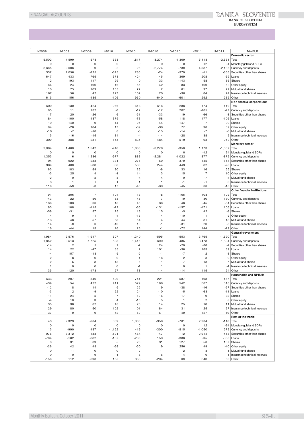**EUROSYSTEM**

| II-2009             | III-2009            | IV-2009             | $I-2010$            | $II-2010$        | III-2010                | IV-2010                  | $1 - 2011$     | II-2011               | Mio EUR                           |
|---------------------|---------------------|---------------------|---------------------|------------------|-------------------------|--------------------------|----------------|-----------------------|-----------------------------------|
|                     |                     |                     |                     |                  |                         |                          |                |                       | Domestic sector                   |
| 5,502               | 4,599               | 573                 | 558                 | 1,817            | $-3,274$                | $-1,369$                 | 5,413          | $-2,661$ Total        |                                   |
| 0                   | $\mathsf O$         | $\circ$             | 0                   | $\mathsf O$      | 0                       | 0                        | $-12$          | 24                    | Monetary gold and SDRs            |
| 3,665               | 2,606               | $\mathsf g$         | $-2$                | 26               | $-2,774$                | $-739$                   | 4,587          |                       | $-2,136$ Currency and deposits    |
| 337                 | 1,056               | $-225$              | $-315$              | 285              | $-74$                   | $-370$                   | $-11$          | $-856$                | Securities other than shares      |
| 647                 | 433                 | 765                 | 673                 | 424              | 145                     | 369                      | 208            | $-69$                 | Loans                             |
| $\overline{c}$      | 193                 | 117                 | 29                  | $\mathsf O$      | 33                      | $-143$                   | 58             |                       | 36 Shares                         |
| 64                  | 24                  | 190                 | 16                  | $-55$            | $-42$                   | 83                       | 109            |                       | 52 Other equity                   |
| 10                  | 75                  | 109                 | 135                 | 72               | $\overline{7}$          | 61                       | 97             | 29                    | Mutual fund shares                |
| 162                 | 56                  | 42                  | 127                 | 107              | 70                      | $-30$                    | 84             | 24                    | Insurance technical reserves      |
| 615                 | 156                 | $-435$              | $-106$              | 960              | $-640$                  | $-601$                   | 292            | 235                   | Other                             |
|                     |                     |                     |                     |                  |                         |                          |                |                       | Non-financial corporations        |
| 600                 | 130                 | 424                 | 266                 | 618              | $-616$                  | $-288$                   | 174            |                       | $119$ Total                       |
| 65                  | 11                  | 132                 | $-7$                | $-17$            | $-17$                   | 207                      | $-165$         | $-77$                 | Currency and deposits             |
| $-17$               | 20                  | $-26$               | 6                   | $-51$            | $-33$                   | 19                       | $-66$          | -8                    | Securities other than shares      |
| 184                 | $-100$              | 437                 | 379                 | $-73$            | $-58$                   | 118                      | 177            | $-106$                | Loans                             |
| $-10$               | $-140$              | 9                   | $-14$               | $-25$            | 44                      | $-147$                   | $\overline{7}$ |                       | 20 Shares                         |
| 64                  | $-28$               | 184                 | 17                  | $-39$            | $-38$                   | 77                       | 96             | 39                    | Other equity                      |
| $-10$               | $-7$                | $-16$               | 6                   | -8               | $-15$                   | $-14$                    | $-7$           |                       | -3 Mutual fund shares             |
| 15                  | $-16$               | $-15$               | 34                  | $-4$             | $-14$                   | $-28$                    | 38             | $\overline{c}$        | Insurance technical reserves      |
| 309                 | 388                 | $-281$              | $-155$              | 835              | $-484$                  | $-519$                   | 93             |                       | 252 Other                         |
|                     |                     | 1,542               | $-948$              | 1,686            |                         | $-950$                   | 1,173          |                       | Monetary sector                   |
| 2,094<br>0          | 1,480<br>0          | $\circ$             | $\mathbf 0$         | 0                | $-2,276$<br>$\mathbf 0$ | $\mathsf{O}\xspace$      | $-12$          | $-1,659$ Total        | 24   Monetary gold and SDRs       |
| 1,353               | 6                   | 1,236               | $-977$              | 883              | $-2,281$                | $-1,022$                 | 877            | $-879$                | Currency and deposits             |
| 194                 | 922                 | $-283$              | $-331$              | 276              | $-159$                  | $-379$                   | 145            | $-754$                | Securities other than shares      |
| 369                 | 400                 | 500                 | 308                 | 536              | 244                     | 449                      | 82             | $-98$                 | Loans                             |
| 63                  | 183                 | 89                  | 30                  | 26               | -8                      | 33                       | 16             | 55                    | Shares                            |
| $-3$                | 25                  | $\overline{4}$      | $-1$                | 14               | 3                       | 15                       | $\overline{7}$ | 10                    | Other equity                      |
| $-2$                | $\mathsf{O}\xspace$ | $-2$                | 5                   | $-4$             | $\overline{4}$          | $\circ$                  | $-7$           | $-4$                  | Mutual fund shares                |
| 3                   | $\mathbf{1}$        | $\mathbf{1}$        | $\mathbf{1}$        | $\mathbf{1}$     | $\mathbf{1}$            | $-1$                     | $-1$           | $\mathbf 0$           | Insurance technical reserves      |
| 116                 | $-59$               | $-3$                | 17                  | $-45$            | $-80$                   | $-45$                    | 66             |                       | $-13$ Other                       |
|                     |                     |                     |                     |                  |                         |                          |                |                       | Other financial institutions      |
| 191                 | 206                 | $\overline{7}$      | 104                 | 113              | -8                      | $-165$                   | 103            |                       | $102$ Total                       |
| $-43$               | 22                  | $-56$               | 68                  | 46               | 17                      | 19                       | 30             | 130                   | Currency and deposits             |
| 186                 | 103                 | 66                  | 13                  | 45               | 86                      | 48                       | $-45$          | $-64$                 | Securities other than shares      |
| 83                  | 108                 | $-115$              | $-72$               | $-65$            | $-131$                  | $-157$                   | $-171$         | 106                   | Loans                             |
| $-58$               | $-31$               | 37                  | 25                  | 13               | 15                      | $-5$                     | 42             | -3                    | Shares                            |
| $\overline{4}$      | 9                   | $-1$                | $-4$                | $-13$            | $\overline{4}$          | $-10$                    | $\overline{1}$ | -2                    | Other equity                      |
| $-13$               | 48                  | 57                  | 68                  | 54               | $\overline{4}$          | 44                       | 81             |                       | 18 Mutual fund shares             |
| 14                  | -9                  | 6                   | $-10$               | 10               | $-1$                    | $-31$                    | 20             | -3                    | Insurance technical reserves      |
| 18                  | $-44$               | 13                  | 16                  | 23               | $-1$                    | $-72$                    | 144            | $-79$                 | Other                             |
|                     |                     |                     |                     |                  |                         |                          |                |                       | General government                |
| 1,984               | 2,576               | $-1,947$            | 607                 | $-1,340$         | $-595$                  | $-553$                   | 3,765          | $-1,690$              | Total                             |
| 1,852               | 2,513               | $-1,725$            | 503                 | $-1,416$         | $-690$                  | $-485$                   | 3,478          | $-1,824$              | Currency and deposits             |
| $-14$               | $\overline{c}$      | $\sqrt{5}$          | $\boldsymbol{2}$    | $-7$             | 24                      | $-20$                    | $-28$          | -2                    | Securities other than shares      |
| 14                  | 22                  | $-47$               | 35                  | $\overline{c}$   | 101                     | -36                      | 183            |                       | 39 Loans                          |
| $-4$                | 157                 | $-13$               | $-5$                | $-2$             | $-1$                    | $-7$                     | $\overline{c}$ |                       | $-3$ Shares                       |
| $\overline{c}$      | 8                   | $\circ$             | $\circ$             | $-1$             | $-16$                   | $\overline{c}$           | 3              | 0                     | Other equity                      |
| $-2$                | $-5$                | 8                   | 13                  | 6                | 1                       | $\overline{\mathcal{I}}$ | 13             | $\overline{7}$        | Mutual fund shares                |
| 1                   | $\mathsf{O}\xspace$ | $\circ$             | $\circ$             | $-1$             | $\mathbf{1}$            | $\mathsf{O}\xspace$      | $\mathbf{1}$   | $-1$                  | Insurance technical reserves      |
| 135                 | $-120$              | $-173$              | 57                  | 78               | $-14$                   | $-14$                    | 115            | 94                    | Other                             |
|                     |                     |                     |                     |                  |                         |                          |                |                       | <b>Households and NPISHs</b>      |
| 633                 | 207                 | 546                 | 529                 | 741              | 221                     | 587                      | 198            |                       | 467 Total                         |
| 439                 | 54                  | 422                 | 411                 | 529              | 196                     | 542                      | 367            |                       | 513 Currency and deposits         |
| $-12$               | 8                   | 14                  | $-5$                | 22               | $\hbox{9}$              | $-38$                    | $-16$          | $-27$                 | Securities other than shares      |
| $-3$                | $\overline{c}$      | -9                  | 22                  | 24               | $-10$                   | $-5$                     | $-63$          | $-11$                 | Loans                             |
| 11                  | 24                  | $-5$                | $-7$                | $-12$            | $-16$                   | $-17$                    | -9             |                       | $-32$ Shares                      |
| $-4$                | 10                  | 3                   | $\overline{4}$      | $-15$            | 5                       | $\overline{1}$           | $\sqrt{2}$     |                       | 5 Other equity                    |
| 35                  | 38                  | 62                  | 43                  | 23               | 14                      | 25                       | 18             | 11                    | Mutual fund shares                |
| 129                 | 80                  | 50                  | 102                 | 101              | 84                      | 31                       | 25             |                       | 27 Insurance technical reserves   |
| 37                  | -9                  | $\mathsf g$         | $-42$               | 69               | $-61$                   | 49                       | $-127$         |                       | $-19$ Other                       |
|                     |                     | $-264$              |                     | 1,036            |                         | $-761$                   |                |                       | Rest of the world                 |
| 43<br>0             | 2,323<br>0          | $\mathsf{O}\xspace$ | 359<br>$\circ$      | 0                | $-356$<br>0             | $\mathsf{O}\xspace$      | 2,234<br>12    | $-143$ Total<br>$-24$ | Monetary gold and SDRs            |
| 13                  | $-990$              | 437                 | $-1, 152$           | 419              | $-300$                  | $-815$                   | $-1,050$       |                       | 572 Currency and deposits         |
| 976                 | 3,312               | 183                 | 1,591               | 484              | $-47$                   | $-12$                    | 2,914          |                       | -458 Securities other than shares |
| $-764$              | $-182$              | $-682$              | $-182$              | $-236$           | 150                     | $-388$                   | $-95$          |                       | $-383$ Loans                      |
| $\mathsf{O}\xspace$ | 31                  | 39                  | 5                   | 26               | 31                      | 127                      | 56             |                       | 137 Shares                        |
| $-26$               | 42                  | 43                  | $-68$               | $-50$            | 9                       | 256                      | 49             |                       | -40 Other equity                  |
| 0                   | $-1$                | $\circ$             | $\mathsf{O}\xspace$ | $\boldsymbol{2}$ | $-1$                    | $-2$                     | 3              |                       | 1 Mutual fund shares              |
| $\circ$             | $\mathsf{O}\xspace$ | 9                   | $-1$                | 8                | 6                       | $\sqrt{4}$               | 6              | 1                     | Insurance technical reserves      |
| $-156$              | 112                 | $-293$              | 165                 | 383              | $-204$                  | 69                       | 340            |                       | 50 Other                          |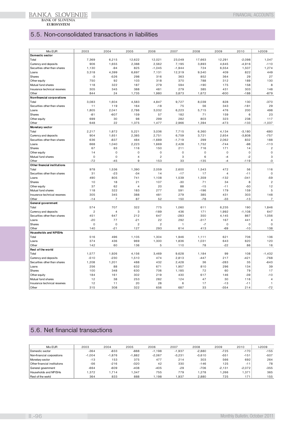## 5.5. Non-consolidated transactions in liabilities

| Mio EUR                      | 2003                | 2004           | 2005           | 2006           | 2007         | 2008        | 2009           | 2010        | $I-2009$       |
|------------------------------|---------------------|----------------|----------------|----------------|--------------|-------------|----------------|-------------|----------------|
| Domestic sector              |                     |                |                |                |              |             |                |             |                |
| Total                        | 7,369               | 6,215          | 12,622         | 12,021         | 23,049       | 17,663      | 12,291         | $-2,098$    | 1,047          |
| Currency and deposits        | 906                 | 1,655          | 2,388          | 2,562          | 7,195        | 3,893       | 4,645          | $-4,916$    | $-110$         |
| Securities other than shares | 1,130               | $-94$          | 825            | $-1,045$       | $-1,944$     | 724         | 6,554          | 1,507       | 1,274          |
| Loans                        | 3,318               | 4,399          | 6,697          | 7,131          | 12,319       | 9,540       | 409            | 822         | 449            |
| Shares                       | $-3$                | $-526$         | 298            | 316            | 363          | 852         | 364            | 29          | 27             |
| Other equity                 | 750                 | 92             | 103            | 318            | 370          | 788         | 312            | 189         | 130            |
| Mutual fund shares           | 118                 | 322            | 187            | 279            | 594          | $-190$      | 175            | 158         | 8              |
| Insurance technical reserves | 305                 | 345            | 388            | 481            | 279          | 385         | 431            | 303         | 148            |
| Other                        | 844                 | 24             | 1,735          | 1,980          | 3,873        | 1,672       | $-600$         | $-188$      | $-879$         |
| Non-financial corporations   |                     |                |                |                |              |             |                |             |                |
| Total                        | 3,083               | 1,604          | 4,583          | 4,847          | 9,727        | 8,039       | 828            | 130         | $-370$         |
| Securities other than shares | 11                  | 119            | 164            | $-18$          | 75           | 56          | 343            | $-181$      | 29             |
| Loans                        | 1,805               | 2,041          | 2,786          | 3,032          | 6,223        | 5,715       | 476            | 200         | 498            |
| Shares                       | $-81$               | $-607$         | 159            | 57             | 182          | 71          | 159            | 6           | 23             |
| Other equity                 | 699                 | 30             | 98             | 299            | 282          | 803         | 323            | 238         | 117            |
| Other                        | 648                 | 22             | 1,375          | 1,477          | 2,966        | 1,394       | $-473$         | $-133$      | $-1,037$       |
| Monetary sector              |                     |                |                |                |              |             |                |             |                |
| Total                        | 2,217               | 1,872          | 5,221          | 3,036          | 7,715        | 6.360       | 4.134          | $-3,180$    | $-680$         |
| Currency and deposits        | 904                 | 1,651          | 2,385          | 2,751          | 6,759        | 3,721       | 2,654          | $-3,808$    | $-757$         |
| Securities other than shares | 636                 | $-837$         | 484            | $-1,689$       | $-1,719$     | 299         | 2,062          | 832         | 188            |
| Loans                        | 668                 | 1,040          | 2,223          | 1,669          | 2,428        | 1,752       | $-744$         | $-98$       | $-113$         |
| Shares                       | 67                  | 63             | 116            | 150            | 211          | 716         | 171            | 14          | $\overline{c}$ |
|                              | 14                  | $\circ$        | 0              | $\circ$        | 0            | $\mathbf 0$ | $\mathbf 0$    | $\mathbf 0$ | $\circ$        |
| Other equity                 |                     |                |                |                |              |             |                |             |                |
| Mutual fund shares           | $\mathsf{O}\xspace$ | $\circ$        | $\overline{4}$ | $\overline{c}$ | 3            | 6           | $-4$           | $-2$        | 3              |
| Other                        | $-72$               | $-45$          | 9              | 153            | 33           | $-135$      | $-4$           | $-119$      | -3             |
| Other financial institutions |                     |                |                |                |              |             |                |             |                |
| Total                        | 978                 | 1,536          | 1,390          | 2,059          | 2,600        | 1,543       | 472            | 56          | 116            |
| Securities other than shares | 31                  | $-23$          | $-34$          | 14             | $-17$        | 17          | $\overline{4}$ | $-11$       | $\circ$        |
| Loans                        | 490                 | 805            | 741            | 1,108          | 1,539        | 1,359       | $-132$         | $-341$      | $-59$          |
| Shares                       | 10                  | 18             | 21             | 107            | $-30$        | 71          | 34             | 8           | $\overline{c}$ |
| Other equity                 | 37                  | 62             | $\overline{4}$ | 20             | 88           | $-15$       | $-11$          | $-50$       | 12             |
| Mutual fund shares           | 118                 | 322            | 183            | 277            | 591          | $-196$      | 179            | 159         | 5              |
| Insurance technical reserves | 305                 | 345            | 388            | 481            | 279          | 385         | 431            | 303         | 148            |
| Other                        | $-14$               | $\overline{7}$ | 87             | 52             | 150          | $-78$       | $-33$          | $-13$       | $\overline{7}$ |
| General government           |                     |                |                |                |              |             |                |             |                |
| Total                        | 574                 | 707            | 322            | 775            | 1,060        | 611         | 6,235          | 190         | 1,846          |
| Currency and deposits        | $\overline{c}$      | $\overline{4}$ | 3              | $-189$         | 436          | 171         | 1,992          | $-1,108$    | 647            |
| Securities other than shares | 451                 | 647            | 212            | 647            | $-283$       | 350         | 4,145          | 867         | 1,056          |
| Loans                        | $-20$               | 77             | $-21$          | 22             | 292          | $-317$      | 167            | 441         | $\overline{4}$ |
| Shares                       | $\circ$             | $\circ$        | $\overline{c}$ | $\overline{2}$ | $\mathbf{1}$ | $-7$        | $\mathbf 0$    | $\mathbf 0$ | $\circ$        |
| Other                        | 140                 | $-21$          | 127            | 293            | 614          | 413         | $-69$          | $-10$       | 138            |
| <b>Households and NPISHs</b> |                     |                |                |                |              |             |                |             |                |
| Total                        | 516                 | 496            | 1,105          | 1,304          | 1,946        | 1,111       | 621            | 706         | 136            |
| Loans                        | 374                 | 436            | 969            | 1,300          | 1,836        | 1,031       | 643            | 620         | 120            |
| Other                        | 142                 | 60             | 136            | 5              | 110          | 78          | $-22$          | 86          | 16             |
| Rest of the world            |                     |                |                |                |              |             |                |             |                |
| Total                        | 1,577               | 1,926          | 4,156          | 3,469          | 9,628        | 1,184       | 99             | 108         | $-1,432$       |
|                              | $-510$              | $-230$         | 1,510          | 474            | 2,813        | $-447$      | 217            | $-421$      | $-768$         |
| Currency and deposits        |                     |                |                |                |              |             |                |             |                |
| Securities other than shares | 1,208               | 1,201          | 488            | 432            | 2,428        | 36          | $-283$         | 35          | $-643$         |
| Loans                        | 256                 | 88             | 632            | 671            | 1,957        | 810         | 296            | 134         | 39             |
| Shares                       | 100                 | 348            | 630            | 706            | 1,185        | 72          | 60             | 79          | 17             |
| Other equity                 | 184                 | 161            | 302            | 219            | 430          | 617         | 146            | $-39$       | $-10$          |
| Mutual fund shares           | 12                  | 38             | 253            | 282            | 124          | 47          | 30             | 116         | $\overline{4}$ |
| Insurance technical reserves | 12                  | 11             | 20             | 28             | 6            | 17          | $-13$          | $-11$       | $\overline{1}$ |
| Other                        | 315                 | 308            | 322            | 656            | 687          | 33          | $-354$         | 214         | $-72$          |

#### 5.6. Net financial transactions

| Mio EUR                      | 2003     | 2004     | 2005     | 2006     | 2007     | 2008     | 2009     | 2010     | $I-2009$ |
|------------------------------|----------|----------|----------|----------|----------|----------|----------|----------|----------|
| Domestic sector              | $-364$   | $-833$   | $-888$   | $-1.198$ | $-1.937$ | $-2.880$ | $-725$   | $-170$   | $-155$   |
| Non-financial corporations   | $-1.004$ | $-1.876$ | $-1.882$ | $-2.067$ | $-3.231$ | $-3.610$ | $-551$   | $-151$   | $-507$   |
| Monetary sector              | $-13$    | 153      | 375      | 477      | 214      | 303      | 566      | 692      | 264      |
| Other financial institutions | $-56$    | $-216$   | $-320$   | 42       | 330      | $-146$   | 125      | $-11$    | 78       |
| General government           | $-664$   | $-609$   | $-408$   | $-405$   | $-29$    | $-706$   | $-2.131$ | $-2.072$ | $-355$   |
| Households and NPISHs        | 1.372    | .714     | .347     | 755      | 779      | .278     | .266     | 1.371    | 365      |
| Rest of the world            | 364      | 833      | 888      | .198     | 1.937    | 2.880    | 725      | 171      | 155      |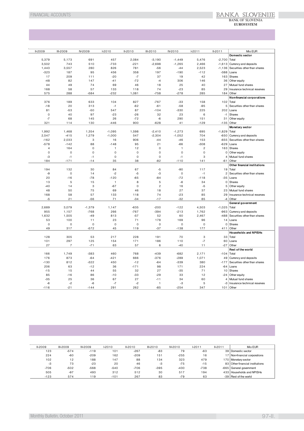**EUROSYSTEM**

| II-2009             | III-2009            | IV-2009             | $I - 2010$                  | $II - 2010$ | III-2010            | IV-2010             | $1 - 2011$              | $II-2011$           | Mio EUR                           |
|---------------------|---------------------|---------------------|-----------------------------|-------------|---------------------|---------------------|-------------------------|---------------------|-----------------------------------|
|                     |                     |                     |                             |             |                     |                     |                         |                     | Domestic sector                   |
| 5,379               | 5,173               | 691                 | 457                         | 2,084       | $-3,190$            | $-1,449$            | 5,476                   | $-2,700$ Total      |                                   |
| 3,502               | 743                 | 510                 | $-733$                      | $-221$      | $-2,698$            | $-1,265$            | 2,466                   |                     | -1,613 Currency and deposits      |
| 1,443               | 3,557               | 280                 | 826                         | 781         | $-56$               | $-44$               | 2,523                   | $-1,136$            | Securities other than shares      |
| $-323$              | 187                 | 95                  | 456                         | 358         | 197                 | $-190$              | $-112$                  |                     | -388 Loans                        |
| 17                  | 209                 | 111                 | $-20$                       | $-7$        | 37                  | 19                  | 42                      |                     | 163 Shares                        |
| $-48$               | 82                  | 147                 | $-41$                       | $-72$       | $-4$                | 306                 | 146                     | 36                  | Other equity                      |
| 44                  | 49                  | 74                  | 69                          | 46          | 18                  | 25                  | 40                      | 27                  | Mutual fund shares                |
| 168                 | 58                  | 57                  | 133                         | 118         | 74                  | $-23$               | 85                      | 29                  | Insurance technical reserves      |
| 575                 | 288                 | $-584$              | $-232$                      | 1,081       | $-758$              | $-278$              | 285                     | 184                 | Other                             |
|                     |                     |                     |                             |             |                     |                     |                         |                     | Non-financial corporations        |
| 376                 | 189                 | 633                 | 104                         | 827         | $-767$              | $-33$               | 158                     | 102                 | Total                             |
| $-18$               | 20                  | 313                 | $-1$                        | $-62$       | $-61$               | $-58$               | $-95$                   | 5                   | Securities other than shares      |
| 81                  | $-53$               | $-50$               | 547                         | 87          | $-104$              | $-330$              | 225                     |                     | 202 Loans                         |
| $\mathsf{O}\xspace$ | 40                  | 97                  | $-23$                       | $-26$       | 32                  | 23                  | 6                       | $-1$                | Shares                            |
| $-7$                | 68                  | 145                 | 26                          | $-72$       | $-6$                | 290                 | 151                     | 31                  | Other equity                      |
| 321                 | 114                 | 130                 | $-446$                      | 900         | $-628$              | 41                  | $-129$                  |                     | $-135$ Other                      |
|                     |                     |                     |                             |             |                     |                     |                         |                     | Monetary sector                   |
| 1,992               | 1,468               | 1,354               | $-1,095$                    | 1,598       | $-2,410$            | $-1,273$            | 695                     | $-1,829$            | <b>Total</b>                      |
| 2,547               | $-415$              | 1,279               | $-1,000$                    | 547         | $-2,304$            | $-1,052$            | 704                     | $-650$              | Currency and deposits             |
| $-162$              | 2,033               | 3                   | 16                          | 906         | $-44$               | $-46$               | 153                     |                     | -655 Securities other than shares |
| $-578$              | $-142$              | 88                  | $-148$                      | 95          | 21                  | $-66$               | $-308$                  |                     | $-629$ Loans                      |
| $\overline{4}$      | 164                 | $\mathsf{O}\xspace$ |                             | 12          | $\mathsf O$         | $\overline{1}$      | $\overline{\mathbf{c}}$ |                     | 163 Shares                        |
| $\mathsf{O}\xspace$ | $\mathsf{O}\xspace$ | $\mathsf 0$         | $\mathbf{1}$<br>$\mathsf 0$ | $\circ$     | $\mathsf O$         | $\mathsf{O}\xspace$ | $\circ$                 | $\mathsf{O}\xspace$ |                                   |
|                     |                     |                     | $\mathsf 0$                 | $\mathbf 0$ | $\mathsf{O}\xspace$ |                     | 3                       | $\overline{4}$      | Other equity                      |
| $-3$                | $-1$                | $-1$                |                             |             |                     | $-1$                |                         |                     | Mutual fund shares                |
| 184                 | $-171$              | $-14$               | 35                          | 38          | $-82$               | $-110$              | 141                     |                     | $-61$ Other                       |
|                     |                     |                     |                             |             |                     |                     |                         |                     | Other financial institutions      |
| 194                 | 132                 | 30                  | 84                          | 67          | $-5$                | $-90$               | 117                     | 19                  | <b>Total</b>                      |
| -9                  | $\mathsf{O}\xspace$ | 14                  | $-2$                        | $-5$        | $-3$                | $\circ$             | $-1$                    | $\overline{c}$      | Securities other than shares      |
| 20                  | $-16$               | $-78$               | $-120$                      | $-65$       | $-84$               | $-72$               | $-118$                  | $-35$               | Loans                             |
| 13                  | 5                   | 15                  | $\overline{1}$              | 8           | 5                   | $-6$                | 34                      |                     | 0 Shares                          |
| $-40$               | 14                  | 3                   | $-67$                       | $\circ$     | $\sqrt{2}$          | 16                  | $-5$                    | 5                   | Other equity                      |
| 48                  | 50                  | 75                  | 69                          | 46          | 18                  | 27                  | 37                      |                     | 23 Mutual fund shares             |
| 168                 | 58                  | 57                  | 133                         | 118         | 74                  | $-23$               | 85                      | 29                  | Insurance technical reserves      |
| $-5$                | 21                  | $-56$               | 71                          | $-34$       | $-17$               | $-32$               | 85                      | $-4$                | Other                             |
|                     |                     |                     |                             |             |                     |                     |                         |                     | General government                |
| 2,689               | 3,079               | $-1,379$            | 1,147                       | $-635$      | $-200$              | $-122$              | 4,503                   | $-1,025$ Total      |                                   |
| 955                 | 1,157               | $-768$              | 266                         | $-767$      | $-394$              | $-213$              | 1,762                   | $-963$              | Currency and deposits             |
| 1,632               | 1,505               | $-49$               | 813                         | $-57$       | 52                  | 60                  | 2,467                   |                     | -488 Securities other than shares |
| 53                  | 100                 | 11                  | 23                          | 71          | 178                 | 169                 | 96                      | 14                  | Loans                             |
| $\mathsf O$         | 0                   | $\mathsf{O}\xspace$ | $\mathsf{O}\xspace$         | $\mathsf O$ | $\mathsf O$         | $\mathsf O$         | $\circ$                 | $\mathsf O$         | Shares                            |
| 49                  | 317                 | $-572$              | 45                          | 119         | $-37$               | $-138$              | 177                     | 411                 | Other                             |
|                     |                     |                     |                             |             |                     |                     |                         |                     | <b>Households and NPISHs</b>      |
| 128                 | 305                 | 53                  | 217                         | 228         | 191                 | 70                  | 3                       |                     | 33 Total                          |
| 101                 | 297                 | 125                 | 154                         | 171         | 186                 | 110                 | $-7$                    |                     | 60 Loans                          |
| 27                  | $\overline{7}$      | $-71$               | 63                          | 57          | 6                   | $-40$               | 11                      |                     | $-27$ Other                       |
|                     |                     |                     |                             |             |                     |                     |                         |                     | Rest of the world                 |
| 166                 | 1,749               | $-383$              | 460                         | 768         | $-439$              | $-682$              | 2,171                   | $-104$              | Total                             |
| 176                 | 873                 | $-64$               | $-421$                      | 666         | $-376$              | $-289$              | 1,071                   | 49                  | Currency and deposits             |
| $-130$              | 812                 | $-322$              | 450                         | $-12$       | $-64$               | $-339$              | 380                     | $-177$              | Securities other than shares      |
| 206                 | 63                  | $-12$               | 36                          | $-171$      | 98                  | 171                 | 224                     | $-64$               | Loans                             |
| $-15$               | 15                  | 44                  | 55                          | 32          | 27                  | $-35$               | 71                      | 10                  | Shares                            |
| 85                  | $-16$               | 86                  | $-10$                       | $-33$       | $-29$               | 33                  | 12                      | $-24$               | Other equity                      |
| $-35$               | 25                  | 36                  | 67                          | 27          | $-11$               | 34                  | 60                      | $\overline{4}$      | Mutual fund shares                |
| $-6$                | $-2$                | $-6$                | $-7$                        | $-2$        | $\overline{1}$      | $-3$                | 5                       | -3                  | Insurance technical reserves      |
| $-116$              | $-21$               | $-144$              | 291                         | 262         | $-85$               | $-254$              | 347                     | 101                 | Other                             |
|                     |                     |                     |                             |             |                     |                     |                         |                     |                                   |

| $II - 2009$ | $II - 2009$ | IV-2009 | $1-2010$ | $II-2010$ | $III-2010$ | IV-2010 | $1 - 2011$ | $II - 2011$ | Mio EUR                         |
|-------------|-------------|---------|----------|-----------|------------|---------|------------|-------------|---------------------------------|
| 123         | $-574$      | $-119$  | 101      | $-267$    | $-83$      | 79      | $-63$      |             | 39   Domestic sector            |
| 224         | $-60$       | $-209$  | 162      | $-209$    | 151        | $-255$  | 16         |             | 17 Non-financial corporations   |
| 102         | 12          | 188     | 147      | 88        | 134        | 323     | 479        |             | 170 Monetary sector             |
| -3          | 73          | $-23$   | 20       | 46        | $-3$       | $-75$   | $-15$      |             | 83 Other financial institutions |
| $-706$      | $-502$      | $-568$  | $-540$   | $-706$    | $-395$     | $-430$  | $-738$     |             | -665 General government         |
| 505         | $-97$       | 493     | 312      | 512       | 30         | 517     | 194        |             | 433 Households and NPISHs       |
| $-123$      | 574         | 119     | $-101$   | 267       | 83         | $-79$   | 63         |             | -39 Rest of the world           |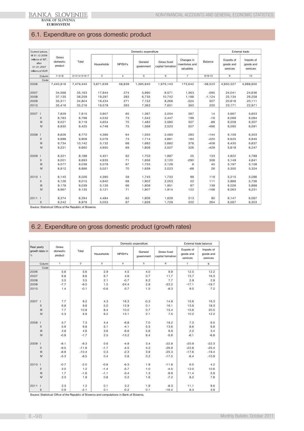## 6.1. Expenditure on gross domestic product

| Current prices,                                                               |                              |               |            | Domestic expenditure |                       |                                  |                                            | External trade |                                     |                                     |
|-------------------------------------------------------------------------------|------------------------------|---------------|------------|----------------------|-----------------------|----------------------------------|--------------------------------------------|----------------|-------------------------------------|-------------------------------------|
| till 31.12.2006<br>millions of SIT.<br>after<br>01.01.2007<br>millions of EUR | Gross<br>domestic<br>product | Total         | Households | NPISH's              | General<br>government | Gross fixed<br>capital formation | Changes in<br>inventories and<br>valuables | Balance        | Exports of<br>goods and<br>services | Imports of<br>goods and<br>services |
| Column                                                                        | $1 = 2 + 8$                  | $2=3+4+5+6+7$ | 3          | $\overline{4}$       | 5                     | 6                                | $\overline{7}$                             | $8 = 9 - 10$   | 9                                   | 10 <sup>1</sup>                     |
| Code                                                                          |                              |               |            |                      |                       |                                  |                                            |                |                                     |                                     |
| 2006                                                                          | 7,440,916                    | 7,479,440     | 3.871.639  | 58,839               | 1,395,840             | 1,975,143                        | 175,642                                    | $-38,523$      | 4,950,327                           | 4,988,850                           |
| 2007                                                                          | 34.568                       | 35.163        | 17.944     | 274                  | 5.990                 | 9.571                            | 1.363                                      | $-595$         | 24,041                              | 24,636                              |
| 2008                                                                          | 37.135                       | 38.259        | 19.297     | 283                  | 6.735                 | 10.742                           | 1.188                                      | $-1.124$       | 25.134                              | 26,258                              |
| 2009                                                                          | 35,311                       | 34.804        | 19.434     | 271                  | 7.152                 | 8,268                            | $-324$                                     | 507            | 20,618                              | 20,111                              |
| 2010                                                                          | 35,416                       | 35,216        | 19,578     | 263                  | 7,363                 | 7.651                            | 360                                        | 200            | 23,171                              | 22,971                              |
| 2007                                                                          | 7.829                        | 7.815         | 3.907      | 65                   | 1.397                 | 2.054                            | 387                                        | 14             | 5.667                               | 5,653                               |
| $\mathbf{II}$                                                                 | 8.783                        | 8.798         | 4.532      | 73                   | 1,542                 | 2.447                            | 199                                        | $-16$          | 6.069                               | 6,084                               |
| III                                                                           | 9,021                        | 9.119         | 4.654      | 70                   | 1,482                 | 2,580                            | 327                                        | $-98$          | 6,209                               | 6,307                               |
| IV                                                                            | 8,930                        | 9,425         | 4,748      | 75                   | 1,568                 | 2,523                            | 507                                        | $-496$         | 6,095                               | 6,591                               |
| 2008                                                                          | 8.626                        | 8.770         | 4.386      | 64                   | 1,555                 | 2,480                            | 283                                        | $-144$         | 6,159                               | 6,303                               |
| $\mathbf{II}$                                                                 | 9.688                        | 9.908         | 5.076      | 73                   | 1.714                 | 2.861                            | 183                                        | $-220$         | 6,625                               | 6,845                               |
| III                                                                           | 9.734                        | 10,142        | 5.132      | 68                   | 1,682                 | 2.882                            | 378                                        | $-408$         | 6,430                               | 6,837                               |
| IV                                                                            | 9,231                        | 9,660         | 4,950      | 69                   | 1,808                 | 2,507                            | 326                                        | $-429$         | 5,818                               | 6,247                               |
| 2009                                                                          | 8,321                        | 8,188         | 4,401      | 62                   | 1,703                 | 1,997                            | 25                                         | 133            | 4,922                               | 4,789                               |
| $\mathbf{II}$                                                                 | 9,001                        | 8,693         | 4.935      | 71                   | 1,856                 | 2,120                            | $-290$                                     | 308            | 5,149                               | 4,841                               |
| III                                                                           | 9,077                        | 9,038         | 5,078      | 67                   | 1,755                 | 2,128                            | 9                                          | 40             | 5,197                               | 5,158                               |
| IV                                                                            | 8,912                        | 8.886         | 5.021      | 70                   | 1.839                 | 2.023                            | $-68$                                      | 26             | 5.350                               | 5,324                               |
| 2010                                                                          | 8.145                        | 8.026         | 4.390      | 59                   | 1.745                 | 1.733                            | 99                                         | 119            | 5.215                               | 5,096                               |
| $\mathbf{II}$                                                                 | 9.126                        | 9.015         | 4.940      | 68                   | 1.902                 | 2.053                            | 52                                         | 111            | 5.866                               | 5.756                               |
| III                                                                           | 9.178                        | 9.039         | 5.126      | 66                   | 1.808                 | 1.951                            | 87                                         | 139            | 6.026                               | 5,888                               |
| IV                                                                            | 8,967                        | 9,135         | 5,121      | 71                   | 1.907                 | 1,914                            | 122                                        | $-168$         | 6,063                               | 6,231                               |
| $2011$                                                                        | 8.374                        | 8,294         | 4,484      | 62                   | 1.806                 | 1,629                            | 313                                        | 80             | 6.147                               | 6.067                               |
| $\mathbf{I}$                                                                  | 9.242                        | 8.978         | 5.053      | 67                   | 1.926                 | 1.729                            | 202                                        | 264            | 6.567                               | 6,303                               |

Source: Statistical Office of the Republic of Slovenia.

## 6.2. Expenditure on gross domestic product (growth rates)

|                              |                 |                              |                |                                                                                              |                | External trade balance |                                  |                                     |                                     |
|------------------------------|-----------------|------------------------------|----------------|----------------------------------------------------------------------------------------------|----------------|------------------------|----------------------------------|-------------------------------------|-------------------------------------|
| Real yearly<br>$\frac{0}{0}$ | growth rates in | Gross<br>domestic<br>product | Total          | Households                                                                                   | NPISH's        | General<br>government  | Gross fixed<br>capital formation | Exports of<br>goods and<br>services | Imports of<br>goods and<br>services |
|                              | Column          | $\overline{1}$               | $\overline{2}$ | $\overline{\mathbf{3}}$                                                                      | $\overline{4}$ | $\overline{5}$         | $\overline{6}$                   | $\overline{7}$                      | $\overline{8}$                      |
|                              | Code            |                              |                |                                                                                              |                |                        |                                  |                                     |                                     |
| 2006                         |                 | 5.8                          | 5.6            | 2.9                                                                                          | 4.5            | 4.0                    | 9.9                              | 12.5                                | 12.2                                |
| 2007                         |                 | 6.8                          | 8.6            | 6.7                                                                                          | 4.6            | 0.7                    | 11.7                             | 13.7                                | 16.3                                |
| 2008                         |                 | 3.5                          | 3.5            | 2.1                                                                                          | $-0.7$         | 6.2                    | 7.7                              | 2.9                                 | 2.9                                 |
| 2009                         |                 | $-7.7$                       | $-9.0$         | 1.5                                                                                          | $-24.4$        | 2.8                    | $-22.2$                          | $-17.1$                             | $-18.7$                             |
| 2010                         |                 | 1.4                          | $-0.1$         | $-0.6$                                                                                       | $-3.7$         | 1.5                    | $-8.3$                           | 9.5                                 | 7.2                                 |
|                              |                 |                              |                |                                                                                              |                |                        |                                  |                                     |                                     |
| 2007                         |                 | 7.7                          | 8.2            | 4.3                                                                                          | 16.3           | $-0.3$                 | 14.9                             | 15.6                                | 16.3                                |
|                              | $\mathbf{H}$    | 6.8                          | 9.6            | 5.0                                                                                          | 12.9           | 0.1                    | 16.1                             | 13.9                                | 18.3                                |
|                              | III             | 7.7                          | 10.9           | 8.4                                                                                          | 10.0           | 0.7                    | 15.4                             | 15.6                                | 20.5                                |
|                              | IV              | 5.3                          | 6.9            | 6.2                                                                                          | 13.1           | 2.1                    | 7.5                              | 10.2                                | 12.2                                |
|                              |                 |                              |                |                                                                                              |                |                        |                                  |                                     |                                     |
| 2008                         |                 | 5.7                          | 7.3            | 4.4                                                                                          | $-6.8$         | 7.0                    | 18.2                             | 7.3                                 | 9.5                                 |
|                              | $\mathbf{H}$    | 5.9                          | 6.8            | 5.1                                                                                          | $-4.1$         | 5.5                    | 13.6                             | 8.6                                 | 9.8                                 |
|                              | III             | 3.8                          | 4.6            | 3.6                                                                                          | $-6.6$         | 5.6                    | 6.9                              | 2.2                                 | 3.4                                 |
|                              | IV              | $-0.9$                       | $-1.7$         | 2.5                                                                                          | $-13.2$        | 6.4                    | $-5.6$                           | $-6.1$                              | $-6.8$                              |
| 2009                         |                 | $-8.1$                       | $-9.3$         | 0.6                                                                                          | $-4.9$         | 3.4                    | $-22.8$                          | $-20.9$                             | $-22.3$                             |
|                              | $\mathbf{H}$    | $-9.5$                       | $-11.6$        | $-1.7$                                                                                       | $-4.5$         | 4.2                    | $-26.9$                          | $-22.8$                             | $-25.4$                             |
|                              | III             | $-8.9$                       | $-10.4$        | 0.3                                                                                          | $-2.3$         | 3.9                    | $-25.3$                          | $-17.6$                             | $-19.4$                             |
|                              | IV              | $-5.3$                       | $-8.5$         | 0.4                                                                                          | 0.8            | 0.2                    | $-17.5$                          | $-6.4$                              | $-10.9$                             |
|                              |                 |                              |                |                                                                                              |                |                        |                                  |                                     |                                     |
| 2010                         |                 | $-0.7$                       | $-2.0$         | $-0.9$                                                                                       | $-6.3$         | 1.9                    | $-11.8$                          | 6.5                                 | 4.2                                 |
|                              | $\mathbf{H}$    | 2.0                          | 1.2            | $-1.4$                                                                                       | $-5.7$         | 1.0                    | $-4.5$                           | 12.0                                | 10.6                                |
|                              | III             | 1.7                          | $-1.6$         | $-1.1$                                                                                       | $-3.4$         | 1.3                    | $-9.9$                           | 11.4                                | 5.9                                 |
|                              | IV.             | 2.3                          | 1.9            | 0.8                                                                                          | 0.2            | 1.6                    | $-7.2$                           | 8.2                                 | 7.8                                 |
|                              |                 |                              |                |                                                                                              |                |                        |                                  |                                     |                                     |
| 2011                         |                 | 2.3                          | 1.2            | 0.1                                                                                          | 3.2            | 1.9                    | $-8.3$                           | 11.1                                | 9.6                                 |
|                              | $\rm{II}$       | 0.9                          | $-2.1$         | 0.1                                                                                          | $-0.2$         | 0.1                    | $-16.4$                          | 8.3                                 | 3.9                                 |
|                              |                 |                              |                | Source: Statistical Office of the Republic of Slovenia and computations in Bank of Slovenia. |                |                        |                                  |                                     |                                     |

II.-98 Monthly Bulletin, October 2011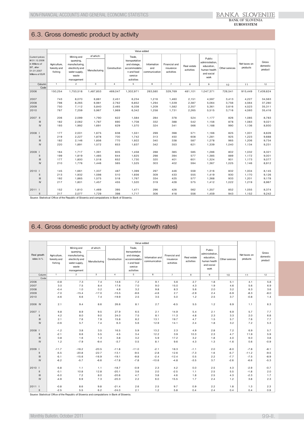## 6.3. Gross domestic product by activity

| Value added                                                                                       |      |                                         |                                                                                                       |                            |                |                                                                                                 |                                     |                                          |                           |                                                                               |                |                          |                              |
|---------------------------------------------------------------------------------------------------|------|-----------------------------------------|-------------------------------------------------------------------------------------------------------|----------------------------|----------------|-------------------------------------------------------------------------------------------------|-------------------------------------|------------------------------------------|---------------------------|-------------------------------------------------------------------------------|----------------|--------------------------|------------------------------|
| Current prices<br>till 31.12.2006<br>in Milions of<br>SIT, after<br>01.01.2007<br>Millions of EUR |      | Agriculture,<br>forestry and<br>fishina | Mining and<br>quarrying,<br>manufacturing,<br>electricity and<br>water supply,<br>waste<br>management | of which:<br>Manufacturing | Construction   | Trade.<br>transportation<br>and storage,<br>accommodatio<br>n and food<br>service<br>activities | Information<br>and<br>communication | Financial and<br>insurance<br>activities | Real estate<br>activities | Public<br>administration.<br>education.<br>human health<br>and social<br>work | Other services | Net taxes on<br>products | Gross<br>domestic<br>product |
| Column                                                                                            |      | $\overline{1}$                          | $\overline{2}$                                                                                        | 3                          | $\overline{4}$ | 5                                                                                               | 6                                   | $\overline{7}$                           | 8                         | $\overline{9}$                                                                | 10             | 11                       | 12                           |
|                                                                                                   | Code |                                         |                                                                                                       |                            |                |                                                                                                 |                                     |                                          |                           |                                                                               |                |                          |                              |
| 2006                                                                                              |      | 150,254                                 | 1,753,518                                                                                             | 1,487,853                  | 469,047        | 1,302,971                                                                                       | 263,580                             | 329,769                                  | 481,101                   | 1,047,371                                                                     | 726,541        | 915,449                  | 7,439,624                    |
| 2007                                                                                              |      | 743                                     | 8,070                                                                                                 | 6,881                      | 2,451          | 6,234                                                                                           | 1,216                               | 1,460                                    | 2,151                     | 4,597                                                                         | 3,413          | 4,227                    | 34,563                       |
| 2008                                                                                              |      | 798                                     | 8,265                                                                                                 | 6,981                      | 2,762          | 6,852                                                                                           | 1,294                               | 1,539                                    | 2,387                     | 5,064                                                                         | 3,756          | 4,564                    | 37,280                       |
| 2009                                                                                              |      | 750                                     | 7,112                                                                                                 | 5,840                      | 2,465          | 6,338                                                                                           | 1,209                               | 1,582                                    | 2,357                     | 5,361                                                                         | 3,616          | 4,523                    | 35,311                       |
| 2010                                                                                              |      | 767                                     | 7,259                                                                                                 | 5.967                      | 1,969          | 6,342                                                                                           | 1,258                               | 1,731                                    | 2,265                     | 5,515                                                                         | 3,716          | 4,593                    | 35,416                       |
| 2007 II                                                                                           |      | 206                                     | 2.099                                                                                                 | 1.790                      | 622            | 1,584                                                                                           | 284                                 | 378                                      | 524                       | 1.177                                                                         | 826            | 1.085                    | 8.783                        |
| $\mathbf{III}$                                                                                    |      | 182                                     | 2.062                                                                                                 | 1.787                      | 690            | 1,708                                                                                           | 332                                 | 388                                      | 542                       | 1.156                                                                         | 878            | 1.083                    | 9.021                        |
| IV                                                                                                |      | 193                                     | 1,992                                                                                                 | 1,691                      | 629            | 1,570                                                                                           | 324                                 | 341                                      | 566                       | 1,188                                                                         | 990            | 1,136                    | 8,930                        |
| 2008                                                                                              |      | 177                                     | 2,001                                                                                                 | 1.675                      | 638            | 1,551                                                                                           | 299                                 | 398                                      | 571                       | 1.166                                                                         | 825            | 1.001                    | 8,626                        |
| $\mathbf{I}$                                                                                      |      | 219                                     | 2,227                                                                                                 | 1,878                      | 700            | 1,742                                                                                           | 313                                 | 450                                      | 608                       | 1,281                                                                         | 925            | 1,223                    | 9,688                        |
| $\mathbf{H}$                                                                                      |      | 182                                     | 2,146                                                                                                 | 1,856                      | 770            | 1,922                                                                                           | 340                                 | 338                                      | 587                       | 1,278                                                                         | 965            | 1,206                    | 9,734                        |
| IV.                                                                                               |      | 220                                     | 1,891                                                                                                 | 1,572                      | 653            | 1,637                                                                                           | 342                                 | 353                                      | 621                       | 1,339                                                                         | 1,040          | 1,134                    | 9,231                        |
| 2009                                                                                              |      | 164                                     | 1.717                                                                                                 | 1.391                      | 605            | 1.458                                                                                           | 288                                 | 385                                      | 585                       | 1.286                                                                         | 802            | 1.032                    | 8,321                        |
| $\mathbf{H}$                                                                                      |      | 199                                     | 1.819                                                                                                 | 1.485                      | 644            | 1,625                                                                                           | 298                                 | 394                                      | 577                       | 1,385                                                                         | 889            | 1.172                    | 9,001                        |
| $\mathbf{III}$                                                                                    |      | 177                                     | 1.800                                                                                                 | 1.518                      | 652            | 1.730                                                                                           | 320                                 | 401                                      | 601                       | 1.324                                                                         | 901            | 1.173                    | 9,077                        |
| IV                                                                                                |      | 210                                     | 1,776                                                                                                 | 1,446                      | 565            | 1,525                                                                                           | 303                                 | 402                                      | 594                       | 1,367                                                                         | 1,025          | 1,146                    | 8,912                        |
| 2010<br>- 1                                                                                       |      | 145                                     | 1,661                                                                                                 | 1,337                      | 487            | 1,399                                                                                           | 297                                 | 446                                      | 559                       | 1,316                                                                         | 832            | 1.004                    | 8,145                        |
| $\mathbf{I}$                                                                                      |      | 213                                     | 1,932                                                                                                 | 1,598                      | 510            | 1,656                                                                                           | 309                                 | 433                                      | 555                       | 1,419                                                                         | 930            | 1,170                    | 9,126                        |
| $\mathbf{H}$                                                                                      |      | 192                                     | 1,865                                                                                                 | 1,575                      | 518            | 1,767                                                                                           | 334                                 | 425                                      | 577                       | 1,368                                                                         | 933            | 1,201                    | 9,178                        |
| IV.                                                                                               |      | 217                                     | 1,801                                                                                                 | 1,457                      | 455            | 1,520                                                                                           | 319                                 | 428                                      | 575                       | 1,412                                                                         | 1,022          | 1,219                    | 8,967                        |
| $2011$ $1$                                                                                        |      | 152                                     | 1.810                                                                                                 | 1.469                      | 395            | 1.471                                                                                           | 296                                 | 426                                      | 562                       | 1.357                                                                         | 852            | 1.055                    | 8,374                        |
| $\mathbf{I}$                                                                                      |      | 217                                     | 2,077                                                                                                 | 1,729                      | 398            | 1,717                                                                                           | 306                                 | 418                                      | 556                       | 1,459                                                                         | 943            | 1,152                    | 9,242                        |

Source: Statistical Office of the Republic of Slovenia and computations in Bank of Slovenia.

### 6.4. Gross domestic product by activity (growth rates)

|                           |                                    | Value added                             |                                                                  |                                     |                |                                                                                                 |                                  |                                          |                           |                                                                               |                |                          |                              |
|---------------------------|------------------------------------|-----------------------------------------|------------------------------------------------------------------|-------------------------------------|----------------|-------------------------------------------------------------------------------------------------|----------------------------------|------------------------------------------|---------------------------|-------------------------------------------------------------------------------|----------------|--------------------------|------------------------------|
|                           |                                    | Agriculture,<br>forestry and<br>fishing | Mining and<br>quarrying,                                         | of which:<br>Manufacturing<br>waste | Construction   | Trade,<br>transportation<br>and storage.<br>accommodatio<br>n and food<br>service<br>activities | Information and<br>communication | Financial and<br>insurance<br>activities | Real estate<br>activities | Public<br>administration,<br>education,<br>human health<br>and social<br>work | Other services | Net taxes on<br>products | Gross<br>domestic<br>product |
| Real growth<br>rates in % |                                    |                                         | manufacturing,<br>electricity and<br>water supply,<br>management |                                     |                |                                                                                                 |                                  |                                          |                           |                                                                               |                |                          |                              |
|                           | Column                             | $\mathbf{1}$                            | $\overline{2}$                                                   | $\overline{\mathbf{3}}$             | $\overline{4}$ | $\overline{5}$                                                                                  | $6\overline{6}$                  | $\overline{7}$                           | 8                         | $\mathsf g$                                                                   | 10             | 11                       | 12                           |
|                           | Code                               |                                         |                                                                  |                                     |                |                                                                                                 |                                  |                                          |                           |                                                                               |                |                          |                              |
| 2006                      |                                    | $-0.8$                                  | 7.3                                                              | 7.4                                 | 14.6           | 7.2                                                                                             | 9.1                              | 5.6                                      | 2.7                       | 1.8                                                                           | 5.1            | 4.1                      | 5.8                          |
| 2007                      |                                    | 3.0                                     | 7.5                                                              | 8.4                                 | 17.6           | 7.0                                                                                             | 9.0                              | 15.0                                     | 4.3                       | 1.9                                                                           | 4.6            | 5.6                      | 6.9                          |
| 2008                      |                                    | $-0.4$                                  | 1.0                                                              | 0.2                                 | 4.8            | 3.2                                                                                             | 9.8                              | 8.3                                      | 5.6                       | 2.0                                                                           | 3.2            | 6.3                      | 3.6                          |
| 2009                      |                                    | $-7.0$                                  | $-15.4$                                                          | $-17.0$                             | $-15.5$        | $-9.6$                                                                                          | $-4.6$                           | 2.7                                      | $-2.9$                    | 2.4                                                                           | $-5.9$         | $-8.3$                   | $-8.0$                       |
| 2010                      |                                    | $-4.6$                                  | 6.6                                                              | 7.4                                 | $-19.9$        | 2.5                                                                                             | 3.5                              | $5.0$                                    | 1.2                       | 2.5                                                                           | 3.7            | $-0.8$                   | 1.4                          |
| 2006 IV                   |                                    | 2.1                                     | 9.4                                                              | 8.6                                 | 26.6           | 8.1                                                                                             | 2.7                              | $-6.5$                                   | 5.5                       | 1.2                                                                           | 6.9            | 1.1                      | 6.3                          |
| 2007                      |                                    | 6.8                                     | 8.9                                                              | 9.5                                 | 27.9           | 6.5                                                                                             | 2.1                              | 14.9                                     | 5.4                       | 2.1                                                                           | 6.9            | 5.7                      | 7.7                          |
|                           | $\mathbf{H}$                       | 4.2                                     | 8.0                                                              | 9.0                                 | 24.0           | 7.5                                                                                             | 8.1                              | 11.3                                     | 4.8                       | 2.3                                                                           | 3.3            | 2.0                      | 6.8                          |
|                           | $\ensuremath{\mathsf{III}}\xspace$ | 2.1                                     | 7.6                                                              | 7.9                                 | 15.8           | 8.2                                                                                             | 13.1                             | 19.7                                     | 4.7                       | 1.5                                                                           | 5.7            | 7.6                      | 7.7                          |
|                           | IV                                 | $-0.6$                                  | 5.7                                                              | 7.4                                 | 6.3            | 5.6                                                                                             | 12.9                             | 14.1                                     | 2.4                       | 1.8                                                                           | 3.2            | 7.2                      | 5.3                          |
| 2008                      | $\blacksquare$                     | $-1.2$                                  | 3.8                                                              | 3.5                                 | 16.5           | 5.9                                                                                             | 13.2                             | 2.3                                      | 4.9                       | 2.8                                                                           | 7.2            | 6.9                      | 5.7                          |
|                           | $\mathbf{H}$                       | $-2.1$                                  | 6.6                                                              | 5.5                                 | 4.5            | 3.4                                                                                             | 12.2                             | 3.9                                      | 10.3                      | 2.3                                                                           | 4.7            | 11.9                     | 5.9                          |
|                           | $\mathbf{III}$                     | 0.8                                     | 1.6                                                              | 1.3                                 | 3.8            | 3.2                                                                                             | 5.9                              | 17.2                                     | 3.2                       | 1.8                                                                           | 4.0            | 6.0                      | 3.8                          |
|                           | IV                                 | 1.2                                     | $-7.9$                                                           | $-9.4$                              | $-3.7$         | 0.5                                                                                             | 8.1                              | 9.6                                      | 4.3                       | 1.3                                                                           | $-1.6$         | 0.6                      | $-0.9$                       |
| 2009                      | $\mathbf{I}$                       | $-11.7$                                 | $-18.2$                                                          | $-20.5$                             | $-11.8$        | $-11.0$                                                                                         | $-2.1$                           | 18.3                                     | $-1.1$                    | 2.0                                                                           | $-8.0$         | $-7.8$                   | $-8.1$                       |
|                           | $\mathbf{H}$                       | $-5.5$                                  | $-20.8$                                                          | $-22.7$                             | $-13.1$        | $-9.5$                                                                                          | $-2.8$                           | 12.6                                     | $-7.3$                    | 1.6                                                                           | $-5.7$         | $-11.2$                  | $-9.5$                       |
|                           | $\mathbf{III}$                     | $-5.1$                                  | $-15.6$                                                          | $-16.9$                             | $-19.1$        | $-9.8$                                                                                          | $-2.4$                           | $-12.4$                                  | 0.5                       | 2.2                                                                           | $-7.7$         | $-7.5$                   | $-8.9$                       |
|                           | IV                                 | $-6.2$                                  | $-5.7$                                                           | $-6.6$                              | $-17.8$        | $-7.8$                                                                                          | $-10.6$                          | $-4.8$                                   | $-3.5$                    | 3.7                                                                           | $-2.6$         | $-6.6$                   | $-5.3$                       |
| $2010$ $\mid$             |                                    | $-5.8$                                  | 1.1                                                              | 1.1                                 | $-18.7$        | $-0.9$                                                                                          | 2.3                              | 4.2                                      | 0.0                       | 2.5                                                                           | 4.3            | $-2.9$                   | $-0.7$                       |
|                           | $\mathbf{H}$                       | $-3.1$                                  | 10.8                                                             | 12.8                                | $-20.1$        | 3.6                                                                                             | 2.0                              | $-2.5$                                   | 1.1                       | 2.5                                                                           | 5.5            | $-1.8$                   | 2.0                          |
|                           | $\mathbf{III}$                     | $-5.0$                                  | 7.2                                                              | 8.0                                 | $-20.6$        | 4.7                                                                                             | 3.8                              | 4.6                                      | 1.8                       | 2.5                                                                           | 4.3            | $-2.3$                   | 1.7                          |
|                           | IV                                 | $-4.9$                                  | 6.9                                                              | 7.3                                 | $-20.3$        | 2.2                                                                                             | 6.0                              | 15.5                                     | 1.7                       | 2.4                                                                           | 1.2            | 3.8                      | 2.3                          |
| 2011                      |                                    | $-0.8$                                  | 8.6                                                              | 9.8                                 | $-21.4$        | 2.6                                                                                             | 2.5                              | 9.7                                      | 0.9                       | 2.2                                                                           | 1.8            | 1.3                      | 2.3                          |
|                           | $\mathbf{II}$                      | $-2.5$                                  | 5.5                                                              | 6.2                                 | $-24.0$        | 2.1                                                                                             | 1.2                              | 5.8                                      | 0.4                       | 2.4                                                                           | 0.4            | 0.4                      | 0.9                          |

Source: Statistical Office of the Republic of Slovenia and computations in Bank of Slovenia.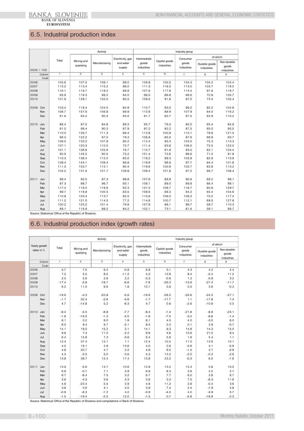## 6.5. Industrial production index

|              |      |              |                         | Activity      |                     | Industry group      |                             |                     |                             |                                    |  |  |
|--------------|------|--------------|-------------------------|---------------|---------------------|---------------------|-----------------------------|---------------------|-----------------------------|------------------------------------|--|--|
|              |      |              |                         |               | Electricity, gas    | Intermediate        |                             | Consumer            | of which                    |                                    |  |  |
| $2005 = 100$ |      | Total        | Mining and<br>quarrying | Manufacturing | and water<br>supply | goods<br>industries | Capital goods<br>industries | goods<br>industries | Durable goods<br>industries | Non-durable<br>goods<br>industries |  |  |
| Column       |      | $\mathbf{1}$ | $\overline{c}$          | 3             | $\overline{4}$      | 5                   | 6                           | $\overline{7}$      | 8                           | 9                                  |  |  |
|              | Code |              |                         |               |                     |                     |                             |                     |                             |                                    |  |  |
| 2006         |      | 105.6        | 107.5                   | 106.1         | 99.0                | 106.8               | 105.0                       | 104.3               | 104.2                       | 104.4                              |  |  |
| 2007         |      | 113.2        | 113.4                   | 115.2         | 88.0                | 111.3               | 118.5                       | 113.0               | 103.7                       | 116.0                              |  |  |
| 2008         |      | 116.1        | 119.7                   | 118.2         | 89.9                | 107.6               | 117.8                       | 114.4               | 97.6                        | 119.7                              |  |  |
| 2009         |      | 95.9         | 116.3                   | 96.2          | 84.0                | 99.5                | 86.8                        | 96.6                | 70.9                        | 105.7                              |  |  |
| 2010         |      | 101.9        | 129.1                   | 102.5         | 85.5                | 109.5               | 91.8                        | 97.0                | 73.4                        | 105.4                              |  |  |
|              |      |              |                         |               |                     |                     |                             |                     |                             |                                    |  |  |
| 2009 Oct     |      | 103.4        | 119.4                   | 104.5         | 84.9                | 110.7               | 93.0                        | 99.2                | 82.2                        | 104.8                              |  |  |
|              | Nov  | 106.7        | 157.6                   | 106.8         | 89.9                | 113.6               | 89.9                        | 107.9               | 84.0                        | 116.2                              |  |  |
|              | Dec  | 91.6         | 94.2                    | 90.5          | 93.5                | 91.7                | 82.7                        | 97.5                | 62.9                        | 110.2                              |  |  |
|              |      |              |                         |               |                     |                     |                             |                     |                             |                                    |  |  |
| 2010 Jan     |      | 86.4         | 97.5                    | 84.8          | 89.3                | 93.7                | 79.3                        | 80.0                | 65.4                        | 84.9                               |  |  |
|              | Feb  | 91.0         | 99.4                    | 90.3          | 87.9                | 97.2                | 82.2                        | 87.5                | 65.0                        | 95.5                               |  |  |
|              | Mar  | 110.0        | 126.7                   | 111.3         | 89.4                | 113.8               | 100.9                       | 110.1               | 78.6                        | 121.5                              |  |  |
|              | Apr  | 96.2         | 122.2                   | 97.0          | 79.3                | 106.8               | 85.5                        | 87.6                | 69.8                        | 93.7                               |  |  |
|              | May  | 106.0        | 133.2                   | 107.8         | 80.2                | 112.4               | 95.3                        | 103.2               | 75.3                        | 113.3                              |  |  |
|              | Jun  | 107.1        | 120.3                   | 110.0         | 75.7                | 111.4               | 93.8                        | 109.5               | 75.5                        | 122.0                              |  |  |
|              | Jul  | 101.1        | 136.6                   | 102.6         | 76.7                | 110.7               | 91.8                        | 93.0                | 62.1                        | 104.4                              |  |  |
|              | Aug  | 90.5         | 145.0                   | 90.5          | 75.2                | 101.4               | 72.6                        | 86.6                | 71.0                        | 91.8                               |  |  |
|              | Sep  | 110.3        | 138.4                   | 112.0         | 85.0                | 118.2               | 99.3                        | 105.9               | 82.9                        | 113.9                              |  |  |
|              | Oct  | 108.4        | 144.1                   | 109.4         | 86.8                | 119.9               | 98.6                        | 97.7                | 84.4                        | 101.8                              |  |  |
|              | Nov  | 111.3        | 153.7                   | 112.1         | 90.4                | 119.6               | 100.9                       | 105.7               | 83.8                        | 113.2                              |  |  |
|              | Dec  | 104.2        | 131.6                   | 101.7         | 109.8               | 109.4               | 101.9                       | 97.2                | 66.7                        | 108.4                              |  |  |
|              |      |              |                         |               |                     |                     |                             |                     |                             |                                    |  |  |
| 2011         | Jan  | 98.4         | 92.0                    | 97.3          | 98.8                | 107.6               | 89.9                        | 90.6                | 69.2                        | 98.1                               |  |  |
|              | Feb  | 97.3         | 98.7                    | 96.7          | 93.1                | 106.1               | 89.0                        | 89.8                | 66.4                        | 98.1                               |  |  |
|              | Mar  | 117.4        | 116.0                   | 119.6         | 92.3                | 121.0               | 108.7                       | 116.7               | 80.8                        | 129.7                              |  |  |
|              | Apr  | 99.7         | 116.9                   | 100.5         | 83.5                | 108.6               | 88.3                        | 94.2                | 65.4                        | 104.6                              |  |  |
|              | May  | 110.9        | 103.4                   | 113.7         | 82.5                | 115.6               | 106.0                       | 106.2               | 75.0                        | 117.4                              |  |  |
|              | Jun  | 111.2        | 121.0                   | 114.5         | 77.2                | 114.6               | 100.7                       | 112.1               | 69.5                        | 127.8                              |  |  |
|              | Jul  | 100.2        | 125.2                   | 101.4         | 79.8                | 107.9               | 88.1                        | 96.7                | 59.7                        | 110.3                              |  |  |
|              | Aug  | 89.1         | 116.9                   | 88.2          | 84.2                | 102.1               | 73.1                        | 81.6                | 59.1                        | 89.7                               |  |  |

Source: Statistical Office of the Republic of Slovenia.

## 6.6. Industrial production index (growth rates)

| Yearly growth<br>rates in % |      |              |                         | Activity      |                                         | Industry group                      |                             |                                 |                                         |                                    |  |
|-----------------------------|------|--------------|-------------------------|---------------|-----------------------------------------|-------------------------------------|-----------------------------|---------------------------------|-----------------------------------------|------------------------------------|--|
|                             |      | Total        | Mining and<br>quarrying | Manufacturing | Electricity, gas<br>and water<br>supply | Intermediate<br>goods<br>industries | Capital goods<br>industries | Consumer<br>goods<br>industries | of which<br>Durable goods<br>industries | Non-durable<br>goods<br>industries |  |
| Column                      |      | $\mathbf{1}$ | $\overline{c}$          | 3             | $\overline{4}$                          | 5                                   | 6                           | $\overline{7}$                  | 8                                       | 9                                  |  |
|                             | Code |              |                         |               |                                         |                                     |                             |                                 |                                         |                                    |  |
| 2006                        |      | 5.7          | 7.5                     | 6.2           | $-0.9$                                  | 6.8                                 | 5.1                         | 4.3                             | 4.2                                     | 4.4                                |  |
| 2007                        |      | 7.2          | 5.5                     | 8.5           | $-11.2$                                 | 4.2                                 | 12.9                        | 8.4                             | $-0.4$                                  | 11.2                               |  |
| 2008                        |      | 2.5          | 5.6                     | 2.6           | 2.2                                     | $-3.3$                              | $-0.6$                      | 1.2                             | $-5.9$                                  | 3.2                                |  |
| 2009                        |      | $-17.4$      | $-2.9$                  | $-18.7$       | $-6.6$                                  | $-7.6$                              | $-26.3$                     | $-15.6$                         | $-27.4$                                 | $-11.7$                            |  |
| 2010                        |      | 6.2          | 11.0                    | 6.6           | 1.8                                     | 10.1                                | 5.8                         | 0.5                             | 3.6                                     | $-0.3$                             |  |
|                             |      |              |                         |               |                                         |                                     |                             |                                 |                                         |                                    |  |
| 2009                        | Oct  | $-19.6$      | $-4.3$                  | $-20.8$       | $-5.6$                                  | $-19.6$                             | $-28.2$                     | $-26.6$                         | $-24.3$                                 | $-27.1$                            |  |
|                             | Nov  | $-1.7$       | 32.4                    | $-2.6$        | $-4.6$                                  | $-1.7$                              | $-17.7$                     | 1.1                             | $-17.8$                                 | 7.4                                |  |
|                             | Dec  | 4.7          | $-14.8$                 | 5.2           | $-6.3$                                  | 4.7                                 | 0.6                         | $-2.6$                          | $-10.9$                                 | 0.5                                |  |
|                             |      |              |                         |               |                                         |                                     |                             |                                 |                                         |                                    |  |
| 2010 Jan                    |      | $-8.4$       | $-5.5$                  | $-8.8$        | $-7.7$                                  | $-8.4$                              | $-1.4$                      | $-21.8$                         | $-8.8$                                  | $-25.1$                            |  |
|                             | Feb  | $-1.6$       | $-16.5$                 | $-1.3$        | $-2.0$                                  | $-1.6$                              | $-7.5$                      | $-3.2$                          | $-8.8$                                  | $-1.4$                             |  |
|                             | Mar  | 8.1          | 0.2                     | 9.0           | 1.9                                     | 8.1                                 | 4.5                         | 4.0                             | $-3.0$                                  | 6.0                                |  |
|                             | Apr  | 8.5          | 9.4                     | 9.7           | $-2.1$                                  | 8.5                                 | 2.2                         | 0.1                             | 2.9                                     | $-0.7$                             |  |
|                             | May  | 14.1         | 19.0                    | 15.2          | 3.1                                     | 14.1                                | 9.3                         | 14.8                            | 14.3                                    | 15.0                               |  |
|                             | Jun  | 9.6          | 7.4                     | 11.0          | $-2.2$                                  | 9.6                                 | 4.6                         | 10.6                            | 21.0                                    | 8.4                                |  |
|                             | Jul  | 6.4          | 15.9                    | 7.3           | $-3.6$                                  | 6.4                                 | 5.6                         | 1.9                             | 5.4                                     | 1.1                                |  |
|                             | Aug  | 12.4         | 37.4                    | 13.1          | 1.1                                     | 12.4                                | 10.5                        | 11.0                            | 13.6                                    | 10.1                               |  |
|                             | Sep  | 4.0          | 19.1                    | 2.9           | 13.6                                    | 4.0                                 | 2.6                         | $-3.6$                          | 4.1                                     | $-5.6$                             |  |
|                             | Oct  | 4.8          | 20.7                    | 4.7           | 2.2                                     | 4.8                                 | 6.0                         | $-1.5$                          | 2.7                                     | $-2.9$                             |  |
|                             | Nov  | 4.3          | $-2.5$                  | 5.0           | 0.6                                     | 4.3                                 | 12.2                        | $-2.0$                          | $-0.2$                                  | $-2.6$                             |  |
|                             | Dec  | 13.8         | 39.7                    | 12.4          | 17.4                                    | 13.8                                | 23.2                        | $-0.3$                          | 6.0                                     | $-1.6$                             |  |
|                             |      |              |                         |               |                                         |                                     |                             |                                 |                                         |                                    |  |
| 2011                        | Jan  | 13.9         | $-5.6$                  | 14.7          | 10.6                                    | 13.9                                | 13.4                        | 13.3                            | 5.8                                     | 15.5                               |  |
|                             | Feb  | 6.9          | $-0.7$                  | 7.1           | 5.9                                     | 6.9                                 | 8.3                         | 2.6                             | 2.2                                     | 2.7                                |  |
|                             | Mar  | 6.7          | $-8.4$                  | 7.5           | 3.2                                     | 6.7                                 | 7.7                         | 6.0                             | 2.8                                     | 6.7                                |  |
|                             | Apr  | 3.6          | $-4.3$                  | 3.6           | 5.3                                     | 3.6                                 | 3.3                         | 7.5                             | $-6.3$                                  | 11.6                               |  |
|                             | May  | 4.6          | $-22.4$                 | 5.5           | 2.9                                     | 4.6                                 | 11.2                        | 2.9                             | $-0.4$                                  | 3.6                                |  |
|                             | Jun  | 3.8          | 0.6                     | 4.1           | 2.0                                     | 3.8                                 | 7.4                         | 2.4                             | $-7.9$                                  | 4.8                                |  |
|                             | Jul  | $-0.9$       | $-8.3$                  | $-1.2$        | 4.0                                     | $-0.9$                              | $-4.0$                      | 4.0                             | $-3.9$                                  | 5.7                                |  |
|                             | Aug  | $-1.5$       | $-19.4$                 | $-2.5$        | 12.0                                    | $-1.5$                              | 0.7                         | $-5.8$                          | $-16.8$                                 | $-2.3$                             |  |

Source: Statistical Office of the Republic of Slovenia and computations in Bank of Slovenia.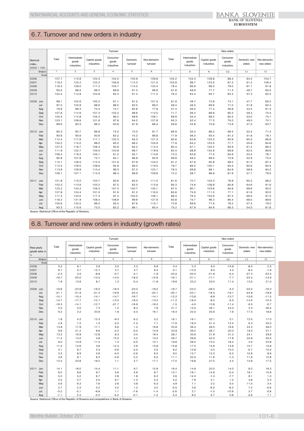# BANKA SLOVENIJE BANK OF SLOVENIA

**EUROSYSTEM**

# 6.7. Turnover and new orders in industry

|                                   |         |              |                                     |                             | Tumover                         |                     |                         |                |                                     |                             | New orders                      |                        |                            |
|-----------------------------------|---------|--------------|-------------------------------------|-----------------------------|---------------------------------|---------------------|-------------------------|----------------|-------------------------------------|-----------------------------|---------------------------------|------------------------|----------------------------|
| Nominal<br>index.<br>$2005 = 100$ |         | Total        | Intermediate<br>goods<br>industries | Capital goods<br>industries | Consumer<br>goods<br>industries | Domestic<br>tumover | Non-domestic<br>tumover | Total          | Intermediate<br>goods<br>industries | Capital goods<br>industries | Consumer<br>goods<br>industries | Domestic new<br>orders | Non-domestic<br>new orders |
|                                   | Stolpec | $\mathbf{1}$ | $\overline{2}$                      | 3                           | $\overline{4}$                  | 5                   | 6                       | $\overline{7}$ | 8                                   | $_{9}$                      | 10                              | 11                     | 12                         |
|                                   | Koda    |              |                                     |                             |                                 |                     |                         |                |                                     |                             |                                 |                        |                            |
| 2006                              |         | 107.7        | 112.6                               | 104.3                       | 104.0                           | 103.9               | 109.8                   | 102.2          | 104.3                               | 109.8                       | 88.4                            | 94.4                   | 104.7                      |
| 2007                              |         | 118.2        | 125.2                               | 122.2                       | 106.9                           | 112.3               | 121.5                   | 102.9          | 98.7                                | 123.5                       | 87.2                            | 91.2                   | 106.4                      |
| 2008                              |         | 118.3        | 129.0                               | 117.2                       | 105.7                           | 114.0               | 120.4                   | 78.4           | 66.9                                | 99.3                        | 79.0                            | 67.1                   | 81.8                       |
| 2009                              |         | 95.0         | 98.5                                | 96.0                        | 89.8                            | 91.0                | 96.9                    | 61.8           | 48.9                                | 77.7                        | 71.3                            | 49.7                   | 65.5                       |
| 2010                              |         | 104.4        | 114.9                               | 102.8                       | 92.4                            | 91.4                | 111.2                   | 76.4           | 63.4                                | 94.7                        | 83.4                            | 57.3                   | 82.2                       |
|                                   |         |              |                                     |                             |                                 |                     |                         |                |                                     |                             |                                 |                        |                            |
| 2009                              | Jun     | 98.1         | 102.6                               | 100.2                       | 91.1                            | 91.5                | 101.5                   | 61.9           | 49.7                                | 73.9                        | 74.1                            | 47.7                   | 66.2                       |
|                                   | Jul     | 97.0         | 102.8                               | 98.6                        | 88.5                            | 92.5                | 99.2                    | 58.4           | 46.5                                | 69.6                        | 71.0                            | 51.8                   | 60.4                       |
|                                   | Aug     | 79.6         | 89.3                                | 70.4                        | 74.7                            | 82.8                | 77.8                    | 57.4           | 46.0                                | 77.4                        | 58.8                            | 44.2                   | 61.4                       |
|                                   | Sep     | 107.8        | 112.6                               | 107.3                       | 102.3                           | 98.6                | 112.5                   | 71.7           | 56.2                                | 88.9                        | 85.2                            | 59.4                   | 75.4                       |
|                                   | Oct     | 105.4        | 112.8                               | 105.2                       | 96.2                            | 99.9                | 108.1                   | 69.9           | 55.4                                | 88.2                        | 80.2                            | 53.0                   | 75.1                       |
|                                   | Nov     | 103.1        | 108.6                               | 101.6                       | 97.8                            | 94.2                | 107.8                   | 65.3           | 52.4                                | 77.3                        | 79.2                            | 49.5                   | 70.1                       |
|                                   | Dec     | 89.6         | 82.5                                | 96.2                        | 93.8                            | 91.9                | 88.4                    | 59.8           | 44.8                                | 75.8                        | 73.9                            | 47.2                   | 63.7                       |
|                                   |         |              |                                     |                             |                                 |                     |                         |                |                                     |                             |                                 |                        |                            |
| 2010                              | Jan     | 85.3         | 90.7                                | 89.9                        | 75.0                            | 73.3                | 91.7                    | 66.9           | 55.4                                | 86.2                        | 69.4                            | 52.4                   | 71.4                       |
|                                   | Feb     | 90.6         | 95.6                                | 93.6                        | 82.2                            | 75.2                | 98.8                    | 71.9           | 56.0                                | 93.4                        | 81.2                            | 51.6                   | 78.1                       |
|                                   | Mar     | 112.4        | 117.6                               | 117.1                       | 102.3                           | 95.3                | 121.3                   | 80.6           | 63.8                                | 103.2                       | 90.9                            | 60.5                   | 86.8                       |
|                                   | Apr     | 100.2        | 115.0                               | 98.0                        | 83.2                            | 89.2                | 105.9                   | 77.9           | 64.2                                | 103.5                       | 77.7                            | 55.9                   | 84.6                       |
|                                   | May     | 107.5        | 118.7                               | 108.4                       | 92.8                            | 94.4                | 114.4                   | 80.4           | 67.1                                | 102.2                       | 83.9                            | 61.2                   | 86.3                       |
|                                   | Jun     | 111.9        | 122.7                               | 105.0                       | 103.9                           | 96.7                | 119.9                   | 83.4           | 68.9                                | 104.9                       | 89.8                            | 62.5                   | 89.9                       |
|                                   | Jul     | 106.4        | 119.2                               | 105.1                       | 91.2                            | 92.7                | 113.6                   | 72.3           | 63.8                                | 77.5                        | 84.6                            | 53.4                   | 78.1                       |
|                                   | Aug     | 90.9         | 107.8                               | 72.7                        | 84.1                            | 86.8                | 92.9                    | 69.8           | 58.2                                | 89.0                        | 72.8                            | 52.9                   | 75.0                       |
|                                   | Sep     | 115.1        | 128.5                               | 110.5                       | 101.9                           | 97.9                | 124.2                   | 81.2           | 67.8                                | 90.8                        | 99.0                            | 61.0                   | 87.4                       |
|                                   | Oct     | 112.5        | 129.0                               | 108.6                       | 94.9                            | 99.3                | 119.5                   | 79.7           | 66.5                                | 100.1                       | 84.5                            | 60.6                   | 85.5                       |
|                                   | Nov     | 113.6        | 126.9                               | 110.4                       | 99.3                            | 97.3                | 122.1                   | 78.3           | 69.8                                | 88.1                        | 84.9                            | 58.8                   | 84.2                       |
|                                   | Dec     | 106.1        | 107.1                               | 114.5                       | 98.4                            | 98.9                | 109.8                   | 74.2           | 58.7                                | 96.9                        | 81.6                            | 57.1                   | 79.5                       |
|                                   |         |              |                                     |                             |                                 |                     |                         |                |                                     |                             |                                 |                        |                            |
| 2011                              | Jan     | 101.8        | 115.0                               | 103.7                       | 83.6                            | 83.5                | 111.5                   | 81.6           | 70.7                                | 104.3                       | 78.8                            | 60.2                   | 88.2                       |
|                                   | Feb     | 102.3        | 113.6                               | 103.2                       | 87.5                            | 82.3                | 112.9                   | 85.3           | 74.6                                | 108.9                       | 80.8                            | 64.6                   | 91.6                       |
|                                   | Mar     | 123.2        | 134.2                               | 126.3                       | 107.0                           | 100.7               | 135.1                   | 87.5           | 80.1                                | 103.6                       | 84.6                            | 69.6                   | 93.0                       |
|                                   | Apr     | 107.8        | 124.4                               | 101.5                       | 91.9                            | 91.2                | 116.5                   | 85.6           | 75.9                                | 111.0                       | 77.1                            | 61.6                   | 93.0                       |
|                                   | May     | 117.3        | 133.0                               | 117.3                       | 97.4                            | 100.5               | 126.1                   | 86.4           | 76.0                                | 104.6                       | 87.5                            | 69.5                   | 91.5                       |
|                                   | Jun     | 118.2        | 131.9                               | 108.4                       | 108.9                           | 99.9                | 127.9                   | 83.8           | 75.7                                | 96.3                        | 86.4                            | 68.0                   | 88.6                       |
|                                   | Jul     | 105.6        | 122.0                               | 96.0                        | 92.5                            | 87.6                | 115.1                   | 73.9           | 69.8                                | 77.6                        | 78.2                            | 57.4                   | 79.0                       |
|                                   | Aug     | 93.3         | 115.6                               | 72.0                        | 82.2                            | 89.1                | 95.4                    | 75.2           | 67.9                                | 94.9                        | 68.3                            | 54.0                   | 81.8                       |

Source: Statistical Office of the Republic of Slovenia.

# 6.8. Turnover and new orders in industry (growth rates)

|                              | Tumover         |              |                                     |                             |                                 |                     |                         |                |                                     |                             | New orders                      |                        |                            |
|------------------------------|-----------------|--------------|-------------------------------------|-----------------------------|---------------------------------|---------------------|-------------------------|----------------|-------------------------------------|-----------------------------|---------------------------------|------------------------|----------------------------|
| Real yearly<br>$\frac{0}{0}$ | growth rates in | Total        | Intermediate<br>goods<br>industries | Capital goods<br>industries | Consumer<br>goods<br>industries | Domestic<br>tumover | Non-domestic<br>tumover | Total          | Intermediate<br>goods<br>industries | Capital goods<br>industries | Consumer<br>goods<br>industries | Domestic new<br>orders | Non-domestic<br>new orders |
|                              | Stolpec         | $\mathbf{1}$ | $\overline{2}$                      | $\overline{\mathbf{3}}$     | $\overline{4}$                  | $\overline{5}$      | 6                       | $\overline{7}$ | 8                                   | $\overline{9}$              | 10                              | 11                     | 12                         |
|                              | Koda            |              |                                     |                             |                                 |                     |                         |                |                                     |                             |                                 |                        |                            |
| 2006                         |                 | 5.2          | 8.1                                 | 2.9                         | 3.5                             | 2.2                 | 6.8                     | 0.4            | 0.3                                 | 9.3                         | $-10.8$                         | $-6.4$                 | 2.5                        |
| 2007                         |                 | 6.7          | 5.7                                 | 12.7                        | 3.7                             | 3.7                 | 8.2                     | $-3.1$         | $-13.0$                             | 8.0                         | 4.2                             | $-8.4$                 | $-1.6$                     |
| 2008                         |                 | $-2.3$       | 0.5                                 | $-8.8$                      | $-0.7$                          | $-4.1$              | $-1.6$                  | $-23.5$        | $-33.5$                             | $-21.9$                     | $-5.4$                          | $-27.2$                | $-22.5$                    |
| 2009                         |                 | $-16.7$      | $-20.0$                             | $-14.5$                     | $-14.0$                         | $-18.5$             | $-15.9$                 | $-16.1$        | $-21.1$                             | $-17.1$                     | $-7.7$                          | $-22.4$                | $-14.6$                    |
| 2010                         |                 | 7.9          | 12.6                                | 8.7                         | 1.3                             | $-0.4$              | 11.8                    | 19.6           | 23.2                                | 23.0                        | 11.4                            | 13.5                   | 21.0                       |
|                              |                 |              |                                     |                             |                                 |                     |                         |                |                                     |                             |                                 |                        |                            |
| 2009                         | Jun             | $-19.6$      | $-22.6$                             | $-16.0$                     | $-18.3$                         | $-23.0$             | $-18.0$                 | $-19.7$        | $-23.2$                             | $-28.0$                     | $-3.3$                          | $-33.2$                | $-16.3$                    |
|                              | Jul             | $-21.1$      | $-21.9$                             | $-21.2$                     | $-19.9$                         | $-23.4$             | $-20.1$                 | $-20.1$        | $-23.1$                             | $-18.4$                     | $-19.1$                         | $-24.8$                | $-18.9$                    |
|                              | Aug             | $-15.1$      | $-15.4$                             | $-14.1$                     | $-14.7$                         | $-16.7$             | $-14.1$                 | $-12.2$        | $-13.8$                             | $-8.9$                      | $-13.7$                         | $-15.6$                | $-11.5$                    |
|                              | Sep             | $-14.7$      | $-17.7$                             | $-12.1$                     | $-12.5$                         | $-18.2$             | $-13.2$                 | $-11.2$        | $-18.4$                             | $-8.2$                      | $-5.5$                          | $-14.5$                | $-10.5$                    |
|                              | Oct             | $-16.3$      | $-14.1$                             | $-12.7$                     | $-21.7$                         | $-16.9$             | $-16.0$                 | $-1.5$         | $-4.5$                              | 12.6                        | $-11.4$                         | $-5.5$                 | $-0.7$                     |
|                              | Nov             | 2.0          | 0.0                                 | 7.3                         | 1.2                             | $-9.3$              | 7.9                     | 21.7           | 13.5                                | 28.1                        | 24.3                            | 3.3                    | 26.4                       |
|                              | Dec             | 9.2          | 3.2                                 | 33.9                        | 1.6                             | $-2.0$              | 16.1                    | 18.4           | 22.5                                | 25.6                        | 7.6                             | 17.5                   | 18.6                       |
|                              |                 |              |                                     |                             |                                 |                     |                         |                |                                     |                             |                                 |                        |                            |
| 2010                         | Jan             | 1.8          | 4.2                                 | 12.3                        | $-9.3$                          | $-5.2$              | 5.2                     | 16.1           | 16.1                                | 32.1                        | 0.1                             | 12.0                   | 17.0                       |
|                              | Feb             | 2.6          | 7.2                                 | 1.0                         | $-2.0$                          | $-7.5$              | 7.1                     | 17.6           | 18.3                                | 21.4                        | 12.4                            | 6.3                    | 20.0                       |
|                              | Mar             | 13.8         | 17.9                                | 17.1                        | 6.6                             | 1.2                 | 19.8                    | 33.8           | 36.4                                | 49.5                        | 16.6                            | 24.2                   | 36.0                       |
|                              | Apr             | 9.9          | 21.2                                | 8.6                         | $-4.2$                          | $-0.5$              | 14.9                    | 33.9           | 39.2                                | 38.7                        | 20.0                            | 19.0                   | 37.1                       |
|                              | May             | 13.2         | 16.9                                | 12.8                        | 8.3                             | 0.4                 | 19.4                    | 28.7           | 33.6                                | 21.9                        | 31.2                            | 24.1                   | 29.8                       |
|                              | Jun             | 11.4         | 14.0                                | 4.8                         | 13.2                            | 4.2                 | 14.5                    | 29.7           | 29.6                                | 42.0                        | 17.8                            | 25.8                   | 30.5                       |
|                              | Jul             | 8.0          | 10.9                                | 11.4                        | 1.3                             | $-0.5$              | 12.1                    | 19.8           | 26.0                                | 13.4                        | 18.4                            | 3.0                    | 23.9                       |
|                              | Aug             | 11.5         | 14.6                                | 3.6                         | 12.4                            | 2.9                 | 15.8                    | 15.8           | 17.0                                | 14.9                        | 14.8                            | 15.7                   | 15.8                       |
|                              | Sep             | 3.1          | 8.7                                 | 2.4                         | $-3.6$                          | $-2.5$              | 5.5                     | 8.2            | 13.8                                | 0.3                         | 10.0                            | $-0.7$                 | 10.4                       |
|                              | Oct             | 3.3          | 8.9                                 | 2.6                         | $-4.0$                          | $-2.6$              | 6.0                     | 9.0            | 12.7                                | 12.3                        | $-0.2$                          | 10.6                   | 8.6                        |
|                              | Nov             | 4.6          | 8.1                                 | 8.3                         | $-2.9$                          | 0.2                 | 6.5                     | 11.1           | 20.5                                | 11.6                        | $-1.0$                          | 11.6                   | 10.9                       |
|                              | Dec             | 13.3         | 20.8                                | 19.2                        | 1.1                             | 4.7                 | 17.7                    | 17.0           | 19.8                                | 27.0                        | 4.4                             | 14.9                   | 17.5                       |
|                              |                 |              |                                     |                             |                                 |                     |                         |                |                                     |                             |                                 |                        |                            |
| 2011                         | Jan             | 14.1         | 16.0                                | 14.4                        | 11.1                            | 9.7                 | 15.9                    | 16.4           | 14.8                                | 20.0                        | 14.0                            | 8.2                    | 18.3                       |
|                              | Feb             | 8.0          | 8.6                                 | 9.7                         | 5.6                             | 5.9                 | 8.7                     | 12.1           | 19.1                                | 14.9                        | $-0.4$                          | 18.1                   | 10.9                       |
|                              | Mar             | 5.0          | 5.2                                 | 6.7                         | 2.8                             | 1.8                 | 6.2                     | 2.6            | 14.3                                | $-1.4$                      | $-7.7$                          | 9.1                    | 1.3                        |
|                              | Apr             | 3.5          | 0.7                                 | 2.0                         | 9.7                             | $-1.0$              | 5.4                     | 5.2            | 7.6                                 | 5.1                         | 1.4                             | 4.8                    | 5.3                        |
|                              | May             | 5.6          | 6.3                                 | 7.6                         | 2.6                             | 3.8                 | 6.3                     | 4.9            | 7.1                                 | 2.2                         | 5.0                             | 11.5                   | 3.4                        |
|                              | Jun             | 2.7          | 2.3                                 | 3.2                         | 3.2                             | 1.2                 | 3.5                     | $-3.5$         | 3.6                                 | $-9.2$                      | $-6.3$                          | 7.2                    | $-5.6$                     |
|                              | Jul             | $-3.2$       | $-2.1$                              | $-9.8$                      | 1.1                             | $-7.6$              | $-1.4$                  | $-2.6$         | 2.7                                 | $-1.0$                      | $-10.9$                         | 3.7                    | $-3.8$                     |
|                              | Aug             | $-1.1$       | 2.4                                 | $-2.0$                      | $-5.2$                          | $-0.1$              | $-1.4$                  | 5.4            | 8.0                                 | 5.7                         | 0.8                             | $-2.6$                 | 7.1                        |

Source: Statistical Office of the Republic of Slovenia and computations in Bank of Slovenia.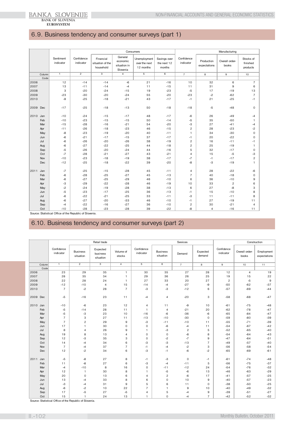# 6.9. Business tendency and consumer surveys (part 1)

|          |        |                        |                         |                                            | Consumers                                       |                                            |                                       |                         |                            | Manufacturing           |                                   |
|----------|--------|------------------------|-------------------------|--------------------------------------------|-------------------------------------------------|--------------------------------------------|---------------------------------------|-------------------------|----------------------------|-------------------------|-----------------------------------|
|          |        | Sentiment<br>indicator | Confidence<br>indicator | Financial<br>situation of the<br>household | General<br>economic<br>situation in<br>Slovenia | Unemployment<br>over the next<br>12 months | Savings over<br>the next 12<br>months | Confidence<br>indicator | Production<br>expectations | Overall order-<br>books | Stocks of<br>finished<br>products |
|          | Column | $\mathbf{1}$           | $\overline{2}$          | 3                                          | $\overline{4}$                                  | 5                                          | 6                                     | $\overline{7}$          | 8                          | $\mathsf g$             | 10                                |
|          | Code   |                        |                         |                                            |                                                 |                                            |                                       |                         |                            |                         |                                   |
| 2006     |        | 12                     | $-14$                   | $-14$                                      | $-6$                                            | 21                                         | $-16$                                 | 10                      | 32                         | $\,6$                   | $\overline{7}$                    |
| 2007     |        | 13                     | $-11$                   | $-14$                                      | $-4$                                            | 11                                         | $-15$                                 | 11                      | 31                         | 9                       | 6                                 |
| 2008     |        | 3                      | $-20$                   | $-24$                                      | $-15$                                           | 19                                         | $-23$                                 | $-5$                    | 17                         | $-19$                   | 13                                |
| 2009     |        | $-23$                  | $-30$                   | $-20$                                      | $-24$                                           | 55                                         | $-20$                                 | $-23$                   | $-2$                       | $-62$                   | $\overline{7}$                    |
| 2010     |        | $-9$                   | $-25$                   | $-18$                                      | $-21$                                           | 43                                         | $-17$                                 | $-1$                    | 21                         | $-25$                   | $-1$                              |
| 2009 Dec |        | $-17$                  | $-25$                   | $-18$                                      | $-13$                                           | 50                                         | $-18$                                 | $-18$                   | $-5$                       | $-48$                   | 0                                 |
| 2010     | Jan    | $-10$                  | $-24$                   | $-15$                                      | $-17$                                           | 48                                         | $-17$                                 | -6                      | 26                         | $-49$                   | $-4$                              |
|          | Feb    | $-10$                  | $-23$                   | $-15$                                      | $-15$                                           | 50                                         | $-14$                                 | -5                      | 35                         | $-50$                   | 1                                 |
|          | Mar    | $-15$                  | $-28$                   | $-16$                                      | $-21$                                           | 54                                         | $-20$                                 | -3                      | 27                         | $-41$                   | $-4$                              |
|          | Apr    | $-11$                  | $-26$                   | $-18$                                      | $-23$                                           | 46                                         | $-15$                                 | $\overline{c}$          | 28                         | $-23$                   | $-2$                              |
|          | May    | -8                     | $-23$                   | $-19$                                      | $-20$                                           | 40                                         | $-11$                                 | $\mathbf{1}$            | 34                         | $-30$                   | $\mathbf 0$                       |
|          | Jun    | $-6$                   | $-21$                   | $-17$                                      | $-15$                                           | 37                                         | $-17$                                 | $-1$                    | 20                         | $-22$                   | 0                                 |
|          | Jul    | -6                     | $-26$                   | $-20$                                      | $-26$                                           | 38                                         | $-19$                                 | $\overline{c}$          | 16                         | $-11$                   | $-1$                              |
|          | Aug    | -6                     | $-27$                   | $-22$                                      | $-25$                                           | 44                                         | $-18$                                 | $\overline{c}$          | 25                         | $-19$                   | $\mathbf{1}$                      |
|          | Sep    | $-5$                   | $-26$                   | $-20$                                      | $-24$                                           | 44                                         | $-16$                                 | 5                       | 32                         | $-17$                   | $\mathbf 0$                       |
|          | Oct    | $-7$                   | $-28$                   | $-21$                                      | $-27$                                           | 43                                         | $-21$                                 | $\overline{4}$          | 15                         | $-5$                    | $-3$                              |
|          | Nov    | $-10$                  | $-23$                   | $-18$                                      | $-19$                                           | 38                                         | $-17$                                 | $-7$                    | $-1$                       | $-17$                   | $\overline{2}$                    |
|          | Dec    | $-12$                  | $-25$                   | $-18$                                      | $-22$                                           | 39                                         | $-20$                                 | -8                      | $-3$                       | $-19$                   | $\mathbf{1}$                      |
|          |        |                        |                         |                                            |                                                 |                                            |                                       |                         |                            |                         |                                   |
| 2011     | Jan    | $-7$                   | $-25$                   | $-15$                                      | $-28$                                           | 45                                         | $-11$                                 | 4                       | 28                         | $-22$                   | $-6$                              |
|          | Feb    | $-6$                   | $-28$                   | $-25$                                      | $-27$                                           | 45                                         | $-13$                                 | $\overline{7}$          | 40                         | $-18$                   | $\mathbf 0$                       |
|          | Mar    | $-6$                   | $-27$                   | $-25$                                      | $-29$                                           | 46                                         | $-10$                                 | 6                       | 36                         | $-10$                   | 9                                 |
|          | Apr    | $-3$                   | $-29$                   | $-22$                                      | $-28$                                           | 46                                         | $-19$                                 | 10                      | 33                         | $\sqrt{2}$              | 6                                 |
|          | May    | $-2$                   | $-24$                   | $-19$                                      | $-28$                                           | 38                                         | $-13$                                 | 6                       | 27                         | $-8$                    | 3                                 |
|          | Jun    | $-5$                   | $-23$                   | $-17$                                      | $-25$                                           | 36                                         | $-13$                                 | $-1$                    | 15                         | $-10$                   | 8                                 |
|          | Jul    | -6                     | $-22$                   | $-21$                                      | $-25$                                           | 33                                         | $-11$                                 | -3                      | 11                         | $-11$                   | 8                                 |
|          | Aug    | $-6$                   | $-27$                   | $-20$                                      | $-33$                                           | 46                                         | $-10$                                 | $-1$                    | 27                         | $-19$                   | 11                                |
|          | Sep    | $-4$                   | $-22$                   | $-16$                                      | $-27$                                           | 36                                         | $-10$                                 | $\overline{c}$          | 30                         | $-21$                   | $\overline{4}$                    |
|          | Oct    | $-10$                  | $-28$                   | $-23$                                      | $-28$                                           | 39                                         | $-22$                                 | -8                      | $\overline{4}$             | $-16$                   | 11                                |

Source: Statistical Office of the Republic of Slovenia.

# 6.10. Business tendency and consumer surveys (part 2)

|             |                         |                              | Retail trade                      |                     |                         |                              | Services       |                    |                         |                         | Construction               |
|-------------|-------------------------|------------------------------|-----------------------------------|---------------------|-------------------------|------------------------------|----------------|--------------------|-------------------------|-------------------------|----------------------------|
|             | Confidence<br>indicator | <b>Business</b><br>situation | Expected<br>business<br>situation | Volume of<br>stocks | Confidence<br>indicator | <b>Business</b><br>situation | Demand         | Expected<br>demand | Confidence<br>indicator | Overall order-<br>books | Employment<br>expectations |
| Column      | $\overline{1}$          | $\overline{2}$               | $\overline{3}$                    | $\overline{4}$      | $\overline{5}$          | 6                            | $\overline{7}$ | 8                  | $\mathsf g$             | 10                      | 11                         |
|             | Code                    |                              |                                   |                     |                         |                              |                |                    |                         |                         |                            |
| 2006        | 23                      | 29                           | 35                                | $\mathbf{1}$        | 30                      | 35                           | 27             | 28                 | 12                      | $\overline{4}$          | 19                         |
| 2007        | 28                      | 35                           | 34                                | $\mathbf{1}$        | 29                      | 36                           | 26             | 25                 | 19                      | 15                      | 22                         |
| 2008        | 22                      | 28                           | 24                                | $\mathbf{1}$        | 27                      | 33                           | 20             | 27                 | $\overline{c}$          | $-5$                    | 9                          |
| 2009        | $-12$                   | $-10$                        | $\overline{4}$                    | 15                  | $-14$                   | $-4$                         | $-27$          | -9                 | $-50$                   | $-62$                   | $-37$                      |
| 2010        | $\overline{7}$          | $-2$                         | 28                                | $\overline{7}$      | $-3$                    | $-3$                         | $-12$          | 6                  | $-57$                   | $-69$                   | $-44$                      |
| 2009 Dec    | $-5$                    | $-16$                        | 23                                | 11                  | $-4$                    | 4                            | $-20$          | 3                  | $-58$                   | $-68$                   | $-47$                      |
| 2010<br>Jan | $-10$                   | $-6$                         | 23                                | 12                  | 4                       | 11                           | -9             | 10                 | $-61$                   | $-75$                   | $-48$                      |
| Feb         | $-5$                    | $-14$                        | 28                                | 11                  | $\overline{1}$          | $\overline{4}$               | $-21$          | 20                 | $-62$                   | $-78$                   | $-47$                      |
| Mar         | $-5$                    | $-3$                         | 23                                | 10                  | $-16$                   | $-6$                         | $-36$          | $-6$               | $-65$                   | $-84$                   | $-47$                      |
| Apr         | $\overline{7}$          | 3                            | 27                                | 11                  | $-13$                   | $-10$                        | $-30$          | $\mathsf O$        | $-59$                   | $-80$                   | $-39$                      |
| May         | $\overline{7}$          | $\overline{c}$               | 29                                | 9                   | $-3$                    | $-11$                        | $-10$          | 11                 | $-55$                   | $-71$                   | $-39$                      |
| Jun         | 17                      | $\mathbf{1}$                 | 30                                | $\circ$             | $\circ$                 | $-6$                         | $-4$           | 11                 | $-54$                   | $-67$                   | $-42$                      |
| Jul         | 8                       | $\overline{4}$               | 26                                | 9                   | $\mathbf{1}$            | $-3$                         | $\overline{c}$ | 5                  | $-52$                   | $-65$                   | $-40$                      |
| Aug         | 19                      | 8                            | 13                                | $\overline{4}$      | $\circ$                 | $\mathsf O$                  | -8             | 8                  | $-54$                   | $-64$                   | $-43$                      |
| Sep         | 12                      | $-3$                         | 35                                | 3                   | $\circ$                 | $-2$                         | $-7$           | 9                  | $-47$                   | $-64$                   | $-31$                      |
| Oct         | 14                      | $-4$                         | 34                                | 6                   | $-3$                    | $-3$                         | $-13$          | $\overline{7}$     | $-49$                   | $-57$                   | $-40$                      |
| Nov         | $\overline{7}$          | $-4$                         | 37                                | $\overline{7}$      | $-1$                    | $-4$                         | $-2$           | 3                  | $-56$                   | $-58$                   | $-54$                      |
| Dec         | 12                      | $-2$                         | 34                                | 6                   | $-3$                    | $-1$                         | $-6$           | $-2$               | $-65$                   | $-69$                   | $-61$                      |
|             |                         |                              |                                   |                     |                         |                              |                |                    |                         |                         |                            |
| 2011<br>Jan | $-5$                    | -8                           | 27                                | 8                   | $-1$                    | $-3$                         | $\mathsf O$    | $-1$               | $-61$                   | $-74$                   | $-48$                      |
| Feb         | 11                      | -8                           | 27                                | 6                   | $-3$                    | $-4$                         | $-11$          | 5                  | $-56$                   | $-75$                   | $-37$                      |
| Mar         | $-4$                    | $-10$                        | 8                                 | 16                  | $\circ$                 | $-11$                        | $-12$          | 24                 | $-54$                   | $-76$                   | $-32$                      |
| Apr         | 12                      | $\mathbf{1}$                 | 30                                | 8                   | $\overline{1}$          | -5                           | -6             | 13                 | $-46$                   | $-63$                   | $-29$                      |
| May         | 20                      | $\circ$                      | 13                                | 6                   | $\overline{4}$          | $\sqrt{2}$                   | $-6$           | 17                 | $-41$                   | $-57$                   | $-25$                      |
| Jun         | 13                      | $-4$                         | 33                                | 8                   | 6                       | $\mathsf{O}\xspace$          | 10             | $\mathsf g$        | $-40$                   | $-57$                   | $-23$                      |
| Jul         | $-3$                    | $-4$                         | 31                                | 9                   | 5                       | 6                            | 11             | 0                  | $-38$                   | $-50$                   | $-25$                      |
| Aug         | $-6$                    | $-2$                         | 10                                | 22                  | $\overline{7}$          | $\mathbf{1}$                 | 9              | 10                 | $-40$                   | $-49$                   | $-32$                      |
| Sep         | 17                      | $-5$                         | 27                                | $-5$                | $\overline{4}$          | 5                            | -4             | 9                  | $-39$                   | $-51$                   | $-27$                      |
| Oct         | 15                      | $\mathbf{1}$                 | 24                                | 13                  | $\mathbf{1}$            | $\mathbf 0$                  | $-4$           | $\overline{7}$     | $-42$                   | $-52$                   | $-32$                      |

Source: Statistical Office of the Republic of Slovenia.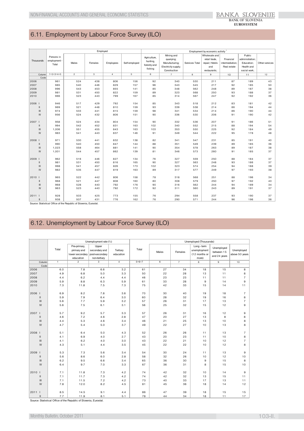# BANKA SLOVENIJE BANK OF SLOVENIA

**EUROSYSTEM**

# 6.11. Employment by Labour Force Survey (ILO)

|                                    |                                     |                | Employed                |                | Employment by economic activity |                                                     |                                                                                  |                |                                                                         |                                             |                                                                       |                |  |  |  |
|------------------------------------|-------------------------------------|----------------|-------------------------|----------------|---------------------------------|-----------------------------------------------------|----------------------------------------------------------------------------------|----------------|-------------------------------------------------------------------------|---------------------------------------------|-----------------------------------------------------------------------|----------------|--|--|--|
| Thousands                          | Persons in<br>employment -<br>Total | Males          | Females                 | Employees      | Self-employed                   | Agriculture,<br>hunting,<br>forestry and<br>fishing | Mining and<br>quanying;<br>Manufacturing;<br>Electricity supply;<br>Construction | Services Total | Wholesale and<br>retail trade,<br>repair; Hotels<br>and<br>restaurants; | Financial<br>intermediation;<br>Real estate | Public<br>administration;<br>Education;<br>Health and<br>social work; | Other services |  |  |  |
| Column                             | $1 - 2 + 3 - 4 + 5$                 | $\overline{2}$ | $\overline{\mathbf{3}}$ | $\overline{4}$ | $\overline{5}$                  | 6                                                   | $\overline{7}$                                                                   | 8              | 9                                                                       | 10                                          | 11                                                                    | 12             |  |  |  |
| Code                               |                                     |                |                         |                |                                 |                                                     |                                                                                  |                |                                                                         |                                             |                                                                       |                |  |  |  |
| 2006                               | 961                                 | 524            | 438                     | 806            | 156                             | 92                                                  | 340                                                                              | 530            | 211                                                                     | 87                                          | 189                                                                   | 43             |  |  |  |
| 2007                               | 985                                 | 540            | 446                     | 829            | 157                             | 96                                                  | 343                                                                              | 545            | 217                                                                     | 92                                          | 185                                                                   | 50             |  |  |  |
| 2008                               | 996                                 | 543            | 453                     | 855            | 141                             | 85                                                  | 348                                                                              | 562            | 248                                                                     | 89                                          | 187                                                                   | 38             |  |  |  |
| 2009                               | 981                                 | 531            | 450                     | 822            | 159                             | 89                                                  | 323                                                                              | 568            | 250                                                                     | 93                                          | 188                                                                   | 37             |  |  |  |
| 2010                               | 966                                 | 523            | 443                     | 799            | 167                             | 85                                                  | 314                                                                              | 567            | 247                                                                     | 92                                          | 192                                                                   | 36             |  |  |  |
| 2006                               | 946                                 | 517            | 429                     | 792            |                                 | 85                                                  | 343                                                                              | 518            | 212                                                                     | 83                                          | 181                                                                   | 42             |  |  |  |
|                                    |                                     |                |                         |                | 154                             |                                                     |                                                                                  |                |                                                                         |                                             |                                                                       |                |  |  |  |
| $\mathsf{II}$                      | 969                                 | 521            | 448                     | 810            | 159                             | 93                                                  | 339                                                                              | 538            | 214                                                                     | 86                                          | 194                                                                   | 44             |  |  |  |
| $\mathop{\mathsf{III}}\nolimits$   | 974                                 | 533            | 441                     | 815            | 159                             | 98                                                  | 341                                                                              | 534            | 214                                                                     | 86                                          | 190                                                                   | $4\,4$         |  |  |  |
| IV                                 | 956                                 | 524            | 432                     | 806            | 151                             | 90                                                  | 336                                                                              | 530            | 206                                                                     | 91                                          | 190                                                                   | 42             |  |  |  |
| 2007                               | 958                                 | 524            | 434                     | 804            | 154                             | 90                                                  | 332                                                                              | 536            | 207                                                                     | 91                                          | 186                                                                   | 51             |  |  |  |
| $\mathbf{H}$                       | 994                                 | 542            | 452                     | 831            | 163                             | 102                                                 | 340                                                                              | 552            | 215                                                                     | 88                                          | 194                                                                   | 54             |  |  |  |
| $\ensuremath{\mathsf{III}}\xspace$ | 1,006                               | 551            | 455                     | 843            | 163                             | 103                                                 | 353                                                                              | 550            | 225                                                                     | 92                                          | 184                                                                   | 49             |  |  |  |
| IV                                 | 983                                 | 541            | 443                     | 837            | 146                             | 91                                                  | 349                                                                              | 544            | 222                                                                     | 95                                          | 178                                                                   | 48             |  |  |  |
|                                    |                                     |                |                         |                |                                 |                                                     |                                                                                  |                |                                                                         |                                             |                                                                       |                |  |  |  |
| 2008<br>$\blacksquare$             | 971                                 | 530            | 441                     | 832            | 138                             | 82                                                  | 341                                                                              | 547            | 231                                                                     | 85                                          | 191                                                                   | 40             |  |  |  |
| $\mathsf{I}\mathsf{I}$             | 990                                 | 540            | 450                     | 847            | 144                             | 88                                                  | 351                                                                              | 549            | 239                                                                     | 89                                          | 185                                                                   | 36             |  |  |  |
| III                                | 1,023                               | 558            | 464                     | 881            | 141                             | 90                                                  | 354                                                                              | 578            | 263                                                                     | 89                                          | 187                                                                   | 38             |  |  |  |
| IV                                 | 1,001                               | 544            | 457                     | 862            | 139                             | 81                                                  | 346                                                                              | 573            | 260                                                                     | 91                                          | 185                                                                   | 37             |  |  |  |
|                                    |                                     |                |                         |                |                                 |                                                     |                                                                                  |                |                                                                         |                                             |                                                                       |                |  |  |  |
| 2009<br>-1                         | 962                                 | 516            | 446                     | 827            | 134                             | 76                                                  | 327                                                                              | 559            | 250                                                                     | 88                                          | 184                                                                   | 37             |  |  |  |
| $\mathbf{II}$                      | 981                                 | 531            | 450                     | 816            | 165                             | 90                                                  | 327                                                                              | 563            | 248                                                                     | 93                                          | 186                                                                   | 37             |  |  |  |
| $\mathbf{III}$                     | 998                                 | 541            | 457                     | 826            | 173                             | 102                                                 | 323                                                                              | 574            | 254                                                                     | 94                                          | 188                                                                   | 39             |  |  |  |
| IV                                 | 982                                 | 535            | 447                     | 819            | 163                             | 89                                                  | 317                                                                              | 577            | 249                                                                     | 97                                          | 193                                                                   | 38             |  |  |  |
|                                    |                                     |                |                         |                |                                 |                                                     |                                                                                  |                |                                                                         |                                             |                                                                       |                |  |  |  |
| $2010$ $\mid$                      | 965                                 | 522            | 442                     | 806            | 158                             | 78                                                  | 318                                                                              | 568            | 251                                                                     | 88                                          | 196                                                                   | 34             |  |  |  |
| $\mathbf{H}$                       | 968                                 | 521            | 447                     | 808            | 160                             | 80                                                  | 308                                                                              | 579            | 250                                                                     | 97                                          | 192                                                                   | 40             |  |  |  |
| Ш                                  | 968                                 | 528            | 440                     | 792            | 176                             | 90                                                  | 316                                                                              | 562            | 244                                                                     | 94                                          | 189                                                                   | 34             |  |  |  |
| IV                                 | 963                                 | 523            | 440                     | 792            | 172                             | 92                                                  | 311                                                                              | 560            | 243                                                                     | 89                                          | 191                                                                   | 37             |  |  |  |
|                                    |                                     |                |                         |                |                                 |                                                     |                                                                                  |                |                                                                         |                                             |                                                                       |                |  |  |  |
| $2011$                             | 928                                 | 503            | 425                     | 773            | 155                             | 76                                                  | 294                                                                              | 558            | 237                                                                     | 93                                          | 190                                                                   | 37             |  |  |  |
| $\mathbf{H}$                       | 938                                 | 507            | 431                     | 776            | 162                             | 76                                                  | 290                                                                              | 571            | 244                                                                     | 96                                          | 196                                                                   | 36             |  |  |  |

Source: Statistical Office of the Republic of Slovenia, Eurostat.

# 6.12. Unemployment by Labour Force Survey (ILO)

|                                    |                |                                                             | Unemployment rate (%)                                    |                       |         |       |                | Unemployed (Thousands)                                |                                          |                              |
|------------------------------------|----------------|-------------------------------------------------------------|----------------------------------------------------------|-----------------------|---------|-------|----------------|-------------------------------------------------------|------------------------------------------|------------------------------|
|                                    | Total          | Pre-primary,<br>primary and<br>lower secondary<br>education | Upper<br>secondary and<br>post-secondary<br>non-tertiary | Tertiary<br>education | Total   | Males | Females        | Long - term<br>unemployment<br>(12 months or<br>more) | Unemployed<br>between 15<br>and 24 years | Unemployed<br>above 50 years |
| Column                             | $\overline{1}$ | $\overline{2}$                                              | $\overline{3}$                                           | $\overline{4}$        | $5=6+7$ | 6     | $\overline{7}$ | 8                                                     | 9                                        | 10                           |
|                                    | Code           |                                                             |                                                          |                       |         |       |                |                                                       |                                          |                              |
| 2006                               | $6.0\,$        | 7.8                                                         | 6.6                                                      | 3.2                   | 61      | 27    | 34             | 18                                                    | 15                                       | 8                            |
| 2007                               | 4.9            | 6.8                                                         | 5.0                                                      | 3.3                   | 50      | 22    | 28             | 13                                                    | 11                                       | 8                            |
| 2008                               | 4.4            | 6.2                                                         | 4.4                                                      | 4.4                   | 46      | 23    | 23             | 11                                                    | 11                                       | $\overline{7}$               |
| 2009                               | 5.9            | 8.8                                                         | 6.3                                                      | 5.9                   | 61      | 33    | 28             | $\overline{9}$                                        | 14                                       | 9                            |
| 2010                               | 7.3            | 11.8                                                        | 7.5                                                      | 7.3                   | 75      | 42    | 33             | 15                                                    | 14                                       | 11                           |
| 2006                               | 6.9            | 8.2                                                         | 7.8                                                      | 3.6                   | 70      | 30    | 40             | 19                                                    | 18                                       | $\overline{7}$               |
| $\mathbf{II}$                      | 5.9            | 7.9                                                         | 6.4                                                      | 3.0                   | 60      | 28    | 32             | 19                                                    | 16                                       | 8                            |
| III                                | 5.6            | 7.7                                                         | 5.9                                                      | 3.2                   | 57      | 26    | 31             | 17                                                    | 13                                       | $\overline{7}$               |
| IV                                 | 5.6            | 7.5                                                         | 6.1                                                      | 3.1                   | 56      | 25    | 32             | 15                                                    | 12                                       | 9                            |
|                                    |                |                                                             |                                                          |                       |         |       |                |                                                       |                                          |                              |
| 2007                               | 5.7            | 9.2                                                         | 5.7                                                      | 3.3                   | 57      | 26    | 31             | 16                                                    | 12                                       | 9                            |
| Ш                                  | 4.6            | 7.2                                                         | 4.6                                                      | 2.8                   | 47      | 20    | 27             | 13                                                    | 8                                        | 8                            |
| $\ensuremath{\mathsf{III}}\xspace$ | 4.4            | 5.3                                                         | 4.6                                                      | 3.4                   | 46      | 21    | 25             | 13                                                    | 10                                       | 8                            |
| IV                                 | 4.7            | 5.4                                                         | 5.0                                                      | 3.7                   | 49      | 22    | 27             | 10                                                    | 13                                       | 8                            |
|                                    |                |                                                             |                                                          |                       |         |       |                |                                                       |                                          |                              |
| 2008                               | 5.1            | 6.4                                                         | 5.0                                                      | 4.3                   | 52      | 26    | 26             | 11                                                    | 13                                       | $\overline{7}$               |
| $\mathbf{II}$                      | 4.1            | 6.9                                                         | 4.0                                                      | 2.7                   | 43      | 20    | 23             | 11                                                    | 10                                       | 8                            |
| III                                | 4.1            | 6.2                                                         | 4.0                                                      | 3.0                   | 43      | 22    | 21             | 10                                                    | 12                                       | $\overline{7}$               |
| IV                                 | 4.3            | 5.1                                                         | 4.4                                                      | 3.5                   | 45      | 22    | 22             | 10                                                    | 12                                       | 8                            |
|                                    |                |                                                             |                                                          |                       |         |       |                |                                                       |                                          |                              |
| 2009                               | 5.3            | 7.3                                                         | 5.6                                                      | 3.4                   | 54      | 30    | 24             | 11                                                    | 13                                       | 9                            |
| $\mathbf{II}$                      | 5.6            | 8.6                                                         | 6.0                                                      | 2.8                   | 58      | 32    | 26             | 10                                                    | 12                                       | 10                           |
| $\ensuremath{\mathsf{III}}\xspace$ | 6.2            | 9.5                                                         | 6.6                                                      | 3.4                   | 65      | 36    | 30             | 9                                                     | 15                                       | 8                            |
| IV                                 | 6.4            | 9.7                                                         | 7.0                                                      | 3.3                   | 67      | 36    | 31             | 8                                                     | 15                                       | 10                           |
|                                    |                |                                                             |                                                          |                       |         |       |                |                                                       |                                          |                              |
| 2010                               | 7.1            | 11.8                                                        | 7.3                                                      | 4.2                   | 74      | 42    | 32             | 10                                                    | 14                                       | 9                            |
| $\mathbf{II}$                      | 7.1            | 11.7                                                        | 7.3                                                      | 4.2                   | 74      | 42    | 32             | 13                                                    | 15                                       | 11                           |
| III                                | 7.1            | 11.5                                                        | 7.2                                                      | 4.2                   | 73      | 40    | 33             | 17                                                    | 13                                       | 11                           |
| IV                                 | 7.8            | 12.0                                                        | 8.2                                                      | 4.5                   | 81      | 45    | 36             | 18                                                    | 14                                       | 12                           |
| 2011                               | 8.5            | 14.5                                                        | 9.1                                                      | 4.4                   | 86      | 47    | 39             | 18                                                    | 15                                       | 15                           |
| $\,$ II                            | 7.7            | 11.9                                                        | 8.1                                                      | 5.1                   | 78      | 44    | 34             | 18                                                    | 11                                       | 17                           |

Source: Statistical Office of the Republic of Slovenia, Eurostat.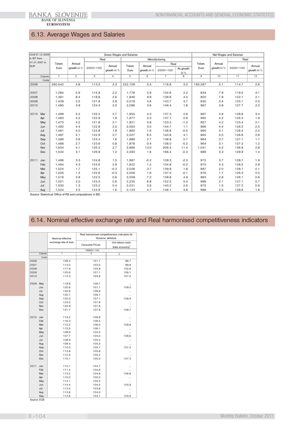BANKA SLOVENIJE BANK OF SLOVENIA

**EUROSYSTEM**

# 6.13. Average Wages and Salaries

|               | Until 31.12.2006 |              |                |              |                       | Gross Wages and Salaries |                       |                |                   |         |             | Net Wages and Salaries |                       |
|---------------|------------------|--------------|----------------|--------------|-----------------------|--------------------------|-----------------------|----------------|-------------------|---------|-------------|------------------------|-----------------------|
| in SIT from   |                  |              |                | Real         |                       |                          |                       | Manufacturing  |                   |         |             | Real                   |                       |
| 01.01.2007 in |                  | Tolars       | Annual         |              |                       |                          |                       | Real           |                   | Tolars  | Annual      |                        |                       |
| <b>EUR</b>    |                  | Euro         | growth in %    | $2000 = 100$ | Annual<br>growth in % | Tolars<br>Euro           | Annual<br>growth in % | $2000 = 100$   | An.growth<br>in % | Euro    | growth in % | $2000 = 100$           | Annual<br>growth in % |
|               | Column           | $\mathbf{1}$ | $\overline{2}$ | 3            | $\overline{4}$        | 5                        | 6                     | $\overline{7}$ | 8                 | 9       | 10          | 11                     | 12                    |
|               | Code             |              |                |              |                       |                          |                       |                |                   |         |             |                        |                       |
| 2006          |                  | 290,542      | 4.8            | 113.3        | 2.3                   | 252,109                  | 5.5                   | 116.8          | 3.0               | 185,287 | 5.1         | 114.7                  | 2.6                   |
|               |                  |              |                |              |                       |                          |                       |                |                   |         |             |                        |                       |
| 2007          |                  | 1.284        | 5.9            | 115.9        | 2.2                   | 1.778                    | 5.9                   | 134.6          | 2.2               | 834     | 7.9         | 119.5                  | 4.1                   |
| 2008          |                  | 1.391        | 8.4            | 118.8        | 2.6                   | 1.946                    | 9.9                   | 139.6          | 4.0               | 900     | 7.9         | 122.1                  | 2.1                   |
| 2009          |                  | 1.439        | 3.5            | 121.9        | 2.6                   | 2,019                    | 4.6                   | 143.7          | 3.7               | 930     | 3.4         | 125.1                  | 2.5                   |
| 2010          |                  | 1,495        | 3.9            | 124.3        | 2.0                   | 2,096                    | 3.6                   | 146.4          | 1.8               | 967     | 3.9         | 127.7                  | 2.0                   |
|               |                  |              |                |              |                       |                          |                       |                |                   |         |             |                        |                       |
| 2010          | Mar              | 1,499        | 5.2            | 125.5        | 3.7                   | 1,955                    | 4.3                   | 137.5          | 2.8               | 967     | 4.9         | 128.6                  | 3.4                   |
|               | Apr              | 1,483        | 4.2            | 122.9        | 1.9                   | 1,977                    | 3.3                   | 137.7          | 0.9               | 960     | 4.2         | 126.3                  | 1.9                   |
|               | May              | 1,475        | 4.2            | 121.8        | 2.1                   | 1,921                    | 0.8                   | 133.2          | $-1.2$            | 957     | 4.2         | 125.4                  | 2.1                   |
|               | Jun              | 1,492        | 4.4            | 122.8        | 2.5                   | 2,093                    | 3.0                   | 144.7          | 1.1               | 966     | 4.4         | 126.2                  | 2.5                   |
|               | Jul              | 1.481        | 4.0            | 122.8        | 1.9                   | 1,960                    | 1.6                   | 136.6          | $-0.5$            | 960     | 4.1         | 126.4                  | 2.0                   |
|               | Aug              | 1.487        | 5.1            | 122.9        | 2.7                   | 2,027                    | 6.5                   | 140.8          | 4.1               | 965     | 5.0         | 126.6                  | 2.6                   |
|               | Sep              | 1,486        | 3.6            | 123.4        | 1.6                   | 1,989                    | 2.7                   | 138.8          | 0.7               | 964     | 3.7         | 127.1                  | 1.7                   |
|               | Oct              | 1,488        | 2.7            | 123.6        | 0.8                   | 1,978                    | $-3.4$                | 138.0          | $-5.2$            | 964     | 3.1         | 127.2                  | 1.2                   |
|               | Nov              | 1.634        | 4.1            | 135.3        | 2.7                   | 2,966                    | 13.0                  | 206.3          | 11.4              | 1,041   | 4.2         | 136.9                  | 2.8                   |
|               | Dec              | 1,534        | 3.1            | 126.9        | 1.2                   | 2,393                    | 1.6                   | 166.4          | $-0.3$            | 989     | 3.3         | 129.9                  | 1.4                   |
|               |                  |              |                |              |                       |                          |                       |                |                   |         |             |                        |                       |
| 2011          | Jan              | 1,496        | 3.3            | 124.8        | 1.5                   | 1,987                    | $-0.2$                | 139.3          | $-2.0$            | 972     | 3.7         | 128.7                  | 1.9                   |
|               | Feb              | 1.494        | 4.3            | 124.6        | 2.9                   | 1.922                    | 1.2                   | 134.8          | $-0.2$            | 970     | 4.3         | 128.5                  | 2.9                   |
|               | Mar              | 1.524        | 1.7            | 125.1        | $-0.3$                | 2,028                    | 3.7                   | 139.9          | 1.8               | 987     | 2.0         | 128.7                  | 0.1                   |
|               | Apr              | 1,505        | 1.4            | 122.6        | $-0.3$                | 2,009                    | 1.6                   | 137.5          | $-0.1$            | 976     | 1.7         | 126.3                  | 0.0                   |
|               | May              | 1.516        | 2.8            | 122.5        | 0.6                   | 2,059                    | 7.2                   | 139.8          | 4.9               | 983     | 2.8         | 126.1                  | 0.6                   |
|               | Jun              | 1,521        | 2.0            | 123.5        | 0.6                   | 2,235                    | 6.8                   | 152.5          | 5.4               | 986     | 2.1         | 127.1                  | 0.7                   |
|               | Jul              | 1,500        | 1.3            | 123.2        | 0.4                   | 2,031                    | 3.6                   | 140.2          | 2.6               | 975     | 1.5         | 127.2                  | 0.6                   |
|               | Aug              | 1,524        | 2.5            | 124.9        | 1.6                   | 2.123                    | 4.7                   | 146.1          | 3.8               | 988     | 2.5         | 128.6                  | 1.6                   |

Source: Statistical Office of RS and computations in BS.

# 6.14. Nominal effective exchange rate and Real harmonised competitiveness indicators

|             |        | Nominal effective     | Real harmonised competitiveness indicators for<br>Slovenia: deflators |                   |
|-------------|--------|-----------------------|-----------------------------------------------------------------------|-------------------|
|             |        | exchange rate of euro |                                                                       | Unit labour costs |
|             |        |                       | <b>Consumer Prices</b>                                                | (total economy)   |
|             |        |                       | 1999Q1=100                                                            |                   |
|             | Column | 1                     | $\overline{2}$                                                        | 3                 |
|             | Code   |                       |                                                                       |                   |
| 2006        |        | 109.4                 | 101.7                                                                 | 98.7              |
| 2007        |        | 113.0                 | 103.5                                                                 | 99.9              |
| 2008        |        | 117.9                 | 105.9                                                                 | 102.8             |
| 2009        |        | 120.6                 | 107.1                                                                 | 109.1             |
| 2010        |        | 112.3                 | 105.6                                                                 | 107.5             |
|             |        |                       |                                                                       |                   |
| 2009        | May    | 119.6                 | 106.7                                                                 | $\ddotsc$         |
|             | Jun    | 120.8                 | 107.1                                                                 | 109.0             |
|             | Jul    | 120.6                 | 106.8                                                                 | $\ddotsc$         |
|             | Aug    | 120.7                 | 106.7                                                                 | $\ddotsc$         |
|             | Sep    | 122.0                 | 107.1                                                                 | 108.9             |
|             | Oct    | 123.0                 | 107.6                                                                 | $\ddotsc$         |
|             | Nov    | 122.9                 | 107.9                                                                 | $\cdots$          |
|             | Dec    | 121.7                 | 107.6                                                                 | 108.7             |
|             |        |                       |                                                                       |                   |
| 2010        | Jan    | 119.2                 | 106.8                                                                 | $\ddotsc$         |
|             | Feb    | 116.3                 | 106.5                                                                 | $\cdots$          |
|             | Mar    | 115.2                 | 106.0                                                                 | 109.8             |
|             | Apr    | 113.5                 | 106.1                                                                 | $\ddotsc$         |
|             | May    | 109.9                 | 105.3                                                                 | $\ddotsc$         |
|             | Jun    | 107.7                 | 105.0                                                                 | 108.6             |
|             | Jul    | 109.9                 | 105.4                                                                 | $\cdots$          |
|             | Aug    | 109.5                 | 105.3                                                                 | $\cdots$          |
|             | Sep    | 110.0                 | 105.1                                                                 | 107.2             |
|             | Oct    | 113.8                 | 105.8                                                                 | $\cdots$          |
|             | Nov    | 112.5                 | 105.4                                                                 | $\ddotsc$         |
|             | Dec    | 110.1                 | 105.0                                                                 | 107.3             |
|             |        |                       |                                                                       |                   |
| 2011        | Jan.   | 110.1                 | 104.7                                                                 | $\cdots$          |
|             | Feb    | 111.4                 | 104.6                                                                 | $\ddotsc$         |
|             | Mar    | 113.2                 | 104.9                                                                 | 106.8             |
|             | Apr    | 115.0                 | 105.0                                                                 | $\ddotsc$         |
|             | May    | 114.1                 | 105.0                                                                 | $\ddotsc$         |
|             | Jun    | 114.4                 | 104.5                                                                 | 105.9             |
|             | Jul    | 113.4                 | 103.8                                                                 | $\ddotsc$         |
|             | Aug    | 113.8                 | 104.0                                                                 | $\ddotsc$         |
|             | Sep    | 112.8                 | 104.1                                                                 | 105.6             |
| Source: ECB |        |                       |                                                                       |                   |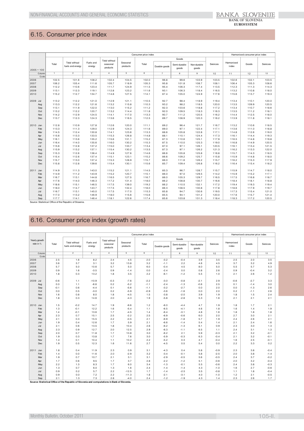# 6.15. Consumer price index

|              |              |                                                         |                     |                      |                      | Consumer price index |                |                       |                      |          |                     | Harmonised consumer price index |          |
|--------------|--------------|---------------------------------------------------------|---------------------|----------------------|----------------------|----------------------|----------------|-----------------------|----------------------|----------|---------------------|---------------------------------|----------|
|              |              |                                                         |                     | Total without        |                      |                      |                | Goods                 |                      |          |                     |                                 |          |
| $2005 = 100$ | Total        | Total without<br>fuels and energy                       | Fuels and<br>energy | seasonal<br>products | Seasonal<br>products | Total                | Durable goods  | Semi-durable<br>goods | Non-durable<br>goods | Services | Harmonised<br>index | Goods                           | Services |
| Column       | $\mathbf{1}$ | $\overline{2}$                                          | $\overline{3}$      | $\overline{4}$       | $\overline{5}$       | 6                    | $\overline{7}$ | 8                     | 9                    | 10       | 11                  | 12                              | 13       |
| Code         |              |                                                         |                     |                      |                      |                      |                |                       |                      |          |                     |                                 |          |
| 2006         | 102.5        | 101.6                                                   | 108.2               | 102.4                | 104.5                | 102.0                | 96.8           | 99.6                  | 103.9                | 103.5    | 102.6               | 102.1                           | 103.5    |
| 2007         | 106.2        | 105.4                                                   | 111.6               | 105.7                | 118.9                | 105.3                | 95.8           | 101.8                 | 108.7                | 108.1    | 106.4               | 105.3                           | 108.6    |
| 2008         | 112.2        | 110.6                                                   | 123.4               | 111.7                | 124.9                | 111.5                | 95.4           | 106.3                 | 117.4                | 113.5    | 112.3               | 111.3                           | 114.3    |
| 2009         | 113.1        | 112.3                                                   | 119.1               | 112.8                | 123.2                | 111.6                | 93.1           | 106.3                 | 118.4                | 116.5    | 113.2               | 110.8                           | 118.0    |
| 2010         | 115.2        | 112.7                                                   | 134.7               | 114.8                | 127.5                | 114.1                | 87.4           | 105.0                 | 124.9                | 117.6    | 115.6               | 113.7                           | 119.3    |
|              |              |                                                         |                     |                      |                      |                      |                |                       |                      |          |                     |                                 |          |
| 2009<br>Jul  | 113.2        | 112.2                                                   | 121.0               | 112.9                | 121.1                | 110.5                | 92.7           | 98.4                  | 118.9                | 119.4    | 113.4               | 110.1                           | 120.0    |
| Aug          | 113.3        | 112.2                                                   | 121.6               | 113.2                | 115.8                | 110.3                | 93.2           | 98.2                  | 118.5                | 120.0    | 113.5               | 109.9                           | 120.5    |
| Sep          | 113.1        | 111.9                                                   | 122.0               | 113.0                | 115.2                | 111.2                | 92.3           | 103.6                 | 118.8                | 117.2    | 113.4               | 110.7                           | 118.6    |
| Oct          | 113.2        | 112.2                                                   | 120.7               | 113.2                | 114.4                | 111.8                | 92.0           | 109.5                 | 118.3                | 116.3    | 113.5               | 111.2                           | 118.1    |
| Nov          | 114.2        | 112.9                                                   | 124.5               | 114.1                | 117.0                | 113.3                | 90.7           | 111.2                 | 120.5                | 116.2    | 114.4               | 112.5                           | 118.0    |
| Dec          | 113.7        | 112.3                                                   | 124.3               | 113.6                | 116.5                | 112.5                | 89.7           | 108.9                 | 120.3                | 116.2    | 113.9               | 111.8                           | 118.1    |
|              |              |                                                         |                     |                      |                      |                      |                |                       |                      |          |                     |                                 |          |
| 2010<br>Jan  | 112.8        | 110.9                                                   | 127.8               | 112.6                | 120.0                | 111.1                | 89.2           | 96.4                  | 121.7                | 116.7    | 113.2               | 110.6                           | 118.5    |
| Feb          | 113.3        | 111.3                                                   | 129.0               | 112.9                | 124.3                | 111.6                | 89.0           | 97.1                  | 122.4                | 117.1    | 113.6               | 111.0                           | 118.8    |
| Mar          | 114.5        | 112.4                                                   | 130.8               | 114.1                | 123.6                | 113.3                | 88.6           | 105.8                 | 122.8                | 117.1    | 114.8               | 112.6                           | 119.0    |
| Apr          | 115.6        | 113.3                                                   | 133.5               | 115.3                | 126.8                | 114.8                | 88.1           | 110.1                 | 124.4                | 117.3    | 116.1               | 114.4                           | 119.3    |
| May          | 116.1        | 113.6                                                   | 135.2               | 115.6                | 131.1                | 115.2                | 87.3           | 110.6                 | 125.1                | 117.9    | 116.5               | 114.8                           | 119.8    |
| Jun          | 116.4        | 114.0                                                   | 135.6               | 116.0                | 130.2                | 115.3                | 87.5           | 110.0                 | 125.3                | 119.0    | 116.8               | 114.9                           | 120.5    |
| Jul          | 115.6        | 112.8                                                   | 137.2               | 115.0                | 133.7                | 113.4                | 87.0           | 97.1                  | 126.1                | 120.5    | 116.1               | 113.4                           | 121.5    |
| Aug          | 115.9        | 113.2                                                   | 137.1               | 115.4                | 130.2                | 113.5                | 87.3           | 97.1                  | 126.2                | 121.3    | 116.2               | 113.3                           | 122.0    |
| Sep          | 115.3        | 112.6                                                   | 136.4               | 114.9                | 127.6                | 114.6                | 86.6           | 105.8                 | 125.8                | 116.8    | 115.7               | 114.3                           | 118.5    |
| Oct          | 115.4        | 112.6                                                   | 137.4               | 115.1                | 123.1                | 115.2                | 86.6           | 109.2                 | 125.7                | 115.8    | 115.9               | 114.8                           | 118.0    |
| Nov          | 115.7        | 113.0                                                   | 137.4               | 115.3                | 128.9                | 115.7                | 86.0           | 111.6                 | 126.2                | 115.7    | 116.2               | 115.3                           | 117.9    |
| Dec          | 115.8        | 112.8                                                   | 139.6               | 115.4                | 130.1                | 115.6                | 85.7           | 109.4                 | 126.8                | 116.2    | 116.4               | 115.4                           | 118.2    |
|              |              |                                                         |                     |                      |                      |                      |                |                       |                      |          |                     |                                 |          |
| 2011<br>Jan  | 114.9        | 111.3                                                   | 143.0               | 115.2                | 121.1                | 114.5                | 85.3           | 96.7                  | 128.7                | 115.7    | 115.9               | 114.7                           | 118.0    |
| Feb          | 114.9        | 111.2                                                   | 143.9               | 115.2                | 120.7                | 115.1                | 86.0           | 97.0                  | 129.5                | 114.2    | 115.9               | 115.2                           | 117.1    |
| Mar          | 116.7        | 113.1                                                   | 144.8               | 116.5                | 127.5                | 116.7                | 86.0           | 105.3                 | 129.7                | 116.5    | 117.5               | 116.8                           | 118.7    |
| Apr          | 117.6        | 114.0                                                   | 146.3               | 117.2                | 131.4                | 118.0                | 86.2           | 108.8                 | 130.7                | 116.6    | 118.4               | 118.1                           | 118.8    |
| May          | 118.6        | 115.1                                                   | 146.5               | 117.5                | 139.0                | 119.2                | 86.2           | 110.5                 | 132.1                | 117.2    | 119.4               | 119.3                           | 119.4    |
| Jun          | 118.0        | 114.7                                                   | 143.7               | 117.5                | 132.4                | 118.0                | 86.3           | 108.5                 | 130.8                | 117.8    | 118.6               | 117.9                           | 119.7    |
| Jul          | 116.7        | 113.1                                                   | 145.0               | 117.5                | 117.0                | 115.3                | 85.8           | 94.7                  | 130.6                | 119.5    | 117.3               | 115.4                           | 121.0    |
| Aug          | 117.0        | 113.2                                                   | 146.9               | 118.0                | 115.6                | 115.6                | 85.5           | 94.1                  | 131.2                | 120.0    | 117.6               | 115.7                           | 121.4    |
| Sep          | 117.7        | 114.1                                                   | 146.4               | 118.1                | 122.6                | 117.4                | 85.6           | 103.8                 | 131.3                | 118.4    | 118.3               | 117.2                           | 120.5    |
|              |              | Source: Statistical Office of the Republic of Slovenia. |                     |                      |                      |                      |                |                       |                      |          |                     |                                 |          |

# 6.16. Consumer price index (growth rates)

|               |                |                                   |                     |                      |                      | Consumer price index |                |                       |                      |          |                     | Harmonised consumer price index |          |
|---------------|----------------|-----------------------------------|---------------------|----------------------|----------------------|----------------------|----------------|-----------------------|----------------------|----------|---------------------|---------------------------------|----------|
| Yearly growth |                |                                   |                     | Total without        |                      |                      |                | Goods                 |                      |          |                     |                                 |          |
| rate in %     | Total          | Total without<br>fuels and energy | Fuels and<br>energy | seasonal<br>products | Seasonal<br>products | Total                | Durable goods  | Semi-durable<br>goods | Non-durable<br>goods | Services | Harmonised<br>index | Goods                           | Services |
| Column        | $\overline{1}$ | $\overline{2}$                    | $\overline{3}$      | $\overline{4}$       | $\overline{5}$       | 6                    | $\overline{7}$ | 8                     | 9                    | 10       | 11                  | 12                              | 13       |
| Code          |                |                                   |                     |                      |                      |                      |                |                       |                      |          |                     |                                 |          |
| 2006          | 2.5            | 1.6                               | 8.2                 | 2.4                  | 4.5                  | 2.0                  | $-3.2$         | $-0.4$                | 3.9                  | 3.5      | 2.5                 | 2.0                             | 3.5      |
| 2007          | 3.6            | 3.7                               | 3.1                 | 3.2                  | 13.8                 | 3.2                  | $-1.1$         | 2.2                   | 4.6                  | 4.5      | 3.7                 | 3.2                             | 4.9      |
| 2008          | 5.7            | 5.0                               | 10.6                | 5.7                  | 5.0                  | 6.0                  | $-0.4$         | 4.5                   | 8.0                  | 5.0      | 5.5                 | 5.7                             | 5.3      |
| 2009          | 0.9            | 1.6                               | $-3.5$              | 0.9                  | $-1.4$               | 0.0                  | $-2.4$         | 0.0                   | 0.8                  | 2.6      | 0.9                 | $-0.4$                          | 3.2      |
| 2010          | 1.8            | 0.3                               | 13.2                | 1.8                  | 3.5                  | 2.2                  | $-6.1$         | $-1.2$                | 5.5                  | 1.0      | 2.1                 | 2.6                             | 1.2      |
|               |                |                                   |                     |                      |                      |                      |                |                       |                      |          |                     |                                 |          |
| 2009<br>Jul   | $-0.6$         | 1.1                               | $-10.9$             | $-0.3$               | $-7.6$               | $-2.2$               | $-3.0$         | $-0.8$                | $-2.1$               | 2.9      | $-0.6$              | $-2.7$                          | 3.3      |
| Aug           | 0.0            | 1.1                               | $-6.6$              | 0.2                  | $-5.2$               | $-1.1$               | $-2.4$         | $-1.3$                | $-0.6$               | 2.5      | 0.1                 | $-1.4$                          | 3.0      |
| Sep           | $-0.1$         | 0.6                               | $-4.4$              | 0.1                  | $-5.6$               | $-1.1$               | $-3.2$         | $-2.7$                | 0.0                  | 2.0      | 0.0                 | $-1.3$                          | 2.6      |
| Oct           | 0.0            | 0.5                               | $-3.0$              | 0.2                  | $-5.9$               | $-0.9$               | $-3.6$         | $-1.6$                | 0.0                  | 2.0      | 0.2                 | $-1.1$                          | 2.6      |
| Nov           | 1.6            | 0.8                               | 8.0                 | 1.8                  | $-4.5$               | 1.5                  | $-3.8$         | $-2.0$                | 3.9                  | 1.9      | 1.8                 | 1.5                             | 2.4      |
| Dec           | 1.8            | 0.3                               | 14.6                | 2.0                  | $-4.3$               | 1.9                  | $-5.8$         | $-2.8$                | 5.3                  | 1.6      | 2.1                 | 2.1                             | 2.1      |
|               |                |                                   |                     |                      |                      |                      |                |                       |                      |          |                     |                                 |          |
| 2010<br>Jan   | 1.5            | $-0.2$                            | 14.7                | 1.9                  | $-9.6$               | 1.2                  | $-6.0$         | $-4.4$                | 4.7                  | 1.9      | 1.8                 | 1.7                             | 2.1      |
| Feb           | 1.3            | $-0.1$                            | 12.2                | 1.6                  | $-5.4$               | 1.1                  | $-6.5$         | $-4.1$                | 4.6                  | 1.8      | 1.6                 | 1.4                             | 1.9      |
| Mar           | 1.4            | $-0.1$                            | 13.6                | 1.7                  | $-4.5$               | 1.4                  | $-6.4$         | $-3.1$                | 4.8                  | 1.6      | 1.8                 | 1.8                             | 1.8      |
| Apr           | 2.3            | 0.7                               | 15.1                | 2.5                  | $-2.2$               | 2.5                  | $-6.9$         | $-0.6$                | 6.0                  | 2.0      | 2.7                 | 3.0                             | 2.1      |
| May           | 2.1            | 0.3                               | 15.5                | 2.2                  | $-0.5$               | 2.1                  | $-6.9$         | $-1.8$                | 5.7                  | 1.9      | 2.4                 | 2.6                             | 2.1      |
| Jun           | 1.9            | 0.4                               | 12.6                | 1.7                  | 5.9                  | 2.1                  | $-6.6$         | $-1.4$                | 5.4                  | 1.4      | 2.1                 | 2.4                             | 1.6      |
| Jul           | 2.1            | 0.6                               | 13.5                | 1.8                  | 10.4                 | 2.6                  | $-6.2$         | $-1.3$                | 6.1                  | 0.9      | 2.3                 | 3.0                             | 1.3      |
| Aug           | 2.3            | 0.9                               | 12.7                | 2.0                  | 12.5                 | 2.9                  | $-6.3$         | $-1.1$                | 6.5                  | 1.1      | 2.4                 | 3.1                             | 1.3      |
| Sep           | 2.0            | 0.7                               | 11.8                | 1.7                  | 10.8                 | 3.0                  | $-6.2$         | 2.1                   | 5.9                  | $-0.3$   | 2.1                 | 3.2                             | $-0.1$   |
| Oct           | 1.9            | 0.3                               | 13.8                | 1.7                  | 7.6                  | 3.0                  | $-5.9$         | $-0.3$                | 6.3                  | $-0.4$   | 2.1                 | 3.2                             | $-0.1$   |
| Nov           | 1.4            | 0.1                               | 10.4                | 1.1                  | 10.2                 | 2.2                  | $-5.2$         | 0.3                   | 4.7                  | $-0.4$   | 1.6                 | 2.5                             | $-0.1$   |
| Dec           | 1.9            | 0.5                               | 12.3                | 1.6                  | 11.6                 | 2.7                  | $-4.5$         | 0.5                   | 5.4                  | 0.0      | 2.2                 | 3.3                             | 0.2      |
|               |                |                                   |                     |                      |                      |                      |                |                       |                      |          |                     |                                 |          |
| 2011<br>Jan   | 1.8            | 0.4                               | 11.9                | 2.3                  | 0.9                  | 3.1                  | $-4.3$         | 0.4                   | 5.8                  | $-0.9$   | 2.3                 | 3.8                             | $-0.4$   |
| Feb           | 1.4            | 0.0                               | 11.6                | 2.0                  | $-2.9$               | 3.2                  | $-3.4$         | $-0.1$                | 5.8                  | $-2.5$   | 2.0                 | 3.8                             | $-1.4$   |
| Mar           | 1.9            | 0.7                               | 10.7                | 2.1                  | 3.1                  | 3.1                  | $-2.9$         | $-0.5$                | 5.6                  | $-0.5$   | 2.4                 | 3.7                             | $-0.2$   |
| Apr           | 1.7            | 0.6                               | 9.5                 | 1.7                  | 3.7                  | 2.8                  | $-2.2$         | $-1.2$                | 5.1                  | $-0.6$   | 2.0                 | 3.2                             | $-0.4$   |
| May           | 2.2            | 1.3                               | 8.3                 | 1.7                  | 6.0                  | 3.4                  | $-1.3$         | $-0.1$                | 5.5                  | $-0.6$   | 2.4                 | 3.8                             | $-0.3$   |
| Jun           | 1.3            | 0.7                               | 6.0                 | 1.3                  | 1.6                  | 2.4                  | $-1.4$         | $-1.4$                | 4.3                  | $-1.0$   | 1.6                 | 2.7                             | $-0.6$   |
| Jul           | 0.9            | 0.2                               | 5.7                 | 2.2                  | $-12.5$              | 1.7                  | $-1.4$         | $-2.5$                | 3.5                  | $-0.8$   | 1.1                 | 1.8                             | $-0.4$   |
| Aug           | 0.9            | 0.0                               | 7.2                 | 2.2                  | $-11.3$              | 1.8                  | $-2.1$         | $-3.1$                | 4.0                  | $-1.0$   | 1.2                 | 2.1                             | $-0.5$   |
| Sep           | 2.1            | 1.3                               | 7.3                 | 2.8                  | $-4.0$               | 2.4                  | $-1.2$         | $-1.9$                | 4.3                  | 1.4      | 2.3                 | 2.6                             | 1.7      |

**Source: Statistical Office of the Republic of Slovenia and computations in Bank of Slovenia.**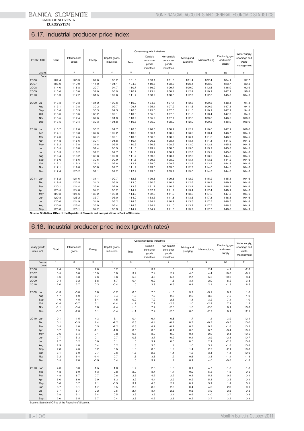# 6.17. Industrial producer price index

|              |              |                       |        |                             |       | Consumer goods industries                  |                                                |                         |               |                                         |                                                      |
|--------------|--------------|-----------------------|--------|-----------------------------|-------|--------------------------------------------|------------------------------------------------|-------------------------|---------------|-----------------------------------------|------------------------------------------------------|
| $2005 = 100$ | Total        | Intermediate<br>goods | Energy | Capital goods<br>industries | Total | Durable<br>consumer<br>goods<br>industries | Non-durable<br>consumer<br>goods<br>industries | Mining and<br>quarrying | Manufacturing | Electricity, gas<br>and steam<br>supply | Water supply,<br>sewerage and<br>waste<br>management |
| Column       | $\mathbf{1}$ | $\overline{2}$        | 3      | $\overline{4}$              | 5     | 6                                          | $\overline{7}$                                 | 8                       | 9             | 10                                      | 11                                                   |
| Code         |              |                       |        |                             |       |                                            |                                                |                         |               |                                         |                                                      |
| 2006         | 102.4        | 103.9                 | 102.8  | 100.2                       | 101.6 | 103.1                                      | 101.3                                          | 101.4                   | 102.4         | 104.1                                   | 97.7                                                 |
| 2007         | 108.0        | 110.9                 | 114.0  | 101.1                       | 104.8 | 110.7                                      | 103.8                                          | 106.1                   | 106.9         | 123.7                                   | 89.8                                                 |
| 2008         | 114.0        | 116.8                 | 122.7  | 104.7                       | 110.7 | 116.2                                      | 109.7                                          | 109.0                   | 112.5         | 136.0                                   | 92.9                                                 |
| 2009         | 113.6        | 113.0                 | 131.0  | 103.0                       | 110.2 | 123.4                                      | 108.1                                          | 112.4                   | 110.2         | 147.2                                   | 96.4                                                 |
| 2010         | 115.9        | 117.2                 | 131.5  | 102.6                       | 111.4 | 128.2                                      | 108.6                                          | 112.9                   | 112.6         | 145.3                                   | 104.6                                                |
|              |              |                       |        |                             |       |                                            |                                                |                         |               |                                         |                                                      |
| 2009 Jul     | 113.3        | 112.3                 | 131.2  | 102.6                       | 110.2 | 124.8                                      | 107.7                                          | 112.3                   | 109.8         | 148.4                                   | 94.4                                                 |
| Aug          | 113.1        | 112.8                 | 130.2  | 102.7                       | 109.7 | 125.1                                      | 107.2                                          | 111.5                   | 109.9         | 147.1                                   | 94.4                                                 |
| Sep          | 113.4        | 113.3                 | 130.3  | 102.3                       | 110.0 | 125.0                                      | 107.6                                          | 111.5                   | 110.2         | 147.2                                   | 94.4                                                 |
| Oct          | 113.6        | 113.6                 | 130.2  | 102.1                       | 110.3 | 125.8                                      | 107.8                                          | 111.5                   | 110.4         | 147.0                                   | 94.6                                                 |
| Nov          | 113.5        | 112.4                 | 132.6  | 101.9                       | 110.2 | 125.2                                      | 107.7                                          | 112.0                   | 109.8         | 146.5                                   | 106.0                                                |
| Dec          | 113.5        | 112.4                 | 132.3  | 101.8                       | 110.5 | 125.2                                      | 108.0                                          | 112.0                   | 109.8         | 146.0                                   | 106.0                                                |
|              |              |                       |        |                             |       |                                            |                                                |                         |               |                                         |                                                      |
| 2010 Jan     | 113.7        | 112.6                 | 133.2  | 101.7                       | 110.8 | 126.3                                      | 108.2                                          | 112.1                   | 110.0         | 147.1                                   | 106.0                                                |
| Feb          | 114.1        | 113.3                 | 132.6  | 102.2                       | 110.8 | 126.1                                      | 108.2                                          | 113.6                   | 110.4         | 146.7                                   | 104.1                                                |
| Mar          | 114.6        | 114.5                 | 132.7  | 102.1                       | 110.8 | 126.3                                      | 108.2                                          | 113.1                   | 111.0         | 146.9                                   | 104.5                                                |
| Apr          | 114.8        | 115.6                 | 130.4  | 101.8                       | 110.7 | 126.6                                      | 108.1                                          | 113.1                   | 111.4         | 144.0                                   | 104.5                                                |
| May          | 116.2        | 117.8                 | 131.8  | 103.5                       | 110.9 | 126.6                                      | 108.2                                          | 113.0                   | 112.8         | 145.8                                   | 104.5                                                |
| Jun          | 116.5        | 118.0                 | 131.4  | 103.5                       | 111.6 | 129.4                                      | 108.6                                          | 113.0                   | 113.2         | 145.3                                   | 104.5                                                |
| Jul          | 116.3        | 118.2                 | 131.2  | 102.7                       | 111.3 | 129.7                                      | 108.2                                          | 112.8                   | 113.1         | 145.0                                   | 104.6                                                |
| Aug          | 116.4        | 118.2                 | 130.8  | 102.9                       | 111.7 | 129.5                                      | 108.7                                          | 112.6                   | 113.2         | 144.5                                   | 104.6                                                |
| Sep          | 116.6        | 118.6                 | 130.6  | 102.9                       | 111.8 | 129.3                                      | 108.9                                          | 113.1                   | 113.5         | 144.2                                   | 104.6                                                |
| Oct          | 117.1        | 119.3                 | 131.2  | 102.8                       | 112.1 | 129.0                                      | 109.3                                          | 112.9                   | 113.9         | 144.9                                   | 104.6                                                |
| Nov          | 117.1        | 119.6                 | 130.8  | 102.7                       | 111.9 | 129.6                                      | 109.0                                          | 112.7                   | 114.0         | 144.5                                   | 104.6                                                |
| Dec          | 117.4        | 120.2                 | 131.1  | 102.2                       | 112.2 | 129.8                                      | 109.2                                          | 113.0                   | 114.3         | 144.8                                   | 104.6                                                |
|              |              |                       |        |                             |       |                                            |                                                |                         |               |                                         |                                                      |
| 2011<br>Jan  | 118.2        | 121.6                 | 131.1  | 102.7                       | 112.6 | 129.8                                      | 109.8                                          | 112.2                   | 115.2         | 145.1                                   | 104.6                                                |
| Feb          | 119.5        | 123.5                 | 134.3  | 103.0                       | 113.0 | 130.3                                      | 110.1                                          | 112.6                   | 116.3         | 149.1                                   | 104.6                                                |
| Mar          | 120.1        | 124.4                 | 133.6  | 102.9                       | 113.6 | 131.7                                      | 110.6                                          | 113.4                   | 116.9         | 148.2                                   | 104.6                                                |
| Apr          | 120.5        | 124.8                 | 134.2  | 103.2                       | 114.2 | 132.1                                      | 111.2                                          | 113.4                   | 117.4         | 149.1                                   | 104.6                                                |
| May          | 120.3        | 124.6                 | 133.2  | 103.0                       | 114.2 | 132.6                                      | 111.2                                          | 113.3                   | 117.2         | 147.8                                   | 104.6                                                |
| Jun          | 120.8        | 125.2                 | 133.7  | 103.0                       | 114.9 | 133.3                                      | 111.8                                          | 113.5                   | 117.8         | 148.3                                   | 104.6                                                |
| Jul          | 120.6        | 124.9                 | 134.0  | 103.2                       | 114.3 | 134.1                                      | 110.9                                          | 113.5                   | 117.5         | 148.7                                   | 104.8                                                |
| Aug          | 120.8        | 125.4                 | 133.9  | 103.4                       | 114.3 | 134.1                                      | 111.0                                          | 113.2                   | 117.7         | 148.5                                   | 104.9                                                |
| Sep          | 120.8        | 125.1                 | 134.2  | 103.3                       | 114.7 | 134.7                                      | 111.3                                          | 113.2                   | 117.7         | 148.8                                   | 104.9                                                |

**Source: Statistical Office of the Republic of Slovenia and computations in Bank of Slovenia.**

# 6.18. Industrial producer price index (growth rates)

|                             |            |              |                       |                         |                             |                | Consumer goods industries                  |                                                |                         |               |                                         |                                                      |
|-----------------------------|------------|--------------|-----------------------|-------------------------|-----------------------------|----------------|--------------------------------------------|------------------------------------------------|-------------------------|---------------|-----------------------------------------|------------------------------------------------------|
| Yearly growth<br>rates in % |            | Total        | Intermediate<br>goods | Energy                  | Capital goods<br>industries | Total          | Durable<br>consumer<br>goods<br>industries | Non-durable<br>consumer<br>goods<br>industries | Mining and<br>quarrying | Manufacturing | Electricity, gas<br>and steam<br>supply | Water supply,<br>sewerage and<br>waste<br>management |
|                             | Column     | $\mathbf{1}$ | $\overline{2}$        | $\overline{\mathbf{3}}$ | $\overline{4}$              | $\overline{5}$ | 6                                          | $\overline{7}$                                 | 8                       | 9             | 10                                      | 11                                                   |
|                             | Code       |              |                       |                         |                             |                |                                            |                                                |                         |               |                                         |                                                      |
| 2006                        |            | 2.4          | 3.9                   | 2.8                     | 0.2                         | 1.6            | 3.1                                        | 1.3                                            | 1.4                     | 2.4           | 4.1                                     | $-2.3$                                               |
| 2007                        |            | 5.5          | 6.8                   | 10.9                    | 0.9                         | 3.2            | 7.4                                        | 2.4                                            | 4.6                     | 4.4           | 18.8                                    | $-8.1$                                               |
| 2008                        |            | 5.6          | 5.3                   | 7.6                     | 3.6                         | 5.6            | 4.9                                        | 5.7                                            | 2.7                     | 5.2           | 10.0                                    | 3.4                                                  |
| 2009                        |            | $-0.4$       | $-3.2$                | 6.8                     | $-1.7$                      | $-0.4$         | 6.2                                        | $-1.5$                                         | 3.1                     | $-2.0$        | 8.2                                     | 3.8                                                  |
| 2010                        |            | 2.0          | 3.7                   | 0.3                     | $-0.4$                      | 1.0            | 3.9                                        | 0.5                                            | 0.4                     | 2.1           | $-1.3$                                  | 8.5                                                  |
|                             |            |              |                       |                         |                             |                |                                            |                                                |                         |               |                                         |                                                      |
| 2009 Jul                    |            | $-1.3$       | $-5.0$                | 6.8                     | $-3.2$                      | $-0.5$         | 7.0                                        | $-1.8$                                         | 3.2                     | $-3.1$        | 8.9                                     | 1.0                                                  |
|                             | Aug        | $-1.7$       | $-4.9$                | 5.7                     | $-3.4$                      | $-1.0$         | 7.2                                        | $-2.5$                                         | 2.6                     | $-3.3$        | 7.5                                     | 1.0                                                  |
|                             | Sep        | $-1.6$       | $-4.5$                | 5.4                     | $-4.5$                      | $-0.9$         | 7.2                                        | $-2.3$                                         | 1.4                     | $-3.2$        | 7.4                                     | 1.0                                                  |
|                             | Oct        | $-1.4$       | $-3.7$                | 5.1                     | $-4.4$                      | $-1.2$         | 7.9                                        | $-2.8$                                         | 1.0                     | $-2.9$        | 7.1                                     | 1.2                                                  |
|                             | Nov        | $-1.1$       | $-3.4$                | 6.6                     | $-4.4$                      | $-1.3$         | 7.4                                        | $-2.8$                                         | 1.3                     | $-2.8$        | 6.1                                     | 13.3                                                 |
|                             | <b>Dec</b> | $-0.7$       | $-2.6$                | 6.1                     | $-3.4$                      | $-1.1$         | 7.4                                        | $-2.6$                                         | 0.0                     | $-2.2$        | 6.1                                     | 12.1                                                 |
|                             |            |              |                       |                         |                             |                |                                            |                                                |                         |               |                                         |                                                      |
| 2010 Jan                    |            | $-0.1$       | $-1.5$                | 4.3                     | $-3.1$                      | 0.4            | 6.4                                        | $-0.6$                                         | $-1.7$                  | $-1.1$        | 3.9                                     | 12.1                                                 |
|                             | Feb        | 0.1          | $-0.5$                | 1.4                     | $-2.2$                      | 0.6            | 4.4                                        | $-0.1$                                         | 0.7                     | $-0.3$        | $-0.5$                                  | 10.0                                                 |
|                             | Mar        | 0.5          | 1.0                   | 0.5                     | $-2.2$                      | 0.5            | 4.7                                        | $-0.2$                                         | 0.3                     | 0.3           | $-1.6$                                  | 10.5                                                 |
|                             | Apr        | 0.7          | 1.5                   | $-1.1$                  | $-1.0$                      | 0.5            | 3.6                                        | $-0.1$                                         | 0.3                     | 0.7           | $-3.4$                                  | 10.5                                                 |
|                             | May        | 2.6          | 5.4                   | 0.1                     | 0.8                         | 0.5            | 3.2                                        | 0.0                                            | 0.1                     | 2.9           | $-2.1$                                  | 10.5                                                 |
|                             | Jun        | 2.7          | 5.3                   | 0.1                     | 0.7                         | 0.5            | 3.7                                        | $-0.2$                                         | 0.1                     | 2.9           | $-2.1$                                  | 10.7                                                 |
|                             | Jul        | 2.7          | 5.2                   | 0.0                     | 0.1                         | 1.0            | 3.9                                        | 0.5                                            | 0.5                     | 2.9           | $-2.3$                                  | 10.8                                                 |
|                             | Aug        | 2.9          | 4.8                   | 0.4                     | 0.2                         | 1.8            | 3.6                                        | 1.4                                            | 1.0                     | 3.1           | $-1.8$                                  | 10.8                                                 |
|                             | Sep        | 2.8          | 4.6                   | 0.2                     | 0.5                         | 1.6            | 3.5                                        | 1.2                                            | 1.4                     | 2.9           | $-2.1$                                  | 10.8                                                 |
|                             | Oct        | 3.1          | 5.0                   | 0.7                     | 0.6                         | 1.6            | 2.5                                        | 1.4                                            | 1.3                     | 3.1           | $-1.4$                                  | 10.6                                                 |
|                             | Nov        | 3.2          | 6.4                   | $-1.4$                  | 0.7                         | 1.6            | 3.6                                        | 1.2                                            | 0.6                     | 3.8           | $-1.4$                                  | $-1.3$                                               |
|                             | <b>Dec</b> | 3.5          | 7.0                   | $-0.9$                  | 0.4                         | 1.5            | 3.7                                        | 1.1                                            | 0.9                     | 4.0           | $-0.8$                                  | $-1.3$                                               |
|                             |            |              |                       |                         |                             |                |                                            |                                                |                         |               |                                         |                                                      |
| 2010 Jan                    |            | 4.0          | 8.0                   | $-1.5$                  | 1.0                         | 1.7            | 2.8                                        | 1.5                                            | 0.1                     | 4.7           | $-1.3$                                  | $-1.3$                                               |
|                             | Feb        | 4.8          | 8.9                   | 1.3                     | 0.8                         | 2.0            | 3.4                                        | 1.7                                            | $-0.9$                  | 5.3           | 1.6                                     | 0.5                                                  |
|                             | Mar        | 4.8          | 8.7                   | 0.7                     | 0.8                         | 2.5            | 4.3                                        | 2.2                                            | 0.3                     | 5.3           | 0.9                                     | 0.1                                                  |
|                             | Apr        | 5.0          | 8.0                   | 2.9                     | 1.3                         | 3.2            | 4.4                                        | 2.9                                            | 0.2                     | 5.3           | 3.5                                     | 0.1                                                  |
|                             | May        | 3.6          | 5.7                   | 1.1                     | $-0.5$                      | 3.1            | 4.8                                        | 2.7                                            | 0.2                     | 3.9           | 1.4                                     | 0.1                                                  |
|                             | Jun        | 3.7          | 6.1                   | 1.7                     | $-0.5$                      | 2.9            | 3.0                                        | 2.9                                            | 0.4                     | 4.0           | 2.0                                     | 0.1                                                  |
|                             | Jul        | 3.7          | 5.7                   | 2.2                     | 0.5                         | 2.7            | 3.4                                        | 2.5                                            | 0.6                     | 3.9           | 2.5                                     | 0.2                                                  |
|                             | Aug        | 3.8          | 6.1                   | 2.4                     | 0.5                         | 2.3            | 3.5                                        | 2.1                                            | 0.6                     | 4.0           | 2.7                                     | 0.3                                                  |
|                             | Sep        | 3.6          | 5.5                   | 2.7                     | 0.4                         | 2.6            | 4.2                                        | 2.3                                            | 0.2                     | 3.7           | 3.2                                     | 0.3                                                  |

Source: Statistical Office of the Republic of Slovenia.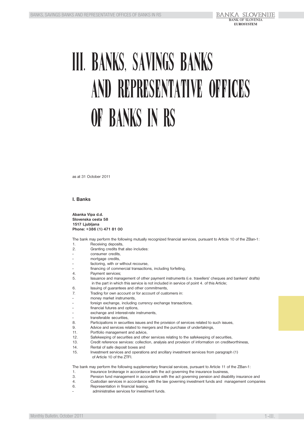# III. BANKS, SAVINGS BANKS AND REPRESENTATIVE OFFICES OF BANKS IN RS

as at 31 October 2011

# **I. Banks**

**Abanka Vipa d.d. Slovenska cesta 58 1517 Ljubljana Phone: +386 (1) 471 81 00**

The bank may perform the following mutually recognized financial services, pursuant to Article 10 of the ZBan-1:

- 1. Receiving deposits<br>2. Granting credits that
- 2. Granting credits that also includes:
- consumer credits,
- mortgage credits.
- factoring, with or without recourse,
- financing of commercial transactions, including forfeiting,
- 4. Payment services;
- 5. Issuance and management of other payment instruments (i.e. travellers' cheques and bankers' drafts) in the part in which this service is not included in service of point 4. of this Article;
- 6. Issuing of guarantees and other commitments,
- 7. Trading for own account or for account of customers in:
- money market instruments,
- foreign exchange, including currency exchange transactions,
- financial futures and options,
- exchange and interest-rate instruments,
- transferable securities.
- 8. Participations in securities issues and the provision of services related to such issues,
- 9. Advice and services related to mergers and the purchase of undertakings,
- 11. Portfolio management and advice,
- 12. Safekeeping of securities and other services relating to the safekeeping of securities,
- 13. Credit reference services: collection, analysis and provision of information on creditworthiness,
- 14. Rental of safe deposit boxes and
- 15. Investment services and operations and ancillary investment services from paragraph (1) of Article 10 of the ZTFI.

The bank may perform the following supplementary financial services, pursuant to Article 11 of the ZBan-1:

- 1. Insurance brokerage in accordance with the act governing the insurance business,
- 3. Pension fund management in accordance with the act governing pension and disability insurance and
- 4. Custodian services in accordance with the law governing investment funds and management companies
- 6. Representation in financial leasing,
- administrative services for investment funds.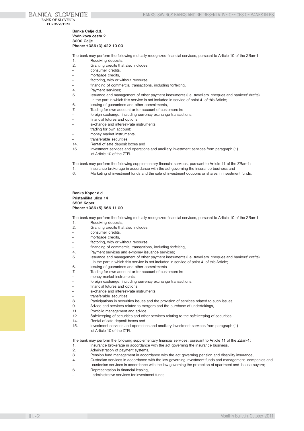#### **Banka Celje d.d. Vodnikova cesta 2 3000 Celje Phone: +386 (3) 422 10 00**

The bank may perform the following mutually recognized financial services, pursuant to Article 10 of the ZBan-1: 1. Receiving deposits,

- 2. Granting credits that also includes:
- consumer credits,
- mortgage credits,
- factoring, with or without recourse,
- financing of commercial transactions, including forfeiting
- 4. Payment services;
- 5. Issuance and management of other payment instruments (i.e. travellers' cheques and bankers' drafts) in the part in which this service is not included in service of point 4. of this Article;
- 6. Issuing of guarantees and other commitments,
- 7. Trading for own account or for account of customers in:
- foreign exchange, including currency exchange transactions,
- financial futures and options.
- exchange and interest-rate instruments,
- trading for own account:
- money market instruments
- transferable securities.
- 14. Rental of safe deposit boxes and
- 15. Investment services and operations and ancillary investment services from paragraph (1) of Article 10 of the ZTFI.

The bank may perform the following supplementary financial services, pursuant to Article 11 of the ZBan-1:

- 1. Insurance brokerage in accordance with the act governing the insurance business and
- 6. Marketing of investment funds and the sale of investment coupons or shares in investment funds.

#### **Banka Koper d.d. Pristaniška ulica 14 6502 Koper Phone: +386 (5) 666 11 00**

The bank may perform the following mutually recognized financial services, pursuant to Article 10 of the ZBan-1: 1. Receiving deposits,

- 2. Granting credits that also includes:
- consumer credits,
- mortgage credits.
- factoring, with or without recourse,
- financing of commercial transactions, including forfeiting,
- 4. Payment services and e-money issuance services;
- 5. Issuance and management of other payment instruments (i.e. travellers' cheques and bankers' drafts) in the part in which this service is not included in service of point 4. of this Article;
- 6. Issuing of guarantees and other commitments
- 7. Trading for own account or for account of customers in:
- money market instruments.
- foreign exchange, including currency exchange transactions,
- financial futures and options.
- exchange and interest-rate instruments,
- transferable securities
- 8. Participations in securities issues and the provision of services related to such issues,
- 9. Advice and services related to mergers and the purchase of undertakings,
- 11. Portfolio management and advice,
- 12. Safekeeping of securities and other services relating to the safekeeping of securities,
- 14. Rental of safe deposit boxes and
- 15. Investment services and operations and ancillary investment services from paragraph (1) of Article 10 of the ZTFI.

The bank may perform the following supplementary financial services, pursuant to Article 11 of the ZBan-1:

- 1. Insurance brokerage in accordance with the act governing the insurance business,
- 2. Administration of payment systems,
- 3. Pension fund management in accordance with the act governing pension and disability insurance,
- 4. Custodian services in accordance with the law governing investment funds and management companies and
	- custodian services in accordance with the law governing the protection of apartment and house buyers;
- 6. Representation in financial leasing,
- administrative services for investment funds.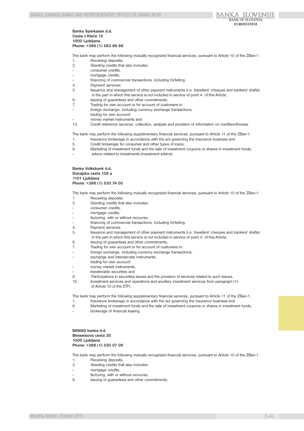

**Banka Sparkasse d.d. Cesta v Kleče 15 1000 Ljubljana Phone: +386 (1) 583 66 66**

The bank may perform the following mutually recognized financial services, pursuant to Article 10 of the ZBan-1: 1. Receiving deposits,

- 2. Granting credits that also includes:
- consumer credits,
- mortgage credits,
- financing of commercial transactions, including forfeiting,
- 4. Payment services;
- 5. Issuance and management of other payment instruments (i.e. travellers' cheques and bankers' drafts) in the part in which this service is not included in service of point 4. of this Article;
- 6. Issuing of guarantees and other commitments,
- 7. Trading for own account or for account of customers in:
- foreign exchange, including currency exchange transactions,
- trading for own account: money market instruments and
- 
- 13. Credit reference services: collection, analysis and provision of information on creditworthiness.

The bank may perform the following supplementary financial services, pursuant to Article 11 of the ZBan-1: 1. Insurance brokerage in accordance with the act governing the insurance business and

- 5. Credit brokerage for consumer and other types of loans;
- 6. Marketing of investment funds and the sale of investment coupons or shares in investment funds,
- advice related to investments (investment advice).

**Banka Volksbank d.d. Dunajska cesta 128 a 1101 Ljubljana Phone: +386 (1) 530 74 00**

The bank may perform the following mutually recognized financial services, pursuant to Article 10 of the ZBan-1: 1. Receiving deposits,

- 2. Granting credits that also includes:
- 
- consumer credits,
- mortgage credits.
- factoring, with or without recourse,
- financing of commercial transactions, including forfeiting,
- Payment services;

5. Issuance and management of other payment instruments (i.e. travellers' cheques and bankers' drafts) in the part in which this service is not included in service of point 4. of this Article;

- 6. Issuing of guarantees and other commitments,
- 7. Trading for own account or for account of customers in:
- foreign exchange, including currency exchange transactions.
- exchange and interest-rate instruments,
- trading for own account:
- money market instruments,
- transferable securities and
- 8. Participations in securities issues and the provision of services related to such issues,
- 15. Investment services and operations and ancillary investment services from paragraph (1) of Article 10 of the ZTFI.

The bank may perform the following supplementary financial services, pursuant to Article 11 of the ZBan-1: 1. Insurance brokerage in accordance with the act governing the insurance business and

- 6. Marketing of investment funds and the sale of investment coupons or shares in investment funds,
- brokerage of financial leasing.

**BAWAG banka d.d. Bleiweisova cesta 30 1000 Ljubljana Phone: +386 (1) 230 07 06**

The bank may perform the following mutually recognized financial services, pursuant to Article 10 of the ZBan-1:

- 1. Receiving deposits,
- 2. Granting credits that also includes:
- mortgage credits.
- factoring, with or without recourse,<br>6. Saling of quarantees and other co
- 6. Issuing of guarantees and other commitments,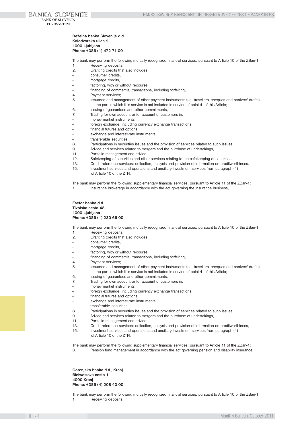**Deželna banka Slovenije d.d. Kolodvorska ulica 9 1000 Ljubljana Phone: +386 (1) 472 71 00**

The bank may perform the following mutually recognized financial services, pursuant to Article 10 of the ZBan-1:

- 1. Receiving deposits,
- 2. Granting credits that also includes:
- consumer credits.
- mortgage credits,
- factoring, with or without recourse.
- financing of commercial transactions, including forfeiting,
- 4. Payment services;
- 5. Issuance and management of other payment instruments (i.e. travellers' cheques and bankers' drafts) in the part in which this service is not included in service of point 4. of this Article;<br>6. Issuing of quarantees and other commitments.
- Issuing of guarantees and other commitments.
- 7. Trading for own account or for account of customers in:
- money market instruments.
- foreign exchange, including currency exchange transactions,
- financial futures and options.
- exchange and interest-rate instruments
- transferable securities,<br>8. Participations in securities
- Participations in securities issues and the provision of services related to such issues.
- 9. Advice and services related to mergers and the purchase of undertakings,
- 11. Portfolio management and advice,
- 12. Safekeeping of securities and other services relating to the safekeeping of securities,
- 13. Credit reference services: collection, analysis and provision of information on creditworthiness.
- 15. Investment services and operations and ancillary investment services from paragraph (1) of Article 10 of the ZTFI.

The bank may perform the following supplementary financial services, pursuant to Article 11 of the ZBan-1: 1. Insurance brokerage in accordance with the act governing the insurance business,

**Factor banka d.d. Tivolska cesta 48 1000 Ljubljana Phone: +386 (1) 230 66 00**

The bank may perform the following mutually recognized financial services, pursuant to Article 10 of the ZBan-1:

- 1. Receiving deposits<br>2. Granting credits that 2. Granting credits that also includes:
- consumer credits,
- mortgage credits.
- factoring, with or without recourse
- financing of commercial transactions, including forfeiting,
- 4. Payment services;
- 5. Issuance and management of other payment instruments (i.e. travellers' cheques and bankers' drafts) in the part in which this service is not included in service of point 4. of this Article;
- 6. Issuing of guarantees and other commitments,
- 7. Trading for own account or for account of customers in:
- money market instruments,
- foreign exchange, including currency exchange transactions,
- financial futures and options
- exchange and interest-rate instruments,
- transferable securities,
- 8. Participations in securities issues and the provision of services related to such issues,
- 9. Advice and services related to mergers and the purchase of undertakings,
- 11 Portfolio management and advice
- 13. Credit reference services: collection, analysis and provision of information on creditworthiness,
- 15. Investment services and operations and ancillary investment services from paragraph (1) of Article 10 of the ZTFI.

The bank may perform the following supplementary financial services, pursuant to Article 11 of the ZBan-1: 3. Pension fund management in accordance with the act governing pension and disability insurance.

**Gorenjska banka d.d., Kranj Bleiweisova cesta 1 4000 Kranj Phone: +386 (4) 208 40 00**

The bank may perform the following mutually recognized financial services, pursuant to Article 10 of the ZBan-1: 1. Receiving deposits,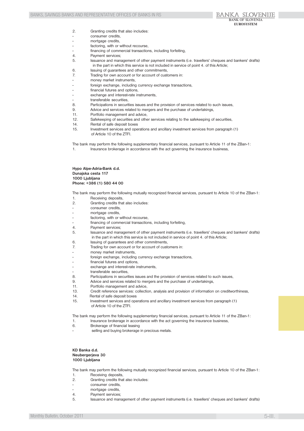

- 2. Granting credits that also includes:
- consumer credits,
- mortgage credits.
- factoring, with or without recourse,
- financing of commercial transactions, including forfeiting,
- 4. Payment services;
- 5. Issuance and management of other payment instruments (i.e. travellers' cheques and bankers' drafts) in the part in which this service is not included in service of point 4. of this Article;
- 6. Issuing of guarantees and other commitments,
- 7. Trading for own account or for account of customers in:
- money market instruments,
- foreign exchange, including currency exchange transactions,
- financial futures and options,
- exchange and interest-rate instruments,
- transferable securities.
- 8. Participations in securities issues and the provision of services related to such issues,
- 9. Advice and services related to mergers and the purchase of undertakings,
- 11. Portfolio management and advice,
- 12. Safekeeping of securities and other services relating to the safekeeping of securities,
- 14. Rental of safe deposit boxes
- 15. Investment services and operations and ancillary investment services from paragraph (1) of Article 10 of the ZTFI.

The bank may perform the following supplementary financial services, pursuant to Article 11 of the ZBan-1: 1. Insurance brokerage in accordance with the act governing the insurance business,

#### **Hypo Alpe-Adria-Bank d.d. Dunajska cesta 117 1000 Ljubljana Phone: +386 (1) 580 44 00**

The bank may perform the following mutually recognized financial services, pursuant to Article 10 of the ZBan-1:

- 1. Receiving deposits,
- 2. Granting credits that also includes:
- consumer credits, mortgage credits.
- 
- factoring, with or without recourse,
- financing of commercial transactions, including forfeiting,
- Payment services;
- 5. Issuance and management of other payment instruments (i.e. travellers' cheques and bankers' drafts) in the part in which this service is not included in service of point 4. of this Article;
- 6. Issuing of guarantees and other commitments,
- 7. Trading for own account or for account of customers in:
- money market instruments
- foreign exchange, including currency exchange transactions,
- financial futures and options
- exchange and interest-rate instruments,
- transferable securities,
- 8. Participations in securities issues and the provision of services related to such issues,
- 9. Advice and services related to mergers and the purchase of undertakings,
- 11. Portfolio management and advice,
- 13. Credit reference services: collection, analysis and provision of information on creditworthiness,
- 14. Rental of safe deposit boxes
- 15. Investment services and operations and ancillary investment services from paragraph (1) of Article 10 of the ZTFI.

The bank may perform the following supplementary financial services, pursuant to Article 11 of the ZBan-1:

- 1. Insurance brokerage in accordance with the act governing the insurance business,
- 6. Brokerage of financial leasing
- selling and buying brokerage in precious metals.

#### **KD Banka d.d. Neubergerjeva 30 1000 Ljubljana**

The bank may perform the following mutually recognized financial services, pursuant to Article 10 of the ZBan-1: 1. Receiving deposits,

- 2. Granting credits that also includes:
- consumer credits,
- mortgage credits,
- 4. Payment services;
- 5. Issuance and management of other payment instruments (i.e. travellers' cheques and bankers' drafts)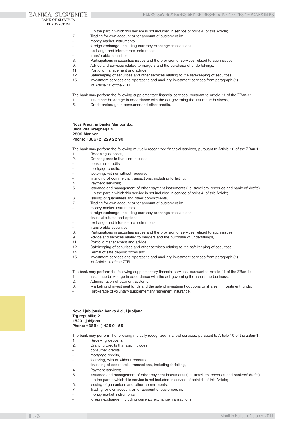- in the part in which this service is not included in service of point 4. of this Article;
- 7. Trading for own account or for account of customers in:
- money market instruments.
- foreign exchange, including currency exchange transactions,
- exchange and interest-rate instruments.
- transferable securities.
- 8. Participations in securities issues and the provision of services related to such issues,
- 9. Advice and services related to mergers and the purchase of undertakings,
- 11. Portfolio management and advice,
- 12. Safekeeping of securities and other services relating to the safekeeping of securities,
- 15. Investment services and operations and ancillary investment services from paragraph (1) of Article 10 of the ZTFI.

The bank may perform the following supplementary financial services, pursuant to Article 11 of the ZBan-1:

- 1. Insurance brokerage in accordance with the act governing the insurance business,
- 5. Credit brokerage in consumer and other credits.

**Nova Kreditna banka Maribor d.d. Ulica Vita Kraigherja 4 2505 Maribor Phone: +386 (2) 229 22 90**

The bank may perform the following mutually recognized financial services, pursuant to Article 10 of the ZBan-1:

- 1. Receiving deposits,
- 2. Granting credits that also includes:
- consumer credits,
- mortgage credits,
- factoring, with or without recourse,
- financing of commercial transactions, including forfeiting,
- 4. Payment services;
- 5. Issuance and management of other payment instruments (i.e. travellers' cheques and bankers' drafts) in the part in which this service is not included in service of point 4. of this Article;<br>6. Issuing of guarantees and other commitments,
- 6. Issuing of guarantees and other commitments,
- 7. Trading for own account or for account of customers in:
- money market instruments,
- foreign exchange, including currency exchange transactions,
- financial futures and options,
- exchange and interest-rate instruments,
- transferable securities
- 8. Participations in securities issues and the provision of services related to such issues,
- 9. Advice and services related to mergers and the purchase of undertakings,
- 11. Portfolio management and advice,
- 12. Safekeeping of securities and other services relating to the safekeeping of securities,
- 14. Rental of safe deposit boxes and
- 15. Investment services and operations and ancillary investment services from paragraph (1) of Article 10 of the ZTFI.

The bank may perform the following supplementary financial services, pursuant to Article 11 of the ZBan-1:

- 1. Insurance brokerage in accordance with the act governing the insurance business,
- 2. Administration of payment systems,
- 6. Marketing of investment funds and the sale of investment coupons or shares in investment funds:
- brokerage of voluntary supplementary retirement insurance.

**Nova Ljubljanska banka d.d., Ljubljana Trg republike 2 1520 Ljubljana Phone: +386 (1) 425 01 55**

The bank may perform the following mutually recognized financial services, pursuant to Article 10 of the ZBan-1: 1. Receiving deposits,

- 2. Granting credits that also includes:
- consumer credits,
- mortgage credits.
- factoring, with or without recourse,
- financing of commercial transactions, including forfeiting,
- 4. Payment services;
- 5. Issuance and management of other payment instruments (i.e. travellers' cheques and bankers' drafts) in the part in which this service is not included in service of point 4. of this Article;
- 6. Issuing of guarantees and other commitments,
- 7. Trading for own account or for account of customers in:
- money market instruments.
- foreign exchange, including currency exchange transactions,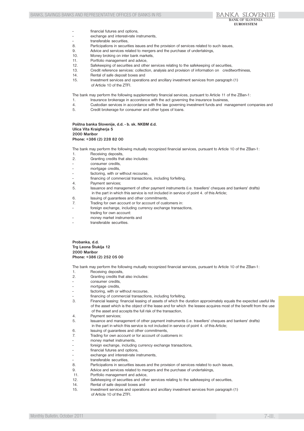

- financial futures and options,
- exchange and interest-rate instruments,
- transferable securities.
- 8. Participations in securities issues and the provision of services related to such issues,
- 9. Advice and services related to mergers and the purchase of undertakings,<br>10. Money broking on inter bank markets,
- Money broking on inter bank markets.
- 11 Portfolio management and advice
- 12. Safekeeping of securities and other services relating to the safekeeping of securities,
- 13. Credit reference services: collection, analysis and provision of information on creditworthiness,
- 14. Rental of safe deposit boxes and
- 15. Investment services and operations and ancillary investment services from paragraph (1) of Article 10 of the ZTFI.

The bank may perform the following supplementary financial services, pursuant to Article 11 of the ZBan-1:

- 1. Insurance brokerage in accordance with the act governing the insurance business,
- 4. Custodian services in accordance with the law governing investment funds and management companies and<br>5. Credit brokerage for consumer and other types of loans.
- 5. Credit brokerage for consumer and other types of loans.

**Poštna banka Slovenije, d.d. - b. sk. NKBM d.d. Ulica Vita Kraigherja 5 2000 Maribor Phone: +386 (2) 228 82 00**

The bank may perform the following mutually recognized financial services, pursuant to Article 10 of the ZBan-1:

- 1. Receiving deposits,
- 2. Granting credits that also includes:
- consumer credits,
- mortgage credits,
- factoring, with or without recourse,
- financing of commercial transactions, including forfeiting,
- 4. Payment services;
- 5. Issuance and management of other payment instruments (i.e. travellers' cheques and bankers' drafts) in the part in which this service is not included in service of point 4. of this Article;<br>6. Issuing of guarantees and other commitments,
- 6. Issuing of guarantees and other commitments,
- 7. Trading for own account or for account of customers in:
- foreign exchange, including currency exchange transactions, trading for own account:
- money market instruments and
- transferable securities.

**Probanka, d.d. Trg Leona Štuklja 12 2000 Maribor Phone: +386 (2) 252 05 00**

The bank may perform the following mutually recognized financial services, pursuant to Article 10 of the ZBan-1:

- 1. Receiving deposits,
- 2. Granting credits that also includes:
- consumer credits.
- mortgage credits,
- factoring, with or without recourse,
- financing of commercial transactions, including forfeiting,
- 3. Financial leasing: financial leasing of assets of which the duration approximately equals the expected useful life of the asset which is the object of the lease and for which the lessee acquires most of the benefit from the use of the asset and accepts the full risk of the transaction,
- 4. Payment services;
- 5. Issuance and management of other payment instruments (i.e. travellers' cheques and bankers' drafts) in the part in which this service is not included in service of point 4. of this Article;
- 6. Issuing of guarantees and other commitments,
- 7. Trading for own account or for account of customers in:
- money market instruments,
- foreign exchange, including currency exchange transactions,
- financial futures and options,
- exchange and interest-rate instruments,
- transferable securities,
- 8. Participations in securities issues and the provision of services related to such issues,
- 9. Advice and services related to mergers and the purchase of undertakings,
- 11. Portfolio management and advice,
- 12. Safekeeping of securities and other services relating to the safekeeping of securities,
- 14. Rental of safe deposit boxes and
- 15. Investment services and operations and ancillary investment services from paragraph (1) of Article 10 of the ZTFI.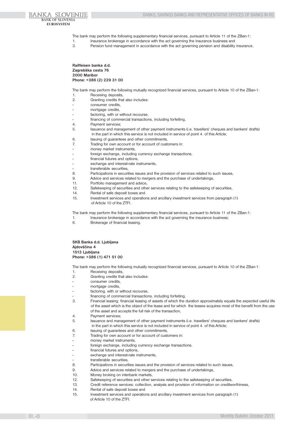The bank may perform the following supplementary financial services, pursuant to Article 11 of the ZBan-1: 1. Insurance brokerage in accordance with the act governing the insurance business and

3. Pension fund management in accordance with the act governing pension and disability insurance.

**Raiffeisen banka d.d. Zagrebška cesta 76 2000 Maribor Phone: +386 (2) 229 31 00**

The bank may perform the following mutually recognized financial services, pursuant to Article 10 of the ZBan-1: 1. Receiving deposits,

- 
- 2. Granting credits that also includes:
- consumer credits, mortgage credits.
- factoring, with or without recourse,
- financing of commercial transactions, including forfeiting,
- 4. Payment services;
- 5. Issuance and management of other payment instruments (i.e. travellers' cheques and bankers' drafts) in the part in which this service is not included in service of point 4. of this Article;
- 6. Issuing of guarantees and other commitments,
- 7. Trading for own account or for account of customers in:
- money market instruments,
- foreign exchange, including currency exchange transactions,
- financial futures and options,
- exchange and interest-rate instruments,
- transferable securities.
- 8. Participations in securities issues and the provision of services related to such issues,
- 9. Advice and services related to mergers and the purchase of undertakings,
- 11. Portfolio management and advice,
- 12. Safekeeping of securities and other services relating to the safekeeping of securities,
- 14. Rental of safe deposit boxes and
- 15. Investment services and operations and ancillary investment services from paragraph (1) of Article 10 of the ZTFI.

The bank may perform the following supplementary financial services, pursuant to Article 11 of the ZBan-1:

- 1. Insurance brokerage in accordance with the act governing the insurance business;
- 6. Brokerage of financial leasing.

**SKB Banka d.d. Ljubljana Ajdovščina 4 1513 Ljubljana Phone: +386 (1) 471 51 00**

The bank may perform the following mutually recognized financial services, pursuant to Article 10 of the ZBan-1:

- 1. Receiving deposits,
- 2. Granting credits that also includes:
- consumer credits.
- mortgage credits,
- factoring, with or without recourse,
- financing of commercial transactions, including forfeiting,
- 3. Financial leasing: financial leasing of assets of which the duration approximately equals the expected useful life of the asset which is the object of the lease and for which the lessee acquires most of the benefit from the use of the asset and accepts the full risk of the transaction,
- 4. Payment services;
- 5. Issuance and management of other payment instruments (i.e. travellers' cheques and bankers' drafts) in the part in which this service is not included in service of point 4. of this Article;
- 6. Issuing of guarantees and other commitments,
- 7. Trading for own account or for account of customers in:
- money market instruments,
- foreign exchange, including currency exchange transactions,
- financial futures and options,
- exchange and interest-rate instruments,
- transferable securities,
- 8. Participations in securities issues and the provision of services related to such issues,
- 9. Advice and services related to mergers and the purchase of undertakings,<br>10. Money broking on interbank markets,
- Money broking on interbank markets,
- 12. Safekeeping of securities and other services relating to the safekeeping of securities,
- 13. Credit reference services: collection, analysis and provision of information on creditworthiness,
- 14. Rental of safe deposit boxes and
- 15. Investment services and operations and ancillary investment services from paragraph (1) of Article 10 of the ZTFI.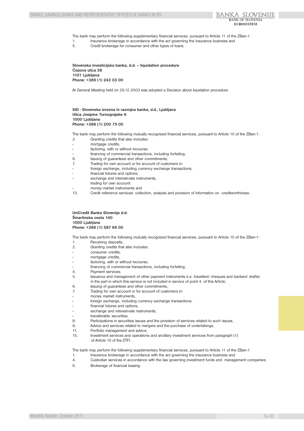BANKA SLOVENIJE BANK OF SLOVENIA **EUROSYSTEM**

The bank may perform the following supplementary financial services, pursuant to Article 11 of the ZBan-1: 1. Insurance brokerage in accordance with the act governing the insurance business and 5. Credit brokerage for consumer and other types of loans.

**Slovenska investicijska banka, d.d. – liquidation procedure Čopova ulica 38 1101 Ljubljana Phone: +386 (1) 242 03 00**

At General Meeting held on 29.12.2003 was adopted a Decision about liquidation procedure.

**SID - Slovenska izvozna in razvojna banka, d.d., Ljubljana Ulica Josipine Turnograjske 6 1000 Ljubljana Phone: +386 (1) 200 75 00**

The bank may perform the following mutually recognized financial services, pursuant to Article 10 of the ZBan-1: 2. Granting credits that also includes:

- mortgage credits.
- factoring, with or without recourse,
- financing of commercial transactions, including forfeiting,
- 6. Issuing of guarantees and other commitments,
- 7. Trading for own account or for account of customers in:
- foreign exchange, including currency exchange transactions,
- financial futures and options,
- exchange and interest-rate instruments.
- trading for own account:
- money market instruments and
- 13. Credit reference services: collection, analysis and provision of information on creditworthiness.

#### **UniCredit Banka Slovenija d.d. Šmartinska cesta 140 1000 Ljubljana Phone: +386 (1) 587 66 00**

The bank may perform the following mutually recognized financial services, pursuant to Article 10 of the ZBan-1:

- 1. Receiving deposits,
- 2. Granting credits that also includes:
- consumer credits,
- mortgage credits,
- factoring, with or without recourse.
- financing of commercial transactions, including forfeiting,
- 4. Payment services;
- 5. Issuance and management of other payment instruments (i.e. travellers' cheques and bankers' drafts) in the part in which this service is not included in service of point 4. of this Article;
- 6. Issuing of guarantees and other commitments,
- 7. Trading for own account or for account of customers in:
- money market instruments
- foreign exchange, including currency exchange transactions,
- financial futures and options,
- exchange and interest-rate instruments,
- transferable securities,
- 8. Participations in securities issues and the provision of services related to such issues,
- 9. Advice and services related to mergers and the purchase of undertakings,
- 11. Portfolio management and advice,
- 15. Investment services and operations and ancillary investment services from paragraph (1) of Article 10 of the ZTFI.

The bank may perform the following supplementary financial services, pursuant to Article 11 of the ZBan-1:

- 1. Insurance brokerage in accordance with the act governing the insurance business and
- 4. Custodian services in accordance with the law governing investment funds and management companies;
- 6. Brokerage of financial leasing.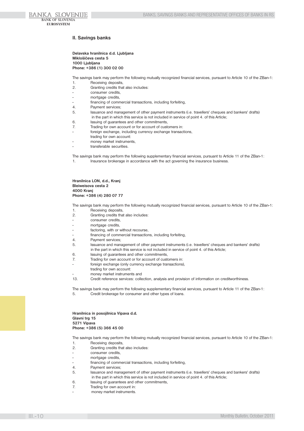## **II. Savings banks**

**Delavska hranilnica d.d. Ljubljana Miklošičeva cesta 5 1000 Ljubljana Phone: +386 (1) 300 02 00**

The savings bank may perform the following mutually recognized financial services, pursuant to Article 10 of the ZBan-1:

- 1. Receiving deposits,
- 2. Granting credits that also includes:
- consumer credits,
- mortgage credits,
- financing of commercial transactions, including forfeiting,
- 4. Payment services;
- 5. Issuance and management of other payment instruments (i.e. travellers' cheques and bankers' drafts) in the part in which this service is not included in service of point 4. of this Article;
- 6. Issuing of guarantees and other commitments,
- 7. Trading for own account or for account of customers in:
- foreign exchange, including currency exchange transactions,
- trading for own account:
- money market instruments,
- transferable securities.

The savings bank may perform the following supplementary financial services, pursuant to Article 11 of the ZBan-1: 1. Insurance brokerage in accordance with the act governing the insurance business.

**Hranilnica LON, d.d., Kranj Bleiweisova cesta 2 4000 Kranj Phone: +386 (4) 280 07 77**

The savings bank may perform the following mutually recognized financial services, pursuant to Article 10 of the ZBan-1:

- 1. Receiving deposits,
- 2. Granting credits that also includes:
- consumer credits,
- mortgage credits,
- factoring, with or without recourse,
- financing of commercial transactions, including forfeiting,
- 4. Payment services;
- 5. Issuance and management of other payment instruments (i.e. travellers' cheques and bankers' drafts) in the part in which this service is not included in service of point 4. of this Article;<br>6. Issuing of guarantees and other commitments,
- Issuing of guarantees and other commitments,
- 7. Trading for own account or for account of customers in:
- foreign exchange (only currency exchange transactions),
- trading for own account:
- money market instruments and
- 13. Credit reference services: collection, analysis and provision of information on creditworthiness.

The savings bank may perform the following supplementary financial services, pursuant to Article 11 of the ZBan-1: 5. Credit brokerage for consumer and other types of loans.

#### **Hranilnica in posojilnica Vipava d.d. Glavni trg 15 5271 Vipava Phone: +386 (5) 366 45 00**

The savings bank may perform the following mutually recognized financial services, pursuant to Article 10 of the ZBan-1:

- 1. Receiving deposits,
- 2. Granting credits that also includes:
- consumer credits,
- mortgage credits
- financing of commercial transactions, including forfeiting,
- 4. Payment services;
- 5. Issuance and management of other payment instruments (i.e. travellers' cheques and bankers' drafts) in the part in which this service is not included in service of point 4. of this Article;
- 6. Issuing of guarantees and other commitments,
- 7. Trading for own account in:
- money market instruments.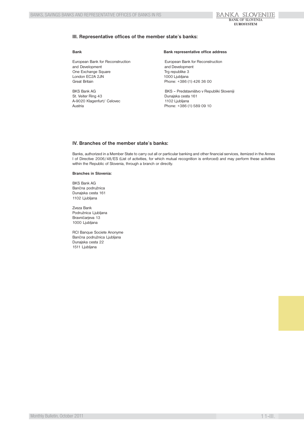BANKA SLOVENIJE BANK OF SLOVENIA **EUROSYSTEM**

# **III. Representative offices of the member state's banks:**

## **Bank Bank representative office address**

European Bank for Reconstruction European Bank for Reconstruction and Development and Development One Exchange Square Trg republike 3<br>
London EC2A 2JN 1000 Ljubljana London EC2A 2JN Great Britain **Phone: +386 (1) 426 36 00** 

St. Veiter Ring 43 Dunajska cesta 161 A-9020 Klagenfurt/ Celovec 1102 Ljubljana

BKS Bank AG **BKS** – Predstavništvo v Republiki Sloveniji Austria Phone: +386 (1) 589 09 10

# **IV. Branches of the member state's banks:**

Banks, authorized in a Member State to carry out all or particular banking and other financial services, itemized in the Annex I of Directive 2006/48/ES (List of activities, for which mutual recognition is enforced) and may perform these activities within the Republic of Slovenia, through a branch or directly.

#### **Branches in Slovenia:**

BKS Bank AG Bančna podružnica Dunajska cesta 161 1102 Ljubljana

Zveza Bank Podružnica Ljubljana Bravničarjeva 13 1000 Ljubljana

RCI Banque Societe Anonyme Bančna podružnica Ljubljana Dunajska cesta 22 1511 Ljubljana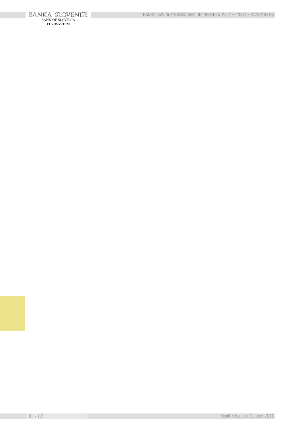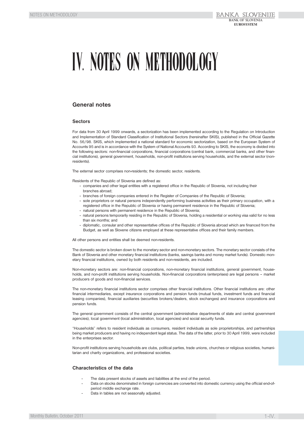# IV. NOTES ON METHODOLOGY

# **General notes**

#### **Sectors**

For data from 30 April 1999 onwards, a sectorization has been implemented according to the Regulation on Introduction and Implementation of Standard Classification of Institutional Sectors (hereinafter SKIS), published in the Official Gazette No. 56/98. SKIS, which implemented a national standard for economic sectorization, based on the European System of Accounts 95 and is in accordance with the System of National Accounts 93. According to SKIS, the economy is divided into the following sectors: non-financial corporations, financial corporations (central bank, commercial banks, and other financial institutions), general government, households, non-profit institutions serving households, and the external sector (nonresidents).

The external sector comprises non-residents; the domestic sector, residents.

Residents of the Republic of Slovenia are defined as:

- companies and other legal entities with a registered office in the Republic of Slovenia, not including their branches abroad;
- branches of foreign companies entered in the Register of Companies of the Republic of Slovenia;
- sole proprietors or natural persons independently performing business activities as their primary occupation, with a registered office in the Republic of Slovenia or having permanent residence in the Republic of Slovenia;
- natural persons with permanent residence in the Republic of Slovenia;
- natural persons temporarily residing in the Republic of Slovenia, holding a residential or working visa valid for no less than six months; and
- diplomatic, consular and other representative offices of the Republic of Slovenia abroad which are financed from the Budget, as well as Slovene citizens employed at these representative offices and their family members.

All other persons and entities shall be deemed non-residents.

The domestic sector is broken down to the monetary sector and non-monetary sectors. The monetary sector consists of the Bank of Slovenia and other monetary financial institutions (banks, savings banks and money market funds). Domestic monetary financial institutions, owned by both residents and non-residents, are included.

Non-monetary sectors are: non-financial corporations, non-monetary financial institutions, general government, households, and non-profit institutions serving households. Non-financial corporations (enterprises) are legal persons – market producers of goods and non-financial services.

The non-monetary financial institutions sector comprises other financial institutions. Other financial institutions are: other financial intermediaries, except insurance corporations and pension funds (mutual funds, investment funds and financial leasing companies), financial auxiliaries (securities brokers/dealers, stock exchanges) and insurance corporations and pension funds.

The general government consists of the central government (administrative departments of state and central government agencies), local government (local administration, local agencies) and social security funds.

"Households" refers to resident individuals as consumers, resident individuals as sole proprietorships, and partnerships being market producers and having no independent legal status. The data of the latter, prior to 30 April 1999, were included in the enterprises sector.

Non-profit institutions serving households are clubs, political parties, trade unions, churches or religious societies, humanitarian and charity organizations, and professional societies.

# **Characteristics of the data**

- The data present stocks of assets and liabilities at the end of the period.
- Data on stocks denominated in foreign currencies are converted into domestic currency using the official end-ofperiod middle exchange rate.
- Data in tables are not seasonally adjusted.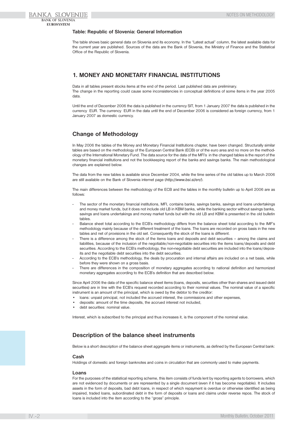# **Table: Republic of Slovenia: General Information**

The table shows basic general data on Slovenia and its economy. In the "Latest actual" column, the latest available data for the current year are published. Sources of the data are the Bank of Slovenia, the Ministry of Finance and the Statistical Office of the Republic of Slovenia.

# **1. MONEY AND MONETARY FINANCIAL INSTITUTIONS**

Data in all tables present stocks items at the end of the period. Last published data are preliminary. The change in the reporting could cause some inconsistencies in conceptual definitions of some items in the year 2005 data.

Until the end of December 2006 the data is published in the currency SIT, from 1 January 2007 the data is published in the currency EUR. The currency EUR in the data until the end of December 2006 is considered as foreign currency, from 1 January 2007 as domestic currency.

# **Change of Methodology**

In May 2006 the tables of the Money and Monetary Financial Institutions chapter, have been changed. Structurally similar tables are based on the methodology of the European Central Bank (ECB) or of the euro area and no more on the methodology of the International Monetary Fund. The data source for the data of the MFI's in the changed tables is the report of the monetary financial institutions and not the bookkeeping report of the banks and savings banks. The main methodological changes are explained below.

The data from the new tables is available since December 2004, while the time series of the old tables up to March 2006 are still available on the Bank of Slovenia internet page (*http://www.bsi.si/en/*).

The main differences between the methodology of the ECB and the tables in the monthly bulletin up to April 2006 are as follows:

- The sector of the monetary financial institutions, MFI, contains banks, savings banks, savings and loans undertakings and money market funds, but it does not include old LB in KBM banks, while the banking sector without savings banks, savings and loans undertakings and money market funds but with the old LB and KBM is presented in the old bulletin tables.
- Balance sheet total according to the ECB's methodology differs from the balance sheet total according to the IMF's methodology mainly because of the different treatment of the loans. The loans are recorded on gross basis in the new tables and net of provisions in the old set. Consequently the stock of the loans is different.
- There is a difference among the stock of the items loans and deposits and debt securities among the claims and liabilities, because of the inclusion of the negotiable/non-negotiable securities into the items loans/deposits and debt securities. According to the ECB's methodology, the non-negotiable debt securities are included into the loans/deposits and the negotiable debt securities into the debt securities.
- According to the ECB's methodology, the deals by procuration and internal affairs are included on a net basis, while before they were shown on a gross basis.
- There are differences in the composition of monetary aggregates according to national definition and harmonized monetary aggregates according to the ECB's definition that are described below.

Since April 2006 the data of the specific balance sheet items (loans, deposits, securities other than shares and issued debt securities) are in line with the ECB's request recorded according to their nominal values. The nominal value of a specific instrument is an amount of the principal, which is owed by the debtor to the creditor:

- loans: unpaid principal, not included the accrued interest, the commissions and other expenses,
- deposits: amount of the time deposits, the accrued interest not included,
- debt securities: nominal value.

Interest, which is subscribed to the principal and thus increases it, is the component of the nominal value.

# **Description of the balance sheet instruments**

Below is a short description of the balance sheet aggregate items or instruments, as defined by the European Central bank:

## **Cash**

Holdings of domestic and foreign banknotes and coins in circulation that are commonly used to make payments.

#### **Loans**

For the purposes of the statistical reporting scheme, this item consists of funds lent by reporting agents to borrowers, which are not evidenced by documents or are represented by a single document (even if it has become negotiable). It includes assets in the form of deposits, bad debt loans, in respect of which repayment is overdue or otherwise identified as being impaired, traded loans, subordinated debt in the form of deposits or loans and claims under reverse repos. The stock of loans is included into the item according to the "gross" principle.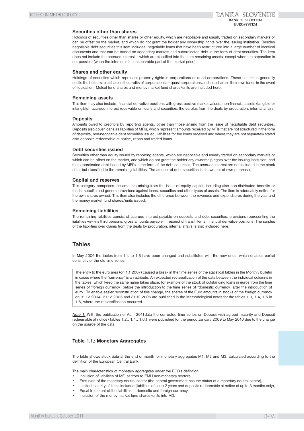#### BANKA SLOVENIJE BANK OF SLOVENIA **EUROSYSTEM**

#### **Securities other than shares**

Holdings of securities other than shares or other equity, which are negotiable and usually traded on secondary markets or can be offset on the market, and which do not grant the holder any ownership rights over the issuing institution. Besides negotiable debt securities this item includes: negotiable loans that have been restructured into a large number of identical documents and that can be traded on secondary markets and subordinated debt in the form of debt securities. The item does not include the accrued interest – which are classified into the item remaining assets, except when the separation is not possible (when the interest is the inseparable part of the market price).

#### **Shares and other equity**

Holdings of securities which represent property rights in corporations or quasi-corporations. These securities generally entitle the holders to a share in the profits of corporations or quasi-corporations and to a share in their own funds in the event of liquidation. Mutual fund shares and money market fund shares/units are included here.

#### **Remaining assets**

This item may also include: financial derivative positions with gross positive market values, non-financial assets (tangible or intangible), accrued interest receivable on loans and securities, the surplus from the deals by procuration, internal affairs.

#### **Deposits**

Amounts owed to creditors by reporting agents, other than those arising from the issue of negotiable debt securities. Deposits also cover loans as liabilities of MFIs, which represent amounts received by MFIs that are not structured in the form of deposits, non-negotiable debt securities issued, liabilities for the loans received and where they are not separately stated also deposits redeemable at notice, repos and traded loans.

#### **Debt securities issued**

Securities other than equity issued by reporting agents, which are negotiable and usually traded on secondary markets or which can be offset on the market, and which do not grant the holder any ownership rights over the issuing institution, and the subordinated debt issued by MFI's in the form of the debt securities. The accrued interest are not included in the stock data, but classified to the remaining liabilities. The amount of debt securities is shown net of own purchase.

#### **Capital and reserves**

This category comprises the amounts arising from the issue of equity capital, including also non-distributed benefits or funds, specific and general provisions against loans, securities and other types of assets. The item is adequately netted for the own shares owned. This item also includes the difference between the revenues and expenditures during the year and the money market fund shares/units issued.

## **Remaining liabilities**

The remaining liabilities consist of accrued interest payable on deposits and debt securities, provisions representing the liabilities vis-ŕ-vis third persons, gross amounts payable in respect of transit items, financial derivative positions. The surplus of the liabilities over claims from the deals by procuration, internal affairs is also included here.

# **Tables**

In May 2006 the tables from 1.1. to 1.8 have been changed and substituted with the new ones, which enables partial continuity of the old time series.

The entry to the euro area (on 1,1.2007) caused a break in the time series of the statistical tables in the Monthly bulletin in cases where the "currency" is an attribute. An expected reclassification of the data between the individual columns in the tables, which keep the same name takes place, for example of the stock of outstanding loans in euros from the time series of "foreign currency" before the introduction to the time series of "domestic currency" after the introduction of euro. To enable easier reconstruction of this change, the shares of the Euro amounts in stocks of the foreign currency on 31.12.2004, 31.12.2005 and 31.12.2006 are published in the Methodological notes for the tables 1.3, 1.4, 1.5 in 1.6, where the reclassification occurred.

*Note 1:* With the publication of April 2011data the corrected time series on Deposit with agreed maturity and Deposit redeemable at notice (Tables 1.2., 1.4., 1.6.) were published for the period January 2009 to May 2010 due to the change on the source of the data.

## **Table 1.1.: Monetary Aggregates**

The table shows stock data at the end of month for monetary aggregates M1, M2 and M3, calculated according to the definition of the European Central Bank.

The main characteristics of monetary aggregates under the ECB's definition:

- Inclusion of liabilities of MFI sectors to EMU non-monetary sectors,
- Exclusion of the monetary neutral sector (the central government has the status of a monetary neutral sector),
- Limited maturity of items included (liabilities of up to 2 years and deposits redeemable at notice of up to 3 months only),
- Equal treatment of the liabilities in domestic and foreign currency,
- Inclusion of the money market fund shares/units into M3.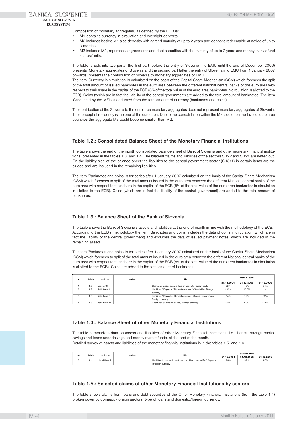Composition of monetary aggregates, as defined by the ECB is:

- M1 contains currency in circulation and overnight deposits,
- M2 includes beside M1 also deposits with agreed maturity of up to 2 years and deposits redeemable at notice of up to 3 months,
- M3 includes M2, repurchase agreements and debt securities with the maturity of up to 2 years and money market fund shares/units.

The table is split into two parts: the first part (before the entry of Slovenia into EMU until the end of December 2006) presents Monetary aggregates of Slovenia and the second part (after the entry of Slovenia into EMU from 1 January 2007 onwards) presents the contribution of Slovenia to monetary aggregates of EMU.

The item 'Currency in circulation' is calculated on the basis of the Capital Share Mechanism (CSM) which foresees the split of the total amount of issued banknotes in the euro area between the different national central banks of the euro area with respect to their share in the capital of the ECB (8% of the total value of the euro area banknotes in circulation is allotted to the ECB). Coins (which are in fact the liability of the central government) are added to the total amount of banknotes. The item 'Cash' held by the MFIs is deducted from the total amount of currency (banknotes and coins).

The contribution of the Slovenia to the euro area monetary aggregates does not represent monetary aggregates of Slovenia. The concept of residency is the one of the euro area. Due to the consolidation within the MFI sector on the level of euro area countries the aggregate M3 could become smaller than M2.

## **Table 1.2.: Consolidated Balance Sheet of the Monetary Financial Institutions**

The table shows the end of the month consolidated balance sheet of Bank of Slovenia and other monetary financial institutions, presented in the tables 1.3. and 1.4. The bilateral claims and liabilities of the sectors S.122 and S.121 are netted out. On the liability side of the balance sheet the liabilities to the central government sector (S.1311) in certain items are excluded and are included in the remaining liabilities.

The item 'Banknotes and coins' is for series after 1 January 2007 calculated on the basis of the Capital Share Mechanism (CSM) which foresees to split of the total amount issued in the euro area between the different National central banks of the euro area with respect to their share in the capital of the ECB (8% of the total value of the euro area banknotes in circulation is allotted to the ECB). Coins (which are in fact the liability of the central government) are added to the total amount of banknotes.

# **Table 1.3.: Balance Sheet of the Bank of Slovenia**

The table shows the Bank of Slovenia's assets and liabilities at the end of month in line with the methodology of the ECB. According to the ECB's methodology the item 'Banknotes and coins' includes the data of coins in circulation (which are in fact the liability of the central government) and excludes the data of issued payment notes, which are included in the remaining assets.

The item 'Banknotes and coins' is for series after 1 January 2007 calculated on the basis of the Capital Share Mechanism (CSM) which foresees to split of the total amount issued in the euro area between the different National central banks of the euro area with respect to their share in the capital of the ECB (8% of the total value of the euro area banknotes in circulation is allotted to the ECB). Coins are added to the total amount of banknotes.

| no. | table | column         | sector | title                                                            | share of euro |            |            |
|-----|-------|----------------|--------|------------------------------------------------------------------|---------------|------------|------------|
|     |       |                |        |                                                                  | 31.12.2004    | 31.12.2005 | 31.12.2006 |
|     | 1.3   | assets/3       |        | Claims on foreign sectors (foreign assets)/ Foreign cash         | 58%           | 48%        | 54%        |
|     | .3    | liabilities/4  |        | Liabilities / Deposits / Domestic sectors / Other MFIs / Foreign | 100%          | 100%       |            |
|     |       |                |        | currency                                                         |               |            |            |
| 3   | 1.3   | liabilities/8  |        | Liabilities / Deposits / Domestic sectors / General government/  | 74%           | 72%        | 82%        |
|     |       |                |        | Foreign currency                                                 |               |            |            |
|     | 1.3.  | liabilities/15 |        | Liabilties/ Securities issued/ Foreign currency                  | 92%           | 89%        | 100%       |

## **Table 1.4.: Balance Sheet of other Monetary Financial Institutions**

The table summarizes data on assets and liabilities of other Monetary Financial Institutions, i.e. banks, savings banks, savings and loans undertakings and money market funds, at the end of the month.

| Detailed survey of assets and liabilities of the monetary financial institutions is in the tables 1.5. and 1.6. |  |
|-----------------------------------------------------------------------------------------------------------------|--|
|-----------------------------------------------------------------------------------------------------------------|--|

| no. | table | column       | sector | title                                                              | share of euro |            |            |
|-----|-------|--------------|--------|--------------------------------------------------------------------|---------------|------------|------------|
|     |       |              |        |                                                                    | 31.12.2004    | 31.12.2005 | 31.12.2006 |
|     | 1.4.  | liabilities/ |        | Liabilities to domestic sectors/ Liabilities to non-MFIs/ Deposits | 88%           | 88%        | 90%        |
|     |       |              |        | I in foreign currency                                              |               |            |            |

# **Table 1.5.: Selected claims of other Monetary Financial Institutions by sectors**

The table shows claims from loans and debt securities of the Other Monetary Financial Institutions (from the table 1.4) broken down by domestic/foreign sectors, type of loans and domestic/foreign currency.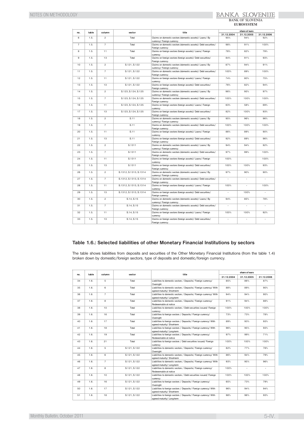## BANKA SLOVENIJE BANK OF SLOVENIA

# **EUROSYSTEM**

|                |       |                  |                        |                                                                                       | share of euro |            |            |
|----------------|-------|------------------|------------------------|---------------------------------------------------------------------------------------|---------------|------------|------------|
| no.            | table | column           | sector                 | title                                                                                 | 31.12.2004    | 31.12.2005 | 31.12.2006 |
| 6              | 1.5.  | $\overline{c}$   | Total                  | Claims on domestic sectors (domestic assets)/ Loans/ By<br>currency/ Foreign currency | 95%           | 94%        | 92%        |
| $\overline{7}$ | 1.5.  | $\overline{7}$   | Total                  | Claims on domestic sectors (domestic assets)/ Debt securities/<br>Foreign currency    | 98%           | 91%        | 100%       |
| 8              | 1.5.  | 11               | Total                  | Claims on foreign sectors (foreign assets)/ Loans/ Foreign<br>currency                | 76%           | 82%        | 79%        |
| 9              | 1.5.  | 13               | Total                  | Claims on foreign sectors (foreign assets)/ Debt securities/<br>Foreign currency      | 84%           | 91%        | 93%        |
| 10             | 1.5.  | $\mathfrak{p}$   | S.121, S.122           | Claims on domestic sectors (domestic assets)/ Loans/ By<br>currency/ Foreign currency | 87%           | 94%        | 91%        |
| 11             | 1.5.  | $\boldsymbol{7}$ | S.121, S.122           | Claims on domestic sectors (domestic assets)/ Debt securities/<br>Foreign currency    | 100%          | 89%        | 100%       |
| 12             | 1.5.  | 11               | S.121, S.122           | Claims on foreign sectors (foreign assets)/ Loans/ Foreign<br>currency                | 74%           | 80%        | 75%        |
| 13             | 1.5.  | 13               | S.121, S.122           | Claims on foreign sectors (foreign assets)/ Debt securities/<br>Foreign currency      | 76%           | 82%        | 94%        |
| 14             | 1.5.  | $\overline{c}$   | S.123, S.124, S.125    | Claims on domestic sectors (domestic assets)/ Loans/ By<br>currency/ Foreign currency | 96%           | 95%        | 97%        |
| 15             | 1.5.  | $\overline{7}$   | S.123, S.124, S.125    | Claims on domestic sectors (domestic assets)/ Debt securities/<br>Foreign currency    | 100%          | 100%       | 100%       |
| 16             | 1.5.  | 11               | S.123, S.124, S.125    | Claims on foreign sectors (foreign assets)/ Loans/ Foreign<br>currency                | 63%           | 58%        | 69%        |
| 17             | 1.5.  | 13               | S.123, S.124, S.125    | Claims on foreign sectors (foreign assets)/ Debt securities/<br>Foreign currency      | 82%           | 100%       | 93%        |
| 18             | 1.5.  | $\overline{2}$   | S.11                   | Claims on domestic sectors (domestic assets)/ Loans/ By<br>currency/ Foreign currency | 95%           | 96%        | 96%        |
| 19             | 1.5.  | $\overline{7}$   | S.11                   | Claims on domestic sectors (domestic assets)/ Debt securities/<br>Foreign currency    | 100%          | 100%       | 100%       |
| 20             | 1.5.  | 11               | S.11                   | Claims on foreign sectors (foreign assets)/ Loans/ Foreign<br>currency                | 86%           | 89%        | 90%        |
| 21             | 1.5.  | 13               | S.11                   | Claims on foreign sectors (foreign assets)/ Debt securities/<br>Foreign currency      | 92%           | 89%        | 96%        |
| 22             | 1.5.  | $\overline{c}$   | S.1311                 | Claims on domestic sectors (domestic assets)/ Loans/ By<br>currency/ Foreign currency | 94%           | 94%        | 92%        |
| 23             | 1.5.  | $\overline{7}$   | S.1311                 | Claims on domestic sectors (domestic assets)/ Debt securities/<br>Foreign currency    | 97%           | 99%        | 100%       |
| 24             | 1.5.  | 11               | S.1311                 | Claims on foreign sectors (foreign assets)/ Loans/ Foreign<br>currency                | 100%          |            | 100%       |
| 25             | 1.5.  | 13               | S.1311                 | Claims on foreign sectors (foreign assets)/ Debt securities/<br>Foreign currency      | 100%          | 100%       | 93%        |
| 26             | 1.5.  | $\overline{c}$   | S.1312, S.1313, S.1314 | Claims on domestic sectors (domestic assets)/ Loans/ By<br>currency/ Foreign currency | 97%           | 90%        | 90%        |
| 27             | 1.5.  | $\overline{7}$   | S.1312, S.1313, S.1314 | Claims on domestic sectors (domestic assets)/ Debt securities/<br>Foreign currency    |               | ÷.         |            |
| 28             | 1.5.  | 11               | S.1312, S.1313, S.1314 | Claims on foreign sectors (foreign assets)/ Loans/ Foreign<br>currency                | 100%          | ٠          | 100%       |
| 29             | 1.5.  | 13               | S.1312, S.1313, S.1314 | Claims on foreign sectors (foreign assets)/ Debt securities/<br>Foreign currency      |               | 100%       |            |
| 30             | 1.5.  | $\overline{c}$   | S.14, S.15             | Claims on domestic sectors (domestic assets)/ Loans/ By<br>currency/ Foreign currency | 94%           | 85%        | 78%        |
| 31             | 1.5.  | $\overline{7}$   | S.14, S.15             | Claims on domestic sectors (domestic assets)/ Debt securities/<br>Foreign currency    |               | ٠          |            |
| 32             | 1.5.  | 11               | S.14, S.15             | Claims on foreign sectors (foreign assets)/ Loans/ Foreign<br>currency                | 100%          | 100%       | 92%        |
| 33             | 1.5.  | 13               | S.14, S.15             | Claims on foreign sectors (foreign assets)/ Debt securities/<br>Foreign currency      |               |            |            |

# **Table 1.6.: Selected liabilities of other Monetary Financial Institutions by sectors**

The table shows liabilities from deposits and securities of the Other Monetary Financial Institutions (from the table 1.4) broken down by domestic/foreign sectors, type of deposits and domestic/foreign currency.

| no. | table | title<br>column<br>sector |              | share of euro                                                       |            |            |            |
|-----|-------|---------------------------|--------------|---------------------------------------------------------------------|------------|------------|------------|
|     |       |                           |              |                                                                     | 31.12.2004 | 31.12.2005 | 31.12.2006 |
| 34  | 1.6.  | 5                         | Total        | Liabilities to domestic sectors / Deposits/ Foreign currency/       | 85%        | 86%        | 87%        |
|     |       |                           |              | Ovemight                                                            |            |            |            |
| 35  | 1.6.  | 6                         | Total        | Liabilities to domestic sectors / Deposits/ Foreign currency/ With  | 88%        | 89%        | 90%        |
|     |       |                           |              | agreed maturity/ Short-term                                         |            |            |            |
| 36  | 1.6.  | $\overline{7}$            | Total        | Liabilities to domestic sectors / Deposits/ Foreign currency/ With  | 94%        | 94%        | 95%        |
|     |       |                           |              | agreed maturity/ Long-term                                          |            |            |            |
| 37  | 1.6.  | 8                         | Total        | Liabilities to domestic sectors / Deposits/ Foreign currency/       | 91%        | 94%        | 88%        |
|     |       |                           |              | Redeeemable at notice                                               |            |            |            |
| 38  | 1.6.  | 10                        | Total        | Liabilities to domestic sectors / Debt securities issued/ Foreign   | 100%       | 100%       | 100%       |
|     |       |                           |              | currency                                                            |            |            |            |
| 39  | 1.6.  | 16                        | Total        | Liabilities to foreign sectors / Deposits/ Foreign currency/        | 73%        | 73%        | 78%        |
|     |       |                           |              | Ovemight                                                            |            |            |            |
| 40  | 1.6.  | 17                        | Total        | Liabilities to foreign sectors / Deposits/ Foreign currency/ With   | 89%        | 93%        | 93%        |
|     |       |                           |              | agreed maturity/ Short-term                                         |            |            |            |
| 41  | 1.6.  | 18                        | Total        | Liabilities to foreign sectors / Deposits/ Foreign currency/ With   | 96%        | 95%        | 93%        |
|     |       |                           |              | agreed maturity/ Long-term                                          |            |            |            |
| 42  | 1.6.  | 19                        | Total        | Liabilities to foreign sectors / Deposits/ Foreign currency/        | 97%        | 99%        | 71%        |
|     |       |                           |              | Redeeemable at notice                                               |            |            |            |
| 43  | 1.6.  | 21                        | Total        | Liabilities to foreign sectors / Debt securities issued/ Foreign    | 100%       | 100%       | 100%       |
|     |       |                           |              | currency                                                            |            |            |            |
| 44  | 1.6.  | 5                         | S.121, S.122 | Liabilities to domestic sectors / Deposits/ Foreign currency/       | 62%        | 77%        | 78%        |
|     |       |                           |              | Ovemiaht                                                            |            |            |            |
| 45  | 1.6.  | 6                         | S.121.S.122  | Liabilities to domestic sectors / Deposits / Foreign currency/ With | 86%        | 94%        | 79%        |
|     |       |                           |              | agreed maturity/ Short-term                                         |            |            |            |
| 46  | 1.6.  | $\overline{7}$            | S.121.S.122  | Liabilities to domestic sectors / Deposits/ Foreign currency/ With  | 93%        | 95%        | 96%        |
|     |       |                           |              | agreed maturity/ Long-term                                          |            |            |            |
| 47  | 1.6.  | 8                         | S.121. S.122 | Liabilities to domestic sectors / Deposits/ Foreign currency/       | 100%       | ٠          | ٠          |
|     |       |                           |              | Redeeemable at notice                                               |            |            |            |
| 48  | 1.6.  | 10                        | S.121, S.122 | Liabilities to domestic sectors / Debt securities issued/ Foreign   | 100%       | 100%       | 100%       |
|     |       |                           |              | currency                                                            |            |            |            |
| 49  | 1.6.  | 16                        | S.121, S.122 | Liabilities to foreign sectors / Deposits/ Foreign currency/        | 65%        | 73%        | 79%        |
|     |       |                           |              | Ovemight                                                            |            |            |            |
| 50  | 1.6.  | 17                        | S.121, S.122 | Liabilities to foreign sectors / Deposits/ Foreign currency/ With   | 96%        | 94%        | 94%        |
|     |       |                           |              | agreed maturity/ Short-term                                         |            |            |            |
| 51  | 1.6.  | 18                        | S.121, S.122 | Liabilities to foreign sectors / Deposits/ Foreign currency/ With   | 98%        | 96%        | 93%        |
|     |       |                           |              | agreed maturity/ Long-term                                          |            |            |            |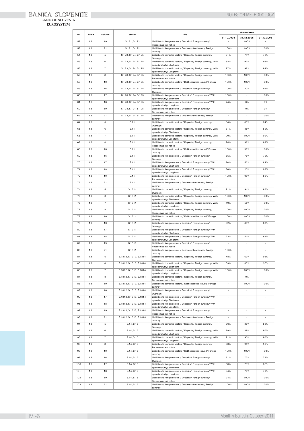#### BANK OF SLOVENIA **EUROSYSTEM**

|     |       |                           |                        |                                                                                                   | share of euro            |                          |                              |
|-----|-------|---------------------------|------------------------|---------------------------------------------------------------------------------------------------|--------------------------|--------------------------|------------------------------|
| no. | table | column                    | sector                 | title                                                                                             | 31.12.2004               | 31.12.2005               | 31.12.2006                   |
| 52  | 1.6.  | 19                        | S.121, S.122           | Liabilities to foreign sectors / Deposits/ Foreign currency/<br>Redeeemable at notice             | ×,                       | 100%                     |                              |
| 53  | 1.6.  | 21                        | S.121, S.122           | Liabilities to foreign sectors / Debt securities issued/ Foreign<br>currency                      | 100%                     | 100%                     | 100%                         |
| 54  | 1.6.  | 5                         | S.123, S.124, S.125    | Liabilities to domestic sectors / Deposits/ Foreign currency/<br>Ovemight                         | 91%                      | 74%                      | 72%                          |
| 55  | 1.6.  | 6                         | S.123, S.124, S.125    | Liabilities to domestic sectors / Deposits/ Foreign currency/ With<br>agreed maturity/ Short-term | 82%                      | 93%                      | 93%                          |
| 56  | 1.6.  | $\overline{7}$            | S.123, S.124, S.125    | Liabilities to domestic sectors / Deposits/ Foreign currency/ With<br>agreed maturity/ Long-term  | 97%                      | 98%                      | 99%                          |
| 57  | 1.6.  | 8                         | S.123, S.124, S.125    | Liabilities to domestic sectors / Deposits/ Foreign currency/<br>Redeeemable at notice            | 100%                     | 100%                     | 100%                         |
| 58  | 1.6.  | 10                        | S.123, S.124, S.125    | Liabilities to domestic sectors / Debt securities issued/ Foreign<br>currency                     | 100%                     | 100%                     | 100%                         |
| 59  | 1.6.  | 16                        | S.123, S.124, S.125    | Liabilities to foreign sectors / Deposits/ Foreign currency/<br>Ovemight                          | 100%                     | 20%                      | 99%                          |
| 60  | 1.6.  | 17                        | S.123, S.124, S.125    | Liabilities to foreign sectors / Deposits/ Foreign currency/ With<br>agreed maturity/ Short-term  | 100%                     | ÷                        | 100%                         |
| 61  | 1.6.  | 18                        | S.123, S.124, S.125    | Liabilities to foreign sectors / Deposits/ Foreign currency/ With<br>agreed maturity/ Long-term   | 24%                      | $O\%$                    | $O\%$                        |
| 62  | 1.6.  | 19                        | S.123, S.124, S.125    | Liabilities to foreign sectors / Deposits/ Foreign currency/                                      | ä,                       | $O\%$                    | 0%                           |
| 63  | 1.6.  | 21                        | S.123, S.124, S.125    | Redeeemable at notice<br>Liabilities to foreign sectors / Debt securities issued/ Foreign         |                          | ÷,                       | 100%                         |
| 64  | 1.6.  | 5                         | S.11                   | currency<br>Liabilities to domestic sectors / Deposits/ Foreign currency/                         | 84%                      | 85%                      | 84%                          |
| 65  | 1.6.  | 6                         | S.11                   | Ovemight<br>Liabilities to domestic sectors / Deposits/ Foreign currency/ With                    | 81%                      | 85%                      | 89%                          |
| 66  | 1.6.  | $\overline{7}$            | S.11                   | agreed maturity/ Short-term<br>Liabilities to domestic sectors / Deposits/ Foreign currency/ With | 99%                      | 100%                     | 99%                          |
| 67  | 1.6.  | 8                         | S.11                   | agreed maturity/ Long-term<br>Liabilities to domestic sectors / Deposits/ Foreign currency/       | 74%                      | 98%                      | 69%                          |
| 68  | 1.6.  | 10                        | S.11                   | Redeeemable at notice<br>Liabilities to domestic sectors / Debt securities issued/ Foreign        | 100%                     | 99%                      | 100%                         |
| 69  | 1.6.  | 16                        | S.11                   | currency<br>Liabilities to foreign sectors / Deposits/ Foreign currency/                          | 85%                      | 78%                      | 79%                          |
| 70  | 1.6.  | 17                        | S.11                   | Overnight<br>Liabilities to foreign sectors / Deposits/ Foreign currency/ With                    | 70%                      | 53%                      | 89%                          |
| 71  | 1.6.  | 18                        | S.11                   | agreed maturity/ Short-term<br>Liabilities to foreign sectors / Deposits/ Foreign currency/ With  | 86%                      | 20%                      | 82%                          |
| 72  | 1.6.  | 19                        | S.11                   | agreed maturity/ Long-term<br>Liabilities to foreign sectors / Deposits/ Foreign currency/        | 100%                     | 99%                      | 80%                          |
| 73  | 1.6.  | 21                        | S.11                   | Redeeemable at notice                                                                             | ÷,                       |                          |                              |
|     |       |                           |                        | Liabilities to foreign sectors / Debt securities issued/ Foreign<br>currency                      |                          |                          |                              |
| 74  | 1.6.  | $\mathbf 5$               | S.1311                 | Liabilities to domestic sectors / Deposits / Foreign currency/<br>Ovemight                        | 91%                      | 91%                      | 96%                          |
| 75  | 1.6.  | 6                         | S.1311                 | Liabilities to domestic sectors / Deposits/ Foreign currency/ With<br>agreed maturity/ Short-term | 100%                     | 100%                     | 100%                         |
| 76  | 1.6.  | $\overline{\mathfrak{c}}$ | S.1311                 | Liabilities to domestic sectors / Deposits/ Foreign currency/ With<br>agreed maturity/ Long-term  | 49%                      | 55%                      | 100%                         |
| 77  | 1.6.  | 8                         | S.1311                 | Liabilities to domestic sectors / Deposits/ Foreign currency/<br>Redeeemable at notice            | 100%                     | 100%                     | 100%                         |
| 78  | 1.6.  | 10                        | S.1311                 | Liabilities to domestic sectors / Debt securities issued/ Foreign<br>currency                     | 100%                     | 100%                     | 100%                         |
| 79  | 1.6.  | 16                        | S.1311                 | Liabilities to foreign sectors / Deposits/ Foreign currency/<br>Overnight                         | 52%                      | 33%                      | 69%                          |
| 80  | 1.6.  | 17                        | S.1311                 | Liabilities to foreign sectors / Deposits/ Foreign currency/ With<br>agreed maturity/ Short-term  | $\overline{\phantom{a}}$ | ×,                       |                              |
| 81  | 1.6.  | 18                        | S.1311                 | Liabilities to foreign sectors / Deposits/ Foreign currency/ With<br>agreed maturity/ Long-term   | 53%                      | 51%                      | 61%                          |
| 82  | 1.6.  | 19                        | S.1311                 | Liabilities to foreign sectors / Deposits/ Foreign currency/<br>Redeeemable at notice             | ×,                       | ×,                       | ٠                            |
| 83  | 1.6.  | 21                        | S.1311                 | Liabilities to foreign sectors / Debt securities issued/ Foreign<br>currency                      | 100%                     | ä,                       |                              |
| 84  | 1.6.  | 5                         | S.1312, S.1313, S.1314 | Liabilities to domestic sectors / Deposits/ Foreign currency/<br>Overnight                        | 48%                      | 69%                      | 98%                          |
| 85  | 1.6.  | 6                         | S.1312, S.1313, S.1314 | Liabilities to domestic sectors / Deposits/ Foreign currency/ With<br>agreed maturity/ Short-term | 59%                      | 35%                      | 37%                          |
| 86  | 1.6.  | $\overline{7}$            | S.1312, S.1313, S.1314 | Liabilities to domestic sectors / Deposits/ Foreign currency/ With                                | 100%                     | 100%                     | 100%                         |
| 87  | 1.6.  | 8                         | S.1312, S.1313, S.1314 | agreed maturity/ Long-term<br>Liabilities to domestic sectors / Deposits/ Foreign currency/       | ä,                       | $O\%$                    | ÷.                           |
| 88  | 1.6.  | 10                        | S.1312, S.1313, S.1314 | Redeeemable at notice<br>Liabilities to domestic sectors / Debt securities issued/ Foreign        |                          | 100%                     | 100%                         |
| 89  | 1.6.  | 16                        | S.1312, S.1313, S.1314 | currency<br>Liabilities to foreign sectors / Deposits/ Foreign currency/                          | $\bar{a}$                | ÷,                       |                              |
| 90  | 1.6.  | 17                        | S.1312, S.1313, S.1314 | Overnight<br>Liabilities to foreign sectors / Deposits/ Foreign currency/ With                    |                          |                          |                              |
| 91  | 1.6.  | 18                        | S.1312, S.1313, S.1314 | agreed maturity/ Short-term<br>Liabilities to foreign sectors / Deposits/ Foreign currency/ With  | ÷,                       | ÷                        | $\qquad \qquad \blacksquare$ |
| 92  | 1.6.  | 19                        | S.1312, S.1313, S.1314 | agreed maturity/ Long-term<br>Liabilities to foreign sectors / Deposits/ Foreign currency/        | ä,                       | ä,                       | ä,                           |
| 93  | 1.6.  | 21                        | S.1312, S.1313, S.1314 | Redeeemable at notice<br>Liabilities to foreign sectors / Debt securities issued/ Foreign         | ÷,                       | $\overline{\phantom{a}}$ | ÷.                           |
| 94  | 1.6.  | 5                         | S.14, S.15             | currency<br>Liabilities to domestic sectors / Deposits/ Foreign currency/                         | 86%                      | 86%                      | 88%                          |
| 95  | 1.6.  | 6                         | S.14, S.15             | Overnight<br>Liabilities to domestic sectors / Deposits/ Foreign currency/ With                   | 89%                      | 89%                      | 90%                          |
| 96  | 1.6.  | $\overline{\mathfrak{c}}$ | S.14, S.15             | agreed maturity/ Short-term<br>Liabilities to domestic sectors / Deposits/ Foreign currency/ With | 91%                      | 90%                      | 90%                          |
| 97  | 1.6.  | 8                         | S.14, S.15             | agreed maturity/ Long-term<br>Liabilities to domestic sectors / Deposits/ Foreign currency/       | 93%                      | 93%                      | 93%                          |
| 98  | 1.6.  | 10                        | S.14, S.15             | Redeeemable at notice<br>Liabilities to domestic sectors / Debt securities issued/ Foreign        | 100%                     | 100%                     | 100%                         |
| 99  | 1.6.  | 16                        | S.14, S.15             | currency<br>Liabilities to foreign sectors / Deposits/ Foreign currency/                          | 71%                      | 72%                      | 78%                          |
| 100 | 1.6.  | 17                        | S.14, S.15             | Overnight<br>Liabilities to foreign sectors / Deposits/ Foreign currency/ With                    | 63%                      | 78%                      | 82%                          |
| 101 | 1.6.  | 18                        | S.14, S.15             | agreed maturity/ Short-term<br>Liabilities to foreign sectors / Deposits/ Foreign currency/ With  | 84%                      | 76%                      | 76%                          |
|     |       |                           |                        | agreed maturity/ Long-term                                                                        |                          |                          |                              |
| 102 | 1.6.  | 19                        | S.14, S.15             | Liabilities to foreign sectors / Deposits/ Foreign currency/<br>Redeeemable at notice             | 94%                      | 100%                     | 100%                         |
| 103 | 1.6.  | 21                        | S.14, S.15             | Liabilities to foreign sectors / Debt securities issued/ Foreign<br>currency                      | 100%                     | 100%                     | 100%                         |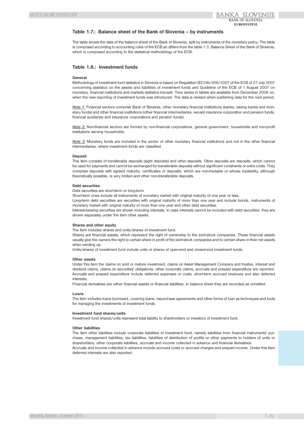## **Table 1.7.: Balance sheet of the Bank of Slovenia – by instruments**

The table shows the data of the balance sheet of the Bank of Slovenia, split by instruments of the monetary policy. The table is composed according to accounting rules of the ECB an differs from the table 1.3. Balance Sheet of the Bank of Slovenia, which is composed according to the statistical methodology of the ECB.

### **Table 1.8.: Investment funds**

#### **General**

Methodology of investment fund statistics in Slovenia is based on Regulation (EC) No 958/2007 of the ECB of 27 July 2007 concerning statistics on the assets and liabilities of investment funds and Guideline of the ECB of 1 August 2007 on monetary, financial institutions and markets statistics (recast). Time series in tables are available from December 2008 on, when the new reporting of investment funds was introduced. The data is revised when publishing data for the next period.

*Note 1:* Financial sectors comprise Bank of Slovenia, other monetary financial institutions (banks, saving banks and monetary funds) and other financial institutions (other financial intermediaries, except insurance corporation and pension funds, financial auxiliaries and insurance corporations and pension funds).

*Note 2:* Non-financial sectors are formed by non-financial corporations, general government, households and non-profit institutions serving households.

*Note 3:* Monetary funds are included in the sector of other monetary financial institutions and not in the other financial intermediaries, where investment funds are classified.

#### **Deposit**

This item consists of transferable deposits (sight deposits) and other deposits. Other deposits are deposits, which cannot be used for payments and cannot be exchanged for transferable deposits without significant constraints or extra costs. They comprise deposits with agreed maturity, certificates of deposits, which are non-tradable or whose tradability, although theoretically possible, is very limited and other non-transferable deposits.

#### **Debt securities**

Debt securities are short-term or long-term.

Short-term ones include all instruments of monetary market with original maturity of one year or less.

Long-term debt securities are securities with original maturity of more than one year and include bonds, instruments of monetary market with original maturity of more than one year and other debt securities.

Interest-bearing securities are shown including interests. In case interests cannot be included with debt securities, they are shown separately under the item other assets.

#### **Shares and other equity**

The item includes shares and units/shares of investment fund.

Shares are financial assets, which represent the right of ownership to the joint-stock companies. These financial assets usually give the owners the right to certain share in profit of the joint-stock companies and to certain share in their net assets when winding up.

Units/shares of investment fund include units or shares of open-end and closed-end investment funds.

#### **Other assets**

Under this item the claims on sold or mature investment, claims on Asset Management Company and trustee, interest and dividend claims, claims on securities' obligations, other corporate claims, accruals and prepaid expenditure are reported. Accruals and prepaid expenditure include deferred expenses or costs, short-term accrued revenues and also deferred interests.

Financial derivatives are either financial assets or financial liabilities; in balance sheet they are recorded as unnetted.

#### **Loans**

The item includes loans borrowed, covering loans, repurchase agreements and other forms of loan as techniques and tools for managing the investments of investment funds.

#### **Investment fund shares/units**

Investment fund shares/units represent total liability to shareholders or investors of investment fund.

#### **Other liabilities**

The item other liabilities include corporate liabilities of investment fund, namely liabilities from financial instruments' purchase, management liabilities, tax liabilities, liabilities of distribution of profits or other payments to holders of units or shareholders, other corporate liabilities, accruals and income collected in advance and financial derivatives. Accruals and income collected in advance include accrued costs or accrued charges and prepaid income. Under this item

deferred interests are also reported.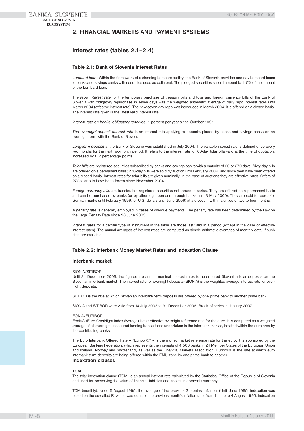# **2. FINANCIAL MARKETS AND PAYMENT SYSTEMS**

# **Interest rates (tables 2.1–2.4)**

## **Table 2.1: Bank of Slovenia Interest Rates**

*Lombard loan*: Within the framework of a standing Lombard facility, the Bank of Slovenia provides one-day Lombard loans to banks and savings banks with securities used as collateral. The pledged securities should amount to 110% of the amount of the Lombard loan.

The *repo interest rate* for the temporary purchase of treasury bills and tolar and foreign currency bills of the Bank of Slovenia with obligatory repurchase in seven days was the weighted arithmetic average of daily repo interest rates until March 2004 (effective interest rate). The new seven-day repo was introduced in March 2004; it is offered on a closed basis. The interest rate given is the latest valid interest rate.

*Interest rate on banks' obligatory reserves*: 1 percent per year since October 1991.

*The overnight-deposit interest rate* is an interest rate applying to deposits placed by banks and savings banks on an overnight term with the Bank of Slovenia.

*Long-term deposit* at the Bank of Slovenia was established in July 2004. The variable interest rate is defined once every two months for the next two-month period. It refers to the interest rate for 60-day tolar bills valid at the time of quotation, increased by 0.2 percentage points.

*Tolar bills* are registered securities subscribed by banks and savings banks with a maturity of 60 or 270 days. Sixty-day bills are offered on a permanent basis; 270-day bills were sold by auction until February 2004, and since then have been offered on a closed basis. Interest rates for tolar bills are given nominally; in the case of auctions they are effective rates. Offers of 270-tolar bills have been frozen since November 2004.

*Foreign currency bills* are transferable registered securities not issued in series. They are offered on a permanent basis and can be purchased by banks (or by other legal persons through banks until 3 May 2000). They are sold for euros (or German marks until February 1999, or U.S. dollars until June 2006) at a discount with maturities of two to four months.

*A penalty rate* is generally employed in cases of overdue payments. The penalty rate has been determined by the Law on the Legal Penalty Rate since 28 June 2003.

*Interest rates* for a certain type of instrument in the table are those last valid in a period (except in the case of effective interest rates). The annual averages of interest rates are computed as simple arithmetic averages of monthly data, if such data are available.

## **Table 2.2: Interbank Money Market Rates and Indexation Clause**

#### **Interbank market**

#### SIONIA/SITIBOR

Until 31 December 2006, the figures are annual nominal interest rates for unsecured Slovenian tolar deposits on the Slovenian interbank market. The interest rate for overnight deposits (SIONIA) is the weighted average interest rate for overnight deposits.

SITIBOR is the rate at which Slovenian interbank term deposits are offered by one prime bank to another prime bank.

SIONIA and SITIBOR were valid from 14 July 2003 to 31 December 2006. Break of series in January 2007.

#### EONIA/EURIBOR

Eonia® (Euro OverNight Index Average) is the effective overnight reference rate for the euro. It is computed as a weighted average of all overnight unsecured lending transactions undertaken in the interbank market, initiated within the euro area by the contributing banks.

The Euro Interbank Offered Rate – "Euribor®" – is the money market reference rate for the euro. It is sponsored by the European Banking Federation, which represents the interests of 4,500 banks in 24 Member States of the European Union and Iceland, Norway and Switzerland, as well as the Financial Markets Association. Euribor® is the rate at which euro interbank term deposits are being offered within the EMU zone by one prime bank to another **Indexation clauses**

#### **TOM**

The tolar indexation clause (TOM) is an annual interest rate calculated by the Statistical Office of the Republic of Slovenia and used for preserving the value of financial liabilities and assets in domestic currency.

TOM (monthly): since 5 August 1995, the average of the previous 3 months' inflation. (Until June 1995, indexation was based on the so-called R, which was equal to the previous month's inflation rate; from 1 June to 4 August 1995, indexation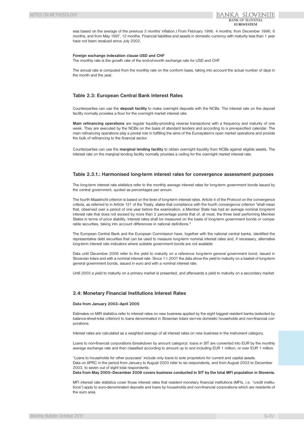was based on the average of the previous 3 months' inflation.) From February 1996, 4 months; from December 1996, 6 months; and from May 1997, 12 months. Financial liabilities and assets in domestic currency with maturity less than 1 year have not been revalued since July 2002.

#### **Foreign exchange indexation clause USD and CHF**

The monthly rate is the growth rate of the end-of-month exchange rate for USD and CHF.

The annual rate is computed from the monthly rate on the conform basis, taking into account the actual number of days in the month and the year.

#### **Table 2.3: European Central Bank Interest Rates**

Counterparties can use the **deposit facility** to make overnight deposits with the NCBs. The interest rate on the deposit facility normally provides a floor for the overnight market interest rate.

**Main refinancing operations** are regular liquidity-providing reverse transactions with a frequency and maturity of one week. They are executed by the NCBs on the basis of standard tenders and according to a pre-specified calendar. The main refinancing operations play a pivotal role in fulfilling the aims of the Eurosystem's open market operations and provide the bulk of refinancing to the financial sector.

Counterparties can use the **marginal lending facility** to obtain overnight liquidity from NCBs against eligible assets. The interest rate on the marginal lending facility normally provides a ceiling for the overnight market interest rate.

#### **Table 2.3.1.: Harmonised long-term interest rates for convergence assessment purposes**

The long-term interest rate statistics refer to the monthly average interest rates for long-term government bonds issued by the central government, quoted as percentages per annum.

The fourth Maastricht criterion is based on the level of long-term interest rates. Article 4 of the Protocol on the convergence criteria, as referred to in Article 121 of the Treaty, states that compliance with the fourth convergence criterion "shall mean that, observed over a period of one year before the examination, a Member State has had an average nominal long-term interest rate that does not exceed by more than 2 percentage points that of, at most, the three best performing Member States in terms of price stability. Interest rates shall be measured on the basis of long-term government bonds or comparable securities, taking into account differences in national definitions."

The European Central Bank and the European Commission have, together with the national central banks, identified the representative debt securities that can be used to measure long-term nominal interest rates and, if necessary, alternative long-term interest rate indicators where suitable government bonds are not available

Data until December 2006 refer to the yield to maturity on a reference long-term general government bond, issued in Slovenian tolars and with a nominal interest rate. Since 1.1.2007 the data show the yield to maturity on a basket of long-term general government bonds, issued in euro and with a nominal interest rate.

Until 2003 a yield to maturity on a primary market is presented, and afterwards a yield to maturity on a secondary market.

# **2.4: Monetary Financial Institutions Interest Rates**

#### **Data from January 2003–April 2005**

Estimates on MIR statistics refer to interest rates on new business applied by the eight biggest resident banks (selected by balance-sheet-total criterion) to loans denominated in Slovenian tolars vis-ŕ-vis domestic households and non-financial corporations.

Interest rates are calculated as a weighted average of all interest rates on new business in the instrument category.

Loans to non-financial corporations (breakdown by amount category): loans in SIT are converted into EUR by the monthly average exchange rate and then classified according to amount up to and including EUR 1 million, or over EUR 1 million.

"Loans to households for other purposes" include only loans to sole proprietors for current and capital assets. Data on APRC in the period from January to August 2003 refer to six respondents, and from August 2003 to December 2003, to seven out of eight total respondents. **Data from May 2005–December 2006 covers business conducted in SIT by the total MFI population in Slovenia.**

MFI interest rate statistics cover those interest rates that resident monetary financial institutions (MFIs, i.e. "credit institutions") apply to euro-denominated deposits and loans by households and non-financial corporations which are residents of the euro area.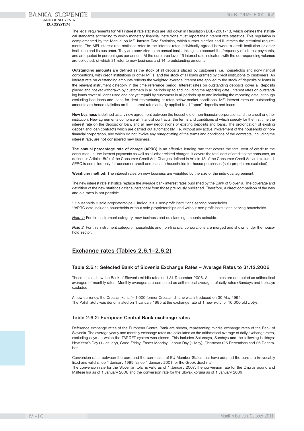The legal requirements for MFI interest rate statistics are laid down in Regulation ECB/2001/18, which defines the statistical standards according to which monetary financial institutions must report their interest rate statistics. This regulation is complemented by the Manual on MFI Interest Rate Statistics, which further clarifies and illustrates the statistical requirements. The MFI interest rate statistics refer to the interest rates individually agreed between a credit institution or other institution and its customer. They are converted to an annual basis, taking into account the frequency of interest payments, and are quoted in percentages per annum. At the euro area level 45 interest rate indicators with the corresponding volumes are collected, of which 31 refer to new business and 14 to outstanding amounts.

**Outstanding amounts** are defined as the stock of all deposits placed by customers, i.e. households and non-financial corporations, with credit institutions or other MFIs, and the stock of all loans granted by credit institutions to customers. An interest rate on outstanding amounts reflects the weighted average interest rate applied to the stock of deposits or loans in the relevant instrument category in the time reference period. Interest rates on outstanding deposits cover all deposits placed and not yet withdrawn by customers in all periods up to and including the reporting date. Interest rates on outstanding loans cover all loans used and not yet repaid by customers in all periods up to and including the reporting date, although excluding bad loans and loans for debt restructuring at rates below market conditions. MFI interest rates on outstanding amounts are hence statistics on the interest rates actually applied to all "open" deposits and loans.

**New business** is defined as any new agreement between the household or non-financial corporation and the credit or other institution. New agreements comprise all financial contracts, the terms and conditions of which specify for the first time the interest rate on the deposit or loan, and all new negotiations of existing deposits and loans. The prolongation of existing deposit and loan contracts which are carried out automatically, i.e. without any active involvement of the household or nonfinancial corporation, and which do not involve any renegotiating of the terms and conditions of the contracts, including the interest rate, are not considered new business.

**The annual percentage rate of charge (APRC)** is an effective lending rate that covers the total cost of credit to the consumer, i.e. the interest payments as well as all other related charges. It covers the total cost of credit to the consumer, as defined in Article 18(2) of the Consumer Credit Act. Charges defined in Article 18 of the Consumer Credit Act are excluded. APRC is compiled only for consumer credit and loans to households for house purchases (sole proprietors excluded).

**Weighting method**: The interest rates on new business are weighted by the size of the individual agreement.

The new interest rate statistics replace the average bank interest rates published by the Bank of Slovenia. The coverage and definition of the new statistics differ substantially from those previously published. Therefore, a direct comparison of the new and old rates is not possible.

\* Households = sole proprietorships + individuals + non-profit institutions serving households

\*\*APRC data includes households without sole proprietorships and without non-profit institutions serving households

**Note 1:** For this instrument category, new business and outstanding amounts coincide.

*Note 2:* For this instrument category, households and non-financial corporations are merged and shown under the household sector.

# **Exchange rates (Tables 2.6.1–2.6.2)**

## **Table 2.6.1: Selected Bank of Slovenia Exchange Rates – Average Rates to 31.12.2006**

These tables show the Bank of Slovenia middle rates until 31 December 2006. Annual rates are computed as arithmetical averages of monthly rates. Monthly averages are computed as arithmetical averages of daily rates (Sundays and holidays excluded).

A new currency, the Croatian kuna (= 1,000 former Croatian dinars) was introduced on 30 May 1994. The Polish złoty was denominated on 1 January 1995 at the exchange rate of 1 new złoty for 10,000 old złotys.

## **Table 2.6.2: European Central Bank exchange rates**

Reference exchange rates of the European Central Bank are shown, representing middle exchange rates of the Bank of Slovenia. The average yearly and monthly exchange rates are calculated as the arithmetical average of daily exchange rates, excluding days on which the TARGET system was closed. This includes Saturdays, Sundays and the following holidays: New Year's Day (1 January), Good Friday, Easter Monday, Labour Day (1 May), Christmas (25 December) and 26 December.

Conversion rates between the euro and the currencies of EU Member States that have adopted the euro are irrevocably fixed and valid since 1 January 1999 (since 1 January 2001 for the Greek drachma).

The conversion rate for the Slovenian tolar is valid as of 1 January 2007, the conversion rate for the Cyprus pound and Maltese lira as of 1 January 2008 and the conversion rate for the Slovak koruna as of 1 January 2009.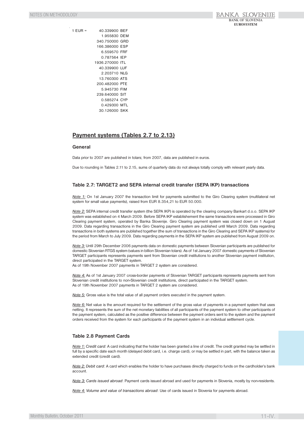- 
- 1 EUR = 40.339900 BEF 1.955830 DEM 340.750000 GRD 166.386000 ESP 6.559570 FRF 0.787564 IEP 1936.270000 ITL 40.339900 LUF 2.203710 NLG 13.760300 ATS 200.482000 PTE 5.945730 FIM 239.640000 SIT 0.585274 CYP 0.429300 MTL 30.126000 SKK

#### BANKA SLOVENIJE **BANK OF SLOVENIA EUROSYSTEM**

# **Payment systems (Tables 2.7 to 2.13)**

### **General**

Data prior to 2007 are published in tolars; from 2007, data are published in euros.

Due to rounding in Tables 2.11 to 2.15, sums of quarterly data do not always totally comply with relevant yearly data.

# **Table 2.7: TARGET2 and SEPA internal credit transfer (SEPA IKP) transactions**

*Note 1:* On 1st January 2007 the transaction limit for payments submitted to the Giro Clearing system (multilateral net system for small value payments), raised from EUR 8.354,21 to EUR 50.000.

*Note 2:* SEPA internal credit transfer system (the SEPA IKP) is operated by the clearing company Bankart d.o.o. SEPA IKP system was established on 4 March 2009. Before SEPA IKP establishement the same transactions were processed in Giro Clearing payment system, operated by Banka Slovenije. Giro Clearing payment system was closed down on 1 August 2009. Data regarding transactions in the Giro Clearing payment system are published until March 2009. Data regarding transactions in both systems are published together (the sum of transactions in the Giro Clearing and SEPA IKP systems) for the period from March to July 2009. Data regarding payments in the SEPA IKP system are published from August 2009 on.

*Note 3:* Until 29th December 2006 payments data on domestic payments between Slovenian participants are published for domestic Slovenian RTGS system (values in billion Slovenian tolars). As of 1st January 2007 domestic payments of Slovenian TARGET participants represents payments sent from Slovenian credit institutions to another Slovenian payment institution, direct participated in the TARGET system.

As of 19th November 2007 payments in TARGET 2 system are considered.

*Note 4:* As of 1st January 2007 cross-border payments of Slovenian TARGET participants represents payments sent from Slovenian credit institutions to non-Slovenian credit institutions, direct participated in the TARGET system. As of 19th November 2007 payments in TARGET 2 system are considered.

*Note 5:* Gross value is the total value of all payment orders executed in the payment system.

*Note 6:* Net value is the amount required for the settlement of the gross value of payments in a payment system that uses netting. It represents the sum of the net monetary liabilities of all participants of the payment system to other participants of the payment system, calculated as the positive difference between the payment orders sent to the system and the payment orders received from the system for each participants of the payment system in an individual settlement cycle.

## **Table 2.8 Payment Cards**

*Note 1: Credit card*: A card indicating that the holder has been granted a line of credit. The credit granted may be settled in full by a specific date each month (delayed debit card, i.e. charge card), or may be settled in part, with the balance taken as extended credit (credit card).

*Note 2: Debit card*: A card which enables the holder to have purchases directly charged to funds on the cardholder's bank account.

*Note 3: Cards issued abroad*: Payment cards issued abroad and used for payments in Slovenia, mostly by non-residents.

*Note 4: Volume and value of transactions abroad*: Use of cards issued in Slovenia for payments abroad.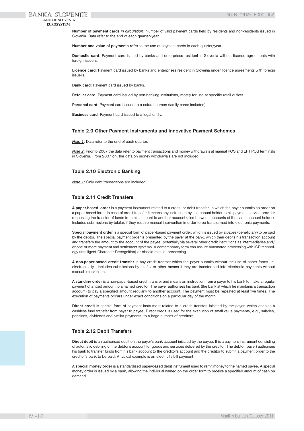#### BANKA SLOVENIJE BANK OF SLOVENIA

# **EUROSYSTEM**

**Number of payment cards** *in circulation*: Number of valid payment cards held by residents and non-residents issued in Slovenia. Data refer to the end of each quarter/year.

**Number and value of payments refer** to the use of payment cards in each quarter/year.

**Domestic card**: Payment card issued by banks and enterprises resident in Slovenia without licence agreements with foreign issuers.

**Licence card**: Payment card issued by banks and enterprises resident in Slovenia under licence agreements with foreign issuers.

**Bank card**: Payment card issued by banks.

**Retailer card**: Payment card issued by non-banking institutions, mostly for use at specific retail outlets.

Personal card: Payment card issued to a natural person (family cards included).

**Business card**: Payment card issued to a legal entity.

## **Table 2.9 Other Payment Instruments and Innovative Payment Schemes**

*Note 1*: Data refer to the end of each quarter.

*Note 2*: Prior to 2007 the data refer to payment transactions and money withdrawals at manual POS and EFT POS terminals in Slovenia. From 2007 on, the data on money withdrawals are not included.

## **Table 2.10 Electronic Banking**

*Note 1*: Only debt transactions are included.

## **Table 2.11 Credit Transfers**

**A paper-based order** is a payment instrument related to a credit or debit transfer, in which the payer submits an order on a paper-based form. In case of credit transfer it means any instruction by an account holder to his payment service provider requesting the transfer of funds from his account to another account (also between accounts of the same account holder). Includes submissions by telefax if they require manual intervention in order to be transformed into electronic payments.

**Special payment order** is a special form of paper-based payment order, which is issued by a payee (beneficiary) to be paid by the debtor. The special payment order is presented by the payer at the bank, which then debits his transaction account and transfers the amount to the account of the payee, potentially via several other credit institutions as intermediaries and/ or one or more payment and settlement systems. A contemporary form can assure automated processing with ICR technology (Intelligent Character Recognition) or classic manual processing.

**A non-paper-based credit transfer** is any credit transfer which the payer submits without the use of paper forms i.e. electronically. Includes submissions by telefax or other means if they are transformed into electronic payments without manual intervention.

**A standing order** is a non-paper-based credit transfer and means an instruction from a payer to his bank to make a regular payment of a fixed amount to a named creditor. The payer authorises his bank (the bank at which he maintains a transaction account) to pay a specified amount regularly to another account. The payment must be repeated at least five times. The execution of payments occurs under exact conditions on a particular day of the month.

**Direct credit** is special form of payment instrument related to a credit transfer, initiated by the payer, which enables a cashless fund transfer from payer to payee. Direct credit is used for the execution of small value payments, e.g., salaries, pensions, dividends and similar payments, to a large number of creditors.

## **Table 2.12 Debit Transfers**

**Direct debit** is an authorised debit on the payer's bank account initiated by the payee. It is a payment instrument consisting of automatic debiting of the debtor's account for goods and services delivered by the creditor. The debtor (payer) authorises his bank to transfer funds from his bank account to the creditor's account and the creditor to submit a payment order to the creditor's bank to be paid. A typical example is an electricity bill payment.

**A special money order** is a standardised paper-based debit instrument used to remit money to the named payee. A special money order is issued by a bank, allowing the individual named on the order form to receive a specified amount of cash on demand.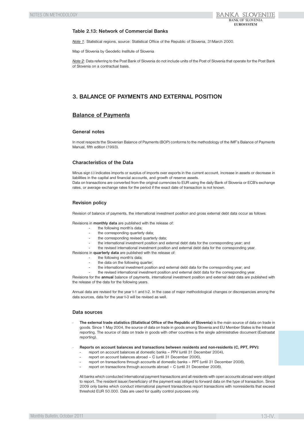# **Table 2.13: Network of Commercial Banks**

*Note 1*: Statistical regions, source: Statistical Office of the Republic of Slovenia, 31March 2000.

Map of Slovenia by Geodetic Institute of Slovenia

*Note 2*: Data referring to the Post Bank of Slovenia do not include units of the Post of Slovenia that operate for the Post Bank of Slovenia on a contractual basis.

# **3. BALANCE OF PAYMENTS AND EXTERNAL POSITION**

# **Balance of Payments**

## **General notes**

In most respects the Slovenian Balance of Payments (BOP) conforms to the methodology of the IMF's Balance of Payments Manual, fifth edition (1993).

## **Characteristics of the Data**

Minus sign (-) indicates imports or surplus of imports over exports in the current account, increase in assets or decrease in liabilities in the capital and financial accounts, and growth of reserve assets. Data on transactions are converted from the original currencies to EUR using the daily Bank of Slovenia or ECB's exchange rates, or average exchange rates for the period if the exact date of transaction is not known.

## **Revision policy**

Revision of balance of payments, the international investment position and gross external debt data occur as follows:

Revisions in **monthly data** are published with the release of:

- the following month's data;
- the corresponding quarterly data;
- the corresponding revised quarterly data;
- the international investment position and external debt data for the corresponding year; and
- the revised international investment position and external debt data for the corresponding year.

Revisions in **quarterly data** are published with the release of:

- the following month's data;
- the data on the following quarter;
- the international investment position and external debt data for the corresponding year; and
- the revised international investment position and external debt data for the corresponding year.

Revisions for the **annual** balance of payments, international investment position and external debt data are published with the release of the data for the following years.

Annual data are revised for the year t-1 and t-2. In the case of major methodological changes or discrepancies among the data sources, data for the year t-3 will be revised as well.

# **Data sources**

- · **The external trade statistics (Statistical Office of the Republic of Slovenia)** is the main source of data on trade in goods. Since 1 May 2004, the source of data on trade in goods among Slovenia and EU Member States is the Intrastat reporting. The source of data on trade in goods with other countries is the single administrative document (Exstrastat reporting).
- · **Reports on account balances and transactions between residents and non-residents (C, PPT, PPV):**
	- report on account balances at domestic banks PPV (until 31 December 2004),
	- report on account balances abroad C (until 31 December 2006),
	- report on transactions through accounts at domestic banks PPT (until 31 December 2008),
	- report on transactions through accounts abroad C (until 31 December 2008).

All banks which conducted international payment transactions and all residents with open accounts abroad were obliged to report. The resident issuer/beneficiary of the payment was obliged to forward data on the type of transaction. Since 2009 only banks which conduct international payment transactions report transactions with nonresidents that exceed threshold EUR 50.000. Data are used for quality control purposes only.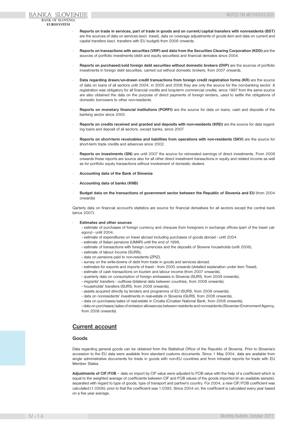- · **Reports on trade in services, part of trade in goods and on current/capital transfers with nonresidents (BST)** are the sources of data on services (excl. travel), data on coverage adjustments of goods item and data on current and capital transfers (excl. transfers with EU budget) from 2008 onwards.
- **Reports on transactions with securities (VRP) and data from the Securities Clearing Corporation (KDD)** are the sources of portfolio investments (debt and equity securities) and financial derivates since 2004.
- · **Reports on purchased/sold foreign debt securities without domestic brokers (DVP)** are the sources of portfolio investments in foreign debt securities, carried out without domestic brokers, from 2007 onwards.
- Data regarding drawn/un-drawn credit transactions from foreign credit registration forms (KR) are the source of data on loans of all sectors until 2004; in 2005 and 2006 they are only the source for the non-banking sector. A registration was obligatory for all financial credits and long-term commercial credits; since 1997 from the same source are also obtained the data on the purpose of direct payments of foreign lenders, used to settle the obligations of domestic borrowers to other non-residents.
- · **Reports on monetary financial institutions (PORFI)** are the source for data on loans, cash and deposits of the banking sector since 2005.
- · **Reports on credits received and granted and deposits with non-residents (KRD)** are the source for data regarding loans and deposit of all sectors, except banks, since 2007.
- · **Reports on short-term receivables and liabilities from operations with non-residents (SKV)** are the source for short-term trade credits and advances since 2002.
- · **Reports on investments (SN)** are until 2007 the source for reinvested earnings of direct investments. From 2008 onwards these reports are source also for all other direct investment transactions in equity and related income as well as for portfolio equity transactions without involvement of domestic dealers.
- · **Accounting data of the Bank of Slovenia**
- · **Accounting data of banks (KNB)**
- · **Budget data on the transactions of government sector between the Republic of Slovenia and EU** (from 2004 onwards)

Qarterly data on financial account's statistics are source for financial derivatives for all sectors except the central bank (since 2007).

- **Estimates and other sources** 
	- estimate of purchases of foreign currency and cheques from foreigners in exchange offices (part of the travel category) - until 2004,
	- estimate of expenditures on travel abroad including purchases of goods abroad until 2004
	- estimate of Italian pensions (UMAR) until the end of 1998,
	- estimate of transactions with foreign currencies and the deposits of Slovene households (until 2006),
	- estimate of labour income (SURS),
	- data on pensions paid to non-residents (ZPIZ),
	- survey on the write-downs of debt from trade in goods and services abroad,
	- estimates for exports and imports of travel from 2005 onwards (detailed explanation under item Travel),
	- estimate of cash transactions on tourism and labour income (from 2007 onwards),
	- quarterly data on consumption of foreign embassies in Slovenia (SURS, from 2008 onwards),
	- migrants' transfers outflows (bilateral data between countries, from 2008 onwards),
	- households' transfers (SURS, from 2008 onwards),
	- assets acquired directly by tenders and programms of EU (SURS, from 2008 onwards),
	- data on nonresidents' investments in real-estate in Slovenia (GURS, from 2008 onwards),
	- data on purchases/sales of real-estate in Croatia (Croatian National Bank, from 2008 onwards),

- data on purchases/sales of emission allowances between residents and nonresidents (Slovenian Environment Agency, from 2008 onwards).

# **Current account**

# **Goods**

Data regarding general goods can be obtained from the Statistical Office of the Republic of Slovenia. Prior to Slovenia's accession to the EU data were available from standard customs documents. Since 1 May 2004, data are available from single administrative documents for trade in goods with non-EU countries and from Intrastat reports for trade with EU Member States.

**Adjustments of CIF/FOB** – data on import by CIF value were adjusted to FOB value with the help of a coefficient which is equal to the weighted average of coefficients between CIF and FOB values of the goods imported (in an available sample), separated with regard to type of goods, type of transport and partner's country. For 2004, a new CIF/FOB coefficient was calculated (1.0306); prior to that the coefficient was 1.0393. Since 2004 on, the coefficient is calculated every year based on a five year average.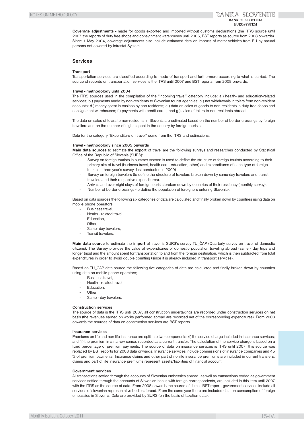#### BANKA SLOVENIJE BANK OF SLOVENIA **EUROSYSTEM**

**Coverage adjustments** - made for goods exported and imported without customs declarations (the ITRS source until 2007,the reports of duty free shops and consignment warehouses until 2005, BST reports as source from 2008 onwards). Since 1 May 2004, coverage adjustments also include estimated data on imports of motor vehicles from EU by natural persons not covered by Intrastat System.

#### **Services**

#### **Transport**

Transportation services are classified according to mode of transport and furthermore according to what is carried. The source of records on transportation services is the ITRS until 2007 and BST reports from 2008 onwards.

#### **Travel - methodology until 2004**

The ITRS sources used in the compilation of the "Incoming travel" category include: a.) health- and education-related services; b.) payments made by non-residents to Slovenian tourist agencies; c.) net withdrawals in tolars from non-resident accounts; d.) money spent in casinos by non-residents; e.) data on sales of goods to non-residents in duty-free shops and consignment warehouses; f.) payments with credit cards; and g.) sales of tolars to non-residents abroad.

The data on sales of tolars to non-residents in Slovenia are estimated based on the number of border crossings by foreign travellers and on the number of nights spent in the country by foreign tourists.

Data for the category "Expenditure on travel" come from the ITRS and estimations.

#### **Travel - methodology since 2005 onwards**

**Main data sources** to estimate the **export** of travel are the following surveys and researches conducted by Statistical Office of the Republic of Slovenia (SURS):

- Survey on foreign tourists in summer season is used to define the structure of foreign tourists according to their primary aim of travel (business travel, health care, education, other) and expenditures of each type of foreign tourists ; three-year's survey -last conducted in 2009)
- Survey on foreign travelers (to define the structure of travelers broken down by same-day travelers and transit travelers and their respective expenditures).
- Arrivals and over-night stays of foreign tourists broken down by countries of their residency (monthly survey).
- Number of border crossings (to define the population of foreigners entering Slovenia).

Based on data sources the following six categories of data are calculated and finally broken down by countries using data on mobile phone operators;

- Business travel,
- Health related travel,
- Education,
- Other.
- Same- day travelers,
- Transit travelers.

**Main data source** to estimate the **import** of travel is SURS's survey TU\_ČAP (Quarterly survey on travel of domestic citizens). The Survey provides the value of expenditures of domestic population traveling abroad (same - day trips and longer trips) and the amount spent for transportation to and from the foreign destination, which is then subtracted from total expenditures in order to avoid double counting (since it is already included in transport services).

Based on TU\_ČAP data source the following five categories of data are calculated and finally broken down by countries using data on mobile phone operators;

- Business travel
- Health related travel,
- Education.
- Other,
- Same day travelers.

#### **Construction services**

The source of data is the ITRS until 2007, all construction undertakings are recorded under construction services on net basis (the revenues earned on works performed abroad are recorded net of the corresponding expenditures). From 2008 onwards the sources of data on construction services are BST reports.

#### **Insurance services**

Premiums on life and non-life insurance are split into two components: (i) the service charge included in insurance services; and (ii) the premium in a narrow sense, recorded as a current transfer. The calculation of the service charge is based on a fixed percentage of premium payments. The source of data on insurance services is ITRS until 2007, this source was replaced by BST reports for 2008 data onwards. Insurance services include commissions of insurance companies and 45 % of premium payments. Insurance claims and other part of nonlife insurance premiums are included in current transfers, claims and part of life insurance premiums represent assets/liabilities of financial account.

#### **Government services**

All transactions settled through the accounts of Slovenian embassies abroad, as well as transactions coded as government services settled through the accounts of Slovenian banks with foreign correspondents, are included in this item until 2007 with the ITRS as the source of data. From 2008 onwards the source of data is BST report, government services include all services of slovenian representative bodies abroad. From the same year there are included data on consumption of foreign embassies in Slovenia. Data are provided by SURS (on the basis of taxation data).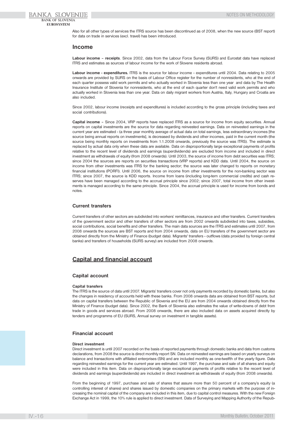Also for all other types of services the ITRS source has been discontinued as of 2008, when the new source (BST report) for data on trade in services (excl. travel) has been introduced.

## **Income**

**Labour income** – **receipts**. Since 2002, data from the Labour Force Survey (SURS) and Eurostat data have replaced ITRS and estimates as sources of labour income for the work of Slovene residents abroad.

**Labour income - expenditures.** ITRS is the source for labour income - expenditures until 2004. Data relating to 2005 onwards are provided by SURS on the basis of Labour Office register for the number of nonresidents, who at the end of each quarter possess valid work permits and who actually worked in Slovenia less than one year and data by The Health Insurance Institute of Slovenia for nonresidents, who at the end of each quarter don't need valid work permits and who actually worked in Slovenia less than one year. Data on daily migrant workers from Austria, Italy, Hungary and Croatia are also included.

Since 2002, labour income (receipts and expenditures) is included according to the gross principle (including taxes and social contributions).

**Capital income** – Since 2004, VRP reports have replaced ITRS as a source for income from equity securities. Annual reports on capital investments are the source for data regarding reinvested earnings. Data on reinvested earnings in the current year are estimated - (a three year monthly average of actual data on total earnings, less extraordinary incomes [the source being annual reports on investments], is decreased by dividends and other incomes, paid in the current month (the source being monthly reports on investments from 1.1.2008 onwards, previously the source was ITRS). The estimate is replaced by actual data only when these data are available. Data on disproportionally large exceptional payments of profits relative to the recent level of dividends and earnings (superdividends) are excluded from income and included in direct investment as withdrawals of equity (from 2008 onwards). Until 2003, the source of income from debt securities was ITRS; since 2004 the sources are reports on securities transactions (VRP reports) and KDD data. Until 2004, the source on income from other investments was ITRS for the banking sector; the source was later changed to reports on monetary financial institutions (PORFI). Until 2006, the source on income from other investments for the non-banking sector was ITRS; since 2007, the source is KDD reports. Income from loans (including long-tern commercial credits) and cash reserves have been managed according to the accrual principle since 2002; since 2007, total income from other investments is managed according to the same principle. Since 2004, the accrual principle is used for income from bonds and notes.

## **Current transfers**

Current transfers of other sectors are subdivided into workers' remittances, insurance and other transfers. Current transfers of the government sector and other transfers of other sectors are from 2002 onwards subdivided into taxes, subsidies, social contributions, social benefits and other transfers. The main data sources are the ITRS and estimates until 2007, from 2008 onwards the sources are BST reports and from 2004 onwards, data on EU transfers of the government sector are obtained directly from the Ministry of Finance (budget data). Migrants' transfers - outflows (data provided by foreign central banks) and transfers of households (SURS survey) are included from 2008 onwards.

# **Capital and financial account**

## **Capital account**

#### **Capital transfers**

The ITRS is the source of data until 2007. Migrants' transfers cover not only payments recorded by domestic banks, but also the changes in residency of accounts held with these banks. From 2008 onwards data are obtained from BST reports, but data on capital transfers between the Republic of Slovenia and the EU are from 2004 onwards obtained directly from the Ministry of Finance (budget data). Since 2002, the Bank of Slovenia also estimates the value of write-downs of debt from trade in goods and services abroad. From 2008 onwards, there are also included data on assets acquired directly by tenders and programms of EU (SURS, Annual survey on investment in tangible assets).

# **Financial account**

#### **Direct investment**

Direct investment is until 2007 recorded on the basis of reported payments through domestic banks and data from customs declarations, from 2008 the source is direct monthly report SN. Data on reinvested earnings are based on yearly surveys on balance and transactions with affiliated enterprises (SN) and are included monthly as one-twelfth of the yearly figure. Data regarding reinvested earnings for the current year are estimated. Until 1997, the purchase and sale of all shares and equity were included in this item. Data on disproportionally large exceptional payments of profits relative to the recent level of dividends and earnings (superdividends) are included in direct investment as withdrawals of equity (from 2008 onwards).

From the beginning of 1997, purchase and sale of shares that assure more than 50 percent of a company's equity (a controlling interest of shares) and shares issued by domestic companies on the primary markets with the purpose of increasing the nominal capital of the company are included in this item, due to capital control measures. With the new Foreign Exchange Act in 1999, the 10% rule is applied to direct investment. Data of Surveying and Mapping Authority of the Repub-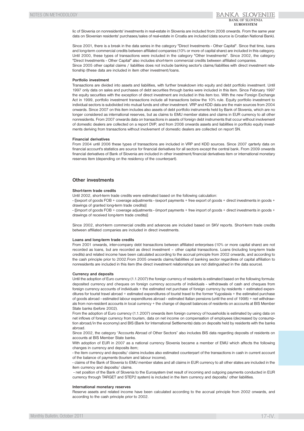#### BANKA SLOVENIJE BANK OF SLOVENIA **EUROSYSTEM**

lic of Slovenia on nonresidents' investments in real-estate in Slovenia are included from 2008 onwards. From the same year data on Slovenian residents' purchases/sales of real-estate in Croatia are included (data source is Croatian National Bank).

Since 2001, there is a break in the data series in the category "Direct Investments - Other Capital". Since that time, loans and long-term commercial credits between affiliated companies (10% or more of capital share) are included in this category. Until 2000, these types of transactions were included in the category "Other Investments". Since 2002, the category "Direct Investments - Other Capital" also includes short-term commercial credits between affiliated companies. Since 2005 other capital claims / liabilities does not include banking sector's claims/liabilities with direct investment relationship (these data are included in item other investment/loans.

#### **Portfolio investment**

Transactions are divided into assets and liabilities, with further breakdown into equity and debt portfolio investment. Until 1997 only data on sales and purchases of debt securities through banks were included in this item. Since February 1997 the equity securities with the exception of direct investment are included in this item too. With the new Foreign Exchange Act in 1999, portfolio investment transactions include all transactions below the 10% rule. Equity portfolio investment to individual sectors is subdivided into mutual funds and other investment. VRP and KDD data are the main sources from 2004 onwards. Since 2007 on this item includes also assets of debt portfolio instruments held by Bank of Slovenia, which are no longer considered as international reserves, but as claims to EMU member states and claims in EUR currency to all other nonresidents. From 2007 onwards data on transactions in assets of foreign debt instruments that occur without involvement of domestic dealers are collected on a report DVP, and from 2008 onwards assets and liabilities in portfolio equity investments deriving from transactions without involvement of domestic dealers are collected on report SN.

#### **Financial derivatives**

From 2004 until 2006 these types of transactions are included in VRP and KDD sources. Since 2007 qarterly data on financial account's statistics are source for financial derivatives for all sectors except the central bank. From 2009 onwards financial derivatives of Bank of Slovenia are included in other investment/financial derivatives item or international monetary reserves item (depending on the residency of the counterpart).

#### **Other investments**

#### **Short-term trade credits**

Until 2002, short-term trade credits were estimated based on the following calculation:

- {[export of goods FOB + coverage adjustments - (export payments + free export of goods + direct investments in goods + drawings of granted long-term trade credits)]

- {[import of goods FOB + coverage adjustments - (import payments + free import of goods + direct investments in goods + drawings of received long-term trade credits)]

Since 2002, short-term commercial credits and advances are included based on SKV reports. Short-term trade credits between affiliated companies are included in direct investments.

#### **Loans and long-term trade credits**

From 2001 onwards, inter-company debt transactions between affiliated enterprises (10% or more capital share) are not recorded as loans, but are recorded as direct investment – other capital transactions. Loans (including long-term trade credits) and related income have been calculated according to the accrual principle from 2002 onwards, and according to the cash principle prior to 2002.From 2005 onwards claims/liabilities of banking sector regardless of capital affiliation to nonresidents are included in this item (the direct investment relationships are not distinguished in the data source).

#### **Currency and deposits**

Until the adoption of Euro currency (1.1.2007) the foreign currency of residents is estimated based on the following formula: deposited currency and cheques on foreign currency accounts of individuals - withdrawals of cash and cheques from foreign currency accounts of individuals + the estimated net purchase of foreign currency by residents + estimated expenditures for tourist travel abroad + estimated expenditures of tourist travel to the former Yugoslavia + the estimated purchase of goods abroad - estimated labour expenditures abroad - estimated Italian pensions (until the end of 1998) + net withdrawals from non-resident accounts in local currency + the change of deposit balances of residents on accounts at BIS Member State banks (before 2002).

From the adoption of Euro currency (1.1.2007) onwards item foreign currency of households is estimated by using data on net inflows of foreign currency from tourism, data on net income on compensation of employees (decreased by consumption abroad/in the economy) and BIS (Bank for International Settlements) data on deposits held by residents with the banks abroad

Since 2002, the category "Accounts Abroad of Other Sectors" also includes BIS data regarding deposits of residents on accounts at BIS Member State banks.

With adoption of EUR in 2007 as a national currency Slovenia became a member of EMU which affects the following changes in currency and deposits item;

- the item currency and deposits/ claims includes also estimated counterpart of the transactions in cash in current account of the balance of payments (tourism and labour income),

- claims of the Bank of Slovenia to EMU member states and all claims in EUR currency to all other states are included in the item currency and deposits/ claims.

 - net position of the Bank of Slovenia to the Eurosystem (net result of incoming and outgoing payments conducted in EUR currency through TARGET and STEP2 system) is included in the item currency and deposits/ other liabilities.

#### **International monetary reserves**

Reserve assets and related income have been calculated according to the accrual principle from 2002 onwards, and according to the cash principle prior to 2002.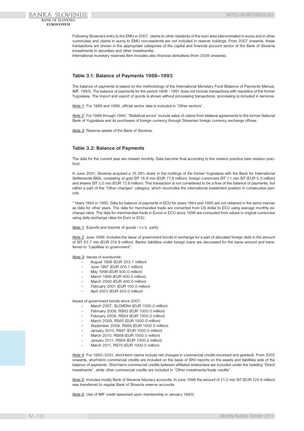Following Slovenia's entry to the EMU in 2007, claims to other residents of the euro area (denominated in euros and in other currencies) and claims in euros to EMU non-residents are not included in reserve holdings. From 2007 onwards, these transactions are shown in the appropriate categories of the capital and financial account sector of the Bank of Slovenia (investments in securities and other investments).

International monetary reserves item includes also financial derivatives (from 2009 onwards).

# **Table 3.1: Balance of Payments 1988–1993**

The balance of payments is based on the methodology of the International Monetary Fund (Balance of Payments Manual, IMF, 1993). The balance of payments for the period 1998 - 1991 does not include transactions with republics of the former Yugoslavia. The import and export of goods is shown without processing transactions, processing is included in services.

*Note 1*: For 1988 and 1989, official sector data is included in "Other sectors".

*Note 2*: For 1988 through 1990, "Statistical errors" include sales of claims from bilateral agreements to the former National Bank of Yugoslavia and its purchases of foreign currency through Slovenian foreign currency exchange offices.

*Note 3*: Reserve assets of the Bank of Slovenia.

## **Table 3.2: Balance of Payments**

The data for the current year are revised monthly. Data become final according to the revision practice (see revision practice).

In June 2001, Slovenia acquired a 16.39% share in the holdings of the former Yugoslavia with the Bank for International Settlements (BIS), consisting of gold SIT 16.9 mio (EUR 77.8 million), foreign currencies SIT 1.1 mio SIT (EUR 5.3 million) and shares SIT 3.0 mio (EUR 13.8 million). This transaction is not considered to be a flow of the balance of payments, but rather a part of the "Other changes" category, which reconciles the international investment position in consecutive periods.

\* Years 1994 in 1995: Data for balance of payments in ECU for years 1994 and 1995 are not obtained in the same manner as data for other years. The data for merchandise trade are converted from US dollar to ECU using average monthly exchange rates. The data for merchandise trade in Euros or ECU since 1996 are computed from values in original currencies using daily exchange rates for Euro or ECU.

*Note 1*: Exports and imports of goods - f.o.b. parity

*Note 2*: June 1996: Includes the issue of government bonds in exchange for a part of allocated foreign debt in the amount of SIT 63.7 mio (EUR 374.9 million). Banks' liabilities under foreign loans are decreased for the same amount and transferred to "Liabilities to government".

*Note 3*: Issues of eurobonds:

- August 1996 (EUR 253.7 million)
- June 1997 (EUR 205.1 million)
- May 1998 (EUR 500.0 million)
- March 1999 (EUR 400.0 million)
- March 2000 (EUR 400.0 million)
- February 2001 (EUR 100.0 million)
- April 2001 (EUR 450.0 million)

Issues of government bonds since 2007:

- March 2007, SLOVEN4 (EUR 1000.0 million)
- February 2008, RS63 (EUR 1000.0 million)
- February 2009, RS64 (EUR 1000.0 million)
- March 2009, RS65 (EUR 1500.0 million)
- September 2009, RS66 (EUR 1500.0 million)
- January 2010, RS67 (EUR 1500.0 million)
- March 2010, RS68 (EUR 1000.0 million)
- January 2011, RS69 (EUR 1000.0 million)
- March 2011, RS70 (EUR 1000.0 million)

*Note 4*: For 1993–2001, short-term claims include net changes in commercial credits (received and granted). From 2002 onwards, short-term commercial credits are included on the basis of SKV reports on the assets and liabilities side of the balance of payments. Short-term commercial credits between affiliated enterprises are included under the heading "Direct investments", while other commercial credits are included in "Other investments/trade credits".

*Note 5*: Includes mostly Bank of Slovenia fiduciary accounts. In June 1996 the amount of 21.2 mio SIT (EUR 124.9 million) was transferred to regular Bank of Slovenia reserve accounts.

*Note 6*: Use of IMF credit (assumed upon membership in January 1993).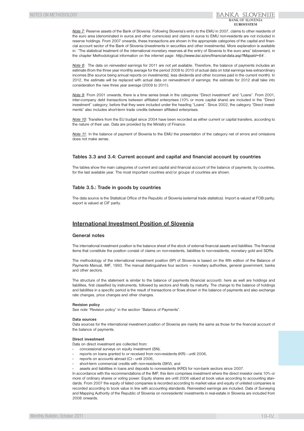#### BANKA SLOVENIJE BANK OF SLOVENIA **EUROSYSTEM**

*Note 7*: Reserve assets of the Bank of Slovenia. Following Slovenia's entry to the EMU in 2007, claims to other residents of the euro area (denominated in euros and other currencies) and claims in euros to EMU non-residents are not included in reserve holdings. From 2007 onwards, these transactions are shown in the appropriate categories of the capital and financial account sector of the Bank of Slovenia (investments in securities and other investments). More explanation is available in: "The statistical treatment of the international monetary reserves at the entry of Slovenia to the euro area" (slovenian), in the chapter Methodological information on the internet page: *http://www.bsi.si/en/financial-data.asp?MapaId=64* .

*Note 8*: The data on reinvested earnings for 2011 are not yet available. Therefore, the balance of payments includes an estimate (from the three year monthly average for the period 2008 to 2010 of actual data on total earnings less extraordinary incomes [the source being annual reports on investments], less dividends and other incomes paid in the current month). In 2012, the estimate will be replaced with actual data on reinvestment of earnings; the estimate for 2012 shall take into consideration the new three year average (2009 to 2011).

*Note 9*: From 2001 onwards, there is a time series break in the categories "Direct investment" and "Loans". From 2001, inter-company debt transactions between affiliated enterprises (10% or more capital share) are included in the "Direct investment" category; before that they were included under the heading "Loans". Since 2002, the category "Direct investments" also includes short-term trade credits between affiliated enterprises.

*Note 10*: Transfers from the EU budget since 2004 have been recorded as either current or capital transfers, according to the nature of their use. Data are provided by the Ministry of Finance.

*Note 11*: In the balance of payment of Slovenia to the EMU the presentation of the category net of errors and omissions does not make sense.

# **Tables 3.3 and 3.4: Current account and capital and financial account by countries**

The tables show the main categories of current and capital and financial account of the balance of payments, by countries, for the last available year. The most important countries and/or groups of countries are shown.

# **Table 3.5.: Trade in goods by countries**

The data source is the Statistical Office of the Republic of Slovenia (external trade statistics). Import is valued at FOB parity; export is valued at CIF parity.

# **International Investment Position of Slovenia**

#### **General notes**

The international investment position is the balance sheet of the stock of external financial assets and liabilities. The financial items that constitute the position consist of claims on non-residents, liabilities to non-residents, monetary gold and SDRs.

The methodology of the international investment position (IIP) of Slovenia is based on the fifth edition of the Balance of Payments Manual, IMF, 1993. The manual distinguishes four sectors – monetary authorities, general government, banks and other sectors.

The structure of the statement is similar to the balance of payments (financial account): here as well are holdings and liabilities, first classified by instruments, followed by sectors and finally by maturity. The change to the balance of holdings and liabilities in a specific period is the result of transactions or flows shown in the balance of payments and also exchange rate changes, price changes and other changes.

#### **Revision policy**

See note "Revision policy" in the section "Balance of Payments".

#### **Data sources**

Data sources for the international investment position of Slovenia are mainly the same as those for the financial account of the balance of payments.

## **Direct investment**

Data on direct investment are collected from:

- concessional surveys on equity investment (SN),
- reports on loans granted to or received from non-residents (KR) until 2006,
- reports on accounts abroad (C) until 2006,
- short-term commercial credits with non-residents (SKV), and
- assets and liabilities in loans and deposits to nonresidents (KRD) for non-bank sectors since 2007.

In accordance with the recommendations of the IMF, this item comprises investment where the direct investor owns 10% or more of ordinary shares or voting power. Equity shares are until 2006 valued at book value according to accounting standards. From 2007 the equity of listed companies is recorded according to market value and equity of unlisted companies is recorded according to book value in line with accounting standards. Reinvested earnings are included. Data of Surveying and Mapping Authority of the Republic of Slovenia on nonresidents' investments in real-estate in Slovenia are included from 2008 onwards.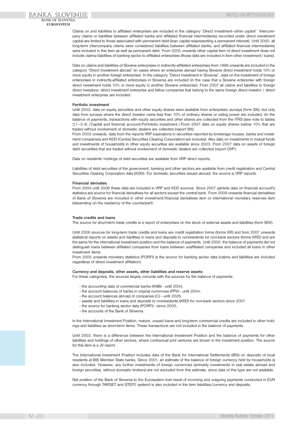# **EUROSYSTEM**

Claims on and liabilities to affiliated enterprises are included in the category "Direct investment–other capital". Intercompany claims or liabilities between affiliated banks and affiliated financial intermediaries recorded under direct investment capital are limited to those associated with permanent debt (loan capital respresenting a permanent interest). Until 2000, all long-term intercompany claims were considered liabilities between affiliated banks, and affiliated financial intermediaries were included in this item as well as permanent debt. From 2005 onwards other capital item of direct investment does not include claims/liabilities of banking sector to affiliated enterprises (those data are included in item other investment/ loans).

Data on claims and liabilities of Slovene enterprises in indirectly-affiliated enterprises from 1996 onwards are included in the category "Direct investment abroad" (in cases where an enterprise abroad having Slovene direct investment holds 10% or more equity in another foreign enterprise). In the category "Direct investment in Slovenia", data on the investment of foreign enterprises in indirectly-affiliated enterprises in Slovenia are included (in the case that a Slovene enterprise with foreign direct investment holds 10% or more equity in another Slovene enterprise). From 2007 all claims and liabilities to foreign direct investors/ direct investment enterprise and fellow companies that belong to the same foreign direct investor / direct investment enterprise are included.

#### **Portfolio investment**

Until 2002, data on equity securities and other equity shares were available from enterprises' surveys (form SN), but only data from surveys where the direct investor owns less than 10% of ordinary shares or voting power are included. (In the balance of payments, transactions with equity securities and other shares are collected from the ITRS [see note to tables 3.1–3.4] /Capital and financial account/Portofolio investment.) From 2007 data on equity shares bellow 10% that are traded without involvement of domestic dealers are collected (report SN).

From 2003 onwards, data from the reports VRP (operations in securities reported by brokerage houses, banks and investment companies) and KDD (Central Securities Clearing Corporation) are included. Also data on investments in mutual funds and investments of households in other equity securities are available since 2003. From 2007 data on assets of foreign debt secuirities that are traded without involvement of domestic dealers are collected (report DVP).

Data on residents' holdings of debt securities are available from VRP direct reports.

Liabilities of debt securities of the government, banking and other sectors are available from credit registration and Central Securities Clearing Corporation data (KDD). For domestic securities issued abroad, the source is VRP reports.

#### **Financial derivates**

From 2004 until 2006 these data are included in VRP and KDD sources. Since 2007 qarterly data on financial account's statistics are source for financial derivatives for all sectors except the central bank. From 2009 onwards financial derivatives of Bank of Slovenia are included in other investment/financial derivatives item or international monetary reserves item (depending on the residency of the counterpart).

#### **Trade credits and loans**

The source for short-term trade credits is a report of enterprises on the stock of external assets and liabilities (form SKV).

Until 2006 sources for long-term trade credits and loans are credit registration forms (forms KR) and from 2007 onwards statistical reports on assets and liabilities in loans and deposits to nonresidents for non-bank sectors (forms KRD) and are the same for the international investment position and the balance of payments. Until 2000, the balance of payments did not distinguish loans between affiliated companies from loans between unaffiliated companies and included all loans in other investment items.

From 2005 onwards monetary statistics (PORFI) is the source for banking sector data (claims and liabilities are included regardless of direct investment affiliation).

#### **Currency and deposits, other assets, other liabilities and reserve assets**

For these categories, the sources largely coincide with the sources for the balance of payments:

- the accounting data of commercial banks (KNB) until 2004,
- the account balances of banks in original currencies (PPV) until 2004,
- the account balances abroad of companies (C) until 2006,
- assets and liabilities in loans and deposits to nonresidents (KRD) for non-bank sectors since 2007
- the source for banking sector data (PORFI) since 2005,
- the accounts of the Bank of Slovenia.

In the International Investment Position, mature, unpaid loans and long-term commercial credits are included in other holdings and liabilities as short-term items. These transactions are not included in the balance of payments.

Until 2002, there is a difference between the International Investment Position and the balance of payments for other liabilities and holdings of other sectors, where contractual joint ventures are shown in the investment position. The source for this item is a JV report.

The International Investment Position includes data of the Bank for International Settlements (BIS) on deposits of local residents at BIS Member State banks. Since 2001, an estimate of the balance of foreign currency held by households is also included. However, any further investments of foreign currencies (primarily investments in real estate abroad and foreign securities, without domestic brokers) are not excluded from this estimate, since data of this type are not available.

Net position of the Bank of Slovenia to the Eurosystem (net result of incoming and outgoing payments conducted in EUR currency through TARGET and STEP2 system) is also included in the item liabilities/currency and deposits.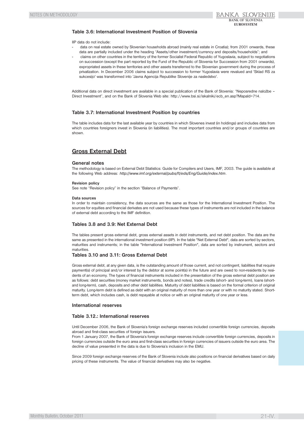# **Table 3.6: International Investment Position of Slovenia**

IIP data do not include:

- data on real estate owned by Slovenian households abroad (mainly real estate in Croatia); from 2001 onwards, these data are partially included under the heading "Assets/other investment/currency and deposits/households"; and
- claims on other countries in the territory of the former Socialist Federal Republic of Yugoslavia, subject to negotiations on succession (except the part reported by the Fund of the Republic of Slovenia for Succession from 2001 onwards), expropriated assets in these territories and other assets transferred to the Slovenian government during the process of privatization. In December 2006 claims subject to succession to former Yugoslavia were revalued and 'Sklad RS za sukcesijo' was transformed into 'Javna Agencija Republike Slovenije za nasledstvo'.

Additional data on direct investment are available in a special publication of the Bank of Slovenia: "Neposredne naložbe – Direct Investment", and on the Bank of Slovenia Web site: http://www.bsi.si/iskalniki/ecb\_en.asp?MapaId=714.

## **Table 3.7: International Investment Position by countries**

The table includes data for the last available year by countries in which Slovenes invest (in holdings) and includes data from which countries foreigners invest in Slovenia (in liabilities). The most important countries and/or groups of countries are shown.

# **Gross External Debt**

#### **General notes**

The methodology is based on External Debt Statistics: Guide for Compilers and Users, IMF, 2003. The guide is available at the following Web address: *http://www.imf.org/external/pubs/ft/eds/Eng/Guide/index.htm*.

#### **Revision policy**

See note "Revision policy" in the section "Balance of Payments".

#### **Data sources**

In order to maintain consistency, the data sources are the same as those for the International Investment Position. The sources for equities and financial derivates are not used because these types of instruments are not included in the balance of external debt according to the IMF definition.

## **Tables 3.8 and 3.9: Net External Debt**

The tables present gross external debt, gross external assets in debt instruments, and net debt position. The data are the same as presented in the international investment position (IIP). In the table "Net External Debt", data are sorted by sectors, maturities and instruments; in the table "International Investment Position", data are sorted by instrument, sectors and maturities.

#### **Tables 3.10 and 3.11: Gross External Debt**

Gross external debt, at any given data, is the outstanding amount of those current, and not contingent, liabilities that require payment(s) of principal and/or interest by the debtor at some point(s) in the future and are owed to non-residents by residents of an economy. The types of financial instruments included in the presentation of the gross external debt position are as follows: debt securities (money market instruments, bonds and notes), trade credits (short- and long-term), loans (shortand long-term), cash, deposits and other debt liabilities. Maturity of debt liabilities is based on the formal criterion of original maturity. Long-term debt is defined as debt with an original maturity of more than one year or with no maturity stated. Shortterm debt, which includes cash, is debt repayable at notice or with an original maturity of one year or less.

#### **International reserves**

# **Table 3.12.: International reserves**

Until December 2006, the Bank of Slovenia's foreign exchange reserves included convertible foreign currencies, deposits abroad and first-class securities of foreign issuers.

From 1 January 2007, the Bank of Slovenia's foreign exchange reserves include convertible foreign currencies, deposits in foreign currencies outside the euro area and first-class securities in foreign currencies of issuers outside the euro area. The decline of value presented in the data is due to Slovenia's inclusion in the EMU.

Since 2009 foreign exchange reserves of the Bank of Slovenia include also positions on financial derivatives based on daily pricing of these instruments. The value of financial derivatives may also be negative.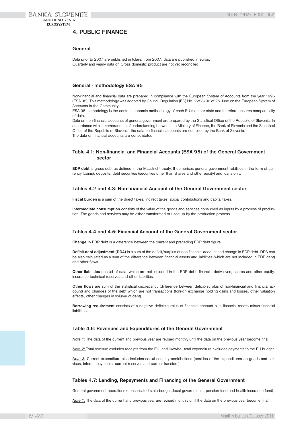**EUROSYSTEM**

# **4. PUBLIC FINANCE**

## **General**

Data prior to 2007 are published in tolars; from 2007, data are published in euros. Quarterly and yearly data on Gross domestic product are not yet reconciled.

#### **General - methodology ESA 95**

Non-financial and financial data are prepared in compliance with the European System of Accounts from the year 1995 (ESA 95). This methodology was adopted by Council Regulation (EC) No. 2223/96 of 25 June on the European System of Accounts in the Community.

ESA 95 methodology is the central economic methodology of each EU member state and therefore ensures comparability of data.

Data on non-financial accounts of general government are prepared by the Statistical Office of the Republic of Slovenia. In accordance with a memorandum of understanding between the Ministry of Finance, the Bank of Slovenia and the Statistical Office of the Republic of Slovenia, the data on financial accounts are compiled by the Bank of Slovenia. The data on financial accounts are consolidated.

# **Table 4.1: Non-financial and Financial Accounts (ESA 95) of the General Government sector**

**EDP debt** is gross debt as defined in the Maastricht treaty. It comprises general government liabilities in the form of currency (coins), deposits, debt securities (securities other than shares and other equity) and loans only.

# **Tables 4.2 and 4.3: Non-financial Account of the General Government sector**

Fiscal burden is a sum of the direct taxes, indirect taxes, social contributions and capital taxes.

**Intermediate consumption** consists of the value of the goods and services consumed as inputs by a process of production. The goods and services may be either transformed or used up by the production process.

# **Tables 4.4 and 4.5: Financial Account of the General Government sector**

**Change in EDP** debt is a difference between the current and preceding EDP debt figure.

**Deficit-debt adjustment (DDA)** is a sum of the deficit/surplus of non-financial account and change in EDP debt. DDA can be also calculated as a sum of the difference between financial assets and liabilities (which are not included in EDP debt) and other flows.

**Other liabilities** consist of data, which are not included in the EDP debt: financial derivatives, shares and other equity, insurance technical reserves and other liabilities.

**Other flows** are sum of the statistical discrepancy (difference between deficit/surplus of non-financial and financial account) and changes of the debt which are not transactions (foreign exchange holding gains and losses, other valuation effects, other changes in volume of debt).

**Borrowing requirement** consists of a negative deficit/surplus of financial account plus financial assets minus financial liabilities.

#### **Table 4.6: Revenues and Expenditures of the General Government**

*Note 1:* The data of the current and previous year are revised monthly until the data on the previous year become final.

*Note 2:* Total revenue excludes receipts from the EU, and likewise, total expenditure excludes payments to the EU budget.

*Note 3:* Current expenditure also includes social security contributions (besides of the expenditures on goods and services, interest payments, current reserves and current transfers).

#### **Tables 4.7: Lending, Repayments and Financing of the General Government**

General government operations (consolidated state budget, local governments, pension fund and health insurance fund).

*Note 1:* The data of the current and previous year are revised monthly until the data on the previous year become final.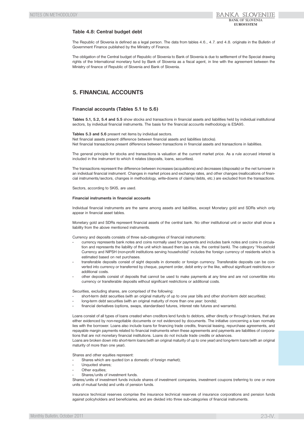#### BANKA SLOVENIJE BANK OF SLOVENIA **EUROSYSTEM**

# **Table 4.8: Central budget debt**

The Republic of Slovenia is defined as a legal person. The data from tables 4.6., 4.7. and 4.8. originate in the Bulletin of Government Finance published by the Ministry of Finance.

The obligation of the Central budget of Republic of Slovenia to Bank of Slovenia is due to settlement of the Special drawing rights of the International monetary fund by Bank of Slovenia as a fiscal agent, in line with the agreement between the Ministry of finance of Republic of Slovenia and Bank of Slovenia.

# **5. FINANCIAL ACCOUNTS**

### **Financial accounts (Tables 5.1 to 5.6)**

**Tables 5.1, 5.2, 5.4 and 5.5** show stocks and transactions in financial assets and liabilities held by individual institutional sectors, by individual financial instruments. The basis for the financial accounts methodology is ESA95.

#### **Tables 5.3 and 5.6** present net items by individual sectors.

Net financial assets present difference between financial assets and liabilities (stocks). Net financial transactions present difference between transactions in financial assets and transactions in liabilities.

The general principle for stocks and transactions is valuation at the current market price. As a rule accrued interest is included in the instrument to which it relates (deposits, loans, securities).

The transactions represent the difference between increases (acquisitions) and decreases (disposals) or the net turnover in an individual financial instrument. Changes in market prices and exchange rates, and other changes (reallocations of financial instruments/sectors, changes in methodology, write-downs of claims/debts, etc.) are excluded from the transactions.

Sectors, according to SKIS, are used.

#### **Financial instruments in financial accounts**

Individual financial instruments are the same among assets and liabilities, except Monetary gold and SDRs which only appear in financial asset tables.

Monetary gold and SDRs represent financial assets of the central bank. No other institutional unit or sector shall show a liability from the above mentioned instruments.

Currency and deposits consists of three sub-categories of financial instruments:

- currency represents bank notes and coins normally used for payments and includes bank notes and coins in circulation and represents the liability of the unit which issued them (as a rule, the central bank). The category "Household Currency and NIPSH (non-profit institutions serving households)" includes the foreign currency of residents which is estimated based on net purchases.
- transferable deposits consist of sight deposits in domestic or foreign currency. Transferable deposits can be converted into currency or transferred by cheque, payment order, debit entry or the like, without significant restrictions or additional costs.
- other deposits consist of deposits that cannot be used to make payments at any time and are not convertible into currency or transferable deposits without significant restrictions or additional costs.

Securities, excluding shares, are comprised of the following:

- short-term debt securities (with an original maturity of up to one year bills and other short-term debt securities);
- long-term debt securities (with an original maturity of more than one year: bonds);
- financial derivatives (options, swaps, standardised futures, interest rate futures and warrants).

Loans consist of all types of loans created when creditors lend funds to debtors, either directly or through brokers, that are either evidenced by non-negotiable documents or not evidenced by documents. The initiative concerning a loan normally lies with the borrower. Loans also include loans for financing trade credits, financial leasing, repurchase agreements, and repayable margin payments related to financial instruments when these agreements and payments are liabilities of corporations that are not monetary financial institutions. Loans do not include trade credits or advances.

Loans are broken down into short-term loans (with an original maturity of up to one year) and long-term loans (with an original maturity of more than one year).

Shares and other equities represent:

- Shares which are quoted (on a domestic of foreign market);
- Unquoted shares;
- Other equities:
- Shares/units of investment funds.

Shares/units of investment funds include shares of investment companies, investment coupons (referring to one or more units of mutual funds) and units of pension funds.

Insurance technical reserves comprise the insurance technical reserves of insurance corporations and pension funds against policyholders and beneficiaries, and are divided into three sub-categories of financial instruments.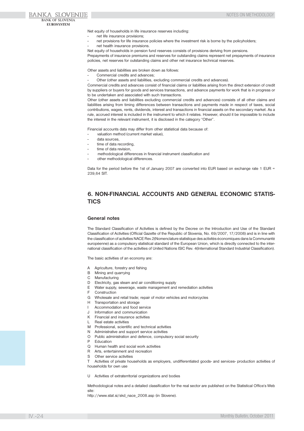**EUROSYSTEM**

Net equity of households in life insurance reserves including:

- net life insurance provisions;
- net provisions for life insurance policies where the investment risk is borne by the policyholders;

net health insurance provisions. Net equity of households in pension fund reserves consists of provisions deriving from pensions. Prepayments of insurance premiums and reserves for outstanding claims represent net prepayments of insurance policies, net reserves for outstanding claims and other net insurance technical reserves.

Other assets and liabilities are broken down as follows:

- Commercial credits and advances;
- Other (other assets and liabilities, excluding commercial credits and advances).

Commercial credits and advances consist of financial claims or liabilities arising from the direct extension of credit by suppliers or buyers for goods and services transactions, and advance payments for work that is in progress or to be undertaken and associated with such transactions.

Other (other assets and liabilities excluding commercial credits and advances) consists of all other claims and liabilities arising from timing differences between transactions and payments made in respect of taxes, social contributions, wages, rents, dividends, interest and transactions in financial assets on the secondary market. As a rule, accrued interest is included in the instrument to which it relates. However, should it be impossible to include the interest in the relevant instrument, it is disclosed in the category "Other".

Financial accounts data may differ from other statistical data because of:

- valuation method (current market value),
- data sources,
- time of data recording,
- time of data revision,
- methodological differences in financial instrument classification and
- other methodological differences.

Data for the period before the 1st of January 2007 are converted into EUR based on exchange rate 1 EUR = 239,64 SIT.

# **6. NON-FINANCIAL ACCOUNTS AND GENERAL ECONOMIC STATIS-TICS**

#### **General notes**

The Standard Classification of Activities is defined by the Decree on the Introduction and Use of the Standard Classification of Activities (Official Gazette of the Republic of Slovenia, No. 69/2007, 17/2008) and is in line with the classification of activities NACE Rev.2(Nomenclature statistique des activités économiques dans la Communanté européenne) as a compulsory statistical standard of the European Union, which is directly connected to the international classification of the activities of United Nations ISIC Rev. 4(International Standard Industrial Classification).

The basic activities of an economy are:

- A Agriculture, forestry and fishing
- B Mining and quarrying
- C Manufacturing
- D Electricity, gas steam and air conditioning supply
- E Water supply, sewerage, waste management and remediation activities
- F Construction
- G Wholesale and retail trade; repair of motor vehicles and motorcycles
- H Transportation and storage
- I Accommodation and food service
- J Information and communication
- K Financial and insurance activities
- L Real estate activities
- M Professional, scientific and technical activities
- N Administrative and support service activities
- O Public administration and defence, compulsory social security
- P Education
- Q Human health and social work activities
- R Arts, entertainment and recreation
- S Other service activities

T Activities of private households as employers, undifferentiated goods- and services- production activities of households for own use

U Activities of extraterritorial organizations and bodies

Methodological notes and a detailed classification for the real sector are published on the Statistical Office's Web site:

http://www.stat.si/skd\_nace\_2008.asp (in Slovene).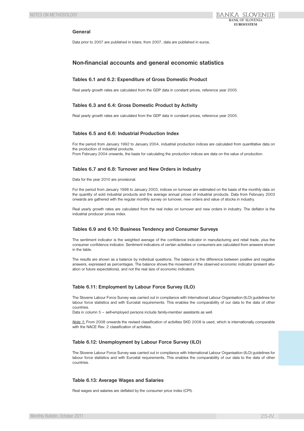# **General**

Data prior to 2007 are published in tolars; from 2007, data are published in euros.

# **Non-financial accounts and general economic statistics**

## **Tables 6.1 and 6.2: Expenditure of Gross Domestic Product**

Real yearly growth rates are calculated from the GDP data in constant prices, reference year 2005.

## **Tables 6.3 and 6.4: Gross Domestic Product by Activity**

Real yearly growth rates are calculated from the GDP data in constant prices, reference year 2005.

## **Tables 6.5 and 6.6: Industrial Production Index**

For the period from January 1992 to January 2004, industrial production indices are calculated from quantitative data on the production of industrial products. From February 2004 onwards, the basis for calculating the production indices are data on the value of production.

# **Tables 6.7 and 6.8: Turnover and New Orders in Industry**

Data for the year 2010 are provisional.

For the period from January 1998 to January 2003, indices on turnover are estimated on the basis of the monthly data on the quantity of sold industrial products and the average annual prices of industrial products. Data from February 2003 onwards are gathered with the regular monthly survey on turnover, new orders and value of stocks in industry.

Real yearly growth rates are calculated from the real index on turnover and new orders in industry. The deflator is the industrial producer prices index.

#### **Tables 6.9 and 6.10: Business Tendency and Consumer Surveys**

The sentiment indicator is the weighted average of the confidence indicator in manufacturing and retail trade, plus the consumer confidence indicator. Sentiment indicators of certain activities or consumers are calculated from answers shown in the table.

The results are shown as a balance by individual questions. The balance is the difference between positive and negative answers, expressed as percentages. The balance shows the movement of the observed economic indicator (present situation or future expectations), and not the real size of economic indicators.

#### **Table 6.11: Employment by Labour Force Survey (ILO)**

The Slovene Labour Force Survey was carried out in compliance with International Labour Organisation (ILO) guidelines for labour force statistics and with Eurostat requirements. This enables the comparability of our data to the data of other countries.

Data in column 5 – self-employed persons include family-member assistants as well.

*Note 1:* From 2008 onwards the revised classification of activities SKD 2008 is used, which is internationally comparable with the NACE Rev. 2 classification of activities.

#### **Table 6.12: Unemployment by Labour Force Survey (ILO)**

The Slovene Labour Force Survey was carried out in compliance with International Labour Organisation (ILO) guidelines for labour force statistics and with Eurostat requirements. This enables the comparability of our data to the data of other countries.

#### **Table 6.13: Average Wages and Salaries**

Real wages and salaries are deflated by the consumer price index (CPI).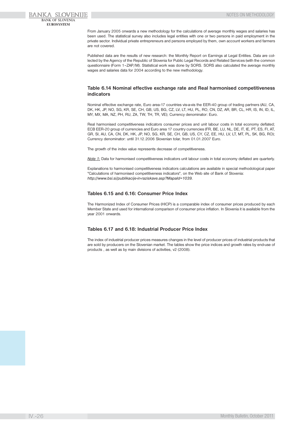From January 2005 onwards a new methodology for the calculations of average monthly wages and salaries has been used. The statistical survey also includes legal entities with one or two persons in paid employment in the private sector. Individual private entrepreneurs and persons employed by them, own account workers and farmers are not covered.

Published data are the results of new research: the Monthly Report on Earnings at Legal Entities. Data are collected by the Agency of the Republic of Slovenia for Public Legal Records and Related Services (with the common questionnaire (Form 1–ZAP/M). Statistical work was done by SORS. SORS also calculated the average monthly wages and salaries data for 2004 according to the new methodology.

# **Table 6.14 Nominal effective exchange rate and Real harmonised competitiveness indicators**

Nominal effective exchange rate, Euro area-17 countries vis-a-vis the EER-40 group of trading partners (AU, CA, DK, HK, JP, NO, SG, KR, SE, CH, GB, US, BG, CZ, LV, LT, HU, PL, RO, CN, DZ, AR, BR, CL, HR, IS, IN, ID, IL, MY, MX, MA, NZ, PH, RU, ZA, TW, TH, TR, VE); Currency denominator: Euro.

Real harmonised competitiveness indicators consumer prices and unit labour costs in total economy deflated; ECB EER-20 group of currencies and Euro area 17 country currencies (FR, BE, LU, NL, DE, IT, IE, PT, ES, FI, AT, GR, SI, AU, CA, CN, DK, HK, JP, NO, SG, KR, SE, CH, GB, US, CY, CZ, EE, HU, LV, LT, MT, PL, SK, BG, RO); Currency denominator: until 31.12.2006 Slovenian tolar, from 01.01.2007 Euro.

The growth of the index value represents decrease of competitiveness.

*Note 1:* Data for harmonised competitiveness indicators unit labour costs in total economy deflated are quarterly.

Explanations to harmonised competitiveness indicators calculations are available in special methodological paper "Calculations of harmonised competitiveness indicators", on the Web site of Bank of Slovenia: *http://www.bsi.si/publikacije-in-raziskave.asp?MapaId=1039.*

#### **Tables 6.15 and 6.16: Consumer Price Index**

The Harmonized Index of Consumer Prices (HICP) is a comparable index of consumer prices produced by each Member State and used for international comparison of consumer price inflation. In Slovenia it is available from the year 2001 onwards.

### **Tables 6.17 and 6.18: Industrial Producer Price Index**

The index of industrial producer prices measures changes in the level of producer prices of industrial products that are sold by producers on the Slovenian market. The tables show the price indices and growth rates by end-use of products , as well as by main divisions of activities, v2 (2008).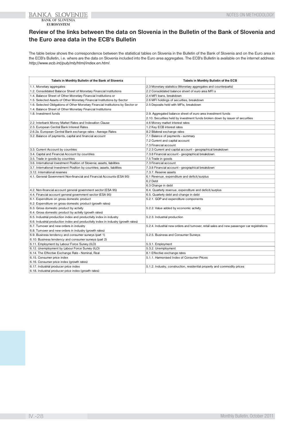BANKA SLOVENIJE

BANK OF SLOVENIA **EUROSYSTEM**

# **Review of the links between the data on Slovenia in the Bulletin of the Bank of Slovenia and the Euro area data in the ECB's Bulletin**

The table below shows the correspondence between the statistical tables on Slovenia in the Bulletin of the Bank of Slovenia and on the Euro area in the ECB's Bulletin, i.e. where are the data on Slovenia included into the Euro area aggregates. The ECB's Bulletin is available on the internet address: *http://www.ecb.int/pub/mb/html/index.en.html*.

| Tabels in Monthly Bulletin of the Bank of Slovenia                                 | Tabels in Monthly Bulletin of the ECB                                                       |  |  |
|------------------------------------------------------------------------------------|---------------------------------------------------------------------------------------------|--|--|
| 1.1. Monetary aggregates                                                           | 2.3 Monetary statistics (Monetary aggregates and counterparts)                              |  |  |
| 1.2. Consolidated Balance Sheet of Monetary Financial Institutions                 | 2.2 Consolidated balance sheet of euro area MFI s                                           |  |  |
| 1.4. Balance Sheet of Other Monetary Financial Institutions or                     | 2.4 MFI loans, breakdown                                                                    |  |  |
| 1.5. Selected Assets of Other Monetary Financial Institutions by Sector            | 2.6 MFI holdings of securities, breakdown                                                   |  |  |
| 1.6. Selected Obligations of Other Monetary Financial Institutions by Sector or    | 2.5 Deposits held with MFIs, breakdown                                                      |  |  |
| 1.4. Balance Sheet of Other Monetary Financial Institutions                        |                                                                                             |  |  |
| 1.8. Investment funds                                                              | 2.9. Aggregated balance sheet of euro area investment funds                                 |  |  |
|                                                                                    | 2.10. Securities held by investment funds broken down by issuer of securities               |  |  |
| 2.2. Interbank Money Market Rates and Indexation Clause                            | 4.6 Money market interest rates                                                             |  |  |
| 2.3. European Central Bank Interest Rates                                          | 1.2 Key ECB interest rates                                                                  |  |  |
| 2.6.2a. European Central Bank exchange rates - Average Rates                       | 8.2 Bilateral exchange rates                                                                |  |  |
| 3.2. Balance of payments, capital and financial account                            | 7.1 Balance of payments - summary                                                           |  |  |
|                                                                                    | 7.2 Current and capital account                                                             |  |  |
|                                                                                    | 7.3 Financial account                                                                       |  |  |
| 3.3. Current Account by countries                                                  | 7.2.3 Current and capital account - geographical breakdown                                  |  |  |
| 3.4. Capital and Financial Account by countries                                    | 7.3.8 Financial account - geographical breakdown                                            |  |  |
| 3.5. Trade in goods by countries                                                   | 7.5 Trade in goods                                                                          |  |  |
| 3.6. International Investment Position of Slovenia; assets, liabilities            | 7.3 Financial account                                                                       |  |  |
| 3.7. International Investment Position by countries; assets, liabilities           | 7.3.8 Financial account - geographical breakdown                                            |  |  |
| 3.12. International reserves                                                       | 7.3.7. Reserve assets                                                                       |  |  |
| 4.1. General Government Non-financial and Financial Accounts (ESA 95)              | 6.1 Revenue, expenditure and deficit/surplus                                                |  |  |
|                                                                                    | 6.2 Debt                                                                                    |  |  |
|                                                                                    | 6.3 Change in debt                                                                          |  |  |
| 4.2. Non-financial account general government sector (ESA 95)                      | 6.4. Quarterly revenue, expenditure and deficit/surplus                                     |  |  |
| 4.4. Financial account general government sector (ESA 95)                          | 6.5. Quarterly debt and change in debt                                                      |  |  |
| 6.1. Expenditure on gross domestic product                                         | 5.2.1. GDP and expenditure components                                                       |  |  |
| 6.2. Expenditure on gross domestic product (growth rates)                          |                                                                                             |  |  |
| 6.3. Gross domestic product by activity                                            | 5.2.2. Value added by economic activity                                                     |  |  |
| 6.4. Gross domestic product by activity (growth rates)                             |                                                                                             |  |  |
| 6.5. Industrial production index and productivity index in industry                | 5.2.3. Industrial production                                                                |  |  |
| 6.6. Industrial production index and productivity index in industry (growth rates) |                                                                                             |  |  |
| 6.7. Tumover and new orders in industry                                            | 5.2.4. Industrial new orders and turnover, retail sales and new passenger car registrations |  |  |
| 6.8. Tumover and new orders in industry (growth rates)                             |                                                                                             |  |  |
| 6.9. Business tendency and consumer surveys (part 1)                               | 5.2.5. Business and Consumer Surveys                                                        |  |  |
| 6.10. Business tendency and consumer surveys (part 2)                              |                                                                                             |  |  |
| 6.11. Employment by Labour Force Survey (ILO)                                      | 5.3.1. Employment                                                                           |  |  |
| 6.12. Unemployment by Labour Force Survey (ILO)                                    | 5.3.2. Unemployment                                                                         |  |  |
| 6.14. The Effective Exchange Rate - Nominal, Real                                  | 8.1 Effective exchange rates                                                                |  |  |
| 6.15. Consumer price index                                                         | 5.1.1. Harmonised Index of Consumer Prices                                                  |  |  |
| 6.16. Consumer price index (growth rates)                                          |                                                                                             |  |  |
| 6.17. Industrial producer price index                                              | 5.1.2. Industry, construction, residential property and commodity prices                    |  |  |
| 6.18. Industrial producer price index (growth rates)                               |                                                                                             |  |  |